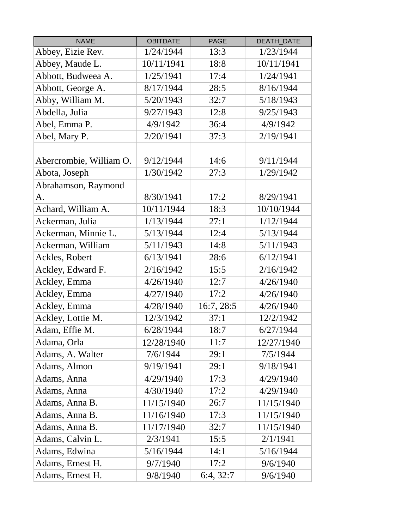| <b>NAME</b>             | <b>OBITDATE</b> | <b>PAGE</b> | DEATH_DATE |
|-------------------------|-----------------|-------------|------------|
| Abbey, Eizie Rev.       | 1/24/1944       | 13:3        | 1/23/1944  |
| Abbey, Maude L.         | 10/11/1941      | 18:8        | 10/11/1941 |
| Abbott, Budweea A.      | 1/25/1941       | 17:4        | 1/24/1941  |
| Abbott, George A.       | 8/17/1944       | 28:5        | 8/16/1944  |
| Abby, William M.        | 5/20/1943       | 32:7        | 5/18/1943  |
| Abdella, Julia          | 9/27/1943       | 12:8        | 9/25/1943  |
| Abel, Emma P.           | 4/9/1942        | 36:4        | 4/9/1942   |
| Abel, Mary P.           | 2/20/1941       | 37:3        | 2/19/1941  |
|                         |                 |             |            |
| Abercrombie, William O. | 9/12/1944       | 14:6        | 9/11/1944  |
| Abota, Joseph           | 1/30/1942       | 27:3        | 1/29/1942  |
| Abrahamson, Raymond     |                 |             |            |
| A.                      | 8/30/1941       | 17:2        | 8/29/1941  |
| Achard, William A.      | 10/11/1944      | 18:3        | 10/10/1944 |
| Ackerman, Julia         | 1/13/1944       | 27:1        | 1/12/1944  |
| Ackerman, Minnie L.     | 5/13/1944       | 12:4        | 5/13/1944  |
| Ackerman, William       | 5/11/1943       | 14:8        | 5/11/1943  |
| Ackles, Robert          | 6/13/1941       | 28:6        | 6/12/1941  |
| Ackley, Edward F.       | 2/16/1942       | 15:5        | 2/16/1942  |
| Ackley, Emma            | 4/26/1940       | 12:7        | 4/26/1940  |
| Ackley, Emma            | 4/27/1940       | 17:2        | 4/26/1940  |
| Ackley, Emma            | 4/28/1940       | 16:7, 28:5  | 4/26/1940  |
| Ackley, Lottie M.       | 12/3/1942       | 37:1        | 12/2/1942  |
| Adam, Effie M.          | 6/28/1944       | 18:7        | 6/27/1944  |
| Adama, Orla             | 12/28/1940      | 11:7        | 12/27/1940 |
| Adams, A. Walter        | 7/6/1944        | 29:1        | 7/5/1944   |
| Adams, Almon            | 9/19/1941       | 29:1        | 9/18/1941  |
| Adams, Anna             | 4/29/1940       | 17:3        | 4/29/1940  |
| Adams, Anna             | 4/30/1940       | 17:2        | 4/29/1940  |
| Adams, Anna B.          | 11/15/1940      | 26:7        | 11/15/1940 |
| Adams, Anna B.          | 11/16/1940      | 17:3        | 11/15/1940 |
| Adams, Anna B.          | 11/17/1940      | 32:7        | 11/15/1940 |
| Adams, Calvin L.        | 2/3/1941        | 15:5        | 2/1/1941   |
| Adams, Edwina           | 5/16/1944       | 14:1        | 5/16/1944  |
| Adams, Ernest H.        | 9/7/1940        | 17:2        | 9/6/1940   |
| Adams, Ernest H.        | 9/8/1940        | 6:4, 32:7   | 9/6/1940   |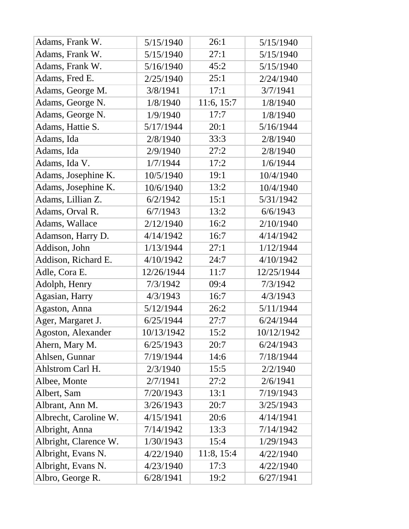| Adams, Frank W.       | 5/15/1940  | 26:1       | 5/15/1940  |
|-----------------------|------------|------------|------------|
| Adams, Frank W.       | 5/15/1940  | 27:1       | 5/15/1940  |
| Adams, Frank W.       | 5/16/1940  | 45:2       | 5/15/1940  |
| Adams, Fred E.        | 2/25/1940  | 25:1       | 2/24/1940  |
| Adams, George M.      | 3/8/1941   | 17:1       | 3/7/1941   |
| Adams, George N.      | 1/8/1940   | 11:6, 15:7 | 1/8/1940   |
| Adams, George N.      | 1/9/1940   | 17:7       | 1/8/1940   |
| Adams, Hattie S.      | 5/17/1944  | 20:1       | 5/16/1944  |
| Adams, Ida            | 2/8/1940   | 33:3       | 2/8/1940   |
| Adams, Ida            | 2/9/1940   | 27:2       | 2/8/1940   |
| Adams, Ida V.         | 1/7/1944   | 17:2       | 1/6/1944   |
| Adams, Josephine K.   | 10/5/1940  | 19:1       | 10/4/1940  |
| Adams, Josephine K.   | 10/6/1940  | 13:2       | 10/4/1940  |
| Adams, Lillian Z.     | 6/2/1942   | 15:1       | 5/31/1942  |
| Adams, Orval R.       | 6/7/1943   | 13:2       | 6/6/1943   |
| Adams, Wallace        | 2/12/1940  | 16:2       | 2/10/1940  |
| Adamson, Harry D.     | 4/14/1942  | 16:7       | 4/14/1942  |
| Addison, John         | 1/13/1944  | 27:1       | 1/12/1944  |
| Addison, Richard E.   | 4/10/1942  | 24:7       | 4/10/1942  |
| Adle, Cora E.         | 12/26/1944 | 11:7       | 12/25/1944 |
| Adolph, Henry         | 7/3/1942   | 09:4       | 7/3/1942   |
| Agasian, Harry        | 4/3/1943   | 16:7       | 4/3/1943   |
| Agaston, Anna         | 5/12/1944  | 26:2       | 5/11/1944  |
| Ager, Margaret J.     | 6/25/1944  | 27:7       | 6/24/1944  |
| Agoston, Alexander    | 10/13/1942 | 15:2       | 10/12/1942 |
| Ahern, Mary M.        | 6/25/1943  | 20:7       | 6/24/1943  |
| Ahlsen, Gunnar        | 7/19/1944  | 14:6       | 7/18/1944  |
| Ahlstrom Carl H.      | 2/3/1940   | 15:5       | 2/2/1940   |
| Albee, Monte          | 2/7/1941   | 27:2       | 2/6/1941   |
| Albert, Sam           | 7/20/1943  | 13:1       | 7/19/1943  |
| Albrant, Ann M.       | 3/26/1943  | 20:7       | 3/25/1943  |
| Albrecht, Caroline W. | 4/15/1941  | 20:6       | 4/14/1941  |
| Albright, Anna        | 7/14/1942  | 13:3       | 7/14/1942  |
| Albright, Clarence W. | 1/30/1943  | 15:4       | 1/29/1943  |
| Albright, Evans N.    | 4/22/1940  | 11:8, 15:4 | 4/22/1940  |
| Albright, Evans N.    | 4/23/1940  | 17:3       | 4/22/1940  |
| Albro, George R.      | 6/28/1941  | 19:2       | 6/27/1941  |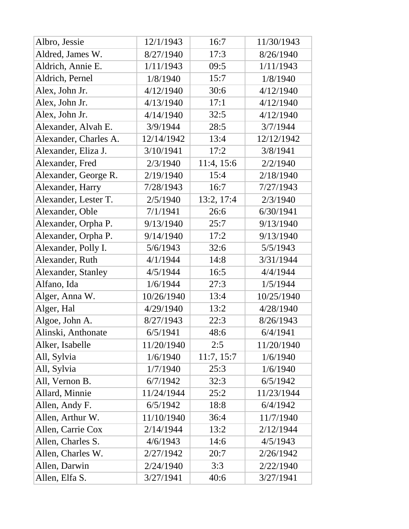| Albro, Jessie         | 12/1/1943  | 16:7       | 11/30/1943 |
|-----------------------|------------|------------|------------|
| Aldred, James W.      | 8/27/1940  | 17:3       | 8/26/1940  |
| Aldrich, Annie E.     | 1/11/1943  | 09:5       | 1/11/1943  |
| Aldrich, Pernel       | 1/8/1940   | 15:7       | 1/8/1940   |
| Alex, John Jr.        | 4/12/1940  | 30:6       | 4/12/1940  |
| Alex, John Jr.        | 4/13/1940  | 17:1       | 4/12/1940  |
| Alex, John Jr.        | 4/14/1940  | 32:5       | 4/12/1940  |
| Alexander, Alvah E.   | 3/9/1944   | 28:5       | 3/7/1944   |
| Alexander, Charles A. | 12/14/1942 | 13:4       | 12/12/1942 |
| Alexander, Eliza J.   | 3/10/1941  | 17:2       | 3/8/1941   |
| Alexander, Fred       | 2/3/1940   | 11:4, 15:6 | 2/2/1940   |
| Alexander, George R.  | 2/19/1940  | 15:4       | 2/18/1940  |
| Alexander, Harry      | 7/28/1943  | 16:7       | 7/27/1943  |
| Alexander, Lester T.  | 2/5/1940   | 13:2, 17:4 | 2/3/1940   |
| Alexander, Oble       | 7/1/1941   | 26:6       | 6/30/1941  |
| Alexander, Orpha P.   | 9/13/1940  | 25:7       | 9/13/1940  |
| Alexander, Orpha P.   | 9/14/1940  | 17:2       | 9/13/1940  |
| Alexander, Polly I.   | 5/6/1943   | 32:6       | 5/5/1943   |
| Alexander, Ruth       | 4/1/1944   | 14:8       | 3/31/1944  |
| Alexander, Stanley    | 4/5/1944   | 16:5       | 4/4/1944   |
| Alfano, Ida           | 1/6/1944   | 27:3       | 1/5/1944   |
| Alger, Anna W.        | 10/26/1940 | 13:4       | 10/25/1940 |
| Alger, Hal            | 4/29/1940  | 13:2       | 4/28/1940  |
| Algoe, John A.        | 8/27/1943  | 22:3       | 8/26/1943  |
| Alinski, Anthonate    | 6/5/1941   | 48:6       | 6/4/1941   |
| Alker, Isabelle       | 11/20/1940 | 2:5        | 11/20/1940 |
| All, Sylvia           | 1/6/1940   | 11:7, 15:7 | 1/6/1940   |
| All, Sylvia           | 1/7/1940   | 25:3       | 1/6/1940   |
| All, Vernon B.        | 6/7/1942   | 32:3       | 6/5/1942   |
| Allard, Minnie        | 11/24/1944 | 25:2       | 11/23/1944 |
| Allen, Andy F.        | 6/5/1942   | 18:8       | 6/4/1942   |
| Allen, Arthur W.      | 11/10/1940 | 36:4       | 11/7/1940  |
| Allen, Carrie Cox     | 2/14/1944  | 13:2       | 2/12/1944  |
| Allen, Charles S.     | 4/6/1943   | 14:6       | 4/5/1943   |
| Allen, Charles W.     | 2/27/1942  | 20:7       | 2/26/1942  |
| Allen, Darwin         | 2/24/1940  | 3:3        | 2/22/1940  |
| Allen, Elfa S.        | 3/27/1941  | 40:6       | 3/27/1941  |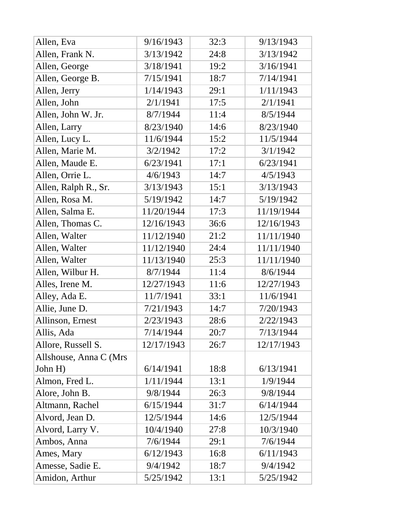| Allen, Eva             | 9/16/1943  | 32:3 | 9/13/1943  |
|------------------------|------------|------|------------|
| Allen, Frank N.        | 3/13/1942  | 24:8 | 3/13/1942  |
| Allen, George          | 3/18/1941  | 19:2 | 3/16/1941  |
| Allen, George B.       | 7/15/1941  | 18:7 | 7/14/1941  |
| Allen, Jerry           | 1/14/1943  | 29:1 | 1/11/1943  |
| Allen, John            | 2/1/1941   | 17:5 | 2/1/1941   |
| Allen, John W. Jr.     | 8/7/1944   | 11:4 | 8/5/1944   |
| Allen, Larry           | 8/23/1940  | 14:6 | 8/23/1940  |
| Allen, Lucy L.         | 11/6/1944  | 15:2 | 11/5/1944  |
| Allen, Marie M.        | 3/2/1942   | 17:2 | 3/1/1942   |
| Allen, Maude E.        | 6/23/1941  | 17:1 | 6/23/1941  |
| Allen, Orrie L.        | 4/6/1943   | 14:7 | 4/5/1943   |
| Allen, Ralph R., Sr.   | 3/13/1943  | 15:1 | 3/13/1943  |
| Allen, Rosa M.         | 5/19/1942  | 14:7 | 5/19/1942  |
| Allen, Salma E.        | 11/20/1944 | 17:3 | 11/19/1944 |
| Allen, Thomas C.       | 12/16/1943 | 36:6 | 12/16/1943 |
| Allen, Walter          | 11/12/1940 | 21:2 | 11/11/1940 |
| Allen, Walter          | 11/12/1940 | 24:4 | 11/11/1940 |
| Allen, Walter          | 11/13/1940 | 25:3 | 11/11/1940 |
| Allen, Wilbur H.       | 8/7/1944   | 11:4 | 8/6/1944   |
| Alles, Irene M.        | 12/27/1943 | 11:6 | 12/27/1943 |
| Alley, Ada E.          | 11/7/1941  | 33:1 | 11/6/1941  |
| Allie, June D.         | 7/21/1943  | 14:7 | 7/20/1943  |
| Allinson, Ernest       | 2/23/1943  | 28:6 | 2/22/1943  |
| Allis, Ada             | 7/14/1944  | 20:7 | 7/13/1944  |
| Allore, Russell S.     | 12/17/1943 | 26:7 | 12/17/1943 |
| Allshouse, Anna C (Mrs |            |      |            |
| John H)                | 6/14/1941  | 18:8 | 6/13/1941  |
| Almon, Fred L.         | 1/11/1944  | 13:1 | 1/9/1944   |
| Alore, John B.         | 9/8/1944   | 26:3 | 9/8/1944   |
| Altmann, Rachel        | 6/15/1944  | 31:7 | 6/14/1944  |
| Alvord, Jean D.        | 12/5/1944  | 14:6 | 12/5/1944  |
| Alvord, Larry V.       | 10/4/1940  | 27:8 | 10/3/1940  |
| Ambos, Anna            | 7/6/1944   | 29:1 | 7/6/1944   |
| Ames, Mary             | 6/12/1943  | 16:8 | 6/11/1943  |
| Amesse, Sadie E.       | 9/4/1942   | 18:7 | 9/4/1942   |
| Amidon, Arthur         | 5/25/1942  | 13:1 | 5/25/1942  |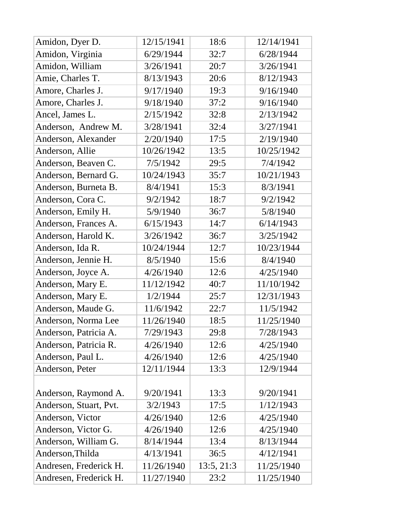| Amidon, Dyer D.        | 12/15/1941 | 18:6       | 12/14/1941 |
|------------------------|------------|------------|------------|
| Amidon, Virginia       | 6/29/1944  | 32:7       | 6/28/1944  |
| Amidon, William        | 3/26/1941  | 20:7       | 3/26/1941  |
| Amie, Charles T.       | 8/13/1943  | 20:6       | 8/12/1943  |
| Amore, Charles J.      | 9/17/1940  | 19:3       | 9/16/1940  |
| Amore, Charles J.      | 9/18/1940  | 37:2       | 9/16/1940  |
| Ancel, James L.        | 2/15/1942  | 32:8       | 2/13/1942  |
| Anderson, Andrew M.    | 3/28/1941  | 32:4       | 3/27/1941  |
| Anderson, Alexander    | 2/20/1940  | 17:5       | 2/19/1940  |
| Anderson, Allie        | 10/26/1942 | 13:5       | 10/25/1942 |
| Anderson, Beaven C.    | 7/5/1942   | 29:5       | 7/4/1942   |
| Anderson, Bernard G.   | 10/24/1943 | 35:7       | 10/21/1943 |
| Anderson, Burneta B.   | 8/4/1941   | 15:3       | 8/3/1941   |
| Anderson, Cora C.      | 9/2/1942   | 18:7       | 9/2/1942   |
| Anderson, Emily H.     | 5/9/1940   | 36:7       | 5/8/1940   |
| Anderson, Frances A.   | 6/15/1943  | 14:7       | 6/14/1943  |
| Anderson, Harold K.    | 3/26/1942  | 36:7       | 3/25/1942  |
| Anderson, Ida R.       | 10/24/1944 | 12:7       | 10/23/1944 |
| Anderson, Jennie H.    | 8/5/1940   | 15:6       | 8/4/1940   |
| Anderson, Joyce A.     | 4/26/1940  | 12:6       | 4/25/1940  |
| Anderson, Mary E.      | 11/12/1942 | 40:7       | 11/10/1942 |
| Anderson, Mary E.      | 1/2/1944   | 25:7       | 12/31/1943 |
| Anderson, Maude G.     | 11/6/1942  | 22:7       | 11/5/1942  |
| Anderson, Norma Lee    | 11/26/1940 | 18:5       | 11/25/1940 |
| Anderson, Patricia A.  | 7/29/1943  | 29:8       | 7/28/1943  |
| Anderson, Patricia R.  | 4/26/1940  | 12:6       | 4/25/1940  |
| Anderson, Paul L.      | 4/26/1940  | 12:6       | 4/25/1940  |
| Anderson, Peter        | 12/11/1944 | 13:3       | 12/9/1944  |
|                        |            |            |            |
| Anderson, Raymond A.   | 9/20/1941  | 13:3       | 9/20/1941  |
| Anderson, Stuart, Pvt. | 3/2/1943   | 17:5       | 1/12/1943  |
| Anderson, Victor       | 4/26/1940  | 12:6       | 4/25/1940  |
| Anderson, Victor G.    | 4/26/1940  | 12:6       | 4/25/1940  |
| Anderson, William G.   | 8/14/1944  | 13:4       | 8/13/1944  |
| Anderson, Thilda       | 4/13/1941  | 36:5       | 4/12/1941  |
| Andresen, Frederick H. | 11/26/1940 | 13:5, 21:3 | 11/25/1940 |
| Andresen, Frederick H. | 11/27/1940 | 23:2       | 11/25/1940 |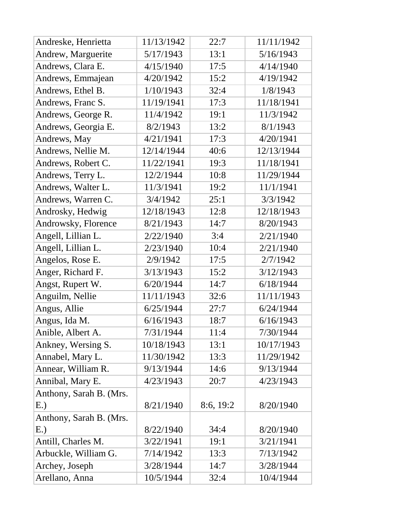| Andreske, Henrietta     | 11/13/1942 | 22:7      | 11/11/1942 |
|-------------------------|------------|-----------|------------|
| Andrew, Marguerite      | 5/17/1943  | 13:1      | 5/16/1943  |
| Andrews, Clara E.       | 4/15/1940  | 17:5      | 4/14/1940  |
| Andrews, Emmajean       | 4/20/1942  | 15:2      | 4/19/1942  |
| Andrews, Ethel B.       | 1/10/1943  | 32:4      | 1/8/1943   |
| Andrews, Franc S.       | 11/19/1941 | 17:3      | 11/18/1941 |
| Andrews, George R.      | 11/4/1942  | 19:1      | 11/3/1942  |
| Andrews, Georgia E.     | 8/2/1943   | 13:2      | 8/1/1943   |
| Andrews, May            | 4/21/1941  | 17:3      | 4/20/1941  |
| Andrews, Nellie M.      | 12/14/1944 | 40:6      | 12/13/1944 |
| Andrews, Robert C.      | 11/22/1941 | 19:3      | 11/18/1941 |
| Andrews, Terry L.       | 12/2/1944  | 10:8      | 11/29/1944 |
| Andrews, Walter L.      | 11/3/1941  | 19:2      | 11/1/1941  |
| Andrews, Warren C.      | 3/4/1942   | 25:1      | 3/3/1942   |
| Androsky, Hedwig        | 12/18/1943 | 12:8      | 12/18/1943 |
| Androwsky, Florence     | 8/21/1943  | 14:7      | 8/20/1943  |
| Angell, Lillian L.      | 2/22/1940  | 3:4       | 2/21/1940  |
| Angell, Lillian L.      | 2/23/1940  | 10:4      | 2/21/1940  |
| Angelos, Rose E.        | 2/9/1942   | 17:5      | 2/7/1942   |
| Anger, Richard F.       | 3/13/1943  | 15:2      | 3/12/1943  |
| Angst, Rupert W.        | 6/20/1944  | 14:7      | 6/18/1944  |
| Anguilm, Nellie         | 11/11/1943 | 32:6      | 11/11/1943 |
| Angus, Allie            | 6/25/1944  | 27:7      | 6/24/1944  |
| Angus, Ida M.           | 6/16/1943  | 18:7      | 6/16/1943  |
| Anible, Albert A.       | 7/31/1944  | 11:4      | 7/30/1944  |
| Ankney, Wersing S.      | 10/18/1943 | 13:1      | 10/17/1943 |
| Annabel, Mary L.        | 11/30/1942 | 13:3      | 11/29/1942 |
| Annear, William R.      | 9/13/1944  | 14:6      | 9/13/1944  |
| Annibal, Mary E.        | 4/23/1943  | 20:7      | 4/23/1943  |
| Anthony, Sarah B. (Mrs. |            |           |            |
| E.)                     | 8/21/1940  | 8:6, 19:2 | 8/20/1940  |
| Anthony, Sarah B. (Mrs. |            |           |            |
| E.)                     | 8/22/1940  | 34:4      | 8/20/1940  |
| Antill, Charles M.      | 3/22/1941  | 19:1      | 3/21/1941  |
| Arbuckle, William G.    | 7/14/1942  | 13:3      | 7/13/1942  |
| Archey, Joseph          | 3/28/1944  | 14:7      | 3/28/1944  |
| Arellano, Anna          | 10/5/1944  | 32:4      | 10/4/1944  |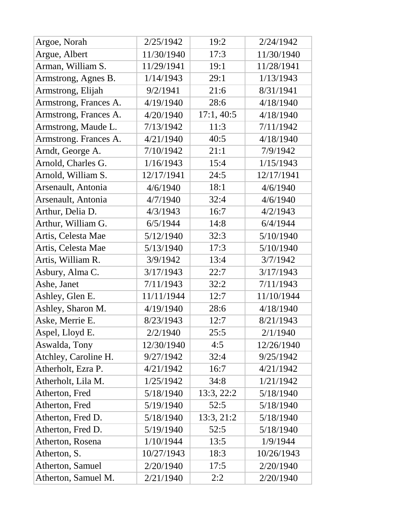| Argoe, Norah          | 2/25/1942  | 19:2       | 2/24/1942  |
|-----------------------|------------|------------|------------|
| Argue, Albert         | 11/30/1940 | 17:3       | 11/30/1940 |
| Arman, William S.     | 11/29/1941 | 19:1       | 11/28/1941 |
| Armstrong, Agnes B.   | 1/14/1943  | 29:1       | 1/13/1943  |
| Armstrong, Elijah     | 9/2/1941   | 21:6       | 8/31/1941  |
| Armstrong, Frances A. | 4/19/1940  | 28:6       | 4/18/1940  |
| Armstrong, Frances A. | 4/20/1940  | 17:1,40:5  | 4/18/1940  |
| Armstrong, Maude L.   | 7/13/1942  | 11:3       | 7/11/1942  |
| Armstrong. Frances A. | 4/21/1940  | 40:5       | 4/18/1940  |
| Arndt, George A.      | 7/10/1942  | 21:1       | 7/9/1942   |
| Arnold, Charles G.    | 1/16/1943  | 15:4       | 1/15/1943  |
| Arnold, William S.    | 12/17/1941 | 24:5       | 12/17/1941 |
| Arsenault, Antonia    | 4/6/1940   | 18:1       | 4/6/1940   |
| Arsenault, Antonia    | 4/7/1940   | 32:4       | 4/6/1940   |
| Arthur, Delia D.      | 4/3/1943   | 16:7       | 4/2/1943   |
| Arthur, William G.    | 6/5/1944   | 14:8       | 6/4/1944   |
| Artis, Celesta Mae    | 5/12/1940  | 32:3       | 5/10/1940  |
| Artis, Celesta Mae    | 5/13/1940  | 17:3       | 5/10/1940  |
| Artis, William R.     | 3/9/1942   | 13:4       | 3/7/1942   |
| Asbury, Alma C.       | 3/17/1943  | 22:7       | 3/17/1943  |
| Ashe, Janet           | 7/11/1943  | 32:2       | 7/11/1943  |
| Ashley, Glen E.       | 11/11/1944 | 12:7       | 11/10/1944 |
| Ashley, Sharon M.     | 4/19/1940  | 28:6       | 4/18/1940  |
| Aske, Merrie E.       | 8/23/1943  | 12:7       | 8/21/1943  |
| Aspel, Lloyd E.       | 2/2/1940   | 25:5       | 2/1/1940   |
| Aswalda, Tony         | 12/30/1940 | 4:5        | 12/26/1940 |
| Atchley, Caroline H.  | 9/27/1942  | 32:4       | 9/25/1942  |
| Atherholt, Ezra P.    | 4/21/1942  | 16:7       | 4/21/1942  |
| Atherholt, Lila M.    | 1/25/1942  | 34:8       | 1/21/1942  |
| Atherton, Fred        | 5/18/1940  | 13:3, 22:2 | 5/18/1940  |
| Atherton, Fred        | 5/19/1940  | 52:5       | 5/18/1940  |
| Atherton, Fred D.     | 5/18/1940  | 13:3, 21:2 | 5/18/1940  |
| Atherton, Fred D.     | 5/19/1940  | 52:5       | 5/18/1940  |
| Atherton, Rosena      | 1/10/1944  | 13:5       | 1/9/1944   |
| Atherton, S.          | 10/27/1943 | 18:3       | 10/26/1943 |
| Atherton, Samuel      | 2/20/1940  | 17:5       | 2/20/1940  |
| Atherton, Samuel M.   | 2/21/1940  | 2:2        | 2/20/1940  |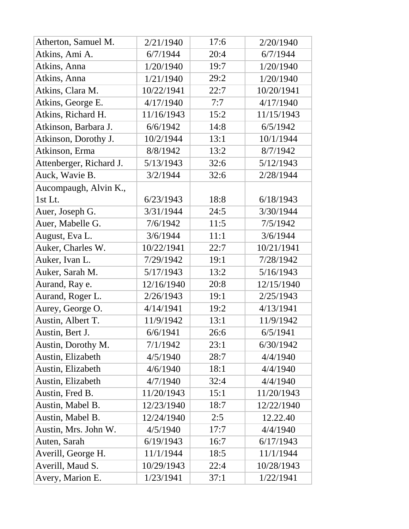| Atherton, Samuel M.     | 2/21/1940  | 17:6 | 2/20/1940  |
|-------------------------|------------|------|------------|
| Atkins, Ami A.          | 6/7/1944   | 20:4 | 6/7/1944   |
| Atkins, Anna            | 1/20/1940  | 19:7 | 1/20/1940  |
| Atkins, Anna            | 1/21/1940  | 29:2 | 1/20/1940  |
| Atkins, Clara M.        | 10/22/1941 | 22:7 | 10/20/1941 |
| Atkins, George E.       | 4/17/1940  | 7:7  | 4/17/1940  |
| Atkins, Richard H.      | 11/16/1943 | 15:2 | 11/15/1943 |
| Atkinson, Barbara J.    | 6/6/1942   | 14:8 | 6/5/1942   |
| Atkinson, Dorothy J.    | 10/2/1944  | 13:1 | 10/1/1944  |
| Atkinson, Erma          | 8/8/1942   | 13:2 | 8/7/1942   |
| Attenberger, Richard J. | 5/13/1943  | 32:6 | 5/12/1943  |
| Auck, Wavie B.          | 3/2/1944   | 32:6 | 2/28/1944  |
| Aucompaugh, Alvin K.,   |            |      |            |
| 1st Lt.                 | 6/23/1943  | 18:8 | 6/18/1943  |
| Auer, Joseph G.         | 3/31/1944  | 24:5 | 3/30/1944  |
| Auer, Mabelle G.        | 7/6/1942   | 11:5 | 7/5/1942   |
| August, Eva L.          | 3/6/1944   | 11:1 | 3/6/1944   |
| Auker, Charles W.       | 10/22/1941 | 22:7 | 10/21/1941 |
| Auker, Ivan L.          | 7/29/1942  | 19:1 | 7/28/1942  |
| Auker, Sarah M.         | 5/17/1943  | 13:2 | 5/16/1943  |
| Aurand, Ray e.          | 12/16/1940 | 20:8 | 12/15/1940 |
| Aurand, Roger L.        | 2/26/1943  | 19:1 | 2/25/1943  |
| Aurey, George O.        | 4/14/1941  | 19:2 | 4/13/1941  |
| Austin, Albert T.       | 11/9/1942  | 13:1 | 11/9/1942  |
| Austin, Bert J.         | 6/6/1941   | 26:6 | 6/5/1941   |
| Austin, Dorothy M.      | 7/1/1942   | 23:1 | 6/30/1942  |
| Austin, Elizabeth       | 4/5/1940   | 28:7 | 4/4/1940   |
| Austin, Elizabeth       | 4/6/1940   | 18:1 | 4/4/1940   |
| Austin, Elizabeth       | 4/7/1940   | 32:4 | 4/4/1940   |
| Austin, Fred B.         | 11/20/1943 | 15:1 | 11/20/1943 |
| Austin, Mabel B.        | 12/23/1940 | 18:7 | 12/22/1940 |
| Austin, Mabel B.        | 12/24/1940 | 2:5  | 12.22.40   |
| Austin, Mrs. John W.    | 4/5/1940   | 17:7 | 4/4/1940   |
| Auten, Sarah            | 6/19/1943  | 16:7 | 6/17/1943  |
| Averill, George H.      | 11/1/1944  | 18:5 | 11/1/1944  |
| Averill, Maud S.        | 10/29/1943 | 22:4 | 10/28/1943 |
| Avery, Marion E.        | 1/23/1941  | 37:1 | 1/22/1941  |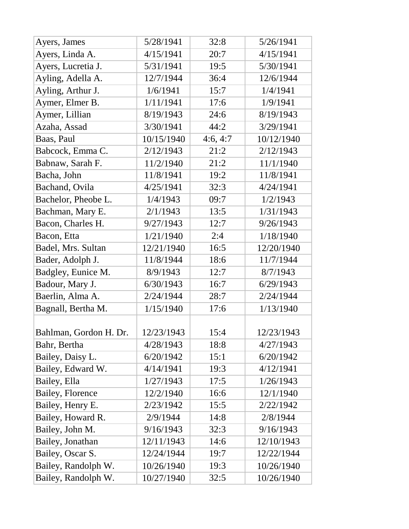| Ayers, James           | 5/28/1941  | 32:8     | 5/26/1941  |
|------------------------|------------|----------|------------|
| Ayers, Linda A.        | 4/15/1941  | 20:7     | 4/15/1941  |
| Ayers, Lucretia J.     | 5/31/1941  | 19:5     | 5/30/1941  |
| Ayling, Adella A.      | 12/7/1944  | 36:4     | 12/6/1944  |
| Ayling, Arthur J.      | 1/6/1941   | 15:7     | 1/4/1941   |
| Aymer, Elmer B.        | 1/11/1941  | 17:6     | 1/9/1941   |
| Aymer, Lillian         | 8/19/1943  | 24:6     | 8/19/1943  |
| Azaha, Assad           | 3/30/1941  | 44:2     | 3/29/1941  |
| Baas, Paul             | 10/15/1940 | 4:6, 4:7 | 10/12/1940 |
| Babcock, Emma C.       | 2/12/1943  | 21:2     | 2/12/1943  |
| Babnaw, Sarah F.       | 11/2/1940  | 21:2     | 11/1/1940  |
| Bacha, John            | 11/8/1941  | 19:2     | 11/8/1941  |
| Bachand, Ovila         | 4/25/1941  | 32:3     | 4/24/1941  |
| Bachelor, Pheobe L.    | 1/4/1943   | 09:7     | 1/2/1943   |
| Bachman, Mary E.       | 2/1/1943   | 13:5     | 1/31/1943  |
| Bacon, Charles H.      | 9/27/1943  | 12:7     | 9/26/1943  |
| Bacon, Etta            | 1/21/1940  | 2:4      | 1/18/1940  |
| Badel, Mrs. Sultan     | 12/21/1940 | 16:5     | 12/20/1940 |
| Bader, Adolph J.       | 11/8/1944  | 18:6     | 11/7/1944  |
| Badgley, Eunice M.     | 8/9/1943   | 12:7     | 8/7/1943   |
| Badour, Mary J.        | 6/30/1943  | 16:7     | 6/29/1943  |
| Baerlin, Alma A.       | 2/24/1944  | 28:7     | 2/24/1944  |
| Bagnall, Bertha M.     | 1/15/1940  | 17:6     | 1/13/1940  |
| Bahlman, Gordon H. Dr. | 12/23/1943 | 15:4     | 12/23/1943 |
| Bahr, Bertha           | 4/28/1943  | 18:8     | 4/27/1943  |
| Bailey, Daisy L.       | 6/20/1942  | 15:1     | 6/20/1942  |
| Bailey, Edward W.      | 4/14/1941  | 19:3     | 4/12/1941  |
| Bailey, Ella           | 1/27/1943  | 17:5     | 1/26/1943  |
| Bailey, Florence       | 12/2/1940  | 16:6     | 12/1/1940  |
| Bailey, Henry E.       | 2/23/1942  | 15:5     | 2/22/1942  |
| Bailey, Howard R.      | 2/9/1944   | 14:8     | 2/8/1944   |
| Bailey, John M.        | 9/16/1943  | 32:3     | 9/16/1943  |
| Bailey, Jonathan       | 12/11/1943 | 14:6     | 12/10/1943 |
| Bailey, Oscar S.       | 12/24/1944 | 19:7     | 12/22/1944 |
| Bailey, Randolph W.    | 10/26/1940 | 19:3     | 10/26/1940 |
| Bailey, Randolph W.    | 10/27/1940 | 32:5     | 10/26/1940 |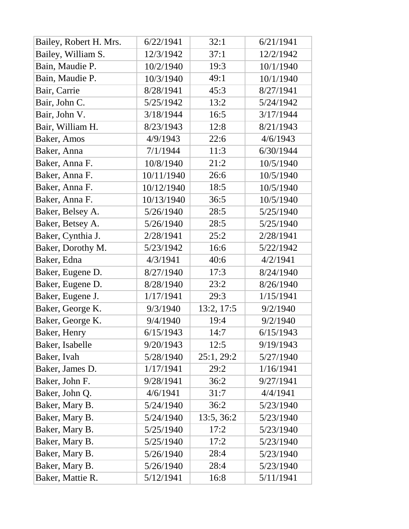| Bailey, Robert H. Mrs. | 6/22/1941  | 32:1       | 6/21/1941 |
|------------------------|------------|------------|-----------|
| Bailey, William S.     | 12/3/1942  | 37:1       | 12/2/1942 |
| Bain, Maudie P.        | 10/2/1940  | 19:3       | 10/1/1940 |
| Bain, Maudie P.        | 10/3/1940  | 49:1       | 10/1/1940 |
| Bair, Carrie           | 8/28/1941  | 45:3       | 8/27/1941 |
| Bair, John C.          | 5/25/1942  | 13:2       | 5/24/1942 |
| Bair, John V.          | 3/18/1944  | 16:5       | 3/17/1944 |
| Bair, William H.       | 8/23/1943  | 12:8       | 8/21/1943 |
| Baker, Amos            | 4/9/1943   | 22:6       | 4/6/1943  |
| Baker, Anna            | 7/1/1944   | 11:3       | 6/30/1944 |
| Baker, Anna F.         | 10/8/1940  | 21:2       | 10/5/1940 |
| Baker, Anna F.         | 10/11/1940 | 26:6       | 10/5/1940 |
| Baker, Anna F.         | 10/12/1940 | 18:5       | 10/5/1940 |
| Baker, Anna F.         | 10/13/1940 | 36:5       | 10/5/1940 |
| Baker, Belsey A.       | 5/26/1940  | 28:5       | 5/25/1940 |
| Baker, Betsey A.       | 5/26/1940  | 28:5       | 5/25/1940 |
| Baker, Cynthia J.      | 2/28/1941  | 25:2       | 2/28/1941 |
| Baker, Dorothy M.      | 5/23/1942  | 16:6       | 5/22/1942 |
| Baker, Edna            | 4/3/1941   | 40:6       | 4/2/1941  |
| Baker, Eugene D.       | 8/27/1940  | 17:3       | 8/24/1940 |
| Baker, Eugene D.       | 8/28/1940  | 23:2       | 8/26/1940 |
| Baker, Eugene J.       | 1/17/1941  | 29:3       | 1/15/1941 |
| Baker, George K.       | 9/3/1940   | 13:2, 17:5 | 9/2/1940  |
| Baker, George K.       | 9/4/1940   | 19:4       | 9/2/1940  |
| Baker, Henry           | 6/15/1943  | 14:7       | 6/15/1943 |
| Baker, Isabelle        | 9/20/1943  | 12:5       | 9/19/1943 |
| Baker, Ivah            | 5/28/1940  | 25:1, 29:2 | 5/27/1940 |
| Baker, James D.        | 1/17/1941  | 29:2       | 1/16/1941 |
| Baker, John F.         | 9/28/1941  | 36:2       | 9/27/1941 |
| Baker, John Q.         | 4/6/1941   | 31:7       | 4/4/1941  |
| Baker, Mary B.         | 5/24/1940  | 36:2       | 5/23/1940 |
| Baker, Mary B.         | 5/24/1940  | 13:5, 36:2 | 5/23/1940 |
| Baker, Mary B.         | 5/25/1940  | 17:2       | 5/23/1940 |
| Baker, Mary B.         | 5/25/1940  | 17:2       | 5/23/1940 |
| Baker, Mary B.         | 5/26/1940  | 28:4       | 5/23/1940 |
| Baker, Mary B.         | 5/26/1940  | 28:4       | 5/23/1940 |
| Baker, Mattie R.       | 5/12/1941  | 16:8       | 5/11/1941 |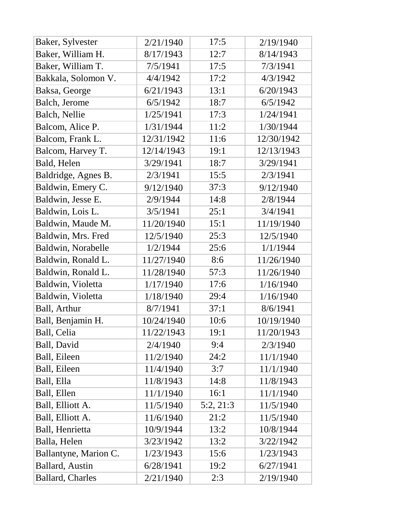| Baker, Sylvester        | 2/21/1940  | 17:5      | 2/19/1940  |
|-------------------------|------------|-----------|------------|
| Baker, William H.       | 8/17/1943  | 12:7      | 8/14/1943  |
| Baker, William T.       | 7/5/1941   | 17:5      | 7/3/1941   |
| Bakkala, Solomon V.     | 4/4/1942   | 17:2      | 4/3/1942   |
| Baksa, George           | 6/21/1943  | 13:1      | 6/20/1943  |
| Balch, Jerome           | 6/5/1942   | 18:7      | 6/5/1942   |
| Balch, Nellie           | 1/25/1941  | 17:3      | 1/24/1941  |
| Balcom, Alice P.        | 1/31/1944  | 11:2      | 1/30/1944  |
| Balcom, Frank L.        | 12/31/1942 | 11:6      | 12/30/1942 |
| Balcom, Harvey T.       | 12/14/1943 | 19:1      | 12/13/1943 |
| Bald, Helen             | 3/29/1941  | 18:7      | 3/29/1941  |
| Baldridge, Agnes B.     | 2/3/1941   | 15:5      | 2/3/1941   |
| Baldwin, Emery C.       | 9/12/1940  | 37:3      | 9/12/1940  |
| Baldwin, Jesse E.       | 2/9/1944   | 14:8      | 2/8/1944   |
| Baldwin, Lois L.        | 3/5/1941   | 25:1      | 3/4/1941   |
| Baldwin, Maude M.       | 11/20/1940 | 15:1      | 11/19/1940 |
| Baldwin, Mrs. Fred      | 12/5/1940  | 25:3      | 12/5/1940  |
| Baldwin, Norabelle      | 1/2/1944   | 25:6      | 1/1/1944   |
| Baldwin, Ronald L.      | 11/27/1940 | 8:6       | 11/26/1940 |
| Baldwin, Ronald L.      | 11/28/1940 | 57:3      | 11/26/1940 |
| Baldwin, Violetta       | 1/17/1940  | 17:6      | 1/16/1940  |
| Baldwin, Violetta       | 1/18/1940  | 29:4      | 1/16/1940  |
| Ball, Arthur            | 8/7/1941   | 37:1      | 8/6/1941   |
| Ball, Benjamin H.       | 10/24/1940 | 10:6      | 10/19/1940 |
| Ball, Celia             | 11/22/1943 | 19:1      | 11/20/1943 |
| Ball, David             | 2/4/1940   | 9:4       | 2/3/1940   |
| Ball, Eileen            | 11/2/1940  | 24:2      | 11/1/1940  |
| Ball, Eileen            | 11/4/1940  | 3:7       | 11/1/1940  |
| Ball, Ella              | 11/8/1943  | 14:8      | 11/8/1943  |
| Ball, Ellen             | 11/1/1940  | 16:1      | 11/1/1940  |
| Ball, Elliott A.        | 11/5/1940  | 5:2, 21:3 | 11/5/1940  |
| Ball, Elliott A.        | 11/6/1940  | 21:2      | 11/5/1940  |
| Ball, Henrietta         | 10/9/1944  | 13:2      | 10/8/1944  |
| Balla, Helen            | 3/23/1942  | 13:2      | 3/22/1942  |
| Ballantyne, Marion C.   | 1/23/1943  | 15:6      | 1/23/1943  |
| <b>Ballard</b> , Austin | 6/28/1941  | 19:2      | 6/27/1941  |
| <b>Ballard, Charles</b> | 2/21/1940  | 2:3       | 2/19/1940  |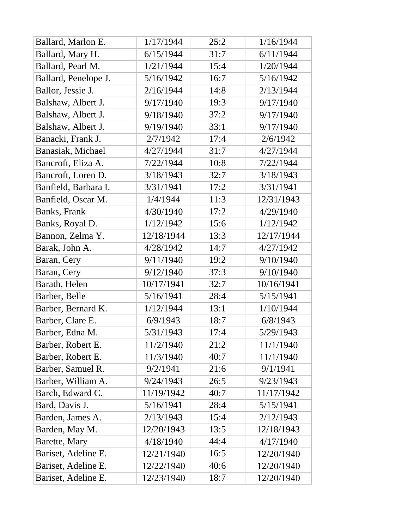| Ballard, Marlon E.   | 1/17/1944  | 25:2 | 1/16/1944  |
|----------------------|------------|------|------------|
| Ballard, Mary H.     | 6/15/1944  | 31:7 | 6/11/1944  |
| Ballard, Pearl M.    | 1/21/1944  | 15:4 | 1/20/1944  |
| Ballard, Penelope J. | 5/16/1942  | 16:7 | 5/16/1942  |
| Ballor, Jessie J.    | 2/16/1944  | 14:8 | 2/13/1944  |
| Balshaw, Albert J.   | 9/17/1940  | 19:3 | 9/17/1940  |
| Balshaw, Albert J.   | 9/18/1940  | 37:2 | 9/17/1940  |
| Balshaw, Albert J.   | 9/19/1940  | 33:1 | 9/17/1940  |
| Banacki, Frank J.    | 2/7/1942   | 17:4 | 2/6/1942   |
| Banasiak, Michael    | 4/27/1944  | 31:7 | 4/27/1944  |
| Bancroft, Eliza A.   | 7/22/1944  | 10:8 | 7/22/1944  |
| Bancroft, Loren D.   | 3/18/1943  | 32:7 | 3/18/1943  |
| Banfield, Barbara I. | 3/31/1941  | 17:2 | 3/31/1941  |
| Banfield, Oscar M.   | 1/4/1944   | 11:3 | 12/31/1943 |
| Banks, Frank         | 4/30/1940  | 17:2 | 4/29/1940  |
| Banks, Royal D.      | 1/12/1942  | 15:6 | 1/12/1942  |
| Bannon, Zelma Y.     | 12/18/1944 | 13:3 | 12/17/1944 |
| Barak, John A.       | 4/28/1942  | 14:7 | 4/27/1942  |
| Baran, Cery          | 9/11/1940  | 19:2 | 9/10/1940  |
| Baran, Cery          | 9/12/1940  | 37:3 | 9/10/1940  |
| Barath, Helen        | 10/17/1941 | 32:7 | 10/16/1941 |
| Barber, Belle        | 5/16/1941  | 28:4 | 5/15/1941  |
| Barber, Bernard K.   | 1/12/1944  | 13:1 | 1/10/1944  |
| Barber, Clare E.     | 6/9/1943   | 18:7 | 6/8/1943   |
| Barber, Edna M.      | 5/31/1943  | 17:4 | 5/29/1943  |
| Barber, Robert E.    | 11/2/1940  | 21:2 | 11/1/1940  |
| Barber, Robert E.    | 11/3/1940  | 40:7 | 11/1/1940  |
| Barber, Samuel R.    | 9/2/1941   | 21:6 | 9/1/1941   |
| Barber, William A.   | 9/24/1943  | 26:5 | 9/23/1943  |
| Barch, Edward C.     | 11/19/1942 | 40:7 | 11/17/1942 |
| Bard, Davis J.       | 5/16/1941  | 28:4 | 5/15/1941  |
| Barden, James A.     | 2/13/1943  | 15:4 | 2/12/1943  |
| Barden, May M.       | 12/20/1943 | 13:5 | 12/18/1943 |
| Barette, Mary        | 4/18/1940  | 44:4 | 4/17/1940  |
| Bariset, Adeline E.  | 12/21/1940 | 16:5 | 12/20/1940 |
| Bariset, Adeline E.  | 12/22/1940 | 40:6 | 12/20/1940 |
| Bariset, Adeline E.  | 12/23/1940 | 18:7 | 12/20/1940 |
|                      |            |      |            |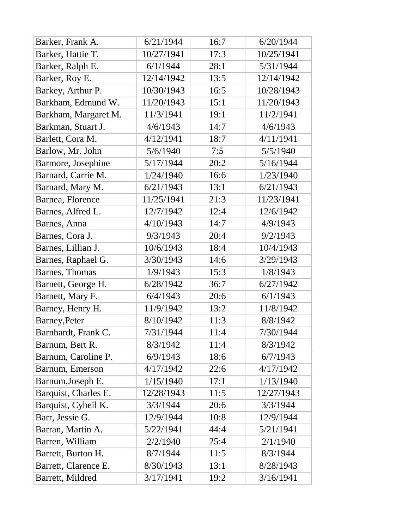| Barker, Frank A.     | 6/21/1944  | 16:7 | 6/20/1944  |
|----------------------|------------|------|------------|
| Barker, Hattie T.    | 10/27/1941 | 17:3 | 10/25/1941 |
| Barker, Ralph E.     | 6/1/1944   | 28:1 | 5/31/1944  |
| Barker, Roy E.       | 12/14/1942 | 13:5 | 12/14/1942 |
| Barkey, Arthur P.    | 10/30/1943 | 16:5 | 10/28/1943 |
| Barkham, Edmund W.   | 11/20/1943 | 15:1 | 11/20/1943 |
| Barkham, Margaret M. | 11/3/1941  | 19:1 | 11/2/1941  |
| Barkman, Stuart J.   | 4/6/1943   | 14:7 | 4/6/1943   |
| Barlett, Cora M.     | 4/12/1941  | 18:7 | 4/11/1941  |
| Barlow, Mr. John     | 5/6/1940   | 7:5  | 5/5/1940   |
| Barmore, Josephine   | 5/17/1944  | 20:2 | 5/16/1944  |
| Barnard, Carrie M.   | 1/24/1940  | 16:6 | 1/23/1940  |
| Barnard, Mary M.     | 6/21/1943  | 13:1 | 6/21/1943  |
| Barnea, Florence     | 11/25/1941 | 21:3 | 11/23/1941 |
| Barnes, Alfred L.    | 12/7/1942  | 12:4 | 12/6/1942  |
| Barnes, Anna         | 4/10/1943  | 14:7 | 4/9/1943   |
| Barnes, Cora J.      | 9/3/1943   | 20:4 | 9/2/1943   |
| Barnes, Lillian J.   | 10/6/1943  | 18:4 | 10/4/1943  |
| Barnes, Raphael G.   | 3/30/1943  | 14:6 | 3/29/1943  |
| Barnes, Thomas       | 1/9/1943   | 15:3 | 1/8/1943   |
| Barnett, George H.   | 6/28/1942  | 36:7 | 6/27/1942  |
| Barnett, Mary F.     | 6/4/1943   | 20:6 | 6/1/1943   |
| Barney, Henry H.     | 11/9/1942  | 13:2 | 11/8/1942  |
| Barney, Peter        | 8/10/1942  | 11:3 | 8/8/1942   |
| Barnhardt, Frank C.  | 7/31/1944  | 11:4 | 7/30/1944  |
| Barnum, Bert R.      | 8/3/1942   | 11:4 | 8/3/1942   |
| Barnum, Caroline P.  | 6/9/1943   | 18:6 | 6/7/1943   |
| Barnum, Emerson      | 4/17/1942  | 22:6 | 4/17/1942  |
| Barnum, Joseph E.    | 1/15/1940  | 17:1 | 1/13/1940  |
| Barquist, Charles E. | 12/28/1943 | 11:5 | 12/27/1943 |
| Barquist, Cybeil K.  | 3/3/1944   | 20:6 | 3/3/1944   |
| Barr, Jessie G.      | 12/9/1944  | 10:8 | 12/9/1944  |
| Barran, Martin A.    | 5/22/1941  | 44:4 | 5/21/1941  |
| Barren, William      | 2/2/1940   | 25:4 | 2/1/1940   |
| Barrett, Burton H.   | 8/7/1944   | 11:5 | 8/3/1944   |
| Barrett, Clarence E. | 8/30/1943  | 13:1 | 8/28/1943  |
| Barrett, Mildred     | 3/17/1941  | 19:2 | 3/16/1941  |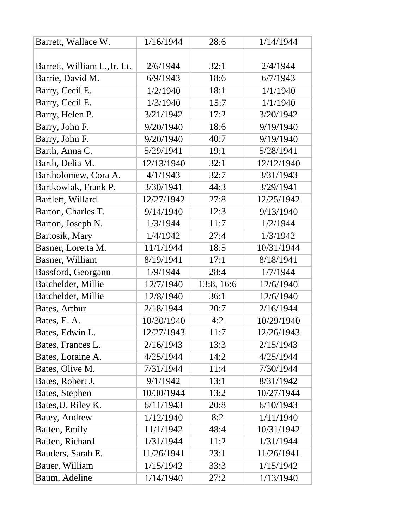| Barrett, Wallace W.          | 1/16/1944  | 28:6       | 1/14/1944  |
|------------------------------|------------|------------|------------|
|                              |            |            |            |
| Barrett, William L., Jr. Lt. | 2/6/1944   | 32:1       | 2/4/1944   |
| Barrie, David M.             | 6/9/1943   | 18:6       | 6/7/1943   |
| Barry, Cecil E.              | 1/2/1940   | 18:1       | 1/1/1940   |
| Barry, Cecil E.              | 1/3/1940   | 15:7       | 1/1/1940   |
| Barry, Helen P.              | 3/21/1942  | 17:2       | 3/20/1942  |
| Barry, John F.               | 9/20/1940  | 18:6       | 9/19/1940  |
| Barry, John F.               | 9/20/1940  | 40:7       | 9/19/1940  |
| Barth, Anna C.               | 5/29/1941  | 19:1       | 5/28/1941  |
| Barth, Delia M.              | 12/13/1940 | 32:1       | 12/12/1940 |
| Bartholomew, Cora A.         | 4/1/1943   | 32:7       | 3/31/1943  |
| Bartkowiak, Frank P.         | 3/30/1941  | 44:3       | 3/29/1941  |
| Bartlett, Willard            | 12/27/1942 | 27:8       | 12/25/1942 |
| Barton, Charles T.           | 9/14/1940  | 12:3       | 9/13/1940  |
| Barton, Joseph N.            | 1/3/1944   | 11:7       | 1/2/1944   |
| Bartosik, Mary               | 1/4/1942   | 27:4       | 1/3/1942   |
| Basner, Loretta M.           | 11/1/1944  | 18:5       | 10/31/1944 |
| Basner, William              | 8/19/1941  | 17:1       | 8/18/1941  |
| Bassford, Georgann           | 1/9/1944   | 28:4       | 1/7/1944   |
| Batchelder, Millie           | 12/7/1940  | 13:8, 16:6 | 12/6/1940  |
| Batchelder, Millie           | 12/8/1940  | 36:1       | 12/6/1940  |
| Bates, Arthur                | 2/18/1944  | 20:7       | 2/16/1944  |
| Bates, E. A.                 | 10/30/1940 | 4:2        | 10/29/1940 |
| Bates, Edwin L.              | 12/27/1943 | 11:7       | 12/26/1943 |
| Bates, Frances L.            | 2/16/1943  | 13:3       | 2/15/1943  |
| Bates, Loraine A.            | 4/25/1944  | 14:2       | 4/25/1944  |
| Bates, Olive M.              | 7/31/1944  | 11:4       | 7/30/1944  |
| Bates, Robert J.             | 9/1/1942   | 13:1       | 8/31/1942  |
| Bates, Stephen               | 10/30/1944 | 13:2       | 10/27/1944 |
| Bates, U. Riley K.           | 6/11/1943  | 20:8       | 6/10/1943  |
| Batey, Andrew                | 1/12/1940  | 8:2        | 1/11/1940  |
| Batten, Emily                | 11/1/1942  | 48:4       | 10/31/1942 |
| Batten, Richard              | 1/31/1944  | 11:2       | 1/31/1944  |
| Bauders, Sarah E.            | 11/26/1941 | 23:1       | 11/26/1941 |
| Bauer, William               | 1/15/1942  | 33:3       | 1/15/1942  |
| Baum, Adeline                | 1/14/1940  | 27:2       | 1/13/1940  |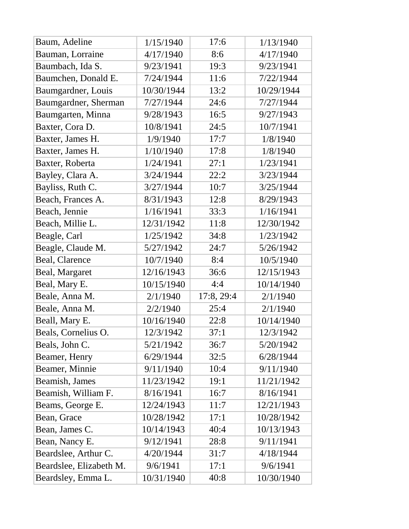| Baum, Adeline           | 1/15/1940  | 17:6       | 1/13/1940  |
|-------------------------|------------|------------|------------|
| Bauman, Lorraine        | 4/17/1940  | 8:6        | 4/17/1940  |
| Baumbach, Ida S.        | 9/23/1941  | 19:3       | 9/23/1941  |
| Baumchen, Donald E.     | 7/24/1944  | 11:6       | 7/22/1944  |
| Baumgardner, Louis      | 10/30/1944 | 13:2       | 10/29/1944 |
| Baumgardner, Sherman    | 7/27/1944  | 24:6       | 7/27/1944  |
| Baumgarten, Minna       | 9/28/1943  | 16:5       | 9/27/1943  |
| Baxter, Cora D.         | 10/8/1941  | 24:5       | 10/7/1941  |
| Baxter, James H.        | 1/9/1940   | 17:7       | 1/8/1940   |
| Baxter, James H.        | 1/10/1940  | 17:8       | 1/8/1940   |
| Baxter, Roberta         | 1/24/1941  | 27:1       | 1/23/1941  |
| Bayley, Clara A.        | 3/24/1944  | 22:2       | 3/23/1944  |
| Bayliss, Ruth C.        | 3/27/1944  | 10:7       | 3/25/1944  |
| Beach, Frances A.       | 8/31/1943  | 12:8       | 8/29/1943  |
| Beach, Jennie           | 1/16/1941  | 33:3       | 1/16/1941  |
| Beach, Millie L.        | 12/31/1942 | 11:8       | 12/30/1942 |
| Beagle, Carl            | 1/25/1942  | 34:8       | 1/23/1942  |
| Beagle, Claude M.       | 5/27/1942  | 24:7       | 5/26/1942  |
| Beal, Clarence          | 10/7/1940  | 8:4        | 10/5/1940  |
| Beal, Margaret          | 12/16/1943 | 36:6       | 12/15/1943 |
| Beal, Mary E.           | 10/15/1940 | 4:4        | 10/14/1940 |
| Beale, Anna M.          | 2/1/1940   | 17:8, 29:4 | 2/1/1940   |
| Beale, Anna M.          | 2/2/1940   | 25:4       | 2/1/1940   |
| Beall, Mary E.          | 10/16/1940 | 22:8       | 10/14/1940 |
| Beals, Cornelius O.     | 12/3/1942  | 37:1       | 12/3/1942  |
| Beals, John C.          | 5/21/1942  | 36:7       | 5/20/1942  |
| Beamer, Henry           | 6/29/1944  | 32:5       | 6/28/1944  |
| Beamer, Minnie          | 9/11/1940  | 10:4       | 9/11/1940  |
| Beamish, James          | 11/23/1942 | 19:1       | 11/21/1942 |
| Beamish, William F.     | 8/16/1941  | 16:7       | 8/16/1941  |
| Beams, George E.        | 12/24/1943 | 11:7       | 12/21/1943 |
| Bean, Grace             | 10/28/1942 | 17:1       | 10/28/1942 |
| Bean, James C.          | 10/14/1943 | 40:4       | 10/13/1943 |
| Bean, Nancy E.          | 9/12/1941  | 28:8       | 9/11/1941  |
| Beardslee, Arthur C.    | 4/20/1944  | 31:7       | 4/18/1944  |
| Beardslee, Elizabeth M. | 9/6/1941   | 17:1       | 9/6/1941   |
| Beardsley, Emma L.      | 10/31/1940 | 40:8       | 10/30/1940 |
|                         |            |            |            |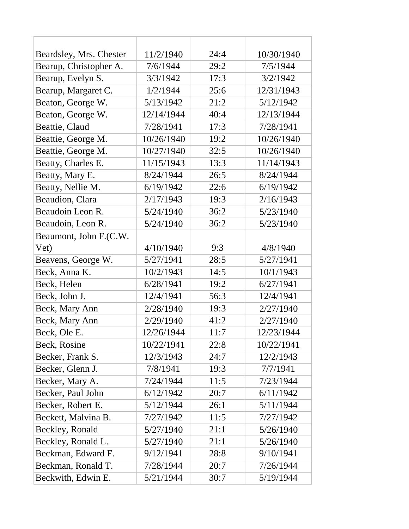| Beardsley, Mrs. Chester | 11/2/1940  | 24:4 | 10/30/1940 |
|-------------------------|------------|------|------------|
| Bearup, Christopher A.  | 7/6/1944   | 29:2 | 7/5/1944   |
| Bearup, Evelyn S.       | 3/3/1942   | 17:3 | 3/2/1942   |
| Bearup, Margaret C.     | 1/2/1944   | 25:6 | 12/31/1943 |
| Beaton, George W.       | 5/13/1942  | 21:2 | 5/12/1942  |
| Beaton, George W.       | 12/14/1944 | 40:4 | 12/13/1944 |
| Beattie, Claud          | 7/28/1941  | 17:3 | 7/28/1941  |
| Beattie, George M.      | 10/26/1940 | 19:2 | 10/26/1940 |
| Beattie, George M.      | 10/27/1940 | 32:5 | 10/26/1940 |
| Beatty, Charles E.      | 11/15/1943 | 13:3 | 11/14/1943 |
| Beatty, Mary E.         | 8/24/1944  | 26:5 | 8/24/1944  |
| Beatty, Nellie M.       | 6/19/1942  | 22:6 | 6/19/1942  |
| Beaudion, Clara         | 2/17/1943  | 19:3 | 2/16/1943  |
| Beaudoin Leon R.        | 5/24/1940  | 36:2 | 5/23/1940  |
| Beaudoin, Leon R.       | 5/24/1940  | 36:2 | 5/23/1940  |
| Beaumont, John F.(C.W.  |            |      |            |
| Vet)                    | 4/10/1940  | 9:3  | 4/8/1940   |
| Beavens, George W.      | 5/27/1941  | 28:5 | 5/27/1941  |
| Beck, Anna K.           | 10/2/1943  | 14:5 | 10/1/1943  |
| Beck, Helen             | 6/28/1941  | 19:2 | 6/27/1941  |
| Beck, John J.           | 12/4/1941  | 56:3 | 12/4/1941  |
| Beck, Mary Ann          | 2/28/1940  | 19:3 | 2/27/1940  |
| Beck, Mary Ann          | 2/29/1940  | 41:2 | 2/27/1940  |
| Beck, Ole E.            | 12/26/1944 | 11:7 | 12/23/1944 |
| Beck, Rosine            | 10/22/1941 | 22:8 | 10/22/1941 |
| Becker, Frank S.        | 12/3/1943  | 24:7 | 12/2/1943  |
| Becker, Glenn J.        | 7/8/1941   | 19:3 | 7/7/1941   |
| Becker, Mary A.         | 7/24/1944  | 11:5 | 7/23/1944  |
| Becker, Paul John       | 6/12/1942  | 20:7 | 6/11/1942  |
| Becker, Robert E.       | 5/12/1944  | 26:1 | 5/11/1944  |
| Beckett, Malvina B.     | 7/27/1942  | 11:5 | 7/27/1942  |
| Beckley, Ronald         | 5/27/1940  | 21:1 | 5/26/1940  |
| Beckley, Ronald L.      | 5/27/1940  | 21:1 | 5/26/1940  |
| Beckman, Edward F.      | 9/12/1941  | 28:8 | 9/10/1941  |
| Beckman, Ronald T.      | 7/28/1944  | 20:7 | 7/26/1944  |
| Beckwith, Edwin E.      | 5/21/1944  | 30:7 | 5/19/1944  |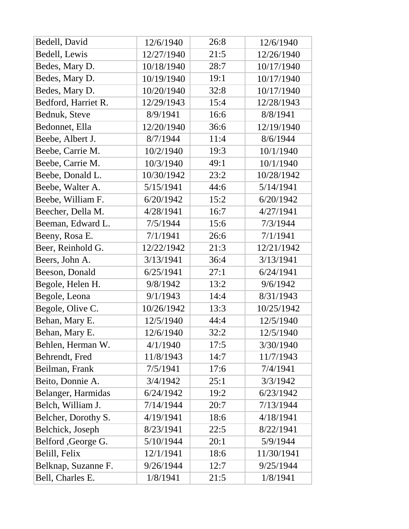| Bedell, David       | 12/6/1940  | 26:8 | 12/6/1940  |
|---------------------|------------|------|------------|
| Bedell, Lewis       | 12/27/1940 | 21:5 | 12/26/1940 |
| Bedes, Mary D.      | 10/18/1940 | 28:7 | 10/17/1940 |
| Bedes, Mary D.      | 10/19/1940 | 19:1 | 10/17/1940 |
| Bedes, Mary D.      | 10/20/1940 | 32:8 | 10/17/1940 |
| Bedford, Harriet R. | 12/29/1943 | 15:4 | 12/28/1943 |
| Bednuk, Steve       | 8/9/1941   | 16:6 | 8/8/1941   |
| Bedonnet, Ella      | 12/20/1940 | 36:6 | 12/19/1940 |
| Beebe, Albert J.    | 8/7/1944   | 11:4 | 8/6/1944   |
| Beebe, Carrie M.    | 10/2/1940  | 19:3 | 10/1/1940  |
| Beebe, Carrie M.    | 10/3/1940  | 49:1 | 10/1/1940  |
| Beebe, Donald L.    | 10/30/1942 | 23:2 | 10/28/1942 |
| Beebe, Walter A.    | 5/15/1941  | 44:6 | 5/14/1941  |
| Beebe, William F.   | 6/20/1942  | 15:2 | 6/20/1942  |
| Beecher, Della M.   | 4/28/1941  | 16:7 | 4/27/1941  |
| Beeman, Edward L.   | 7/5/1944   | 15:6 | 7/3/1944   |
| Beeny, Rosa E.      | 7/1/1941   | 26:6 | 7/1/1941   |
| Beer, Reinhold G.   | 12/22/1942 | 21:3 | 12/21/1942 |
| Beers, John A.      | 3/13/1941  | 36:4 | 3/13/1941  |
| Beeson, Donald      | 6/25/1941  | 27:1 | 6/24/1941  |
| Begole, Helen H.    | 9/8/1942   | 13:2 | 9/6/1942   |
| Begole, Leona       | 9/1/1943   | 14:4 | 8/31/1943  |
| Begole, Olive C.    | 10/26/1942 | 13:3 | 10/25/1942 |
| Behan, Mary E.      | 12/5/1940  | 44:4 | 12/5/1940  |
| Behan, Mary E.      | 12/6/1940  | 32:2 | 12/5/1940  |
| Behlen, Herman W.   | 4/1/1940   | 17:5 | 3/30/1940  |
| Behrendt, Fred      | 11/8/1943  | 14:7 | 11/7/1943  |
| Beilman, Frank      | 7/5/1941   | 17:6 | 7/4/1941   |
| Beito, Donnie A.    | 3/4/1942   | 25:1 | 3/3/1942   |
| Belanger, Harmidas  | 6/24/1942  | 19:2 | 6/23/1942  |
| Belch, William J.   | 7/14/1944  | 20:7 | 7/13/1944  |
| Belcher, Dorothy S. | 4/19/1941  | 18:6 | 4/18/1941  |
| Belchick, Joseph    | 8/23/1941  | 22:5 | 8/22/1941  |
| Belford , George G. | 5/10/1944  | 20:1 | 5/9/1944   |
| Belill, Felix       | 12/1/1941  | 18:6 | 11/30/1941 |
| Belknap, Suzanne F. | 9/26/1944  | 12:7 | 9/25/1944  |
| Bell, Charles E.    | 1/8/1941   | 21:5 | 1/8/1941   |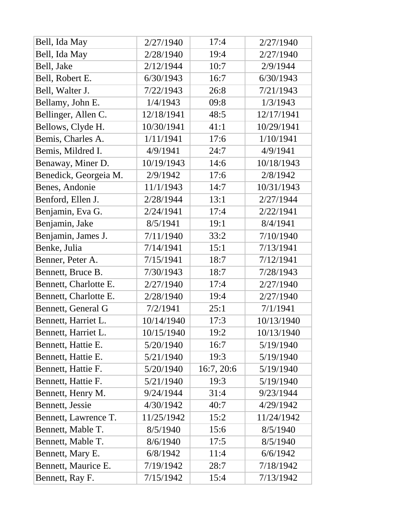| Bell, Ida May         | 2/27/1940  | 17:4       | 2/27/1940  |
|-----------------------|------------|------------|------------|
| Bell, Ida May         | 2/28/1940  | 19:4       | 2/27/1940  |
| Bell, Jake            | 2/12/1944  | 10:7       | 2/9/1944   |
| Bell, Robert E.       | 6/30/1943  | 16:7       | 6/30/1943  |
| Bell, Walter J.       | 7/22/1943  | 26:8       | 7/21/1943  |
| Bellamy, John E.      | 1/4/1943   | 09:8       | 1/3/1943   |
| Bellinger, Allen C.   | 12/18/1941 | 48:5       | 12/17/1941 |
| Bellows, Clyde H.     | 10/30/1941 | 41:1       | 10/29/1941 |
| Bemis, Charles A.     | 1/11/1941  | 17:6       | 1/10/1941  |
| Bemis, Mildred I.     | 4/9/1941   | 24:7       | 4/9/1941   |
| Benaway, Miner D.     | 10/19/1943 | 14:6       | 10/18/1943 |
| Benedick, Georgeia M. | 2/9/1942   | 17:6       | 2/8/1942   |
| Benes, Andonie        | 11/1/1943  | 14:7       | 10/31/1943 |
| Benford, Ellen J.     | 2/28/1944  | 13:1       | 2/27/1944  |
| Benjamin, Eva G.      | 2/24/1941  | 17:4       | 2/22/1941  |
| Benjamin, Jake        | 8/5/1941   | 19:1       | 8/4/1941   |
| Benjamin, James J.    | 7/11/1940  | 33:2       | 7/10/1940  |
| Benke, Julia          | 7/14/1941  | 15:1       | 7/13/1941  |
| Benner, Peter A.      | 7/15/1941  | 18:7       | 7/12/1941  |
| Bennett, Bruce B.     | 7/30/1943  | 18:7       | 7/28/1943  |
| Bennett, Charlotte E. | 2/27/1940  | 17:4       | 2/27/1940  |
| Bennett, Charlotte E. | 2/28/1940  | 19:4       | 2/27/1940  |
| Bennett, General G    | 7/2/1941   | 25:1       | 7/1/1941   |
| Bennett, Harriet L.   | 10/14/1940 | 17:3       | 10/13/1940 |
| Bennett, Harriet L.   | 10/15/1940 | 19:2       | 10/13/1940 |
| Bennett, Hattie E.    | 5/20/1940  | 16:7       | 5/19/1940  |
| Bennett, Hattie E.    | 5/21/1940  | 19:3       | 5/19/1940  |
| Bennett, Hattie F.    | 5/20/1940  | 16:7, 20:6 | 5/19/1940  |
| Bennett, Hattie F.    | 5/21/1940  | 19:3       | 5/19/1940  |
| Bennett, Henry M.     | 9/24/1944  | 31:4       | 9/23/1944  |
| Bennett, Jessie       | 4/30/1942  | 40:7       | 4/29/1942  |
| Bennett, Lawrence T.  | 11/25/1942 | 15:2       | 11/24/1942 |
| Bennett, Mable T.     | 8/5/1940   | 15:6       | 8/5/1940   |
| Bennett, Mable T.     | 8/6/1940   | 17:5       | 8/5/1940   |
| Bennett, Mary E.      | 6/8/1942   | 11:4       | 6/6/1942   |
| Bennett, Maurice E.   | 7/19/1942  | 28:7       | 7/18/1942  |
| Bennett, Ray F.       | 7/15/1942  | 15:4       | 7/13/1942  |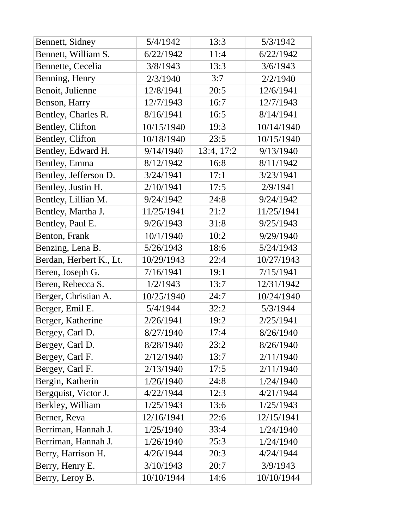| Bennett, Sidney         | 5/4/1942   | 13:3       | 5/3/1942   |
|-------------------------|------------|------------|------------|
| Bennett, William S.     | 6/22/1942  | 11:4       | 6/22/1942  |
| Bennette, Cecelia       | 3/8/1943   | 13:3       | 3/6/1943   |
| Benning, Henry          | 2/3/1940   | 3:7        | 2/2/1940   |
| Benoit, Julienne        | 12/8/1941  | 20:5       | 12/6/1941  |
| Benson, Harry           | 12/7/1943  | 16:7       | 12/7/1943  |
| Bentley, Charles R.     | 8/16/1941  | 16:5       | 8/14/1941  |
| Bentley, Clifton        | 10/15/1940 | 19:3       | 10/14/1940 |
| Bentley, Clifton        | 10/18/1940 | 23:5       | 10/15/1940 |
| Bentley, Edward H.      | 9/14/1940  | 13:4, 17:2 | 9/13/1940  |
| Bentley, Emma           | 8/12/1942  | 16:8       | 8/11/1942  |
| Bentley, Jefferson D.   | 3/24/1941  | 17:1       | 3/23/1941  |
| Bentley, Justin H.      | 2/10/1941  | 17:5       | 2/9/1941   |
| Bentley, Lillian M.     | 9/24/1942  | 24:8       | 9/24/1942  |
| Bentley, Martha J.      | 11/25/1941 | 21:2       | 11/25/1941 |
| Bentley, Paul E.        | 9/26/1943  | 31:8       | 9/25/1943  |
| Benton, Frank           | 10/1/1940  | 10:2       | 9/29/1940  |
| Benzing, Lena B.        | 5/26/1943  | 18:6       | 5/24/1943  |
| Berdan, Herbert K., Lt. | 10/29/1943 | 22:4       | 10/27/1943 |
| Beren, Joseph G.        | 7/16/1941  | 19:1       | 7/15/1941  |
| Beren, Rebecca S.       | 1/2/1943   | 13:7       | 12/31/1942 |
| Berger, Christian A.    | 10/25/1940 | 24:7       | 10/24/1940 |
| Berger, Emil E.         | 5/4/1944   | 32:2       | 5/3/1944   |
| Berger, Katherine       | 2/26/1941  | 19:2       | 2/25/1941  |
| Bergey, Carl D.         | 8/27/1940  | 17:4       | 8/26/1940  |
| Bergey, Carl D.         | 8/28/1940  | 23:2       | 8/26/1940  |
| Bergey, Carl F.         | 2/12/1940  | 13:7       | 2/11/1940  |
| Bergey, Carl F.         | 2/13/1940  | 17:5       | 2/11/1940  |
| Bergin, Katherin        | 1/26/1940  | 24:8       | 1/24/1940  |
| Bergquist, Victor J.    | 4/22/1944  | 12:3       | 4/21/1944  |
| Berkley, William        | 1/25/1943  | 13:6       | 1/25/1943  |
| Berner, Reva            | 12/16/1941 | 22:6       | 12/15/1941 |
| Berriman, Hannah J.     | 1/25/1940  | 33:4       | 1/24/1940  |
| Berriman, Hannah J.     | 1/26/1940  | 25:3       | 1/24/1940  |
| Berry, Harrison H.      | 4/26/1944  | 20:3       | 4/24/1944  |
| Berry, Henry E.         | 3/10/1943  | 20:7       | 3/9/1943   |
| Berry, Leroy B.         | 10/10/1944 | 14:6       | 10/10/1944 |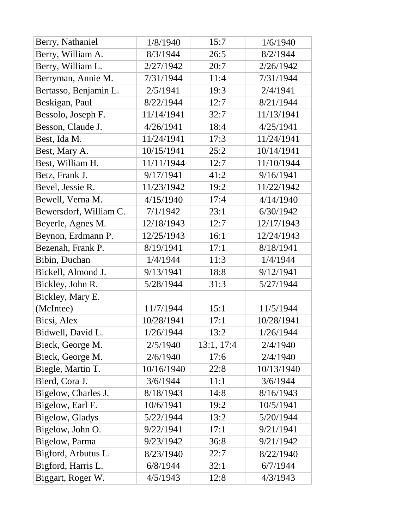| Berry, Nathaniel        | 1/8/1940   | 15:7       | 1/6/1940   |
|-------------------------|------------|------------|------------|
| Berry, William A.       | 8/3/1944   | 26:5       | 8/2/1944   |
| Berry, William L.       | 2/27/1942  | 20:7       | 2/26/1942  |
| Berryman, Annie M.      | 7/31/1944  | 11:4       | 7/31/1944  |
| Bertasso, Benjamin L.   | 2/5/1941   | 19:3       | 2/4/1941   |
| Beskigan, Paul          | 8/22/1944  | 12:7       | 8/21/1944  |
| Bessolo, Joseph F.      | 11/14/1941 | 32:7       | 11/13/1941 |
| Besson, Claude J.       | 4/26/1941  | 18:4       | 4/25/1941  |
| Best, Ida M.            | 11/24/1941 | 17:3       | 11/24/1941 |
| Best, Mary A.           | 10/15/1941 | 25:2       | 10/14/1941 |
| Best, William H.        | 11/11/1944 | 12:7       | 11/10/1944 |
| Betz, Frank J.          | 9/17/1941  | 41:2       | 9/16/1941  |
| Bevel, Jessie R.        | 11/23/1942 | 19:2       | 11/22/1942 |
| Bewell, Verna M.        | 4/15/1940  | 17:4       | 4/14/1940  |
| Bewersdorf, William C.  | 7/1/1942   | 23:1       | 6/30/1942  |
| Beyerle, Agnes M.       | 12/18/1943 | 12:7       | 12/17/1943 |
| Beynon, Erdmann P.      | 12/25/1943 | 16:1       | 12/24/1943 |
| Bezenah, Frank P.       | 8/19/1941  | 17:1       | 8/18/1941  |
| Bibin, Duchan           | 1/4/1944   | 11:3       | 1/4/1944   |
| Bickell, Almond J.      | 9/13/1941  | 18:8       | 9/12/1941  |
| Bickley, John R.        | 5/28/1944  | 31:3       | 5/27/1944  |
| Bickley, Mary E.        |            |            |            |
| (McIntee)               | 11/7/1944  | 15:1       | 11/5/1944  |
| Bicsi, Alex             | 10/28/1941 | 17:1       | 10/28/1941 |
| Bidwell, David L.       | 1/26/1944  | 13:2       | 1/26/1944  |
| Bieck, George M.        | 2/5/1940   | 13:1, 17:4 | 2/4/1940   |
| Bieck, George M.        | 2/6/1940   | 17:6       | 2/4/1940   |
| Biegle, Martin T.       | 10/16/1940 | 22:8       | 10/13/1940 |
| Bierd, Cora J.          | 3/6/1944   | 11:1       | 3/6/1944   |
| Bigelow, Charles J.     | 8/18/1943  | 14:8       | 8/16/1943  |
| Bigelow, Earl F.        | 10/6/1941  | 19:2       | 10/5/1941  |
| <b>Bigelow</b> , Gladys | 5/22/1944  | 13:2       | 5/20/1944  |
| Bigelow, John O.        | 9/22/1941  | 17:1       | 9/21/1941  |
| <b>Bigelow</b> , Parma  | 9/23/1942  | 36:8       | 9/21/1942  |
| Bigford, Arbutus L.     | 8/23/1940  | 22:7       | 8/22/1940  |
| Bigford, Harris L.      | 6/8/1944   | 32:1       | 6/7/1944   |
| Biggart, Roger W.       | 4/5/1943   | 12:8       | 4/3/1943   |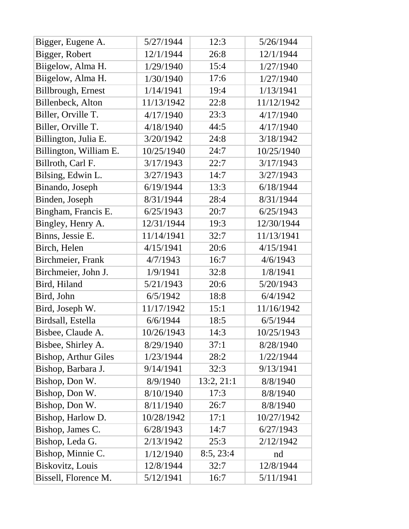| Bigger, Eugene A.           | 5/27/1944  | 12:3       | 5/26/1944  |
|-----------------------------|------------|------------|------------|
| Bigger, Robert              | 12/1/1944  | 26:8       | 12/1/1944  |
| Biigelow, Alma H.           | 1/29/1940  | 15:4       | 1/27/1940  |
| Biigelow, Alma H.           | 1/30/1940  | 17:6       | 1/27/1940  |
| Billbrough, Ernest          | 1/14/1941  | 19:4       | 1/13/1941  |
| Billenbeck, Alton           | 11/13/1942 | 22:8       | 11/12/1942 |
| Biller, Orville T.          | 4/17/1940  | 23:3       | 4/17/1940  |
| Biller, Orville T.          | 4/18/1940  | 44:5       | 4/17/1940  |
| Billington, Julia E.        | 3/20/1942  | 24:8       | 3/18/1942  |
| Billington, William E.      | 10/25/1940 | 24:7       | 10/25/1940 |
| Billroth, Carl F.           | 3/17/1943  | 22:7       | 3/17/1943  |
| Bilsing, Edwin L.           | 3/27/1943  | 14:7       | 3/27/1943  |
| Binando, Joseph             | 6/19/1944  | 13:3       | 6/18/1944  |
| Binden, Joseph              | 8/31/1944  | 28:4       | 8/31/1944  |
| Bingham, Francis E.         | 6/25/1943  | 20:7       | 6/25/1943  |
| Bingley, Henry A.           | 12/31/1944 | 19:3       | 12/30/1944 |
| Binns, Jessie E.            | 11/14/1941 | 32:7       | 11/13/1941 |
| Birch, Helen                | 4/15/1941  | 20:6       | 4/15/1941  |
| Birchmeier, Frank           | 4/7/1943   | 16:7       | 4/6/1943   |
| Birchmeier, John J.         | 1/9/1941   | 32:8       | 1/8/1941   |
| Bird, Hiland                | 5/21/1943  | 20:6       | 5/20/1943  |
| Bird, John                  | 6/5/1942   | 18:8       | 6/4/1942   |
| Bird, Joseph W.             | 11/17/1942 | 15:1       | 11/16/1942 |
| Birdsall, Estella           | 6/6/1944   | 18:5       | 6/5/1944   |
| Bisbee, Claude A.           | 10/26/1943 | 14:3       | 10/25/1943 |
| Bisbee, Shirley A.          | 8/29/1940  | 37:1       | 8/28/1940  |
| <b>Bishop, Arthur Giles</b> | 1/23/1944  | 28:2       | 1/22/1944  |
| Bishop, Barbara J.          | 9/14/1941  | 32:3       | 9/13/1941  |
| Bishop, Don W.              | 8/9/1940   | 13:2, 21:1 | 8/8/1940   |
| Bishop, Don W.              | 8/10/1940  | 17:3       | 8/8/1940   |
| Bishop, Don W.              | 8/11/1940  | 26:7       | 8/8/1940   |
| Bishop, Harlow D.           | 10/28/1942 | 17:1       | 10/27/1942 |
| Bishop, James C.            | 6/28/1943  | 14:7       | 6/27/1943  |
| Bishop, Leda G.             | 2/13/1942  | 25:3       | 2/12/1942  |
| Bishop, Minnie C.           | 1/12/1940  | 8:5, 23:4  | nd         |
| Biskovitz, Louis            | 12/8/1944  | 32:7       | 12/8/1944  |
| Bissell, Florence M.        | 5/12/1941  | 16:7       | 5/11/1941  |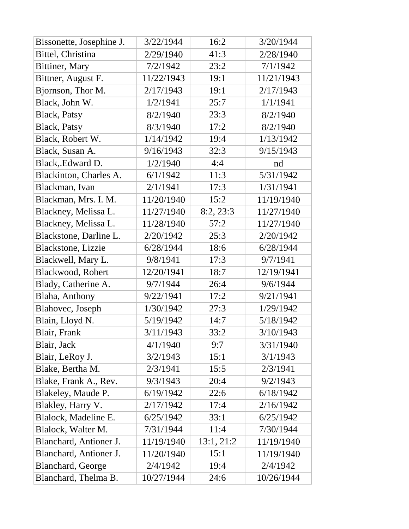| Bissonette, Josephine J. | 3/22/1944  | 16:2       | 3/20/1944  |
|--------------------------|------------|------------|------------|
| Bittel, Christina        | 2/29/1940  | 41:3       | 2/28/1940  |
| Bittiner, Mary           | 7/2/1942   | 23:2       | 7/1/1942   |
| Bittner, August F.       | 11/22/1943 | 19:1       | 11/21/1943 |
| Bjornson, Thor M.        | 2/17/1943  | 19:1       | 2/17/1943  |
| Black, John W.           | 1/2/1941   | 25:7       | 1/1/1941   |
| <b>Black</b> , Patsy     | 8/2/1940   | 23:3       | 8/2/1940   |
| <b>Black</b> , Patsy     | 8/3/1940   | 17:2       | 8/2/1940   |
| Black, Robert W.         | 1/14/1942  | 19:4       | 1/13/1942  |
| Black, Susan A.          | 9/16/1943  | 32:3       | 9/15/1943  |
| Black, Edward D.         | 1/2/1940   | 4:4        | nd         |
| Blackinton, Charles A.   | 6/1/1942   | 11:3       | 5/31/1942  |
| Blackman, Ivan           | 2/1/1941   | 17:3       | 1/31/1941  |
| Blackman, Mrs. I. M.     | 11/20/1940 | 15:2       | 11/19/1940 |
| Blackney, Melissa L.     | 11/27/1940 | 8:2, 23:3  | 11/27/1940 |
| Blackney, Melissa L.     | 11/28/1940 | 57:2       | 11/27/1940 |
| Blackstone, Darline L.   | 2/20/1942  | 25:3       | 2/20/1942  |
| Blackstone, Lizzie       | 6/28/1944  | 18:6       | 6/28/1944  |
| Blackwell, Mary L.       | 9/8/1941   | 17:3       | 9/7/1941   |
| Blackwood, Robert        | 12/20/1941 | 18:7       | 12/19/1941 |
| Blady, Catherine A.      | 9/7/1944   | 26:4       | 9/6/1944   |
| Blaha, Anthony           | 9/22/1941  | 17:2       | 9/21/1941  |
| Blahovec, Joseph         | 1/30/1942  | 27:3       | 1/29/1942  |
| Blain, Lloyd N.          | 5/19/1942  | 14:7       | 5/18/1942  |
| Blair, Frank             | 3/11/1943  | 33:2       | 3/10/1943  |
| Blair, Jack              | 4/1/1940   | 9:7        | 3/31/1940  |
| Blair, LeRoy J.          | 3/2/1943   | 15:1       | 3/1/1943   |
| Blake, Bertha M.         | 2/3/1941   | 15:5       | 2/3/1941   |
| Blake, Frank A., Rev.    | 9/3/1943   | 20:4       | 9/2/1943   |
| Blakeley, Maude P.       | 6/19/1942  | 22:6       | 6/18/1942  |
| Blakley, Harry V.        | 2/17/1942  | 17:4       | 2/16/1942  |
| Blalock, Madeline E.     | 6/25/1942  | 33:1       | 6/25/1942  |
| Blalock, Walter M.       | 7/31/1944  | 11:4       | 7/30/1944  |
| Blanchard, Antioner J.   | 11/19/1940 | 13:1, 21:2 | 11/19/1940 |
| Blanchard, Antioner J.   | 11/20/1940 | 15:1       | 11/19/1940 |
| Blanchard, George        | 2/4/1942   | 19:4       | 2/4/1942   |
| Blanchard, Thelma B.     | 10/27/1944 | 24:6       | 10/26/1944 |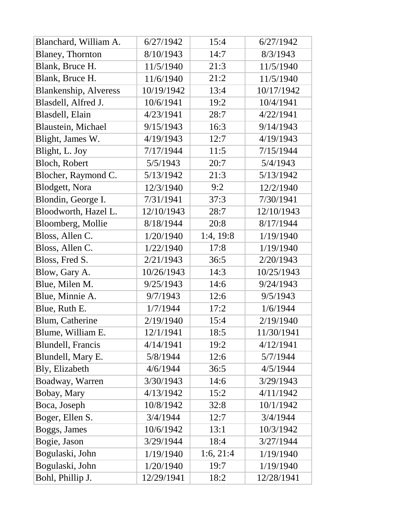| Blanchard, William A.        | 6/27/1942  | 15:4      | 6/27/1942  |
|------------------------------|------------|-----------|------------|
| <b>Blaney</b> , Thornton     | 8/10/1943  | 14:7      | 8/3/1943   |
| Blank, Bruce H.              | 11/5/1940  | 21:3      | 11/5/1940  |
| Blank, Bruce H.              | 11/6/1940  | 21:2      | 11/5/1940  |
| <b>Blankenship, Alveress</b> | 10/19/1942 | 13:4      | 10/17/1942 |
| Blasdell, Alfred J.          | 10/6/1941  | 19:2      | 10/4/1941  |
| Blasdell, Elain              | 4/23/1941  | 28:7      | 4/22/1941  |
| Blaustein, Michael           | 9/15/1943  | 16:3      | 9/14/1943  |
| Blight, James W.             | 4/19/1943  | 12:7      | 4/19/1943  |
| Blight, L. Joy               | 7/17/1944  | 11:5      | 7/15/1944  |
| <b>Bloch, Robert</b>         | 5/5/1943   | 20:7      | 5/4/1943   |
| Blocher, Raymond C.          | 5/13/1942  | 21:3      | 5/13/1942  |
| Blodgett, Nora               | 12/3/1940  | 9:2       | 12/2/1940  |
| Blondin, George I.           | 7/31/1941  | 37:3      | 7/30/1941  |
| Bloodworth, Hazel L.         | 12/10/1943 | 28:7      | 12/10/1943 |
| Bloomberg, Mollie            | 8/18/1944  | 20:8      | 8/17/1944  |
| Bloss, Allen C.              | 1/20/1940  | 1:4, 19:8 | 1/19/1940  |
| Bloss, Allen C.              | 1/22/1940  | 17:8      | 1/19/1940  |
| Bloss, Fred S.               | 2/21/1943  | 36:5      | 2/20/1943  |
| Blow, Gary A.                | 10/26/1943 | 14:3      | 10/25/1943 |
| Blue, Milen M.               | 9/25/1943  | 14:6      | 9/24/1943  |
| Blue, Minnie A.              | 9/7/1943   | 12:6      | 9/5/1943   |
| Blue, Ruth E.                | 1/7/1944   | 17:2      | 1/6/1944   |
| Blum, Catherine              | 2/19/1940  | 15:4      | 2/19/1940  |
| Blume, William E.            | 12/1/1941  | 18:5      | 11/30/1941 |
| Blundell, Francis            | 4/14/1941  | 19:2      | 4/12/1941  |
| Blundell, Mary E.            | 5/8/1944   | 12:6      | 5/7/1944   |
| Bly, Elizabeth               | 4/6/1944   | 36:5      | 4/5/1944   |
| Boadway, Warren              | 3/30/1943  | 14:6      | 3/29/1943  |
| Bobay, Mary                  | 4/13/1942  | 15:2      | 4/11/1942  |
| Boca, Joseph                 | 10/8/1942  | 32:8      | 10/1/1942  |
| Boger, Ellen S.              | 3/4/1944   | 12:7      | 3/4/1944   |
| Boggs, James                 | 10/6/1942  | 13:1      | 10/3/1942  |
| Bogie, Jason                 | 3/29/1944  | 18:4      | 3/27/1944  |
| Bogulaski, John              | 1/19/1940  | 1:6, 21:4 | 1/19/1940  |
| Bogulaski, John              | 1/20/1940  | 19:7      | 1/19/1940  |
| Bohl, Phillip J.             | 12/29/1941 | 18:2      | 12/28/1941 |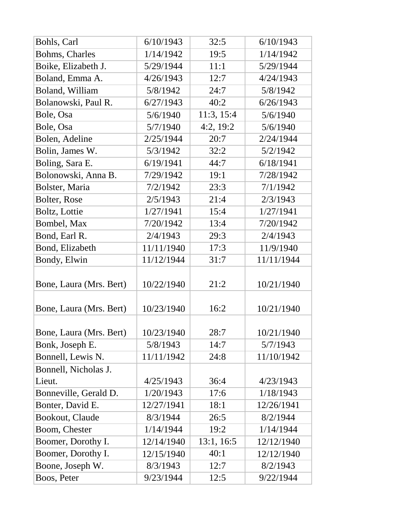| Bohls, Carl             | 6/10/1943  | 32:5       | 6/10/1943  |
|-------------------------|------------|------------|------------|
| Bohms, Charles          | 1/14/1942  | 19:5       | 1/14/1942  |
| Boike, Elizabeth J.     | 5/29/1944  | 11:1       | 5/29/1944  |
| Boland, Emma A.         | 4/26/1943  | 12:7       | 4/24/1943  |
| Boland, William         | 5/8/1942   | 24:7       | 5/8/1942   |
| Bolanowski, Paul R.     | 6/27/1943  | 40:2       | 6/26/1943  |
| Bole, Osa               | 5/6/1940   | 11:3, 15:4 | 5/6/1940   |
| Bole, Osa               | 5/7/1940   | 4:2, 19:2  | 5/6/1940   |
| Bolen, Adeline          | 2/25/1944  | 20:7       | 2/24/1944  |
| Bolin, James W.         | 5/3/1942   | 32:2       | 5/2/1942   |
| Boling, Sara E.         | 6/19/1941  | 44:7       | 6/18/1941  |
| Bolonowski, Anna B.     | 7/29/1942  | 19:1       | 7/28/1942  |
| Bolster, Maria          | 7/2/1942   | 23:3       | 7/1/1942   |
| Bolter, Rose            | 2/5/1943   | 21:4       | 2/3/1943   |
| Boltz, Lottie           | 1/27/1941  | 15:4       | 1/27/1941  |
| Bombel, Max             | 7/20/1942  | 13:4       | 7/20/1942  |
| Bond, Earl R.           | 2/4/1943   | 29:3       | 2/4/1943   |
| Bond, Elizabeth         | 11/11/1940 | 17:3       | 11/9/1940  |
| Bondy, Elwin            | 11/12/1944 | 31:7       | 11/11/1944 |
|                         |            |            |            |
| Bone, Laura (Mrs. Bert) | 10/22/1940 | 21:2       | 10/21/1940 |
|                         |            |            |            |
| Bone, Laura (Mrs. Bert) | 10/23/1940 | 16:2       | 10/21/1940 |
|                         |            |            |            |
| Bone, Laura (Mrs. Bert) | 10/23/1940 | 28:7       | 10/21/1940 |
| Bonk, Joseph E.         | 5/8/1943   | 14:7       | 5/7/1943   |
| Bonnell, Lewis N.       | 11/11/1942 | 24:8       | 11/10/1942 |
| Bonnell, Nicholas J.    |            |            |            |
| Lieut.                  | 4/25/1943  | 36:4       | 4/23/1943  |
| Bonneville, Gerald D.   | 1/20/1943  | 17:6       | 1/18/1943  |
| Bonter, David E.        | 12/27/1941 | 18:1       | 12/26/1941 |
| Bookout, Claude         | 8/3/1944   | 26:5       | 8/2/1944   |
| Boom, Chester           | 1/14/1944  | 19:2       | 1/14/1944  |
| Boomer, Dorothy I.      | 12/14/1940 | 13:1, 16:5 | 12/12/1940 |
| Boomer, Dorothy I.      | 12/15/1940 | 40:1       | 12/12/1940 |
| Boone, Joseph W.        | 8/3/1943   | 12:7       | 8/2/1943   |
| Boos, Peter             | 9/23/1944  | 12:5       | 9/22/1944  |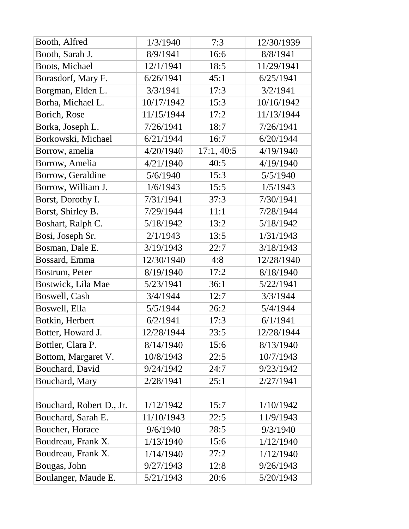| Booth, Alfred            | 1/3/1940   | 7:3       | 12/30/1939 |
|--------------------------|------------|-----------|------------|
| Booth, Sarah J.          | 8/9/1941   | 16:6      | 8/8/1941   |
| Boots, Michael           | 12/1/1941  | 18:5      | 11/29/1941 |
| Borasdorf, Mary F.       | 6/26/1941  | 45:1      | 6/25/1941  |
| Borgman, Elden L.        | 3/3/1941   | 17:3      | 3/2/1941   |
| Borha, Michael L.        | 10/17/1942 | 15:3      | 10/16/1942 |
| Borich, Rose             | 11/15/1944 | 17:2      | 11/13/1944 |
| Borka, Joseph L.         | 7/26/1941  | 18:7      | 7/26/1941  |
| Borkowski, Michael       | 6/21/1944  | 16:7      | 6/20/1944  |
| Borrow, amelia           | 4/20/1940  | 17:1,40:5 | 4/19/1940  |
| Borrow, Amelia           | 4/21/1940  | 40:5      | 4/19/1940  |
| Borrow, Geraldine        | 5/6/1940   | 15:3      | 5/5/1940   |
| Borrow, William J.       | 1/6/1943   | 15:5      | 1/5/1943   |
| Borst, Dorothy I.        | 7/31/1941  | 37:3      | 7/30/1941  |
| Borst, Shirley B.        | 7/29/1944  | 11:1      | 7/28/1944  |
| Boshart, Ralph C.        | 5/18/1942  | 13:2      | 5/18/1942  |
| Bosi, Joseph Sr.         | 2/1/1943   | 13:5      | 1/31/1943  |
| Bosman, Dale E.          | 3/19/1943  | 22:7      | 3/18/1943  |
| Bossard, Emma            | 12/30/1940 | 4:8       | 12/28/1940 |
| Bostrum, Peter           | 8/19/1940  | 17:2      | 8/18/1940  |
| Bostwick, Lila Mae       | 5/23/1941  | 36:1      | 5/22/1941  |
| Boswell, Cash            | 3/4/1944   | 12:7      | 3/3/1944   |
| Boswell, Ella            | 5/5/1944   | 26:2      | 5/4/1944   |
| Botkin, Herbert          | 6/2/1941   | 17:3      | 6/1/1941   |
| Botter, Howard J.        | 12/28/1944 | 23:5      | 12/28/1944 |
| Bottler, Clara P.        | 8/14/1940  | 15:6      | 8/13/1940  |
| Bottom, Margaret V.      | 10/8/1943  | 22:5      | 10/7/1943  |
| Bouchard, David          | 9/24/1942  | 24:7      | 9/23/1942  |
| Bouchard, Mary           | 2/28/1941  | 25:1      | 2/27/1941  |
|                          |            |           |            |
| Bouchard, Robert D., Jr. | 1/12/1942  | 15:7      | 1/10/1942  |
| Bouchard, Sarah E.       | 11/10/1943 | 22:5      | 11/9/1943  |
| Boucher, Horace          | 9/6/1940   | 28:5      | 9/3/1940   |
| Boudreau, Frank X.       | 1/13/1940  | 15:6      | 1/12/1940  |
| Boudreau, Frank X.       | 1/14/1940  | 27:2      | 1/12/1940  |
| Bougas, John             | 9/27/1943  | 12:8      | 9/26/1943  |
| Boulanger, Maude E.      | 5/21/1943  | 20:6      | 5/20/1943  |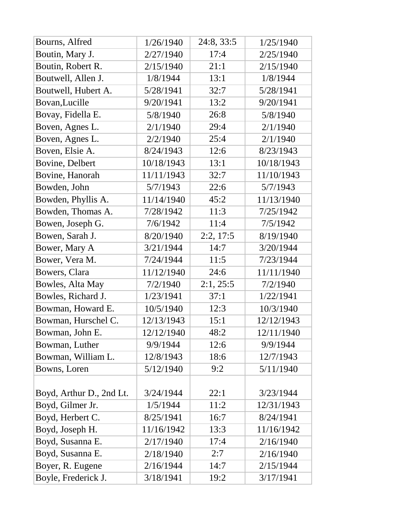| Bourns, Alfred           | 1/26/1940  | 24:8, 33:5 | 1/25/1940  |
|--------------------------|------------|------------|------------|
| Boutin, Mary J.          | 2/27/1940  | 17:4       | 2/25/1940  |
| Boutin, Robert R.        | 2/15/1940  | 21:1       | 2/15/1940  |
| Boutwell, Allen J.       | 1/8/1944   | 13:1       | 1/8/1944   |
| Boutwell, Hubert A.      | 5/28/1941  | 32:7       | 5/28/1941  |
| Bovan, Lucille           | 9/20/1941  | 13:2       | 9/20/1941  |
| Bovay, Fidella E.        | 5/8/1940   | 26:8       | 5/8/1940   |
| Boven, Agnes L.          | 2/1/1940   | 29:4       | 2/1/1940   |
| Boven, Agnes L.          | 2/2/1940   | 25:4       | 2/1/1940   |
| Boven, Elsie A.          | 8/24/1943  | 12:6       | 8/23/1943  |
| Bovine, Delbert          | 10/18/1943 | 13:1       | 10/18/1943 |
| Bovine, Hanorah          | 11/11/1943 | 32:7       | 11/10/1943 |
| Bowden, John             | 5/7/1943   | 22:6       | 5/7/1943   |
| Bowden, Phyllis A.       | 11/14/1940 | 45:2       | 11/13/1940 |
| Bowden, Thomas A.        | 7/28/1942  | 11:3       | 7/25/1942  |
| Bowen, Joseph G.         | 7/6/1942   | 11:4       | 7/5/1942   |
| Bowen, Sarah J.          | 8/20/1940  | 2:2, 17:5  | 8/19/1940  |
| Bower, Mary A            | 3/21/1944  | 14:7       | 3/20/1944  |
| Bower, Vera M.           | 7/24/1944  | 11:5       | 7/23/1944  |
| Bowers, Clara            | 11/12/1940 | 24:6       | 11/11/1940 |
| Bowles, Alta May         | 7/2/1940   | 2:1, 25:5  | 7/2/1940   |
| Bowles, Richard J.       | 1/23/1941  | 37:1       | 1/22/1941  |
| Bowman, Howard E.        | 10/5/1940  | 12:3       | 10/3/1940  |
| Bowman, Hurschel C.      | 12/13/1943 | 15:1       | 12/12/1943 |
| Bowman, John E.          | 12/12/1940 | 48:2       | 12/11/1940 |
| Bowman, Luther           | 9/9/1944   | 12:6       | 9/9/1944   |
| Bowman, William L.       | 12/8/1943  | 18:6       | 12/7/1943  |
| Bowns, Loren             | 5/12/1940  | 9:2        | 5/11/1940  |
|                          |            |            |            |
| Boyd, Arthur D., 2nd Lt. | 3/24/1944  | 22:1       | 3/23/1944  |
| Boyd, Gilmer Jr.         | 1/5/1944   | 11:2       | 12/31/1943 |
| Boyd, Herbert C.         | 8/25/1941  | 16:7       | 8/24/1941  |
| Boyd, Joseph H.          | 11/16/1942 | 13:3       | 11/16/1942 |
| Boyd, Susanna E.         | 2/17/1940  | 17:4       | 2/16/1940  |
| Boyd, Susanna E.         | 2/18/1940  | 2:7        | 2/16/1940  |
| Boyer, R. Eugene         | 2/16/1944  | 14:7       | 2/15/1944  |
| Boyle, Frederick J.      | 3/18/1941  | 19:2       | 3/17/1941  |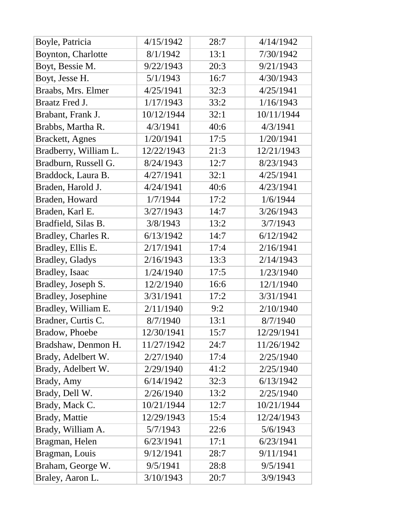| Boyle, Patricia            | 4/15/1942  | 28:7 | 4/14/1942  |
|----------------------------|------------|------|------------|
| Boynton, Charlotte         | 8/1/1942   | 13:1 | 7/30/1942  |
| Boyt, Bessie M.            | 9/22/1943  | 20:3 | 9/21/1943  |
| Boyt, Jesse H.             | 5/1/1943   | 16:7 | 4/30/1943  |
| Braabs, Mrs. Elmer         | 4/25/1941  | 32:3 | 4/25/1941  |
| <b>Braatz Fred J.</b>      | 1/17/1943  | 33:2 | 1/16/1943  |
| Brabant, Frank J.          | 10/12/1944 | 32:1 | 10/11/1944 |
| Brabbs, Martha R.          | 4/3/1941   | 40:6 | 4/3/1941   |
| <b>Brackett</b> , Agnes    | 1/20/1941  | 17:5 | 1/20/1941  |
| Bradberry, William L.      | 12/22/1943 | 21:3 | 12/21/1943 |
| Bradburn, Russell G.       | 8/24/1943  | 12:7 | 8/23/1943  |
| Braddock, Laura B.         | 4/27/1941  | 32:1 | 4/25/1941  |
| Braden, Harold J.          | 4/24/1941  | 40:6 | 4/23/1941  |
| Braden, Howard             | 1/7/1944   | 17:2 | 1/6/1944   |
| Braden, Karl E.            | 3/27/1943  | 14:7 | 3/26/1943  |
| Bradfield, Silas B.        | 3/8/1943   | 13:2 | 3/7/1943   |
| Bradley, Charles R.        | 6/13/1942  | 14:7 | 6/12/1942  |
| Bradley, Ellis E.          | 2/17/1941  | 17:4 | 2/16/1941  |
| <b>Bradley, Gladys</b>     | 2/16/1943  | 13:3 | 2/14/1943  |
| Bradley, Isaac             | 1/24/1940  | 17:5 | 1/23/1940  |
| Bradley, Joseph S.         | 12/2/1940  | 16:6 | 12/1/1940  |
| <b>Bradley</b> , Josephine | 3/31/1941  | 17:2 | 3/31/1941  |
| Bradley, William E.        | 2/11/1940  | 9:2  | 2/10/1940  |
| Bradner, Curtis C.         | 8/7/1940   | 13:1 | 8/7/1940   |
| Bradow, Phoebe             | 12/30/1941 | 15:7 | 12/29/1941 |
| Bradshaw, Denmon H.        | 11/27/1942 | 24:7 | 11/26/1942 |
| Brady, Adelbert W.         | 2/27/1940  | 17:4 | 2/25/1940  |
| Brady, Adelbert W.         | 2/29/1940  | 41:2 | 2/25/1940  |
| Brady, Amy                 | 6/14/1942  | 32:3 | 6/13/1942  |
| Brady, Dell W.             | 2/26/1940  | 13:2 | 2/25/1940  |
| Brady, Mack C.             | 10/21/1944 | 12:7 | 10/21/1944 |
| Brady, Mattie              | 12/29/1943 | 15:4 | 12/24/1943 |
| Brady, William A.          | 5/7/1943   | 22:6 | 5/6/1943   |
| Bragman, Helen             | 6/23/1941  | 17:1 | 6/23/1941  |
| Bragman, Louis             | 9/12/1941  | 28:7 | 9/11/1941  |
| Braham, George W.          | 9/5/1941   | 28:8 | 9/5/1941   |
| Braley, Aaron L.           | 3/10/1943  | 20:7 | 3/9/1943   |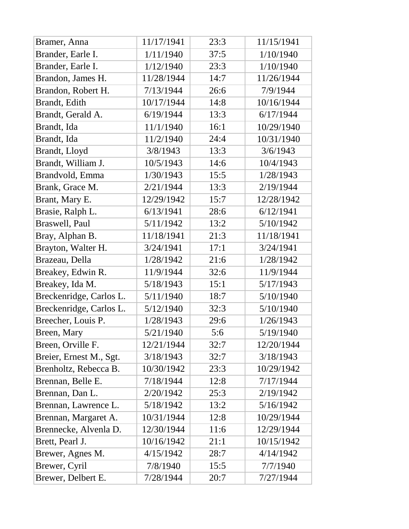| Bramer, Anna            | 11/17/1941 | 23:3 | 11/15/1941 |
|-------------------------|------------|------|------------|
| Brander, Earle I.       | 1/11/1940  | 37:5 | 1/10/1940  |
| Brander, Earle I.       | 1/12/1940  | 23:3 | 1/10/1940  |
| Brandon, James H.       | 11/28/1944 | 14:7 | 11/26/1944 |
| Brandon, Robert H.      | 7/13/1944  | 26:6 | 7/9/1944   |
| Brandt, Edith           | 10/17/1944 | 14:8 | 10/16/1944 |
| Brandt, Gerald A.       | 6/19/1944  | 13:3 | 6/17/1944  |
| Brandt, Ida             | 11/1/1940  | 16:1 | 10/29/1940 |
| Brandt, Ida             | 11/2/1940  | 24:4 | 10/31/1940 |
| Brandt, Lloyd           | 3/8/1943   | 13:3 | 3/6/1943   |
| Brandt, William J.      | 10/5/1943  | 14:6 | 10/4/1943  |
| Brandvold, Emma         | 1/30/1943  | 15:5 | 1/28/1943  |
| Brank, Grace M.         | 2/21/1944  | 13:3 | 2/19/1944  |
| Brant, Mary E.          | 12/29/1942 | 15:7 | 12/28/1942 |
| Brasie, Ralph L.        | 6/13/1941  | 28:6 | 6/12/1941  |
| Braswell, Paul          | 5/11/1942  | 13:2 | 5/10/1942  |
| Bray, Alphan B.         | 11/18/1941 | 21:3 | 11/18/1941 |
| Brayton, Walter H.      | 3/24/1941  | 17:1 | 3/24/1941  |
| Brazeau, Della          | 1/28/1942  | 21:6 | 1/28/1942  |
| Breakey, Edwin R.       | 11/9/1944  | 32:6 | 11/9/1944  |
| Breakey, Ida M.         | 5/18/1943  | 15:1 | 5/17/1943  |
| Breckenridge, Carlos L. | 5/11/1940  | 18:7 | 5/10/1940  |
| Breckenridge, Carlos L. | 5/12/1940  | 32:3 | 5/10/1940  |
| Breecher, Louis P.      | 1/28/1943  | 29:6 | 1/26/1943  |
| Breen, Mary             | 5/21/1940  | 5:6  | 5/19/1940  |
| Breen, Orville F.       | 12/21/1944 | 32:7 | 12/20/1944 |
| Breier, Ernest M., Sgt. | 3/18/1943  | 32:7 | 3/18/1943  |
| Brenholtz, Rebecca B.   | 10/30/1942 | 23:3 | 10/29/1942 |
| Brennan, Belle E.       | 7/18/1944  | 12:8 | 7/17/1944  |
| Brennan, Dan L.         | 2/20/1942  | 25:3 | 2/19/1942  |
| Brennan, Lawrence L.    | 5/18/1942  | 13:2 | 5/16/1942  |
| Brennan, Margaret A.    | 10/31/1944 | 12:8 | 10/29/1944 |
| Brennecke, Alvenla D.   | 12/30/1944 | 11:6 | 12/29/1944 |
| Brett, Pearl J.         | 10/16/1942 | 21:1 | 10/15/1942 |
| Brewer, Agnes M.        | 4/15/1942  | 28:7 | 4/14/1942  |
| Brewer, Cyril           | 7/8/1940   | 15:5 | 7/7/1940   |
| Brewer, Delbert E.      | 7/28/1944  | 20:7 | 7/27/1944  |
|                         |            |      |            |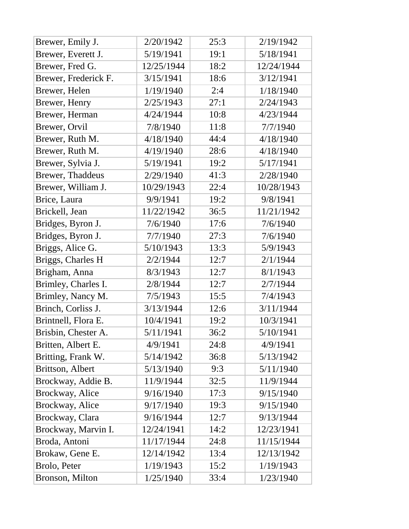| Brewer, Emily J.     | 2/20/1942  | 25:3 | 2/19/1942  |
|----------------------|------------|------|------------|
| Brewer, Everett J.   | 5/19/1941  | 19:1 | 5/18/1941  |
| Brewer, Fred G.      | 12/25/1944 | 18:2 | 12/24/1944 |
| Brewer, Frederick F. | 3/15/1941  | 18:6 | 3/12/1941  |
| Brewer, Helen        | 1/19/1940  | 2:4  | 1/18/1940  |
| Brewer, Henry        | 2/25/1943  | 27:1 | 2/24/1943  |
| Brewer, Herman       | 4/24/1944  | 10:8 | 4/23/1944  |
| Brewer, Orvil        | 7/8/1940   | 11:8 | 7/7/1940   |
| Brewer, Ruth M.      | 4/18/1940  | 44:4 | 4/18/1940  |
| Brewer, Ruth M.      | 4/19/1940  | 28:6 | 4/18/1940  |
| Brewer, Sylvia J.    | 5/19/1941  | 19:2 | 5/17/1941  |
| Brewer, Thaddeus     | 2/29/1940  | 41:3 | 2/28/1940  |
| Brewer, William J.   | 10/29/1943 | 22:4 | 10/28/1943 |
| Brice, Laura         | 9/9/1941   | 19:2 | 9/8/1941   |
| Brickell, Jean       | 11/22/1942 | 36:5 | 11/21/1942 |
| Bridges, Byron J.    | 7/6/1940   | 17:6 | 7/6/1940   |
| Bridges, Byron J.    | 7/7/1940   | 27:3 | 7/6/1940   |
| Briggs, Alice G.     | 5/10/1943  | 13:3 | 5/9/1943   |
| Briggs, Charles H    | 2/2/1944   | 12:7 | 2/1/1944   |
| Brigham, Anna        | 8/3/1943   | 12:7 | 8/1/1943   |
| Brimley, Charles I.  | 2/8/1944   | 12:7 | 2/7/1944   |
| Brimley, Nancy M.    | 7/5/1943   | 15:5 | 7/4/1943   |
| Brinch, Corliss J.   | 3/13/1944  | 12:6 | 3/11/1944  |
| Brintnell, Flora E.  | 10/4/1941  | 19:2 | 10/3/1941  |
| Brisbin, Chester A.  | 5/11/1941  | 36:2 | 5/10/1941  |
| Britten, Albert E.   | 4/9/1941   | 24:8 | 4/9/1941   |
| Britting, Frank W.   | 5/14/1942  | 36:8 | 5/13/1942  |
| Brittson, Albert     | 5/13/1940  | 9:3  | 5/11/1940  |
| Brockway, Addie B.   | 11/9/1944  | 32:5 | 11/9/1944  |
| Brockway, Alice      | 9/16/1940  | 17:3 | 9/15/1940  |
| Brockway, Alice      | 9/17/1940  | 19:3 | 9/15/1940  |
| Brockway, Clara      | 9/16/1944  | 12:7 | 9/13/1944  |
| Brockway, Marvin I.  | 12/24/1941 | 14:2 | 12/23/1941 |
| Broda, Antoni        | 11/17/1944 | 24:8 | 11/15/1944 |
| Brokaw, Gene E.      | 12/14/1942 | 13:4 | 12/13/1942 |
| Brolo, Peter         | 1/19/1943  | 15:2 | 1/19/1943  |
| Bronson, Milton      | 1/25/1940  | 33:4 | 1/23/1940  |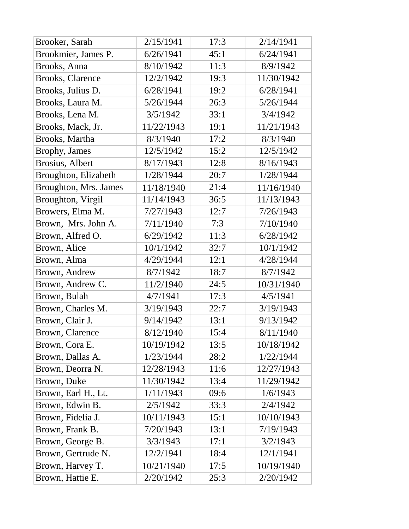| Brooker, Sarah          | 2/15/1941  | 17:3 | 2/14/1941  |
|-------------------------|------------|------|------------|
| Brookmier, James P.     | 6/26/1941  | 45:1 | 6/24/1941  |
| Brooks, Anna            | 8/10/1942  | 11:3 | 8/9/1942   |
| <b>Brooks, Clarence</b> | 12/2/1942  | 19:3 | 11/30/1942 |
| Brooks, Julius D.       | 6/28/1941  | 19:2 | 6/28/1941  |
| Brooks, Laura M.        | 5/26/1944  | 26:3 | 5/26/1944  |
| Brooks, Lena M.         | 3/5/1942   | 33:1 | 3/4/1942   |
| Brooks, Mack, Jr.       | 11/22/1943 | 19:1 | 11/21/1943 |
| Brooks, Martha          | 8/3/1940   | 17:2 | 8/3/1940   |
| Brophy, James           | 12/5/1942  | 15:2 | 12/5/1942  |
| Brosius, Albert         | 8/17/1943  | 12:8 | 8/16/1943  |
| Broughton, Elizabeth    | 1/28/1944  | 20:7 | 1/28/1944  |
| Broughton, Mrs. James   | 11/18/1940 | 21:4 | 11/16/1940 |
| Broughton, Virgil       | 11/14/1943 | 36:5 | 11/13/1943 |
| Browers, Elma M.        | 7/27/1943  | 12:7 | 7/26/1943  |
| Brown, Mrs. John A.     | 7/11/1940  | 7:3  | 7/10/1940  |
| Brown, Alfred O.        | 6/29/1942  | 11:3 | 6/28/1942  |
| Brown, Alice            | 10/1/1942  | 32:7 | 10/1/1942  |
| Brown, Alma             | 4/29/1944  | 12:1 | 4/28/1944  |
| Brown, Andrew           | 8/7/1942   | 18:7 | 8/7/1942   |
| Brown, Andrew C.        | 11/2/1940  | 24:5 | 10/31/1940 |
| Brown, Bulah            | 4/7/1941   | 17:3 | 4/5/1941   |
| Brown, Charles M.       | 3/19/1943  | 22:7 | 3/19/1943  |
| Brown, Clair J.         | 9/14/1942  | 13:1 | 9/13/1942  |
| <b>Brown, Clarence</b>  | 8/12/1940  | 15:4 | 8/11/1940  |
| Brown, Cora E.          | 10/19/1942 | 13:5 | 10/18/1942 |
| Brown, Dallas A.        | 1/23/1944  | 28:2 | 1/22/1944  |
| Brown, Deorra N.        | 12/28/1943 | 11:6 | 12/27/1943 |
| Brown, Duke             | 11/30/1942 | 13:4 | 11/29/1942 |
| Brown, Earl H., Lt.     | 1/11/1943  | 09:6 | 1/6/1943   |
| Brown, Edwin B.         | 2/5/1942   | 33:3 | 2/4/1942   |
| Brown, Fidelia J.       | 10/11/1943 | 15:1 | 10/10/1943 |
| Brown, Frank B.         | 7/20/1943  | 13:1 | 7/19/1943  |
| Brown, George B.        | 3/3/1943   | 17:1 | 3/2/1943   |
| Brown, Gertrude N.      | 12/2/1941  | 18:4 | 12/1/1941  |
| Brown, Harvey T.        | 10/21/1940 | 17:5 | 10/19/1940 |
| Brown, Hattie E.        | 2/20/1942  | 25:3 | 2/20/1942  |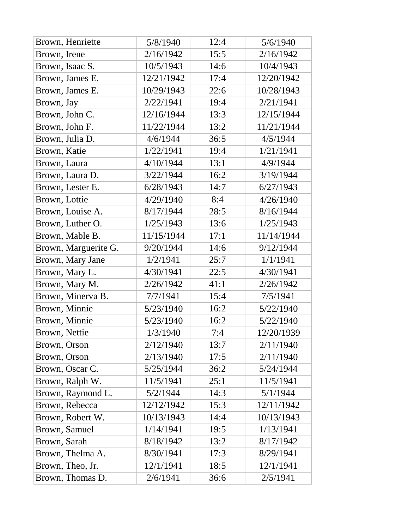| Brown, Henriette     | 5/8/1940   | 12:4 | 5/6/1940   |
|----------------------|------------|------|------------|
| Brown, Irene         | 2/16/1942  | 15:5 | 2/16/1942  |
| Brown, Isaac S.      | 10/5/1943  | 14:6 | 10/4/1943  |
| Brown, James E.      | 12/21/1942 | 17:4 | 12/20/1942 |
| Brown, James E.      | 10/29/1943 | 22:6 | 10/28/1943 |
| Brown, Jay           | 2/22/1941  | 19:4 | 2/21/1941  |
| Brown, John C.       | 12/16/1944 | 13:3 | 12/15/1944 |
| Brown, John F.       | 11/22/1944 | 13:2 | 11/21/1944 |
| Brown, Julia D.      | 4/6/1944   | 36:5 | 4/5/1944   |
| Brown, Katie         | 1/22/1941  | 19:4 | 1/21/1941  |
| Brown, Laura         | 4/10/1944  | 13:1 | 4/9/1944   |
| Brown, Laura D.      | 3/22/1944  | 16:2 | 3/19/1944  |
| Brown, Lester E.     | 6/28/1943  | 14:7 | 6/27/1943  |
| Brown, Lottie        | 4/29/1940  | 8:4  | 4/26/1940  |
| Brown, Louise A.     | 8/17/1944  | 28:5 | 8/16/1944  |
| Brown, Luther O.     | 1/25/1943  | 13:6 | 1/25/1943  |
| Brown, Mable B.      | 11/15/1944 | 17:1 | 11/14/1944 |
| Brown, Marguerite G. | 9/20/1944  | 14:6 | 9/12/1944  |
| Brown, Mary Jane     | 1/2/1941   | 25:7 | 1/1/1941   |
| Brown, Mary L.       | 4/30/1941  | 22:5 | 4/30/1941  |
| Brown, Mary M.       | 2/26/1942  | 41:1 | 2/26/1942  |
| Brown, Minerva B.    | 7/7/1941   | 15:4 | 7/5/1941   |
| Brown, Minnie        | 5/23/1940  | 16:2 | 5/22/1940  |
| Brown, Minnie        | 5/23/1940  | 16:2 | 5/22/1940  |
| <b>Brown, Nettie</b> | 1/3/1940   | 7:4  | 12/20/1939 |
| Brown, Orson         | 2/12/1940  | 13:7 | 2/11/1940  |
| Brown, Orson         | 2/13/1940  | 17:5 | 2/11/1940  |
| Brown, Oscar C.      | 5/25/1944  | 36:2 | 5/24/1944  |
| Brown, Ralph W.      | 11/5/1941  | 25:1 | 11/5/1941  |
| Brown, Raymond L.    | 5/2/1944   | 14:3 | 5/1/1944   |
| Brown, Rebecca       | 12/12/1942 | 15:3 | 12/11/1942 |
| Brown, Robert W.     | 10/13/1943 | 14:4 | 10/13/1943 |
| Brown, Samuel        | 1/14/1941  | 19:5 | 1/13/1941  |
| Brown, Sarah         | 8/18/1942  | 13:2 | 8/17/1942  |
| Brown, Thelma A.     | 8/30/1941  | 17:3 | 8/29/1941  |
| Brown, Theo, Jr.     | 12/1/1941  | 18:5 | 12/1/1941  |
| Brown, Thomas D.     | 2/6/1941   | 36:6 | 2/5/1941   |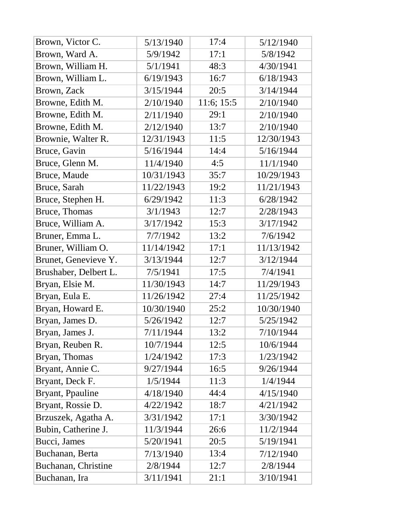| Brown, Victor C.      | 5/13/1940  | 17:4       | 5/12/1940  |
|-----------------------|------------|------------|------------|
| Brown, Ward A.        | 5/9/1942   | 17:1       | 5/8/1942   |
| Brown, William H.     | 5/1/1941   | 48:3       | 4/30/1941  |
| Brown, William L.     | 6/19/1943  | 16:7       | 6/18/1943  |
| Brown, Zack           | 3/15/1944  | 20:5       | 3/14/1944  |
| Browne, Edith M.      | 2/10/1940  | 11:6; 15:5 | 2/10/1940  |
| Browne, Edith M.      | 2/11/1940  | 29:1       | 2/10/1940  |
| Browne, Edith M.      | 2/12/1940  | 13:7       | 2/10/1940  |
| Brownie, Walter R.    | 12/31/1943 | 11:5       | 12/30/1943 |
| Bruce, Gavin          | 5/16/1944  | 14:4       | 5/16/1944  |
| Bruce, Glenn M.       | 11/4/1940  | 4:5        | 11/1/1940  |
| Bruce, Maude          | 10/31/1943 | 35:7       | 10/29/1943 |
| Bruce, Sarah          | 11/22/1943 | 19:2       | 11/21/1943 |
| Bruce, Stephen H.     | 6/29/1942  | 11:3       | 6/28/1942  |
| Bruce, Thomas         | 3/1/1943   | 12:7       | 2/28/1943  |
| Bruce, William A.     | 3/17/1942  | 15:3       | 3/17/1942  |
| Bruner, Emma L.       | 7/7/1942   | 13:2       | 7/6/1942   |
| Bruner, William O.    | 11/14/1942 | 17:1       | 11/13/1942 |
| Brunet, Genevieve Y.  | 3/13/1944  | 12:7       | 3/12/1944  |
| Brushaber, Delbert L. | 7/5/1941   | 17:5       | 7/4/1941   |
| Bryan, Elsie M.       | 11/30/1943 | 14:7       | 11/29/1943 |
| Bryan, Eula E.        | 11/26/1942 | 27:4       | 11/25/1942 |
| Bryan, Howard E.      | 10/30/1940 | 25:2       | 10/30/1940 |
| Bryan, James D.       | 5/26/1942  | 12:7       | 5/25/1942  |
| Bryan, James J.       | 7/11/1944  | 13:2       | 7/10/1944  |
| Bryan, Reuben R.      | 10/7/1944  | 12:5       | 10/6/1944  |
| Bryan, Thomas         | 1/24/1942  | 17:3       | 1/23/1942  |
| Bryant, Annie C.      | 9/27/1944  | 16:5       | 9/26/1944  |
| Bryant, Deck F.       | 1/5/1944   | 11:3       | 1/4/1944   |
| Bryant, Ppauline      | 4/18/1940  | 44:4       | 4/15/1940  |
| Bryant, Rossie D.     | 4/22/1942  | 18:7       | 4/21/1942  |
| Brzuszek, Agatha A.   | 3/31/1942  | 17:1       | 3/30/1942  |
| Bubin, Catherine J.   | 11/3/1944  | 26:6       | 11/2/1944  |
| Bucci, James          | 5/20/1941  | 20:5       | 5/19/1941  |
| Buchanan, Berta       | 7/13/1940  | 13:4       | 7/12/1940  |
| Buchanan, Christine   | 2/8/1944   | 12:7       | 2/8/1944   |
| Buchanan, Ira         | 3/11/1941  | 21:1       | 3/10/1941  |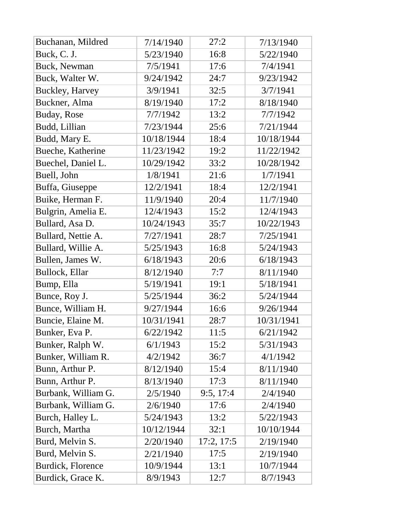| Buchanan, Mildred   | 7/14/1940  | 27:2       | 7/13/1940  |
|---------------------|------------|------------|------------|
| Buck, C. J.         | 5/23/1940  | 16:8       | 5/22/1940  |
| Buck, Newman        | 7/5/1941   | 17:6       | 7/4/1941   |
| Buck, Walter W.     | 9/24/1942  | 24:7       | 9/23/1942  |
| Buckley, Harvey     | 3/9/1941   | 32:5       | 3/7/1941   |
| Buckner, Alma       | 8/19/1940  | 17:2       | 8/18/1940  |
| Buday, Rose         | 7/7/1942   | 13:2       | 7/7/1942   |
| Budd, Lillian       | 7/23/1944  | 25:6       | 7/21/1944  |
| Budd, Mary E.       | 10/18/1944 | 18:4       | 10/18/1944 |
| Bueche, Katherine   | 11/23/1942 | 19:2       | 11/22/1942 |
| Buechel, Daniel L.  | 10/29/1942 | 33:2       | 10/28/1942 |
| Buell, John         | 1/8/1941   | 21:6       | 1/7/1941   |
| Buffa, Giuseppe     | 12/2/1941  | 18:4       | 12/2/1941  |
| Buike, Herman F.    | 11/9/1940  | 20:4       | 11/7/1940  |
| Bulgrin, Amelia E.  | 12/4/1943  | 15:2       | 12/4/1943  |
| Bullard, Asa D.     | 10/24/1943 | 35:7       | 10/22/1943 |
| Bullard, Nettie A.  | 7/27/1941  | 28:7       | 7/25/1941  |
| Bullard, Willie A.  | 5/25/1943  | 16:8       | 5/24/1943  |
| Bullen, James W.    | 6/18/1943  | 20:6       | 6/18/1943  |
| Bullock, Ellar      | 8/12/1940  | 7:7        | 8/11/1940  |
| Bump, Ella          | 5/19/1941  | 19:1       | 5/18/1941  |
| Bunce, Roy J.       | 5/25/1944  | 36:2       | 5/24/1944  |
| Bunce, William H.   | 9/27/1944  | 16:6       | 9/26/1944  |
| Buncie, Elaine M.   | 10/31/1941 | 28:7       | 10/31/1941 |
| Bunker, Eva P.      | 6/22/1942  | 11:5       | 6/21/1942  |
| Bunker, Ralph W.    | 6/1/1943   | 15:2       | 5/31/1943  |
| Bunker, William R.  | 4/2/1942   | 36:7       | 4/1/1942   |
| Bunn, Arthur P.     | 8/12/1940  | 15:4       | 8/11/1940  |
| Bunn, Arthur P.     | 8/13/1940  | 17:3       | 8/11/1940  |
| Burbank, William G. | 2/5/1940   | 9:5, 17:4  | 2/4/1940   |
| Burbank, William G. | 2/6/1940   | 17:6       | 2/4/1940   |
| Burch, Halley L.    | 5/24/1943  | 13:2       | 5/22/1943  |
| Burch, Martha       | 10/12/1944 | 32:1       | 10/10/1944 |
| Burd, Melvin S.     | 2/20/1940  | 17:2, 17:5 | 2/19/1940  |
| Burd, Melvin S.     | 2/21/1940  | 17:5       | 2/19/1940  |
| Burdick, Florence   | 10/9/1944  | 13:1       | 10/7/1944  |
| Burdick, Grace K.   | 8/9/1943   | 12:7       | 8/7/1943   |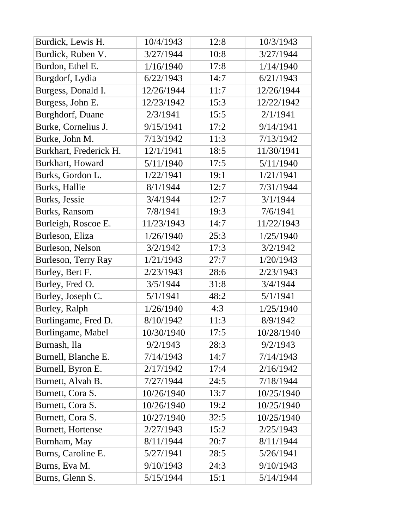| Burdick, Lewis H.        | 10/4/1943  | 12:8 | 10/3/1943  |
|--------------------------|------------|------|------------|
| Burdick, Ruben V.        | 3/27/1944  | 10:8 | 3/27/1944  |
| Burdon, Ethel E.         | 1/16/1940  | 17:8 | 1/14/1940  |
| Burgdorf, Lydia          | 6/22/1943  | 14:7 | 6/21/1943  |
| Burgess, Donald I.       | 12/26/1944 | 11:7 | 12/26/1944 |
| Burgess, John E.         | 12/23/1942 | 15:3 | 12/22/1942 |
| <b>Burghdorf, Duane</b>  | 2/3/1941   | 15:5 | 2/1/1941   |
| Burke, Cornelius J.      | 9/15/1941  | 17:2 | 9/14/1941  |
| Burke, John M.           | 7/13/1942  | 11:3 | 7/13/1942  |
| Burkhart, Frederick H.   | 12/1/1941  | 18:5 | 11/30/1941 |
| Burkhart, Howard         | 5/11/1940  | 17:5 | 5/11/1940  |
| Burks, Gordon L.         | 1/22/1941  | 19:1 | 1/21/1941  |
| Burks, Hallie            | 8/1/1944   | 12:7 | 7/31/1944  |
| Burks, Jessie            | 3/4/1944   | 12:7 | 3/1/1944   |
| <b>Burks, Ransom</b>     | 7/8/1941   | 19:3 | 7/6/1941   |
| Burleigh, Roscoe E.      | 11/23/1943 | 14:7 | 11/22/1943 |
| Burleson, Eliza          | 1/26/1940  | 25:3 | 1/25/1940  |
| Burleson, Nelson         | 3/2/1942   | 17:3 | 3/2/1942   |
| Burleson, Terry Ray      | 1/21/1943  | 27:7 | 1/20/1943  |
| Burley, Bert F.          | 2/23/1943  | 28:6 | 2/23/1943  |
| Burley, Fred O.          | 3/5/1944   | 31:8 | 3/4/1944   |
| Burley, Joseph C.        | 5/1/1941   | 48:2 | 5/1/1941   |
| Burley, Ralph            | 1/26/1940  | 4:3  | 1/25/1940  |
| Burlingame, Fred D.      | 8/10/1942  | 11:3 | 8/9/1942   |
| Burlingame, Mabel        | 10/30/1940 | 17:5 | 10/28/1940 |
| Burnash, Ila             | 9/2/1943   | 28:3 | 9/2/1943   |
| Burnell, Blanche E.      | 7/14/1943  | 14:7 | 7/14/1943  |
| Burnell, Byron E.        | 2/17/1942  | 17:4 | 2/16/1942  |
| Burnett, Alvah B.        | 7/27/1944  | 24:5 | 7/18/1944  |
| Burnett, Cora S.         | 10/26/1940 | 13:7 | 10/25/1940 |
| Burnett, Cora S.         | 10/26/1940 | 19:2 | 10/25/1940 |
| Burnett, Cora S.         | 10/27/1940 | 32:5 | 10/25/1940 |
| <b>Burnett, Hortense</b> | 2/27/1943  | 15:2 | 2/25/1943  |
| Burnham, May             | 8/11/1944  | 20:7 | 8/11/1944  |
| Burns, Caroline E.       | 5/27/1941  | 28:5 | 5/26/1941  |
| Burns, Eva M.            | 9/10/1943  | 24:3 | 9/10/1943  |
| Burns, Glenn S.          | 5/15/1944  | 15:1 | 5/14/1944  |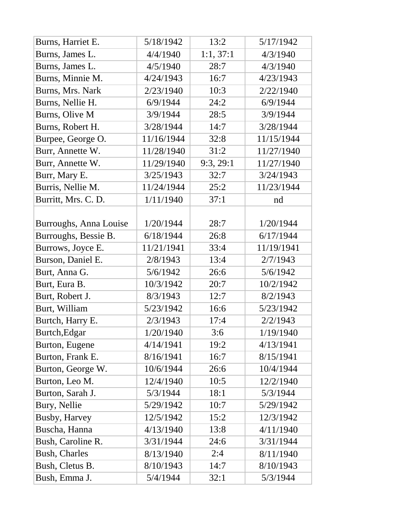| Burns, Harriet E.      | 5/18/1942  | 13:2      | 5/17/1942  |
|------------------------|------------|-----------|------------|
| Burns, James L.        | 4/4/1940   | 1:1, 37:1 | 4/3/1940   |
| Burns, James L.        | 4/5/1940   | 28:7      | 4/3/1940   |
| Burns, Minnie M.       | 4/24/1943  | 16:7      | 4/23/1943  |
| Burns, Mrs. Nark       | 2/23/1940  | 10:3      | 2/22/1940  |
| Burns, Nellie H.       | 6/9/1944   | 24:2      | 6/9/1944   |
| Burns, Olive M         | 3/9/1944   | 28:5      | 3/9/1944   |
| Burns, Robert H.       | 3/28/1944  | 14:7      | 3/28/1944  |
| Burpee, George O.      | 11/16/1944 | 32:8      | 11/15/1944 |
| Burr, Annette W.       | 11/28/1940 | 31:2      | 11/27/1940 |
| Burr, Annette W.       | 11/29/1940 | 9:3, 29:1 | 11/27/1940 |
| Burr, Mary E.          | 3/25/1943  | 32:7      | 3/24/1943  |
| Burris, Nellie M.      | 11/24/1944 | 25:2      | 11/23/1944 |
| Burritt, Mrs. C. D.    | 1/11/1940  | 37:1      | nd         |
|                        |            |           |            |
| Burroughs, Anna Louise | 1/20/1944  | 28:7      | 1/20/1944  |
| Burroughs, Bessie B.   | 6/18/1944  | 26:8      | 6/17/1944  |
| Burrows, Joyce E.      | 11/21/1941 | 33:4      | 11/19/1941 |
| Burson, Daniel E.      | 2/8/1943   | 13:4      | 2/7/1943   |
| Burt, Anna G.          | 5/6/1942   | 26:6      | 5/6/1942   |
| Burt, Eura B.          | 10/3/1942  | 20:7      | 10/2/1942  |
| Burt, Robert J.        | 8/3/1943   | 12:7      | 8/2/1943   |
| Burt, William          | 5/23/1942  | 16:6      | 5/23/1942  |
| Burtch, Harry E.       | 2/3/1943   | 17:4      | 2/2/1943   |
| Burtch, Edgar          | 1/20/1940  | 3:6       | 1/19/1940  |
| Burton, Eugene         | 4/14/1941  | 19:2      | 4/13/1941  |
| Burton, Frank E.       | 8/16/1941  | 16:7      | 8/15/1941  |
| Burton, George W.      | 10/6/1944  | 26:6      | 10/4/1944  |
| Burton, Leo M.         | 12/4/1940  | 10:5      | 12/2/1940  |
| Burton, Sarah J.       | 5/3/1944   | 18:1      | 5/3/1944   |
| Bury, Nellie           | 5/29/1942  | 10:7      | 5/29/1942  |
| <b>Busby, Harvey</b>   | 12/5/1942  | 15:2      | 12/3/1942  |
| Buscha, Hanna          | 4/13/1940  | 13:8      | 4/11/1940  |
| Bush, Caroline R.      | 3/31/1944  | 24:6      | 3/31/1944  |
| <b>Bush, Charles</b>   | 8/13/1940  | 2:4       | 8/11/1940  |
| Bush, Cletus B.        | 8/10/1943  | 14:7      | 8/10/1943  |
| Bush, Emma J.          | 5/4/1944   | 32:1      | 5/3/1944   |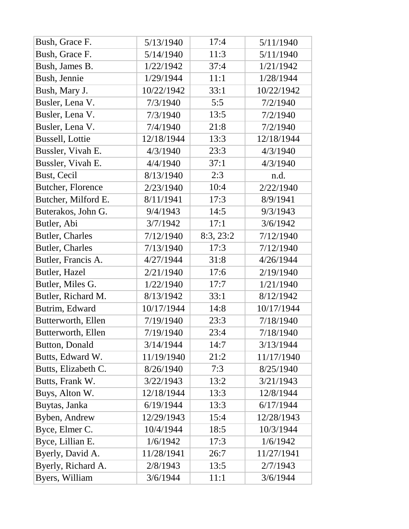| Bush, Grace F.           | 5/13/1940  | 17:4      | 5/11/1940  |
|--------------------------|------------|-----------|------------|
| Bush, Grace F.           | 5/14/1940  | 11:3      | 5/11/1940  |
| Bush, James B.           | 1/22/1942  | 37:4      | 1/21/1942  |
| Bush, Jennie             | 1/29/1944  | 11:1      | 1/28/1944  |
| Bush, Mary J.            | 10/22/1942 | 33:1      | 10/22/1942 |
| Busler, Lena V.          | 7/3/1940   | 5:5       | 7/2/1940   |
| Busler, Lena V.          | 7/3/1940   | 13:5      | 7/2/1940   |
| Busler, Lena V.          | 7/4/1940   | 21:8      | 7/2/1940   |
| <b>Bussell, Lottie</b>   | 12/18/1944 | 13:3      | 12/18/1944 |
| Bussler, Vivah E.        | 4/3/1940   | 23:3      | 4/3/1940   |
| Bussler, Vivah E.        | 4/4/1940   | 37:1      | 4/3/1940   |
| <b>Bust, Cecil</b>       | 8/13/1940  | 2:3       | n.d.       |
| <b>Butcher, Florence</b> | 2/23/1940  | 10:4      | 2/22/1940  |
| Butcher, Milford E.      | 8/11/1941  | 17:3      | 8/9/1941   |
| Buterakos, John G.       | 9/4/1943   | 14:5      | 9/3/1943   |
| Butler, Abi              | 3/7/1942   | 17:1      | 3/6/1942   |
| <b>Butler, Charles</b>   | 7/12/1940  | 8:3, 23:2 | 7/12/1940  |
| <b>Butler, Charles</b>   | 7/13/1940  | 17:3      | 7/12/1940  |
| Butler, Francis A.       | 4/27/1944  | 31:8      | 4/26/1944  |
| Butler, Hazel            | 2/21/1940  | 17:6      | 2/19/1940  |
| Butler, Miles G.         | 1/22/1940  | 17:7      | 1/21/1940  |
| Butler, Richard M.       | 8/13/1942  | 33:1      | 8/12/1942  |
| Butrim, Edward           | 10/17/1944 | 14:8      | 10/17/1944 |
| Butterworth, Ellen       | 7/19/1940  | 23:3      | 7/18/1940  |
| Butterworth, Ellen       | 7/19/1940  | 23:4      | 7/18/1940  |
| <b>Button, Donald</b>    | 3/14/1944  | 14:7      | 3/13/1944  |
| Butts, Edward W.         | 11/19/1940 | 21:2      | 11/17/1940 |
| Butts, Elizabeth C.      | 8/26/1940  | 7:3       | 8/25/1940  |
| Butts, Frank W.          | 3/22/1943  | 13:2      | 3/21/1943  |
| Buys, Alton W.           | 12/18/1944 | 13:3      | 12/8/1944  |
| Buytas, Janka            | 6/19/1944  | 13:3      | 6/17/1944  |
| Byben, Andrew            | 12/29/1943 | 15:4      | 12/28/1943 |
| Byce, Elmer C.           | 10/4/1944  | 18:5      | 10/3/1944  |
| Byce, Lillian E.         | 1/6/1942   | 17:3      | 1/6/1942   |
| Byerly, David A.         | 11/28/1941 | 26:7      | 11/27/1941 |
| Byerly, Richard A.       | 2/8/1943   | 13:5      | 2/7/1943   |
| Byers, William           | 3/6/1944   | 11:1      | 3/6/1944   |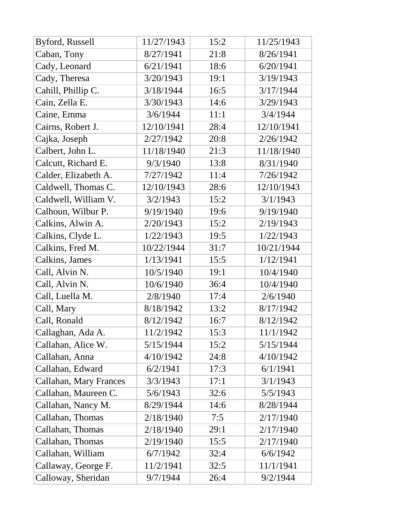| Byford, Russell        | 11/27/1943 | 15:2 | 11/25/1943 |
|------------------------|------------|------|------------|
| Caban, Tony            | 8/27/1941  | 21:8 | 8/26/1941  |
| Cady, Leonard          | 6/21/1941  | 18:6 | 6/20/1941  |
| Cady, Theresa          | 3/20/1943  | 19:1 | 3/19/1943  |
| Cahill, Phillip C.     | 3/18/1944  | 16:5 | 3/17/1944  |
| Cain, Zella E.         | 3/30/1943  | 14:6 | 3/29/1943  |
| Caine, Emma            | 3/6/1944   | 11:1 | 3/4/1944   |
| Cairns, Robert J.      | 12/10/1941 | 28:4 | 12/10/1941 |
| Cajka, Joseph          | 2/27/1942  | 20:8 | 2/26/1942  |
| Calbert, John L.       | 11/18/1940 | 21:3 | 11/18/1940 |
| Calcutt, Richard E.    | 9/3/1940   | 13:8 | 8/31/1940  |
| Calder, Elizabeth A.   | 7/27/1942  | 11:4 | 7/26/1942  |
| Caldwell, Thomas C.    | 12/10/1943 | 28:6 | 12/10/1943 |
| Caldwell, William V.   | 3/2/1943   | 15:2 | 3/1/1943   |
| Calhoun, Wilbur P.     | 9/19/1940  | 19:6 | 9/19/1940  |
| Calkins, Alwin A.      | 2/20/1943  | 15:2 | 2/19/1943  |
| Calkins, Clyde L.      | 1/22/1943  | 19:5 | 1/22/1943  |
| Calkins, Fred M.       | 10/22/1944 | 31:7 | 10/21/1944 |
| Calkins, James         | 1/13/1941  | 15:5 | 1/12/1941  |
| Call, Alvin N.         | 10/5/1940  | 19:1 | 10/4/1940  |
| Call, Alvin N.         | 10/6/1940  | 36:4 | 10/4/1940  |
| Call, Luella M.        | 2/8/1940   | 17:4 | 2/6/1940   |
| Call, Mary             | 8/18/1942  | 13:2 | 8/17/1942  |
| Call, Ronald           | 8/12/1942  | 16:7 | 8/12/1942  |
| Callaghan, Ada A.      | 11/2/1942  | 15:3 | 11/1/1942  |
| Callahan, Alice W.     | 5/15/1944  | 15:2 | 5/15/1944  |
| Callahan, Anna         | 4/10/1942  | 24:8 | 4/10/1942  |
| Callahan, Edward       | 6/2/1941   | 17:3 | 6/1/1941   |
| Callahan, Mary Frances | 3/3/1943   | 17:1 | 3/1/1943   |
| Callahan, Maureen C.   | 5/6/1943   | 32:6 | 5/5/1943   |
| Callahan, Nancy M.     | 8/29/1944  | 14:6 | 8/28/1944  |
| Callahan, Thomas       | 2/18/1940  | 7:5  | 2/17/1940  |
| Callahan, Thomas       | 2/18/1940  | 29:1 | 2/17/1940  |
| Callahan, Thomas       | 2/19/1940  | 15:5 | 2/17/1940  |
| Callahan, William      | 6/7/1942   | 32:4 | 6/6/1942   |
|                        |            |      |            |
| Callaway, George F.    | 11/2/1941  | 32:5 | 11/1/1941  |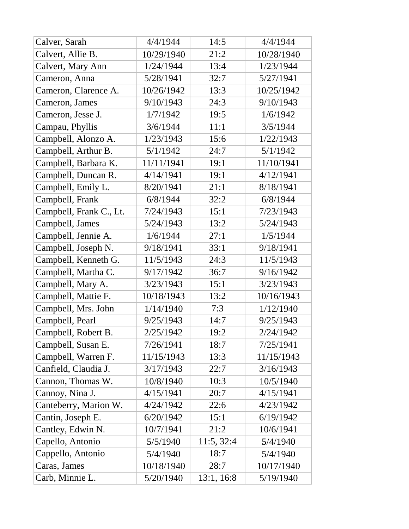| Calver, Sarah           | 4/4/1944   | 14:5       | 4/4/1944   |
|-------------------------|------------|------------|------------|
| Calvert, Allie B.       | 10/29/1940 | 21:2       | 10/28/1940 |
| Calvert, Mary Ann       | 1/24/1944  | 13:4       | 1/23/1944  |
| Cameron, Anna           | 5/28/1941  | 32:7       | 5/27/1941  |
| Cameron, Clarence A.    | 10/26/1942 | 13:3       | 10/25/1942 |
| Cameron, James          | 9/10/1943  | 24:3       | 9/10/1943  |
| Cameron, Jesse J.       | 1/7/1942   | 19:5       | 1/6/1942   |
| Campau, Phyllis         | 3/6/1944   | 11:1       | 3/5/1944   |
| Campbell, Alonzo A.     | 1/23/1943  | 15:6       | 1/22/1943  |
| Campbell, Arthur B.     | 5/1/1942   | 24:7       | 5/1/1942   |
| Campbell, Barbara K.    | 11/11/1941 | 19:1       | 11/10/1941 |
| Campbell, Duncan R.     | 4/14/1941  | 19:1       | 4/12/1941  |
| Campbell, Emily L.      | 8/20/1941  | 21:1       | 8/18/1941  |
| Campbell, Frank         | 6/8/1944   | 32:2       | 6/8/1944   |
| Campbell, Frank C., Lt. | 7/24/1943  | 15:1       | 7/23/1943  |
| Campbell, James         | 5/24/1943  | 13:2       | 5/24/1943  |
| Campbell, Jennie A.     | 1/6/1944   | 27:1       | 1/5/1944   |
| Campbell, Joseph N.     | 9/18/1941  | 33:1       | 9/18/1941  |
| Campbell, Kenneth G.    | 11/5/1943  | 24:3       | 11/5/1943  |
| Campbell, Martha C.     | 9/17/1942  | 36:7       | 9/16/1942  |
| Campbell, Mary A.       | 3/23/1943  | 15:1       | 3/23/1943  |
| Campbell, Mattie F.     | 10/18/1943 | 13:2       | 10/16/1943 |
| Campbell, Mrs. John     | 1/14/1940  | 7:3        | 1/12/1940  |
| Campbell, Pearl         | 9/25/1943  | 14:7       | 9/25/1943  |
| Campbell, Robert B.     | 2/25/1942  | 19:2       | 2/24/1942  |
| Campbell, Susan E.      | 7/26/1941  | 18:7       | 7/25/1941  |
| Campbell, Warren F.     | 11/15/1943 | 13:3       | 11/15/1943 |
| Canfield, Claudia J.    | 3/17/1943  | 22:7       | 3/16/1943  |
| Cannon, Thomas W.       | 10/8/1940  | 10:3       | 10/5/1940  |
| Cannoy, Nina J.         | 4/15/1941  | 20:7       | 4/15/1941  |
| Canteberry, Marion W.   | 4/24/1942  | 22:6       | 4/23/1942  |
| Cantin, Joseph E.       | 6/20/1942  | 15:1       | 6/19/1942  |
| Cantley, Edwin N.       | 10/7/1941  | 21:2       | 10/6/1941  |
| Capello, Antonio        | 5/5/1940   | 11:5, 32:4 | 5/4/1940   |
| Cappello, Antonio       | 5/4/1940   | 18:7       | 5/4/1940   |
| Caras, James            | 10/18/1940 | 28:7       | 10/17/1940 |
| Carb, Minnie L.         | 5/20/1940  | 13:1, 16:8 | 5/19/1940  |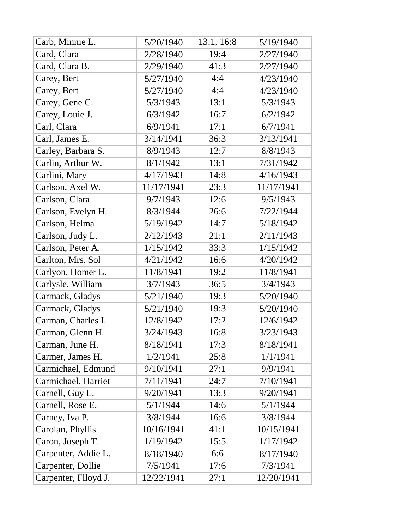| Carb, Minnie L.      | 5/20/1940  | 13:1, 16:8 | 5/19/1940  |
|----------------------|------------|------------|------------|
| Card, Clara          | 2/28/1940  | 19:4       | 2/27/1940  |
| Card, Clara B.       | 2/29/1940  | 41:3       | 2/27/1940  |
| Carey, Bert          | 5/27/1940  | 4:4        | 4/23/1940  |
| Carey, Bert          | 5/27/1940  | 4:4        | 4/23/1940  |
| Carey, Gene C.       | 5/3/1943   | 13:1       | 5/3/1943   |
| Carey, Louie J.      | 6/3/1942   | 16:7       | 6/2/1942   |
| Carl, Clara          | 6/9/1941   | 17:1       | 6/7/1941   |
| Carl, James E.       | 3/14/1941  | 36:3       | 3/13/1941  |
| Carley, Barbara S.   | 8/9/1943   | 12:7       | 8/8/1943   |
| Carlin, Arthur W.    | 8/1/1942   | 13:1       | 7/31/1942  |
| Carlini, Mary        | 4/17/1943  | 14:8       | 4/16/1943  |
| Carlson, Axel W.     | 11/17/1941 | 23:3       | 11/17/1941 |
| Carlson, Clara       | 9/7/1943   | 12:6       | 9/5/1943   |
| Carlson, Evelyn H.   | 8/3/1944   | 26:6       | 7/22/1944  |
| Carlson, Helma       | 5/19/1942  | 14:7       | 5/18/1942  |
| Carlson, Judy L.     | 2/12/1943  | 21:1       | 2/11/1943  |
| Carlson, Peter A.    | 1/15/1942  | 33:3       | 1/15/1942  |
| Carlton, Mrs. Sol    | 4/21/1942  | 16:6       | 4/20/1942  |
| Carlyon, Homer L.    | 11/8/1941  | 19:2       | 11/8/1941  |
| Carlysle, William    | 3/7/1943   | 36:5       | 3/4/1943   |
| Carmack, Gladys      | 5/21/1940  | 19:3       | 5/20/1940  |
| Carmack, Gladys      | 5/21/1940  | 19:3       | 5/20/1940  |
| Carman, Charles I.   | 12/8/1942  | 17:2       | 12/6/1942  |
| Carman, Glenn H.     | 3/24/1943  | 16:8       | 3/23/1943  |
| Carman, June H.      | 8/18/1941  | 17:3       | 8/18/1941  |
| Carmer, James H.     | 1/2/1941   | 25:8       | 1/1/1941   |
| Carmichael, Edmund   | 9/10/1941  | 27:1       | 9/9/1941   |
| Carmichael, Harriet  | 7/11/1941  | 24:7       | 7/10/1941  |
| Carnell, Guy E.      | 9/20/1941  | 13:3       | 9/20/1941  |
| Carnell, Rose E.     | 5/1/1944   | 14:6       | 5/1/1944   |
| Carney, Iva P.       | 3/8/1944   | 16:6       | 3/8/1944   |
| Carolan, Phyllis     | 10/16/1941 | 41:1       | 10/15/1941 |
| Caron, Joseph T.     | 1/19/1942  | 15:5       | 1/17/1942  |
| Carpenter, Addie L.  | 8/18/1940  | 6:6        | 8/17/1940  |
| Carpenter, Dollie    | 7/5/1941   | 17:6       | 7/3/1941   |
| Carpenter, Flloyd J. | 12/22/1941 | 27:1       | 12/20/1941 |
|                      |            |            |            |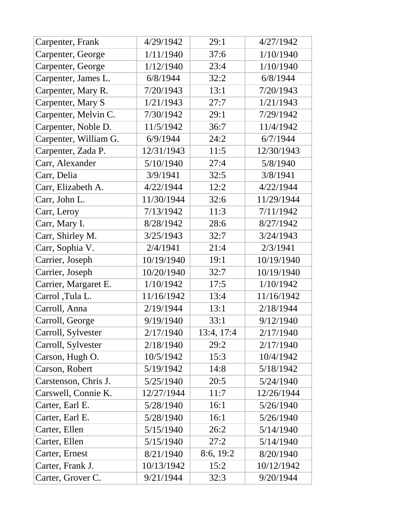| Carpenter, Frank      | 4/29/1942  | 29:1       | 4/27/1942  |
|-----------------------|------------|------------|------------|
| Carpenter, George     | 1/11/1940  | 37:6       | 1/10/1940  |
| Carpenter, George     | 1/12/1940  | 23:4       | 1/10/1940  |
| Carpenter, James L.   | 6/8/1944   | 32:2       | 6/8/1944   |
| Carpenter, Mary R.    | 7/20/1943  | 13:1       | 7/20/1943  |
| Carpenter, Mary S     | 1/21/1943  | 27:7       | 1/21/1943  |
| Carpenter, Melvin C.  | 7/30/1942  | 29:1       | 7/29/1942  |
| Carpenter, Noble D.   | 11/5/1942  | 36:7       | 11/4/1942  |
| Carpenter, William G. | 6/9/1944   | 24:2       | 6/7/1944   |
| Carpenter, Zada P.    | 12/31/1943 | 11:5       | 12/30/1943 |
| Carr, Alexander       | 5/10/1940  | 27:4       | 5/8/1940   |
| Carr, Delia           | 3/9/1941   | 32:5       | 3/8/1941   |
| Carr, Elizabeth A.    | 4/22/1944  | 12:2       | 4/22/1944  |
| Carr, John L.         | 11/30/1944 | 32:6       | 11/29/1944 |
| Carr, Leroy           | 7/13/1942  | 11:3       | 7/11/1942  |
| Carr, Mary I.         | 8/28/1942  | 28:6       | 8/27/1942  |
| Carr, Shirley M.      | 3/25/1943  | 32:7       | 3/24/1943  |
| Carr, Sophia V.       | 2/4/1941   | 21:4       | 2/3/1941   |
| Carrier, Joseph       | 10/19/1940 | 19:1       | 10/19/1940 |
| Carrier, Joseph       | 10/20/1940 | 32:7       | 10/19/1940 |
| Carrier, Margaret E.  | 1/10/1942  | 17:5       | 1/10/1942  |
| Carrol ,Tula L.       | 11/16/1942 | 13:4       | 11/16/1942 |
| Carroll, Anna         | 2/19/1944  | 13:1       | 2/18/1944  |
| Carroll, George       | 9/19/1940  | 33:1       | 9/12/1940  |
| Carroll, Sylvester    | 2/17/1940  | 13:4, 17:4 | 2/17/1940  |
| Carroll, Sylvester    | 2/18/1940  | 29:2       | 2/17/1940  |
| Carson, Hugh O.       | 10/5/1942  | 15:3       | 10/4/1942  |
| Carson, Robert        | 5/19/1942  | 14:8       | 5/18/1942  |
| Carstenson, Chris J.  | 5/25/1940  | 20:5       | 5/24/1940  |
| Carswell, Connie K.   | 12/27/1944 | 11:7       | 12/26/1944 |
| Carter, Earl E.       | 5/28/1940  | 16:1       | 5/26/1940  |
| Carter, Earl E.       | 5/28/1940  | 16:1       | 5/26/1940  |
| Carter, Ellen         | 5/15/1940  | 26:2       | 5/14/1940  |
| Carter, Ellen         | 5/15/1940  | 27:2       | 5/14/1940  |
| Carter, Ernest        | 8/21/1940  | 8:6, 19:2  | 8/20/1940  |
| Carter, Frank J.      | 10/13/1942 | 15:2       | 10/12/1942 |
| Carter, Grover C.     | 9/21/1944  | 32:3       | 9/20/1944  |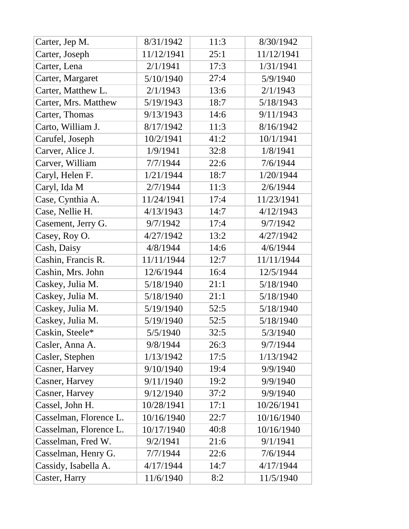| Carter, Jep M.         | 8/31/1942  | 11:3 | 8/30/1942  |
|------------------------|------------|------|------------|
| Carter, Joseph         | 11/12/1941 | 25:1 | 11/12/1941 |
| Carter, Lena           | 2/1/1941   | 17:3 | 1/31/1941  |
| Carter, Margaret       | 5/10/1940  | 27:4 | 5/9/1940   |
| Carter, Matthew L.     | 2/1/1943   | 13:6 | 2/1/1943   |
| Carter, Mrs. Matthew   | 5/19/1943  | 18:7 | 5/18/1943  |
| Carter, Thomas         | 9/13/1943  | 14:6 | 9/11/1943  |
| Carto, William J.      | 8/17/1942  | 11:3 | 8/16/1942  |
| Carufel, Joseph        | 10/2/1941  | 41:2 | 10/1/1941  |
| Carver, Alice J.       | 1/9/1941   | 32:8 | 1/8/1941   |
| Carver, William        | 7/7/1944   | 22:6 | 7/6/1944   |
| Caryl, Helen F.        | 1/21/1944  | 18:7 | 1/20/1944  |
| Caryl, Ida M           | 2/7/1944   | 11:3 | 2/6/1944   |
| Case, Cynthia A.       | 11/24/1941 | 17:4 | 11/23/1941 |
| Case, Nellie H.        | 4/13/1943  | 14:7 | 4/12/1943  |
| Casement, Jerry G.     | 9/7/1942   | 17:4 | 9/7/1942   |
| Casey, Roy O.          | 4/27/1942  | 13:2 | 4/27/1942  |
| Cash, Daisy            | 4/8/1944   | 14:6 | 4/6/1944   |
| Cashin, Francis R.     | 11/11/1944 | 12:7 | 11/11/1944 |
| Cashin, Mrs. John      | 12/6/1944  | 16:4 | 12/5/1944  |
| Caskey, Julia M.       | 5/18/1940  | 21:1 | 5/18/1940  |
| Caskey, Julia M.       | 5/18/1940  | 21:1 | 5/18/1940  |
| Caskey, Julia M.       | 5/19/1940  | 52:5 | 5/18/1940  |
| Caskey, Julia M.       | 5/19/1940  | 52:5 | 5/18/1940  |
| Caskin, Steele*        | 5/5/1940   | 32:5 | 5/3/1940   |
| Casler, Anna A.        | 9/8/1944   | 26:3 | 9/7/1944   |
| Casler, Stephen        | 1/13/1942  | 17:5 | 1/13/1942  |
| Casner, Harvey         | 9/10/1940  | 19:4 | 9/9/1940   |
| Casner, Harvey         | 9/11/1940  | 19:2 | 9/9/1940   |
| Casner, Harvey         | 9/12/1940  | 37:2 | 9/9/1940   |
| Cassel, John H.        | 10/28/1941 | 17:1 | 10/26/1941 |
| Casselman, Florence L. | 10/16/1940 | 22:7 | 10/16/1940 |
| Casselman, Florence L. | 10/17/1940 | 40:8 | 10/16/1940 |
| Casselman, Fred W.     | 9/2/1941   | 21:6 | 9/1/1941   |
| Casselman, Henry G.    | 7/7/1944   | 22:6 | 7/6/1944   |
| Cassidy, Isabella A.   | 4/17/1944  | 14:7 | 4/17/1944  |
| Caster, Harry          | 11/6/1940  | 8:2  | 11/5/1940  |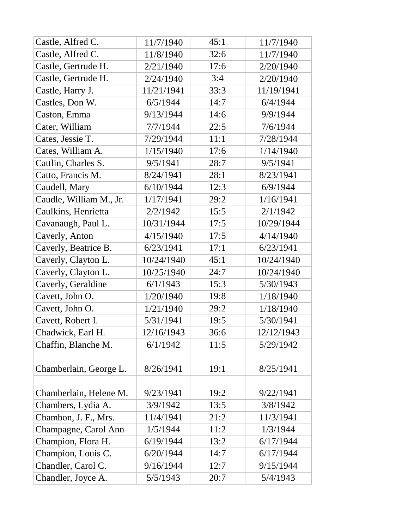| Castle, Alfred C.       | 11/7/1940  | 45:1 | 11/7/1940  |
|-------------------------|------------|------|------------|
| Castle, Alfred C.       | 11/8/1940  | 32:6 | 11/7/1940  |
| Castle, Gertrude H.     | 2/21/1940  | 17:6 | 2/20/1940  |
| Castle, Gertrude H.     | 2/24/1940  | 3:4  | 2/20/1940  |
| Castle, Harry J.        | 11/21/1941 | 33:3 | 11/19/1941 |
| Castles, Don W.         | 6/5/1944   | 14:7 | 6/4/1944   |
| Caston, Emma            | 9/13/1944  | 14:6 | 9/9/1944   |
| Cater, William          | 7/7/1944   | 22:5 | 7/6/1944   |
| Cates, Jessie T.        | 7/29/1944  | 11:1 | 7/28/1944  |
| Cates, William A.       | 1/15/1940  | 17:6 | 1/14/1940  |
| Cattlin, Charles S.     | 9/5/1941   | 28:7 | 9/5/1941   |
| Catto, Francis M.       | 8/24/1941  | 28:1 | 8/23/1941  |
| Caudell, Mary           | 6/10/1944  | 12:3 | 6/9/1944   |
| Caudle, William M., Jr. | 1/17/1941  | 29:2 | 1/16/1941  |
| Caulkins, Henrietta     | 2/2/1942   | 15:5 | 2/1/1942   |
| Cavanaugh, Paul L.      | 10/31/1944 | 17:5 | 10/29/1944 |
| Caverly, Anton          | 4/15/1940  | 17:5 | 4/14/1940  |
| Caverly, Beatrice B.    | 6/23/1941  | 17:1 | 6/23/1941  |
| Caverly, Clayton L.     | 10/24/1940 | 45:1 | 10/24/1940 |
| Caverly, Clayton L.     | 10/25/1940 | 24:7 | 10/24/1940 |
| Caverly, Geraldine      | 6/1/1943   | 15:3 | 5/30/1943  |
| Cavett, John O.         | 1/20/1940  | 19:8 | 1/18/1940  |
| Cavett, John O.         | 1/21/1940  | 29:2 | 1/18/1940  |
| Cavett, Robert I.       | 5/31/1941  | 19:5 | 5/30/1941  |
| Chadwick, Earl H.       | 12/16/1943 | 36:6 | 12/12/1943 |
| Chaffin, Blanche M.     | 6/1/1942   | 11:5 | 5/29/1942  |
| Chamberlain, George L.  | 8/26/1941  | 19:1 | 8/25/1941  |
| Chamberlain, Helene M.  | 9/23/1941  | 19:2 | 9/22/1941  |
| Chambers, Lydia A.      | 3/9/1942   | 13:5 | 3/8/1942   |
| Chambon, J. F., Mrs.    | 11/4/1941  | 21:2 | 11/3/1941  |
| Champagne, Carol Ann    | 1/5/1944   | 11:2 | 1/3/1944   |
| Champion, Flora H.      | 6/19/1944  | 13:2 | 6/17/1944  |
| Champion, Louis C.      | 6/20/1944  | 14:7 | 6/17/1944  |
| Chandler, Carol C.      | 9/16/1944  | 12:7 | 9/15/1944  |
| Chandler, Joyce A.      | 5/5/1943   | 20:7 | 5/4/1943   |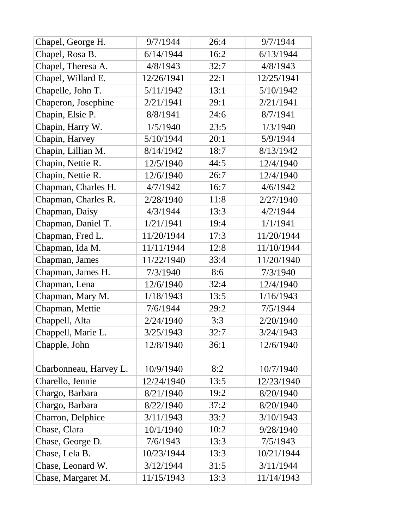| Chapel, George H.      | 9/7/1944   | 26:4 | 9/7/1944   |
|------------------------|------------|------|------------|
| Chapel, Rosa B.        | 6/14/1944  | 16:2 | 6/13/1944  |
| Chapel, Theresa A.     | 4/8/1943   | 32:7 | 4/8/1943   |
| Chapel, Willard E.     | 12/26/1941 | 22:1 | 12/25/1941 |
| Chapelle, John T.      | 5/11/1942  | 13:1 | 5/10/1942  |
| Chaperon, Josephine    | 2/21/1941  | 29:1 | 2/21/1941  |
| Chapin, Elsie P.       | 8/8/1941   | 24:6 | 8/7/1941   |
| Chapin, Harry W.       | 1/5/1940   | 23:5 | 1/3/1940   |
| Chapin, Harvey         | 5/10/1944  | 20:1 | 5/9/1944   |
| Chapin, Lillian M.     | 8/14/1942  | 18:7 | 8/13/1942  |
| Chapin, Nettie R.      | 12/5/1940  | 44:5 | 12/4/1940  |
| Chapin, Nettie R.      | 12/6/1940  | 26:7 | 12/4/1940  |
| Chapman, Charles H.    | 4/7/1942   | 16:7 | 4/6/1942   |
| Chapman, Charles R.    | 2/28/1940  | 11:8 | 2/27/1940  |
| Chapman, Daisy         | 4/3/1944   | 13:3 | 4/2/1944   |
| Chapman, Daniel T.     | 1/21/1941  | 19:4 | 1/1/1941   |
| Chapman, Fred L.       | 11/20/1944 | 17:3 | 11/20/1944 |
| Chapman, Ida M.        | 11/11/1944 | 12:8 | 11/10/1944 |
| Chapman, James         | 11/22/1940 | 33:4 | 11/20/1940 |
| Chapman, James H.      | 7/3/1940   | 8:6  | 7/3/1940   |
| Chapman, Lena          | 12/6/1940  | 32:4 | 12/4/1940  |
| Chapman, Mary M.       | 1/18/1943  | 13:5 | 1/16/1943  |
| Chapman, Mettie        | 7/6/1944   | 29:2 | 7/5/1944   |
| Chappell, Alta         | 2/24/1940  | 3:3  | 2/20/1940  |
| Chappell, Marie L.     | 3/25/1943  | 32:7 | 3/24/1943  |
| Chapple, John          | 12/8/1940  | 36:1 | 12/6/1940  |
|                        |            |      |            |
| Charbonneau, Harvey L. | 10/9/1940  | 8:2  | 10/7/1940  |
| Charello, Jennie       | 12/24/1940 | 13:5 | 12/23/1940 |
| Chargo, Barbara        | 8/21/1940  | 19:2 | 8/20/1940  |
| Chargo, Barbara        | 8/22/1940  | 37:2 | 8/20/1940  |
| Charron, Delphice      | 3/11/1943  | 33:2 | 3/10/1943  |
| Chase, Clara           | 10/1/1940  | 10:2 | 9/28/1940  |
| Chase, George D.       | 7/6/1943   | 13:3 | 7/5/1943   |
| Chase, Lela B.         | 10/23/1944 | 13:3 | 10/21/1944 |
| Chase, Leonard W.      | 3/12/1944  | 31:5 | 3/11/1944  |
| Chase, Margaret M.     | 11/15/1943 | 13:3 | 11/14/1943 |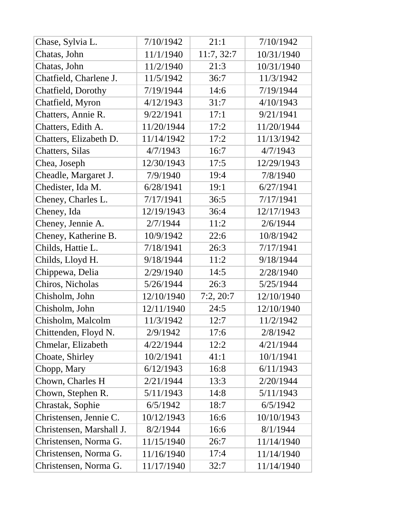| Chase, Sylvia L.         | 7/10/1942  | 21:1       | 7/10/1942  |
|--------------------------|------------|------------|------------|
| Chatas, John             | 11/1/1940  | 11:7, 32:7 | 10/31/1940 |
| Chatas, John             | 11/2/1940  | 21:3       | 10/31/1940 |
| Chatfield, Charlene J.   | 11/5/1942  | 36:7       | 11/3/1942  |
| Chatfield, Dorothy       | 7/19/1944  | 14:6       | 7/19/1944  |
| Chatfield, Myron         | 4/12/1943  | 31:7       | 4/10/1943  |
| Chatters, Annie R.       | 9/22/1941  | 17:1       | 9/21/1941  |
| Chatters, Edith A.       | 11/20/1944 | 17:2       | 11/20/1944 |
| Chatters, Elizabeth D.   | 11/14/1942 | 17:2       | 11/13/1942 |
| Chatters, Silas          | 4/7/1943   | 16:7       | 4/7/1943   |
| Chea, Joseph             | 12/30/1943 | 17:5       | 12/29/1943 |
| Cheadle, Margaret J.     | 7/9/1940   | 19:4       | 7/8/1940   |
| Chedister, Ida M.        | 6/28/1941  | 19:1       | 6/27/1941  |
| Cheney, Charles L.       | 7/17/1941  | 36:5       | 7/17/1941  |
| Cheney, Ida              | 12/19/1943 | 36:4       | 12/17/1943 |
| Cheney, Jennie A.        | 2/7/1944   | 11:2       | 2/6/1944   |
| Cheney, Katherine B.     | 10/9/1942  | 22:6       | 10/8/1942  |
| Childs, Hattie L.        | 7/18/1941  | 26:3       | 7/17/1941  |
| Childs, Lloyd H.         | 9/18/1944  | 11:2       | 9/18/1944  |
| Chippewa, Delia          | 2/29/1940  | 14:5       | 2/28/1940  |
| Chiros, Nicholas         | 5/26/1944  | 26:3       | 5/25/1944  |
| Chisholm, John           | 12/10/1940 | 7:2,20:7   | 12/10/1940 |
| Chisholm, John           | 12/11/1940 | 24:5       | 12/10/1940 |
| Chisholm, Malcolm        | 11/3/1942  | 12:7       | 11/2/1942  |
| Chittenden, Floyd N.     | 2/9/1942   | 17:6       | 2/8/1942   |
| Chmelar, Elizabeth       | 4/22/1944  | 12:2       | 4/21/1944  |
| Choate, Shirley          | 10/2/1941  | 41:1       | 10/1/1941  |
| Chopp, Mary              | 6/12/1943  | 16:8       | 6/11/1943  |
| Chown, Charles H         | 2/21/1944  | 13:3       | 2/20/1944  |
| Chown, Stephen R.        | 5/11/1943  | 14:8       | 5/11/1943  |
| Chrastak, Sophie         | 6/5/1942   | 18:7       | 6/5/1942   |
| Christensen, Jennie C.   | 10/12/1943 | 16:6       | 10/10/1943 |
| Christensen, Marshall J. | 8/2/1944   | 16:6       | 8/1/1944   |
| Christensen, Norma G.    | 11/15/1940 | 26:7       | 11/14/1940 |
| Christensen, Norma G.    | 11/16/1940 | 17:4       | 11/14/1940 |
| Christensen, Norma G.    | 11/17/1940 | 32:7       | 11/14/1940 |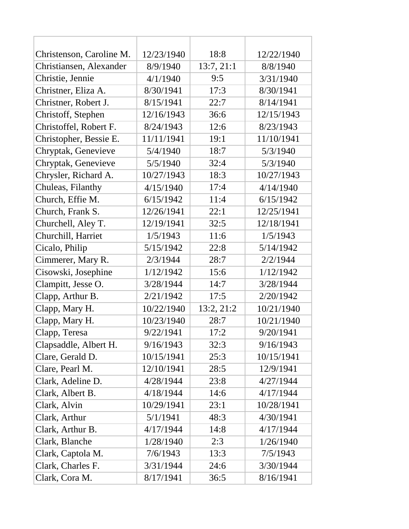| Christenson, Caroline M. | 12/23/1940 | 18:8       | 12/22/1940 |
|--------------------------|------------|------------|------------|
| Christiansen, Alexander  | 8/9/1940   | 13:7, 21:1 | 8/8/1940   |
| Christie, Jennie         | 4/1/1940   | 9:5        | 3/31/1940  |
| Christner, Eliza A.      | 8/30/1941  | 17:3       | 8/30/1941  |
| Christner, Robert J.     | 8/15/1941  | 22:7       | 8/14/1941  |
| Christoff, Stephen       | 12/16/1943 | 36:6       | 12/15/1943 |
| Christoffel, Robert F.   | 8/24/1943  | 12:6       | 8/23/1943  |
| Christopher, Bessie E.   | 11/11/1941 | 19:1       | 11/10/1941 |
| Chryptak, Genevieve      | 5/4/1940   | 18:7       | 5/3/1940   |
| Chryptak, Genevieve      | 5/5/1940   | 32:4       | 5/3/1940   |
| Chrysler, Richard A.     | 10/27/1943 | 18:3       | 10/27/1943 |
| Chuleas, Filanthy        | 4/15/1940  | 17:4       | 4/14/1940  |
| Church, Effie M.         | 6/15/1942  | 11:4       | 6/15/1942  |
| Church, Frank S.         | 12/26/1941 | 22:1       | 12/25/1941 |
| Churchell, Aley T.       | 12/19/1941 | 32:5       | 12/18/1941 |
| Churchill, Harriet       | 1/5/1943   | 11:6       | 1/5/1943   |
| Cicalo, Philip           | 5/15/1942  | 22:8       | 5/14/1942  |
| Cimmerer, Mary R.        | 2/3/1944   | 28:7       | 2/2/1944   |
| Cisowski, Josephine      | 1/12/1942  | 15:6       | 1/12/1942  |
| Clampitt, Jesse O.       | 3/28/1944  | 14:7       | 3/28/1944  |
| Clapp, Arthur B.         | 2/21/1942  | 17:5       | 2/20/1942  |
| Clapp, Mary H.           | 10/22/1940 | 13:2, 21:2 | 10/21/1940 |
| Clapp, Mary H.           | 10/23/1940 | 28:7       | 10/21/1940 |
| Clapp, Teresa            | 9/22/1941  | 17:2       | 9/20/1941  |
| Clapsaddle, Albert H.    | 9/16/1943  | 32:3       | 9/16/1943  |
| Clare, Gerald D.         | 10/15/1941 | 25:3       | 10/15/1941 |
| Clare, Pearl M.          | 12/10/1941 | 28:5       | 12/9/1941  |
| Clark, Adeline D.        | 4/28/1944  | 23:8       | 4/27/1944  |
| Clark, Albert B.         | 4/18/1944  | 14:6       | 4/17/1944  |
| Clark, Alvin             | 10/29/1941 | 23:1       | 10/28/1941 |
| Clark, Arthur            | 5/1/1941   | 48:3       | 4/30/1941  |
| Clark, Arthur B.         | 4/17/1944  | 14:8       | 4/17/1944  |
| Clark, Blanche           | 1/28/1940  | 2:3        | 1/26/1940  |
| Clark, Captola M.        | 7/6/1943   | 13:3       | 7/5/1943   |
| Clark, Charles F.        | 3/31/1944  | 24:6       | 3/30/1944  |
| Clark, Cora M.           | 8/17/1941  | 36:5       | 8/16/1941  |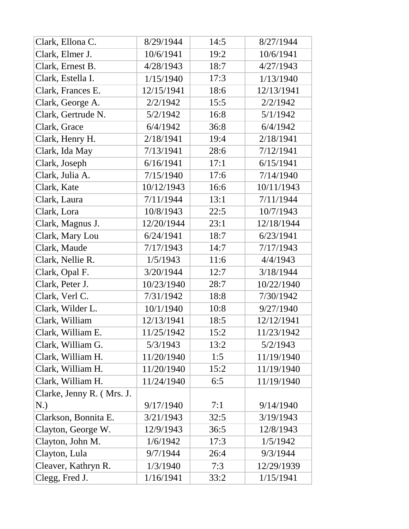| Clark, Ellona C.          | 8/29/1944  | 14:5 | 8/27/1944  |
|---------------------------|------------|------|------------|
| Clark, Elmer J.           | 10/6/1941  | 19:2 | 10/6/1941  |
| Clark, Ernest B.          | 4/28/1943  | 18:7 | 4/27/1943  |
| Clark, Estella I.         | 1/15/1940  | 17:3 | 1/13/1940  |
| Clark, Frances E.         | 12/15/1941 | 18:6 | 12/13/1941 |
| Clark, George A.          | 2/2/1942   | 15:5 | 2/2/1942   |
| Clark, Gertrude N.        | 5/2/1942   | 16:8 | 5/1/1942   |
| Clark, Grace              | 6/4/1942   | 36:8 | 6/4/1942   |
| Clark, Henry H.           | 2/18/1941  | 19:4 | 2/18/1941  |
| Clark, Ida May            | 7/13/1941  | 28:6 | 7/12/1941  |
| Clark, Joseph             | 6/16/1941  | 17:1 | 6/15/1941  |
| Clark, Julia A.           | 7/15/1940  | 17:6 | 7/14/1940  |
| Clark, Kate               | 10/12/1943 | 16:6 | 10/11/1943 |
| Clark, Laura              | 7/11/1944  | 13:1 | 7/11/1944  |
| Clark, Lora               | 10/8/1943  | 22:5 | 10/7/1943  |
| Clark, Magnus J.          | 12/20/1944 | 23:1 | 12/18/1944 |
| Clark, Mary Lou           | 6/24/1941  | 18:7 | 6/23/1941  |
| Clark, Maude              | 7/17/1943  | 14:7 | 7/17/1943  |
| Clark, Nellie R.          | 1/5/1943   | 11:6 | 4/4/1943   |
| Clark, Opal F.            | 3/20/1944  | 12:7 | 3/18/1944  |
| Clark, Peter J.           | 10/23/1940 | 28:7 | 10/22/1940 |
| Clark, Verl C.            | 7/31/1942  | 18:8 | 7/30/1942  |
| Clark, Wilder L.          | 10/1/1940  | 10:8 | 9/27/1940  |
| Clark, William            | 12/13/1941 | 18:5 | 12/12/1941 |
| Clark, William E.         | 11/25/1942 | 15:2 | 11/23/1942 |
| Clark, William G.         | 5/3/1943   | 13:2 | 5/2/1943   |
| Clark, William H.         | 11/20/1940 | 1:5  | 11/19/1940 |
| Clark, William H.         | 11/20/1940 | 15:2 | 11/19/1940 |
| Clark, William H.         | 11/24/1940 | 6:5  | 11/19/1940 |
| Clarke, Jenny R. (Mrs. J. |            |      |            |
| N.)                       | 9/17/1940  | 7:1  | 9/14/1940  |
| Clarkson, Bonnita E.      | 3/21/1943  | 32:5 | 3/19/1943  |
| Clayton, George W.        | 12/9/1943  | 36:5 | 12/8/1943  |
| Clayton, John M.          | 1/6/1942   | 17:3 | 1/5/1942   |
| Clayton, Lula             | 9/7/1944   | 26:4 | 9/3/1944   |
| Cleaver, Kathryn R.       | 1/3/1940   | 7:3  | 12/29/1939 |
| Clegg, Fred J.            | 1/16/1941  | 33:2 | 1/15/1941  |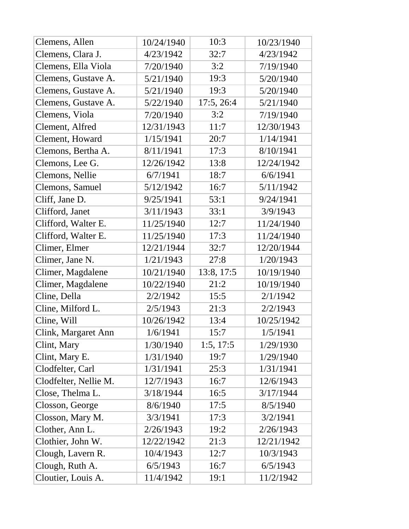| Clemens, Allen        | 10/24/1940 | 10:3       | 10/23/1940 |
|-----------------------|------------|------------|------------|
| Clemens, Clara J.     | 4/23/1942  | 32:7       | 4/23/1942  |
| Clemens, Ella Viola   | 7/20/1940  | 3:2        | 7/19/1940  |
| Clemens, Gustave A.   | 5/21/1940  | 19:3       | 5/20/1940  |
| Clemens, Gustave A.   | 5/21/1940  | 19:3       | 5/20/1940  |
| Clemens, Gustave A.   | 5/22/1940  | 17:5, 26:4 | 5/21/1940  |
| Clemens, Viola        | 7/20/1940  | 3:2        | 7/19/1940  |
| Clement, Alfred       | 12/31/1943 | 11:7       | 12/30/1943 |
| Clement, Howard       | 1/15/1941  | 20:7       | 1/14/1941  |
| Clemons, Bertha A.    | 8/11/1941  | 17:3       | 8/10/1941  |
| Clemons, Lee G.       | 12/26/1942 | 13:8       | 12/24/1942 |
| Clemons, Nellie       | 6/7/1941   | 18:7       | 6/6/1941   |
| Clemons, Samuel       | 5/12/1942  | 16:7       | 5/11/1942  |
| Cliff, Jane D.        | 9/25/1941  | 53:1       | 9/24/1941  |
| Clifford, Janet       | 3/11/1943  | 33:1       | 3/9/1943   |
| Clifford, Walter E.   | 11/25/1940 | 12:7       | 11/24/1940 |
| Clifford, Walter E.   | 11/25/1940 | 17:3       | 11/24/1940 |
| Climer, Elmer         | 12/21/1944 | 32:7       | 12/20/1944 |
| Climer, Jane N.       | 1/21/1943  | 27:8       | 1/20/1943  |
| Climer, Magdalene     | 10/21/1940 | 13:8, 17:5 | 10/19/1940 |
| Climer, Magdalene     | 10/22/1940 | 21:2       | 10/19/1940 |
| Cline, Della          | 2/2/1942   | 15:5       | 2/1/1942   |
| Cline, Milford L.     | 2/5/1943   | 21:3       | 2/2/1943   |
| Cline, Will           | 10/26/1942 | 13:4       | 10/25/1942 |
| Clink, Margaret Ann   | 1/6/1941   | 15:7       | 1/5/1941   |
| Clint, Mary           | 1/30/1940  | 1:5, 17:5  | 1/29/1930  |
| Clint, Mary E.        | 1/31/1940  | 19:7       | 1/29/1940  |
| Clodfelter, Carl      | 1/31/1941  | 25:3       | 1/31/1941  |
| Clodfelter, Nellie M. | 12/7/1943  | 16:7       | 12/6/1943  |
| Close, Thelma L.      | 3/18/1944  | 16:5       | 3/17/1944  |
| Closson, George       | 8/6/1940   | 17:5       | 8/5/1940   |
| Closson, Mary M.      | 3/3/1941   | 17:3       | 3/2/1941   |
| Clother, Ann L.       | 2/26/1943  | 19:2       | 2/26/1943  |
| Clothier, John W.     | 12/22/1942 | 21:3       | 12/21/1942 |
| Clough, Lavern R.     | 10/4/1943  | 12:7       | 10/3/1943  |
| Clough, Ruth A.       | 6/5/1943   | 16:7       | 6/5/1943   |
| Cloutier, Louis A.    | 11/4/1942  | 19:1       | 11/2/1942  |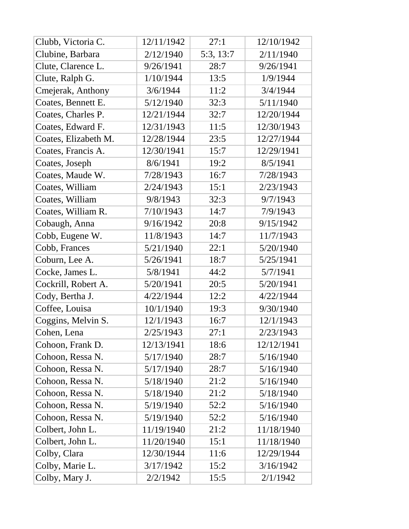| Clubb, Victoria C.   | 12/11/1942 | 27:1      | 12/10/1942 |
|----------------------|------------|-----------|------------|
| Clubine, Barbara     | 2/12/1940  | 5:3, 13:7 | 2/11/1940  |
| Clute, Clarence L.   | 9/26/1941  | 28:7      | 9/26/1941  |
| Clute, Ralph G.      | 1/10/1944  | 13:5      | 1/9/1944   |
| Cmejerak, Anthony    | 3/6/1944   | 11:2      | 3/4/1944   |
| Coates, Bennett E.   | 5/12/1940  | 32:3      | 5/11/1940  |
| Coates, Charles P.   | 12/21/1944 | 32:7      | 12/20/1944 |
| Coates, Edward F.    | 12/31/1943 | 11:5      | 12/30/1943 |
| Coates, Elizabeth M. | 12/28/1944 | 23:5      | 12/27/1944 |
| Coates, Francis A.   | 12/30/1941 | 15:7      | 12/29/1941 |
| Coates, Joseph       | 8/6/1941   | 19:2      | 8/5/1941   |
| Coates, Maude W.     | 7/28/1943  | 16:7      | 7/28/1943  |
| Coates, William      | 2/24/1943  | 15:1      | 2/23/1943  |
| Coates, William      | 9/8/1943   | 32:3      | 9/7/1943   |
| Coates, William R.   | 7/10/1943  | 14:7      | 7/9/1943   |
| Cobaugh, Anna        | 9/16/1942  | 20:8      | 9/15/1942  |
| Cobb, Eugene W.      | 11/8/1943  | 14:7      | 11/7/1943  |
| Cobb, Frances        | 5/21/1940  | 22:1      | 5/20/1940  |
| Coburn, Lee A.       | 5/26/1941  | 18:7      | 5/25/1941  |
| Cocke, James L.      | 5/8/1941   | 44:2      | 5/7/1941   |
| Cockrill, Robert A.  | 5/20/1941  | 20:5      | 5/20/1941  |
| Cody, Bertha J.      | 4/22/1944  | 12:2      | 4/22/1944  |
| Coffee, Louisa       | 10/1/1940  | 19:3      | 9/30/1940  |
| Coggins, Melvin S.   | 12/1/1943  | 16:7      | 12/1/1943  |
| Cohen, Lena          | 2/25/1943  | 27:1      | 2/23/1943  |
| Cohoon, Frank D.     | 12/13/1941 | 18:6      | 12/12/1941 |
| Cohoon, Ressa N.     | 5/17/1940  | 28:7      | 5/16/1940  |
| Cohoon, Ressa N.     | 5/17/1940  | 28:7      | 5/16/1940  |
| Cohoon, Ressa N.     | 5/18/1940  | 21:2      | 5/16/1940  |
| Cohoon, Ressa N.     | 5/18/1940  | 21:2      | 5/18/1940  |
| Cohoon, Ressa N.     | 5/19/1940  | 52:2      | 5/16/1940  |
| Cohoon, Ressa N.     | 5/19/1940  | 52:2      | 5/16/1940  |
| Colbert, John L.     | 11/19/1940 | 21:2      | 11/18/1940 |
| Colbert, John L.     | 11/20/1940 | 15:1      | 11/18/1940 |
| Colby, Clara         | 12/30/1944 | 11:6      | 12/29/1944 |
| Colby, Marie L.      | 3/17/1942  | 15:2      | 3/16/1942  |
| Colby, Mary J.       | 2/2/1942   | 15:5      | 2/1/1942   |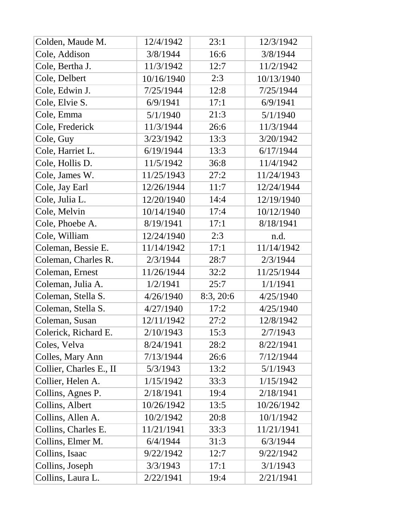| Colden, Maude M.        | 12/4/1942  | 23:1      | 12/3/1942  |
|-------------------------|------------|-----------|------------|
| Cole, Addison           | 3/8/1944   | 16:6      | 3/8/1944   |
| Cole, Bertha J.         | 11/3/1942  | 12:7      | 11/2/1942  |
| Cole, Delbert           | 10/16/1940 | 2:3       | 10/13/1940 |
| Cole, Edwin J.          | 7/25/1944  | 12:8      | 7/25/1944  |
| Cole, Elvie S.          | 6/9/1941   | 17:1      | 6/9/1941   |
| Cole, Emma              | 5/1/1940   | 21:3      | 5/1/1940   |
| Cole, Frederick         | 11/3/1944  | 26:6      | 11/3/1944  |
| Cole, Guy               | 3/23/1942  | 13:3      | 3/20/1942  |
| Cole, Harriet L.        | 6/19/1944  | 13:3      | 6/17/1944  |
| Cole, Hollis D.         | 11/5/1942  | 36:8      | 11/4/1942  |
| Cole, James W.          | 11/25/1943 | 27:2      | 11/24/1943 |
| Cole, Jay Earl          | 12/26/1944 | 11:7      | 12/24/1944 |
| Cole, Julia L.          | 12/20/1940 | 14:4      | 12/19/1940 |
| Cole, Melvin            | 10/14/1940 | 17:4      | 10/12/1940 |
| Cole, Phoebe A.         | 8/19/1941  | 17:1      | 8/18/1941  |
| Cole, William           | 12/24/1940 | 2:3       | n.d.       |
| Coleman, Bessie E.      | 11/14/1942 | 17:1      | 11/14/1942 |
| Coleman, Charles R.     | 2/3/1944   | 28:7      | 2/3/1944   |
| Coleman, Ernest         | 11/26/1944 | 32:2      | 11/25/1944 |
| Coleman, Julia A.       | 1/2/1941   | 25:7      | 1/1/1941   |
| Coleman, Stella S.      | 4/26/1940  | 8:3, 20:6 | 4/25/1940  |
| Coleman, Stella S.      | 4/27/1940  | 17:2      | 4/25/1940  |
| Coleman, Susan          | 12/11/1942 | 27:2      | 12/8/1942  |
| Colerick, Richard E.    | 2/10/1943  | 15:3      | 2/7/1943   |
| Coles, Velva            | 8/24/1941  | 28:2      | 8/22/1941  |
| Colles, Mary Ann        | 7/13/1944  | 26:6      | 7/12/1944  |
| Collier, Charles E., II | 5/3/1943   | 13:2      | 5/1/1943   |
| Collier, Helen A.       | 1/15/1942  | 33:3      | 1/15/1942  |
| Collins, Agnes P.       | 2/18/1941  | 19:4      | 2/18/1941  |
| Collins, Albert         | 10/26/1942 | 13:5      | 10/26/1942 |
| Collins, Allen A.       | 10/2/1942  | 20:8      | 10/1/1942  |
| Collins, Charles E.     | 11/21/1941 | 33:3      | 11/21/1941 |
| Collins, Elmer M.       | 6/4/1944   | 31:3      | 6/3/1944   |
| Collins, Isaac          | 9/22/1942  | 12:7      | 9/22/1942  |
| Collins, Joseph         | 3/3/1943   | 17:1      | 3/1/1943   |
| Collins, Laura L.       | 2/22/1941  | 19:4      | 2/21/1941  |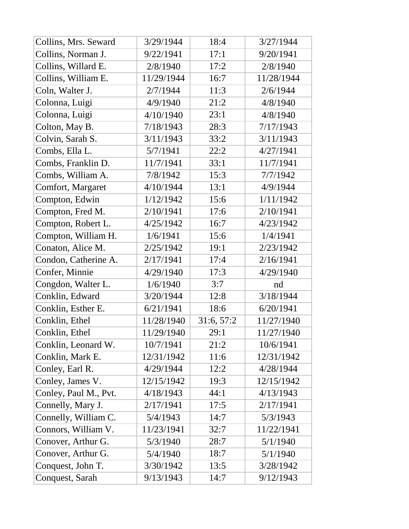| Collins, Mrs. Seward  | 3/29/1944  | 18:4       | 3/27/1944  |
|-----------------------|------------|------------|------------|
| Collins, Norman J.    | 9/22/1941  | 17:1       | 9/20/1941  |
| Collins, Willard E.   | 2/8/1940   | 17:2       | 2/8/1940   |
| Collins, William E.   | 11/29/1944 | 16:7       | 11/28/1944 |
| Coln, Walter J.       | 2/7/1944   | 11:3       | 2/6/1944   |
| Colonna, Luigi        | 4/9/1940   | 21:2       | 4/8/1940   |
| Colonna, Luigi        | 4/10/1940  | 23:1       | 4/8/1940   |
| Colton, May B.        | 7/18/1943  | 28:3       | 7/17/1943  |
| Colvin, Sarah S.      | 3/11/1943  | 33:2       | 3/11/1943  |
| Combs, Ella L.        | 5/7/1941   | 22:2       | 4/27/1941  |
| Combs, Franklin D.    | 11/7/1941  | 33:1       | 11/7/1941  |
| Combs, William A.     | 7/8/1942   | 15:3       | 7/7/1942   |
| Comfort, Margaret     | 4/10/1944  | 13:1       | 4/9/1944   |
| Compton, Edwin        | 1/12/1942  | 15:6       | 1/11/1942  |
| Compton, Fred M.      | 2/10/1941  | 17:6       | 2/10/1941  |
| Compton, Robert L.    | 4/25/1942  | 16:7       | 4/23/1942  |
| Compton, William H.   | 1/6/1941   | 15:6       | 1/4/1941   |
| Conaton, Alice M.     | 2/25/1942  | 19:1       | 2/23/1942  |
| Condon, Catherine A.  | 2/17/1941  | 17:4       | 2/16/1941  |
| Confer, Minnie        | 4/29/1940  | 17:3       | 4/29/1940  |
| Congdon, Walter L.    | 1/6/1940   | 3:7        | nd         |
| Conklin, Edward       | 3/20/1944  | 12:8       | 3/18/1944  |
| Conklin, Esther E.    | 6/21/1941  | 18:6       | 6/20/1941  |
| Conklin, Ethel        | 11/28/1940 | 31:6, 57:2 | 11/27/1940 |
| Conklin, Ethel        | 11/29/1940 | 29:1       | 11/27/1940 |
| Conklin, Leonard W.   | 10/7/1941  | 21:2       | 10/6/1941  |
| Conklin, Mark E.      | 12/31/1942 | 11:6       | 12/31/1942 |
| Conley, Earl R.       | 4/29/1944  | 12:2       | 4/28/1944  |
| Conley, James V.      | 12/15/1942 | 19:3       | 12/15/1942 |
| Conley, Paul M., Pvt. | 4/18/1943  | 44:1       | 4/13/1943  |
| Connelly, Mary J.     | 2/17/1941  | 17:5       | 2/17/1941  |
| Connelly, William C.  | 5/4/1943   | 14:7       | 5/3/1943   |
| Connors, William V.   | 11/23/1941 | 32:7       | 11/22/1941 |
| Conover, Arthur G.    | 5/3/1940   | 28:7       | 5/1/1940   |
| Conover, Arthur G.    | 5/4/1940   | 18:7       | 5/1/1940   |
| Conquest, John T.     | 3/30/1942  | 13:5       | 3/28/1942  |
| Conquest, Sarah       | 9/13/1943  | 14:7       | 9/12/1943  |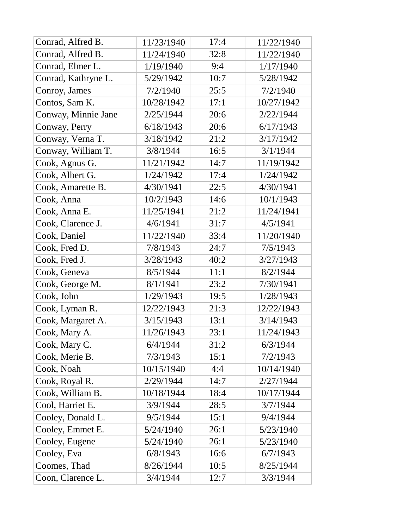| Conrad, Alfred B.   | 11/23/1940 | 17:4 | 11/22/1940 |
|---------------------|------------|------|------------|
| Conrad, Alfred B.   | 11/24/1940 | 32:8 | 11/22/1940 |
| Conrad, Elmer L.    | 1/19/1940  | 9:4  | 1/17/1940  |
| Conrad, Kathryne L. | 5/29/1942  | 10:7 | 5/28/1942  |
| Conroy, James       | 7/2/1940   | 25:5 | 7/2/1940   |
| Contos, Sam K.      | 10/28/1942 | 17:1 | 10/27/1942 |
| Conway, Minnie Jane | 2/25/1944  | 20:6 | 2/22/1944  |
| Conway, Perry       | 6/18/1943  | 20:6 | 6/17/1943  |
| Conway, Verna T.    | 3/18/1942  | 21:2 | 3/17/1942  |
| Conway, William T.  | 3/8/1944   | 16:5 | 3/1/1944   |
| Cook, Agnus G.      | 11/21/1942 | 14:7 | 11/19/1942 |
| Cook, Albert G.     | 1/24/1942  | 17:4 | 1/24/1942  |
| Cook, Amarette B.   | 4/30/1941  | 22:5 | 4/30/1941  |
| Cook, Anna          | 10/2/1943  | 14:6 | 10/1/1943  |
| Cook, Anna E.       | 11/25/1941 | 21:2 | 11/24/1941 |
| Cook, Clarence J.   | 4/6/1941   | 31:7 | 4/5/1941   |
| Cook, Daniel        | 11/22/1940 | 33:4 | 11/20/1940 |
| Cook, Fred D.       | 7/8/1943   | 24:7 | 7/5/1943   |
| Cook, Fred J.       | 3/28/1943  | 40:2 | 3/27/1943  |
| Cook, Geneva        | 8/5/1944   | 11:1 | 8/2/1944   |
| Cook, George M.     | 8/1/1941   | 23:2 | 7/30/1941  |
| Cook, John          | 1/29/1943  | 19:5 | 1/28/1943  |
| Cook, Lyman R.      | 12/22/1943 | 21:3 | 12/22/1943 |
| Cook, Margaret A.   | 3/15/1943  | 13:1 | 3/14/1943  |
| Cook, Mary A.       | 11/26/1943 | 23:1 | 11/24/1943 |
| Cook, Mary C.       | 6/4/1944   | 31:2 | 6/3/1944   |
| Cook, Merie B.      | 7/3/1943   | 15:1 | 7/2/1943   |
| Cook, Noah          | 10/15/1940 | 4:4  | 10/14/1940 |
| Cook, Royal R.      | 2/29/1944  | 14:7 | 2/27/1944  |
| Cook, William B.    | 10/18/1944 | 18:4 | 10/17/1944 |
| Cool, Harriet E.    | 3/9/1944   | 28:5 | 3/7/1944   |
| Cooley, Donald L.   | 9/5/1944   | 15:1 | 9/4/1944   |
| Cooley, Emmet E.    | 5/24/1940  | 26:1 | 5/23/1940  |
| Cooley, Eugene      | 5/24/1940  | 26:1 | 5/23/1940  |
| Cooley, Eva         | 6/8/1943   | 16:6 | 6/7/1943   |
| Coomes, Thad        | 8/26/1944  | 10:5 | 8/25/1944  |
| Coon, Clarence L.   | 3/4/1944   | 12:7 | 3/3/1944   |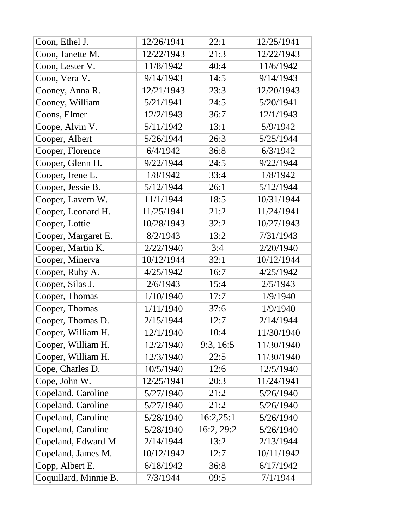| Coon, Ethel J.        | 12/26/1941 | 22:1       | 12/25/1941 |
|-----------------------|------------|------------|------------|
| Coon, Janette M.      | 12/22/1943 | 21:3       | 12/22/1943 |
| Coon, Lester V.       | 11/8/1942  | 40:4       | 11/6/1942  |
| Coon, Vera V.         | 9/14/1943  | 14:5       | 9/14/1943  |
| Cooney, Anna R.       | 12/21/1943 | 23:3       | 12/20/1943 |
| Cooney, William       | 5/21/1941  | 24:5       | 5/20/1941  |
| Coons, Elmer          | 12/2/1943  | 36:7       | 12/1/1943  |
| Coope, Alvin V.       | 5/11/1942  | 13:1       | 5/9/1942   |
| Cooper, Albert        | 5/26/1944  | 26:3       | 5/25/1944  |
| Cooper, Florence      | 6/4/1942   | 36:8       | 6/3/1942   |
| Cooper, Glenn H.      | 9/22/1944  | 24:5       | 9/22/1944  |
| Cooper, Irene L.      | 1/8/1942   | 33:4       | 1/8/1942   |
| Cooper, Jessie B.     | 5/12/1944  | 26:1       | 5/12/1944  |
| Cooper, Lavern W.     | 11/1/1944  | 18:5       | 10/31/1944 |
| Cooper, Leonard H.    | 11/25/1941 | 21:2       | 11/24/1941 |
| Cooper, Lottie        | 10/28/1943 | 32:2       | 10/27/1943 |
| Cooper, Margaret E.   | 8/2/1943   | 13:2       | 7/31/1943  |
| Cooper, Martin K.     | 2/22/1940  | 3:4        | 2/20/1940  |
| Cooper, Minerva       | 10/12/1944 | 32:1       | 10/12/1944 |
| Cooper, Ruby A.       | 4/25/1942  | 16:7       | 4/25/1942  |
| Cooper, Silas J.      | 2/6/1943   | 15:4       | 2/5/1943   |
| Cooper, Thomas        | 1/10/1940  | 17:7       | 1/9/1940   |
| Cooper, Thomas        | 1/11/1940  | 37:6       | 1/9/1940   |
| Cooper, Thomas D.     | 2/15/1944  | 12:7       | 2/14/1944  |
| Cooper, William H.    | 12/1/1940  | 10:4       | 11/30/1940 |
| Cooper, William H.    | 12/2/1940  | 9:3, 16:5  | 11/30/1940 |
| Cooper, William H.    | 12/3/1940  | 22:5       | 11/30/1940 |
| Cope, Charles D.      | 10/5/1940  | 12:6       | 12/5/1940  |
| Cope, John W.         | 12/25/1941 | 20:3       | 11/24/1941 |
| Copeland, Caroline    | 5/27/1940  | 21:2       | 5/26/1940  |
| Copeland, Caroline    | 5/27/1940  | 21:2       | 5/26/1940  |
| Copeland, Caroline    | 5/28/1940  | 16:2,25:1  | 5/26/1940  |
| Copeland, Caroline    | 5/28/1940  | 16:2, 29:2 | 5/26/1940  |
| Copeland, Edward M    | 2/14/1944  | 13:2       | 2/13/1944  |
| Copeland, James M.    | 10/12/1942 | 12:7       | 10/11/1942 |
| Copp, Albert E.       | 6/18/1942  | 36:8       | 6/17/1942  |
| Coquillard, Minnie B. | 7/3/1944   | 09:5       | 7/1/1944   |
|                       |            |            |            |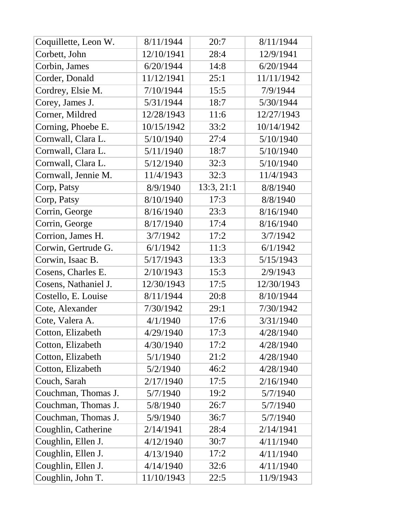| Coquillette, Leon W. | 8/11/1944  | 20:7       | 8/11/1944  |
|----------------------|------------|------------|------------|
| Corbett, John        | 12/10/1941 | 28:4       | 12/9/1941  |
| Corbin, James        | 6/20/1944  | 14:8       | 6/20/1944  |
| Corder, Donald       | 11/12/1941 | 25:1       | 11/11/1942 |
| Cordrey, Elsie M.    | 7/10/1944  | 15:5       | 7/9/1944   |
| Corey, James J.      | 5/31/1944  | 18:7       | 5/30/1944  |
| Corner, Mildred      | 12/28/1943 | 11:6       | 12/27/1943 |
| Corning, Phoebe E.   | 10/15/1942 | 33:2       | 10/14/1942 |
| Cornwall, Clara L.   | 5/10/1940  | 27:4       | 5/10/1940  |
| Cornwall, Clara L.   | 5/11/1940  | 18:7       | 5/10/1940  |
| Cornwall, Clara L.   | 5/12/1940  | 32:3       | 5/10/1940  |
| Cornwall, Jennie M.  | 11/4/1943  | 32:3       | 11/4/1943  |
| Corp, Patsy          | 8/9/1940   | 13:3, 21:1 | 8/8/1940   |
| Corp, Patsy          | 8/10/1940  | 17:3       | 8/8/1940   |
| Corrin, George       | 8/16/1940  | 23:3       | 8/16/1940  |
| Corrin, George       | 8/17/1940  | 17:4       | 8/16/1940  |
| Corrion, James H.    | 3/7/1942   | 17:2       | 3/7/1942   |
| Corwin, Gertrude G.  | 6/1/1942   | 11:3       | 6/1/1942   |
| Corwin, Isaac B.     | 5/17/1943  | 13:3       | 5/15/1943  |
| Cosens, Charles E.   | 2/10/1943  | 15:3       | 2/9/1943   |
| Cosens, Nathaniel J. | 12/30/1943 | 17:5       | 12/30/1943 |
| Costello, E. Louise  | 8/11/1944  | 20:8       | 8/10/1944  |
| Cote, Alexander      | 7/30/1942  | 29:1       | 7/30/1942  |
| Cote, Valera A.      | 4/1/1940   | 17:6       | 3/31/1940  |
| Cotton, Elizabeth    | 4/29/1940  | 17:3       | 4/28/1940  |
| Cotton, Elizabeth    | 4/30/1940  | 17:2       | 4/28/1940  |
| Cotton, Elizabeth    | 5/1/1940   | 21:2       | 4/28/1940  |
| Cotton, Elizabeth    | 5/2/1940   | 46:2       | 4/28/1940  |
| Couch, Sarah         | 2/17/1940  | 17:5       | 2/16/1940  |
| Couchman, Thomas J.  | 5/7/1940   | 19:2       | 5/7/1940   |
| Couchman, Thomas J.  | 5/8/1940   | 26:7       | 5/7/1940   |
| Couchman, Thomas J.  | 5/9/1940   | 36:7       | 5/7/1940   |
| Coughlin, Catherine  | 2/14/1941  | 28:4       | 2/14/1941  |
| Coughlin, Ellen J.   | 4/12/1940  | 30:7       | 4/11/1940  |
| Coughlin, Ellen J.   | 4/13/1940  | 17:2       | 4/11/1940  |
| Coughlin, Ellen J.   | 4/14/1940  | 32:6       | 4/11/1940  |
| Coughlin, John T.    | 11/10/1943 | 22:5       | 11/9/1943  |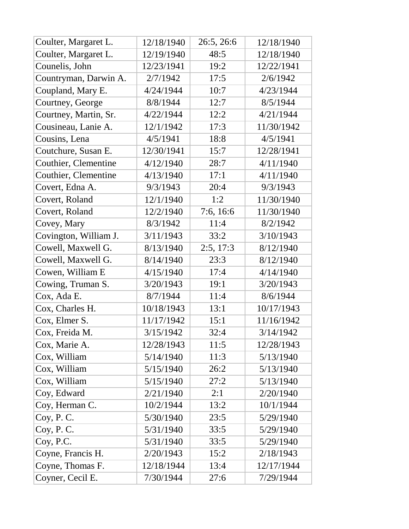| Coulter, Margaret L.  | 12/18/1940 | 26:5, 26:6 | 12/18/1940 |
|-----------------------|------------|------------|------------|
| Coulter, Margaret L.  | 12/19/1940 | 48:5       | 12/18/1940 |
| Counelis, John        | 12/23/1941 | 19:2       | 12/22/1941 |
| Countryman, Darwin A. | 2/7/1942   | 17:5       | 2/6/1942   |
| Coupland, Mary E.     | 4/24/1944  | 10:7       | 4/23/1944  |
| Courtney, George      | 8/8/1944   | 12:7       | 8/5/1944   |
| Courtney, Martin, Sr. | 4/22/1944  | 12:2       | 4/21/1944  |
| Cousineau, Lanie A.   | 12/1/1942  | 17:3       | 11/30/1942 |
| Cousins, Lena         | 4/5/1941   | 18:8       | 4/5/1941   |
| Coutchure, Susan E.   | 12/30/1941 | 15:7       | 12/28/1941 |
| Couthier, Clementine  | 4/12/1940  | 28:7       | 4/11/1940  |
| Couthier, Clementine  | 4/13/1940  | 17:1       | 4/11/1940  |
| Covert, Edna A.       | 9/3/1943   | 20:4       | 9/3/1943   |
| Covert, Roland        | 12/1/1940  | 1:2        | 11/30/1940 |
| Covert, Roland        | 12/2/1940  | 7:6, 16:6  | 11/30/1940 |
| Covey, Mary           | 8/3/1942   | 11:4       | 8/2/1942   |
| Covington, William J. | 3/11/1943  | 33:2       | 3/10/1943  |
| Cowell, Maxwell G.    | 8/13/1940  | 2:5, 17:3  | 8/12/1940  |
| Cowell, Maxwell G.    | 8/14/1940  | 23:3       | 8/12/1940  |
| Cowen, William E      | 4/15/1940  | 17:4       | 4/14/1940  |
| Cowing, Truman S.     | 3/20/1943  | 19:1       | 3/20/1943  |
| Cox, Ada E.           | 8/7/1944   | 11:4       | 8/6/1944   |
| Cox, Charles H.       | 10/18/1943 | 13:1       | 10/17/1943 |
| Cox, Elmer S.         | 11/17/1942 | 15:1       | 11/16/1942 |
| Cox, Freida M.        | 3/15/1942  | 32:4       | 3/14/1942  |
| Cox, Marie A.         | 12/28/1943 | 11:5       | 12/28/1943 |
| Cox, William          | 5/14/1940  | 11:3       | 5/13/1940  |
| Cox, William          | 5/15/1940  | 26:2       | 5/13/1940  |
| Cox, William          | 5/15/1940  | 27:2       | 5/13/1940  |
| Coy, Edward           | 2/21/1940  | 2:1        | 2/20/1940  |
| Coy, Herman C.        | 10/2/1944  | 13:2       | 10/1/1944  |
| Coy, P. C.            | 5/30/1940  | 23:5       | 5/29/1940  |
| Coy, P.C.             | 5/31/1940  | 33:5       | 5/29/1940  |
| Coy, P.C.             | 5/31/1940  | 33:5       | 5/29/1940  |
| Coyne, Francis H.     | 2/20/1943  | 15:2       | 2/18/1943  |
| Coyne, Thomas F.      | 12/18/1944 | 13:4       | 12/17/1944 |
| Coyner, Cecil E.      | 7/30/1944  | 27:6       | 7/29/1944  |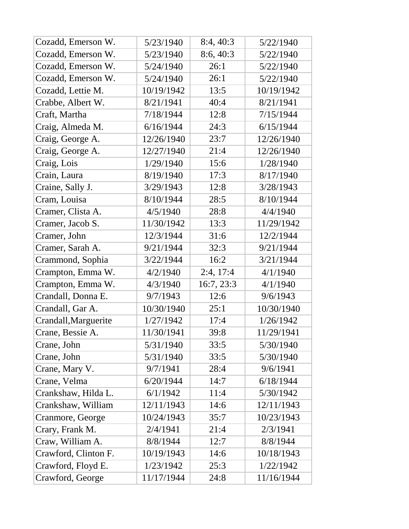| Cozadd, Emerson W.   | 5/23/1940  | 8:4, 40:3  | 5/22/1940  |
|----------------------|------------|------------|------------|
| Cozadd, Emerson W.   | 5/23/1940  | 8:6, 40:3  | 5/22/1940  |
| Cozadd, Emerson W.   | 5/24/1940  | 26:1       | 5/22/1940  |
| Cozadd, Emerson W.   | 5/24/1940  | 26:1       | 5/22/1940  |
| Cozadd, Lettie M.    | 10/19/1942 | 13:5       | 10/19/1942 |
| Crabbe, Albert W.    | 8/21/1941  | 40:4       | 8/21/1941  |
| Craft, Martha        | 7/18/1944  | 12:8       | 7/15/1944  |
| Craig, Almeda M.     | 6/16/1944  | 24:3       | 6/15/1944  |
| Craig, George A.     | 12/26/1940 | 23:7       | 12/26/1940 |
| Craig, George A.     | 12/27/1940 | 21:4       | 12/26/1940 |
| Craig, Lois          | 1/29/1940  | 15:6       | 1/28/1940  |
| Crain, Laura         | 8/19/1940  | 17:3       | 8/17/1940  |
| Craine, Sally J.     | 3/29/1943  | 12:8       | 3/28/1943  |
| Cram, Louisa         | 8/10/1944  | 28:5       | 8/10/1944  |
| Cramer, Clista A.    | 4/5/1940   | 28:8       | 4/4/1940   |
| Cramer, Jacob S.     | 11/30/1942 | 13:3       | 11/29/1942 |
| Cramer, John         | 12/3/1944  | 31:6       | 12/2/1944  |
| Cramer, Sarah A.     | 9/21/1944  | 32:3       | 9/21/1944  |
| Crammond, Sophia     | 3/22/1944  | 16:2       | 3/21/1944  |
| Crampton, Emma W.    | 4/2/1940   | 2:4, 17:4  | 4/1/1940   |
| Crampton, Emma W.    | 4/3/1940   | 16:7, 23:3 | 4/1/1940   |
| Crandall, Donna E.   | 9/7/1943   | 12:6       | 9/6/1943   |
| Crandall, Gar A.     | 10/30/1940 | 25:1       | 10/30/1940 |
| Crandall, Marguerite | 1/27/1942  | 17:4       | 1/26/1942  |
| Crane, Bessie A.     | 11/30/1941 | 39:8       | 11/29/1941 |
| Crane, John          | 5/31/1940  | 33:5       | 5/30/1940  |
| Crane, John          | 5/31/1940  | 33:5       | 5/30/1940  |
| Crane, Mary V.       | 9/7/1941   | 28:4       | 9/6/1941   |
| Crane, Velma         | 6/20/1944  | 14:7       | 6/18/1944  |
| Crankshaw, Hilda L.  | 6/1/1942   | 11:4       | 5/30/1942  |
| Crankshaw, William   | 12/11/1943 | 14:6       | 12/11/1943 |
| Cranmore, George     | 10/24/1943 | 35:7       | 10/23/1943 |
| Crary, Frank M.      | 2/4/1941   | 21:4       | 2/3/1941   |
| Craw, William A.     | 8/8/1944   | 12:7       | 8/8/1944   |
| Crawford, Clinton F. | 10/19/1943 | 14:6       | 10/18/1943 |
| Crawford, Floyd E.   | 1/23/1942  | 25:3       | 1/22/1942  |
| Crawford, George     | 11/17/1944 | 24:8       | 11/16/1944 |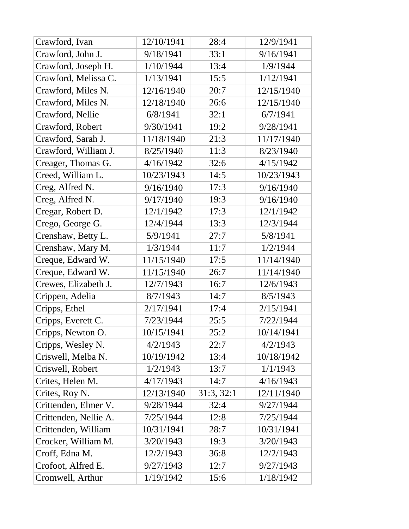| Crawford, Ivan        | 12/10/1941 | 28:4       | 12/9/1941  |
|-----------------------|------------|------------|------------|
| Crawford, John J.     | 9/18/1941  | 33:1       | 9/16/1941  |
| Crawford, Joseph H.   | 1/10/1944  | 13:4       | 1/9/1944   |
| Crawford, Melissa C.  | 1/13/1941  | 15:5       | 1/12/1941  |
| Crawford, Miles N.    | 12/16/1940 | 20:7       | 12/15/1940 |
| Crawford, Miles N.    | 12/18/1940 | 26:6       | 12/15/1940 |
| Crawford, Nellie      | 6/8/1941   | 32:1       | 6/7/1941   |
| Crawford, Robert      | 9/30/1941  | 19:2       | 9/28/1941  |
| Crawford, Sarah J.    | 11/18/1940 | 21:3       | 11/17/1940 |
| Crawford, William J.  | 8/25/1940  | 11:3       | 8/23/1940  |
| Creager, Thomas G.    | 4/16/1942  | 32:6       | 4/15/1942  |
| Creed, William L.     | 10/23/1943 | 14:5       | 10/23/1943 |
| Creg, Alfred N.       | 9/16/1940  | 17:3       | 9/16/1940  |
| Creg, Alfred N.       | 9/17/1940  | 19:3       | 9/16/1940  |
| Cregar, Robert D.     | 12/1/1942  | 17:3       | 12/1/1942  |
| Crego, George G.      | 12/4/1944  | 13:3       | 12/3/1944  |
| Crenshaw, Betty L.    | 5/9/1941   | 27:7       | 5/8/1941   |
| Crenshaw, Mary M.     | 1/3/1944   | 11:7       | 1/2/1944   |
| Creque, Edward W.     | 11/15/1940 | 17:5       | 11/14/1940 |
| Creque, Edward W.     | 11/15/1940 | 26:7       | 11/14/1940 |
| Crewes, Elizabeth J.  | 12/7/1943  | 16:7       | 12/6/1943  |
| Crippen, Adelia       | 8/7/1943   | 14:7       | 8/5/1943   |
| Cripps, Ethel         | 2/17/1941  | 17:4       | 2/15/1941  |
| Cripps, Everett C.    | 7/23/1944  | 25:5       | 7/22/1944  |
| Cripps, Newton O.     | 10/15/1941 | 25:2       | 10/14/1941 |
| Cripps, Wesley N.     | 4/2/1943   | 22:7       | 4/2/1943   |
| Criswell, Melba N.    | 10/19/1942 | 13:4       | 10/18/1942 |
| Criswell, Robert      | 1/2/1943   | 13:7       | 1/1/1943   |
| Crites, Helen M.      | 4/17/1943  | 14:7       | 4/16/1943  |
| Crites, Roy N.        | 12/13/1940 | 31:3, 32:1 | 12/11/1940 |
| Crittenden, Elmer V.  | 9/28/1944  | 32:4       | 9/27/1944  |
| Crittenden, Nellie A. | 7/25/1944  | 12:8       | 7/25/1944  |
| Crittenden, William   | 10/31/1941 | 28:7       | 10/31/1941 |
| Crocker, William M.   | 3/20/1943  | 19:3       | 3/20/1943  |
| Croff, Edna M.        | 12/2/1943  | 36:8       | 12/2/1943  |
| Crofoot, Alfred E.    | 9/27/1943  | 12:7       | 9/27/1943  |
| Cromwell, Arthur      | 1/19/1942  | 15:6       | 1/18/1942  |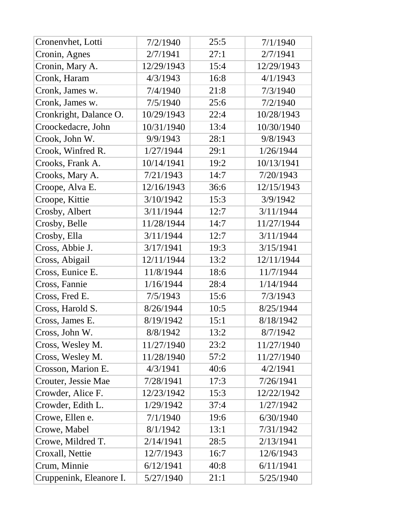| Cronenvhet, Lotti       | 7/2/1940   | 25:5 | 7/1/1940   |
|-------------------------|------------|------|------------|
| Cronin, Agnes           | 2/7/1941   | 27:1 | 2/7/1941   |
| Cronin, Mary A.         | 12/29/1943 | 15:4 | 12/29/1943 |
| Cronk, Haram            | 4/3/1943   | 16:8 | 4/1/1943   |
| Cronk, James w.         | 7/4/1940   | 21:8 | 7/3/1940   |
| Cronk, James w.         | 7/5/1940   | 25:6 | 7/2/1940   |
| Cronkright, Dalance O.  | 10/29/1943 | 22:4 | 10/28/1943 |
| Croockedacre, John      | 10/31/1940 | 13:4 | 10/30/1940 |
| Crook, John W.          | 9/9/1943   | 28:1 | 9/8/1943   |
| Crook, Winfred R.       | 1/27/1944  | 29:1 | 1/26/1944  |
| Crooks, Frank A.        | 10/14/1941 | 19:2 | 10/13/1941 |
| Crooks, Mary A.         | 7/21/1943  | 14:7 | 7/20/1943  |
| Croope, Alva E.         | 12/16/1943 | 36:6 | 12/15/1943 |
| Croope, Kittie          | 3/10/1942  | 15:3 | 3/9/1942   |
| Crosby, Albert          | 3/11/1944  | 12:7 | 3/11/1944  |
| Crosby, Belle           | 11/28/1944 | 14:7 | 11/27/1944 |
| Crosby, Ella            | 3/11/1944  | 12:7 | 3/11/1944  |
| Cross, Abbie J.         | 3/17/1941  | 19:3 | 3/15/1941  |
| Cross, Abigail          | 12/11/1944 | 13:2 | 12/11/1944 |
| Cross, Eunice E.        | 11/8/1944  | 18:6 | 11/7/1944  |
| Cross, Fannie           | 1/16/1944  | 28:4 | 1/14/1944  |
| Cross, Fred E.          | 7/5/1943   | 15:6 | 7/3/1943   |
| Cross, Harold S.        | 8/26/1944  | 10:5 | 8/25/1944  |
| Cross, James E.         | 8/19/1942  | 15:1 | 8/18/1942  |
| Cross, John W.          | 8/8/1942   | 13:2 | 8/7/1942   |
| Cross, Wesley M.        | 11/27/1940 | 23:2 | 11/27/1940 |
| Cross, Wesley M.        | 11/28/1940 | 57:2 | 11/27/1940 |
| Crosson, Marion E.      | 4/3/1941   | 40:6 | 4/2/1941   |
| Crouter, Jessie Mae     | 7/28/1941  | 17:3 | 7/26/1941  |
| Crowder, Alice F.       | 12/23/1942 | 15:3 | 12/22/1942 |
| Crowder, Edith L.       | 1/29/1942  | 37:4 | 1/27/1942  |
| Crowe, Ellen e.         | 7/1/1940   | 19:6 | 6/30/1940  |
| Crowe, Mabel            | 8/1/1942   | 13:1 | 7/31/1942  |
| Crowe, Mildred T.       | 2/14/1941  | 28:5 | 2/13/1941  |
| Croxall, Nettie         | 12/7/1943  | 16:7 | 12/6/1943  |
| Crum, Minnie            | 6/12/1941  | 40:8 | 6/11/1941  |
| Cruppenink, Eleanore I. | 5/27/1940  | 21:1 | 5/25/1940  |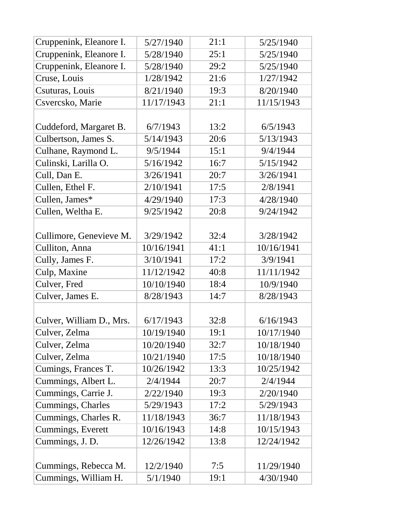| Cruppenink, Eleanore I.  | 5/27/1940  | 21:1 | 5/25/1940  |
|--------------------------|------------|------|------------|
| Cruppenink, Eleanore I.  | 5/28/1940  | 25:1 | 5/25/1940  |
| Cruppenink, Eleanore I.  | 5/28/1940  | 29:2 | 5/25/1940  |
| Cruse, Louis             | 1/28/1942  | 21:6 | 1/27/1942  |
| Csuturas, Louis          | 8/21/1940  | 19:3 | 8/20/1940  |
| Csvercsko, Marie         | 11/17/1943 | 21:1 | 11/15/1943 |
|                          |            |      |            |
| Cuddeford, Margaret B.   | 6/7/1943   | 13:2 | 6/5/1943   |
| Culbertson, James S.     | 5/14/1943  | 20:6 | 5/13/1943  |
| Culhane, Raymond L.      | 9/5/1944   | 15:1 | 9/4/1944   |
| Culinski, Larilla O.     | 5/16/1942  | 16:7 | 5/15/1942  |
| Cull, Dan E.             | 3/26/1941  | 20:7 | 3/26/1941  |
| Cullen, Ethel F.         | 2/10/1941  | 17:5 | 2/8/1941   |
| Cullen, James*           | 4/29/1940  | 17:3 | 4/28/1940  |
| Cullen, Weltha E.        | 9/25/1942  | 20:8 | 9/24/1942  |
|                          |            |      |            |
| Cullimore, Genevieve M.  | 3/29/1942  | 32:4 | 3/28/1942  |
| Culliton, Anna           | 10/16/1941 | 41:1 | 10/16/1941 |
| Cully, James F.          | 3/10/1941  | 17:2 | 3/9/1941   |
| Culp, Maxine             | 11/12/1942 | 40:8 | 11/11/1942 |
| Culver, Fred             | 10/10/1940 | 18:4 | 10/9/1940  |
| Culver, James E.         | 8/28/1943  | 14:7 | 8/28/1943  |
|                          |            |      |            |
| Culver, William D., Mrs. | 6/17/1943  | 32:8 | 6/16/1943  |
| Culver, Zelma            | 10/19/1940 | 19:1 | 10/17/1940 |
| Culver, Zelma            | 10/20/1940 | 32:7 | 10/18/1940 |
| Culver, Zelma            | 10/21/1940 | 17:5 | 10/18/1940 |
| Cumings, Frances T.      | 10/26/1942 | 13:3 | 10/25/1942 |
| Cummings, Albert L.      | 2/4/1944   | 20:7 | 2/4/1944   |
| Cummings, Carrie J.      | 2/22/1940  | 19:3 | 2/20/1940  |
| Cummings, Charles        | 5/29/1943  | 17:2 | 5/29/1943  |
| Cummings, Charles R.     | 11/18/1943 | 36:7 | 11/18/1943 |
| Cummings, Everett        | 10/16/1943 | 14:8 | 10/15/1943 |
| Cummings, J. D.          | 12/26/1942 | 13:8 | 12/24/1942 |
|                          |            |      |            |
| Cummings, Rebecca M.     | 12/2/1940  | 7:5  | 11/29/1940 |
| Cummings, William H.     | 5/1/1940   | 19:1 | 4/30/1940  |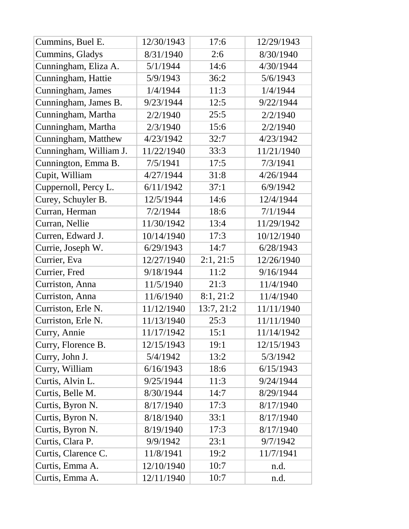| Cummins, Buel E.       | 12/30/1943 | 17:6       | 12/29/1943 |
|------------------------|------------|------------|------------|
| Cummins, Gladys        | 8/31/1940  | 2:6        | 8/30/1940  |
| Cunningham, Eliza A.   | 5/1/1944   | 14:6       | 4/30/1944  |
| Cunningham, Hattie     | 5/9/1943   | 36:2       | 5/6/1943   |
| Cunningham, James      | 1/4/1944   | 11:3       | 1/4/1944   |
| Cunningham, James B.   | 9/23/1944  | 12:5       | 9/22/1944  |
| Cunningham, Martha     | 2/2/1940   | 25:5       | 2/2/1940   |
| Cunningham, Martha     | 2/3/1940   | 15:6       | 2/2/1940   |
| Cunningham, Matthew    | 4/23/1942  | 32:7       | 4/23/1942  |
| Cunningham, William J. | 11/22/1940 | 33:3       | 11/21/1940 |
| Cunnington, Emma B.    | 7/5/1941   | 17:5       | 7/3/1941   |
| Cupit, William         | 4/27/1944  | 31:8       | 4/26/1944  |
| Cuppernoll, Percy L.   | 6/11/1942  | 37:1       | 6/9/1942   |
| Curey, Schuyler B.     | 12/5/1944  | 14:6       | 12/4/1944  |
| Curran, Herman         | 7/2/1944   | 18:6       | 7/1/1944   |
| Curran, Nellie         | 11/30/1942 | 13:4       | 11/29/1942 |
| Curren, Edward J.      | 10/14/1940 | 17:3       | 10/12/1940 |
| Currie, Joseph W.      | 6/29/1943  | 14:7       | 6/28/1943  |
| Currier, Eva           | 12/27/1940 | 2:1, 21:5  | 12/26/1940 |
| Currier, Fred          | 9/18/1944  | 11:2       | 9/16/1944  |
| Curriston, Anna        | 11/5/1940  | 21:3       | 11/4/1940  |
| Curriston, Anna        | 11/6/1940  | 8:1, 21:2  | 11/4/1940  |
| Curriston, Erle N.     | 11/12/1940 | 13:7, 21:2 | 11/11/1940 |
| Curriston, Erle N.     | 11/13/1940 | 25:3       | 11/11/1940 |
| Curry, Annie           | 11/17/1942 | 15:1       | 11/14/1942 |
| Curry, Florence B.     | 12/15/1943 | 19:1       | 12/15/1943 |
| Curry, John J.         | 5/4/1942   | 13:2       | 5/3/1942   |
| Curry, William         | 6/16/1943  | 18:6       | 6/15/1943  |
| Curtis, Alvin L.       | 9/25/1944  | 11:3       | 9/24/1944  |
| Curtis, Belle M.       | 8/30/1944  | 14:7       | 8/29/1944  |
| Curtis, Byron N.       | 8/17/1940  | 17:3       | 8/17/1940  |
| Curtis, Byron N.       | 8/18/1940  | 33:1       | 8/17/1940  |
| Curtis, Byron N.       | 8/19/1940  | 17:3       | 8/17/1940  |
| Curtis, Clara P.       | 9/9/1942   | 23:1       | 9/7/1942   |
| Curtis, Clarence C.    | 11/8/1941  | 19:2       | 11/7/1941  |
| Curtis, Emma A.        | 12/10/1940 | 10:7       | n.d.       |
| Curtis, Emma A.        | 12/11/1940 | 10:7       | n.d.       |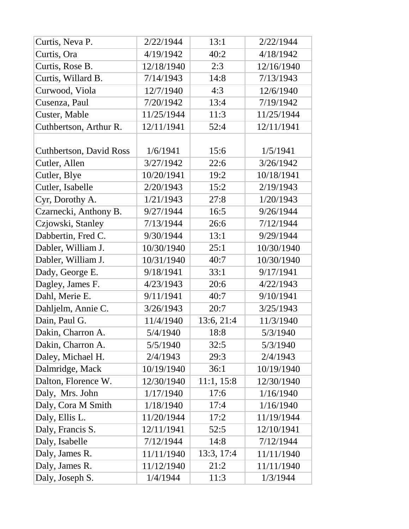| Curtis, Neva P.                | 2/22/1944  | 13:1       | 2/22/1944  |
|--------------------------------|------------|------------|------------|
| Curtis, Ora                    | 4/19/1942  | 40:2       | 4/18/1942  |
| Curtis, Rose B.                | 12/18/1940 | 2:3        | 12/16/1940 |
| Curtis, Willard B.             | 7/14/1943  | 14:8       | 7/13/1943  |
| Curwood, Viola                 | 12/7/1940  | 4:3        | 12/6/1940  |
| Cusenza, Paul                  | 7/20/1942  | 13:4       | 7/19/1942  |
| Custer, Mable                  | 11/25/1944 | 11:3       | 11/25/1944 |
| Cuthbertson, Arthur R.         | 12/11/1941 | 52:4       | 12/11/1941 |
|                                |            |            |            |
| <b>Cuthbertson, David Ross</b> | 1/6/1941   | 15:6       | 1/5/1941   |
| Cutler, Allen                  | 3/27/1942  | 22:6       | 3/26/1942  |
| Cutler, Blye                   | 10/20/1941 | 19:2       | 10/18/1941 |
| Cutler, Isabelle               | 2/20/1943  | 15:2       | 2/19/1943  |
| Cyr, Dorothy A.                | 1/21/1943  | 27:8       | 1/20/1943  |
| Czarnecki, Anthony B.          | 9/27/1944  | 16:5       | 9/26/1944  |
| Czjowski, Stanley              | 7/13/1944  | 26:6       | 7/12/1944  |
| Dabbertin, Fred C.             | 9/30/1944  | 13:1       | 9/29/1944  |
| Dabler, William J.             | 10/30/1940 | 25:1       | 10/30/1940 |
| Dabler, William J.             | 10/31/1940 | 40:7       | 10/30/1940 |
| Dady, George E.                | 9/18/1941  | 33:1       | 9/17/1941  |
| Dagley, James F.               | 4/23/1943  | 20:6       | 4/22/1943  |
| Dahl, Merie E.                 | 9/11/1941  | 40:7       | 9/10/1941  |
| Dahljelm, Annie C.             | 3/26/1943  | 20:7       | 3/25/1943  |
| Dain, Paul G.                  | 11/4/1940  | 13:6, 21:4 | 11/3/1940  |
| Dakin, Charron A.              | 5/4/1940   | 18:8       | 5/3/1940   |
| Dakin, Charron A.              | 5/5/1940   | 32:5       | 5/3/1940   |
| Daley, Michael H.              | 2/4/1943   | 29:3       | 2/4/1943   |
| Dalmridge, Mack                | 10/19/1940 | 36:1       | 10/19/1940 |
| Dalton, Florence W.            | 12/30/1940 | 11:1, 15:8 | 12/30/1940 |
| Daly, Mrs. John                | 1/17/1940  | 17:6       | 1/16/1940  |
| Daly, Cora M Smith             | 1/18/1940  | 17:4       | 1/16/1940  |
| Daly, Ellis L.                 | 11/20/1944 | 17:2       | 11/19/1944 |
| Daly, Francis S.               | 12/11/1941 | 52:5       | 12/10/1941 |
| Daly, Isabelle                 | 7/12/1944  | 14:8       | 7/12/1944  |
| Daly, James R.                 | 11/11/1940 | 13:3, 17:4 | 11/11/1940 |
| Daly, James R.                 | 11/12/1940 | 21:2       | 11/11/1940 |
| Daly, Joseph S.                | 1/4/1944   | 11:3       | 1/3/1944   |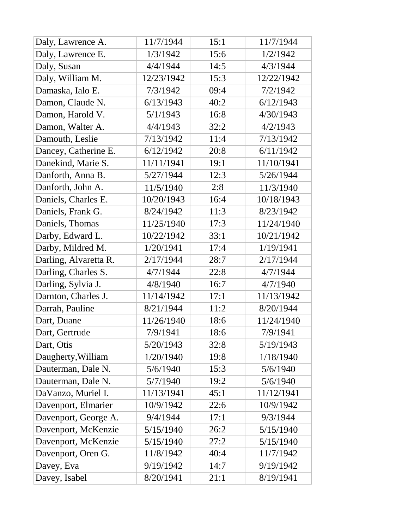| Daly, Lawrence A.     | 11/7/1944  | 15:1 | 11/7/1944  |
|-----------------------|------------|------|------------|
| Daly, Lawrence E.     | 1/3/1942   | 15:6 | 1/2/1942   |
| Daly, Susan           | 4/4/1944   | 14:5 | 4/3/1944   |
| Daly, William M.      | 12/23/1942 | 15:3 | 12/22/1942 |
| Damaska, Ialo E.      | 7/3/1942   | 09:4 | 7/2/1942   |
| Damon, Claude N.      | 6/13/1943  | 40:2 | 6/12/1943  |
| Damon, Harold V.      | 5/1/1943   | 16:8 | 4/30/1943  |
| Damon, Walter A.      | 4/4/1943   | 32:2 | 4/2/1943   |
| Damouth, Leslie       | 7/13/1942  | 11:4 | 7/13/1942  |
| Dancey, Catherine E.  | 6/12/1942  | 20:8 | 6/11/1942  |
| Danekind, Marie S.    | 11/11/1941 | 19:1 | 11/10/1941 |
| Danforth, Anna B.     | 5/27/1944  | 12:3 | 5/26/1944  |
| Danforth, John A.     | 11/5/1940  | 2:8  | 11/3/1940  |
| Daniels, Charles E.   | 10/20/1943 | 16:4 | 10/18/1943 |
| Daniels, Frank G.     | 8/24/1942  | 11:3 | 8/23/1942  |
| Daniels, Thomas       | 11/25/1940 | 17:3 | 11/24/1940 |
| Darby, Edward L.      | 10/22/1942 | 33:1 | 10/21/1942 |
| Darby, Mildred M.     | 1/20/1941  | 17:4 | 1/19/1941  |
| Darling, Alvaretta R. | 2/17/1944  | 28:7 | 2/17/1944  |
| Darling, Charles S.   | 4/7/1944   | 22:8 | 4/7/1944   |
| Darling, Sylvia J.    | 4/8/1940   | 16:7 | 4/7/1940   |
| Darnton, Charles J.   | 11/14/1942 | 17:1 | 11/13/1942 |
| Darrah, Pauline       | 8/21/1944  | 11:2 | 8/20/1944  |
| Dart, Duane           | 11/26/1940 | 18:6 | 11/24/1940 |
| Dart, Gertrude        | 7/9/1941   | 18:6 | 7/9/1941   |
| Dart, Otis            | 5/20/1943  | 32:8 | 5/19/1943  |
| Daugherty, William    | 1/20/1940  | 19:8 | 1/18/1940  |
| Dauterman, Dale N.    | 5/6/1940   | 15:3 | 5/6/1940   |
| Dauterman, Dale N.    | 5/7/1940   | 19:2 | 5/6/1940   |
| DaVanzo, Muriel I.    | 11/13/1941 | 45:1 | 11/12/1941 |
| Davenport, Elmarier   | 10/9/1942  | 22:6 | 10/9/1942  |
| Davenport, George A.  | 9/4/1944   | 17:1 | 9/3/1944   |
| Davenport, McKenzie   | 5/15/1940  | 26:2 | 5/15/1940  |
| Davenport, McKenzie   | 5/15/1940  | 27:2 | 5/15/1940  |
| Davenport, Oren G.    | 11/8/1942  | 40:4 | 11/7/1942  |
| Davey, Eva            | 9/19/1942  | 14:7 | 9/19/1942  |
| Davey, Isabel         | 8/20/1941  | 21:1 | 8/19/1941  |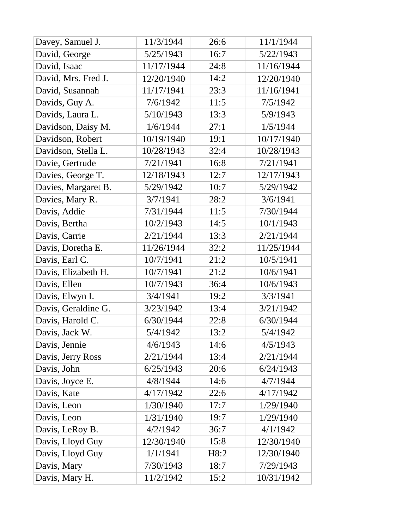| 11/1/1944<br>11/3/1944<br>26:6<br>Davey, Samuel J.<br>5/25/1943<br>16:7<br>5/22/1943<br>David, George<br>11/17/1944<br>11/16/1944<br>David, Isaac<br>24:8<br>14:2<br>David, Mrs. Fred J.<br>12/20/1940<br>12/20/1940<br>11/17/1941<br>23:3<br>11/16/1941<br>David, Susannah<br>7/6/1942<br>11:5<br>7/5/1942<br>Davids, Guy A.<br>5/10/1943<br>5/9/1943<br>13:3<br>Davids, Laura L.<br>Davidson, Daisy M.<br>1/5/1944<br>1/6/1944<br>27:1<br>19:1<br>Davidson, Robert<br>10/19/1940<br>10/17/1940<br>Davidson, Stella L.<br>10/28/1943<br>32:4<br>10/28/1943<br>7/21/1941<br>7/21/1941<br>16:8<br>Davie, Gertrude<br>12/18/1943<br>12:7<br>12/17/1943<br>Davies, George T.<br>5/29/1942<br>10:7<br>5/29/1942<br>Davies, Margaret B.<br>3/7/1941<br>28:2<br>3/6/1941<br>Davies, Mary R.<br>7/31/1944<br>7/30/1944<br>Davis, Addie<br>11:5<br>10/2/1943<br>10/1/1943<br>Davis, Bertha<br>14:5<br>2/21/1944<br>13:3<br>2/21/1944<br>Davis, Carrie<br>11/26/1944<br>Davis, Doretha E.<br>32:2<br>11/25/1944<br>10/7/1941<br>10/5/1941<br>21:2<br>Davis, Earl C.<br>Davis, Elizabeth H.<br>10/7/1941<br>21:2<br>10/6/1941<br>10/7/1943<br>Davis, Ellen<br>10/6/1943<br>36:4<br>Davis, Elwyn I.<br>3/4/1941<br>19:2<br>3/3/1941 |
|--------------------------------------------------------------------------------------------------------------------------------------------------------------------------------------------------------------------------------------------------------------------------------------------------------------------------------------------------------------------------------------------------------------------------------------------------------------------------------------------------------------------------------------------------------------------------------------------------------------------------------------------------------------------------------------------------------------------------------------------------------------------------------------------------------------------------------------------------------------------------------------------------------------------------------------------------------------------------------------------------------------------------------------------------------------------------------------------------------------------------------------------------------------------------------------------------------------------------|
|                                                                                                                                                                                                                                                                                                                                                                                                                                                                                                                                                                                                                                                                                                                                                                                                                                                                                                                                                                                                                                                                                                                                                                                                                          |
|                                                                                                                                                                                                                                                                                                                                                                                                                                                                                                                                                                                                                                                                                                                                                                                                                                                                                                                                                                                                                                                                                                                                                                                                                          |
|                                                                                                                                                                                                                                                                                                                                                                                                                                                                                                                                                                                                                                                                                                                                                                                                                                                                                                                                                                                                                                                                                                                                                                                                                          |
|                                                                                                                                                                                                                                                                                                                                                                                                                                                                                                                                                                                                                                                                                                                                                                                                                                                                                                                                                                                                                                                                                                                                                                                                                          |
|                                                                                                                                                                                                                                                                                                                                                                                                                                                                                                                                                                                                                                                                                                                                                                                                                                                                                                                                                                                                                                                                                                                                                                                                                          |
|                                                                                                                                                                                                                                                                                                                                                                                                                                                                                                                                                                                                                                                                                                                                                                                                                                                                                                                                                                                                                                                                                                                                                                                                                          |
|                                                                                                                                                                                                                                                                                                                                                                                                                                                                                                                                                                                                                                                                                                                                                                                                                                                                                                                                                                                                                                                                                                                                                                                                                          |
|                                                                                                                                                                                                                                                                                                                                                                                                                                                                                                                                                                                                                                                                                                                                                                                                                                                                                                                                                                                                                                                                                                                                                                                                                          |
|                                                                                                                                                                                                                                                                                                                                                                                                                                                                                                                                                                                                                                                                                                                                                                                                                                                                                                                                                                                                                                                                                                                                                                                                                          |
|                                                                                                                                                                                                                                                                                                                                                                                                                                                                                                                                                                                                                                                                                                                                                                                                                                                                                                                                                                                                                                                                                                                                                                                                                          |
|                                                                                                                                                                                                                                                                                                                                                                                                                                                                                                                                                                                                                                                                                                                                                                                                                                                                                                                                                                                                                                                                                                                                                                                                                          |
|                                                                                                                                                                                                                                                                                                                                                                                                                                                                                                                                                                                                                                                                                                                                                                                                                                                                                                                                                                                                                                                                                                                                                                                                                          |
|                                                                                                                                                                                                                                                                                                                                                                                                                                                                                                                                                                                                                                                                                                                                                                                                                                                                                                                                                                                                                                                                                                                                                                                                                          |
|                                                                                                                                                                                                                                                                                                                                                                                                                                                                                                                                                                                                                                                                                                                                                                                                                                                                                                                                                                                                                                                                                                                                                                                                                          |
|                                                                                                                                                                                                                                                                                                                                                                                                                                                                                                                                                                                                                                                                                                                                                                                                                                                                                                                                                                                                                                                                                                                                                                                                                          |
|                                                                                                                                                                                                                                                                                                                                                                                                                                                                                                                                                                                                                                                                                                                                                                                                                                                                                                                                                                                                                                                                                                                                                                                                                          |
|                                                                                                                                                                                                                                                                                                                                                                                                                                                                                                                                                                                                                                                                                                                                                                                                                                                                                                                                                                                                                                                                                                                                                                                                                          |
|                                                                                                                                                                                                                                                                                                                                                                                                                                                                                                                                                                                                                                                                                                                                                                                                                                                                                                                                                                                                                                                                                                                                                                                                                          |
|                                                                                                                                                                                                                                                                                                                                                                                                                                                                                                                                                                                                                                                                                                                                                                                                                                                                                                                                                                                                                                                                                                                                                                                                                          |
|                                                                                                                                                                                                                                                                                                                                                                                                                                                                                                                                                                                                                                                                                                                                                                                                                                                                                                                                                                                                                                                                                                                                                                                                                          |
|                                                                                                                                                                                                                                                                                                                                                                                                                                                                                                                                                                                                                                                                                                                                                                                                                                                                                                                                                                                                                                                                                                                                                                                                                          |
|                                                                                                                                                                                                                                                                                                                                                                                                                                                                                                                                                                                                                                                                                                                                                                                                                                                                                                                                                                                                                                                                                                                                                                                                                          |
| Davis, Geraldine G.<br>3/23/1942<br>13:4<br>3/21/1942                                                                                                                                                                                                                                                                                                                                                                                                                                                                                                                                                                                                                                                                                                                                                                                                                                                                                                                                                                                                                                                                                                                                                                    |
| 22:8<br>Davis, Harold C.<br>6/30/1944<br>6/30/1944                                                                                                                                                                                                                                                                                                                                                                                                                                                                                                                                                                                                                                                                                                                                                                                                                                                                                                                                                                                                                                                                                                                                                                       |
| 13:2<br>Davis, Jack W.<br>5/4/1942<br>5/4/1942                                                                                                                                                                                                                                                                                                                                                                                                                                                                                                                                                                                                                                                                                                                                                                                                                                                                                                                                                                                                                                                                                                                                                                           |
| 4/6/1943<br>4/5/1943<br>14:6<br>Davis, Jennie                                                                                                                                                                                                                                                                                                                                                                                                                                                                                                                                                                                                                                                                                                                                                                                                                                                                                                                                                                                                                                                                                                                                                                            |
| Davis, Jerry Ross<br>2/21/1944<br>2/21/1944<br>13:4                                                                                                                                                                                                                                                                                                                                                                                                                                                                                                                                                                                                                                                                                                                                                                                                                                                                                                                                                                                                                                                                                                                                                                      |
| 6/25/1943<br>Davis, John<br>20:6<br>6/24/1943                                                                                                                                                                                                                                                                                                                                                                                                                                                                                                                                                                                                                                                                                                                                                                                                                                                                                                                                                                                                                                                                                                                                                                            |
| 4/8/1944<br>14:6<br>Davis, Joyce E.<br>4/7/1944                                                                                                                                                                                                                                                                                                                                                                                                                                                                                                                                                                                                                                                                                                                                                                                                                                                                                                                                                                                                                                                                                                                                                                          |
| 4/17/1942<br>Davis, Kate<br>4/17/1942<br>22:6                                                                                                                                                                                                                                                                                                                                                                                                                                                                                                                                                                                                                                                                                                                                                                                                                                                                                                                                                                                                                                                                                                                                                                            |
| Davis, Leon<br>1/30/1940<br>17:7<br>1/29/1940                                                                                                                                                                                                                                                                                                                                                                                                                                                                                                                                                                                                                                                                                                                                                                                                                                                                                                                                                                                                                                                                                                                                                                            |
| Davis, Leon<br>1/31/1940<br>19:7<br>1/29/1940                                                                                                                                                                                                                                                                                                                                                                                                                                                                                                                                                                                                                                                                                                                                                                                                                                                                                                                                                                                                                                                                                                                                                                            |
| Davis, LeRoy B.<br>4/2/1942<br>4/1/1942<br>36:7                                                                                                                                                                                                                                                                                                                                                                                                                                                                                                                                                                                                                                                                                                                                                                                                                                                                                                                                                                                                                                                                                                                                                                          |
| Davis, Lloyd Guy<br>12/30/1940<br>15:8<br>12/30/1940                                                                                                                                                                                                                                                                                                                                                                                                                                                                                                                                                                                                                                                                                                                                                                                                                                                                                                                                                                                                                                                                                                                                                                     |
| 1/1/1941<br>Davis, Lloyd Guy<br>H8:2<br>12/30/1940                                                                                                                                                                                                                                                                                                                                                                                                                                                                                                                                                                                                                                                                                                                                                                                                                                                                                                                                                                                                                                                                                                                                                                       |
| Davis, Mary<br>7/30/1943<br>7/29/1943<br>18:7                                                                                                                                                                                                                                                                                                                                                                                                                                                                                                                                                                                                                                                                                                                                                                                                                                                                                                                                                                                                                                                                                                                                                                            |
| 11/2/1942<br>10/31/1942<br>Davis, Mary H.<br>15:2                                                                                                                                                                                                                                                                                                                                                                                                                                                                                                                                                                                                                                                                                                                                                                                                                                                                                                                                                                                                                                                                                                                                                                        |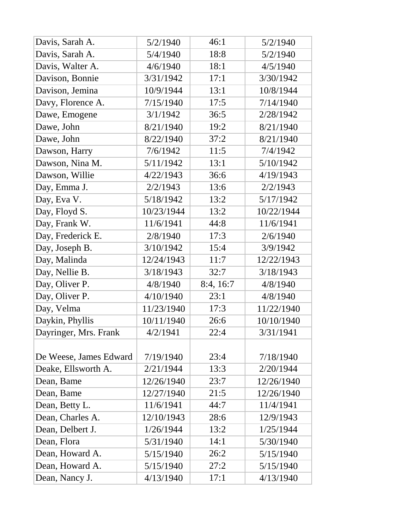| Davis, Sarah A.        | 5/2/1940   | 46:1      | 5/2/1940   |
|------------------------|------------|-----------|------------|
| Davis, Sarah A.        | 5/4/1940   | 18:8      | 5/2/1940   |
| Davis, Walter A.       | 4/6/1940   | 18:1      | 4/5/1940   |
| Davison, Bonnie        | 3/31/1942  | 17:1      | 3/30/1942  |
| Davison, Jemina        | 10/9/1944  | 13:1      | 10/8/1944  |
| Davy, Florence A.      | 7/15/1940  | 17:5      | 7/14/1940  |
| Dawe, Emogene          | 3/1/1942   | 36:5      | 2/28/1942  |
| Dawe, John             | 8/21/1940  | 19:2      | 8/21/1940  |
| Dawe, John             | 8/22/1940  | 37:2      | 8/21/1940  |
| Dawson, Harry          | 7/6/1942   | 11:5      | 7/4/1942   |
| Dawson, Nina M.        | 5/11/1942  | 13:1      | 5/10/1942  |
| Dawson, Willie         | 4/22/1943  | 36:6      | 4/19/1943  |
| Day, Emma J.           | 2/2/1943   | 13:6      | 2/2/1943   |
| Day, Eva V.            | 5/18/1942  | 13:2      | 5/17/1942  |
| Day, Floyd S.          | 10/23/1944 | 13:2      | 10/22/1944 |
| Day, Frank W.          | 11/6/1941  | 44:8      | 11/6/1941  |
| Day, Frederick E.      | 2/8/1940   | 17:3      | 2/6/1940   |
| Day, Joseph B.         | 3/10/1942  | 15:4      | 3/9/1942   |
| Day, Malinda           | 12/24/1943 | 11:7      | 12/22/1943 |
| Day, Nellie B.         | 3/18/1943  | 32:7      | 3/18/1943  |
| Day, Oliver P.         | 4/8/1940   | 8:4, 16:7 | 4/8/1940   |
| Day, Oliver P.         | 4/10/1940  | 23:1      | 4/8/1940   |
| Day, Velma             | 11/23/1940 | 17:3      | 11/22/1940 |
| Daykin, Phyllis        | 10/11/1940 | 26:6      | 10/10/1940 |
| Dayringer, Mrs. Frank  | 4/2/1941   | 22:4      | 3/31/1941  |
|                        |            |           |            |
| De Weese, James Edward | 7/19/1940  | 23:4      | 7/18/1940  |
| Deake, Ellsworth A.    | 2/21/1944  | 13:3      | 2/20/1944  |
| Dean, Bame             | 12/26/1940 | 23:7      | 12/26/1940 |
| Dean, Bame             | 12/27/1940 | 21:5      | 12/26/1940 |
| Dean, Betty L.         | 11/6/1941  | 44:7      | 11/4/1941  |
| Dean, Charles A.       | 12/10/1943 | 28:6      | 12/9/1943  |
| Dean, Delbert J.       | 1/26/1944  | 13:2      | 1/25/1944  |
| Dean, Flora            | 5/31/1940  | 14:1      | 5/30/1940  |
| Dean, Howard A.        | 5/15/1940  | 26:2      | 5/15/1940  |
| Dean, Howard A.        | 5/15/1940  | 27:2      | 5/15/1940  |
| Dean, Nancy J.         | 4/13/1940  | 17:1      | 4/13/1940  |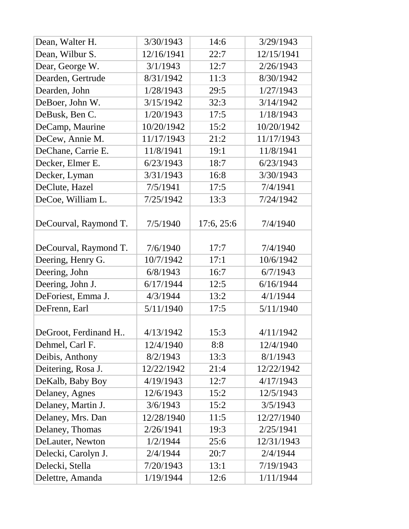| Dean, Walter H.       | 3/30/1943  | 14:6       | 3/29/1943  |
|-----------------------|------------|------------|------------|
| Dean, Wilbur S.       | 12/16/1941 | 22:7       | 12/15/1941 |
| Dear, George W.       | 3/1/1943   | 12:7       | 2/26/1943  |
| Dearden, Gertrude     | 8/31/1942  | 11:3       | 8/30/1942  |
| Dearden, John         | 1/28/1943  | 29:5       | 1/27/1943  |
| DeBoer, John W.       | 3/15/1942  | 32:3       | 3/14/1942  |
| DeBusk, Ben C.        | 1/20/1943  | 17:5       | 1/18/1943  |
| DeCamp, Maurine       | 10/20/1942 | 15:2       | 10/20/1942 |
| DeCew, Annie M.       | 11/17/1943 | 21:2       | 11/17/1943 |
| DeChane, Carrie E.    | 11/8/1941  | 19:1       | 11/8/1941  |
| Decker, Elmer E.      | 6/23/1943  | 18:7       | 6/23/1943  |
| Decker, Lyman         | 3/31/1943  | 16:8       | 3/30/1943  |
| DeClute, Hazel        | 7/5/1941   | 17:5       | 7/4/1941   |
| DeCoe, William L.     | 7/25/1942  | 13:3       | 7/24/1942  |
| DeCourval, Raymond T. | 7/5/1940   | 17:6, 25:6 | 7/4/1940   |
| DeCourval, Raymond T. | 7/6/1940   | 17:7       | 7/4/1940   |
| Deering, Henry G.     | 10/7/1942  | 17:1       | 10/6/1942  |
| Deering, John         | 6/8/1943   | 16:7       | 6/7/1943   |
| Deering, John J.      | 6/17/1944  | 12:5       | 6/16/1944  |
| DeForiest, Emma J.    | 4/3/1944   | 13:2       | 4/1/1944   |
| DeFrenn, Earl         | 5/11/1940  | 17:5       | 5/11/1940  |
| DeGroot, Ferdinand H  | 4/13/1942  | 15:3       | 4/11/1942  |
| Dehmel, Carl F.       | 12/4/1940  | 8:8        | 12/4/1940  |
| Deibis, Anthony       | 8/2/1943   | 13:3       | 8/1/1943   |
| Deitering, Rosa J.    | 12/22/1942 | 21:4       | 12/22/1942 |
| DeKalb, Baby Boy      | 4/19/1943  | 12:7       | 4/17/1943  |
| Delaney, Agnes        | 12/6/1943  | 15:2       | 12/5/1943  |
| Delaney, Martin J.    | 3/6/1943   | 15:2       | 3/5/1943   |
| Delaney, Mrs. Dan     | 12/28/1940 | 11:5       | 12/27/1940 |
| Delaney, Thomas       | 2/26/1941  | 19:3       | 2/25/1941  |
| DeLauter, Newton      | 1/2/1944   | 25:6       | 12/31/1943 |
| Delecki, Carolyn J.   | 2/4/1944   | 20:7       | 2/4/1944   |
| Delecki, Stella       | 7/20/1943  | 13:1       | 7/19/1943  |
| Delettre, Amanda      | 1/19/1944  | 12:6       | 1/11/1944  |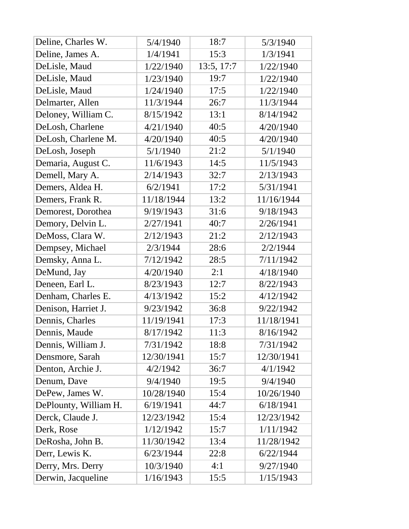| Deline, Charles W.    | 5/4/1940   | 18:7       | 5/3/1940   |
|-----------------------|------------|------------|------------|
| Deline, James A.      | 1/4/1941   | 15:3       | 1/3/1941   |
| DeLisle, Maud         | 1/22/1940  | 13:5, 17:7 | 1/22/1940  |
| DeLisle, Maud         | 1/23/1940  | 19:7       | 1/22/1940  |
| DeLisle, Maud         | 1/24/1940  | 17:5       | 1/22/1940  |
| Delmarter, Allen      | 11/3/1944  | 26:7       | 11/3/1944  |
| Deloney, William C.   | 8/15/1942  | 13:1       | 8/14/1942  |
| DeLosh, Charlene      | 4/21/1940  | 40:5       | 4/20/1940  |
| DeLosh, Charlene M.   | 4/20/1940  | 40:5       | 4/20/1940  |
| DeLosh, Joseph        | 5/1/1940   | 21:2       | 5/1/1940   |
| Demaria, August C.    | 11/6/1943  | 14:5       | 11/5/1943  |
| Demell, Mary A.       | 2/14/1943  | 32:7       | 2/13/1943  |
| Demers, Aldea H.      | 6/2/1941   | 17:2       | 5/31/1941  |
| Demers, Frank R.      | 11/18/1944 | 13:2       | 11/16/1944 |
| Demorest, Dorothea    | 9/19/1943  | 31:6       | 9/18/1943  |
| Demory, Delvin L.     | 2/27/1941  | 40:7       | 2/26/1941  |
| DeMoss, Clara W.      | 2/12/1943  | 21:2       | 2/12/1943  |
| Dempsey, Michael      | 2/3/1944   | 28:6       | 2/2/1944   |
| Demsky, Anna L.       | 7/12/1942  | 28:5       | 7/11/1942  |
| DeMund, Jay           | 4/20/1940  | 2:1        | 4/18/1940  |
| Deneen, Earl L.       | 8/23/1943  | 12:7       | 8/22/1943  |
| Denham, Charles E.    | 4/13/1942  | 15:2       | 4/12/1942  |
| Denison, Harriet J.   | 9/23/1942  | 36:8       | 9/22/1942  |
| Dennis, Charles       | 11/19/1941 | 17:3       | 11/18/1941 |
| Dennis, Maude         | 8/17/1942  | 11:3       | 8/16/1942  |
| Dennis, William J.    | 7/31/1942  | 18:8       | 7/31/1942  |
| Densmore, Sarah       | 12/30/1941 | 15:7       | 12/30/1941 |
| Denton, Archie J.     | 4/2/1942   | 36:7       | 4/1/1942   |
| Denum, Dave           | 9/4/1940   | 19:5       | 9/4/1940   |
| DePew, James W.       | 10/28/1940 | 15:4       | 10/26/1940 |
| DePlounty, William H. | 6/19/1941  | 44:7       | 6/18/1941  |
| Derck, Claude J.      | 12/23/1942 | 15:4       | 12/23/1942 |
| Derk, Rose            | 1/12/1942  | 15:7       | 1/11/1942  |
| DeRosha, John B.      | 11/30/1942 | 13:4       | 11/28/1942 |
| Derr, Lewis K.        | 6/23/1944  | 22:8       | 6/22/1944  |
| Derry, Mrs. Derry     | 10/3/1940  | 4:1        | 9/27/1940  |
| Derwin, Jacqueline    | 1/16/1943  | 15:5       | 1/15/1943  |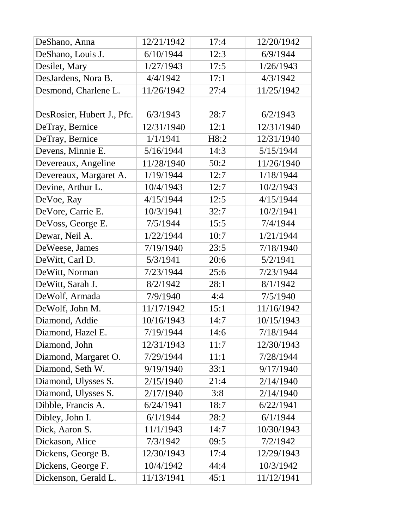| DeShano, Anna              | 12/21/1942 | 17:4 | 12/20/1942 |
|----------------------------|------------|------|------------|
| DeShano, Louis J.          | 6/10/1944  | 12:3 | 6/9/1944   |
| Desilet, Mary              | 1/27/1943  | 17:5 | 1/26/1943  |
| DesJardens, Nora B.        | 4/4/1942   | 17:1 | 4/3/1942   |
| Desmond, Charlene L.       | 11/26/1942 | 27:4 | 11/25/1942 |
|                            |            |      |            |
| DesRosier, Hubert J., Pfc. | 6/3/1943   | 28:7 | 6/2/1943   |
| DeTray, Bernice            | 12/31/1940 | 12:1 | 12/31/1940 |
| DeTray, Bernice            | 1/1/1941   | H8:2 | 12/31/1940 |
| Devens, Minnie E.          | 5/16/1944  | 14:3 | 5/15/1944  |
| Devereaux, Angeline        | 11/28/1940 | 50:2 | 11/26/1940 |
| Devereaux, Margaret A.     | 1/19/1944  | 12:7 | 1/18/1944  |
| Devine, Arthur L.          | 10/4/1943  | 12:7 | 10/2/1943  |
| DeVoe, Ray                 | 4/15/1944  | 12:5 | 4/15/1944  |
| DeVore, Carrie E.          | 10/3/1941  | 32:7 | 10/2/1941  |
| DeVoss, George E.          | 7/5/1944   | 15:5 | 7/4/1944   |
| Dewar, Neil A.             | 1/22/1944  | 10:7 | 1/21/1944  |
| DeWeese, James             | 7/19/1940  | 23:5 | 7/18/1940  |
| DeWitt, Carl D.            | 5/3/1941   | 20:6 | 5/2/1941   |
| DeWitt, Norman             | 7/23/1944  | 25:6 | 7/23/1944  |
| DeWitt, Sarah J.           | 8/2/1942   | 28:1 | 8/1/1942   |
| DeWolf, Armada             | 7/9/1940   | 4:4  | 7/5/1940   |
| DeWolf, John M.            | 11/17/1942 | 15:1 | 11/16/1942 |
| Diamond, Addie             | 10/16/1943 | 14:7 | 10/15/1943 |
| Diamond, Hazel E.          | 7/19/1944  | 14:6 | 7/18/1944  |
| Diamond, John              | 12/31/1943 | 11:7 | 12/30/1943 |
| Diamond, Margaret O.       | 7/29/1944  | 11:1 | 7/28/1944  |
| Diamond, Seth W.           | 9/19/1940  | 33:1 | 9/17/1940  |
| Diamond, Ulysses S.        | 2/15/1940  | 21:4 | 2/14/1940  |
| Diamond, Ulysses S.        | 2/17/1940  | 3:8  | 2/14/1940  |
| Dibble, Francis A.         | 6/24/1941  | 18:7 | 6/22/1941  |
| Dibley, John I.            | 6/1/1944   | 28:2 | 6/1/1944   |
| Dick, Aaron S.             | 11/1/1943  | 14:7 | 10/30/1943 |
| Dickason, Alice            | 7/3/1942   | 09:5 | 7/2/1942   |
| Dickens, George B.         | 12/30/1943 | 17:4 | 12/29/1943 |
| Dickens, George F.         | 10/4/1942  | 44:4 | 10/3/1942  |
| Dickenson, Gerald L.       | 11/13/1941 | 45:1 | 11/12/1941 |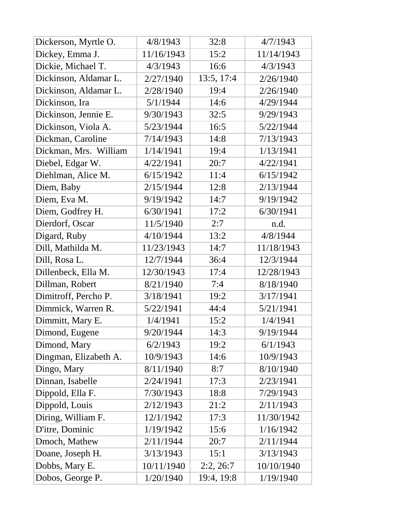| Dickerson, Myrtle O.  | 4/8/1943   | 32:8       | 4/7/1943   |
|-----------------------|------------|------------|------------|
| Dickey, Emma J.       | 11/16/1943 | 15:2       | 11/14/1943 |
| Dickie, Michael T.    | 4/3/1943   | 16:6       | 4/3/1943   |
| Dickinson, Aldamar L. | 2/27/1940  | 13:5, 17:4 | 2/26/1940  |
| Dickinson, Aldamar L. | 2/28/1940  | 19:4       | 2/26/1940  |
| Dickinson, Ira        | 5/1/1944   | 14:6       | 4/29/1944  |
| Dickinson, Jennie E.  | 9/30/1943  | 32:5       | 9/29/1943  |
| Dickinson, Viola A.   | 5/23/1944  | 16:5       | 5/22/1944  |
| Dickman, Caroline     | 7/14/1943  | 14:8       | 7/13/1943  |
| Dickman, Mrs. William | 1/14/1941  | 19:4       | 1/13/1941  |
| Diebel, Edgar W.      | 4/22/1941  | 20:7       | 4/22/1941  |
| Diehlman, Alice M.    | 6/15/1942  | 11:4       | 6/15/1942  |
| Diem, Baby            | 2/15/1944  | 12:8       | 2/13/1944  |
| Diem, Eva M.          | 9/19/1942  | 14:7       | 9/19/1942  |
| Diem, Godfrey H.      | 6/30/1941  | 17:2       | 6/30/1941  |
| Dierdorf, Oscar       | 11/5/1940  | 2:7        | n.d.       |
| Digard, Ruby          | 4/10/1944  | 13:2       | 4/8/1944   |
| Dill, Mathilda M.     | 11/23/1943 | 14:7       | 11/18/1943 |
| Dill, Rosa L.         | 12/7/1944  | 36:4       | 12/3/1944  |
| Dillenbeck, Ella M.   | 12/30/1943 | 17:4       | 12/28/1943 |
| Dillman, Robert       | 8/21/1940  | 7:4        | 8/18/1940  |
| Dimitroff, Percho P.  | 3/18/1941  | 19:2       | 3/17/1941  |
| Dimmick, Warren R.    | 5/22/1941  | 44:4       | 5/21/1941  |
| Dimmitt, Mary E.      | 1/4/1941   | 15:2       | 1/4/1941   |
| Dimond, Eugene        | 9/20/1944  | 14:3       | 9/19/1944  |
| Dimond, Mary          | 6/2/1943   | 19:2       | 6/1/1943   |
| Dingman, Elizabeth A. | 10/9/1943  | 14:6       | 10/9/1943  |
| Dingo, Mary           | 8/11/1940  | 8:7        | 8/10/1940  |
| Dinnan, Isabelle      | 2/24/1941  | 17:3       | 2/23/1941  |
| Dippold, Ella F.      | 7/30/1943  | 18:8       | 7/29/1943  |
| Dippold, Louis        | 2/12/1943  | 21:2       | 2/11/1943  |
| Diring, William F.    | 12/1/1942  | 17:3       | 11/30/1942 |
| D'itre, Dominic       | 1/19/1942  | 15:6       | 1/16/1942  |
| Dmoch, Mathew         | 2/11/1944  | 20:7       | 2/11/1944  |
| Doane, Joseph H.      | 3/13/1943  | 15:1       | 3/13/1943  |
| Dobbs, Mary E.        | 10/11/1940 | 2:2, 26:7  | 10/10/1940 |
| Dobos, George P.      | 1/20/1940  | 19:4, 19:8 | 1/19/1940  |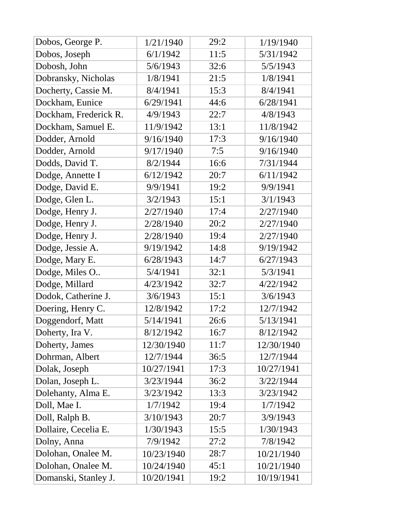| Dobos, George P.      | 1/21/1940  | 29:2 | 1/19/1940  |
|-----------------------|------------|------|------------|
| Dobos, Joseph         | 6/1/1942   | 11:5 | 5/31/1942  |
| Dobosh, John          | 5/6/1943   | 32:6 | 5/5/1943   |
| Dobransky, Nicholas   | 1/8/1941   | 21:5 | 1/8/1941   |
| Docherty, Cassie M.   | 8/4/1941   | 15:3 | 8/4/1941   |
| Dockham, Eunice       | 6/29/1941  | 44:6 | 6/28/1941  |
| Dockham, Frederick R. | 4/9/1943   | 22:7 | 4/8/1943   |
| Dockham, Samuel E.    | 11/9/1942  | 13:1 | 11/8/1942  |
| Dodder, Arnold        | 9/16/1940  | 17:3 | 9/16/1940  |
| Dodder, Arnold        | 9/17/1940  | 7:5  | 9/16/1940  |
| Dodds, David T.       | 8/2/1944   | 16:6 | 7/31/1944  |
| Dodge, Annette I      | 6/12/1942  | 20:7 | 6/11/1942  |
| Dodge, David E.       | 9/9/1941   | 19:2 | 9/9/1941   |
| Dodge, Glen L.        | 3/2/1943   | 15:1 | 3/1/1943   |
| Dodge, Henry J.       | 2/27/1940  | 17:4 | 2/27/1940  |
| Dodge, Henry J.       | 2/28/1940  | 20:2 | 2/27/1940  |
| Dodge, Henry J.       | 2/28/1940  | 19:4 | 2/27/1940  |
| Dodge, Jessie A.      | 9/19/1942  | 14:8 | 9/19/1942  |
| Dodge, Mary E.        | 6/28/1943  | 14:7 | 6/27/1943  |
| Dodge, Miles O        | 5/4/1941   | 32:1 | 5/3/1941   |
| Dodge, Millard        | 4/23/1942  | 32:7 | 4/22/1942  |
| Dodok, Catherine J.   | 3/6/1943   | 15:1 | 3/6/1943   |
| Doering, Henry C.     | 12/8/1942  | 17:2 | 12/7/1942  |
| Doggendorf, Matt      | 5/14/1941  | 26:6 | 5/13/1941  |
| Doherty, Ira V.       | 8/12/1942  | 16:7 | 8/12/1942  |
| Doherty, James        | 12/30/1940 | 11:7 | 12/30/1940 |
| Dohrman, Albert       | 12/7/1944  | 36:5 | 12/7/1944  |
| Dolak, Joseph         | 10/27/1941 | 17:3 | 10/27/1941 |
| Dolan, Joseph L.      | 3/23/1944  | 36:2 | 3/22/1944  |
| Dolehanty, Alma E.    | 3/23/1942  | 13:3 | 3/23/1942  |
| Doll, Mae I.          | 1/7/1942   | 19:4 | 1/7/1942   |
| Doll, Ralph B.        | 3/10/1943  | 20:7 | 3/9/1943   |
| Dollaire, Cecelia E.  | 1/30/1943  | 15:5 | 1/30/1943  |
| Dolny, Anna           | 7/9/1942   | 27:2 | 7/8/1942   |
| Dolohan, Onalee M.    | 10/23/1940 | 28:7 | 10/21/1940 |
| Dolohan, Onalee M.    | 10/24/1940 | 45:1 | 10/21/1940 |
| Domanski, Stanley J.  | 10/20/1941 | 19:2 | 10/19/1941 |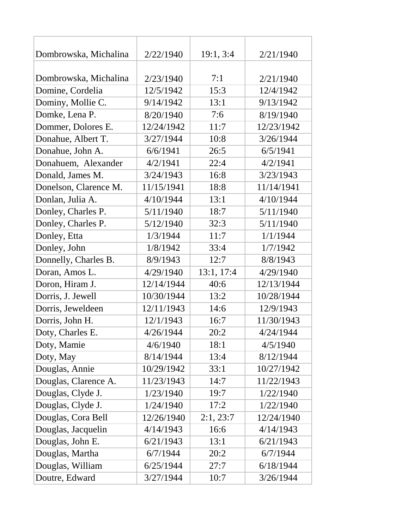| Dombrowska, Michalina | 2/22/1940  | 19:1, 3:4  | 2/21/1940  |
|-----------------------|------------|------------|------------|
|                       |            |            |            |
| Dombrowska, Michalina | 2/23/1940  | 7:1        | 2/21/1940  |
| Domine, Cordelia      | 12/5/1942  | 15:3       | 12/4/1942  |
| Dominy, Mollie C.     | 9/14/1942  | 13:1       | 9/13/1942  |
| Domke, Lena P.        | 8/20/1940  | 7:6        | 8/19/1940  |
| Dommer, Dolores E.    | 12/24/1942 | 11:7       | 12/23/1942 |
| Donahue, Albert T.    | 3/27/1944  | 10:8       | 3/26/1944  |
| Donahue, John A.      | 6/6/1941   | 26:5       | 6/5/1941   |
| Donahuem, Alexander   | 4/2/1941   | 22:4       | 4/2/1941   |
| Donald, James M.      | 3/24/1943  | 16:8       | 3/23/1943  |
| Donelson, Clarence M. | 11/15/1941 | 18:8       | 11/14/1941 |
| Donlan, Julia A.      | 4/10/1944  | 13:1       | 4/10/1944  |
| Donley, Charles P.    | 5/11/1940  | 18:7       | 5/11/1940  |
| Donley, Charles P.    | 5/12/1940  | 32:3       | 5/11/1940  |
| Donley, Etta          | 1/3/1944   | 11:7       | 1/1/1944   |
| Donley, John          | 1/8/1942   | 33:4       | 1/7/1942   |
| Donnelly, Charles B.  | 8/9/1943   | 12:7       | 8/8/1943   |
| Doran, Amos L.        | 4/29/1940  | 13:1, 17:4 | 4/29/1940  |
| Doron, Hiram J.       | 12/14/1944 | 40:6       | 12/13/1944 |
| Dorris, J. Jewell     | 10/30/1944 | 13:2       | 10/28/1944 |
| Dorris, Jeweldeen     | 12/11/1943 | 14:6       | 12/9/1943  |
| Dorris, John H.       | 12/1/1943  | 16:7       | 11/30/1943 |
| Doty, Charles E.      | 4/26/1944  | 20:2       | 4/24/1944  |
| Doty, Mamie           | 4/6/1940   | 18:1       | 4/5/1940   |
| Doty, May             | 8/14/1944  | 13:4       | 8/12/1944  |
| Douglas, Annie        | 10/29/1942 | 33:1       | 10/27/1942 |
| Douglas, Clarence A.  | 11/23/1943 | 14:7       | 11/22/1943 |
| Douglas, Clyde J.     | 1/23/1940  | 19:7       | 1/22/1940  |
| Douglas, Clyde J.     | 1/24/1940  | 17:2       | 1/22/1940  |
| Douglas, Cora Bell    | 12/26/1940 | 2:1, 23:7  | 12/24/1940 |
| Douglas, Jacquelin    | 4/14/1943  | 16:6       | 4/14/1943  |
| Douglas, John E.      | 6/21/1943  | 13:1       | 6/21/1943  |
| Douglas, Martha       | 6/7/1944   | 20:2       | 6/7/1944   |
| Douglas, William      | 6/25/1944  | 27:7       | 6/18/1944  |
| Doutre, Edward        | 3/27/1944  | 10:7       | 3/26/1944  |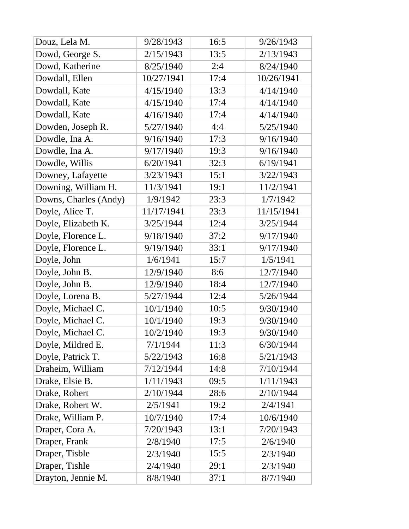| Douz, Lela M.         | 9/28/1943  | 16:5 | 9/26/1943  |
|-----------------------|------------|------|------------|
| Dowd, George S.       | 2/15/1943  | 13:5 | 2/13/1943  |
| Dowd, Katherine       | 8/25/1940  | 2:4  | 8/24/1940  |
| Dowdall, Ellen        | 10/27/1941 | 17:4 | 10/26/1941 |
| Dowdall, Kate         | 4/15/1940  | 13:3 | 4/14/1940  |
| Dowdall, Kate         | 4/15/1940  | 17:4 | 4/14/1940  |
| Dowdall, Kate         | 4/16/1940  | 17:4 | 4/14/1940  |
| Dowden, Joseph R.     | 5/27/1940  | 4:4  | 5/25/1940  |
| Dowdle, Ina A.        | 9/16/1940  | 17:3 | 9/16/1940  |
| Dowdle, Ina A.        | 9/17/1940  | 19:3 | 9/16/1940  |
| Dowdle, Willis        | 6/20/1941  | 32:3 | 6/19/1941  |
| Downey, Lafayette     | 3/23/1943  | 15:1 | 3/22/1943  |
| Downing, William H.   | 11/3/1941  | 19:1 | 11/2/1941  |
| Downs, Charles (Andy) | 1/9/1942   | 23:3 | 1/7/1942   |
| Doyle, Alice T.       | 11/17/1941 | 23:3 | 11/15/1941 |
| Doyle, Elizabeth K.   | 3/25/1944  | 12:4 | 3/25/1944  |
| Doyle, Florence L.    | 9/18/1940  | 37:2 | 9/17/1940  |
| Doyle, Florence L.    | 9/19/1940  | 33:1 | 9/17/1940  |
| Doyle, John           | 1/6/1941   | 15:7 | 1/5/1941   |
| Doyle, John B.        | 12/9/1940  | 8:6  | 12/7/1940  |
| Doyle, John B.        | 12/9/1940  | 18:4 | 12/7/1940  |
| Doyle, Lorena B.      | 5/27/1944  | 12:4 | 5/26/1944  |
| Doyle, Michael C.     | 10/1/1940  | 10:5 | 9/30/1940  |
| Doyle, Michael C.     | 10/1/1940  | 19:3 | 9/30/1940  |
| Doyle, Michael C.     | 10/2/1940  | 19:3 | 9/30/1940  |
| Doyle, Mildred E.     | 7/1/1944   | 11:3 | 6/30/1944  |
| Doyle, Patrick T.     | 5/22/1943  | 16:8 | 5/21/1943  |
| Draheim, William      | 7/12/1944  | 14:8 | 7/10/1944  |
| Drake, Elsie B.       | 1/11/1943  | 09:5 | 1/11/1943  |
| Drake, Robert         | 2/10/1944  | 28:6 | 2/10/1944  |
| Drake, Robert W.      | 2/5/1941   | 19:2 | 2/4/1941   |
| Drake, William P.     | 10/7/1940  | 17:4 | 10/6/1940  |
| Draper, Cora A.       | 7/20/1943  | 13:1 | 7/20/1943  |
| Draper, Frank         | 2/8/1940   | 17:5 | 2/6/1940   |
| Draper, Tisble        | 2/3/1940   | 15:5 | 2/3/1940   |
| Draper, Tishle        | 2/4/1940   | 29:1 | 2/3/1940   |
| Drayton, Jennie M.    | 8/8/1940   | 37:1 | 8/7/1940   |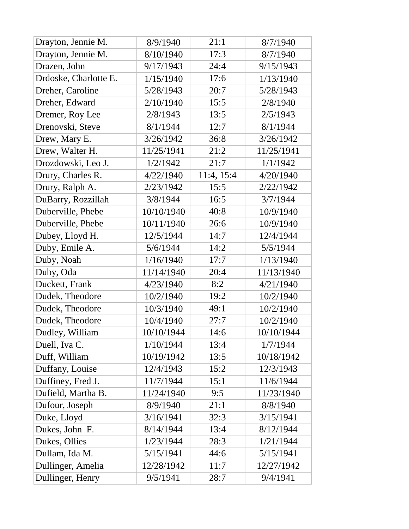| Drayton, Jennie M.    | 8/9/1940   | 21:1       | 8/7/1940   |
|-----------------------|------------|------------|------------|
| Drayton, Jennie M.    | 8/10/1940  | 17:3       | 8/7/1940   |
| Drazen, John          | 9/17/1943  | 24:4       | 9/15/1943  |
| Drdoske, Charlotte E. | 1/15/1940  | 17:6       | 1/13/1940  |
| Dreher, Caroline      | 5/28/1943  | 20:7       | 5/28/1943  |
| Dreher, Edward        | 2/10/1940  | 15:5       | 2/8/1940   |
| Dremer, Roy Lee       | 2/8/1943   | 13:5       | 2/5/1943   |
| Drenovski, Steve      | 8/1/1944   | 12:7       | 8/1/1944   |
| Drew, Mary E.         | 3/26/1942  | 36:8       | 3/26/1942  |
| Drew, Walter H.       | 11/25/1941 | 21:2       | 11/25/1941 |
| Drozdowski, Leo J.    | 1/2/1942   | 21:7       | 1/1/1942   |
| Drury, Charles R.     | 4/22/1940  | 11:4, 15:4 | 4/20/1940  |
| Drury, Ralph A.       | 2/23/1942  | 15:5       | 2/22/1942  |
| DuBarry, Rozzillah    | 3/8/1944   | 16:5       | 3/7/1944   |
| Duberville, Phebe     | 10/10/1940 | 40:8       | 10/9/1940  |
| Duberville, Phebe     | 10/11/1940 | 26:6       | 10/9/1940  |
| Dubey, Lloyd H.       | 12/5/1944  | 14:7       | 12/4/1944  |
| Duby, Emile A.        | 5/6/1944   | 14:2       | 5/5/1944   |
| Duby, Noah            | 1/16/1940  | 17:7       | 1/13/1940  |
| Duby, Oda             | 11/14/1940 | 20:4       | 11/13/1940 |
| Duckett, Frank        | 4/23/1940  | 8:2        | 4/21/1940  |
| Dudek, Theodore       | 10/2/1940  | 19:2       | 10/2/1940  |
| Dudek, Theodore       | 10/3/1940  | 49:1       | 10/2/1940  |
| Dudek, Theodore       | 10/4/1940  | 27:7       | 10/2/1940  |
| Dudley, William       | 10/10/1944 | 14:6       | 10/10/1944 |
| Duell, Iva C.         | 1/10/1944  | 13:4       | 1/7/1944   |
| Duff, William         | 10/19/1942 | 13:5       | 10/18/1942 |
| Duffany, Louise       | 12/4/1943  | 15:2       | 12/3/1943  |
| Duffiney, Fred J.     | 11/7/1944  | 15:1       | 11/6/1944  |
| Dufield, Martha B.    | 11/24/1940 | 9:5        | 11/23/1940 |
| Dufour, Joseph        | 8/9/1940   | 21:1       | 8/8/1940   |
| Duke, Lloyd           | 3/16/1941  | 32:3       | 3/15/1941  |
| Dukes, John F.        | 8/14/1944  | 13:4       | 8/12/1944  |
| Dukes, Ollies         | 1/23/1944  | 28:3       | 1/21/1944  |
| Dullam, Ida M.        | 5/15/1941  | 44:6       | 5/15/1941  |
| Dullinger, Amelia     | 12/28/1942 | 11:7       | 12/27/1942 |
| Dullinger, Henry      | 9/5/1941   | 28:7       | 9/4/1941   |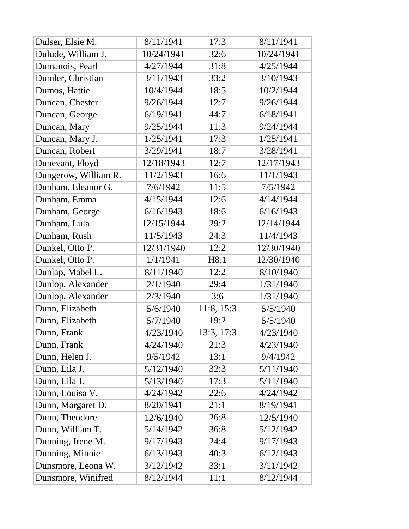| Dulser, Elsie M.     | 8/11/1941  | 17:3       | 8/11/1941  |
|----------------------|------------|------------|------------|
| Dulude, William J.   | 10/24/1941 | 32:6       | 10/24/1941 |
| Dumanois, Pearl      | 4/27/1944  | 31:8       | 4/25/1944  |
| Dumler, Christian    | 3/11/1943  | 33:2       | 3/10/1943  |
| Dumos, Hattie        | 10/4/1944  | 18:5       | 10/2/1944  |
| Duncan, Chester      | 9/26/1944  | 12:7       | 9/26/1944  |
| Duncan, George       | 6/19/1941  | 44:7       | 6/18/1941  |
| Duncan, Mary         | 9/25/1944  | 11:3       | 9/24/1944  |
| Duncan, Mary J.      | 1/25/1941  | 17:3       | 1/25/1941  |
| Duncan, Robert       | 3/29/1941  | 18:7       | 3/28/1941  |
| Dunevant, Floyd      | 12/18/1943 | 12:7       | 12/17/1943 |
| Dungerow, William R. | 11/2/1943  | 16:6       | 11/1/1943  |
| Dunham, Eleanor G.   | 7/6/1942   | 11:5       | 7/5/1942   |
| Dunham, Emma         | 4/15/1944  | 12:6       | 4/14/1944  |
| Dunham, George       | 6/16/1943  | 18:6       | 6/16/1943  |
| Dunham, Lula         | 12/15/1944 | 29:2       | 12/14/1944 |
| Dunham, Rush         | 11/5/1943  | 24:3       | 11/4/1943  |
| Dunkel, Otto P.      | 12/31/1940 | 12:2       | 12/30/1940 |
| Dunkel, Otto P.      | 1/1/1941   | H8:1       | 12/30/1940 |
| Dunlap, Mabel L.     | 8/11/1940  | 12:2       | 8/10/1940  |
| Dunlop, Alexander    | 2/1/1940   | 29:4       | 1/31/1940  |
| Dunlop, Alexander    | 2/3/1940   | 3:6        | 1/31/1940  |
| Dunn, Elizabeth      | 5/6/1940   | 11:8, 15:3 | 5/5/1940   |
| Dunn, Elizabeth      | 5/7/1940   | 19:2       | 5/5/1940   |
| Dunn, Frank          | 4/23/1940  | 13:3, 17:3 | 4/23/1940  |
| Dunn, Frank          | 4/24/1940  | 21:3       | 4/23/1940  |
| Dunn, Helen J.       | 9/5/1942   | 13:1       | 9/4/1942   |
| Dunn, Lila J.        | 5/12/1940  | 32:3       | 5/11/1940  |
| Dunn, Lila J.        | 5/13/1940  | 17:3       | 5/11/1940  |
| Dunn, Louisa V.      | 4/24/1942  | 22:6       | 4/24/1942  |
| Dunn, Margaret D.    | 8/20/1941  | 21:1       | 8/19/1941  |
| Dunn, Theodore       | 12/6/1940  | 26:8       | 12/5/1940  |
| Dunn, William T.     | 5/14/1942  | 36:8       | 5/12/1942  |
| Dunning, Irene M.    | 9/17/1943  | 24:4       | 9/17/1943  |
| Dunning, Minnie      | 6/13/1943  | 40:3       | 6/12/1943  |
| Dunsmore, Leona W.   | 3/12/1942  | 33:1       | 3/11/1942  |
| Dunsmore, Winifred   | 8/12/1944  | 11:1       | 8/12/1944  |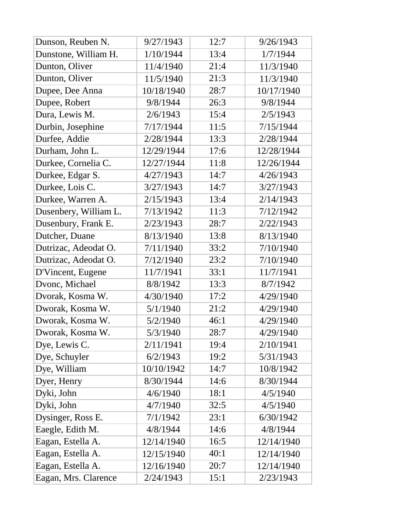| Dunson, Reuben N.     | 9/27/1943  | 12:7 | 9/26/1943  |
|-----------------------|------------|------|------------|
| Dunstone, William H.  | 1/10/1944  | 13:4 | 1/7/1944   |
| Dunton, Oliver        | 11/4/1940  | 21:4 | 11/3/1940  |
| Dunton, Oliver        | 11/5/1940  | 21:3 | 11/3/1940  |
| Dupee, Dee Anna       | 10/18/1940 | 28:7 | 10/17/1940 |
| Dupee, Robert         | 9/8/1944   | 26:3 | 9/8/1944   |
| Dura, Lewis M.        | 2/6/1943   | 15:4 | 2/5/1943   |
| Durbin, Josephine     | 7/17/1944  | 11:5 | 7/15/1944  |
| Durfee, Addie         | 2/28/1944  | 13:3 | 2/28/1944  |
| Durham, John L.       | 12/29/1944 | 17:6 | 12/28/1944 |
| Durkee, Cornelia C.   | 12/27/1944 | 11:8 | 12/26/1944 |
| Durkee, Edgar S.      | 4/27/1943  | 14:7 | 4/26/1943  |
| Durkee, Lois C.       | 3/27/1943  | 14:7 | 3/27/1943  |
| Durkee, Warren A.     | 2/15/1943  | 13:4 | 2/14/1943  |
| Dusenbery, William L. | 7/13/1942  | 11:3 | 7/12/1942  |
| Dusenbury, Frank E.   | 2/23/1943  | 28:7 | 2/22/1943  |
| Dutcher, Duane        | 8/13/1940  | 13:8 | 8/13/1940  |
| Dutrizac, Adeodat O.  | 7/11/1940  | 33:2 | 7/10/1940  |
| Dutrizac, Adeodat O.  | 7/12/1940  | 23:2 | 7/10/1940  |
| D'Vincent, Eugene     | 11/7/1941  | 33:1 | 11/7/1941  |
| Dvonc, Michael        | 8/8/1942   | 13:3 | 8/7/1942   |
| Dvorak, Kosma W.      | 4/30/1940  | 17:2 | 4/29/1940  |
| Dworak, Kosma W.      | 5/1/1940   | 21:2 | 4/29/1940  |
| Dworak, Kosma W.      | 5/2/1940   | 46:1 | 4/29/1940  |
| Dworak, Kosma W.      | 5/3/1940   | 28:7 | 4/29/1940  |
| Dye, Lewis C.         | 2/11/1941  | 19:4 | 2/10/1941  |
| Dye, Schuyler         | 6/2/1943   | 19:2 | 5/31/1943  |
| Dye, William          | 10/10/1942 | 14:7 | 10/8/1942  |
| Dyer, Henry           | 8/30/1944  | 14:6 | 8/30/1944  |
| Dyki, John            | 4/6/1940   | 18:1 | 4/5/1940   |
| Dyki, John            | 4/7/1940   | 32:5 | 4/5/1940   |
| Dysinger, Ross E.     | 7/1/1942   | 23:1 | 6/30/1942  |
| Eaegle, Edith M.      | 4/8/1944   | 14:6 | 4/8/1944   |
| Eagan, Estella A.     | 12/14/1940 | 16:5 | 12/14/1940 |
| Eagan, Estella A.     | 12/15/1940 | 40:1 | 12/14/1940 |
| Eagan, Estella A.     | 12/16/1940 | 20:7 | 12/14/1940 |
| Eagan, Mrs. Clarence  | 2/24/1943  | 15:1 | 2/23/1943  |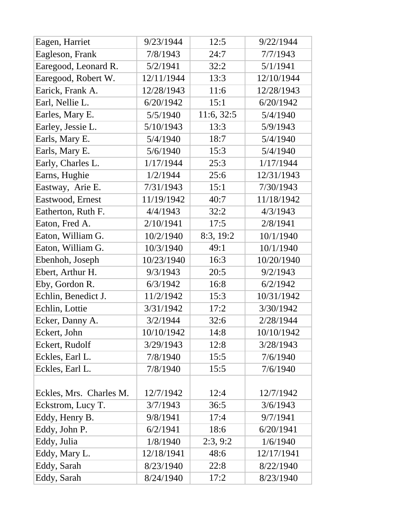| Eagen, Harriet          | 9/23/1944  | 12:5       | 9/22/1944  |
|-------------------------|------------|------------|------------|
| Eagleson, Frank         | 7/8/1943   | 24:7       | 7/7/1943   |
| Earegood, Leonard R.    | 5/2/1941   | 32:2       | 5/1/1941   |
| Earegood, Robert W.     | 12/11/1944 | 13:3       | 12/10/1944 |
| Earick, Frank A.        | 12/28/1943 | 11:6       | 12/28/1943 |
| Earl, Nellie L.         | 6/20/1942  | 15:1       | 6/20/1942  |
| Earles, Mary E.         | 5/5/1940   | 11:6, 32:5 | 5/4/1940   |
| Earley, Jessie L.       | 5/10/1943  | 13:3       | 5/9/1943   |
| Earls, Mary E.          | 5/4/1940   | 18:7       | 5/4/1940   |
| Earls, Mary E.          | 5/6/1940   | 15:3       | 5/4/1940   |
| Early, Charles L.       | 1/17/1944  | 25:3       | 1/17/1944  |
| Earns, Hughie           | 1/2/1944   | 25:6       | 12/31/1943 |
| Eastway, Arie E.        | 7/31/1943  | 15:1       | 7/30/1943  |
| Eastwood, Ernest        | 11/19/1942 | 40:7       | 11/18/1942 |
| Eatherton, Ruth F.      | 4/4/1943   | 32:2       | 4/3/1943   |
| Eaton, Fred A.          | 2/10/1941  | 17:5       | 2/8/1941   |
| Eaton, William G.       | 10/2/1940  | 8:3, 19:2  | 10/1/1940  |
| Eaton, William G.       | 10/3/1940  | 49:1       | 10/1/1940  |
| Ebenhoh, Joseph         | 10/23/1940 | 16:3       | 10/20/1940 |
| Ebert, Arthur H.        | 9/3/1943   | 20:5       | 9/2/1943   |
| Eby, Gordon R.          | 6/3/1942   | 16:8       | 6/2/1942   |
| Echlin, Benedict J.     | 11/2/1942  | 15:3       | 10/31/1942 |
| Echlin, Lottie          | 3/31/1942  | 17:2       | 3/30/1942  |
| Ecker, Danny A.         | 3/2/1944   | 32:6       | 2/28/1944  |
| Eckert, John            | 10/10/1942 | 14:8       | 10/10/1942 |
| Eckert, Rudolf          | 3/29/1943  | 12:8       | 3/28/1943  |
| Eckles, Earl L.         | 7/8/1940   | 15:5       | 7/6/1940   |
| Eckles, Earl L.         | 7/8/1940   | 15:5       | 7/6/1940   |
|                         |            |            |            |
| Eckles, Mrs. Charles M. | 12/7/1942  | 12:4       | 12/7/1942  |
| Eckstrom, Lucy T.       | 3/7/1943   | 36:5       | 3/6/1943   |
| Eddy, Henry B.          | 9/8/1941   | 17:4       | 9/7/1941   |
| Eddy, John P.           | 6/2/1941   | 18:6       | 6/20/1941  |
| Eddy, Julia             | 1/8/1940   | 2:3, 9:2   | 1/6/1940   |
| Eddy, Mary L.           | 12/18/1941 | 48:6       | 12/17/1941 |
| Eddy, Sarah             | 8/23/1940  | 22:8       | 8/22/1940  |
| Eddy, Sarah             | 8/24/1940  | 17:2       | 8/23/1940  |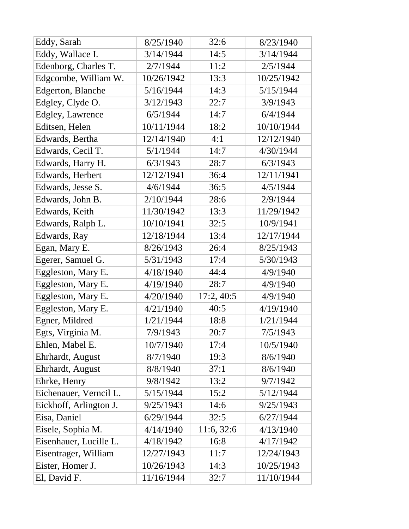| Eddy, Sarah             | 8/25/1940  | 32:6       | 8/23/1940  |
|-------------------------|------------|------------|------------|
| Eddy, Wallace I.        | 3/14/1944  | 14:5       | 3/14/1944  |
| Edenborg, Charles T.    | 2/7/1944   | 11:2       | 2/5/1944   |
| Edgcombe, William W.    | 10/26/1942 | 13:3       | 10/25/1942 |
| Edgerton, Blanche       | 5/16/1944  | 14:3       | 5/15/1944  |
| Edgley, Clyde O.        | 3/12/1943  | 22:7       | 3/9/1943   |
| <b>Edgley, Lawrence</b> | 6/5/1944   | 14:7       | 6/4/1944   |
| Editsen, Helen          | 10/11/1944 | 18:2       | 10/10/1944 |
| Edwards, Bertha         | 12/14/1940 | 4:1        | 12/12/1940 |
| Edwards, Cecil T.       | 5/1/1944   | 14:7       | 4/30/1944  |
| Edwards, Harry H.       | 6/3/1943   | 28:7       | 6/3/1943   |
| Edwards, Herbert        | 12/12/1941 | 36:4       | 12/11/1941 |
| Edwards, Jesse S.       | 4/6/1944   | 36:5       | 4/5/1944   |
| Edwards, John B.        | 2/10/1944  | 28:6       | 2/9/1944   |
| Edwards, Keith          | 11/30/1942 | 13:3       | 11/29/1942 |
| Edwards, Ralph L.       | 10/10/1941 | 32:5       | 10/9/1941  |
| Edwards, Ray            | 12/18/1944 | 13:4       | 12/17/1944 |
| Egan, Mary E.           | 8/26/1943  | 26:4       | 8/25/1943  |
| Egerer, Samuel G.       | 5/31/1943  | 17:4       | 5/30/1943  |
| Eggleston, Mary E.      | 4/18/1940  | 44:4       | 4/9/1940   |
| Eggleston, Mary E.      | 4/19/1940  | 28:7       | 4/9/1940   |
| Eggleston, Mary E.      | 4/20/1940  | 17:2,40:5  | 4/9/1940   |
| Eggleston, Mary E.      | 4/21/1940  | 40:5       | 4/19/1940  |
| Egner, Mildred          | 1/21/1944  | 18:8       | 1/21/1944  |
| Egts, Virginia M.       | 7/9/1943   | 20:7       | 7/5/1943   |
| Ehlen, Mabel E.         | 10/7/1940  | 17:4       | 10/5/1940  |
| Ehrhardt, August        | 8/7/1940   | 19:3       | 8/6/1940   |
| Ehrhardt, August        | 8/8/1940   | 37:1       | 8/6/1940   |
| Ehrke, Henry            | 9/8/1942   | 13:2       | 9/7/1942   |
| Eichenauer, Verncil L.  | 5/15/1944  | 15:2       | 5/12/1944  |
| Eickhoff, Arlington J.  | 9/25/1943  | 14:6       | 9/25/1943  |
| Eisa, Daniel            | 6/29/1944  | 32:5       | 6/27/1944  |
| Eisele, Sophia M.       | 4/14/1940  | 11:6, 32:6 | 4/13/1940  |
| Eisenhauer, Lucille L.  | 4/18/1942  | 16:8       | 4/17/1942  |
| Eisentrager, William    | 12/27/1943 | 11:7       | 12/24/1943 |
| Eister, Homer J.        | 10/26/1943 | 14:3       | 10/25/1943 |
| El, David F.            | 11/16/1944 | 32:7       | 11/10/1944 |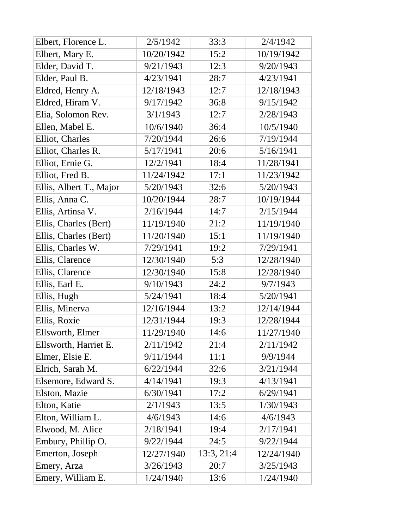| Elbert, Florence L.     | 2/5/1942   | 33:3       | 2/4/1942   |
|-------------------------|------------|------------|------------|
| Elbert, Mary E.         | 10/20/1942 | 15:2       | 10/19/1942 |
| Elder, David T.         | 9/21/1943  | 12:3       | 9/20/1943  |
| Elder, Paul B.          | 4/23/1941  | 28:7       | 4/23/1941  |
| Eldred, Henry A.        | 12/18/1943 | 12:7       | 12/18/1943 |
| Eldred, Hiram V.        | 9/17/1942  | 36:8       | 9/15/1942  |
| Elia, Solomon Rev.      | 3/1/1943   | 12:7       | 2/28/1943  |
| Ellen, Mabel E.         | 10/6/1940  | 36:4       | 10/5/1940  |
| Elliot, Charles         | 7/20/1944  | 26:6       | 7/19/1944  |
| Elliot, Charles R.      | 5/17/1941  | 20:6       | 5/16/1941  |
| Elliot, Ernie G.        | 12/2/1941  | 18:4       | 11/28/1941 |
| Elliot, Fred B.         | 11/24/1942 | 17:1       | 11/23/1942 |
| Ellis, Albert T., Major | 5/20/1943  | 32:6       | 5/20/1943  |
| Ellis, Anna C.          | 10/20/1944 | 28:7       | 10/19/1944 |
| Ellis, Artinsa V.       | 2/16/1944  | 14:7       | 2/15/1944  |
| Ellis, Charles (Bert)   | 11/19/1940 | 21:2       | 11/19/1940 |
| Ellis, Charles (Bert)   | 11/20/1940 | 15:1       | 11/19/1940 |
| Ellis, Charles W.       | 7/29/1941  | 19:2       | 7/29/1941  |
| Ellis, Clarence         | 12/30/1940 | 5:3        | 12/28/1940 |
| Ellis, Clarence         | 12/30/1940 | 15:8       | 12/28/1940 |
| Ellis, Earl E.          | 9/10/1943  | 24:2       | 9/7/1943   |
| Ellis, Hugh             | 5/24/1941  | 18:4       | 5/20/1941  |
| Ellis, Minerva          | 12/16/1944 | 13:2       | 12/14/1944 |
| Ellis, Roxie            | 12/31/1944 | 19:3       | 12/28/1944 |
| Ellsworth, Elmer        | 11/29/1940 | 14:6       | 11/27/1940 |
| Ellsworth, Harriet E.   | 2/11/1942  | 21:4       | 2/11/1942  |
| Elmer, Elsie E.         | 9/11/1944  | 11:1       | 9/9/1944   |
| Elrich, Sarah M.        | 6/22/1944  | 32:6       | 3/21/1944  |
| Elsemore, Edward S.     | 4/14/1941  | 19:3       | 4/13/1941  |
| Elston, Mazie           | 6/30/1941  | 17:2       | 6/29/1941  |
| Elton, Katie            | 2/1/1943   | 13:5       | 1/30/1943  |
| Elton, William L.       | 4/6/1943   | 14:6       | 4/6/1943   |
| Elwood, M. Alice        | 2/18/1941  | 19:4       | 2/17/1941  |
| Embury, Phillip O.      | 9/22/1944  | 24:5       | 9/22/1944  |
| Emerton, Joseph         | 12/27/1940 | 13:3, 21:4 | 12/24/1940 |
| Emery, Arza             | 3/26/1943  | 20:7       | 3/25/1943  |
| Emery, William E.       | 1/24/1940  | 13:6       | 1/24/1940  |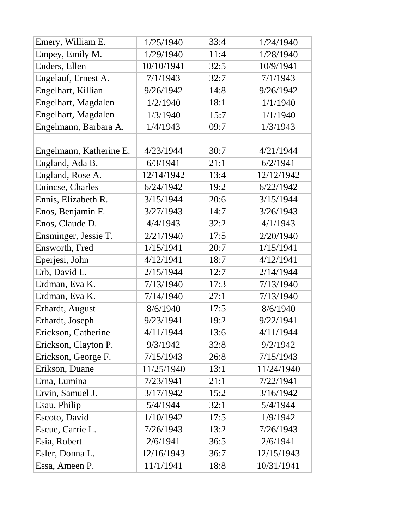| Emery, William E.       | 1/25/1940  | 33:4 | 1/24/1940  |
|-------------------------|------------|------|------------|
| Empey, Emily M.         | 1/29/1940  | 11:4 | 1/28/1940  |
| Enders, Ellen           | 10/10/1941 | 32:5 | 10/9/1941  |
| Engelauf, Ernest A.     | 7/1/1943   | 32:7 | 7/1/1943   |
| Engelhart, Killian      | 9/26/1942  | 14:8 | 9/26/1942  |
| Engelhart, Magdalen     | 1/2/1940   | 18:1 | 1/1/1940   |
| Engelhart, Magdalen     | 1/3/1940   | 15:7 | 1/1/1940   |
| Engelmann, Barbara A.   | 1/4/1943   | 09:7 | 1/3/1943   |
|                         |            |      |            |
| Engelmann, Katherine E. | 4/23/1944  | 30:7 | 4/21/1944  |
| England, Ada B.         | 6/3/1941   | 21:1 | 6/2/1941   |
| England, Rose A.        | 12/14/1942 | 13:4 | 12/12/1942 |
| Enincse, Charles        | 6/24/1942  | 19:2 | 6/22/1942  |
| Ennis, Elizabeth R.     | 3/15/1944  | 20:6 | 3/15/1944  |
| Enos, Benjamin F.       | 3/27/1943  | 14:7 | 3/26/1943  |
| Enos, Claude D.         | 4/4/1943   | 32:2 | 4/1/1943   |
| Ensminger, Jessie T.    | 2/21/1940  | 17:5 | 2/20/1940  |
| Ensworth, Fred          | 1/15/1941  | 20:7 | 1/15/1941  |
| Eperjesi, John          | 4/12/1941  | 18:7 | 4/12/1941  |
| Erb, David L.           | 2/15/1944  | 12:7 | 2/14/1944  |
| Erdman, Eva K.          | 7/13/1940  | 17:3 | 7/13/1940  |
| Erdman, Eva K.          | 7/14/1940  | 27:1 | 7/13/1940  |
| Erhardt, August         | 8/6/1940   | 17:5 | 8/6/1940   |
| Erhardt, Joseph         | 9/23/1941  | 19:2 | 9/22/1941  |
| Erickson, Catherine     | 4/11/1944  | 13:6 | 4/11/1944  |
| Erickson, Clayton P.    | 9/3/1942   | 32:8 | 9/2/1942   |
| Erickson, George F.     | 7/15/1943  | 26:8 | 7/15/1943  |
| Erikson, Duane          | 11/25/1940 | 13:1 | 11/24/1940 |
| Erna, Lumina            | 7/23/1941  | 21:1 | 7/22/1941  |
| Ervin, Samuel J.        | 3/17/1942  | 15:2 | 3/16/1942  |
| Esau, Philip            | 5/4/1944   | 32:1 | 5/4/1944   |
| Escoto, David           | 1/10/1942  | 17:5 | 1/9/1942   |
| Escue, Carrie L.        | 7/26/1943  | 13:2 | 7/26/1943  |
| Esia, Robert            | 2/6/1941   | 36:5 | 2/6/1941   |
| Esler, Donna L.         | 12/16/1943 | 36:7 | 12/15/1943 |
| Essa, Ameen P.          | 11/1/1941  | 18:8 | 10/31/1941 |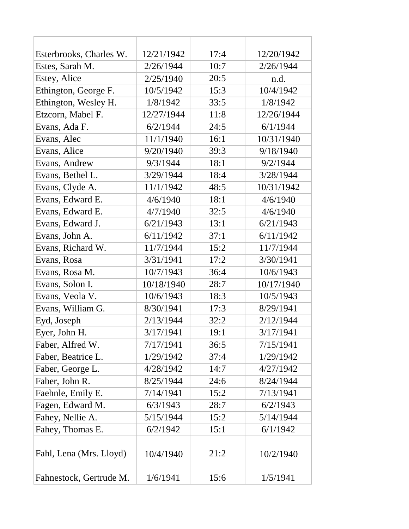| Esterbrooks, Charles W. | 12/21/1942 | 17:4 | 12/20/1942 |
|-------------------------|------------|------|------------|
| Estes, Sarah M.         | 2/26/1944  | 10:7 | 2/26/1944  |
| Estey, Alice            | 2/25/1940  | 20:5 | n.d.       |
| Ethington, George F.    | 10/5/1942  | 15:3 | 10/4/1942  |
| Ethington, Wesley H.    | 1/8/1942   | 33:5 | 1/8/1942   |
| Etzcorn, Mabel F.       | 12/27/1944 | 11:8 | 12/26/1944 |
| Evans, Ada F.           | 6/2/1944   | 24:5 | 6/1/1944   |
| Evans, Alec             | 11/1/1940  | 16:1 | 10/31/1940 |
| Evans, Alice            | 9/20/1940  | 39:3 | 9/18/1940  |
| Evans, Andrew           | 9/3/1944   | 18:1 | 9/2/1944   |
| Evans, Bethel L.        | 3/29/1944  | 18:4 | 3/28/1944  |
| Evans, Clyde A.         | 11/1/1942  | 48:5 | 10/31/1942 |
| Evans, Edward E.        | 4/6/1940   | 18:1 | 4/6/1940   |
| Evans, Edward E.        | 4/7/1940   | 32:5 | 4/6/1940   |
| Evans, Edward J.        | 6/21/1943  | 13:1 | 6/21/1943  |
| Evans, John A.          | 6/11/1942  | 37:1 | 6/11/1942  |
| Evans, Richard W.       | 11/7/1944  | 15:2 | 11/7/1944  |
| Evans, Rosa             | 3/31/1941  | 17:2 | 3/30/1941  |
| Evans, Rosa M.          | 10/7/1943  | 36:4 | 10/6/1943  |
| Evans, Solon I.         | 10/18/1940 | 28:7 | 10/17/1940 |
| Evans, Veola V.         | 10/6/1943  | 18:3 | 10/5/1943  |
| Evans, William G.       | 8/30/1941  | 17:3 | 8/29/1941  |
| Eyd, Joseph             | 2/13/1944  | 32:2 | 2/12/1944  |
| Eyer, John H.           | 3/17/1941  | 19:1 | 3/17/1941  |
| Faber, Alfred W.        | 7/17/1941  | 36:5 | 7/15/1941  |
| Faber, Beatrice L.      | 1/29/1942  | 37:4 | 1/29/1942  |
| Faber, George L.        | 4/28/1942  | 14:7 | 4/27/1942  |
| Faber, John R.          | 8/25/1944  | 24:6 | 8/24/1944  |
| Faehnle, Emily E.       | 7/14/1941  | 15:2 | 7/13/1941  |
| Fagen, Edward M.        | 6/3/1943   | 28:7 | 6/2/1943   |
| Fahey, Nellie A.        | 5/15/1944  | 15:2 | 5/14/1944  |
| Fahey, Thomas E.        | 6/2/1942   | 15:1 | 6/1/1942   |
|                         |            |      |            |
| Fahl, Lena (Mrs. Lloyd) | 10/4/1940  | 21:2 | 10/2/1940  |
| Fahnestock, Gertrude M. | 1/6/1941   | 15:6 | 1/5/1941   |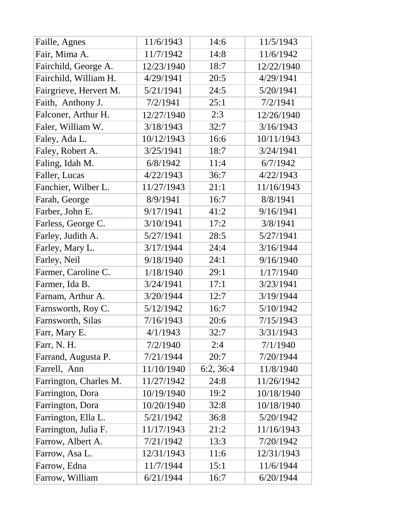| Faille, Agnes          | 11/6/1943  | 14:6      | 11/5/1943  |
|------------------------|------------|-----------|------------|
| Fair, Mima A.          | 11/7/1942  | 14:8      | 11/6/1942  |
| Fairchild, George A.   | 12/23/1940 | 18:7      | 12/22/1940 |
| Fairchild, William H.  | 4/29/1941  | 20:5      | 4/29/1941  |
| Fairgrieve, Hervert M. | 5/21/1941  | 24:5      | 5/20/1941  |
| Faith, Anthony J.      | 7/2/1941   | 25:1      | 7/2/1941   |
| Falconer, Arthur H.    | 12/27/1940 | 2:3       | 12/26/1940 |
| Faler, William W.      | 3/18/1943  | 32:7      | 3/16/1943  |
| Faley, Ada L.          | 10/12/1943 | 16:6      | 10/11/1943 |
| Faley, Robert A.       | 3/25/1941  | 18:7      | 3/24/1941  |
| Faling, Idah M.        | 6/8/1942   | 11:4      | 6/7/1942   |
| Faller, Lucas          | 4/22/1943  | 36:7      | 4/22/1943  |
| Fanchier, Wilber L.    | 11/27/1943 | 21:1      | 11/16/1943 |
| Farah, George          | 8/9/1941   | 16:7      | 8/8/1941   |
| Farber, John E.        | 9/17/1941  | 41:2      | 9/16/1941  |
| Farless, George C.     | 3/10/1941  | 17:2      | 3/8/1941   |
| Farley, Judith A.      | 5/27/1941  | 28:5      | 5/27/1941  |
| Farley, Mary L.        | 3/17/1944  | 24:4      | 3/16/1944  |
| Farley, Neil           | 9/18/1940  | 24:1      | 9/16/1940  |
| Farmer, Caroline C.    | 1/18/1940  | 29:1      | 1/17/1940  |
| Farmer, Ida B.         | 3/24/1941  | 17:1      | 3/23/1941  |
| Farnam, Arthur A.      | 3/20/1944  | 12:7      | 3/19/1944  |
| Farnsworth, Roy C.     | 5/12/1942  | 16:7      | 5/10/1942  |
| Farnsworth, Silas      | 7/16/1943  | 20:6      | 7/15/1943  |
| Farr, Mary E.          | 4/1/1943   | 32:7      | 3/31/1943  |
| Farr, N. H.            | 7/2/1940   | 2:4       | 7/1/1940   |
| Farrand, Augusta P.    | 7/21/1944  | 20:7      | 7/20/1944  |
| Farrell, Ann           | 11/10/1940 | 6:2, 36:4 | 11/8/1940  |
| Farrington, Charles M. | 11/27/1942 | 24:8      | 11/26/1942 |
| Farrington, Dora       | 10/19/1940 | 19:2      | 10/18/1940 |
| Farrington, Dora       | 10/20/1940 | 32:8      | 10/18/1940 |
| Farrington, Ella L.    | 5/21/1942  | 36:8      | 5/20/1942  |
| Farrington, Julia F.   | 11/17/1943 | 21:2      | 11/16/1943 |
| Farrow, Albert A.      | 7/21/1942  | 13:3      | 7/20/1942  |
| Farrow, Asa L.         | 12/31/1943 | 11:6      | 12/31/1943 |
| Farrow, Edna           | 11/7/1944  | 15:1      | 11/6/1944  |
| Farrow, William        | 6/21/1944  | 16:7      | 6/20/1944  |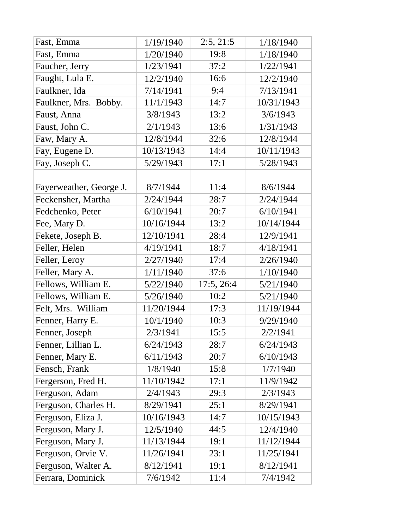| Fast, Emma              | 1/19/1940  | 2:5, 21:5  | 1/18/1940  |
|-------------------------|------------|------------|------------|
| Fast, Emma              | 1/20/1940  | 19:8       | 1/18/1940  |
| Faucher, Jerry          | 1/23/1941  | 37:2       | 1/22/1941  |
| Faught, Lula E.         | 12/2/1940  | 16:6       | 12/2/1940  |
| Faulkner, Ida           | 7/14/1941  | 9:4        | 7/13/1941  |
| Faulkner, Mrs. Bobby.   | 11/1/1943  | 14:7       | 10/31/1943 |
| Faust, Anna             | 3/8/1943   | 13:2       | 3/6/1943   |
| Faust, John C.          | 2/1/1943   | 13:6       | 1/31/1943  |
| Faw, Mary A.            | 12/8/1944  | 32:6       | 12/8/1944  |
| Fay, Eugene D.          | 10/13/1943 | 14:4       | 10/11/1943 |
| Fay, Joseph C.          | 5/29/1943  | 17:1       | 5/28/1943  |
|                         |            |            |            |
| Fayerweather, George J. | 8/7/1944   | 11:4       | 8/6/1944   |
| Feckensher, Martha      | 2/24/1944  | 28:7       | 2/24/1944  |
| Fedchenko, Peter        | 6/10/1941  | 20:7       | 6/10/1941  |
| Fee, Mary D.            | 10/16/1944 | 13:2       | 10/14/1944 |
| Fekete, Joseph B.       | 12/10/1941 | 28:4       | 12/9/1941  |
| Feller, Helen           | 4/19/1941  | 18:7       | 4/18/1941  |
| Feller, Leroy           | 2/27/1940  | 17:4       | 2/26/1940  |
| Feller, Mary A.         | 1/11/1940  | 37:6       | 1/10/1940  |
| Fellows, William E.     | 5/22/1940  | 17:5, 26:4 | 5/21/1940  |
| Fellows, William E.     | 5/26/1940  | 10:2       | 5/21/1940  |
| Felt, Mrs. William      | 11/20/1944 | 17:3       | 11/19/1944 |
| Fenner, Harry E.        | 10/1/1940  | 10:3       | 9/29/1940  |
| Fenner, Joseph          | 2/3/1941   | 15:5       | 2/2/1941   |
| Fenner, Lillian L.      | 6/24/1943  | 28:7       | 6/24/1943  |
| Fenner, Mary E.         | 6/11/1943  | 20:7       | 6/10/1943  |
| Fensch, Frank           | 1/8/1940   | 15:8       | 1/7/1940   |
| Fergerson, Fred H.      | 11/10/1942 | 17:1       | 11/9/1942  |
| Ferguson, Adam          | 2/4/1943   | 29:3       | 2/3/1943   |
| Ferguson, Charles H.    | 8/29/1941  | 25:1       | 8/29/1941  |
| Ferguson, Eliza J.      | 10/16/1943 | 14:7       | 10/15/1943 |
| Ferguson, Mary J.       | 12/5/1940  | 44:5       | 12/4/1940  |
| Ferguson, Mary J.       | 11/13/1944 | 19:1       | 11/12/1944 |
| Ferguson, Orvie V.      | 11/26/1941 | 23:1       | 11/25/1941 |
| Ferguson, Walter A.     | 8/12/1941  | 19:1       | 8/12/1941  |
| Ferrara, Dominick       | 7/6/1942   | 11:4       | 7/4/1942   |
|                         |            |            |            |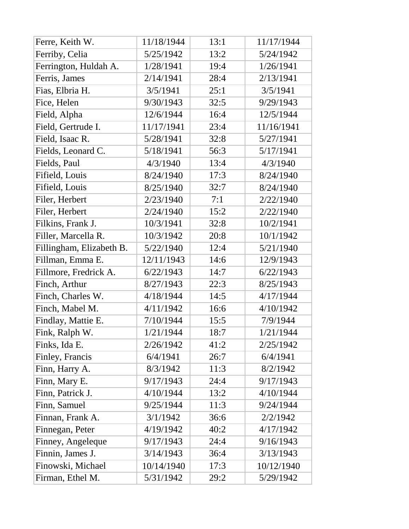| Ferre, Keith W.          | 11/18/1944 | 13:1 | 11/17/1944 |
|--------------------------|------------|------|------------|
| Ferriby, Celia           | 5/25/1942  | 13:2 | 5/24/1942  |
| Ferrington, Huldah A.    | 1/28/1941  | 19:4 | 1/26/1941  |
| Ferris, James            | 2/14/1941  | 28:4 | 2/13/1941  |
| Fias, Elbria H.          | 3/5/1941   | 25:1 | 3/5/1941   |
| Fice, Helen              | 9/30/1943  | 32:5 | 9/29/1943  |
| Field, Alpha             | 12/6/1944  | 16:4 | 12/5/1944  |
| Field, Gertrude I.       | 11/17/1941 | 23:4 | 11/16/1941 |
| Field, Isaac R.          | 5/28/1941  | 32:8 | 5/27/1941  |
| Fields, Leonard C.       | 5/18/1941  | 56:3 | 5/17/1941  |
| Fields, Paul             | 4/3/1940   | 13:4 | 4/3/1940   |
| Fifield, Louis           | 8/24/1940  | 17:3 | 8/24/1940  |
| Fifield, Louis           | 8/25/1940  | 32:7 | 8/24/1940  |
| Filer, Herbert           | 2/23/1940  | 7:1  | 2/22/1940  |
| Filer, Herbert           | 2/24/1940  | 15:2 | 2/22/1940  |
| Filkins, Frank J.        | 10/3/1941  | 32:8 | 10/2/1941  |
| Filler, Marcella R.      | 10/3/1942  | 20:8 | 10/1/1942  |
| Fillingham, Elizabeth B. | 5/22/1940  | 12:4 | 5/21/1940  |
| Fillman, Emma E.         | 12/11/1943 | 14:6 | 12/9/1943  |
| Fillmore, Fredrick A.    | 6/22/1943  | 14:7 | 6/22/1943  |
| Finch, Arthur            | 8/27/1943  | 22:3 | 8/25/1943  |
| Finch, Charles W.        | 4/18/1944  | 14:5 | 4/17/1944  |
| Finch, Mabel M.          | 4/11/1942  | 16:6 | 4/10/1942  |
| Findlay, Mattie E.       | 7/10/1944  | 15:5 | 7/9/1944   |
| Fink, Ralph W.           | 1/21/1944  | 18:7 | 1/21/1944  |
| Finks, Ida E.            | 2/26/1942  | 41:2 | 2/25/1942  |
| Finley, Francis          | 6/4/1941   | 26:7 | 6/4/1941   |
| Finn, Harry A.           | 8/3/1942   | 11:3 | 8/2/1942   |
| Finn, Mary E.            | 9/17/1943  | 24:4 | 9/17/1943  |
| Finn, Patrick J.         | 4/10/1944  | 13:2 | 4/10/1944  |
| Finn, Samuel             | 9/25/1944  | 11:3 | 9/24/1944  |
| Finnan, Frank A.         | 3/1/1942   | 36:6 | 2/2/1942   |
| Finnegan, Peter          | 4/19/1942  | 40:2 | 4/17/1942  |
| Finney, Angeleque        | 9/17/1943  | 24:4 | 9/16/1943  |
| Finnin, James J.         | 3/14/1943  | 36:4 | 3/13/1943  |
| Finowski, Michael        | 10/14/1940 | 17:3 | 10/12/1940 |
| Firman, Ethel M.         | 5/31/1942  | 29:2 | 5/29/1942  |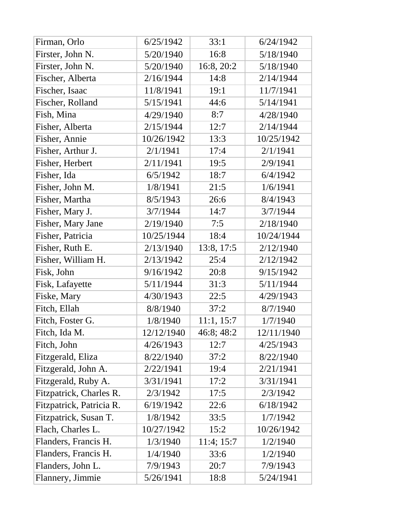| Firman, Orlo             | 6/25/1942  | 33:1       | 6/24/1942  |
|--------------------------|------------|------------|------------|
| Firster, John N.         | 5/20/1940  | 16:8       | 5/18/1940  |
| Firster, John N.         | 5/20/1940  | 16:8, 20:2 | 5/18/1940  |
| Fischer, Alberta         | 2/16/1944  | 14:8       | 2/14/1944  |
| Fischer, Isaac           | 11/8/1941  | 19:1       | 11/7/1941  |
| Fischer, Rolland         | 5/15/1941  | 44:6       | 5/14/1941  |
| Fish, Mina               | 4/29/1940  | 8:7        | 4/28/1940  |
| Fisher, Alberta          | 2/15/1944  | 12:7       | 2/14/1944  |
| Fisher, Annie            | 10/26/1942 | 13:3       | 10/25/1942 |
| Fisher, Arthur J.        | 2/1/1941   | 17:4       | 2/1/1941   |
| Fisher, Herbert          | 2/11/1941  | 19:5       | 2/9/1941   |
| Fisher, Ida              | 6/5/1942   | 18:7       | 6/4/1942   |
| Fisher, John M.          | 1/8/1941   | 21:5       | 1/6/1941   |
| Fisher, Martha           | 8/5/1943   | 26:6       | 8/4/1943   |
| Fisher, Mary J.          | 3/7/1944   | 14:7       | 3/7/1944   |
| Fisher, Mary Jane        | 2/19/1940  | 7:5        | 2/18/1940  |
| Fisher, Patricia         | 10/25/1944 | 18:4       | 10/24/1944 |
| Fisher, Ruth E.          | 2/13/1940  | 13:8, 17:5 | 2/12/1940  |
| Fisher, William H.       | 2/13/1942  | 25:4       | 2/12/1942  |
| Fisk, John               | 9/16/1942  | 20:8       | 9/15/1942  |
| Fisk, Lafayette          | 5/11/1944  | 31:3       | 5/11/1944  |
| Fiske, Mary              | 4/30/1943  | 22:5       | 4/29/1943  |
| Fitch, Ellah             | 8/8/1940   | 37:2       | 8/7/1940   |
| Fitch, Foster G.         | 1/8/1940   | 11:1, 15:7 | 1/7/1940   |
| Fitch, Ida M.            | 12/12/1940 | 46:8; 48:2 | 12/11/1940 |
| Fitch, John              | 4/26/1943  | 12:7       | 4/25/1943  |
| Fitzgerald, Eliza        | 8/22/1940  | 37:2       | 8/22/1940  |
| Fitzgerald, John A.      | 2/22/1941  | 19:4       | 2/21/1941  |
| Fitzgerald, Ruby A.      | 3/31/1941  | 17:2       | 3/31/1941  |
| Fitzpatrick, Charles R.  | 2/3/1942   | 17:5       | 2/3/1942   |
| Fitzpatrick, Patricia R. | 6/19/1942  | 22:6       | 6/18/1942  |
| Fitzpatrick, Susan T.    | 1/8/1942   | 33:5       | 1/7/1942   |
| Flach, Charles L.        | 10/27/1942 | 15:2       | 10/26/1942 |
| Flanders, Francis H.     | 1/3/1940   | 11:4; 15:7 | 1/2/1940   |
| Flanders, Francis H.     | 1/4/1940   | 33:6       | 1/2/1940   |
| Flanders, John L.        | 7/9/1943   | 20:7       | 7/9/1943   |
| Flannery, Jimmie         | 5/26/1941  | 18:8       | 5/24/1941  |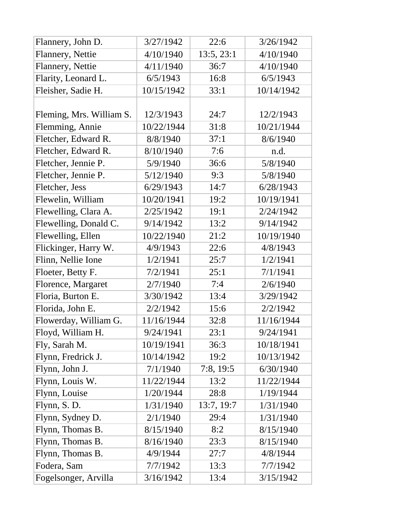| Flannery, John D.        | 3/27/1942  | 22:6       | 3/26/1942  |
|--------------------------|------------|------------|------------|
| Flannery, Nettie         | 4/10/1940  | 13:5, 23:1 | 4/10/1940  |
| Flannery, Nettie         | 4/11/1940  | 36:7       | 4/10/1940  |
| Flarity, Leonard L.      | 6/5/1943   | 16:8       | 6/5/1943   |
| Fleisher, Sadie H.       | 10/15/1942 | 33:1       | 10/14/1942 |
|                          |            |            |            |
| Fleming, Mrs. William S. | 12/3/1943  | 24:7       | 12/2/1943  |
| Flemming, Annie          | 10/22/1944 | 31:8       | 10/21/1944 |
| Fletcher, Edward R.      | 8/8/1940   | 37:1       | 8/6/1940   |
| Fletcher, Edward R.      | 8/10/1940  | 7:6        | n.d.       |
| Fletcher, Jennie P.      | 5/9/1940   | 36:6       | 5/8/1940   |
| Fletcher, Jennie P.      | 5/12/1940  | 9:3        | 5/8/1940   |
| Fletcher, Jess           | 6/29/1943  | 14:7       | 6/28/1943  |
| Flewelin, William        | 10/20/1941 | 19:2       | 10/19/1941 |
| Flewelling, Clara A.     | 2/25/1942  | 19:1       | 2/24/1942  |
| Flewelling, Donald C.    | 9/14/1942  | 13:2       | 9/14/1942  |
| Flewelling, Ellen        | 10/22/1940 | 21:2       | 10/19/1940 |
| Flickinger, Harry W.     | 4/9/1943   | 22:6       | 4/8/1943   |
| Flinn, Nellie Ione       | 1/2/1941   | 25:7       | 1/2/1941   |
| Floeter, Betty F.        | 7/2/1941   | 25:1       | 7/1/1941   |
| Florence, Margaret       | 2/7/1940   | 7:4        | 2/6/1940   |
| Floria, Burton E.        | 3/30/1942  | 13:4       | 3/29/1942  |
| Florida, John E.         | 2/2/1942   | 15:6       | 2/2/1942   |
| Flowerday, William G.    | 11/16/1944 | 32:8       | 11/16/1944 |
| Floyd, William H.        | 9/24/1941  | 23:1       | 9/24/1941  |
| Fly, Sarah M.            | 10/19/1941 | 36:3       | 10/18/1941 |
| Flynn, Fredrick J.       | 10/14/1942 | 19:2       | 10/13/1942 |
| Flynn, John J.           | 7/1/1940   | 7:8, 19:5  | 6/30/1940  |
| Flynn, Louis W.          | 11/22/1944 | 13:2       | 11/22/1944 |
| Flynn, Louise            | 1/20/1944  | 28:8       | 1/19/1944  |
| Flynn, S. D.             | 1/31/1940  | 13:7, 19:7 | 1/31/1940  |
| Flynn, Sydney D.         | 2/1/1940   | 29:4       | 1/31/1940  |
| Flynn, Thomas B.         | 8/15/1940  | 8:2        | 8/15/1940  |
| Flynn, Thomas B.         | 8/16/1940  | 23:3       | 8/15/1940  |
| Flynn, Thomas B.         | 4/9/1944   | 27:7       | 4/8/1944   |
| Fodera, Sam              | 7/7/1942   | 13:3       | 7/7/1942   |
| Fogelsonger, Arvilla     | 3/16/1942  | 13:4       | 3/15/1942  |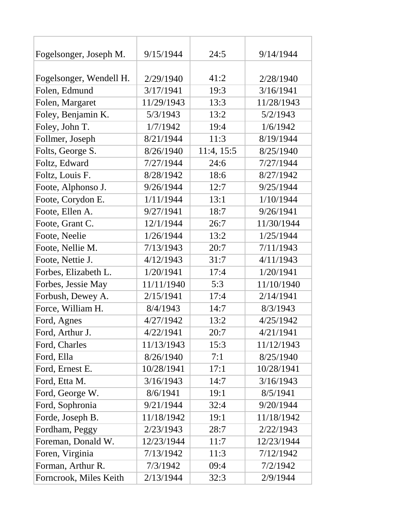| Fogelsonger, Joseph M.  | 9/15/1944  | 24:5       | 9/14/1944  |
|-------------------------|------------|------------|------------|
|                         |            |            |            |
| Fogelsonger, Wendell H. | 2/29/1940  | 41:2       | 2/28/1940  |
| Folen, Edmund           | 3/17/1941  | 19:3       | 3/16/1941  |
| Folen, Margaret         | 11/29/1943 | 13:3       | 11/28/1943 |
| Foley, Benjamin K.      | 5/3/1943   | 13:2       | 5/2/1943   |
| Foley, John T.          | 1/7/1942   | 19:4       | 1/6/1942   |
| Follmer, Joseph         | 8/21/1944  | 11:3       | 8/19/1944  |
| Folts, George S.        | 8/26/1940  | 11:4, 15:5 | 8/25/1940  |
| Foltz, Edward           | 7/27/1944  | 24:6       | 7/27/1944  |
| Foltz, Louis F.         | 8/28/1942  | 18:6       | 8/27/1942  |
| Foote, Alphonso J.      | 9/26/1944  | 12:7       | 9/25/1944  |
| Foote, Corydon E.       | 1/11/1944  | 13:1       | 1/10/1944  |
| Foote, Ellen A.         | 9/27/1941  | 18:7       | 9/26/1941  |
| Foote, Grant C.         | 12/1/1944  | 26:7       | 11/30/1944 |
| Foote, Neelie           | 1/26/1944  | 13:2       | 1/25/1944  |
| Foote, Nellie M.        | 7/13/1943  | 20:7       | 7/11/1943  |
| Foote, Nettie J.        | 4/12/1943  | 31:7       | 4/11/1943  |
| Forbes, Elizabeth L.    | 1/20/1941  | 17:4       | 1/20/1941  |
| Forbes, Jessie May      | 11/11/1940 | 5:3        | 11/10/1940 |
| Forbush, Dewey A.       | 2/15/1941  | 17:4       | 2/14/1941  |
| Force, William H.       | 8/4/1943   | 14:7       | 8/3/1943   |
| Ford, Agnes             | 4/27/1942  | 13:2       | 4/25/1942  |
| Ford, Arthur J.         | 4/22/1941  | 20:7       | 4/21/1941  |
| Ford, Charles           | 11/13/1943 | 15:3       | 11/12/1943 |
| Ford, Ella              | 8/26/1940  | 7:1        | 8/25/1940  |
| Ford, Ernest E.         | 10/28/1941 | 17:1       | 10/28/1941 |
| Ford, Etta M.           | 3/16/1943  | 14:7       | 3/16/1943  |
| Ford, George W.         | 8/6/1941   | 19:1       | 8/5/1941   |
| Ford, Sophronia         | 9/21/1944  | 32:4       | 9/20/1944  |
| Forde, Joseph B.        | 11/18/1942 | 19:1       | 11/18/1942 |
| Fordham, Peggy          | 2/23/1943  | 28:7       | 2/22/1943  |
| Foreman, Donald W.      | 12/23/1944 | 11:7       | 12/23/1944 |
| Foren, Virginia         | 7/13/1942  | 11:3       | 7/12/1942  |
| Forman, Arthur R.       | 7/3/1942   | 09:4       | 7/2/1942   |
| Forncrook, Miles Keith  | 2/13/1944  | 32:3       | 2/9/1944   |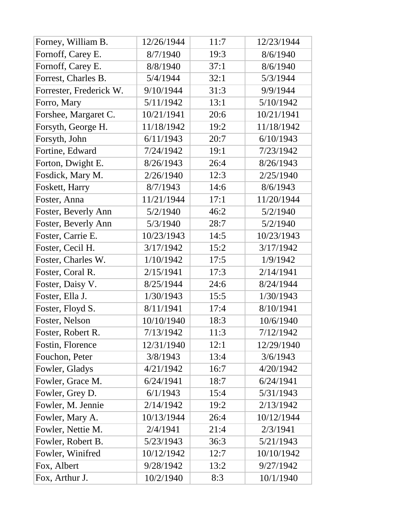| Forney, William B.      | 12/26/1944 | 11:7 | 12/23/1944 |
|-------------------------|------------|------|------------|
| Fornoff, Carey E.       | 8/7/1940   | 19:3 | 8/6/1940   |
| Fornoff, Carey E.       | 8/8/1940   | 37:1 | 8/6/1940   |
| Forrest, Charles B.     | 5/4/1944   | 32:1 | 5/3/1944   |
| Forrester, Frederick W. | 9/10/1944  | 31:3 | 9/9/1944   |
| Forro, Mary             | 5/11/1942  | 13:1 | 5/10/1942  |
| Forshee, Margaret C.    | 10/21/1941 | 20:6 | 10/21/1941 |
| Forsyth, George H.      | 11/18/1942 | 19:2 | 11/18/1942 |
| Forsyth, John           | 6/11/1943  | 20:7 | 6/10/1943  |
| Fortine, Edward         | 7/24/1942  | 19:1 | 7/23/1942  |
| Forton, Dwight E.       | 8/26/1943  | 26:4 | 8/26/1943  |
| Fosdick, Mary M.        | 2/26/1940  | 12:3 | 2/25/1940  |
| Foskett, Harry          | 8/7/1943   | 14:6 | 8/6/1943   |
| Foster, Anna            | 11/21/1944 | 17:1 | 11/20/1944 |
| Foster, Beverly Ann     | 5/2/1940   | 46:2 | 5/2/1940   |
| Foster, Beverly Ann     | 5/3/1940   | 28:7 | 5/2/1940   |
| Foster, Carrie E.       | 10/23/1943 | 14:5 | 10/23/1943 |
| Foster, Cecil H.        | 3/17/1942  | 15:2 | 3/17/1942  |
| Foster, Charles W.      | 1/10/1942  | 17:5 | 1/9/1942   |
| Foster, Coral R.        | 2/15/1941  | 17:3 | 2/14/1941  |
| Foster, Daisy V.        | 8/25/1944  | 24:6 | 8/24/1944  |
| Foster, Ella J.         | 1/30/1943  | 15:5 | 1/30/1943  |
| Foster, Floyd S.        | 8/11/1941  | 17:4 | 8/10/1941  |
| Foster, Nelson          | 10/10/1940 | 18:3 | 10/6/1940  |
| Foster, Robert R.       | 7/13/1942  | 11:3 | 7/12/1942  |
| Fostin, Florence        | 12/31/1940 | 12:1 | 12/29/1940 |
| Fouchon, Peter          | 3/8/1943   | 13:4 | 3/6/1943   |
| Fowler, Gladys          | 4/21/1942  | 16:7 | 4/20/1942  |
| Fowler, Grace M.        | 6/24/1941  | 18:7 | 6/24/1941  |
| Fowler, Grey D.         | 6/1/1943   | 15:4 | 5/31/1943  |
| Fowler, M. Jennie       | 2/14/1942  | 19:2 | 2/13/1942  |
| Fowler, Mary A.         | 10/13/1944 | 26:4 | 10/12/1944 |
| Fowler, Nettie M.       | 2/4/1941   | 21:4 | 2/3/1941   |
| Fowler, Robert B.       | 5/23/1943  | 36:3 | 5/21/1943  |
| Fowler, Winifred        | 10/12/1942 | 12:7 | 10/10/1942 |
| Fox, Albert             | 9/28/1942  | 13:2 | 9/27/1942  |
| Fox, Arthur J.          | 10/2/1940  | 8:3  | 10/1/1940  |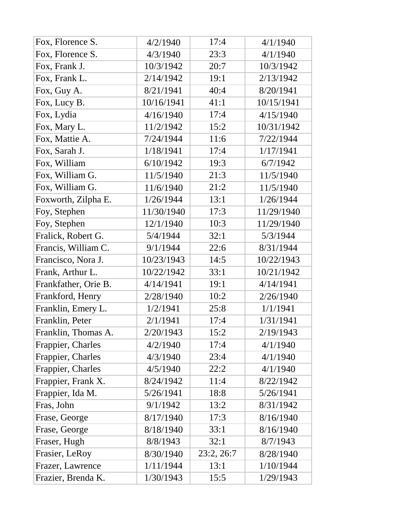| Fox, Florence S.     | 4/2/1940   | 17:4       | 4/1/1940   |
|----------------------|------------|------------|------------|
| Fox, Florence S.     | 4/3/1940   | 23:3       | 4/1/1940   |
| Fox, Frank J.        | 10/3/1942  | 20:7       | 10/3/1942  |
| Fox, Frank L.        | 2/14/1942  | 19:1       | 2/13/1942  |
| Fox, Guy A.          | 8/21/1941  | 40:4       | 8/20/1941  |
| Fox, Lucy B.         | 10/16/1941 | 41:1       | 10/15/1941 |
| Fox, Lydia           | 4/16/1940  | 17:4       | 4/15/1940  |
| Fox, Mary L.         | 11/2/1942  | 15:2       | 10/31/1942 |
| Fox, Mattie A.       | 7/24/1944  | 11:6       | 7/22/1944  |
| Fox, Sarah J.        | 1/18/1941  | 17:4       | 1/17/1941  |
| Fox, William         | 6/10/1942  | 19:3       | 6/7/1942   |
| Fox, William G.      | 11/5/1940  | 21:3       | 11/5/1940  |
| Fox, William G.      | 11/6/1940  | 21:2       | 11/5/1940  |
| Foxworth, Zilpha E.  | 1/26/1944  | 13:1       | 1/26/1944  |
| Foy, Stephen         | 11/30/1940 | 17:3       | 11/29/1940 |
| Foy, Stephen         | 12/1/1940  | 10:3       | 11/29/1940 |
| Fralick, Robert G.   | 5/4/1944   | 32:1       | 5/3/1944   |
| Francis, William C.  | 9/1/1944   | 22:6       | 8/31/1944  |
| Francisco, Nora J.   | 10/23/1943 | 14:5       | 10/22/1943 |
| Frank, Arthur L.     | 10/22/1942 | 33:1       | 10/21/1942 |
| Frankfather, Orie B. | 4/14/1941  | 19:1       | 4/14/1941  |
| Frankford, Henry     | 2/28/1940  | 10:2       | 2/26/1940  |
| Franklin, Emery L.   | 1/2/1941   | 25:8       | 1/1/1941   |
| Franklin, Peter      | 2/1/1941   | 17:4       | 1/31/1941  |
| Franklin, Thomas A.  | 2/20/1943  | 15:2       | 2/19/1943  |
| Frappier, Charles    | 4/2/1940   | 17:4       | 4/1/1940   |
| Frappier, Charles    | 4/3/1940   | 23:4       | 4/1/1940   |
| Frappier, Charles    | 4/5/1940   | 22:2       | 4/1/1940   |
| Frappier, Frank X.   | 8/24/1942  | 11:4       | 8/22/1942  |
| Frappier, Ida M.     | 5/26/1941  | 18:8       | 5/26/1941  |
| Fras, John           | 9/1/1942   | 13:2       | 8/31/1942  |
| Frase, George        | 8/17/1940  | 17:3       | 8/16/1940  |
| Frase, George        | 8/18/1940  | 33:1       | 8/16/1940  |
| Fraser, Hugh         | 8/8/1943   | 32:1       | 8/7/1943   |
| Frasier, LeRoy       | 8/30/1940  | 23:2, 26:7 | 8/28/1940  |
| Frazer, Lawrence     | 1/11/1944  | 13:1       | 1/10/1944  |
| Frazier, Brenda K.   | 1/30/1943  | 15:5       | 1/29/1943  |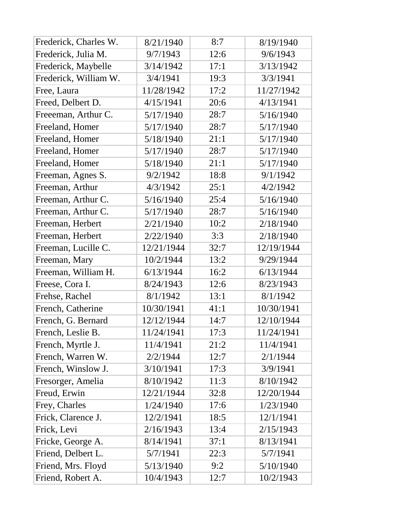| Frederick, Charles W. | 8/21/1940  | 8:7  | 8/19/1940  |
|-----------------------|------------|------|------------|
| Frederick, Julia M.   | 9/7/1943   | 12:6 | 9/6/1943   |
| Frederick, Maybelle   | 3/14/1942  | 17:1 | 3/13/1942  |
| Frederick, William W. | 3/4/1941   | 19:3 | 3/3/1941   |
| Free, Laura           | 11/28/1942 | 17:2 | 11/27/1942 |
| Freed, Delbert D.     | 4/15/1941  | 20:6 | 4/13/1941  |
| Freeeman, Arthur C.   | 5/17/1940  | 28:7 | 5/16/1940  |
| Freeland, Homer       | 5/17/1940  | 28:7 | 5/17/1940  |
| Freeland, Homer       | 5/18/1940  | 21:1 | 5/17/1940  |
| Freeland, Homer       | 5/17/1940  | 28:7 | 5/17/1940  |
| Freeland, Homer       | 5/18/1940  | 21:1 | 5/17/1940  |
| Freeman, Agnes S.     | 9/2/1942   | 18:8 | 9/1/1942   |
| Freeman, Arthur       | 4/3/1942   | 25:1 | 4/2/1942   |
| Freeman, Arthur C.    | 5/16/1940  | 25:4 | 5/16/1940  |
| Freeman, Arthur C.    | 5/17/1940  | 28:7 | 5/16/1940  |
| Freeman, Herbert      | 2/21/1940  | 10:2 | 2/18/1940  |
| Freeman, Herbert      | 2/22/1940  | 3:3  | 2/18/1940  |
| Freeman, Lucille C.   | 12/21/1944 | 32:7 | 12/19/1944 |
| Freeman, Mary         | 10/2/1944  | 13:2 | 9/29/1944  |
| Freeman, William H.   | 6/13/1944  | 16:2 | 6/13/1944  |
| Freese, Cora I.       | 8/24/1943  | 12:6 | 8/23/1943  |
| Frehse, Rachel        | 8/1/1942   | 13:1 | 8/1/1942   |
| French, Catherine     | 10/30/1941 | 41:1 | 10/30/1941 |
| French, G. Bernard    | 12/12/1944 | 14:7 | 12/10/1944 |
| French, Leslie B.     | 11/24/1941 | 17:3 | 11/24/1941 |
| French, Myrtle J.     | 11/4/1941  | 21:2 | 11/4/1941  |
| French, Warren W.     | 2/2/1944   | 12:7 | 2/1/1944   |
| French, Winslow J.    | 3/10/1941  | 17:3 | 3/9/1941   |
| Fresorger, Amelia     | 8/10/1942  | 11:3 | 8/10/1942  |
| Freud, Erwin          | 12/21/1944 | 32:8 | 12/20/1944 |
| Frey, Charles         | 1/24/1940  | 17:6 | 1/23/1940  |
| Frick, Clarence J.    | 12/2/1941  | 18:5 | 12/1/1941  |
| Frick, Levi           | 2/16/1943  | 13:4 | 2/15/1943  |
| Fricke, George A.     | 8/14/1941  | 37:1 | 8/13/1941  |
| Friend, Delbert L.    | 5/7/1941   | 22:3 | 5/7/1941   |
| Friend, Mrs. Floyd    | 5/13/1940  | 9:2  | 5/10/1940  |
| Friend, Robert A.     | 10/4/1943  | 12:7 | 10/2/1943  |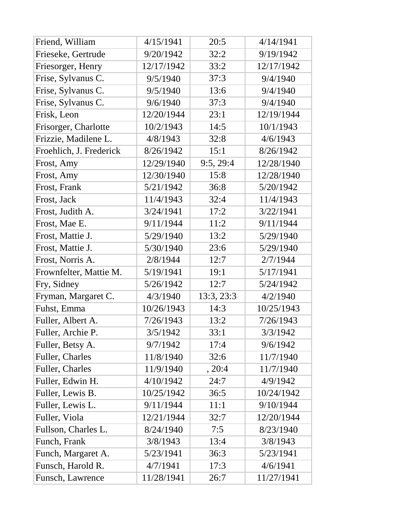| Friend, William         | 4/15/1941  | 20:5       | 4/14/1941  |
|-------------------------|------------|------------|------------|
| Frieseke, Gertrude      | 9/20/1942  | 32:2       | 9/19/1942  |
| Friesorger, Henry       | 12/17/1942 | 33:2       | 12/17/1942 |
| Frise, Sylvanus C.      | 9/5/1940   | 37:3       | 9/4/1940   |
| Frise, Sylvanus C.      | 9/5/1940   | 13:6       | 9/4/1940   |
| Frise, Sylvanus C.      | 9/6/1940   | 37:3       | 9/4/1940   |
| Frisk, Leon             | 12/20/1944 | 23:1       | 12/19/1944 |
| Frisorger, Charlotte    | 10/2/1943  | 14:5       | 10/1/1943  |
| Frizzie, Madilene L.    | 4/8/1943   | 32:8       | 4/6/1943   |
| Froehlich, J. Frederick | 8/26/1942  | 15:1       | 8/26/1942  |
| Frost, Amy              | 12/29/1940 | 9:5, 29:4  | 12/28/1940 |
| Frost, Amy              | 12/30/1940 | 15:8       | 12/28/1940 |
| Frost, Frank            | 5/21/1942  | 36:8       | 5/20/1942  |
| Frost, Jack             | 11/4/1943  | 32:4       | 11/4/1943  |
| Frost, Judith A.        | 3/24/1941  | 17:2       | 3/22/1941  |
| Frost, Mae E.           | 9/11/1944  | 11:2       | 9/11/1944  |
| Frost, Mattie J.        | 5/29/1940  | 13:2       | 5/29/1940  |
| Frost, Mattie J.        | 5/30/1940  | 23:6       | 5/29/1940  |
| Frost, Norris A.        | 2/8/1944   | 12:7       | 2/7/1944   |
| Frownfelter, Mattie M.  | 5/19/1941  | 19:1       | 5/17/1941  |
| Fry, Sidney             | 5/26/1942  | 12:7       | 5/24/1942  |
| Fryman, Margaret C.     | 4/3/1940   | 13:3, 23:3 | 4/2/1940   |
| Fuhst, Emma             | 10/26/1943 | 14:3       | 10/25/1943 |
| Fuller, Albert A.       | 7/26/1943  | 13:2       | 7/26/1943  |
| Fuller, Archie P.       | 3/5/1942   | 33:1       | 3/3/1942   |
| Fuller, Betsy A.        | 9/7/1942   | 17:4       | 9/6/1942   |
| Fuller, Charles         | 11/8/1940  | 32:6       | 11/7/1940  |
| Fuller, Charles         | 11/9/1940  | , 20:4     | 11/7/1940  |
| Fuller, Edwin H.        | 4/10/1942  | 24:7       | 4/9/1942   |
| Fuller, Lewis B.        | 10/25/1942 | 36:5       | 10/24/1942 |
| Fuller, Lewis L.        | 9/11/1944  | 11:1       | 9/10/1944  |
| Fuller, Viola           | 12/21/1944 | 32:7       | 12/20/1944 |
| Fullson, Charles L.     | 8/24/1940  | 7:5        | 8/23/1940  |
| Funch, Frank            | 3/8/1943   | 13:4       | 3/8/1943   |
| Funch, Margaret A.      | 5/23/1941  | 36:3       | 5/23/1941  |
| Funsch, Harold R.       | 4/7/1941   | 17:3       | 4/6/1941   |
| Funsch, Lawrence        |            |            |            |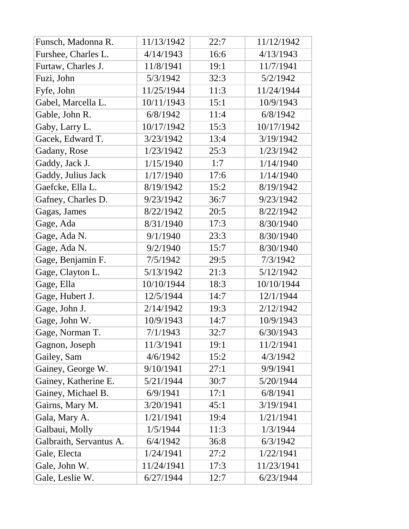| Funsch, Madonna R.      | 11/13/1942 | 22:7 | 11/12/1942 |
|-------------------------|------------|------|------------|
| Furshee, Charles L.     | 4/14/1943  | 16:6 | 4/13/1943  |
| Furtaw, Charles J.      | 11/8/1941  | 19:1 | 11/7/1941  |
| Fuzi, John              | 5/3/1942   | 32:3 | 5/2/1942   |
| Fyfe, John              | 11/25/1944 | 11:3 | 11/24/1944 |
| Gabel, Marcella L.      | 10/11/1943 | 15:1 | 10/9/1943  |
| Gable, John R.          | 6/8/1942   | 11:4 | 6/8/1942   |
| Gaby, Larry L.          | 10/17/1942 | 15:3 | 10/17/1942 |
| Gacek, Edward T.        | 3/23/1942  | 13:4 | 3/19/1942  |
| Gadany, Rose            | 1/23/1942  | 25:3 | 1/23/1942  |
| Gaddy, Jack J.          | 1/15/1940  | 1:7  | 1/14/1940  |
| Gaddy, Julius Jack      | 1/17/1940  | 17:6 | 1/14/1940  |
| Gaefcke, Ella L.        | 8/19/1942  | 15:2 | 8/19/1942  |
| Gafney, Charles D.      | 9/23/1942  | 36:7 | 9/23/1942  |
| Gagas, James            | 8/22/1942  | 20:5 | 8/22/1942  |
| Gage, Ada               | 8/31/1940  | 17:3 | 8/30/1940  |
| Gage, Ada N.            | 9/1/1940   | 23:3 | 8/30/1940  |
| Gage, Ada N.            | 9/2/1940   | 15:7 | 8/30/1940  |
| Gage, Benjamin F.       | 7/5/1942   | 29:5 | 7/3/1942   |
| Gage, Clayton L.        | 5/13/1942  | 21:3 | 5/12/1942  |
| Gage, Ella              | 10/10/1944 | 18:3 | 10/10/1944 |
| Gage, Hubert J.         | 12/5/1944  | 14:7 | 12/1/1944  |
| Gage, John J.           | 2/14/1942  | 19:3 | 2/12/1942  |
| Gage, John W.           | 10/9/1943  | 14:7 | 10/9/1943  |
| Gage, Norman T.         | 7/1/1943   | 32:7 | 6/30/1943  |
| Gagnon, Joseph          | 11/3/1941  | 19:1 | 11/2/1941  |
| Gailey, Sam             | 4/6/1942   | 15:2 | 4/3/1942   |
| Gainey, George W.       | 9/10/1941  | 27:1 | 9/9/1941   |
| Gainey, Katherine E.    | 5/21/1944  | 30:7 | 5/20/1944  |
| Gainey, Michael B.      | 6/9/1941   | 17:1 | 6/8/1941   |
| Gairns, Mary M.         | 3/20/1941  | 45:1 | 3/19/1941  |
| Gala, Mary A.           | 1/21/1941  | 19:4 | 1/21/1941  |
| Galbaui, Molly          | 1/5/1944   | 11:3 | 1/3/1944   |
| Galbraith, Servantus A. | 6/4/1942   | 36:8 | 6/3/1942   |
| Gale, Electa            | 1/24/1941  | 27:2 | 1/22/1941  |
| Gale, John W.           | 11/24/1941 | 17:3 | 11/23/1941 |
| Gale, Leslie W.         | 6/27/1944  | 12:7 | 6/23/1944  |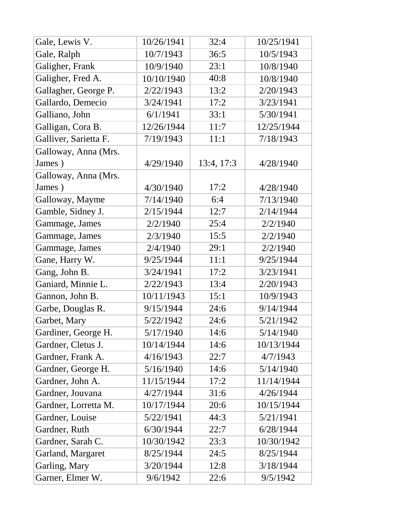| Gale, Lewis V.        | 10/26/1941 | 32:4       | 10/25/1941 |
|-----------------------|------------|------------|------------|
| Gale, Ralph           | 10/7/1943  | 36:5       | 10/5/1943  |
| Galigher, Frank       | 10/9/1940  | 23:1       | 10/8/1940  |
| Galigher, Fred A.     | 10/10/1940 | 40:8       | 10/8/1940  |
| Gallagher, George P.  | 2/22/1943  | 13:2       | 2/20/1943  |
| Gallardo, Demecio     | 3/24/1941  | 17:2       | 3/23/1941  |
| Galliano, John        | 6/1/1941   | 33:1       | 5/30/1941  |
| Galligan, Cora B.     | 12/26/1944 | 11:7       | 12/25/1944 |
| Galliver, Sarietta F. | 7/19/1943  | 11:1       | 7/18/1943  |
| Galloway, Anna (Mrs.  |            |            |            |
| James)                | 4/29/1940  | 13:4, 17:3 | 4/28/1940  |
| Galloway, Anna (Mrs.  |            |            |            |
| James)                | 4/30/1940  | 17:2       | 4/28/1940  |
| Galloway, Mayme       | 7/14/1940  | 6:4        | 7/13/1940  |
| Gamble, Sidney J.     | 2/15/1944  | 12:7       | 2/14/1944  |
| Gammage, James        | 2/2/1940   | 25:4       | 2/2/1940   |
| Gammage, James        | 2/3/1940   | 15:5       | 2/2/1940   |
| Gammage, James        | 2/4/1940   | 29:1       | 2/2/1940   |
| Gane, Harry W.        | 9/25/1944  | 11:1       | 9/25/1944  |
| Gang, John B.         | 3/24/1941  | 17:2       | 3/23/1941  |
| Ganiard, Minnie L.    | 2/22/1943  | 13:4       | 2/20/1943  |
| Gannon, John B.       | 10/11/1943 | 15:1       | 10/9/1943  |
| Garbe, Douglas R.     | 9/15/1944  | 24:6       | 9/14/1944  |
| Garbet, Mary          | 5/22/1942  | 24:6       | 5/21/1942  |
| Gardiner, George H.   | 5/17/1940  | 14:6       | 5/14/1940  |
| Gardner, Cletus J.    | 10/14/1944 | 14:6       | 10/13/1944 |
| Gardner, Frank A.     | 4/16/1943  | 22:7       | 4/7/1943   |
| Gardner, George H.    | 5/16/1940  | 14:6       | 5/14/1940  |
| Gardner, John A.      | 11/15/1944 | 17:2       | 11/14/1944 |
| Gardner, Jouvana      | 4/27/1944  | 31:6       | 4/26/1944  |
| Gardner, Lorretta M.  | 10/17/1944 | 20:6       | 10/15/1944 |
| Gardner, Louise       | 5/22/1941  | 44:3       | 5/21/1941  |
| Gardner, Ruth         | 6/30/1944  | 22:7       | 6/28/1944  |
| Gardner, Sarah C.     | 10/30/1942 | 23:3       | 10/30/1942 |
| Garland, Margaret     | 8/25/1944  | 24:5       | 8/25/1944  |
| Garling, Mary         | 3/20/1944  | 12:8       | 3/18/1944  |
| Garner, Elmer W.      | 9/6/1942   | 22:6       | 9/5/1942   |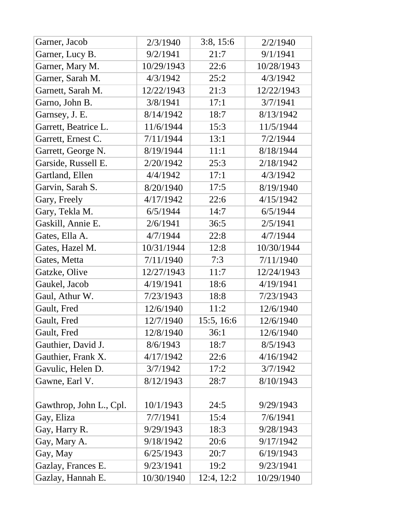| Garner, Jacob           | 2/3/1940   | 3:8, 15:6  | 2/2/1940   |
|-------------------------|------------|------------|------------|
| Garner, Lucy B.         | 9/2/1941   | 21:7       | 9/1/1941   |
| Garner, Mary M.         | 10/29/1943 | 22:6       | 10/28/1943 |
| Garner, Sarah M.        | 4/3/1942   | 25:2       | 4/3/1942   |
| Garnett, Sarah M.       | 12/22/1943 | 21:3       | 12/22/1943 |
| Garno, John B.          | 3/8/1941   | 17:1       | 3/7/1941   |
| Garnsey, J. E.          | 8/14/1942  | 18:7       | 8/13/1942  |
| Garrett, Beatrice L.    | 11/6/1944  | 15:3       | 11/5/1944  |
| Garrett, Ernest C.      | 7/11/1944  | 13:1       | 7/2/1944   |
| Garrett, George N.      | 8/19/1944  | 11:1       | 8/18/1944  |
| Garside, Russell E.     | 2/20/1942  | 25:3       | 2/18/1942  |
| Gartland, Ellen         | 4/4/1942   | 17:1       | 4/3/1942   |
| Garvin, Sarah S.        | 8/20/1940  | 17:5       | 8/19/1940  |
| Gary, Freely            | 4/17/1942  | 22:6       | 4/15/1942  |
| Gary, Tekla M.          | 6/5/1944   | 14:7       | 6/5/1944   |
| Gaskill, Annie E.       | 2/6/1941   | 36:5       | 2/5/1941   |
| Gates, Ella A.          | 4/7/1944   | 22:8       | 4/7/1944   |
| Gates, Hazel M.         | 10/31/1944 | 12:8       | 10/30/1944 |
| Gates, Metta            | 7/11/1940  | 7:3        | 7/11/1940  |
| Gatzke, Olive           | 12/27/1943 | 11:7       | 12/24/1943 |
| Gaukel, Jacob           | 4/19/1941  | 18:6       | 4/19/1941  |
| Gaul, Athur W.          | 7/23/1943  | 18:8       | 7/23/1943  |
| Gault, Fred             | 12/6/1940  | 11:2       | 12/6/1940  |
| Gault, Fred             | 12/7/1940  | 15:5, 16:6 | 12/6/1940  |
| Gault, Fred             | 12/8/1940  | 36:1       | 12/6/1940  |
| Gauthier, David J.      | 8/6/1943   | 18:7       | 8/5/1943   |
| Gauthier, Frank X.      | 4/17/1942  | 22:6       | 4/16/1942  |
| Gavulic, Helen D.       | 3/7/1942   | 17:2       | 3/7/1942   |
| Gawne, Earl V.          | 8/12/1943  | 28:7       | 8/10/1943  |
|                         |            |            |            |
| Gawthrop, John L., Cpl. | 10/1/1943  | 24:5       | 9/29/1943  |
| Gay, Eliza              | 7/7/1941   | 15:4       | 7/6/1941   |
| Gay, Harry R.           | 9/29/1943  | 18:3       | 9/28/1943  |
| Gay, Mary A.            | 9/18/1942  | 20:6       | 9/17/1942  |
| Gay, May                | 6/25/1943  | 20:7       | 6/19/1943  |
| Gazlay, Frances E.      | 9/23/1941  | 19:2       | 9/23/1941  |
| Gazlay, Hannah E.       | 10/30/1940 | 12:4, 12:2 | 10/29/1940 |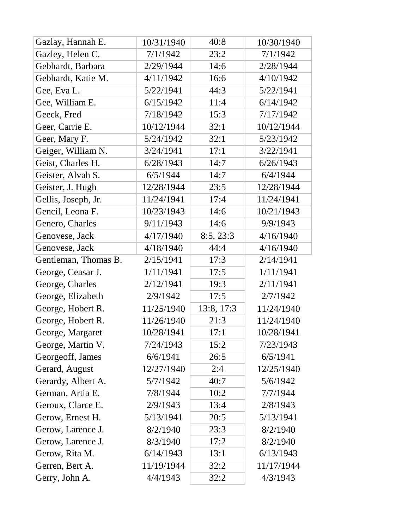| Gazlay, Hannah E.    | 10/31/1940 | 40:8       | 10/30/1940 |
|----------------------|------------|------------|------------|
| Gazley, Helen C.     | 7/1/1942   | 23:2       | 7/1/1942   |
| Gebhardt, Barbara    | 2/29/1944  | 14:6       | 2/28/1944  |
| Gebhardt, Katie M.   | 4/11/1942  | 16:6       | 4/10/1942  |
| Gee, Eva L.          | 5/22/1941  | 44:3       | 5/22/1941  |
| Gee, William E.      | 6/15/1942  | 11:4       | 6/14/1942  |
| Geeck, Fred          | 7/18/1942  | 15:3       | 7/17/1942  |
| Geer, Carrie E.      | 10/12/1944 | 32:1       | 10/12/1944 |
| Geer, Mary F.        | 5/24/1942  | 32:1       | 5/23/1942  |
| Geiger, William N.   | 3/24/1941  | 17:1       | 3/22/1941  |
| Geist, Charles H.    | 6/28/1943  | 14:7       | 6/26/1943  |
| Geister, Alvah S.    | 6/5/1944   | 14:7       | 6/4/1944   |
| Geister, J. Hugh     | 12/28/1944 | 23:5       | 12/28/1944 |
| Gellis, Joseph, Jr.  | 11/24/1941 | 17:4       | 11/24/1941 |
| Gencil, Leona F.     | 10/23/1943 | 14:6       | 10/21/1943 |
| Genero, Charles      | 9/11/1943  | 14:6       | 9/9/1943   |
| Genovese, Jack       | 4/17/1940  | 8:5, 23:3  | 4/16/1940  |
| Genovese, Jack       | 4/18/1940  | 44:4       | 4/16/1940  |
| Gentleman, Thomas B. | 2/15/1941  | 17:3       | 2/14/1941  |
| George, Ceasar J.    | 1/11/1941  | 17:5       | 1/11/1941  |
| George, Charles      | 2/12/1941  | 19:3       | 2/11/1941  |
| George, Elizabeth    | 2/9/1942   | 17:5       | 2/7/1942   |
| George, Hobert R.    | 11/25/1940 | 13:8, 17:3 | 11/24/1940 |
| George, Hobert R.    | 11/26/1940 | 21:3       | 11/24/1940 |
| George, Margaret     | 10/28/1941 | 17:1       | 10/28/1941 |
| George, Martin V.    | 7/24/1943  | 15:2       | 7/23/1943  |
| Georgeoff, James     | 6/6/1941   | 26:5       | 6/5/1941   |
| Gerard, August       | 12/27/1940 | 2:4        | 12/25/1940 |
| Gerardy, Albert A.   | 5/7/1942   | 40:7       | 5/6/1942   |
| German, Artia E.     | 7/8/1944   | 10:2       | 7/7/1944   |
| Geroux, Clarce E.    | 2/9/1943   | 13:4       | 2/8/1943   |
| Gerow, Ernest H.     | 5/13/1941  | 20:5       | 5/13/1941  |
| Gerow, Larence J.    | 8/2/1940   | 23:3       | 8/2/1940   |
| Gerow, Larence J.    | 8/3/1940   | 17:2       | 8/2/1940   |
| Gerow, Rita M.       | 6/14/1943  | 13:1       | 6/13/1943  |
| Gerren, Bert A.      | 11/19/1944 | 32:2       | 11/17/1944 |
| Gerry, John A.       | 4/4/1943   | 32:2       | 4/3/1943   |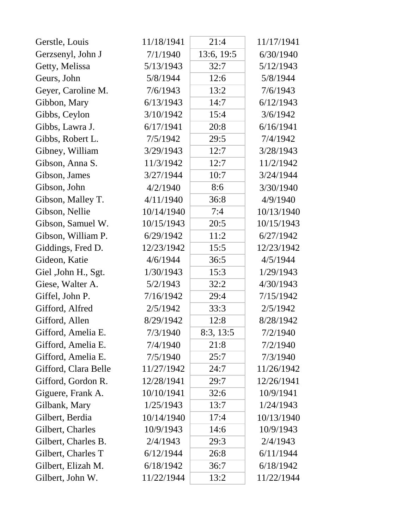| Gerstle, Louis       | 11/18/1941 | 21:4       | 11/17/1941 |
|----------------------|------------|------------|------------|
| Gerzsenyl, John J    | 7/1/1940   | 13:6, 19:5 | 6/30/1940  |
| Getty, Melissa       | 5/13/1943  | 32:7       | 5/12/1943  |
| Geurs, John          | 5/8/1944   | 12:6       | 5/8/1944   |
| Geyer, Caroline M.   | 7/6/1943   | 13:2       | 7/6/1943   |
| Gibbon, Mary         | 6/13/1943  | 14:7       | 6/12/1943  |
| Gibbs, Ceylon        | 3/10/1942  | 15:4       | 3/6/1942   |
| Gibbs, Lawra J.      | 6/17/1941  | 20:8       | 6/16/1941  |
| Gibbs, Robert L.     | 7/5/1942   | 29:5       | 7/4/1942   |
| Gibney, William      | 3/29/1943  | 12:7       | 3/28/1943  |
| Gibson, Anna S.      | 11/3/1942  | 12:7       | 11/2/1942  |
| Gibson, James        | 3/27/1944  | 10:7       | 3/24/1944  |
| Gibson, John         | 4/2/1940   | 8:6        | 3/30/1940  |
| Gibson, Malley T.    | 4/11/1940  | 36:8       | 4/9/1940   |
| Gibson, Nellie       | 10/14/1940 | 7:4        | 10/13/1940 |
| Gibson, Samuel W.    | 10/15/1943 | 20:5       | 10/15/1943 |
| Gibson, William P.   | 6/29/1942  | 11:2       | 6/27/1942  |
| Giddings, Fred D.    | 12/23/1942 | 15:5       | 12/23/1942 |
| Gideon, Katie        | 4/6/1944   | 36:5       | 4/5/1944   |
| Giel , John H., Sgt. | 1/30/1943  | 15:3       | 1/29/1943  |
| Giese, Walter A.     | 5/2/1943   | 32:2       | 4/30/1943  |
| Giffel, John P.      | 7/16/1942  | 29:4       | 7/15/1942  |
| Gifford, Alfred      | 2/5/1942   | 33:3       | 2/5/1942   |
| Gifford, Allen       | 8/29/1942  | 12:8       | 8/28/1942  |
| Gifford, Amelia E.   | 7/3/1940   | 8:3, 13:5  | 7/2/1940   |
| Gifford, Amelia E.   | 7/4/1940   | 21:8       | 7/2/1940   |
| Gifford, Amelia E.   | 7/5/1940   | 25:7       | 7/3/1940   |
| Gifford, Clara Belle | 11/27/1942 | 24:7       | 11/26/1942 |
| Gifford, Gordon R.   | 12/28/1941 | 29:7       | 12/26/1941 |
| Giguere, Frank A.    | 10/10/1941 | 32:6       | 10/9/1941  |
| Gilbank, Mary        | 1/25/1943  | 13:7       | 1/24/1943  |
| Gilbert, Berdia      | 10/14/1940 | 17:4       | 10/13/1940 |
| Gilbert, Charles     | 10/9/1943  | 14:6       | 10/9/1943  |
| Gilbert, Charles B.  | 2/4/1943   | 29:3       | 2/4/1943   |
| Gilbert, Charles T   | 6/12/1944  | 26:8       | 6/11/1944  |
| Gilbert, Elizah M.   | 6/18/1942  | 36:7       | 6/18/1942  |
| Gilbert, John W.     | 11/22/1944 | 13:2       | 11/22/1944 |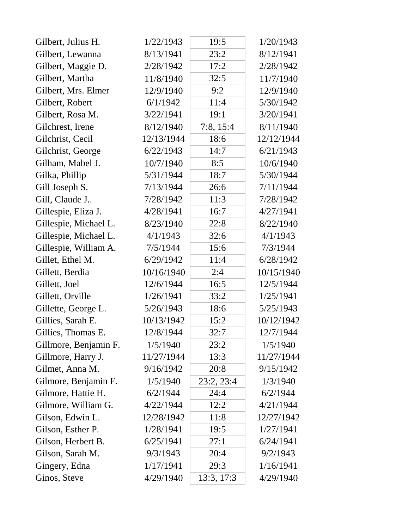| Gilbert, Julius H.    | 1/22/1943  | 19:5       | 1/20/1943  |
|-----------------------|------------|------------|------------|
| Gilbert, Lewanna      | 8/13/1941  | 23:2       | 8/12/1941  |
| Gilbert, Maggie D.    | 2/28/1942  | 17:2       | 2/28/1942  |
| Gilbert, Martha       | 11/8/1940  | 32:5       | 11/7/1940  |
| Gilbert, Mrs. Elmer   | 12/9/1940  | 9:2        | 12/9/1940  |
| Gilbert, Robert       | 6/1/1942   | 11:4       | 5/30/1942  |
| Gilbert, Rosa M.      | 3/22/1941  | 19:1       | 3/20/1941  |
| Gilchrest, Irene      | 8/12/1940  | 7:8, 15:4  | 8/11/1940  |
| Gilchrist, Cecil      | 12/13/1944 | 18:6       | 12/12/1944 |
| Gilchrist, George     | 6/22/1943  | 14:7       | 6/21/1943  |
| Gilham, Mabel J.      | 10/7/1940  | 8:5        | 10/6/1940  |
| Gilka, Phillip        | 5/31/1944  | 18:7       | 5/30/1944  |
| Gill Joseph S.        | 7/13/1944  | 26:6       | 7/11/1944  |
| Gill, Claude J        | 7/28/1942  | 11:3       | 7/28/1942  |
| Gillespie, Eliza J.   | 4/28/1941  | 16:7       | 4/27/1941  |
| Gillespie, Michael L. | 8/23/1940  | 22:8       | 8/22/1940  |
| Gillespie, Michael L. | 4/1/1943   | 32:6       | 4/1/1943   |
| Gillespie, William A. | 7/5/1944   | 15:6       | 7/3/1944   |
| Gillet, Ethel M.      | 6/29/1942  | 11:4       | 6/28/1942  |
| Gillett, Berdia       | 10/16/1940 | 2:4        | 10/15/1940 |
| Gillett, Joel         | 12/6/1944  | 16:5       | 12/5/1944  |
| Gillett, Orville      | 1/26/1941  | 33:2       | 1/25/1941  |
| Gillette, George L.   | 5/26/1943  | 18:6       | 5/25/1943  |
| Gillies, Sarah E.     | 10/13/1942 | 15:2       | 10/12/1942 |
| Gillies, Thomas E.    | 12/8/1944  | 32:7       | 12/7/1944  |
| Gillmore, Benjamin F. | 1/5/1940   | 23:2       | 1/5/1940   |
| Gillmore, Harry J.    | 11/27/1944 | 13:3       | 11/27/1944 |
| Gilmet, Anna M.       | 9/16/1942  | 20:8       | 9/15/1942  |
| Gilmore, Benjamin F.  | 1/5/1940   | 23:2, 23:4 | 1/3/1940   |
| Gilmore, Hattie H.    | 6/2/1944   | 24:4       | 6/2/1944   |
| Gilmore, William G.   | 4/22/1944  | 12:2       | 4/21/1944  |
| Gilson, Edwin L.      | 12/28/1942 | 11:8       | 12/27/1942 |
| Gilson, Esther P.     | 1/28/1941  | 19:5       | 1/27/1941  |
| Gilson, Herbert B.    | 6/25/1941  | 27:1       | 6/24/1941  |
| Gilson, Sarah M.      | 9/3/1943   | 20:4       | 9/2/1943   |
| Gingery, Edna         | 1/17/1941  | 29:3       | 1/16/1941  |
| Ginos, Steve          | 4/29/1940  | 13:3, 17:3 | 4/29/1940  |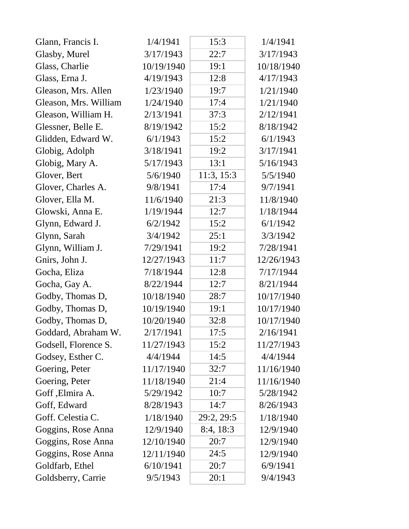| Glann, Francis I.     | 1/4/1941   | 15:3       | 1/4/1941   |
|-----------------------|------------|------------|------------|
| Glasby, Murel         | 3/17/1943  | 22:7       | 3/17/1943  |
| Glass, Charlie        | 10/19/1940 | 19:1       | 10/18/1940 |
| Glass, Erna J.        | 4/19/1943  | 12:8       | 4/17/1943  |
| Gleason, Mrs. Allen   | 1/23/1940  | 19:7       | 1/21/1940  |
| Gleason, Mrs. William | 1/24/1940  | 17:4       | 1/21/1940  |
| Gleason, William H.   | 2/13/1941  | 37:3       | 2/12/1941  |
| Glessner, Belle E.    | 8/19/1942  | 15:2       | 8/18/1942  |
| Glidden, Edward W.    | 6/1/1943   | 15:2       | 6/1/1943   |
| Globig, Adolph        | 3/18/1941  | 19:2       | 3/17/1941  |
| Globig, Mary A.       | 5/17/1943  | 13:1       | 5/16/1943  |
| Glover, Bert          | 5/6/1940   | 11:3, 15:3 | 5/5/1940   |
| Glover, Charles A.    | 9/8/1941   | 17:4       | 9/7/1941   |
| Glover, Ella M.       | 11/6/1940  | 21:3       | 11/8/1940  |
| Glowski, Anna E.      | 1/19/1944  | 12:7       | 1/18/1944  |
| Glynn, Edward J.      | 6/2/1942   | 15:2       | 6/1/1942   |
| Glynn, Sarah          | 3/4/1942   | 25:1       | 3/3/1942   |
| Glynn, William J.     | 7/29/1941  | 19:2       | 7/28/1941  |
| Gnirs, John J.        | 12/27/1943 | 11:7       | 12/26/1943 |
| Gocha, Eliza          | 7/18/1944  | 12:8       | 7/17/1944  |
| Gocha, Gay A.         | 8/22/1944  | 12:7       | 8/21/1944  |
| Godby, Thomas D,      | 10/18/1940 | 28:7       | 10/17/1940 |
| Godby, Thomas D,      | 10/19/1940 | 19:1       | 10/17/1940 |
| Godby, Thomas D,      | 10/20/1940 | 32:8       | 10/17/1940 |
| Goddard, Abraham W.   | 2/17/1941  | 17:5       | 2/16/1941  |
| Godsell, Florence S.  | 11/27/1943 | 15:2       | 11/27/1943 |
| Godsey, Esther C.     | 4/4/1944   | 14:5       | 4/4/1944   |
| Goering, Peter        | 11/17/1940 | 32:7       | 11/16/1940 |
| Goering, Peter        | 11/18/1940 | 21:4       | 11/16/1940 |
| Goff , Elmira A.      | 5/29/1942  | 10:7       | 5/28/1942  |
| Goff, Edward          | 8/28/1943  | 14:7       | 8/26/1943  |
| Goff. Celestia C.     | 1/18/1940  | 29:2, 29:5 | 1/18/1940  |
| Goggins, Rose Anna    | 12/9/1940  | 8:4, 18:3  | 12/9/1940  |
| Goggins, Rose Anna    | 12/10/1940 | 20:7       | 12/9/1940  |
| Goggins, Rose Anna    | 12/11/1940 | 24:5       | 12/9/1940  |
| Goldfarb, Ethel       | 6/10/1941  | 20:7       | 6/9/1941   |
| Goldsberry, Carrie    | 9/5/1943   | 20:1       | 9/4/1943   |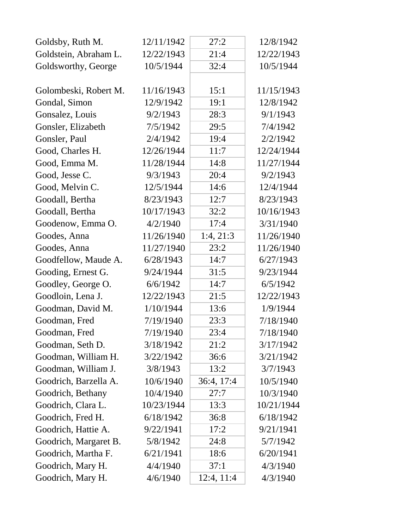| Goldsby, Ruth M.      | 12/11/1942 | 27:2       | 12/8/1942  |
|-----------------------|------------|------------|------------|
| Goldstein, Abraham L. | 12/22/1943 | 21:4       | 12/22/1943 |
| Goldsworthy, George   | 10/5/1944  | 32:4       | 10/5/1944  |
|                       |            |            |            |
| Golombeski, Robert M. | 11/16/1943 | 15:1       | 11/15/1943 |
| Gondal, Simon         | 12/9/1942  | 19:1       | 12/8/1942  |
| Gonsalez, Louis       | 9/2/1943   | 28:3       | 9/1/1943   |
| Gonsler, Elizabeth    | 7/5/1942   | 29:5       | 7/4/1942   |
| Gonsler, Paul         | 2/4/1942   | 19:4       | 2/2/1942   |
| Good, Charles H.      | 12/26/1944 | 11:7       | 12/24/1944 |
| Good, Emma M.         | 11/28/1944 | 14:8       | 11/27/1944 |
| Good, Jesse C.        | 9/3/1943   | 20:4       | 9/2/1943   |
| Good, Melvin C.       | 12/5/1944  | 14:6       | 12/4/1944  |
| Goodall, Bertha       | 8/23/1943  | 12:7       | 8/23/1943  |
| Goodall, Bertha       | 10/17/1943 | 32:2       | 10/16/1943 |
| Goodenow, Emma O.     | 4/2/1940   | 17:4       | 3/31/1940  |
| Goodes, Anna          | 11/26/1940 | 1:4, 21:3  | 11/26/1940 |
| Goodes, Anna          | 11/27/1940 | 23:2       | 11/26/1940 |
| Goodfellow, Maude A.  | 6/28/1943  | 14:7       | 6/27/1943  |
| Gooding, Ernest G.    | 9/24/1944  | 31:5       | 9/23/1944  |
| Goodley, George O.    | 6/6/1942   | 14:7       | 6/5/1942   |
| Goodloin, Lena J.     | 12/22/1943 | 21:5       | 12/22/1943 |
| Goodman, David M.     | 1/10/1944  | 13:6       | 1/9/1944   |
| Goodman, Fred         | 7/19/1940  | 23:3       | 7/18/1940  |
| Goodman, Fred         | 7/19/1940  | 23:4       | 7/18/1940  |
| Goodman, Seth D.      | 3/18/1942  | 21:2       | 3/17/1942  |
| Goodman, William H.   | 3/22/1942  | 36:6       | 3/21/1942  |
| Goodman, William J.   | 3/8/1943   | 13:2       | 3/7/1943   |
| Goodrich, Barzella A. | 10/6/1940  | 36:4, 17:4 | 10/5/1940  |
| Goodrich, Bethany     | 10/4/1940  | 27:7       | 10/3/1940  |
| Goodrich, Clara L.    | 10/23/1944 | 13:3       | 10/21/1944 |
| Goodrich, Fred H.     | 6/18/1942  | 36:8       | 6/18/1942  |
| Goodrich, Hattie A.   | 9/22/1941  | 17:2       | 9/21/1941  |
| Goodrich, Margaret B. | 5/8/1942   | 24:8       | 5/7/1942   |
| Goodrich, Martha F.   | 6/21/1941  | 18:6       | 6/20/1941  |
| Goodrich, Mary H.     | 4/4/1940   | 37:1       | 4/3/1940   |
| Goodrich, Mary H.     | 4/6/1940   | 12:4, 11:4 | 4/3/1940   |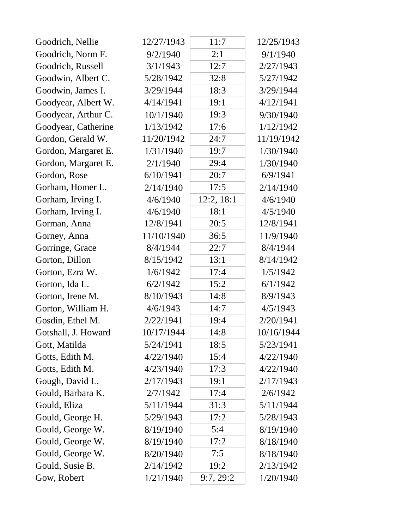| Goodrich, Nellie    | 12/27/1943 | 11:7       | 12/25/1943 |
|---------------------|------------|------------|------------|
| Goodrich, Norm F.   | 9/2/1940   | 2:1        | 9/1/1940   |
| Goodrich, Russell   | 3/1/1943   | 12:7       | 2/27/1943  |
| Goodwin, Albert C.  | 5/28/1942  | 32:8       | 5/27/1942  |
| Goodwin, James I.   | 3/29/1944  | 18:3       | 3/29/1944  |
| Goodyear, Albert W. | 4/14/1941  | 19:1       | 4/12/1941  |
| Goodyear, Arthur C. | 10/1/1940  | 19:3       | 9/30/1940  |
| Goodyear, Catherine | 1/13/1942  | 17:6       | 1/12/1942  |
| Gordon, Gerald W.   | 11/20/1942 | 24:7       | 11/19/1942 |
| Gordon, Margaret E. | 1/31/1940  | 19:7       | 1/30/1940  |
| Gordon, Margaret E. | 2/1/1940   | 29:4       | 1/30/1940  |
| Gordon, Rose        | 6/10/1941  | 20:7       | 6/9/1941   |
| Gorham, Homer L.    | 2/14/1940  | 17:5       | 2/14/1940  |
| Gorham, Irving I.   | 4/6/1940   | 12:2, 18:1 | 4/6/1940   |
| Gorham, Irving I.   | 4/6/1940   | 18:1       | 4/5/1940   |
| Gorman, Anna        | 12/8/1941  | 20:5       | 12/8/1941  |
| Gorney, Anna        | 11/10/1940 | 36:5       | 11/9/1940  |
| Gorringe, Grace     | 8/4/1944   | 22:7       | 8/4/1944   |
| Gorton, Dillon      | 8/15/1942  | 13:1       | 8/14/1942  |
| Gorton, Ezra W.     | 1/6/1942   | 17:4       | 1/5/1942   |
| Gorton, Ida L.      | 6/2/1942   | 15:2       | 6/1/1942   |
| Gorton, Irene M.    | 8/10/1943  | 14:8       | 8/9/1943   |
| Gorton, William H.  | 4/6/1943   | 14:7       | 4/5/1943   |
| Gosdin, Ethel M.    | 2/22/1941  | 19:4       | 2/20/1941  |
| Gotshall, J. Howard | 10/17/1944 | 14:8       | 10/16/1944 |
| Gott, Matilda       | 5/24/1941  | 18:5       | 5/23/1941  |
| Gotts, Edith M.     | 4/22/1940  | 15:4       | 4/22/1940  |
| Gotts, Edith M.     | 4/23/1940  | 17:3       | 4/22/1940  |
| Gough, David L.     | 2/17/1943  | 19:1       | 2/17/1943  |
| Gould, Barbara K.   | 2/7/1942   | 17:4       | 2/6/1942   |
| Gould, Eliza        | 5/11/1944  | 31:3       | 5/11/1944  |
| Gould, George H.    | 5/29/1943  | 17:2       | 5/28/1943  |
| Gould, George W.    | 8/19/1940  | 5:4        | 8/19/1940  |
| Gould, George W.    | 8/19/1940  | 17:2       | 8/18/1940  |
| Gould, George W.    | 8/20/1940  | 7:5        | 8/18/1940  |
| Gould, Susie B.     | 2/14/1942  | 19:2       | 2/13/1942  |
| Gow, Robert         | 1/21/1940  | 9:7,29:2   | 1/20/1940  |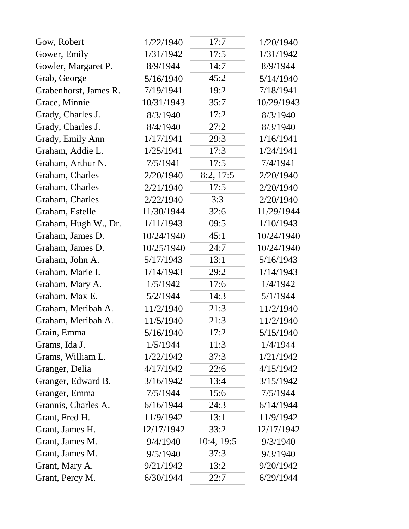| Gow, Robert           | 1/22/1940  | 17:7       | 1/20/1940  |
|-----------------------|------------|------------|------------|
| Gower, Emily          | 1/31/1942  | 17:5       | 1/31/1942  |
| Gowler, Margaret P.   | 8/9/1944   | 14:7       | 8/9/1944   |
| Grab, George          | 5/16/1940  | 45:2       | 5/14/1940  |
| Grabenhorst, James R. | 7/19/1941  | 19:2       | 7/18/1941  |
| Grace, Minnie         | 10/31/1943 | 35:7       | 10/29/1943 |
| Grady, Charles J.     | 8/3/1940   | 17:2       | 8/3/1940   |
| Grady, Charles J.     | 8/4/1940   | 27:2       | 8/3/1940   |
| Grady, Emily Ann      | 1/17/1941  | 29:3       | 1/16/1941  |
| Graham, Addie L.      | 1/25/1941  | 17:3       | 1/24/1941  |
| Graham, Arthur N.     | 7/5/1941   | 17:5       | 7/4/1941   |
| Graham, Charles       | 2/20/1940  | 8:2, 17:5  | 2/20/1940  |
| Graham, Charles       | 2/21/1940  | 17:5       | 2/20/1940  |
| Graham, Charles       | 2/22/1940  | 3:3        | 2/20/1940  |
| Graham, Estelle       | 11/30/1944 | 32:6       | 11/29/1944 |
| Graham, Hugh W., Dr.  | 1/11/1943  | 09:5       | 1/10/1943  |
| Graham, James D.      | 10/24/1940 | 45:1       | 10/24/1940 |
| Graham, James D.      | 10/25/1940 | 24:7       | 10/24/1940 |
| Graham, John A.       | 5/17/1943  | 13:1       | 5/16/1943  |
| Graham, Marie I.      | 1/14/1943  | 29:2       | 1/14/1943  |
| Graham, Mary A.       | 1/5/1942   | 17:6       | 1/4/1942   |
| Graham, Max E.        | 5/2/1944   | 14:3       | 5/1/1944   |
| Graham, Meribah A.    | 11/2/1940  | 21:3       | 11/2/1940  |
| Graham, Meribah A.    | 11/5/1940  | 21:3       | 11/2/1940  |
| Grain, Emma           | 5/16/1940  | 17:2       | 5/15/1940  |
| Grams, Ida J.         | 1/5/1944   | 11:3       | 1/4/1944   |
| Grams, William L.     | 1/22/1942  | 37:3       | 1/21/1942  |
| Granger, Delia        | 4/17/1942  | 22:6       | 4/15/1942  |
| Granger, Edward B.    | 3/16/1942  | 13:4       | 3/15/1942  |
| Granger, Emma         | 7/5/1944   | 15:6       | 7/5/1944   |
| Grannis, Charles A.   | 6/16/1944  | 24:3       | 6/14/1944  |
| Grant, Fred H.        | 11/9/1942  | 13:1       | 11/9/1942  |
| Grant, James H.       | 12/17/1942 | 33:2       | 12/17/1942 |
| Grant, James M.       | 9/4/1940   | 10:4, 19:5 | 9/3/1940   |
| Grant, James M.       | 9/5/1940   | 37:3       | 9/3/1940   |
| Grant, Mary A.        | 9/21/1942  | 13:2       | 9/20/1942  |
| Grant, Percy M.       | 6/30/1944  | 22:7       | 6/29/1944  |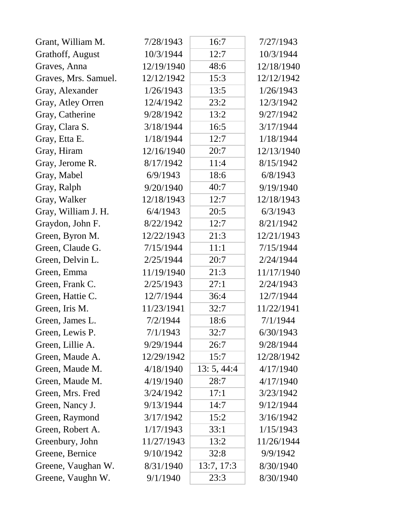| Grant, William M.    | 7/28/1943  | 16:7        | 7/27/1943  |
|----------------------|------------|-------------|------------|
| Grathoff, August     | 10/3/1944  | 12:7        | 10/3/1944  |
| Graves, Anna         | 12/19/1940 | 48:6        | 12/18/1940 |
| Graves, Mrs. Samuel. | 12/12/1942 | 15:3        | 12/12/1942 |
| Gray, Alexander      | 1/26/1943  | 13:5        | 1/26/1943  |
| Gray, Atley Orren    | 12/4/1942  | 23:2        | 12/3/1942  |
| Gray, Catherine      | 9/28/1942  | 13:2        | 9/27/1942  |
| Gray, Clara S.       | 3/18/1944  | 16:5        | 3/17/1944  |
| Gray, Etta E.        | 1/18/1944  | 12:7        | 1/18/1944  |
| Gray, Hiram          | 12/16/1940 | 20:7        | 12/13/1940 |
| Gray, Jerome R.      | 8/17/1942  | 11:4        | 8/15/1942  |
| Gray, Mabel          | 6/9/1943   | 18:6        | 6/8/1943   |
| Gray, Ralph          | 9/20/1940  | 40:7        | 9/19/1940  |
| Gray, Walker         | 12/18/1943 | 12:7        | 12/18/1943 |
| Gray, William J. H.  | 6/4/1943   | 20:5        | 6/3/1943   |
| Graydon, John F.     | 8/22/1942  | 12:7        | 8/21/1942  |
| Green, Byron M.      | 12/22/1943 | 21:3        | 12/21/1943 |
| Green, Claude G.     | 7/15/1944  | 11:1        | 7/15/1944  |
| Green, Delvin L.     | 2/25/1944  | 20:7        | 2/24/1944  |
| Green, Emma          | 11/19/1940 | 21:3        | 11/17/1940 |
| Green, Frank C.      | 2/25/1943  | 27:1        | 2/24/1943  |
| Green, Hattie C.     | 12/7/1944  | 36:4        | 12/7/1944  |
| Green, Iris M.       | 11/23/1941 | 32:7        | 11/22/1941 |
| Green, James L.      | 7/2/1944   | 18:6        | 7/1/1944   |
| Green, Lewis P.      | 7/1/1943   | 32:7        | 6/30/1943  |
| Green, Lillie A.     | 9/29/1944  | 26:7        | 9/28/1944  |
| Green, Maude A.      | 12/29/1942 | 15:7        | 12/28/1942 |
| Green, Maude M.      | 4/18/1940  | 13: 5, 44:4 | 4/17/1940  |
| Green, Maude M.      | 4/19/1940  | 28:7        | 4/17/1940  |
| Green, Mrs. Fred     | 3/24/1942  | 17:1        | 3/23/1942  |
| Green, Nancy J.      | 9/13/1944  | 14:7        | 9/12/1944  |
| Green, Raymond       | 3/17/1942  | 15:2        | 3/16/1942  |
| Green, Robert A.     | 1/17/1943  | 33:1        | 1/15/1943  |
| Greenbury, John      | 11/27/1943 | 13:2        | 11/26/1944 |
| Greene, Bernice      | 9/10/1942  | 32:8        | 9/9/1942   |
| Greene, Vaughan W.   | 8/31/1940  | 13:7, 17:3  | 8/30/1940  |
| Greene, Vaughn W.    | 9/1/1940   | 23:3        | 8/30/1940  |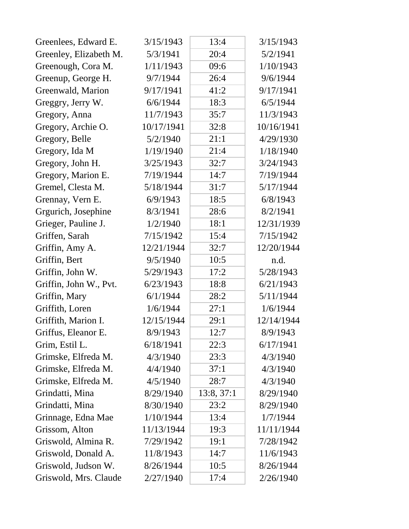| Greenlees, Edward E.   | 3/15/1943  | 13:4       | 3/15/1943  |
|------------------------|------------|------------|------------|
| Greenley, Elizabeth M. | 5/3/1941   | 20:4       | 5/2/1941   |
| Greenough, Cora M.     | 1/11/1943  | 09:6       | 1/10/1943  |
| Greenup, George H.     | 9/7/1944   | 26:4       | 9/6/1944   |
| Greenwald, Marion      | 9/17/1941  | 41:2       | 9/17/1941  |
| Greggry, Jerry W.      | 6/6/1944   | 18:3       | 6/5/1944   |
| Gregory, Anna          | 11/7/1943  | 35:7       | 11/3/1943  |
| Gregory, Archie O.     | 10/17/1941 | 32:8       | 10/16/1941 |
| Gregory, Belle         | 5/2/1940   | 21:1       | 4/29/1930  |
| Gregory, Ida M         | 1/19/1940  | 21:4       | 1/18/1940  |
| Gregory, John H.       | 3/25/1943  | 32:7       | 3/24/1943  |
| Gregory, Marion E.     | 7/19/1944  | 14:7       | 7/19/1944  |
| Gremel, Clesta M.      | 5/18/1944  | 31:7       | 5/17/1944  |
| Grennay, Vern E.       | 6/9/1943   | 18:5       | 6/8/1943   |
| Grgurich, Josephine    | 8/3/1941   | 28:6       | 8/2/1941   |
| Grieger, Pauline J.    | 1/2/1940   | 18:1       | 12/31/1939 |
| Griffen, Sarah         | 7/15/1942  | 15:4       | 7/15/1942  |
| Griffin, Amy A.        | 12/21/1944 | 32:7       | 12/20/1944 |
| Griffin, Bert          | 9/5/1940   | 10:5       | n.d.       |
| Griffin, John W.       | 5/29/1943  | 17:2       | 5/28/1943  |
| Griffin, John W., Pvt. | 6/23/1943  | 18:8       | 6/21/1943  |
| Griffin, Mary          | 6/1/1944   | 28:2       | 5/11/1944  |
| Griffith, Loren        | 1/6/1944   | 27:1       | 1/6/1944   |
| Griffith, Marion I.    | 12/15/1944 | 29:1       | 12/14/1944 |
| Griffus, Eleanor E.    | 8/9/1943   | 12:7       | 8/9/1943   |
| Grim, Estil L.         | 6/18/1941  | 22:3       | 6/17/1941  |
| Grimske, Elfreda M.    | 4/3/1940   | 23:3       | 4/3/1940   |
| Grimske, Elfreda M.    | 4/4/1940   | 37:1       | 4/3/1940   |
| Grimske, Elfreda M.    | 4/5/1940   | 28:7       | 4/3/1940   |
| Grindatti, Mina        | 8/29/1940  | 13:8, 37:1 | 8/29/1940  |
| Grindatti, Mina        | 8/30/1940  | 23:2       | 8/29/1940  |
| Grinnage, Edna Mae     | 1/10/1944  | 13:4       | 1/7/1944   |
| Grissom, Alton         | 11/13/1944 | 19:3       | 11/11/1944 |
| Griswold, Almina R.    | 7/29/1942  | 19:1       | 7/28/1942  |
| Griswold, Donald A.    | 11/8/1943  | 14:7       | 11/6/1943  |
| Griswold, Judson W.    | 8/26/1944  | 10:5       | 8/26/1944  |
| Griswold, Mrs. Claude  | 2/27/1940  | 17:4       | 2/26/1940  |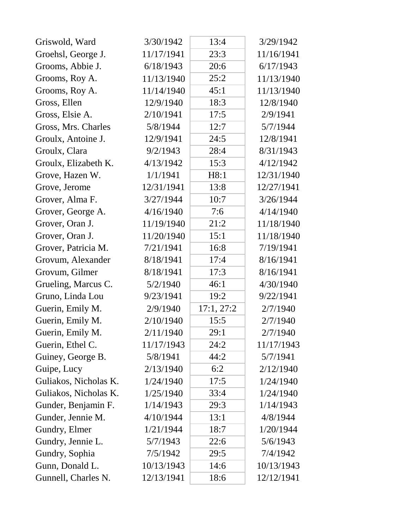| Griswold, Ward        | 3/30/1942  | 13:4       | 3/29/1942  |
|-----------------------|------------|------------|------------|
| Groehsl, George J.    | 11/17/1941 | 23:3       | 11/16/1941 |
| Grooms, Abbie J.      | 6/18/1943  | 20:6       | 6/17/1943  |
| Grooms, Roy A.        | 11/13/1940 | 25:2       | 11/13/1940 |
| Grooms, Roy A.        | 11/14/1940 | 45:1       | 11/13/1940 |
| Gross, Ellen          | 12/9/1940  | 18:3       | 12/8/1940  |
| Gross, Elsie A.       | 2/10/1941  | 17:5       | 2/9/1941   |
| Gross, Mrs. Charles   | 5/8/1944   | 12:7       | 5/7/1944   |
| Groulx, Antoine J.    | 12/9/1941  | 24:5       | 12/8/1941  |
| Groulx, Clara         | 9/2/1943   | 28:4       | 8/31/1943  |
| Groulx, Elizabeth K.  | 4/13/1942  | 15:3       | 4/12/1942  |
| Grove, Hazen W.       | 1/1/1941   | H8:1       | 12/31/1940 |
| Grove, Jerome         | 12/31/1941 | 13:8       | 12/27/1941 |
| Grover, Alma F.       | 3/27/1944  | 10:7       | 3/26/1944  |
| Grover, George A.     | 4/16/1940  | 7:6        | 4/14/1940  |
| Grover, Oran J.       | 11/19/1940 | 21:2       | 11/18/1940 |
| Grover, Oran J.       | 11/20/1940 | 15:1       | 11/18/1940 |
| Grover, Patricia M.   | 7/21/1941  | 16:8       | 7/19/1941  |
| Grovum, Alexander     | 8/18/1941  | 17:4       | 8/16/1941  |
| Grovum, Gilmer        | 8/18/1941  | 17:3       | 8/16/1941  |
| Grueling, Marcus C.   | 5/2/1940   | 46:1       | 4/30/1940  |
| Gruno, Linda Lou      | 9/23/1941  | 19:2       | 9/22/1941  |
| Guerin, Emily M.      | 2/9/1940   | 17:1, 27:2 | 2/7/1940   |
| Guerin, Emily M.      | 2/10/1940  | 15:5       | 2/7/1940   |
| Guerin, Emily M.      | 2/11/1940  | 29:1       | 2/7/1940   |
| Guerin, Ethel C.      | 11/17/1943 | 24:2       | 11/17/1943 |
| Guiney, George B.     | 5/8/1941   | 44:2       | 5/7/1941   |
| Guipe, Lucy           | 2/13/1940  | 6:2        | 2/12/1940  |
| Guliakos, Nicholas K. | 1/24/1940  | 17:5       | 1/24/1940  |
| Guliakos, Nicholas K. | 1/25/1940  | 33:4       | 1/24/1940  |
| Gunder, Benjamin F.   | 1/14/1943  | 29:3       | 1/14/1943  |
| Gunder, Jennie M.     | 4/10/1944  | 13:1       | 4/8/1944   |
| Gundry, Elmer         | 1/21/1944  | 18:7       | 1/20/1944  |
| Gundry, Jennie L.     | 5/7/1943   | 22:6       | 5/6/1943   |
| Gundry, Sophia        | 7/5/1942   | 29:5       | 7/4/1942   |
| Gunn, Donald L.       | 10/13/1943 | 14:6       | 10/13/1943 |
| Gunnell, Charles N.   | 12/13/1941 | 18:6       | 12/12/1941 |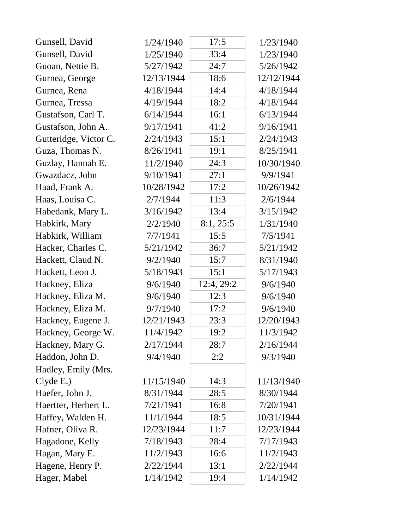| Gunsell, David        | 1/24/1940  | 17:5       | 1/23/1940  |
|-----------------------|------------|------------|------------|
| Gunsell, David        | 1/25/1940  | 33:4       | 1/23/1940  |
| Guoan, Nettie B.      | 5/27/1942  | 24:7       | 5/26/1942  |
| Gurnea, George        | 12/13/1944 | 18:6       | 12/12/1944 |
| Gurnea, Rena          | 4/18/1944  | 14:4       | 4/18/1944  |
| Gurnea, Tressa        | 4/19/1944  | 18:2       | 4/18/1944  |
| Gustafson, Carl T.    | 6/14/1944  | 16:1       | 6/13/1944  |
| Gustafson, John A.    | 9/17/1941  | 41:2       | 9/16/1941  |
| Gutteridge, Victor C. | 2/24/1943  | 15:1       | 2/24/1943  |
| Guza, Thomas N.       | 8/26/1941  | 19:1       | 8/25/1941  |
| Guzlay, Hannah E.     | 11/2/1940  | 24:3       | 10/30/1940 |
| Gwazdacz, John        | 9/10/1941  | 27:1       | 9/9/1941   |
| Haad, Frank A.        | 10/28/1942 | 17:2       | 10/26/1942 |
| Haas, Louisa C.       | 2/7/1944   | 11:3       | 2/6/1944   |
| Habedank, Mary L.     | 3/16/1942  | 13:4       | 3/15/1942  |
| Habkirk, Mary         | 2/2/1940   | 8:1, 25:5  | 1/31/1940  |
| Habkirk, William      | 7/7/1941   | 15:5       | 7/5/1941   |
| Hacker, Charles C.    | 5/21/1942  | 36:7       | 5/21/1942  |
| Hackett, Claud N.     | 9/2/1940   | 15:7       | 8/31/1940  |
| Hackett, Leon J.      | 5/18/1943  | 15:1       | 5/17/1943  |
| Hackney, Eliza        | 9/6/1940   | 12:4, 29:2 | 9/6/1940   |
| Hackney, Eliza M.     | 9/6/1940   | 12:3       | 9/6/1940   |
| Hackney, Eliza M.     | 9/7/1940   | 17:2       | 9/6/1940   |
| Hackney, Eugene J.    | 12/21/1943 | 23:3       | 12/20/1943 |
| Hackney, George W.    | 11/4/1942  | 19:2       | 11/3/1942  |
| Hackney, Mary G.      | 2/17/1944  | 28:7       | 2/16/1944  |
| Haddon, John D.       | 9/4/1940   | 2:2        | 9/3/1940   |
| Hadley, Emily (Mrs.   |            |            |            |
| Clyde E.              | 11/15/1940 | 14:3       | 11/13/1940 |
| Haefer, John J.       | 8/31/1944  | 28:5       | 8/30/1944  |
| Haertter, Herbert L.  | 7/21/1941  | 16:8       | 7/20/1941  |
| Haffey, Walden H.     | 11/1/1944  | 18:5       | 10/31/1944 |
| Hafner, Oliva R.      | 12/23/1944 | 11:7       | 12/23/1944 |
| Hagadone, Kelly       | 7/18/1943  | 28:4       | 7/17/1943  |
| Hagan, Mary E.        | 11/2/1943  | 16:6       | 11/2/1943  |
| Hagene, Henry P.      | 2/22/1944  | 13:1       | 2/22/1944  |
| Hager, Mabel          | 1/14/1942  | 19:4       | 1/14/1942  |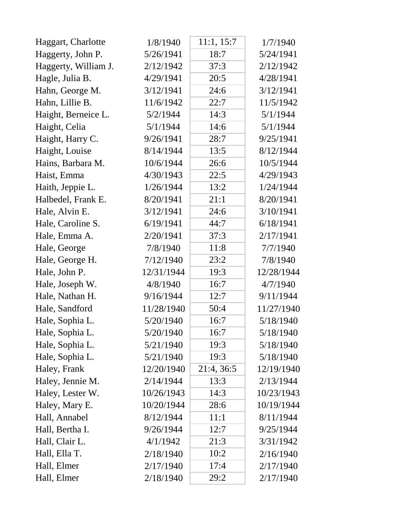| Haggart, Charlotte   | 1/8/1940   | 11:1, 15:7 | 1/7/1940   |
|----------------------|------------|------------|------------|
| Haggerty, John P.    | 5/26/1941  | 18:7       | 5/24/1941  |
| Haggerty, William J. | 2/12/1942  | 37:3       | 2/12/1942  |
| Hagle, Julia B.      | 4/29/1941  | 20:5       | 4/28/1941  |
| Hahn, George M.      | 3/12/1941  | 24:6       | 3/12/1941  |
| Hahn, Lillie B.      | 11/6/1942  | 22:7       | 11/5/1942  |
| Haight, Berneice L.  | 5/2/1944   | 14:3       | 5/1/1944   |
| Haight, Celia        | 5/1/1944   | 14:6       | 5/1/1944   |
| Haight, Harry C.     | 9/26/1941  | 28:7       | 9/25/1941  |
| Haight, Louise       | 8/14/1944  | 13:5       | 8/12/1944  |
| Hains, Barbara M.    | 10/6/1944  | 26:6       | 10/5/1944  |
| Haist, Emma          | 4/30/1943  | 22:5       | 4/29/1943  |
| Haith, Jeppie L.     | 1/26/1944  | 13:2       | 1/24/1944  |
| Halbedel, Frank E.   | 8/20/1941  | 21:1       | 8/20/1941  |
| Hale, Alvin E.       | 3/12/1941  | 24:6       | 3/10/1941  |
| Hale, Caroline S.    | 6/19/1941  | 44:7       | 6/18/1941  |
| Hale, Emma A.        | 2/20/1941  | 37:3       | 2/17/1941  |
| Hale, George         | 7/8/1940   | 11:8       | 7/7/1940   |
| Hale, George H.      | 7/12/1940  | 23:2       | 7/8/1940   |
| Hale, John P.        | 12/31/1944 | 19:3       | 12/28/1944 |
| Hale, Joseph W.      | 4/8/1940   | 16:7       | 4/7/1940   |
| Hale, Nathan H.      | 9/16/1944  | 12:7       | 9/11/1944  |
| Hale, Sandford       | 11/28/1940 | 50:4       | 11/27/1940 |
| Hale, Sophia L.      | 5/20/1940  | 16:7       | 5/18/1940  |
| Hale, Sophia L.      | 5/20/1940  | 16:7       | 5/18/1940  |
| Hale, Sophia L.      | 5/21/1940  | 19:3       | 5/18/1940  |
| Hale, Sophia L.      | 5/21/1940  | 19:3       | 5/18/1940  |
| Haley, Frank         | 12/20/1940 | 21:4, 36:5 | 12/19/1940 |
| Haley, Jennie M.     | 2/14/1944  | 13:3       | 2/13/1944  |
| Haley, Lester W.     | 10/26/1943 | 14:3       | 10/23/1943 |
| Haley, Mary E.       | 10/20/1944 | 28:6       | 10/19/1944 |
| Hall, Annabel        | 8/12/1944  | 11:1       | 8/11/1944  |
| Hall, Bertha I.      | 9/26/1944  | 12:7       | 9/25/1944  |
| Hall, Clair L.       | 4/1/1942   | 21:3       | 3/31/1942  |
| Hall, Ella T.        | 2/18/1940  | 10:2       | 2/16/1940  |
| Hall, Elmer          | 2/17/1940  | 17:4       | 2/17/1940  |
| Hall, Elmer          | 2/18/1940  | 29:2       | 2/17/1940  |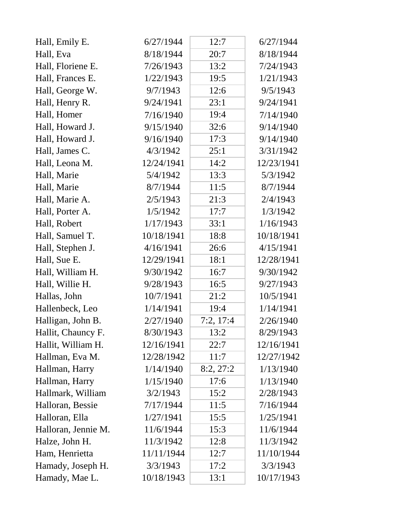| Hall, Emily E.      | 6/27/1944  | 12:7      | 6/27/1944  |
|---------------------|------------|-----------|------------|
| Hall, Eva           | 8/18/1944  | 20:7      | 8/18/1944  |
| Hall, Floriene E.   | 7/26/1943  | 13:2      | 7/24/1943  |
| Hall, Frances E.    | 1/22/1943  | 19:5      | 1/21/1943  |
| Hall, George W.     | 9/7/1943   | 12:6      | 9/5/1943   |
| Hall, Henry R.      | 9/24/1941  | 23:1      | 9/24/1941  |
| Hall, Homer         | 7/16/1940  | 19:4      | 7/14/1940  |
| Hall, Howard J.     | 9/15/1940  | 32:6      | 9/14/1940  |
| Hall, Howard J.     | 9/16/1940  | 17:3      | 9/14/1940  |
| Hall, James C.      | 4/3/1942   | 25:1      | 3/31/1942  |
| Hall, Leona M.      | 12/24/1941 | 14:2      | 12/23/1941 |
| Hall, Marie         | 5/4/1942   | 13:3      | 5/3/1942   |
| Hall, Marie         | 8/7/1944   | 11:5      | 8/7/1944   |
| Hall, Marie A.      | 2/5/1943   | 21:3      | 2/4/1943   |
| Hall, Porter A.     | 1/5/1942   | 17:7      | 1/3/1942   |
| Hall, Robert        | 1/17/1943  | 33:1      | 1/16/1943  |
| Hall, Samuel T.     | 10/18/1941 | 18:8      | 10/18/1941 |
| Hall, Stephen J.    | 4/16/1941  | 26:6      | 4/15/1941  |
| Hall, Sue E.        | 12/29/1941 | 18:1      | 12/28/1941 |
| Hall, William H.    | 9/30/1942  | 16:7      | 9/30/1942  |
| Hall, Willie H.     | 9/28/1943  | 16:5      | 9/27/1943  |
| Hallas, John        | 10/7/1941  | 21:2      | 10/5/1941  |
| Hallenbeck, Leo     | 1/14/1941  | 19:4      | 1/14/1941  |
| Halligan, John B.   | 2/27/1940  | 7:2, 17:4 | 2/26/1940  |
| Hallit, Chauncy F.  | 8/30/1943  | 13:2      | 8/29/1943  |
| Hallit, William H.  | 12/16/1941 | 22:7      | 12/16/1941 |
| Hallman, Eva M.     | 12/28/1942 | 11:7      | 12/27/1942 |
| Hallman, Harry      | 1/14/1940  | 8:2,27:2  | 1/13/1940  |
| Hallman, Harry      | 1/15/1940  | 17:6      | 1/13/1940  |
| Hallmark, William   | 3/2/1943   | 15:2      | 2/28/1943  |
| Halloran, Bessie    | 7/17/1944  | 11:5      | 7/16/1944  |
| Halloran, Ella      | 1/27/1941  | 15:5      | 1/25/1941  |
| Halloran, Jennie M. | 11/6/1944  | 15:3      | 11/6/1944  |
| Halze, John H.      | 11/3/1942  | 12:8      | 11/3/1942  |
| Ham, Henrietta      | 11/11/1944 | 12:7      | 11/10/1944 |
| Hamady, Joseph H.   | 3/3/1943   | 17:2      | 3/3/1943   |
| Hamady, Mae L.      | 10/18/1943 | 13:1      | 10/17/1943 |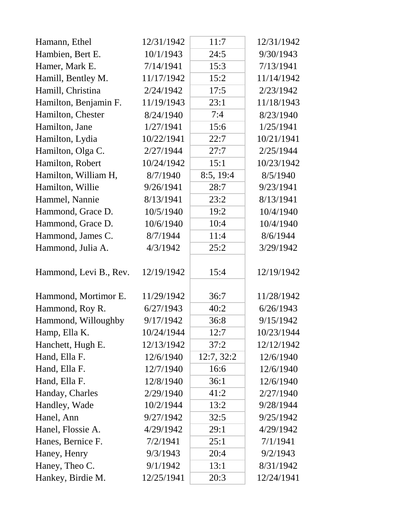| Hamann, Ethel          | 12/31/1942 | 11:7       | 12/31/1942 |
|------------------------|------------|------------|------------|
| Hambien, Bert E.       | 10/1/1943  | 24:5       | 9/30/1943  |
| Hamer, Mark E.         | 7/14/1941  | 15:3       | 7/13/1941  |
| Hamill, Bentley M.     | 11/17/1942 | 15:2       | 11/14/1942 |
| Hamill, Christina      | 2/24/1942  | 17:5       | 2/23/1942  |
| Hamilton, Benjamin F.  | 11/19/1943 | 23:1       | 11/18/1943 |
| Hamilton, Chester      | 8/24/1940  | 7:4        | 8/23/1940  |
| Hamilton, Jane         | 1/27/1941  | 15:6       | 1/25/1941  |
| Hamilton, Lydia        | 10/22/1941 | 22:7       | 10/21/1941 |
| Hamilton, Olga C.      | 2/27/1944  | 27:7       | 2/25/1944  |
| Hamilton, Robert       | 10/24/1942 | 15:1       | 10/23/1942 |
| Hamilton, William H,   | 8/7/1940   | 8:5, 19:4  | 8/5/1940   |
| Hamilton, Willie       | 9/26/1941  | 28:7       | 9/23/1941  |
| Hammel, Nannie         | 8/13/1941  | 23:2       | 8/13/1941  |
| Hammond, Grace D.      | 10/5/1940  | 19:2       | 10/4/1940  |
| Hammond, Grace D.      | 10/6/1940  | 10:4       | 10/4/1940  |
| Hammond, James C.      | 8/7/1944   | 11:4       | 8/6/1944   |
| Hammond, Julia A.      | 4/3/1942   | 25:2       | 3/29/1942  |
| Hammond, Levi B., Rev. | 12/19/1942 | 15:4       | 12/19/1942 |
| Hammond, Mortimor E.   | 11/29/1942 | 36:7       | 11/28/1942 |
| Hammond, Roy R.        | 6/27/1943  | 40:2       | 6/26/1943  |
| Hammond, Willoughby    | 9/17/1942  | 36:8       | 9/15/1942  |
| Hamp, Ella K.          | 10/24/1944 | 12:7       | 10/23/1944 |
| Hanchett, Hugh E.      | 12/13/1942 | 37:2       | 12/12/1942 |
| Hand, Ella F.          | 12/6/1940  | 12:7, 32:2 | 12/6/1940  |
| Hand, Ella F.          | 12/7/1940  | 16:6       | 12/6/1940  |
| Hand, Ella F.          | 12/8/1940  | 36:1       | 12/6/1940  |
| Handay, Charles        | 2/29/1940  | 41:2       | 2/27/1940  |
| Handley, Wade          | 10/2/1944  | 13:2       | 9/28/1944  |
| Hanel, Ann             | 9/27/1942  | 32:5       | 9/25/1942  |
| Hanel, Flossie A.      | 4/29/1942  | 29:1       | 4/29/1942  |
| Hanes, Bernice F.      | 7/2/1941   | 25:1       | 7/1/1941   |
| Haney, Henry           | 9/3/1943   | 20:4       | 9/2/1943   |
| Haney, Theo C.         | 9/1/1942   | 13:1       | 8/31/1942  |
| Hankey, Birdie M.      | 12/25/1941 | 20:3       | 12/24/1941 |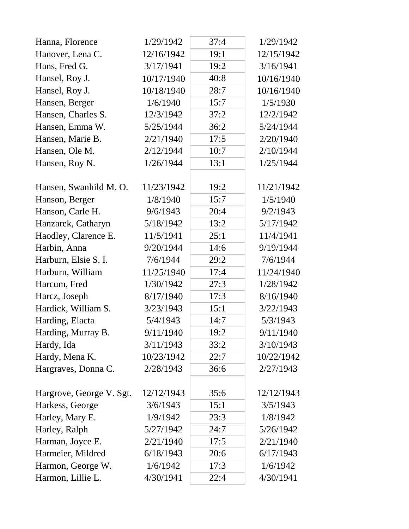| Hanna, Florence          | 1/29/1942  | 37:4 | 1/29/1942  |
|--------------------------|------------|------|------------|
| Hanover, Lena C.         | 12/16/1942 | 19:1 | 12/15/1942 |
| Hans, Fred G.            | 3/17/1941  | 19:2 | 3/16/1941  |
| Hansel, Roy J.           | 10/17/1940 | 40:8 | 10/16/1940 |
| Hansel, Roy J.           | 10/18/1940 | 28:7 | 10/16/1940 |
| Hansen, Berger           | 1/6/1940   | 15:7 | 1/5/1930   |
| Hansen, Charles S.       | 12/3/1942  | 37:2 | 12/2/1942  |
| Hansen, Emma W.          | 5/25/1944  | 36:2 | 5/24/1944  |
| Hansen, Marie B.         | 2/21/1940  | 17:5 | 2/20/1940  |
| Hansen, Ole M.           | 2/12/1944  | 10:7 | 2/10/1944  |
| Hansen, Roy N.           | 1/26/1944  | 13:1 | 1/25/1944  |
| Hansen, Swanhild M. O.   | 11/23/1942 | 19:2 | 11/21/1942 |
| Hanson, Berger           | 1/8/1940   | 15:7 | 1/5/1940   |
| Hanson, Carle H.         | 9/6/1943   | 20:4 | 9/2/1943   |
| Hanzarek, Catharyn       | 5/18/1942  | 13:2 | 5/17/1942  |
| Haodley, Clarence E.     | 11/5/1941  | 25:1 | 11/4/1941  |
| Harbin, Anna             | 9/20/1944  | 14:6 | 9/19/1944  |
| Harburn, Elsie S. I.     | 7/6/1944   | 29:2 | 7/6/1944   |
| Harburn, William         | 11/25/1940 | 17:4 | 11/24/1940 |
| Harcum, Fred             | 1/30/1942  | 27:3 | 1/28/1942  |
| Harcz, Joseph            | 8/17/1940  | 17:3 | 8/16/1940  |
| Hardick, William S.      | 3/23/1943  | 15:1 | 3/22/1943  |
| Harding, Elacta          | 5/4/1943   | 14:7 | 5/3/1943   |
| Harding, Murray B.       | 9/11/1940  | 19:2 | 9/11/1940  |
| Hardy, Ida               | 3/11/1943  | 33:2 | 3/10/1943  |
| Hardy, Mena K.           | 10/23/1942 | 22:7 | 10/22/1942 |
| Hargraves, Donna C.      | 2/28/1943  | 36:6 | 2/27/1943  |
| Hargrove, George V. Sgt. | 12/12/1943 | 35:6 | 12/12/1943 |
| Harkess, George          | 3/6/1943   | 15:1 | 3/5/1943   |
| Harley, Mary E.          | 1/9/1942   | 23:3 | 1/8/1942   |
| Harley, Ralph            | 5/27/1942  | 24:7 | 5/26/1942  |
| Harman, Joyce E.         | 2/21/1940  | 17:5 | 2/21/1940  |
| Harmeier, Mildred        | 6/18/1943  | 20:6 | 6/17/1943  |
| Harmon, George W.        | 1/6/1942   | 17:3 | 1/6/1942   |
| Harmon, Lillie L.        | 4/30/1941  | 22:4 | 4/30/1941  |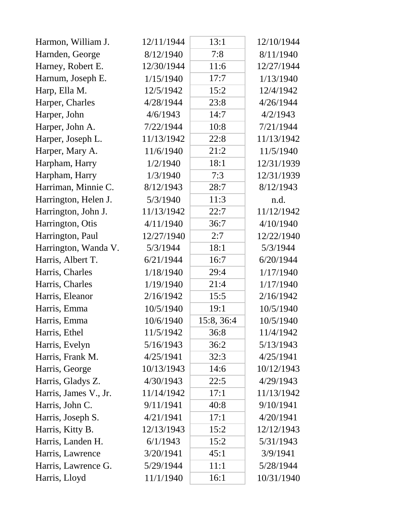| Harmon, William J.    | 12/11/1944 | 13:1       | 12/10/1944 |
|-----------------------|------------|------------|------------|
| Harnden, George       | 8/12/1940  | 7:8        | 8/11/1940  |
| Harney, Robert E.     | 12/30/1944 | 11:6       | 12/27/1944 |
| Harnum, Joseph E.     | 1/15/1940  | 17:7       | 1/13/1940  |
| Harp, Ella M.         | 12/5/1942  | 15:2       | 12/4/1942  |
| Harper, Charles       | 4/28/1944  | 23:8       | 4/26/1944  |
| Harper, John          | 4/6/1943   | 14:7       | 4/2/1943   |
| Harper, John A.       | 7/22/1944  | 10:8       | 7/21/1944  |
| Harper, Joseph L.     | 11/13/1942 | 22:8       | 11/13/1942 |
| Harper, Mary A.       | 11/6/1940  | 21:2       | 11/5/1940  |
| Harpham, Harry        | 1/2/1940   | 18:1       | 12/31/1939 |
| Harpham, Harry        | 1/3/1940   | 7:3        | 12/31/1939 |
| Harriman, Minnie C.   | 8/12/1943  | 28:7       | 8/12/1943  |
| Harrington, Helen J.  | 5/3/1940   | 11:3       | n.d.       |
| Harrington, John J.   | 11/13/1942 | 22:7       | 11/12/1942 |
| Harrington, Otis      | 4/11/1940  | 36:7       | 4/10/1940  |
| Harrington, Paul      | 12/27/1940 | 2:7        | 12/22/1940 |
| Harrington, Wanda V.  | 5/3/1944   | 18:1       | 5/3/1944   |
| Harris, Albert T.     | 6/21/1944  | 16:7       | 6/20/1944  |
| Harris, Charles       | 1/18/1940  | 29:4       | 1/17/1940  |
| Harris, Charles       | 1/19/1940  | 21:4       | 1/17/1940  |
| Harris, Eleanor       | 2/16/1942  | 15:5       | 2/16/1942  |
| Harris, Emma          | 10/5/1940  | 19:1       | 10/5/1940  |
| Harris, Emma          | 10/6/1940  | 15:8, 36:4 | 10/5/1940  |
| Harris, Ethel         | 11/5/1942  | 36:8       | 11/4/1942  |
| Harris, Evelyn        | 5/16/1943  | 36:2       | 5/13/1943  |
| Harris, Frank M.      | 4/25/1941  | 32:3       | 4/25/1941  |
| Harris, George        | 10/13/1943 | 14:6       | 10/12/1943 |
| Harris, Gladys Z.     | 4/30/1943  | 22:5       | 4/29/1943  |
| Harris, James V., Jr. | 11/14/1942 | 17:1       | 11/13/1942 |
| Harris, John C.       | 9/11/1941  | 40:8       | 9/10/1941  |
| Harris, Joseph S.     | 4/21/1941  | 17:1       | 4/20/1941  |
| Harris, Kitty B.      | 12/13/1943 | 15:2       | 12/12/1943 |
| Harris, Landen H.     | 6/1/1943   | 15:2       | 5/31/1943  |
| Harris, Lawrence      | 3/20/1941  | 45:1       | 3/9/1941   |
| Harris, Lawrence G.   | 5/29/1944  | 11:1       | 5/28/1944  |
| Harris, Lloyd         | 11/1/1940  | 16:1       | 10/31/1940 |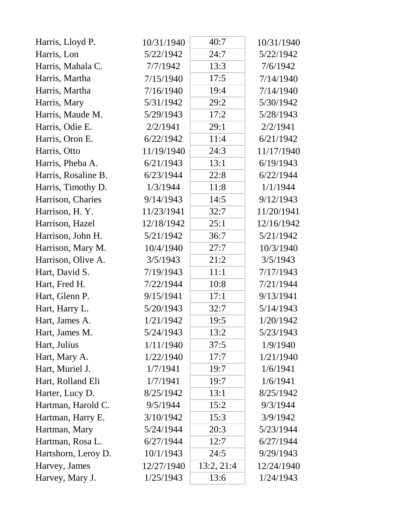| Harris, Lloyd P.    | 10/31/1940 | 40:7       | 10/31/1940 |
|---------------------|------------|------------|------------|
| Harris, Lon         | 5/22/1942  | 24:7       | 5/22/1942  |
| Harris, Mahala C.   | 7/7/1942   | 13:3       | 7/6/1942   |
| Harris, Martha      | 7/15/1940  | 17:5       | 7/14/1940  |
| Harris, Martha      | 7/16/1940  | 19:4       | 7/14/1940  |
| Harris, Mary        | 5/31/1942  | 29:2       | 5/30/1942  |
| Harris, Maude M.    | 5/29/1943  | 17:2       | 5/28/1943  |
| Harris, Odie E.     | 2/2/1941   | 29:1       | 2/2/1941   |
| Harris, Oron E.     | 6/22/1942  | 11:4       | 6/21/1942  |
| Harris, Otto        | 11/19/1940 | 24:3       | 11/17/1940 |
| Harris, Pheba A.    | 6/21/1943  | 13:1       | 6/19/1943  |
| Harris, Rosaline B. | 6/23/1944  | 22:8       | 6/22/1944  |
| Harris, Timothy D.  | 1/3/1944   | 11:8       | 1/1/1944   |
| Harrison, Charies   | 9/14/1943  | 14:5       | 9/12/1943  |
| Harrison, H.Y.      | 11/23/1941 | 32:7       | 11/20/1941 |
| Harrison, Hazel     | 12/18/1942 | 25:1       | 12/16/1942 |
| Harrison, John H.   | 5/21/1942  | 36:7       | 5/21/1942  |
| Harrison, Mary M.   | 10/4/1940  | 27:7       | 10/3/1940  |
| Harrison, Olive A.  | 3/5/1943   | 21:2       | 3/5/1943   |
| Hart, David S.      | 7/19/1943  | 11:1       | 7/17/1943  |
| Hart, Fred H.       | 7/22/1944  | 10:8       | 7/21/1944  |
| Hart, Glenn P.      | 9/15/1941  | 17:1       | 9/13/1941  |
| Hart, Harry L.      | 5/20/1943  | 32:7       | 5/14/1943  |
| Hart, James A.      | 1/21/1942  | 19:5       | 1/20/1942  |
| Hart, James M.      | 5/24/1943  | 13:2       | 5/23/1943  |
| Hart, Julius        | 1/11/1940  | 37:5       | 1/9/1940   |
| Hart, Mary A.       | 1/22/1940  | 17:7       | 1/21/1940  |
| Hart, Muriel J.     | 1/7/1941   | 19:7       | 1/6/1941   |
| Hart, Rolland Eli   | 1/7/1941   | 19:7       | 1/6/1941   |
| Harter, Lucy D.     | 8/25/1942  | 13:1       | 8/25/1942  |
| Hartman, Harold C.  | 9/5/1944   | 15:2       | 9/3/1944   |
| Hartman, Harry E.   | 3/10/1942  | 15:3       | 3/9/1942   |
| Hartman, Mary       | 5/24/1944  | 20:3       | 5/23/1944  |
| Hartman, Rosa L.    | 6/27/1944  | 12:7       | 6/27/1944  |
| Hartshorn, Leroy D. | 10/1/1943  | 24:5       | 9/29/1943  |
| Harvey, James       | 12/27/1940 | 13:2, 21:4 | 12/24/1940 |
| Harvey, Mary J.     | 1/25/1943  | 13:6       | 1/24/1943  |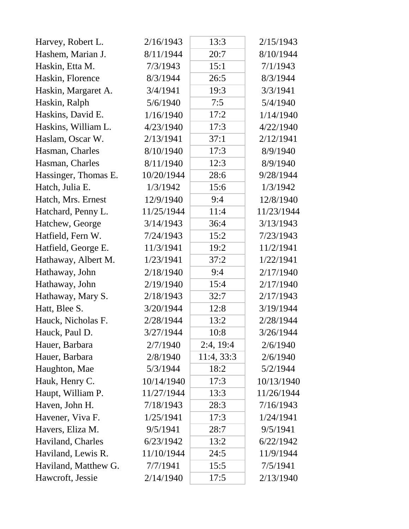| Harvey, Robert L.    | 2/16/1943  | 13:3       | 2/15/1943  |
|----------------------|------------|------------|------------|
| Hashem, Marian J.    | 8/11/1944  | 20:7       | 8/10/1944  |
| Haskin, Etta M.      | 7/3/1943   | 15:1       | 7/1/1943   |
| Haskin, Florence     | 8/3/1944   | 26:5       | 8/3/1944   |
| Haskin, Margaret A.  | 3/4/1941   | 19:3       | 3/3/1941   |
| Haskin, Ralph        | 5/6/1940   | 7:5        | 5/4/1940   |
| Haskins, David E.    | 1/16/1940  | 17:2       | 1/14/1940  |
| Haskins, William L.  | 4/23/1940  | 17:3       | 4/22/1940  |
| Haslam, Oscar W.     | 2/13/1941  | 37:1       | 2/12/1941  |
| Hasman, Charles      | 8/10/1940  | 17:3       | 8/9/1940   |
| Hasman, Charles      | 8/11/1940  | 12:3       | 8/9/1940   |
| Hassinger, Thomas E. | 10/20/1944 | 28:6       | 9/28/1944  |
| Hatch, Julia E.      | 1/3/1942   | 15:6       | 1/3/1942   |
| Hatch, Mrs. Ernest   | 12/9/1940  | 9:4        | 12/8/1940  |
| Hatchard, Penny L.   | 11/25/1944 | 11:4       | 11/23/1944 |
| Hatchew, George      | 3/14/1943  | 36:4       | 3/13/1943  |
| Hatfield, Fern W.    | 7/24/1943  | 15:2       | 7/23/1943  |
| Hatfield, George E.  | 11/3/1941  | 19:2       | 11/2/1941  |
| Hathaway, Albert M.  | 1/23/1941  | 37:2       | 1/22/1941  |
| Hathaway, John       | 2/18/1940  | 9:4        | 2/17/1940  |
| Hathaway, John       | 2/19/1940  | 15:4       | 2/17/1940  |
| Hathaway, Mary S.    | 2/18/1943  | 32:7       | 2/17/1943  |
| Hatt, Blee S.        | 3/20/1944  | 12:8       | 3/19/1944  |
| Hauck, Nicholas F.   | 2/28/1944  | 13:2       | 2/28/1944  |
| Hauck, Paul D.       | 3/27/1944  | 10:8       | 3/26/1944  |
| Hauer, Barbara       | 2/7/1940   | 2:4, 19:4  | 2/6/1940   |
| Hauer, Barbara       | 2/8/1940   | 11:4, 33:3 | 2/6/1940   |
| Haughton, Mae        | 5/3/1944   | 18:2       | 5/2/1944   |
| Hauk, Henry C.       | 10/14/1940 | 17:3       | 10/13/1940 |
| Haupt, William P.    | 11/27/1944 | 13:3       | 11/26/1944 |
| Haven, John H.       | 7/18/1943  | 28:3       | 7/16/1943  |
| Havener, Viva F.     | 1/25/1941  | 17:3       | 1/24/1941  |
| Havers, Eliza M.     | 9/5/1941   | 28:7       | 9/5/1941   |
| Haviland, Charles    | 6/23/1942  | 13:2       | 6/22/1942  |
| Haviland, Lewis R.   | 11/10/1944 | 24:5       | 11/9/1944  |
| Haviland, Matthew G. | 7/7/1941   | 15:5       | 7/5/1941   |
| Hawcroft, Jessie     | 2/14/1940  | 17:5       | 2/13/1940  |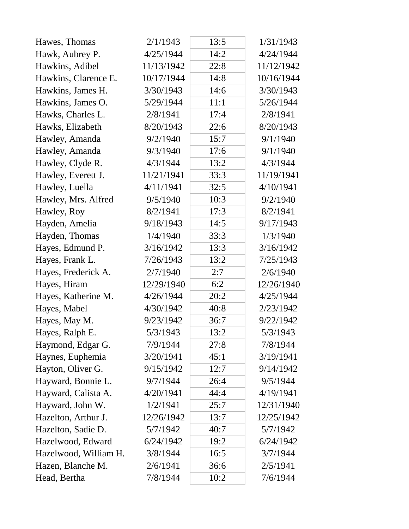| Hawes, Thomas         | 2/1/1943   | 13:5 | 1/31/1943  |
|-----------------------|------------|------|------------|
| Hawk, Aubrey P.       | 4/25/1944  | 14:2 | 4/24/1944  |
| Hawkins, Adibel       | 11/13/1942 | 22:8 | 11/12/1942 |
| Hawkins, Clarence E.  | 10/17/1944 | 14:8 | 10/16/1944 |
| Hawkins, James H.     | 3/30/1943  | 14:6 | 3/30/1943  |
| Hawkins, James O.     | 5/29/1944  | 11:1 | 5/26/1944  |
| Hawks, Charles L.     | 2/8/1941   | 17:4 | 2/8/1941   |
| Hawks, Elizabeth      | 8/20/1943  | 22:6 | 8/20/1943  |
| Hawley, Amanda        | 9/2/1940   | 15:7 | 9/1/1940   |
| Hawley, Amanda        | 9/3/1940   | 17:6 | 9/1/1940   |
| Hawley, Clyde R.      | 4/3/1944   | 13:2 | 4/3/1944   |
| Hawley, Everett J.    | 11/21/1941 | 33:3 | 11/19/1941 |
| Hawley, Luella        | 4/11/1941  | 32:5 | 4/10/1941  |
| Hawley, Mrs. Alfred   | 9/5/1940   | 10:3 | 9/2/1940   |
| Hawley, Roy           | 8/2/1941   | 17:3 | 8/2/1941   |
| Hayden, Amelia        | 9/18/1943  | 14:5 | 9/17/1943  |
| Hayden, Thomas        | 1/4/1940   | 33:3 | 1/3/1940   |
| Hayes, Edmund P.      | 3/16/1942  | 13:3 | 3/16/1942  |
| Hayes, Frank L.       | 7/26/1943  | 13:2 | 7/25/1943  |
| Hayes, Frederick A.   | 2/7/1940   | 2:7  | 2/6/1940   |
| Hayes, Hiram          | 12/29/1940 | 6:2  | 12/26/1940 |
| Hayes, Katherine M.   | 4/26/1944  | 20:2 | 4/25/1944  |
| Hayes, Mabel          | 4/30/1942  | 40:8 | 2/23/1942  |
| Hayes, May M.         | 9/23/1942  | 36:7 | 9/22/1942  |
| Hayes, Ralph E.       | 5/3/1943   | 13:2 | 5/3/1943   |
| Haymond, Edgar G.     | 7/9/1944   | 27:8 | 7/8/1944   |
| Haynes, Euphemia      | 3/20/1941  | 45:1 | 3/19/1941  |
| Hayton, Oliver G.     | 9/15/1942  | 12:7 | 9/14/1942  |
| Hayward, Bonnie L.    | 9/7/1944   | 26:4 | 9/5/1944   |
| Hayward, Calista A.   | 4/20/1941  | 44:4 | 4/19/1941  |
| Hayward, John W.      | 1/2/1941   | 25:7 | 12/31/1940 |
| Hazelton, Arthur J.   | 12/26/1942 | 13:7 | 12/25/1942 |
| Hazelton, Sadie D.    | 5/7/1942   | 40:7 | 5/7/1942   |
| Hazelwood, Edward     | 6/24/1942  | 19:2 | 6/24/1942  |
| Hazelwood, William H. | 3/8/1944   | 16:5 | 3/7/1944   |
| Hazen, Blanche M.     | 2/6/1941   | 36:6 | 2/5/1941   |
| Head, Bertha          | 7/8/1944   | 10:2 | 7/6/1944   |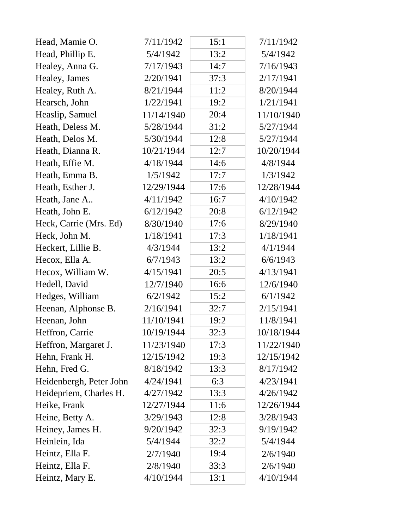| Head, Mamie O.          | 7/11/1942  | 15:1 | 7/11/1942  |
|-------------------------|------------|------|------------|
| Head, Phillip E.        | 5/4/1942   | 13:2 | 5/4/1942   |
| Healey, Anna G.         | 7/17/1943  | 14:7 | 7/16/1943  |
| Healey, James           | 2/20/1941  | 37:3 | 2/17/1941  |
| Healey, Ruth A.         | 8/21/1944  | 11:2 | 8/20/1944  |
| Hearsch, John           | 1/22/1941  | 19:2 | 1/21/1941  |
| Heaslip, Samuel         | 11/14/1940 | 20:4 | 11/10/1940 |
| Heath, Deless M.        | 5/28/1944  | 31:2 | 5/27/1944  |
| Heath, Delos M.         | 5/30/1944  | 12:8 | 5/27/1944  |
| Heath, Dianna R.        | 10/21/1944 | 12:7 | 10/20/1944 |
| Heath, Effie M.         | 4/18/1944  | 14:6 | 4/8/1944   |
| Heath, Emma B.          | 1/5/1942   | 17:7 | 1/3/1942   |
| Heath, Esther J.        | 12/29/1944 | 17:6 | 12/28/1944 |
| Heath, Jane A           | 4/11/1942  | 16:7 | 4/10/1942  |
| Heath, John E.          | 6/12/1942  | 20:8 | 6/12/1942  |
| Heck, Carrie (Mrs. Ed)  | 8/30/1940  | 17:6 | 8/29/1940  |
| Heck, John M.           | 1/18/1941  | 17:3 | 1/18/1941  |
| Heckert, Lillie B.      | 4/3/1944   | 13:2 | 4/1/1944   |
| Hecox, Ella A.          | 6/7/1943   | 13:2 | 6/6/1943   |
| Hecox, William W.       | 4/15/1941  | 20:5 | 4/13/1941  |
| Hedell, David           | 12/7/1940  | 16:6 | 12/6/1940  |
| Hedges, William         | 6/2/1942   | 15:2 | 6/1/1942   |
| Heenan, Alphonse B.     | 2/16/1941  | 32:7 | 2/15/1941  |
| Heenan, John            | 11/10/1941 | 19:2 | 11/8/1941  |
| Heffron, Carrie         | 10/19/1944 | 32:3 | 10/18/1944 |
| Heffron, Margaret J.    | 11/23/1940 | 17:3 | 11/22/1940 |
| Hehn, Frank H.          | 12/15/1942 | 19:3 | 12/15/1942 |
| Hehn, Fred G.           | 8/18/1942  | 13:3 | 8/17/1942  |
| Heidenbergh, Peter John | 4/24/1941  | 6:3  | 4/23/1941  |
| Heidepriem, Charles H.  | 4/27/1942  | 13:3 | 4/26/1942  |
| Heike, Frank            | 12/27/1944 | 11:6 | 12/26/1944 |
| Heine, Betty A.         | 3/29/1943  | 12:8 | 3/28/1943  |
| Heiney, James H.        | 9/20/1942  | 32:3 | 9/19/1942  |
| Heinlein, Ida           | 5/4/1944   | 32:2 | 5/4/1944   |
| Heintz, Ella F.         | 2/7/1940   | 19:4 | 2/6/1940   |
| Heintz, Ella F.         | 2/8/1940   | 33:3 | 2/6/1940   |
| Heintz, Mary E.         | 4/10/1944  | 13:1 | 4/10/1944  |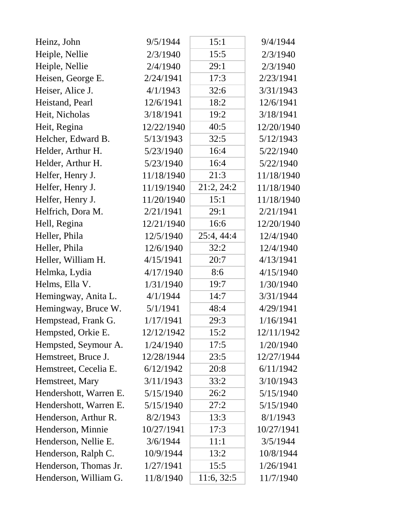| Heinz, John            | 9/5/1944   | 15:1       | 9/4/1944   |
|------------------------|------------|------------|------------|
| Heiple, Nellie         | 2/3/1940   | 15:5       | 2/3/1940   |
| Heiple, Nellie         | 2/4/1940   | 29:1       | 2/3/1940   |
| Heisen, George E.      | 2/24/1941  | 17:3       | 2/23/1941  |
| Heiser, Alice J.       | 4/1/1943   | 32:6       | 3/31/1943  |
| Heistand, Pearl        | 12/6/1941  | 18:2       | 12/6/1941  |
| Heit, Nicholas         | 3/18/1941  | 19:2       | 3/18/1941  |
| Heit, Regina           | 12/22/1940 | 40:5       | 12/20/1940 |
| Helcher, Edward B.     | 5/13/1943  | 32:5       | 5/12/1943  |
| Helder, Arthur H.      | 5/23/1940  | 16:4       | 5/22/1940  |
| Helder, Arthur H.      | 5/23/1940  | 16:4       | 5/22/1940  |
| Helfer, Henry J.       | 11/18/1940 | 21:3       | 11/18/1940 |
| Helfer, Henry J.       | 11/19/1940 | 21:2, 24:2 | 11/18/1940 |
| Helfer, Henry J.       | 11/20/1940 | 15:1       | 11/18/1940 |
| Helfrich, Dora M.      | 2/21/1941  | 29:1       | 2/21/1941  |
| Hell, Regina           | 12/21/1940 | 16:6       | 12/20/1940 |
| Heller, Phila          | 12/5/1940  | 25:4, 44:4 | 12/4/1940  |
| Heller, Phila          | 12/6/1940  | 32:2       | 12/4/1940  |
| Heller, William H.     | 4/15/1941  | 20:7       | 4/13/1941  |
| Helmka, Lydia          | 4/17/1940  | 8:6        | 4/15/1940  |
| Helms, Ella V.         | 1/31/1940  | 19:7       | 1/30/1940  |
| Hemingway, Anita L.    | 4/1/1944   | 14:7       | 3/31/1944  |
| Hemingway, Bruce W.    | 5/1/1941   | 48:4       | 4/29/1941  |
| Hempstead, Frank G.    | 1/17/1941  | 29:3       | 1/16/1941  |
| Hempsted, Orkie E.     | 12/12/1942 | 15:2       | 12/11/1942 |
| Hempsted, Seymour A.   | 1/24/1940  | 17:5       | 1/20/1940  |
| Hemstreet, Bruce J.    | 12/28/1944 | 23:5       | 12/27/1944 |
| Hemstreet, Cecelia E.  | 6/12/1942  | 20:8       | 6/11/1942  |
| Hemstreet, Mary        | 3/11/1943  | 33:2       | 3/10/1943  |
| Hendershott, Warren E. | 5/15/1940  | 26:2       | 5/15/1940  |
| Hendershott, Warren E. | 5/15/1940  | 27:2       | 5/15/1940  |
| Henderson, Arthur R.   | 8/2/1943   | 13:3       | 8/1/1943   |
| Henderson, Minnie      | 10/27/1941 | 17:3       | 10/27/1941 |
| Henderson, Nellie E.   | 3/6/1944   | 11:1       | 3/5/1944   |
| Henderson, Ralph C.    | 10/9/1944  | 13:2       | 10/8/1944  |
| Henderson, Thomas Jr.  | 1/27/1941  | 15:5       | 1/26/1941  |
| Henderson, William G.  | 11/8/1940  | 11:6, 32:5 | 11/7/1940  |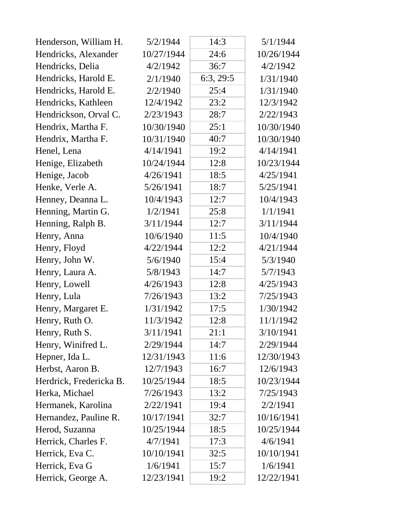| Henderson, William H.   | 5/2/1944   | 14:3      | 5/1/1944   |
|-------------------------|------------|-----------|------------|
| Hendricks, Alexander    | 10/27/1944 | 24:6      | 10/26/1944 |
| Hendricks, Delia        | 4/2/1942   | 36:7      | 4/2/1942   |
| Hendricks, Harold E.    | 2/1/1940   | 6:3, 29:5 | 1/31/1940  |
| Hendricks, Harold E.    | 2/2/1940   | 25:4      | 1/31/1940  |
| Hendricks, Kathleen     | 12/4/1942  | 23:2      | 12/3/1942  |
| Hendrickson, Orval C.   | 2/23/1943  | 28:7      | 2/22/1943  |
| Hendrix, Martha F.      | 10/30/1940 | 25:1      | 10/30/1940 |
| Hendrix, Martha F.      | 10/31/1940 | 40:7      | 10/30/1940 |
| Henel, Lena             | 4/14/1941  | 19:2      | 4/14/1941  |
| Henige, Elizabeth       | 10/24/1944 | 12:8      | 10/23/1944 |
| Henige, Jacob           | 4/26/1941  | 18:5      | 4/25/1941  |
| Henke, Verle A.         | 5/26/1941  | 18:7      | 5/25/1941  |
| Henney, Deanna L.       | 10/4/1943  | 12:7      | 10/4/1943  |
| Henning, Martin G.      | 1/2/1941   | 25:8      | 1/1/1941   |
| Henning, Ralph B.       | 3/11/1944  | 12:7      | 3/11/1944  |
| Henry, Anna             | 10/6/1940  | 11:5      | 10/4/1940  |
| Henry, Floyd            | 4/22/1944  | 12:2      | 4/21/1944  |
| Henry, John W.          | 5/6/1940   | 15:4      | 5/3/1940   |
| Henry, Laura A.         | 5/8/1943   | 14:7      | 5/7/1943   |
| Henry, Lowell           | 4/26/1943  | 12:8      | 4/25/1943  |
| Henry, Lula             | 7/26/1943  | 13:2      | 7/25/1943  |
| Henry, Margaret E.      | 1/31/1942  | 17:5      | 1/30/1942  |
| Henry, Ruth O.          | 11/3/1942  | 12:8      | 11/1/1942  |
| Henry, Ruth S.          | 3/11/1941  | 21:1      | 3/10/1941  |
| Henry, Winifred L.      | 2/29/1944  | 14:7      | 2/29/1944  |
| Hepner, Ida L.          | 12/31/1943 | 11:6      | 12/30/1943 |
| Herbst, Aaron B.        | 12/7/1943  | 16:7      | 12/6/1943  |
| Herdrick, Fredericka B. | 10/25/1944 | 18:5      | 10/23/1944 |
| Herka, Michael          | 7/26/1943  | 13:2      | 7/25/1943  |
| Hermanek, Karolina      | 2/22/1941  | 19:4      | 2/2/1941   |
| Hernandez, Pauline R.   | 10/17/1941 | 32:7      | 10/16/1941 |
| Herod, Suzanna          | 10/25/1944 | 18:5      | 10/25/1944 |
| Herrick, Charles F.     | 4/7/1941   | 17:3      | 4/6/1941   |
| Herrick, Eva C.         | 10/10/1941 | 32:5      | 10/10/1941 |
| Herrick, Eva G          | 1/6/1941   | 15:7      | 1/6/1941   |
| Herrick, George A.      | 12/23/1941 | 19:2      | 12/22/1941 |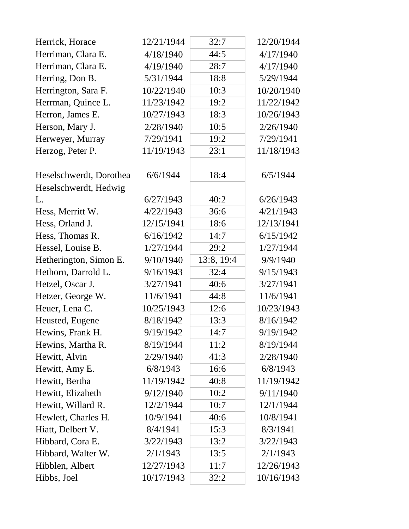| Herrick, Horace         | 12/21/1944 | 32:7       | 12/20/1944 |
|-------------------------|------------|------------|------------|
| Herriman, Clara E.      | 4/18/1940  | 44:5       | 4/17/1940  |
| Herriman, Clara E.      | 4/19/1940  | 28:7       | 4/17/1940  |
| Herring, Don B.         | 5/31/1944  | 18:8       | 5/29/1944  |
| Herrington, Sara F.     | 10/22/1940 | 10:3       | 10/20/1940 |
| Herrman, Quince L.      | 11/23/1942 | 19:2       | 11/22/1942 |
| Herron, James E.        | 10/27/1943 | 18:3       | 10/26/1943 |
| Herson, Mary J.         | 2/28/1940  | 10:5       | 2/26/1940  |
| Herweyer, Murray        | 7/29/1941  | 19:2       | 7/29/1941  |
| Herzog, Peter P.        | 11/19/1943 | 23:1       | 11/18/1943 |
| Heselschwerdt, Dorothea | 6/6/1944   | 18:4       | 6/5/1944   |
| Heselschwerdt, Hedwig   |            |            |            |
| L.                      | 6/27/1943  | 40:2       | 6/26/1943  |
| Hess, Merritt W.        | 4/22/1943  | 36:6       | 4/21/1943  |
| Hess, Orland J.         | 12/15/1941 | 18:6       | 12/13/1941 |
| Hess, Thomas R.         | 6/16/1942  | 14:7       | 6/15/1942  |
| Hessel, Louise B.       | 1/27/1944  | 29:2       | 1/27/1944  |
| Hetherington, Simon E.  | 9/10/1940  | 13:8, 19:4 | 9/9/1940   |
| Hethorn, Darrold L.     | 9/16/1943  | 32:4       | 9/15/1943  |
| Hetzel, Oscar J.        | 3/27/1941  | 40:6       | 3/27/1941  |
| Hetzer, George W.       | 11/6/1941  | 44:8       | 11/6/1941  |
| Heuer, Lena C.          | 10/25/1943 | 12:6       | 10/23/1943 |
| Heusted, Eugene         | 8/18/1942  | 13:3       | 8/16/1942  |
| Hewins, Frank H.        | 9/19/1942  | 14:7       | 9/19/1942  |
| Hewins, Martha R.       | 8/19/1944  | 11:2       | 8/19/1944  |
| Hewitt, Alvin           | 2/29/1940  | 41:3       | 2/28/1940  |
| Hewitt, Amy E.          | 6/8/1943   | 16:6       | 6/8/1943   |
| Hewitt, Bertha          | 11/19/1942 | 40:8       | 11/19/1942 |
| Hewitt, Elizabeth       | 9/12/1940  | 10:2       | 9/11/1940  |
| Hewitt, Willard R.      | 12/2/1944  | 10:7       | 12/1/1944  |
| Hewlett, Charles H.     | 10/9/1941  | 40:6       | 10/8/1941  |
| Hiatt, Delbert V.       | 8/4/1941   | 15:3       | 8/3/1941   |
| Hibbard, Cora E.        | 3/22/1943  | 13:2       | 3/22/1943  |
| Hibbard, Walter W.      | 2/1/1943   | 13:5       | 2/1/1943   |
| Hibblen, Albert         | 12/27/1943 | 11:7       | 12/26/1943 |
| Hibbs, Joel             | 10/17/1943 | 32:2       | 10/16/1943 |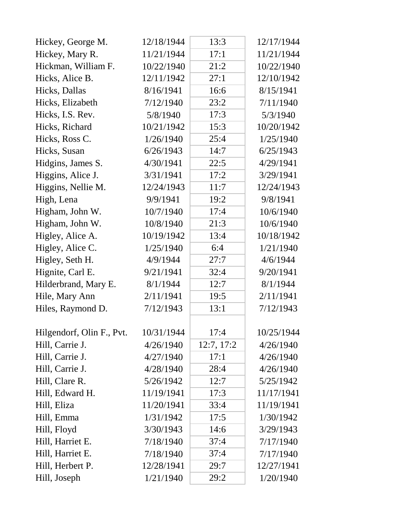| Hickey, George M.         | 12/18/1944 | 13:3       | 12/17/1944 |
|---------------------------|------------|------------|------------|
| Hickey, Mary R.           | 11/21/1944 | 17:1       | 11/21/1944 |
| Hickman, William F.       | 10/22/1940 | 21:2       | 10/22/1940 |
| Hicks, Alice B.           | 12/11/1942 | 27:1       | 12/10/1942 |
| Hicks, Dallas             | 8/16/1941  | 16:6       | 8/15/1941  |
| Hicks, Elizabeth          | 7/12/1940  | 23:2       | 7/11/1940  |
| Hicks, I.S. Rev.          | 5/8/1940   | 17:3       | 5/3/1940   |
| Hicks, Richard            | 10/21/1942 | 15:3       | 10/20/1942 |
| Hicks, Ross C.            | 1/26/1940  | 25:4       | 1/25/1940  |
| Hicks, Susan              | 6/26/1943  | 14:7       | 6/25/1943  |
| Hidgins, James S.         | 4/30/1941  | 22:5       | 4/29/1941  |
| Higgins, Alice J.         | 3/31/1941  | 17:2       | 3/29/1941  |
| Higgins, Nellie M.        | 12/24/1943 | 11:7       | 12/24/1943 |
| High, Lena                | 9/9/1941   | 19:2       | 9/8/1941   |
| Higham, John W.           | 10/7/1940  | 17:4       | 10/6/1940  |
| Higham, John W.           | 10/8/1940  | 21:3       | 10/6/1940  |
| Higley, Alice A.          | 10/19/1942 | 13:4       | 10/18/1942 |
| Higley, Alice C.          | 1/25/1940  | 6:4        | 1/21/1940  |
| Higley, Seth H.           | 4/9/1944   | 27:7       | 4/6/1944   |
| Hignite, Carl E.          | 9/21/1941  | 32:4       | 9/20/1941  |
| Hilderbrand, Mary E.      | 8/1/1944   | 12:7       | 8/1/1944   |
| Hile, Mary Ann            | 2/11/1941  | 19:5       | 2/11/1941  |
| Hiles, Raymond D.         | 7/12/1943  | 13:1       | 7/12/1943  |
| Hilgendorf, Olin F., Pvt. | 10/31/1944 | 17:4       | 10/25/1944 |
| Hill, Carrie J.           | 4/26/1940  | 12:7, 17:2 | 4/26/1940  |
| Hill, Carrie J.           | 4/27/1940  | 17:1       | 4/26/1940  |
| Hill, Carrie J.           | 4/28/1940  | 28:4       | 4/26/1940  |
| Hill, Clare R.            | 5/26/1942  | 12:7       | 5/25/1942  |
| Hill, Edward H.           | 11/19/1941 | 17:3       | 11/17/1941 |
| Hill, Eliza               | 11/20/1941 | 33:4       | 11/19/1941 |
| Hill, Emma                | 1/31/1942  | 17:5       | 1/30/1942  |
| Hill, Floyd               | 3/30/1943  | 14:6       | 3/29/1943  |
| Hill, Harriet E.          | 7/18/1940  | 37:4       | 7/17/1940  |
| Hill, Harriet E.          | 7/18/1940  | 37:4       | 7/17/1940  |
| Hill, Herbert P.          | 12/28/1941 | 29:7       | 12/27/1941 |
| Hill, Joseph              | 1/21/1940  | 29:2       | 1/20/1940  |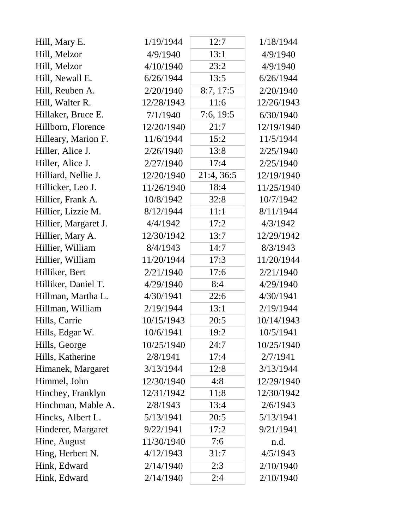| Hill, Mary E.        | 1/19/1944  | 12:7       | 1/18/1944  |
|----------------------|------------|------------|------------|
| Hill, Melzor         | 4/9/1940   | 13:1       | 4/9/1940   |
| Hill, Melzor         | 4/10/1940  | 23:2       | 4/9/1940   |
| Hill, Newall E.      | 6/26/1944  | 13:5       | 6/26/1944  |
| Hill, Reuben A.      | 2/20/1940  | 8:7, 17:5  | 2/20/1940  |
| Hill, Walter R.      | 12/28/1943 | 11:6       | 12/26/1943 |
| Hillaker, Bruce E.   | 7/1/1940   | 7:6, 19:5  | 6/30/1940  |
| Hillborn, Florence   | 12/20/1940 | 21:7       | 12/19/1940 |
| Hilleary, Marion F.  | 11/6/1944  | 15:2       | 11/5/1944  |
| Hiller, Alice J.     | 2/26/1940  | 13:8       | 2/25/1940  |
| Hiller, Alice J.     | 2/27/1940  | 17:4       | 2/25/1940  |
| Hilliard, Nellie J.  | 12/20/1940 | 21:4, 36:5 | 12/19/1940 |
| Hillicker, Leo J.    | 11/26/1940 | 18:4       | 11/25/1940 |
| Hillier, Frank A.    | 10/8/1942  | 32:8       | 10/7/1942  |
| Hillier, Lizzie M.   | 8/12/1944  | 11:1       | 8/11/1944  |
| Hillier, Margaret J. | 4/4/1942   | 17:2       | 4/3/1942   |
| Hillier, Mary A.     | 12/30/1942 | 13:7       | 12/29/1942 |
| Hillier, William     | 8/4/1943   | 14:7       | 8/3/1943   |
| Hillier, William     | 11/20/1944 | 17:3       | 11/20/1944 |
| Hilliker, Bert       | 2/21/1940  | 17:6       | 2/21/1940  |
| Hilliker, Daniel T.  | 4/29/1940  | 8:4        | 4/29/1940  |
| Hillman, Martha L.   | 4/30/1941  | 22:6       | 4/30/1941  |
| Hillman, William     | 2/19/1944  | 13:1       | 2/19/1944  |
| Hills, Carrie        | 10/15/1943 | 20:5       | 10/14/1943 |
| Hills, Edgar W.      | 10/6/1941  | 19:2       | 10/5/1941  |
| Hills, George        | 10/25/1940 | 24:7       | 10/25/1940 |
| Hills, Katherine     | 2/8/1941   | 17:4       | 2/7/1941   |
| Himanek, Margaret    | 3/13/1944  | 12:8       | 3/13/1944  |
| Himmel, John         | 12/30/1940 | 4:8        | 12/29/1940 |
| Hinchey, Franklyn    | 12/31/1942 | 11:8       | 12/30/1942 |
| Hinchman, Mable A.   | 2/8/1943   | 13:4       | 2/6/1943   |
| Hincks, Albert L.    | 5/13/1941  | 20:5       | 5/13/1941  |
| Hinderer, Margaret   | 9/22/1941  | 17:2       | 9/21/1941  |
| Hine, August         | 11/30/1940 | 7:6        | n.d.       |
| Hing, Herbert N.     | 4/12/1943  | 31:7       | 4/5/1943   |
| Hink, Edward         | 2/14/1940  | 2:3        | 2/10/1940  |
| Hink, Edward         | 2/14/1940  | 2:4        | 2/10/1940  |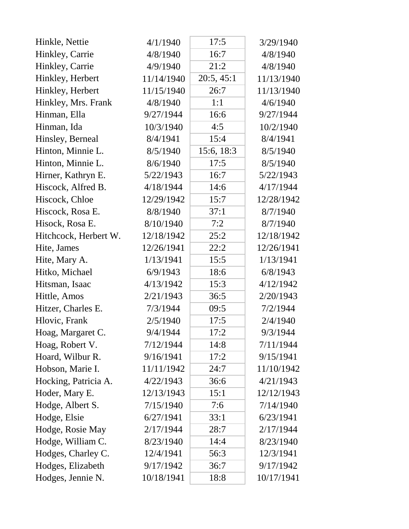| Hinkle, Nettie        | 4/1/1940   | 17:5       | 3/29/1940  |
|-----------------------|------------|------------|------------|
| Hinkley, Carrie       | 4/8/1940   | 16:7       | 4/8/1940   |
| Hinkley, Carrie       | 4/9/1940   | 21:2       | 4/8/1940   |
| Hinkley, Herbert      | 11/14/1940 | 20:5, 45:1 | 11/13/1940 |
| Hinkley, Herbert      | 11/15/1940 | 26:7       | 11/13/1940 |
| Hinkley, Mrs. Frank   | 4/8/1940   | 1:1        | 4/6/1940   |
| Hinman, Ella          | 9/27/1944  | 16:6       | 9/27/1944  |
| Hinman, Ida           | 10/3/1940  | 4:5        | 10/2/1940  |
| Hinsley, Berneal      | 8/4/1941   | 15:4       | 8/4/1941   |
| Hinton, Minnie L.     | 8/5/1940   | 15:6, 18:3 | 8/5/1940   |
| Hinton, Minnie L.     | 8/6/1940   | 17:5       | 8/5/1940   |
| Hirner, Kathryn E.    | 5/22/1943  | 16:7       | 5/22/1943  |
| Hiscock, Alfred B.    | 4/18/1944  | 14:6       | 4/17/1944  |
| Hiscock, Chloe        | 12/29/1942 | 15:7       | 12/28/1942 |
| Hiscock, Rosa E.      | 8/8/1940   | 37:1       | 8/7/1940   |
| Hisock, Rosa E.       | 8/10/1940  | 7:2        | 8/7/1940   |
| Hitchcock, Herbert W. | 12/18/1942 | 25:2       | 12/18/1942 |
| Hite, James           | 12/26/1941 | 22:2       | 12/26/1941 |
| Hite, Mary A.         | 1/13/1941  | 15:5       | 1/13/1941  |
| Hitko, Michael        | 6/9/1943   | 18:6       | 6/8/1943   |
| Hitsman, Isaac        | 4/13/1942  | 15:3       | 4/12/1942  |
| Hittle, Amos          | 2/21/1943  | 36:5       | 2/20/1943  |
| Hitzer, Charles E.    | 7/3/1944   | 09:5       | 7/2/1944   |
| Hlovic, Frank         | 2/5/1940   | 17:5       | 2/4/1940   |
| Hoag, Margaret C.     | 9/4/1944   | 17:2       | 9/3/1944   |
| Hoag, Robert V.       | 7/12/1944  | 14:8       | 7/11/1944  |
| Hoard, Wilbur R.      | 9/16/1941  | 17:2       | 9/15/1941  |
| Hobson, Marie I.      | 11/11/1942 | 24:7       | 11/10/1942 |
| Hocking, Patricia A.  | 4/22/1943  | 36:6       | 4/21/1943  |
| Hoder, Mary E.        | 12/13/1943 | 15:1       | 12/12/1943 |
| Hodge, Albert S.      | 7/15/1940  | 7:6        | 7/14/1940  |
| Hodge, Elsie          | 6/27/1941  | 33:1       | 6/23/1941  |
| Hodge, Rosie May      | 2/17/1944  | 28:7       | 2/17/1944  |
| Hodge, William C.     | 8/23/1940  | 14:4       | 8/23/1940  |
| Hodges, Charley C.    | 12/4/1941  | 56:3       | 12/3/1941  |
| Hodges, Elizabeth     | 9/17/1942  | 36:7       | 9/17/1942  |
| Hodges, Jennie N.     | 10/18/1941 | 18:8       | 10/17/1941 |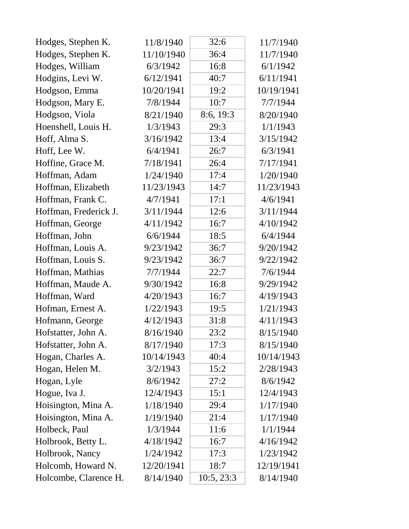| Hodges, Stephen K.    | 11/8/1940  | 32:6       | 11/7/1940  |
|-----------------------|------------|------------|------------|
| Hodges, Stephen K.    | 11/10/1940 | 36:4       | 11/7/1940  |
| Hodges, William       | 6/3/1942   | 16:8       | 6/1/1942   |
| Hodgins, Levi W.      | 6/12/1941  | 40:7       | 6/11/1941  |
| Hodgson, Emma         | 10/20/1941 | 19:2       | 10/19/1941 |
| Hodgson, Mary E.      | 7/8/1944   | 10:7       | 7/7/1944   |
| Hodgson, Viola        | 8/21/1940  | 8:6, 19:3  | 8/20/1940  |
| Hoenshell, Louis H.   | 1/3/1943   | 29:3       | 1/1/1943   |
| Hoff, Alma S.         | 3/16/1942  | 13:4       | 3/15/1942  |
| Hoff, Lee W.          | 6/4/1941   | 26:7       | 6/3/1941   |
| Hoffine, Grace M.     | 7/18/1941  | 26:4       | 7/17/1941  |
| Hoffman, Adam         | 1/24/1940  | 17:4       | 1/20/1940  |
| Hoffman, Elizabeth    | 11/23/1943 | 14:7       | 11/23/1943 |
| Hoffman, Frank C.     | 4/7/1941   | 17:1       | 4/6/1941   |
| Hoffman, Frederick J. | 3/11/1944  | 12:6       | 3/11/1944  |
| Hoffman, George       | 4/11/1942  | 16:7       | 4/10/1942  |
| Hoffman, John         | 6/6/1944   | 18:5       | 6/4/1944   |
| Hoffman, Louis A.     | 9/23/1942  | 36:7       | 9/20/1942  |
| Hoffman, Louis S.     | 9/23/1942  | 36:7       | 9/22/1942  |
| Hoffman, Mathias      | 7/7/1944   | 22:7       | 7/6/1944   |
| Hoffman, Maude A.     | 9/30/1942  | 16:8       | 9/29/1942  |
| Hoffman, Ward         | 4/20/1943  | 16:7       | 4/19/1943  |
| Hofman, Ernest A.     | 1/22/1943  | 19:5       | 1/21/1943  |
| Hofmann, George       | 4/12/1943  | 31:8       | 4/11/1943  |
| Hofstatter, John A.   | 8/16/1940  | 23:2       | 8/15/1940  |
| Hofstatter, John A.   | 8/17/1940  | 17:3       | 8/15/1940  |
| Hogan, Charles A.     | 10/14/1943 | 40:4       | 10/14/1943 |
| Hogan, Helen M.       | 3/2/1943   | 15:2       | 2/28/1943  |
| Hogan, Lyle           | 8/6/1942   | 27:2       | 8/6/1942   |
| Hogue, Iva J.         | 12/4/1943  | 15:1       | 12/4/1943  |
| Hoisington, Mina A.   | 1/18/1940  | 29:4       | 1/17/1940  |
| Hoisington, Mina A.   | 1/19/1940  | 21:4       | 1/17/1940  |
| Holbeck, Paul         | 1/3/1944   | 11:6       | 1/1/1944   |
| Holbrook, Betty L.    | 4/18/1942  | 16:7       | 4/16/1942  |
| Holbrook, Nancy       | 1/24/1942  | 17:3       | 1/23/1942  |
| Holcomb, Howard N.    | 12/20/1941 | 18:7       | 12/19/1941 |
| Holcombe, Clarence H. | 8/14/1940  | 10:5, 23:3 | 8/14/1940  |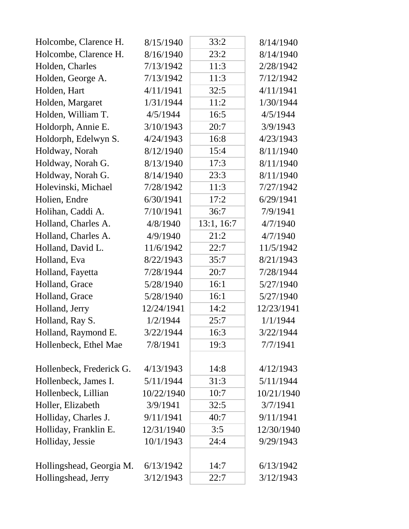| Holcombe, Clarence H.    | 8/15/1940  | 33:2       | 8/14/1940  |
|--------------------------|------------|------------|------------|
| Holcombe, Clarence H.    | 8/16/1940  | 23:2       | 8/14/1940  |
| Holden, Charles          | 7/13/1942  | 11:3       | 2/28/1942  |
| Holden, George A.        | 7/13/1942  | 11:3       | 7/12/1942  |
| Holden, Hart             | 4/11/1941  | 32:5       | 4/11/1941  |
| Holden, Margaret         | 1/31/1944  | 11:2       | 1/30/1944  |
| Holden, William T.       | 4/5/1944   | 16:5       | 4/5/1944   |
| Holdorph, Annie E.       | 3/10/1943  | 20:7       | 3/9/1943   |
| Holdorph, Edelwyn S.     | 4/24/1943  | 16:8       | 4/23/1943  |
| Holdway, Norah           | 8/12/1940  | 15:4       | 8/11/1940  |
| Holdway, Norah G.        | 8/13/1940  | 17:3       | 8/11/1940  |
| Holdway, Norah G.        | 8/14/1940  | 23:3       | 8/11/1940  |
| Holevinski, Michael      | 7/28/1942  | 11:3       | 7/27/1942  |
| Holien, Endre            | 6/30/1941  | 17:2       | 6/29/1941  |
| Holihan, Caddi A.        | 7/10/1941  | 36:7       | 7/9/1941   |
| Holland, Charles A.      | 4/8/1940   | 13:1, 16:7 | 4/7/1940   |
| Holland, Charles A.      | 4/9/1940   | 21:2       | 4/7/1940   |
| Holland, David L.        | 11/6/1942  | 22:7       | 11/5/1942  |
| Holland, Eva             | 8/22/1943  | 35:7       | 8/21/1943  |
| Holland, Fayetta         | 7/28/1944  | 20:7       | 7/28/1944  |
| Holland, Grace           | 5/28/1940  | 16:1       | 5/27/1940  |
| Holland, Grace           | 5/28/1940  | 16:1       | 5/27/1940  |
| Holland, Jerry           | 12/24/1941 | 14:2       | 12/23/1941 |
| Holland, Ray S.          | 1/2/1944   | 25:7       | 1/1/1944   |
| Holland, Raymond E.      | 3/22/1944  | 16:3       | 3/22/1944  |
| Hollenbeck, Ethel Mae    | 7/8/1941   | 19:3       | 7/7/1941   |
| Hollenbeck, Frederick G. | 4/13/1943  | 14:8       | 4/12/1943  |
| Hollenbeck, James I.     | 5/11/1944  | 31:3       | 5/11/1944  |
| Hollenbeck, Lillian      | 10/22/1940 | 10:7       | 10/21/1940 |
| Holler, Elizabeth        | 3/9/1941   | 32:5       | 3/7/1941   |
| Holliday, Charles J.     | 9/11/1941  | 40:7       | 9/11/1941  |
| Holliday, Franklin E.    | 12/31/1940 | 3:5        | 12/30/1940 |
| Holliday, Jessie         | 10/1/1943  | 24:4       | 9/29/1943  |
| Hollingshead, Georgia M. | 6/13/1942  | 14:7       | 6/13/1942  |
| Hollingshead, Jerry      | 3/12/1943  | 22:7       | 3/12/1943  |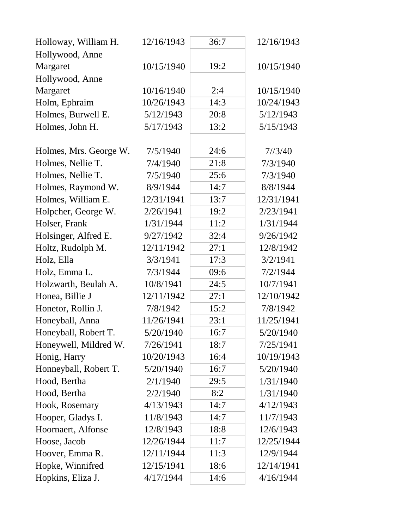| Holloway, William H.   | 12/16/1943 | 36:7 | 12/16/1943 |
|------------------------|------------|------|------------|
| Hollywood, Anne        |            |      |            |
| Margaret               | 10/15/1940 | 19:2 | 10/15/1940 |
| Hollywood, Anne        |            |      |            |
| Margaret               | 10/16/1940 | 2:4  | 10/15/1940 |
| Holm, Ephraim          | 10/26/1943 | 14:3 | 10/24/1943 |
| Holmes, Burwell E.     | 5/12/1943  | 20:8 | 5/12/1943  |
| Holmes, John H.        | 5/17/1943  | 13:2 | 5/15/1943  |
|                        |            |      |            |
| Holmes, Mrs. George W. | 7/5/1940   | 24:6 | 7/3/40     |
| Holmes, Nellie T.      | 7/4/1940   | 21:8 | 7/3/1940   |
| Holmes, Nellie T.      | 7/5/1940   | 25:6 | 7/3/1940   |
| Holmes, Raymond W.     | 8/9/1944   | 14:7 | 8/8/1944   |
| Holmes, William E.     | 12/31/1941 | 13:7 | 12/31/1941 |
| Holpcher, George W.    | 2/26/1941  | 19:2 | 2/23/1941  |
| Holser, Frank          | 1/31/1944  | 11:2 | 1/31/1944  |
| Holsinger, Alfred E.   | 9/27/1942  | 32:4 | 9/26/1942  |
| Holtz, Rudolph M.      | 12/11/1942 | 27:1 | 12/8/1942  |
| Holz, Ella             | 3/3/1941   | 17:3 | 3/2/1941   |
| Holz, Emma L.          | 7/3/1944   | 09:6 | 7/2/1944   |
| Holzwarth, Beulah A.   | 10/8/1941  | 24:5 | 10/7/1941  |
| Honea, Billie J        | 12/11/1942 | 27:1 | 12/10/1942 |
| Honetor, Rollin J.     | 7/8/1942   | 15:2 | 7/8/1942   |
| Honeyball, Anna        | 11/26/1941 | 23:1 | 11/25/1941 |
| Honeyball, Robert T.   | 5/20/1940  | 16:7 | 5/20/1940  |
| Honeywell, Mildred W.  | 7/26/1941  | 18:7 | 7/25/1941  |
| Honig, Harry           | 10/20/1943 | 16:4 | 10/19/1943 |
| Honneyball, Robert T.  | 5/20/1940  | 16:7 | 5/20/1940  |
| Hood, Bertha           | 2/1/1940   | 29:5 | 1/31/1940  |
| Hood, Bertha           | 2/2/1940   | 8:2  | 1/31/1940  |
| Hook, Rosemary         | 4/13/1943  | 14:7 | 4/12/1943  |
| Hooper, Gladys I.      | 11/8/1943  | 14:7 | 11/7/1943  |
| Hoornaert, Alfonse     | 12/8/1943  | 18:8 | 12/6/1943  |
| Hoose, Jacob           | 12/26/1944 | 11:7 | 12/25/1944 |
| Hoover, Emma R.        | 12/11/1944 | 11:3 | 12/9/1944  |
| Hopke, Winnifred       | 12/15/1941 | 18:6 | 12/14/1941 |
| Hopkins, Eliza J.      | 4/17/1944  | 14:6 | 4/16/1944  |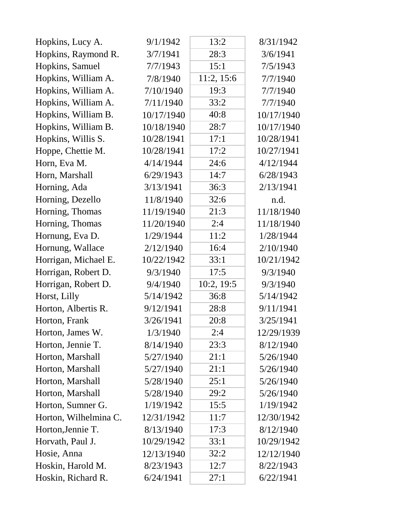| Hopkins, Lucy A.      | 9/1/1942   | 13:2       | 8/31/1942  |
|-----------------------|------------|------------|------------|
| Hopkins, Raymond R.   | 3/7/1941   | 28:3       | 3/6/1941   |
| Hopkins, Samuel       | 7/7/1943   | 15:1       | 7/5/1943   |
| Hopkins, William A.   | 7/8/1940   | 11:2, 15:6 | 7/7/1940   |
| Hopkins, William A.   | 7/10/1940  | 19:3       | 7/7/1940   |
| Hopkins, William A.   | 7/11/1940  | 33:2       | 7/7/1940   |
| Hopkins, William B.   | 10/17/1940 | 40:8       | 10/17/1940 |
| Hopkins, William B.   | 10/18/1940 | 28:7       | 10/17/1940 |
| Hopkins, Willis S.    | 10/28/1941 | 17:1       | 10/28/1941 |
| Hoppe, Chettie M.     | 10/28/1941 | 17:2       | 10/27/1941 |
| Horn, Eva M.          | 4/14/1944  | 24:6       | 4/12/1944  |
| Horn, Marshall        | 6/29/1943  | 14:7       | 6/28/1943  |
| Horning, Ada          | 3/13/1941  | 36:3       | 2/13/1941  |
| Horning, Dezello      | 11/8/1940  | 32:6       | n.d.       |
| Horning, Thomas       | 11/19/1940 | 21:3       | 11/18/1940 |
| Horning, Thomas       | 11/20/1940 | 2:4        | 11/18/1940 |
| Hornung, Eva D.       | 1/29/1944  | 11:2       | 1/28/1944  |
| Hornung, Wallace      | 2/12/1940  | 16:4       | 2/10/1940  |
| Horrigan, Michael E.  | 10/22/1942 | 33:1       | 10/21/1942 |
| Horrigan, Robert D.   | 9/3/1940   | 17:5       | 9/3/1940   |
| Horrigan, Robert D.   | 9/4/1940   | 10:2, 19:5 | 9/3/1940   |
| Horst, Lilly          | 5/14/1942  | 36:8       | 5/14/1942  |
| Horton, Albertis R.   | 9/12/1941  | 28:8       | 9/11/1941  |
| Horton, Frank         | 3/26/1941  | 20:8       | 3/25/1941  |
| Horton, James W.      | 1/3/1940   | 2:4        | 12/29/1939 |
| Horton, Jennie T.     | 8/14/1940  | 23:3       | 8/12/1940  |
| Horton, Marshall      | 5/27/1940  | 21:1       | 5/26/1940  |
| Horton, Marshall      | 5/27/1940  | 21:1       | 5/26/1940  |
| Horton, Marshall      | 5/28/1940  | 25:1       | 5/26/1940  |
| Horton, Marshall      | 5/28/1940  | 29:2       | 5/26/1940  |
| Horton, Sumner G.     | 1/19/1942  | 15:5       | 1/19/1942  |
| Horton, Wilhelmina C. | 12/31/1942 | 11:7       | 12/30/1942 |
| Horton, Jennie T.     | 8/13/1940  | 17:3       | 8/12/1940  |
| Horvath, Paul J.      | 10/29/1942 | 33:1       | 10/29/1942 |
| Hosie, Anna           | 12/13/1940 | 32:2       | 12/12/1940 |
| Hoskin, Harold M.     | 8/23/1943  | 12:7       | 8/22/1943  |
| Hoskin, Richard R.    | 6/24/1941  | 27:1       | 6/22/1941  |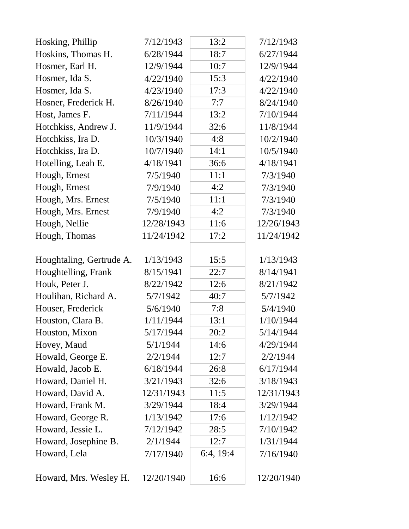| Hosking, Phillip         | 7/12/1943  | 13:2      | 7/12/1943  |
|--------------------------|------------|-----------|------------|
| Hoskins, Thomas H.       | 6/28/1944  | 18:7      | 6/27/1944  |
| Hosmer, Earl H.          | 12/9/1944  | 10:7      | 12/9/1944  |
| Hosmer, Ida S.           | 4/22/1940  | 15:3      | 4/22/1940  |
| Hosmer, Ida S.           | 4/23/1940  | 17:3      | 4/22/1940  |
| Hosner, Frederick H.     | 8/26/1940  | 7:7       | 8/24/1940  |
| Host, James F.           | 7/11/1944  | 13:2      | 7/10/1944  |
| Hotchkiss, Andrew J.     | 11/9/1944  | 32:6      | 11/8/1944  |
| Hotchkiss, Ira D.        | 10/3/1940  | 4:8       | 10/2/1940  |
| Hotchkiss, Ira D.        | 10/7/1940  | 14:1      | 10/5/1940  |
| Hotelling, Leah E.       | 4/18/1941  | 36:6      | 4/18/1941  |
| Hough, Ernest            | 7/5/1940   | 11:1      | 7/3/1940   |
| Hough, Ernest            | 7/9/1940   | 4:2       | 7/3/1940   |
| Hough, Mrs. Ernest       | 7/5/1940   | 11:1      | 7/3/1940   |
| Hough, Mrs. Ernest       | 7/9/1940   | 4:2       | 7/3/1940   |
| Hough, Nellie            | 12/28/1943 | 11:6      | 12/26/1943 |
| Hough, Thomas            | 11/24/1942 | 17:2      | 11/24/1942 |
| Houghtaling, Gertrude A. | 1/13/1943  | 15:5      | 1/13/1943  |
| Houghtelling, Frank      | 8/15/1941  | 22:7      | 8/14/1941  |
| Houk, Peter J.           | 8/22/1942  | 12:6      | 8/21/1942  |
| Houlihan, Richard A.     | 5/7/1942   | 40:7      | 5/7/1942   |
| Houser, Frederick        | 5/6/1940   | 7:8       | 5/4/1940   |
| Houston, Clara B.        | 1/11/1944  | 13:1      | 1/10/1944  |
| Houston, Mixon           | 5/17/1944  | 20:2      | 5/14/1944  |
| Hovey, Maud              | 5/1/1944   | 14:6      | 4/29/1944  |
| Howald, George E.        | 2/2/1944   | 12:7      | 2/2/1944   |
| Howald, Jacob E.         | 6/18/1944  | 26:8      | 6/17/1944  |
| Howard, Daniel H.        | 3/21/1943  | 32:6      | 3/18/1943  |
| Howard, David A.         | 12/31/1943 | 11:5      | 12/31/1943 |
| Howard, Frank M.         | 3/29/1944  | 18:4      | 3/29/1944  |
| Howard, George R.        | 1/13/1942  | 17:6      | 1/12/1942  |
| Howard, Jessie L.        | 7/12/1942  | 28:5      | 7/10/1942  |
| Howard, Josephine B.     | 2/1/1944   | 12:7      | 1/31/1944  |
| Howard, Lela             | 7/17/1940  | 6:4, 19:4 | 7/16/1940  |
| Howard, Mrs. Wesley H.   | 12/20/1940 | 16:6      | 12/20/1940 |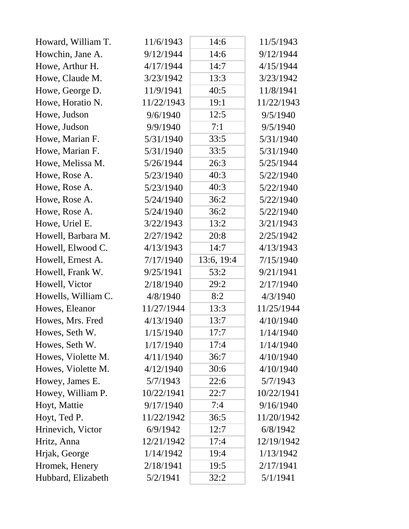| Howard, William T.  | 11/6/1943  | 14:6       | 11/5/1943  |
|---------------------|------------|------------|------------|
| Howchin, Jane A.    | 9/12/1944  | 14:6       | 9/12/1944  |
| Howe, Arthur H.     | 4/17/1944  | 14:7       | 4/15/1944  |
| Howe, Claude M.     | 3/23/1942  | 13:3       | 3/23/1942  |
| Howe, George D.     | 11/9/1941  | 40:5       | 11/8/1941  |
| Howe, Horatio N.    | 11/22/1943 | 19:1       | 11/22/1943 |
| Howe, Judson        | 9/6/1940   | 12:5       | 9/5/1940   |
| Howe, Judson        | 9/9/1940   | 7:1        | 9/5/1940   |
| Howe, Marian F.     | 5/31/1940  | 33:5       | 5/31/1940  |
| Howe, Marian F.     | 5/31/1940  | 33:5       | 5/31/1940  |
| Howe, Melissa M.    | 5/26/1944  | 26:3       | 5/25/1944  |
| Howe, Rose A.       | 5/23/1940  | 40:3       | 5/22/1940  |
| Howe, Rose A.       | 5/23/1940  | 40:3       | 5/22/1940  |
| Howe, Rose A.       | 5/24/1940  | 36:2       | 5/22/1940  |
| Howe, Rose A.       | 5/24/1940  | 36:2       | 5/22/1940  |
| Howe, Uriel E.      | 3/22/1943  | 13:2       | 3/21/1943  |
| Howell, Barbara M.  | 2/27/1942  | 20:8       | 2/25/1942  |
| Howell, Elwood C.   | 4/13/1943  | 14:7       | 4/13/1943  |
| Howell, Ernest A.   | 7/17/1940  | 13:6, 19:4 | 7/15/1940  |
| Howell, Frank W.    | 9/25/1941  | 53:2       | 9/21/1941  |
| Howell, Victor      | 2/18/1940  | 29:2       | 2/17/1940  |
| Howells, William C. | 4/8/1940   | 8:2        | 4/3/1940   |
| Howes, Eleanor      | 11/27/1944 | 13:3       | 11/25/1944 |
| Howes, Mrs. Fred    | 4/13/1940  | 13:7       | 4/10/1940  |
| Howes, Seth W.      | 1/15/1940  | 17:7       | 1/14/1940  |
| Howes, Seth W.      | 1/17/1940  | 17:4       | 1/14/1940  |
| Howes, Violette M.  | 4/11/1940  | 36:7       | 4/10/1940  |
| Howes, Violette M.  | 4/12/1940  | 30:6       | 4/10/1940  |
| Howey, James E.     | 5/7/1943   | 22:6       | 5/7/1943   |
| Howey, William P.   | 10/22/1941 | 22:7       | 10/22/1941 |
| Hoyt, Mattie        | 9/17/1940  | 7:4        | 9/16/1940  |
| Hoyt, Ted P.        | 11/22/1942 | 36:5       | 11/20/1942 |
| Hrinevich, Victor   | 6/9/1942   | 12:7       | 6/8/1942   |
| Hritz, Anna         | 12/21/1942 | 17:4       | 12/19/1942 |
| Hrjak, George       | 1/14/1942  | 19:4       | 1/13/1942  |
| Hromek, Henery      | 2/18/1941  | 19:5       | 2/17/1941  |
| Hubbard, Elizabeth  | 5/2/1941   | 32:2       | 5/1/1941   |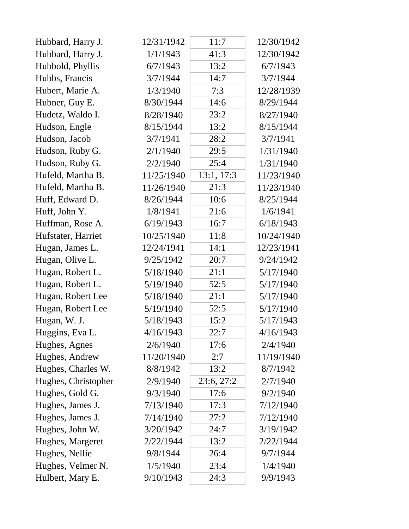| Hubbard, Harry J.   | 12/31/1942 | 11:7       | 12/30/1942 |
|---------------------|------------|------------|------------|
| Hubbard, Harry J.   | 1/1/1943   | 41:3       | 12/30/1942 |
| Hubbold, Phyllis    | 6/7/1943   | 13:2       | 6/7/1943   |
| Hubbs, Francis      | 3/7/1944   | 14:7       | 3/7/1944   |
| Hubert, Marie A.    | 1/3/1940   | 7:3        | 12/28/1939 |
| Hubner, Guy E.      | 8/30/1944  | 14:6       | 8/29/1944  |
| Hudetz, Waldo I.    | 8/28/1940  | 23:2       | 8/27/1940  |
| Hudson, Engle       | 8/15/1944  | 13:2       | 8/15/1944  |
| Hudson, Jacob       | 3/7/1941   | 28:2       | 3/7/1941   |
| Hudson, Ruby G.     | 2/1/1940   | 29:5       | 1/31/1940  |
| Hudson, Ruby G.     | 2/2/1940   | 25:4       | 1/31/1940  |
| Hufeld, Martha B.   | 11/25/1940 | 13:1, 17:3 | 11/23/1940 |
| Hufeld, Martha B.   | 11/26/1940 | 21:3       | 11/23/1940 |
| Huff, Edward D.     | 8/26/1944  | 10:6       | 8/25/1944  |
| Huff, John Y.       | 1/8/1941   | 21:6       | 1/6/1941   |
| Huffman, Rose A.    | 6/19/1943  | 16:7       | 6/18/1943  |
| Hufstater, Harriet  | 10/25/1940 | 11:8       | 10/24/1940 |
| Hugan, James L.     | 12/24/1941 | 14:1       | 12/23/1941 |
| Hugan, Olive L.     | 9/25/1942  | 20:7       | 9/24/1942  |
| Hugan, Robert L.    | 5/18/1940  | 21:1       | 5/17/1940  |
| Hugan, Robert L.    | 5/19/1940  | 52:5       | 5/17/1940  |
| Hugan, Robert Lee   | 5/18/1940  | 21:1       | 5/17/1940  |
| Hugan, Robert Lee   | 5/19/1940  | 52:5       | 5/17/1940  |
| Hugan, W. J.        | 5/18/1943  | 15:2       | 5/17/1943  |
| Huggins, Eva L.     | 4/16/1943  | 22:7       | 4/16/1943  |
| Hughes, Agnes       | 2/6/1940   | 17:6       | 2/4/1940   |
| Hughes, Andrew      | 11/20/1940 | 2:7        | 11/19/1940 |
| Hughes, Charles W.  | 8/8/1942   | 13:2       | 8/7/1942   |
| Hughes, Christopher | 2/9/1940   | 23:6, 27:2 | 2/7/1940   |
| Hughes, Gold G.     | 9/3/1940   | 17:6       | 9/2/1940   |
| Hughes, James J.    | 7/13/1940  | 17:3       | 7/12/1940  |
| Hughes, James J.    | 7/14/1940  | 27:2       | 7/12/1940  |
| Hughes, John W.     | 3/20/1942  | 24:7       | 3/19/1942  |
| Hughes, Margeret    | 2/22/1944  | 13:2       | 2/22/1944  |
| Hughes, Nellie      | 9/8/1944   | 26:4       | 9/7/1944   |
| Hughes, Velmer N.   | 1/5/1940   | 23:4       | 1/4/1940   |
| Hulbert, Mary E.    | 9/10/1943  | 24:3       | 9/9/1943   |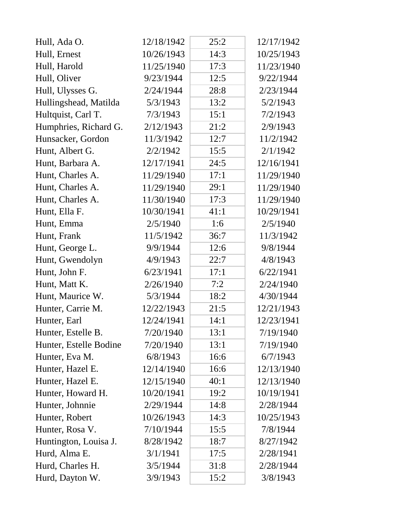| Hull, Ada O.           | 12/18/1942 | 25:2 | 12/17/1942 |  |
|------------------------|------------|------|------------|--|
| Hull, Ernest           | 10/26/1943 | 14:3 | 10/25/1943 |  |
| Hull, Harold           | 11/25/1940 | 17:3 | 11/23/1940 |  |
| Hull, Oliver           | 9/23/1944  | 12:5 | 9/22/1944  |  |
| Hull, Ulysses G.       | 2/24/1944  | 28:8 | 2/23/1944  |  |
| Hullingshead, Matilda  | 5/3/1943   | 13:2 | 5/2/1943   |  |
| Hultquist, Carl T.     | 7/3/1943   | 15:1 | 7/2/1943   |  |
| Humphries, Richard G.  | 2/12/1943  | 21:2 | 2/9/1943   |  |
| Hunsacker, Gordon      | 11/3/1942  | 12:7 | 11/2/1942  |  |
| Hunt, Albert G.        | 2/2/1942   | 15:5 | 2/1/1942   |  |
| Hunt, Barbara A.       | 12/17/1941 | 24:5 | 12/16/1941 |  |
| Hunt, Charles A.       | 11/29/1940 | 17:1 | 11/29/1940 |  |
| Hunt, Charles A.       | 11/29/1940 | 29:1 | 11/29/1940 |  |
| Hunt, Charles A.       | 11/30/1940 | 17:3 | 11/29/1940 |  |
| Hunt, Ella F.          | 10/30/1941 | 41:1 | 10/29/1941 |  |
| Hunt, Emma             | 2/5/1940   | 1:6  | 2/5/1940   |  |
| Hunt, Frank            | 11/5/1942  | 36:7 | 11/3/1942  |  |
| Hunt, George L.        | 9/9/1944   | 12:6 | 9/8/1944   |  |
| Hunt, Gwendolyn        | 4/9/1943   | 22:7 | 4/8/1943   |  |
| Hunt, John F.          | 6/23/1941  | 17:1 | 6/22/1941  |  |
| Hunt, Matt K.          | 2/26/1940  | 7:2  | 2/24/1940  |  |
| Hunt, Maurice W.       | 5/3/1944   | 18:2 | 4/30/1944  |  |
| Hunter, Carrie M.      | 12/22/1943 | 21:5 | 12/21/1943 |  |
| Hunter, Earl           | 12/24/1941 | 14:1 | 12/23/1941 |  |
| Hunter, Estelle B.     | 7/20/1940  | 13:1 | 7/19/1940  |  |
| Hunter, Estelle Bodine | 7/20/1940  | 13:1 | 7/19/1940  |  |
| Hunter, Eva M.         | 6/8/1943   | 16:6 | 6/7/1943   |  |
| Hunter, Hazel E.       | 12/14/1940 | 16:6 | 12/13/1940 |  |
| Hunter, Hazel E.       | 12/15/1940 | 40:1 | 12/13/1940 |  |
| Hunter, Howard H.      | 10/20/1941 | 19:2 | 10/19/1941 |  |
| Hunter, Johnnie        | 2/29/1944  | 14:8 | 2/28/1944  |  |
| Hunter, Robert         | 10/26/1943 | 14:3 | 10/25/1943 |  |
| Hunter, Rosa V.        | 7/10/1944  | 15:5 | 7/8/1944   |  |
| Huntington, Louisa J.  | 8/28/1942  | 18:7 | 8/27/1942  |  |
| Hurd, Alma E.          | 3/1/1941   | 17:5 | 2/28/1941  |  |
| Hurd, Charles H.       | 3/5/1944   | 31:8 | 2/28/1944  |  |
| Hurd, Dayton W.        | 3/9/1943   | 15:2 | 3/8/1943   |  |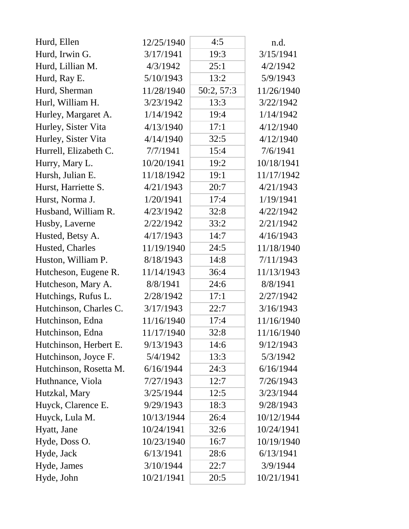| Hurd, Ellen            | 12/25/1940 | 4:5        | n.d.       |
|------------------------|------------|------------|------------|
| Hurd, Irwin G.         | 3/17/1941  | 19:3       | 3/15/1941  |
| Hurd, Lillian M.       | 4/3/1942   | 25:1       | 4/2/1942   |
| Hurd, Ray E.           | 5/10/1943  | 13:2       | 5/9/1943   |
| Hurd, Sherman          | 11/28/1940 | 50:2, 57:3 | 11/26/1940 |
| Hurl, William H.       | 3/23/1942  | 13:3       | 3/22/1942  |
| Hurley, Margaret A.    | 1/14/1942  | 19:4       | 1/14/1942  |
| Hurley, Sister Vita    | 4/13/1940  | 17:1       | 4/12/1940  |
| Hurley, Sister Vita    | 4/14/1940  | 32:5       | 4/12/1940  |
| Hurrell, Elizabeth C.  | 7/7/1941   | 15:4       | 7/6/1941   |
| Hurry, Mary L.         | 10/20/1941 | 19:2       | 10/18/1941 |
| Hursh, Julian E.       | 11/18/1942 | 19:1       | 11/17/1942 |
| Hurst, Harriette S.    | 4/21/1943  | 20:7       | 4/21/1943  |
| Hurst, Norma J.        | 1/20/1941  | 17:4       | 1/19/1941  |
| Husband, William R.    | 4/23/1942  | 32:8       | 4/22/1942  |
| Husby, Laverne         | 2/22/1942  | 33:2       | 2/21/1942  |
| Husted, Betsy A.       | 4/17/1943  | 14:7       | 4/16/1943  |
| Husted, Charles        | 11/19/1940 | 24:5       | 11/18/1940 |
| Huston, William P.     | 8/18/1943  | 14:8       | 7/11/1943  |
| Hutcheson, Eugene R.   | 11/14/1943 | 36:4       | 11/13/1943 |
| Hutcheson, Mary A.     | 8/8/1941   | 24:6       | 8/8/1941   |
| Hutchings, Rufus L.    | 2/28/1942  | 17:1       | 2/27/1942  |
| Hutchinson, Charles C. | 3/17/1943  | 22:7       | 3/16/1943  |
| Hutchinson, Edna       | 11/16/1940 | 17:4       | 11/16/1940 |
| Hutchinson, Edna       | 11/17/1940 | 32:8       | 11/16/1940 |
| Hutchinson, Herbert E. | 9/13/1943  | 14:6       | 9/12/1943  |
| Hutchinson, Joyce F.   | 5/4/1942   | 13:3       | 5/3/1942   |
| Hutchinson, Rosetta M. | 6/16/1944  | 24:3       | 6/16/1944  |
| Huthnance, Viola       | 7/27/1943  | 12:7       | 7/26/1943  |
| Hutzkal, Mary          | 3/25/1944  | 12:5       | 3/23/1944  |
| Huyck, Clarence E.     | 9/29/1943  | 18:3       | 9/28/1943  |
| Huyck, Lula M.         | 10/13/1944 | 26:4       | 10/12/1944 |
| Hyatt, Jane            | 10/24/1941 | 32:6       | 10/24/1941 |
| Hyde, Doss O.          | 10/23/1940 | 16:7       | 10/19/1940 |
| Hyde, Jack             | 6/13/1941  | 28:6       | 6/13/1941  |
| Hyde, James            | 3/10/1944  | 22:7       | 3/9/1944   |
| Hyde, John             | 10/21/1941 | 20:5       | 10/21/1941 |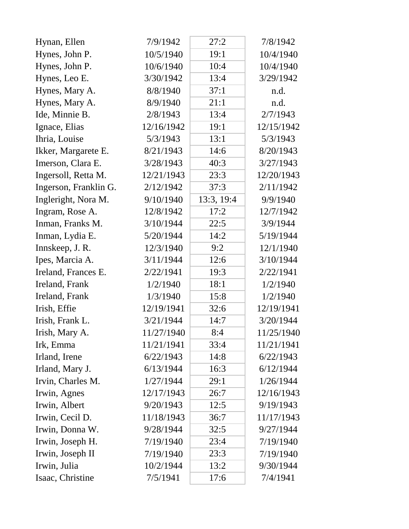| Hynan, Ellen          | 7/9/1942   | 27:2       | 7/8/1942   |
|-----------------------|------------|------------|------------|
| Hynes, John P.        | 10/5/1940  | 19:1       | 10/4/1940  |
| Hynes, John P.        | 10/6/1940  | 10:4       | 10/4/1940  |
| Hynes, Leo E.         | 3/30/1942  | 13:4       | 3/29/1942  |
| Hynes, Mary A.        | 8/8/1940   | 37:1       | n.d.       |
| Hynes, Mary A.        | 8/9/1940   | 21:1       | n.d.       |
| Ide, Minnie B.        | 2/8/1943   | 13:4       | 2/7/1943   |
| Ignace, Elias         | 12/16/1942 | 19:1       | 12/15/1942 |
| Ihria, Louise         | 5/3/1943   | 13:1       | 5/3/1943   |
| Ikker, Margarete E.   | 8/21/1943  | 14:6       | 8/20/1943  |
| Imerson, Clara E.     | 3/28/1943  | 40:3       | 3/27/1943  |
| Ingersoll, Retta M.   | 12/21/1943 | 23:3       | 12/20/1943 |
| Ingerson, Franklin G. | 2/12/1942  | 37:3       | 2/11/1942  |
| Ingleright, Nora M.   | 9/10/1940  | 13:3, 19:4 | 9/9/1940   |
| Ingram, Rose A.       | 12/8/1942  | 17:2       | 12/7/1942  |
| Inman, Franks M.      | 3/10/1944  | 22:5       | 3/9/1944   |
| Inman, Lydia E.       | 5/20/1944  | 14:2       | 5/19/1944  |
| Innskeep, J. R.       | 12/3/1940  | 9:2        | 12/1/1940  |
| Ipes, Marcia A.       | 3/11/1944  | 12:6       | 3/10/1944  |
| Ireland, Frances E.   | 2/22/1941  | 19:3       | 2/22/1941  |
| Ireland, Frank        | 1/2/1940   | 18:1       | 1/2/1940   |
| Ireland, Frank        | 1/3/1940   | 15:8       | 1/2/1940   |
| Irish, Effie          | 12/19/1941 | 32:6       | 12/19/1941 |
| Irish, Frank L.       | 3/21/1944  | 14:7       | 3/20/1944  |
| Irish, Mary A.        | 11/27/1940 | 8:4        | 11/25/1940 |
| Irk, Emma             | 11/21/1941 | 33:4       | 11/21/1941 |
| Irland, Irene         | 6/22/1943  | 14:8       | 6/22/1943  |
| Irland, Mary J.       | 6/13/1944  | 16:3       | 6/12/1944  |
| Irvin, Charles M.     | 1/27/1944  | 29:1       | 1/26/1944  |
| Irwin, Agnes          | 12/17/1943 | 26:7       | 12/16/1943 |
| Irwin, Albert         | 9/20/1943  | 12:5       | 9/19/1943  |
| Irwin, Cecil D.       | 11/18/1943 | 36:7       | 11/17/1943 |
| Irwin, Donna W.       | 9/28/1944  | 32:5       | 9/27/1944  |
| Irwin, Joseph H.      | 7/19/1940  | 23:4       | 7/19/1940  |
| Irwin, Joseph II      | 7/19/1940  | 23:3       | 7/19/1940  |
| Irwin, Julia          | 10/2/1944  | 13:2       | 9/30/1944  |
| Isaac, Christine      | 7/5/1941   | 17:6       | 7/4/1941   |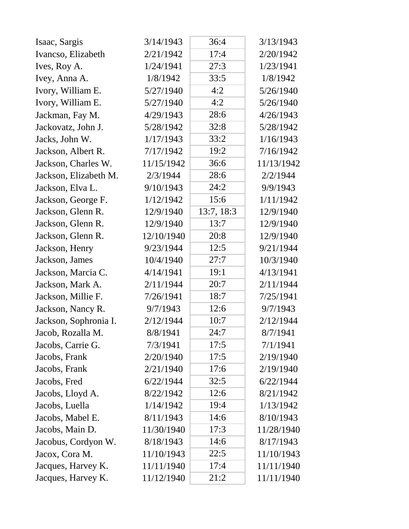| Isaac, Sargis         | 3/14/1943  | 36:4       | 3/13/1943  |
|-----------------------|------------|------------|------------|
| Ivancso, Elizabeth    | 2/21/1942  | 17:4       | 2/20/1942  |
| Ives, Roy A.          | 1/24/1941  | 27:3       | 1/23/1941  |
| Ivey, Anna A.         | 1/8/1942   | 33:5       | 1/8/1942   |
| Ivory, William E.     | 5/27/1940  | 4:2        | 5/26/1940  |
| Ivory, William E.     | 5/27/1940  | 4:2        | 5/26/1940  |
| Jackman, Fay M.       | 4/29/1943  | 28:6       | 4/26/1943  |
| Jackovatz, John J.    | 5/28/1942  | 32:8       | 5/28/1942  |
| Jacks, John W.        | 1/17/1943  | 33:2       | 1/16/1943  |
| Jackson, Albert R.    | 7/17/1942  | 19:2       | 7/16/1942  |
| Jackson, Charles W.   | 11/15/1942 | 36:6       | 11/13/1942 |
| Jackson, Elizabeth M. | 2/3/1944   | 28:6       | 2/2/1944   |
| Jackson, Elva L.      | 9/10/1943  | 24:2       | 9/9/1943   |
| Jackson, George F.    | 1/12/1942  | 15:6       | 1/11/1942  |
| Jackson, Glenn R.     | 12/9/1940  | 13:7, 18:3 | 12/9/1940  |
| Jackson, Glenn R.     | 12/9/1940  | 13:7       | 12/9/1940  |
| Jackson, Glenn R.     | 12/10/1940 | 20:8       | 12/9/1940  |
| Jackson, Henry        | 9/23/1944  | 12:5       | 9/21/1944  |
| Jackson, James        | 10/4/1940  | 27:7       | 10/3/1940  |
| Jackson, Marcia C.    | 4/14/1941  | 19:1       | 4/13/1941  |
| Jackson, Mark A.      | 2/11/1944  | 20:7       | 2/11/1944  |
| Jackson, Millie F.    | 7/26/1941  | 18:7       | 7/25/1941  |
| Jackson, Nancy R.     | 9/7/1943   | 12:6       | 9/7/1943   |
| Jackson, Sophronia I. | 2/12/1944  | 10:7       | 2/12/1944  |
| Jacob, Rozalla M      | 8/8/1941   | 24:7       | 8/7/1941   |
| Jacobs, Carrie G.     | 7/3/1941   | 17:5       | 7/1/1941   |
| Jacobs, Frank         | 2/20/1940  | 17:5       | 2/19/1940  |
| Jacobs, Frank         | 2/21/1940  | 17:6       | 2/19/1940  |
| Jacobs, Fred          | 6/22/1944  | 32:5       | 6/22/1944  |
| Jacobs, Lloyd A.      | 8/22/1942  | 12:6       | 8/21/1942  |
| Jacobs, Luella        | 1/14/1942  | 19:4       | 1/13/1942  |
| Jacobs, Mabel E.      | 8/11/1943  | 14:6       | 8/10/1943  |
| Jacobs, Main D.       | 11/30/1940 | 17:3       | 11/28/1940 |
| Jacobus, Cordyon W.   | 8/18/1943  | 14:6       | 8/17/1943  |
| Jacox, Cora M.        | 11/10/1943 | 22:5       | 11/10/1943 |
| Jacques, Harvey K.    | 11/11/1940 | 17:4       | 11/11/1940 |
| Jacques, Harvey K.    | 11/12/1940 | 21:2       | 11/11/1940 |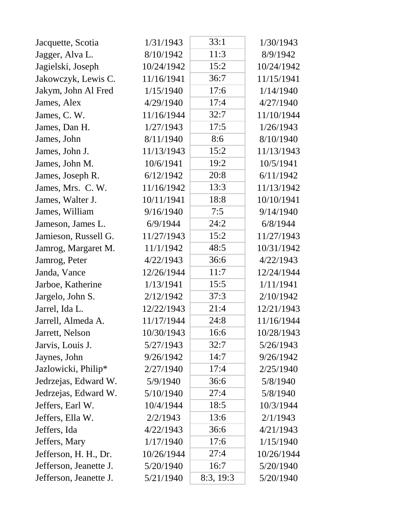| Jacquette, Scotia      | 1/31/1943  | 33:1      | 1/30/1943  |
|------------------------|------------|-----------|------------|
| Jagger, Alva L.        | 8/10/1942  | 11:3      | 8/9/1942   |
| Jagielski, Joseph      | 10/24/1942 | 15:2      | 10/24/1942 |
| Jakowczyk, Lewis C.    | 11/16/1941 | 36:7      | 11/15/1941 |
| Jakym, John Al Fred    | 1/15/1940  | 17:6      | 1/14/1940  |
| James, Alex            | 4/29/1940  | 17:4      | 4/27/1940  |
| James, C. W.           | 11/16/1944 | 32:7      | 11/10/1944 |
| James, Dan H.          | 1/27/1943  | 17:5      | 1/26/1943  |
| James, John            | 8/11/1940  | 8:6       | 8/10/1940  |
| James, John J.         | 11/13/1943 | 15:2      | 11/13/1943 |
| James, John M.         | 10/6/1941  | 19:2      | 10/5/1941  |
| James, Joseph R.       | 6/12/1942  | 20:8      | 6/11/1942  |
| James, Mrs. C. W.      | 11/16/1942 | 13:3      | 11/13/1942 |
| James, Walter J.       | 10/11/1941 | 18:8      | 10/10/1941 |
| James, William         | 9/16/1940  | 7:5       | 9/14/1940  |
| Jameson, James L.      | 6/9/1944   | 24:2      | 6/8/1944   |
| Jamieson, Russell G.   | 11/27/1943 | 15:2      | 11/27/1943 |
| Jamrog, Margaret M.    | 11/1/1942  | 48:5      | 10/31/1942 |
| Jamrog, Peter          | 4/22/1943  | 36:6      | 4/22/1943  |
| Janda, Vance           | 12/26/1944 | 11:7      | 12/24/1944 |
| Jarboe, Katherine      | 1/13/1941  | 15:5      | 1/11/1941  |
| Jargelo, John S.       | 2/12/1942  | 37:3      | 2/10/1942  |
| Jarrel, Ida L.         | 12/22/1943 | 21:4      | 12/21/1943 |
| Jarrell, Almeda A.     | 11/17/1944 | 24:8      | 11/16/1944 |
| Jarrett, Nelson        | 10/30/1943 | 16:6      | 10/28/1943 |
| Jarvis, Louis J.       | 5/27/1943  | 32:7      | 5/26/1943  |
| Jaynes, John           | 9/26/1942  | 14:7      | 9/26/1942  |
| Jazlowicki, Philip*    | 2/27/1940  | 17:4      | 2/25/1940  |
| Jedrzejas, Edward W.   | 5/9/1940   | 36:6      | 5/8/1940   |
| Jedrzejas, Edward W.   | 5/10/1940  | 27:4      | 5/8/1940   |
| Jeffers, Earl W.       | 10/4/1944  | 18:5      | 10/3/1944  |
| Jeffers, Ella W.       | 2/2/1943   | 13:6      | 2/1/1943   |
| Jeffers, Ida           | 4/22/1943  | 36:6      | 4/21/1943  |
| Jeffers, Mary          | 1/17/1940  | 17:6      | 1/15/1940  |
| Jefferson, H. H., Dr.  | 10/26/1944 | 27:4      | 10/26/1944 |
| Jefferson, Jeanette J. | 5/20/1940  | 16:7      | 5/20/1940  |
| Jefferson, Jeanette J. | 5/21/1940  | 8:3, 19:3 | 5/20/1940  |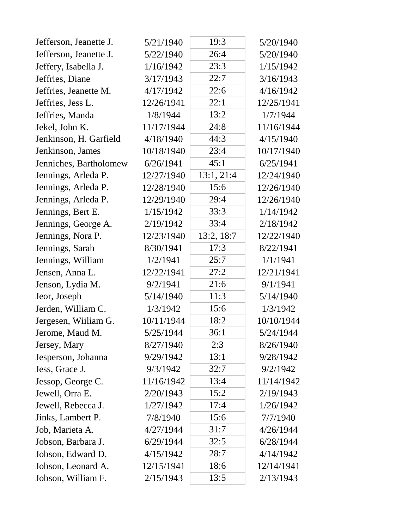| Jefferson, Jeanette J. | 5/21/1940  | 19:3       | 5/20/1940  |
|------------------------|------------|------------|------------|
| Jefferson, Jeanette J. | 5/22/1940  | 26:4       | 5/20/1940  |
| Jeffery, Isabella J.   | 1/16/1942  | 23:3       | 1/15/1942  |
| Jeffries, Diane        | 3/17/1943  | 22:7       | 3/16/1943  |
| Jeffries, Jeanette M.  | 4/17/1942  | 22:6       | 4/16/1942  |
| Jeffries, Jess L.      | 12/26/1941 | 22:1       | 12/25/1941 |
| Jeffries, Manda        | 1/8/1944   | 13:2       | 1/7/1944   |
| Jekel, John K.         | 11/17/1944 | 24:8       | 11/16/1944 |
| Jenkinson, H. Garfield | 4/18/1940  | 44:3       | 4/15/1940  |
| Jenkinson, James       | 10/18/1940 | 23:4       | 10/17/1940 |
| Jenniches, Bartholomew | 6/26/1941  | 45:1       | 6/25/1941  |
| Jennings, Arleda P.    | 12/27/1940 | 13:1, 21:4 | 12/24/1940 |
| Jennings, Arleda P.    | 12/28/1940 | 15:6       | 12/26/1940 |
| Jennings, Arleda P.    | 12/29/1940 | 29:4       | 12/26/1940 |
| Jennings, Bert E.      | 1/15/1942  | 33:3       | 1/14/1942  |
| Jennings, George A.    | 2/19/1942  | 33:4       | 2/18/1942  |
| Jennings, Nora P.      | 12/23/1940 | 13:2, 18:7 | 12/22/1940 |
| Jennings, Sarah        | 8/30/1941  | 17:3       | 8/22/1941  |
| Jennings, William      | 1/2/1941   | 25:7       | 1/1/1941   |
| Jensen, Anna L.        | 12/22/1941 | 27:2       | 12/21/1941 |
| Jenson, Lydia M.       | 9/2/1941   | 21:6       | 9/1/1941   |
| Jeor, Joseph           | 5/14/1940  | 11:3       | 5/14/1940  |
| Jerden, William C.     | 1/3/1942   | 15:6       | 1/3/1942   |
| Jergesen, Wiiliam G.   | 10/11/1944 | 18:2       | 10/10/1944 |
| Jerome, Maud M.        | 5/25/1944  | 36:1       | 5/24/1944  |
| Jersey, Mary           | 8/27/1940  | 2:3        | 8/26/1940  |
| Jesperson, Johanna     | 9/29/1942  | 13:1       | 9/28/1942  |
| Jess, Grace J.         | 9/3/1942   | 32:7       | 9/2/1942   |
| Jessop, George C.      | 11/16/1942 | 13:4       | 11/14/1942 |
| Jewell, Orra E.        | 2/20/1943  | 15:2       | 2/19/1943  |
| Jewell, Rebecca J.     | 1/27/1942  | 17:4       | 1/26/1942  |
| Jinks, Lambert P.      | 7/8/1940   | 15:6       | 7/7/1940   |
| Job, Marieta A.        | 4/27/1944  | 31:7       | 4/26/1944  |
| Jobson, Barbara J.     | 6/29/1944  | 32:5       | 6/28/1944  |
| Jobson, Edward D.      | 4/15/1942  | 28:7       | 4/14/1942  |
| Jobson, Leonard A.     | 12/15/1941 | 18:6       | 12/14/1941 |
| Jobson, William F.     | 2/15/1943  | 13:5       | 2/13/1943  |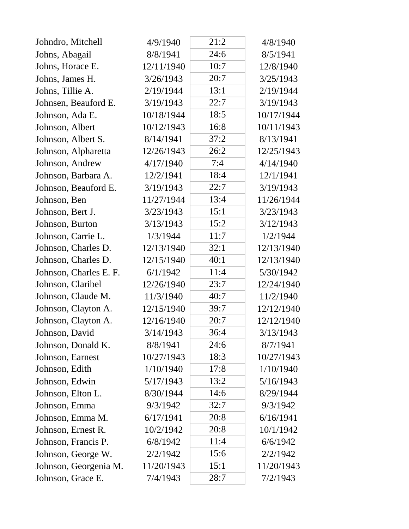| Johndro, Mitchell      | 4/9/1940   | 21:2 | 4/8/1940   |
|------------------------|------------|------|------------|
| Johns, Abagail         | 8/8/1941   | 24:6 | 8/5/1941   |
| Johns, Horace E.       | 12/11/1940 | 10:7 | 12/8/1940  |
| Johns, James H.        | 3/26/1943  | 20:7 | 3/25/1943  |
| Johns, Tillie A.       | 2/19/1944  | 13:1 | 2/19/1944  |
| Johnsen, Beauford E.   | 3/19/1943  | 22:7 | 3/19/1943  |
| Johnson, Ada E.        | 10/18/1944 | 18:5 | 10/17/1944 |
| Johnson, Albert        | 10/12/1943 | 16:8 | 10/11/1943 |
| Johnson, Albert S.     | 8/14/1941  | 37:2 | 8/13/1941  |
| Johnson, Alpharetta    | 12/26/1943 | 26:2 | 12/25/1943 |
| Johnson, Andrew        | 4/17/1940  | 7:4  | 4/14/1940  |
| Johnson, Barbara A.    | 12/2/1941  | 18:4 | 12/1/1941  |
| Johnson, Beauford E.   | 3/19/1943  | 22:7 | 3/19/1943  |
| Johnson, Ben           | 11/27/1944 | 13:4 | 11/26/1944 |
| Johnson, Bert J.       | 3/23/1943  | 15:1 | 3/23/1943  |
| Johnson, Burton        | 3/13/1943  | 15:2 | 3/12/1943  |
| Johnson, Carrie L.     | 1/3/1944   | 11:7 | 1/2/1944   |
| Johnson, Charles D.    | 12/13/1940 | 32:1 | 12/13/1940 |
| Johnson, Charles D.    | 12/15/1940 | 40:1 | 12/13/1940 |
| Johnson, Charles E. F. | 6/1/1942   | 11:4 | 5/30/1942  |
| Johnson, Claribel      | 12/26/1940 | 23:7 | 12/24/1940 |
| Johnson, Claude M.     | 11/3/1940  | 40:7 | 11/2/1940  |
| Johnson, Clayton A.    | 12/15/1940 | 39:7 | 12/12/1940 |
| Johnson, Clayton A.    | 12/16/1940 | 20:7 | 12/12/1940 |
| Johnson, David         | 3/14/1943  | 36:4 | 3/13/1943  |
| Johnson, Donald K.     | 8/8/1941   | 24:6 | 8/7/1941   |
| Johnson, Earnest       | 10/27/1943 | 18:3 | 10/27/1943 |
| Johnson, Edith         | 1/10/1940  | 17:8 | 1/10/1940  |
| Johnson, Edwin         | 5/17/1943  | 13:2 | 5/16/1943  |
| Johnson, Elton L.      | 8/30/1944  | 14:6 | 8/29/1944  |
| Johnson, Emma          | 9/3/1942   | 32:7 | 9/3/1942   |
| Johnson, Emma M.       | 6/17/1941  | 20:8 | 6/16/1941  |
| Johnson, Ernest R.     | 10/2/1942  | 20:8 | 10/1/1942  |
| Johnson, Francis P.    | 6/8/1942   | 11:4 | 6/6/1942   |
| Johnson, George W.     | 2/2/1942   | 15:6 | 2/2/1942   |
| Johnson, Georgenia M.  | 11/20/1943 | 15:1 | 11/20/1943 |
| Johnson, Grace E.      | 7/4/1943   | 28:7 | 7/2/1943   |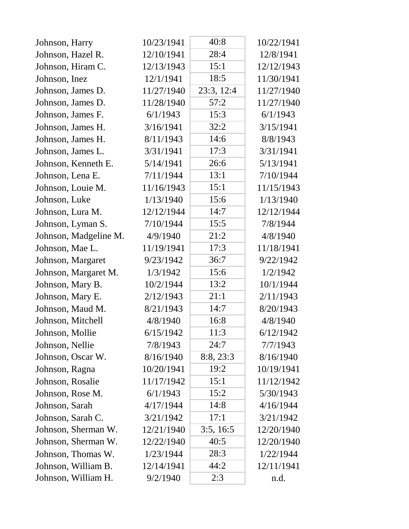| Johnson, Harry        | 10/23/1941 | 40:8       | 10/22/1941 |
|-----------------------|------------|------------|------------|
| Johnson, Hazel R.     | 12/10/1941 | 28:4       | 12/8/1941  |
| Johnson, Hiram C.     | 12/13/1943 | 15:1       | 12/12/1943 |
| Johnson, Inez         | 12/1/1941  | 18:5       | 11/30/1941 |
| Johnson, James D.     | 11/27/1940 | 23:3, 12:4 | 11/27/1940 |
| Johnson, James D.     | 11/28/1940 | 57:2       | 11/27/1940 |
| Johnson, James F.     | 6/1/1943   | 15:3       | 6/1/1943   |
| Johnson, James H.     | 3/16/1941  | 32:2       | 3/15/1941  |
| Johnson, James H.     | 8/11/1943  | 14:6       | 8/8/1943   |
| Johnson, James L.     | 3/31/1941  | 17:3       | 3/31/1941  |
| Johnson, Kenneth E.   | 5/14/1941  | 26:6       | 5/13/1941  |
| Johnson, Lena E.      | 7/11/1944  | 13:1       | 7/10/1944  |
| Johnson, Louie M.     | 11/16/1943 | 15:1       | 11/15/1943 |
| Johnson, Luke         | 1/13/1940  | 15:6       | 1/13/1940  |
| Johnson, Lura M.      | 12/12/1944 | 14:7       | 12/12/1944 |
| Johnson, Lyman S.     | 7/10/1944  | 15:5       | 7/8/1944   |
| Johnson, Madgeline M. | 4/9/1940   | 21:2       | 4/8/1940   |
| Johnson, Mae L.       | 11/19/1941 | 17:3       | 11/18/1941 |
| Johnson, Margaret     | 9/23/1942  | 36:7       | 9/22/1942  |
| Johnson, Margaret M.  | 1/3/1942   | 15:6       | 1/2/1942   |
| Johnson, Mary B.      | 10/2/1944  | 13:2       | 10/1/1944  |
| Johnson, Mary E.      | 2/12/1943  | 21:1       | 2/11/1943  |
| Johnson, Maud M.      | 8/21/1943  | 14:7       | 8/20/1943  |
| Johnson, Mitchell     | 4/8/1940   | 16:8       | 4/8/1940   |
| Johnson, Mollie       | 6/15/1942  | 11:3       | 6/12/1942  |
| Johnson, Nellie       | 7/8/1943   | 24:7       | 7/7/1943   |
| Johnson, Oscar W.     | 8/16/1940  | 8:8, 23:3  | 8/16/1940  |
| Johnson, Ragna        | 10/20/1941 | 19:2       | 10/19/1941 |
| Johnson, Rosalie      | 11/17/1942 | 15:1       | 11/12/1942 |
| Johnson, Rose M.      | 6/1/1943   | 15:2       | 5/30/1943  |
| Johnson, Sarah        | 4/17/1944  | 14:8       | 4/16/1944  |
| Johnson, Sarah C.     | 3/21/1942  | 17:1       | 3/21/1942  |
| Johnson, Sherman W.   | 12/21/1940 | 3:5, 16:5  | 12/20/1940 |
| Johnson, Sherman W.   | 12/22/1940 | 40:5       | 12/20/1940 |
| Johnson, Thomas W.    | 1/23/1944  | 28:3       | 1/22/1944  |
| Johnson, William B.   | 12/14/1941 | 44:2       | 12/11/1941 |
| Johnson, William H.   | 9/2/1940   | 2:3        | n.d.       |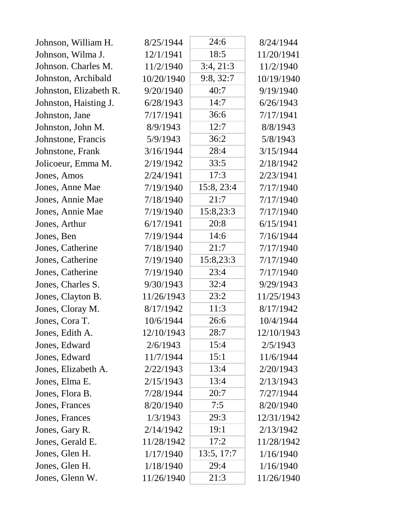| Johnson, William H.    | 8/25/1944  | 24:6       | 8/24/1944  |
|------------------------|------------|------------|------------|
| Johnson, Wilma J.      | 12/1/1941  | 18:5       | 11/20/1941 |
| Johnson. Charles M.    | 11/2/1940  | 3:4, 21:3  | 11/2/1940  |
| Johnston, Archibald    | 10/20/1940 | 9:8, 32:7  | 10/19/1940 |
| Johnston, Elizabeth R. | 9/20/1940  | 40:7       | 9/19/1940  |
| Johnston, Haisting J.  | 6/28/1943  | 14:7       | 6/26/1943  |
| Johnston, Jane         | 7/17/1941  | 36:6       | 7/17/1941  |
| Johnston, John M.      | 8/9/1943   | 12:7       | 8/8/1943   |
| Johnstone, Francis     | 5/9/1943   | 36:2       | 5/8/1943   |
| Johnstone, Frank       | 3/16/1944  | 28:4       | 3/15/1944  |
| Jolicoeur, Emma M.     | 2/19/1942  | 33:5       | 2/18/1942  |
| Jones, Amos            | 2/24/1941  | 17:3       | 2/23/1941  |
| Jones, Anne Mae        | 7/19/1940  | 15:8, 23:4 | 7/17/1940  |
| Jones, Annie Mae       | 7/18/1940  | 21:7       | 7/17/1940  |
| Jones, Annie Mae       | 7/19/1940  | 15:8,23:3  | 7/17/1940  |
| Jones, Arthur          | 6/17/1941  | 20:8       | 6/15/1941  |
| Jones, Ben             | 7/19/1944  | 14:6       | 7/16/1944  |
| Jones, Catherine       | 7/18/1940  | 21:7       | 7/17/1940  |
| Jones, Catherine       | 7/19/1940  | 15:8,23:3  | 7/17/1940  |
| Jones, Catherine       | 7/19/1940  | 23:4       | 7/17/1940  |
| Jones, Charles S.      | 9/30/1943  | 32:4       | 9/29/1943  |
| Jones, Clayton B.      | 11/26/1943 | 23:2       | 11/25/1943 |
| Jones, Cloray M.       | 8/17/1942  | 11:3       | 8/17/1942  |
| Jones, Cora T.         | 10/6/1944  | 26:6       | 10/4/1944  |
| Jones, Edith A.        | 12/10/1943 | 28:7       | 12/10/1943 |
| Jones, Edward          | 2/6/1943   | 15:4       | 2/5/1943   |
| Jones, Edward          | 11/7/1944  | 15:1       | 11/6/1944  |
| Jones, Elizabeth A.    | 2/22/1943  | 13:4       | 2/20/1943  |
| Jones, Elma E.         | 2/15/1943  | 13:4       | 2/13/1943  |
| Jones, Flora B.        | 7/28/1944  | 20:7       | 7/27/1944  |
| Jones, Frances         | 8/20/1940  | 7:5        | 8/20/1940  |
| Jones, Frances         | 1/3/1943   | 29:3       | 12/31/1942 |
| Jones, Gary R.         | 2/14/1942  | 19:1       | 2/13/1942  |
| Jones, Gerald E.       | 11/28/1942 | 17:2       | 11/28/1942 |
| Jones, Glen H.         | 1/17/1940  | 13:5, 17:7 | 1/16/1940  |
| Jones, Glen H.         | 1/18/1940  | 29:4       | 1/16/1940  |
| Jones, Glenn W.        | 11/26/1940 | 21:3       | 11/26/1940 |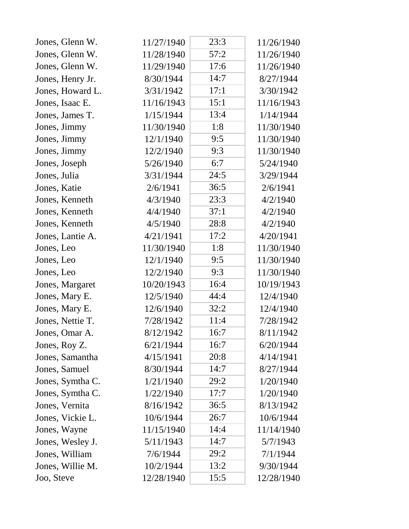| Jones, Glenn W.  | 11/27/1940 | 23:3 | 11/26/1940 |
|------------------|------------|------|------------|
| Jones, Glenn W.  | 11/28/1940 | 57:2 | 11/26/1940 |
| Jones, Glenn W.  | 11/29/1940 | 17:6 | 11/26/1940 |
| Jones, Henry Jr. | 8/30/1944  | 14:7 | 8/27/1944  |
| Jones, Howard L. | 3/31/1942  | 17:1 | 3/30/1942  |
| Jones, Isaac E.  | 11/16/1943 | 15:1 | 11/16/1943 |
| Jones, James T.  | 1/15/1944  | 13:4 | 1/14/1944  |
| Jones, Jimmy     | 11/30/1940 | 1:8  | 11/30/1940 |
| Jones, Jimmy     | 12/1/1940  | 9:5  | 11/30/1940 |
| Jones, Jimmy     | 12/2/1940  | 9:3  | 11/30/1940 |
| Jones, Joseph    | 5/26/1940  | 6:7  | 5/24/1940  |
| Jones, Julia     | 3/31/1944  | 24:5 | 3/29/1944  |
| Jones, Katie     | 2/6/1941   | 36:5 | 2/6/1941   |
| Jones, Kenneth   | 4/3/1940   | 23:3 | 4/2/1940   |
| Jones, Kenneth   | 4/4/1940   | 37:1 | 4/2/1940   |
| Jones, Kenneth   | 4/5/1940   | 28:8 | 4/2/1940   |
| Jones, Lantie A. | 4/21/1941  | 17:2 | 4/20/1941  |
| Jones, Leo       | 11/30/1940 | 1:8  | 11/30/1940 |
| Jones, Leo       | 12/1/1940  | 9:5  | 11/30/1940 |
| Jones, Leo       | 12/2/1940  | 9:3  | 11/30/1940 |
| Jones, Margaret  | 10/20/1943 | 16:4 | 10/19/1943 |
| Jones, Mary E.   | 12/5/1940  | 44:4 | 12/4/1940  |
| Jones, Mary E.   | 12/6/1940  | 32:2 | 12/4/1940  |
| Jones, Nettie T. | 7/28/1942  | 11:4 | 7/28/1942  |
| Jones, Omar A.   | 8/12/1942  | 16:7 | 8/11/1942  |
| Jones, Roy Z.    | 6/21/1944  | 16:7 | 6/20/1944  |
| Jones, Samantha  | 4/15/1941  | 20:8 | 4/14/1941  |
| Jones, Samuel    | 8/30/1944  | 14:7 | 8/27/1944  |
| Jones, Symtha C. | 1/21/1940  | 29:2 | 1/20/1940  |
| Jones, Symtha C. | 1/22/1940  | 17:7 | 1/20/1940  |
| Jones, Vernita   | 8/16/1942  | 36:5 | 8/13/1942  |
| Jones, Vickie L. | 10/6/1944  | 26:7 | 10/6/1944  |
| Jones, Wayne     | 11/15/1940 | 14:4 | 11/14/1940 |
| Jones, Wesley J. | 5/11/1943  | 14:7 | 5/7/1943   |
| Jones, William   | 7/6/1944   | 29:2 | 7/1/1944   |
| Jones, Willie M. | 10/2/1944  | 13:2 | 9/30/1944  |
| Joo, Steve       | 12/28/1940 | 15:5 | 12/28/1940 |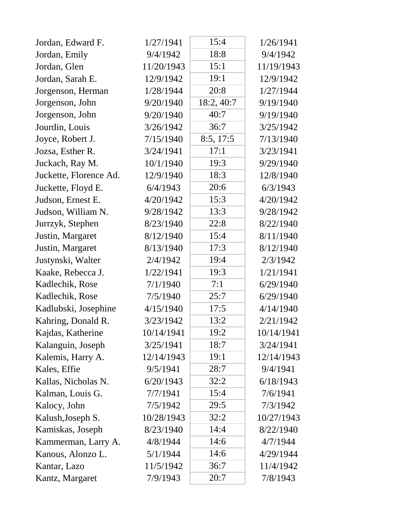| Jordan, Edward F.      | 1/27/1941  | 15:4       | 1/26/1941  |
|------------------------|------------|------------|------------|
| Jordan, Emily          | 9/4/1942   | 18:8       | 9/4/1942   |
| Jordan, Glen           | 11/20/1943 | 15:1       | 11/19/1943 |
| Jordan, Sarah E.       | 12/9/1942  | 19:1       | 12/9/1942  |
| Jorgenson, Herman      | 1/28/1944  | 20:8       | 1/27/1944  |
| Jorgenson, John        | 9/20/1940  | 18:2, 40:7 | 9/19/1940  |
| Jorgenson, John        | 9/20/1940  | 40:7       | 9/19/1940  |
| Jourdin, Louis         | 3/26/1942  | 36:7       | 3/25/1942  |
| Joyce, Robert J.       | 7/15/1940  | 8:5, 17:5  | 7/13/1940  |
| Jozsa, Esther R.       | 3/24/1941  | 17:1       | 3/23/1941  |
| Juckach, Ray M.        | 10/1/1940  | 19:3       | 9/29/1940  |
| Juckette, Florence Ad. | 12/9/1940  | 18:3       | 12/8/1940  |
| Juckette, Floyd E.     | 6/4/1943   | 20:6       | 6/3/1943   |
| Judson, Ernest E.      | 4/20/1942  | 15:3       | 4/20/1942  |
| Judson, William N.     | 9/28/1942  | 13:3       | 9/28/1942  |
| Jurrzyk, Stephen       | 8/23/1940  | 22:8       | 8/22/1940  |
| Justin, Margaret       | 8/12/1940  | 15:4       | 8/11/1940  |
| Justin, Margaret       | 8/13/1940  | 17:3       | 8/12/1940  |
| Justynski, Walter      | 2/4/1942   | 19:4       | 2/3/1942   |
| Kaake, Rebecca J.      | 1/22/1941  | 19:3       | 1/21/1941  |
| Kadlechik, Rose        | 7/1/1940   | 7:1        | 6/29/1940  |
| Kadlechik, Rose        | 7/5/1940   | 25:7       | 6/29/1940  |
| Kadlubski, Josephine   | 4/15/1940  | 17:5       | 4/14/1940  |
| Kahring, Donald R.     | 3/23/1942  | 13:2       | 2/21/1942  |
| Kajdas, Katherine      | 10/14/1941 | 19:2       | 10/14/1941 |
| Kalanguin, Joseph      | 3/25/1941  | 18:7       | 3/24/1941  |
| Kalemis, Harry A.      | 12/14/1943 | 19:1       | 12/14/1943 |
| Kales, Effie           | 9/5/1941   | 28:7       | 9/4/1941   |
| Kallas, Nicholas N.    | 6/20/1943  | 32:2       | 6/18/1943  |
| Kalman, Louis G.       | 7/7/1941   | 15:4       | 7/6/1941   |
| Kalocy, John           | 7/5/1942   | 29:5       | 7/3/1942   |
| Kalush, Joseph S.      | 10/28/1943 | 32:2       | 10/27/1943 |
| Kamiskas, Joseph       | 8/23/1940  | 14:4       | 8/22/1940  |
| Kammerman, Larry A.    | 4/8/1944   | 14:6       | 4/7/1944   |
| Kanous, Alonzo L.      | 5/1/1944   | 14:6       | 4/29/1944  |
| Kantar, Lazo           | 11/5/1942  | 36:7       | 11/4/1942  |
| Kantz, Margaret        | 7/9/1943   | 20:7       | 7/8/1943   |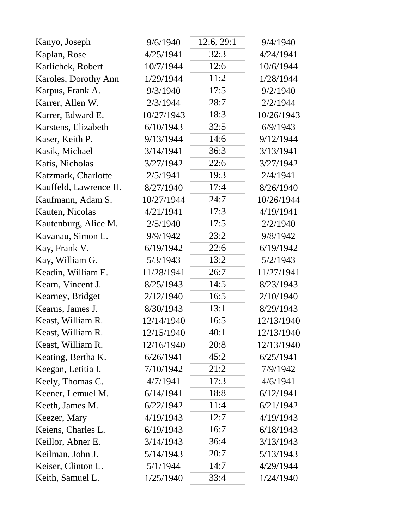| Kanyo, Joseph         | 9/6/1940   | 12:6, 29:1 | 9/4/1940   |
|-----------------------|------------|------------|------------|
| Kaplan, Rose          | 4/25/1941  | 32:3       | 4/24/1941  |
| Karlichek, Robert     | 10/7/1944  | 12:6       | 10/6/1944  |
| Karoles, Dorothy Ann  | 1/29/1944  | 11:2       | 1/28/1944  |
| Karpus, Frank A.      | 9/3/1940   | 17:5       | 9/2/1940   |
| Karrer, Allen W.      | 2/3/1944   | 28:7       | 2/2/1944   |
| Karrer, Edward E.     | 10/27/1943 | 18:3       | 10/26/1943 |
| Karstens, Elizabeth   | 6/10/1943  | 32:5       | 6/9/1943   |
| Kaser, Keith P.       | 9/13/1944  | 14:6       | 9/12/1944  |
| Kasik, Michael        | 3/14/1941  | 36:3       | 3/13/1941  |
| Katis, Nicholas       | 3/27/1942  | 22:6       | 3/27/1942  |
| Katzmark, Charlotte   | 2/5/1941   | 19:3       | 2/4/1941   |
| Kauffeld, Lawrence H. | 8/27/1940  | 17:4       | 8/26/1940  |
| Kaufmann, Adam S.     | 10/27/1944 | 24:7       | 10/26/1944 |
| Kauten, Nicolas       | 4/21/1941  | 17:3       | 4/19/1941  |
| Kautenburg, Alice M.  | 2/5/1940   | 17:5       | 2/2/1940   |
| Kavanau, Simon L.     | 9/9/1942   | 23:2       | 9/8/1942   |
| Kay, Frank V.         | 6/19/1942  | 22:6       | 6/19/1942  |
| Kay, William G.       | 5/3/1943   | 13:2       | 5/2/1943   |
| Keadin, William E.    | 11/28/1941 | 26:7       | 11/27/1941 |
| Kearn, Vincent J.     | 8/25/1943  | 14:5       | 8/23/1943  |
| Kearney, Bridget      | 2/12/1940  | 16:5       | 2/10/1940  |
| Kearns, James J.      | 8/30/1943  | 13:1       | 8/29/1943  |
| Keast, William R.     | 12/14/1940 | 16:5       | 12/13/1940 |
| Keast, William R.     | 12/15/1940 | 40:1       | 12/13/1940 |
| Keast, William R.     | 12/16/1940 | 20:8       | 12/13/1940 |
| Keating, Bertha K.    | 6/26/1941  | 45:2       | 6/25/1941  |
| Keegan, Letitia I.    | 7/10/1942  | 21:2       | 7/9/1942   |
| Keely, Thomas C.      | 4/7/1941   | 17:3       | 4/6/1941   |
| Keener, Lemuel M.     | 6/14/1941  | 18:8       | 6/12/1941  |
| Keeth, James M.       | 6/22/1942  | 11:4       | 6/21/1942  |
| Keezer, Mary          | 4/19/1943  | 12:7       | 4/19/1943  |
| Keiens, Charles L.    | 6/19/1943  | 16:7       | 6/18/1943  |
| Keillor, Abner E.     | 3/14/1943  | 36:4       | 3/13/1943  |
| Keilman, John J.      | 5/14/1943  | 20:7       | 5/13/1943  |
| Keiser, Clinton L.    | 5/1/1944   | 14:7       | 4/29/1944  |
| Keith, Samuel L.      | 1/25/1940  | 33:4       | 1/24/1940  |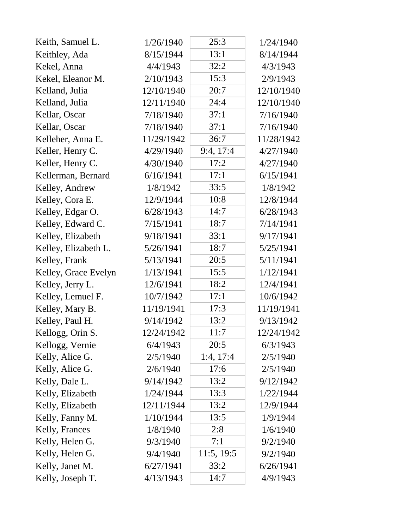| Keith, Samuel L.     | 1/26/1940  | 25:3       | 1/24/1940  |
|----------------------|------------|------------|------------|
| Keithley, Ada        | 8/15/1944  | 13:1       | 8/14/1944  |
| Kekel, Anna          | 4/4/1943   | 32:2       | 4/3/1943   |
| Kekel, Eleanor M.    | 2/10/1943  | 15:3       | 2/9/1943   |
| Kelland, Julia       | 12/10/1940 | 20:7       | 12/10/1940 |
| Kelland, Julia       | 12/11/1940 | 24:4       | 12/10/1940 |
| Kellar, Oscar        | 7/18/1940  | 37:1       | 7/16/1940  |
| Kellar, Oscar        | 7/18/1940  | 37:1       | 7/16/1940  |
| Kelleher, Anna E.    | 11/29/1942 | 36:7       | 11/28/1942 |
| Keller, Henry C.     | 4/29/1940  | 9:4, 17:4  | 4/27/1940  |
| Keller, Henry C.     | 4/30/1940  | 17:2       | 4/27/1940  |
| Kellerman, Bernard   | 6/16/1941  | 17:1       | 6/15/1941  |
| Kelley, Andrew       | 1/8/1942   | 33:5       | 1/8/1942   |
| Kelley, Cora E.      | 12/9/1944  | 10:8       | 12/8/1944  |
| Kelley, Edgar O.     | 6/28/1943  | 14:7       | 6/28/1943  |
| Kelley, Edward C.    | 7/15/1941  | 18:7       | 7/14/1941  |
| Kelley, Elizabeth    | 9/18/1941  | 33:1       | 9/17/1941  |
| Kelley, Elizabeth L. | 5/26/1941  | 18:7       | 5/25/1941  |
| Kelley, Frank        | 5/13/1941  | 20:5       | 5/11/1941  |
| Kelley, Grace Evelyn | 1/13/1941  | 15:5       | 1/12/1941  |
| Kelley, Jerry L.     | 12/6/1941  | 18:2       | 12/4/1941  |
| Kelley, Lemuel F.    | 10/7/1942  | 17:1       | 10/6/1942  |
| Kelley, Mary B.      | 11/19/1941 | 17:3       | 11/19/1941 |
| Kelley, Paul H.      | 9/14/1942  | 13:2       | 9/13/1942  |
| Kellogg, Orin S.     | 12/24/1942 | 11:7       | 12/24/1942 |
| Kellogg, Vernie      | 6/4/1943   | 20:5       | 6/3/1943   |
| Kelly, Alice G.      | 2/5/1940   | 1:4, 17:4  | 2/5/1940   |
| Kelly, Alice G.      | 2/6/1940   | 17:6       | 2/5/1940   |
| Kelly, Dale L.       | 9/14/1942  | 13:2       | 9/12/1942  |
| Kelly, Elizabeth     | 1/24/1944  | 13:3       | 1/22/1944  |
| Kelly, Elizabeth     | 12/11/1944 | 13:2       | 12/9/1944  |
| Kelly, Fanny M.      | 1/10/1944  | 13:5       | 1/9/1944   |
| Kelly, Frances       | 1/8/1940   | 2:8        | 1/6/1940   |
| Kelly, Helen G.      | 9/3/1940   | 7:1        | 9/2/1940   |
| Kelly, Helen G.      | 9/4/1940   | 11:5, 19:5 | 9/2/1940   |
| Kelly, Janet M.      | 6/27/1941  | 33:2       | 6/26/1941  |
| Kelly, Joseph T.     | 4/13/1943  | 14:7       | 4/9/1943   |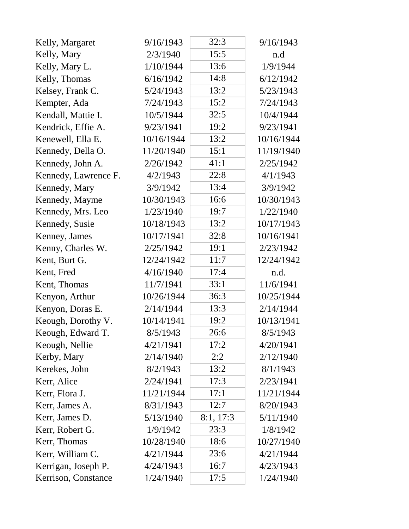| Kelly, Margaret      | 9/16/1943  | 32:3      | 9/16/1943  |
|----------------------|------------|-----------|------------|
| Kelly, Mary          | 2/3/1940   | 15:5      | n.d        |
| Kelly, Mary L.       | 1/10/1944  | 13:6      | 1/9/1944   |
| Kelly, Thomas        | 6/16/1942  | 14:8      | 6/12/1942  |
| Kelsey, Frank C.     | 5/24/1943  | 13:2      | 5/23/1943  |
| Kempter, Ada         | 7/24/1943  | 15:2      | 7/24/1943  |
| Kendall, Mattie I.   | 10/5/1944  | 32:5      | 10/4/1944  |
| Kendrick, Effie A.   | 9/23/1941  | 19:2      | 9/23/1941  |
| Kenewell, Ella E.    | 10/16/1944 | 13:2      | 10/16/1944 |
| Kennedy, Della O.    | 11/20/1940 | 15:1      | 11/19/1940 |
| Kennedy, John A.     | 2/26/1942  | 41:1      | 2/25/1942  |
| Kennedy, Lawrence F. | 4/2/1943   | 22:8      | 4/1/1943   |
| Kennedy, Mary        | 3/9/1942   | 13:4      | 3/9/1942   |
| Kennedy, Mayme       | 10/30/1943 | 16:6      | 10/30/1943 |
| Kennedy, Mrs. Leo    | 1/23/1940  | 19:7      | 1/22/1940  |
| Kennedy, Susie       | 10/18/1943 | 13:2      | 10/17/1943 |
| Kenney, James        | 10/17/1941 | 32:8      | 10/16/1941 |
| Kenny, Charles W.    | 2/25/1942  | 19:1      | 2/23/1942  |
| Kent, Burt G.        | 12/24/1942 | 11:7      | 12/24/1942 |
| Kent, Fred           | 4/16/1940  | 17:4      | n.d.       |
| Kent, Thomas         | 11/7/1941  | 33:1      | 11/6/1941  |
| Kenyon, Arthur       | 10/26/1944 | 36:3      | 10/25/1944 |
| Kenyon, Doras E.     | 2/14/1944  | 13:3      | 2/14/1944  |
| Keough, Dorothy V.   | 10/14/1941 | 19:2      | 10/13/1941 |
| Keough, Edward T.    | 8/5/1943   | 26:6      | 8/5/1943   |
| Keough, Nellie       | 4/21/1941  | 17:2      | 4/20/1941  |
| Kerby, Mary          | 2/14/1940  | 2:2       | 2/12/1940  |
| Kerekes, John        | 8/2/1943   | 13:2      | 8/1/1943   |
| Kerr, Alice          | 2/24/1941  | 17:3      | 2/23/1941  |
| Kerr, Flora J.       | 11/21/1944 | 17:1      | 11/21/1944 |
| Kerr, James A.       | 8/31/1943  | 12:7      | 8/20/1943  |
| Kerr, James D.       | 5/13/1940  | 8:1, 17:3 | 5/11/1940  |
| Kerr, Robert G.      | 1/9/1942   | 23:3      | 1/8/1942   |
| Kerr, Thomas         | 10/28/1940 | 18:6      | 10/27/1940 |
| Kerr, William C.     | 4/21/1944  | 23:6      | 4/21/1944  |
| Kerrigan, Joseph P.  | 4/24/1943  | 16:7      | 4/23/1943  |
| Kerrison, Constance  | 1/24/1940  | 17:5      | 1/24/1940  |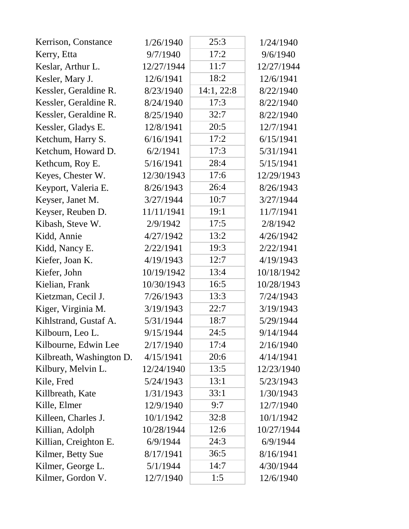| Kerrison, Constance      | 1/26/1940  | 25:3       | 1/24/1940  |
|--------------------------|------------|------------|------------|
| Kerry, Etta              | 9/7/1940   | 17:2       | 9/6/1940   |
| Keslar, Arthur L.        | 12/27/1944 | 11:7       | 12/27/1944 |
| Kesler, Mary J.          | 12/6/1941  | 18:2       | 12/6/1941  |
| Kessler, Geraldine R.    | 8/23/1940  | 14:1, 22:8 | 8/22/1940  |
| Kessler, Geraldine R.    | 8/24/1940  | 17:3       | 8/22/1940  |
| Kessler, Geraldine R.    | 8/25/1940  | 32:7       | 8/22/1940  |
| Kessler, Gladys E.       | 12/8/1941  | 20:5       | 12/7/1941  |
| Ketchum, Harry S.        | 6/16/1941  | 17:2       | 6/15/1941  |
| Ketchum, Howard D.       | 6/2/1941   | 17:3       | 5/31/1941  |
| Kethcum, Roy E.          | 5/16/1941  | 28:4       | 5/15/1941  |
| Keyes, Chester W.        | 12/30/1943 | 17:6       | 12/29/1943 |
| Keyport, Valeria E.      | 8/26/1943  | 26:4       | 8/26/1943  |
| Keyser, Janet M.         | 3/27/1944  | 10:7       | 3/27/1944  |
| Keyser, Reuben D.        | 11/11/1941 | 19:1       | 11/7/1941  |
| Kibash, Steve W.         | 2/9/1942   | 17:5       | 2/8/1942   |
| Kidd, Annie              | 4/27/1942  | 13:2       | 4/26/1942  |
| Kidd, Nancy E.           | 2/22/1941  | 19:3       | 2/22/1941  |
| Kiefer, Joan K.          | 4/19/1943  | 12:7       | 4/19/1943  |
| Kiefer, John             | 10/19/1942 | 13:4       | 10/18/1942 |
| Kielian, Frank           | 10/30/1943 | 16:5       | 10/28/1943 |
| Kietzman, Cecil J.       | 7/26/1943  | 13:3       | 7/24/1943  |
| Kiger, Virginia M.       | 3/19/1943  | 22:7       | 3/19/1943  |
| Kihlstrand, Gustaf A.    | 5/31/1944  | 18:7       | 5/29/1944  |
| Kilbourn, Leo L.         | 9/15/1944  | 24:5       | 9/14/1944  |
| Kilbourne, Edwin Lee     | 2/17/1940  | 17:4       | 2/16/1940  |
| Kilbreath, Washington D. | 4/15/1941  | 20:6       | 4/14/1941  |
| Kilbury, Melvin L.       | 12/24/1940 | 13:5       | 12/23/1940 |
| Kile, Fred               | 5/24/1943  | 13:1       | 5/23/1943  |
| Killbreath, Kate         | 1/31/1943  | 33:1       | 1/30/1943  |
| Kille, Elmer             | 12/9/1940  | 9:7        | 12/7/1940  |
| Killeen, Charles J.      | 10/1/1942  | 32:8       | 10/1/1942  |
| Killian, Adolph          | 10/28/1944 | 12:6       | 10/27/1944 |
| Killian, Creighton E.    | 6/9/1944   | 24:3       | 6/9/1944   |
| Kilmer, Betty Sue        | 8/17/1941  | 36:5       | 8/16/1941  |
| Kilmer, George L.        | 5/1/1944   | 14:7       | 4/30/1944  |
| Kilmer, Gordon V.        | 12/7/1940  | 1:5        | 12/6/1940  |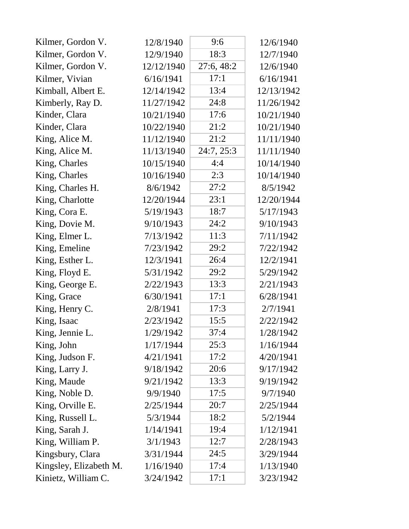| Kilmer, Gordon V.      | 12/8/1940  | 9:6        | 12/6/1940  |
|------------------------|------------|------------|------------|
| Kilmer, Gordon V.      | 12/9/1940  | 18:3       | 12/7/1940  |
| Kilmer, Gordon V.      | 12/12/1940 | 27:6, 48:2 | 12/6/1940  |
| Kilmer, Vivian         | 6/16/1941  | 17:1       | 6/16/1941  |
| Kimball, Albert E.     | 12/14/1942 | 13:4       | 12/13/1942 |
| Kimberly, Ray D.       | 11/27/1942 | 24:8       | 11/26/1942 |
| Kinder, Clara          | 10/21/1940 | 17:6       | 10/21/1940 |
| Kinder, Clara          | 10/22/1940 | 21:2       | 10/21/1940 |
| King, Alice M.         | 11/12/1940 | 21:2       | 11/11/1940 |
| King, Alice M.         | 11/13/1940 | 24:7, 25:3 | 11/11/1940 |
| King, Charles          | 10/15/1940 | 4:4        | 10/14/1940 |
| King, Charles          | 10/16/1940 | 2:3        | 10/14/1940 |
| King, Charles H.       | 8/6/1942   | 27:2       | 8/5/1942   |
| King, Charlotte        | 12/20/1944 | 23:1       | 12/20/1944 |
| King, Cora E.          | 5/19/1943  | 18:7       | 5/17/1943  |
| King, Dovie M.         | 9/10/1943  | 24:2       | 9/10/1943  |
| King, Elmer L.         | 7/13/1942  | 11:3       | 7/11/1942  |
| King, Emeline          | 7/23/1942  | 29:2       | 7/22/1942  |
| King, Esther L.        | 12/3/1941  | 26:4       | 12/2/1941  |
| King, Floyd E.         | 5/31/1942  | 29:2       | 5/29/1942  |
| King, George E.        | 2/22/1943  | 13:3       | 2/21/1943  |
| King, Grace            | 6/30/1941  | 17:1       | 6/28/1941  |
| King, Henry C.         | 2/8/1941   | 17:3       | 2/7/1941   |
| King, Isaac            | 2/23/1942  | 15:5       | 2/22/1942  |
| King, Jennie L.        | 1/29/1942  | 37:4       | 1/28/1942  |
| King, John             | 1/17/1944  | 25:3       | 1/16/1944  |
| King, Judson F.        | 4/21/1941  | 17:2       | 4/20/1941  |
| King, Larry J.         | 9/18/1942  | 20:6       | 9/17/1942  |
| King, Maude            | 9/21/1942  | 13:3       | 9/19/1942  |
| King, Noble D.         | 9/9/1940   | 17:5       | 9/7/1940   |
| King, Orville E.       | 2/25/1944  | 20:7       | 2/25/1944  |
| King, Russell L.       | 5/3/1944   | 18:2       | 5/2/1944   |
| King, Sarah J.         | 1/14/1941  | 19:4       | 1/12/1941  |
| King, William P.       | 3/1/1943   | 12:7       | 2/28/1943  |
| Kingsbury, Clara       | 3/31/1944  | 24:5       | 3/29/1944  |
| Kingsley, Elizabeth M. | 1/16/1940  | 17:4       | 1/13/1940  |
| Kinietz, William C.    | 3/24/1942  | 17:1       | 3/23/1942  |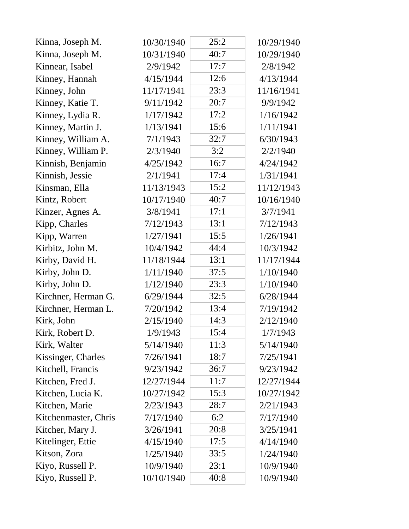| Kinna, Joseph M.     | 10/30/1940 | 25:2 | 10/29/1940 |
|----------------------|------------|------|------------|
| Kinna, Joseph M.     | 10/31/1940 | 40:7 | 10/29/1940 |
| Kinnear, Isabel      | 2/9/1942   | 17:7 | 2/8/1942   |
| Kinney, Hannah       | 4/15/1944  | 12:6 | 4/13/1944  |
| Kinney, John         | 11/17/1941 | 23:3 | 11/16/1941 |
| Kinney, Katie T.     | 9/11/1942  | 20:7 | 9/9/1942   |
| Kinney, Lydia R.     | 1/17/1942  | 17:2 | 1/16/1942  |
| Kinney, Martin J.    | 1/13/1941  | 15:6 | 1/11/1941  |
| Kinney, William A.   | 7/1/1943   | 32:7 | 6/30/1943  |
| Kinney, William P.   | 2/3/1940   | 3:2  | 2/2/1940   |
| Kinnish, Benjamin    | 4/25/1942  | 16:7 | 4/24/1942  |
| Kinnish, Jessie      | 2/1/1941   | 17:4 | 1/31/1941  |
| Kinsman, Ella        | 11/13/1943 | 15:2 | 11/12/1943 |
| Kintz, Robert        | 10/17/1940 | 40:7 | 10/16/1940 |
| Kinzer, Agnes A.     | 3/8/1941   | 17:1 | 3/7/1941   |
| Kipp, Charles        | 7/12/1943  | 13:1 | 7/12/1943  |
| Kipp, Warren         | 1/27/1941  | 15:5 | 1/26/1941  |
| Kirbitz, John M.     | 10/4/1942  | 44:4 | 10/3/1942  |
| Kirby, David H.      | 11/18/1944 | 13:1 | 11/17/1944 |
| Kirby, John D.       | 1/11/1940  | 37:5 | 1/10/1940  |
| Kirby, John D.       | 1/12/1940  | 23:3 | 1/10/1940  |
| Kirchner, Herman G.  | 6/29/1944  | 32:5 | 6/28/1944  |
| Kirchner, Herman L.  | 7/20/1942  | 13:4 | 7/19/1942  |
| Kirk, John           | 2/15/1940  | 14:3 | 2/12/1940  |
| Kirk, Robert D.      | 1/9/1943   | 15:4 | 1/7/1943   |
| Kirk, Walter         | 5/14/1940  | 11:3 | 5/14/1940  |
| Kissinger, Charles   | 7/26/1941  | 18:7 | 7/25/1941  |
| Kitchell, Francis    | 9/23/1942  | 36:7 | 9/23/1942  |
| Kitchen, Fred J.     | 12/27/1944 | 11:7 | 12/27/1944 |
| Kitchen, Lucia K.    | 10/27/1942 | 15:3 | 10/27/1942 |
| Kitchen, Marie       | 2/23/1943  | 28:7 | 2/21/1943  |
| Kitchenmaster, Chris | 7/17/1940  | 6:2  | 7/17/1940  |
| Kitcher, Mary J.     | 3/26/1941  | 20:8 | 3/25/1941  |
| Kitelinger, Ettie    | 4/15/1940  | 17:5 | 4/14/1940  |
| Kitson, Zora         | 1/25/1940  | 33:5 | 1/24/1940  |
| Kiyo, Russell P.     | 10/9/1940  | 23:1 | 10/9/1940  |
| Kiyo, Russell P.     | 10/10/1940 | 40:8 | 10/9/1940  |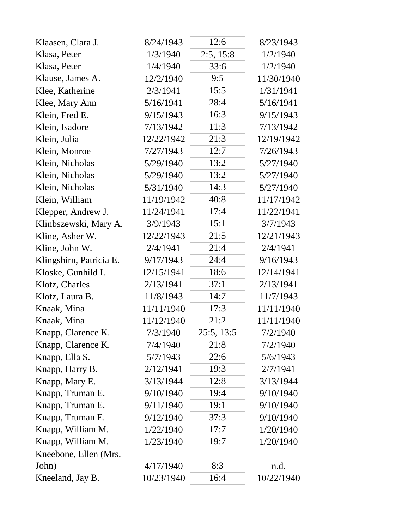| Klaasen, Clara J.       | 8/24/1943  | 12:6       | 8/23/1943  |
|-------------------------|------------|------------|------------|
| Klasa, Peter            | 1/3/1940   | 2:5, 15:8  | 1/2/1940   |
| Klasa, Peter            | 1/4/1940   | 33:6       | 1/2/1940   |
| Klause, James A.        | 12/2/1940  | 9:5        | 11/30/1940 |
| Klee, Katherine         | 2/3/1941   | 15:5       | 1/31/1941  |
| Klee, Mary Ann          | 5/16/1941  | 28:4       | 5/16/1941  |
| Klein, Fred E.          | 9/15/1943  | 16:3       | 9/15/1943  |
| Klein, Isadore          | 7/13/1942  | 11:3       | 7/13/1942  |
| Klein, Julia            | 12/22/1942 | 21:3       | 12/19/1942 |
| Klein, Monroe           | 7/27/1943  | 12:7       | 7/26/1943  |
| Klein, Nicholas         | 5/29/1940  | 13:2       | 5/27/1940  |
| Klein, Nicholas         | 5/29/1940  | 13:2       | 5/27/1940  |
| Klein, Nicholas         | 5/31/1940  | 14:3       | 5/27/1940  |
| Klein, William          | 11/19/1942 | 40:8       | 11/17/1942 |
| Klepper, Andrew J.      | 11/24/1941 | 17:4       | 11/22/1941 |
| Klinbszewski, Mary A.   | 3/9/1943   | 15:1       | 3/7/1943   |
| Kline, Asher W.         | 12/22/1943 | 21:5       | 12/21/1943 |
| Kline, John W.          | 2/4/1941   | 21:4       | 2/4/1941   |
| Klingshirn, Patricia E. | 9/17/1943  | 24:4       | 9/16/1943  |
| Kloske, Gunhild I.      | 12/15/1941 | 18:6       | 12/14/1941 |
| Klotz, Charles          | 2/13/1941  | 37:1       | 2/13/1941  |
| Klotz, Laura B.         | 11/8/1943  | 14:7       | 11/7/1943  |
| Knaak, Mina             | 11/11/1940 | 17:3       | 11/11/1940 |
| Knaak, Mina             | 11/12/1940 | 21:2       | 11/11/1940 |
| Knapp, Clarence K.      | 7/3/1940   | 25:5, 13:5 | 7/2/1940   |
| Knapp, Clarence K.      | 7/4/1940   | 21:8       | 7/2/1940   |
| Knapp, Ella S.          | 5/7/1943   | 22:6       | 5/6/1943   |
| Knapp, Harry B.         | 2/12/1941  | 19:3       | 2/7/1941   |
| Knapp, Mary E.          | 3/13/1944  | 12:8       | 3/13/1944  |
| Knapp, Truman E.        | 9/10/1940  | 19:4       | 9/10/1940  |
| Knapp, Truman E.        | 9/11/1940  | 19:1       | 9/10/1940  |
| Knapp, Truman E.        | 9/12/1940  | 37:3       | 9/10/1940  |
| Knapp, William M.       | 1/22/1940  | 17:7       | 1/20/1940  |
| Knapp, William M.       | 1/23/1940  | 19:7       | 1/20/1940  |
| Kneebone, Ellen (Mrs.   |            |            |            |
| John)                   | 4/17/1940  | 8:3        | n.d.       |
| Kneeland, Jay B.        | 10/23/1940 | 16:4       | 10/22/1940 |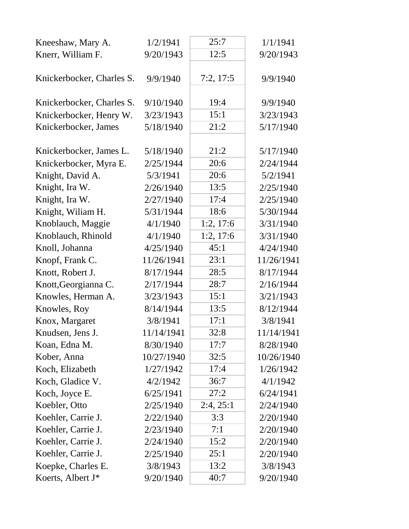| Kneeshaw, Mary A.         | 1/2/1941   | 25:7      | 1/1/1941   |
|---------------------------|------------|-----------|------------|
| Knerr, William F.         | 9/20/1943  | 12:5      | 9/20/1943  |
| Knickerbocker, Charles S. | 9/9/1940   | 7:2, 17:5 | 9/9/1940   |
| Knickerbocker, Charles S. | 9/10/1940  | 19:4      | 9/9/1940   |
| Knickerbocker, Henry W.   | 3/23/1943  | 15:1      | 3/23/1943  |
| Knickerbocker, James      | 5/18/1940  | 21:2      | 5/17/1940  |
| Knickerbocker, James L.   | 5/18/1940  | 21:2      | 5/17/1940  |
| Knickerbocker, Myra E.    | 2/25/1944  | 20:6      | 2/24/1944  |
| Knight, David A.          | 5/3/1941   | 20:6      | 5/2/1941   |
| Knight, Ira W.            | 2/26/1940  | 13:5      | 2/25/1940  |
| Knight, Ira W.            | 2/27/1940  | 17:4      | 2/25/1940  |
| Knight, Wiliam H.         | 5/31/1944  | 18:6      | 5/30/1944  |
| Knoblauch, Maggie         | 4/1/1940   | 1:2, 17:6 | 3/31/1940  |
| Knoblauch, Rhinold        | 4/1/1940   | 1:2, 17:6 | 3/31/1940  |
| Knoll, Johanna            | 4/25/1940  | 45:1      | 4/24/1940  |
| Knopf, Frank C.           | 11/26/1941 | 23:1      | 11/26/1941 |
| Knott, Robert J.          | 8/17/1944  | 28:5      | 8/17/1944  |
| Knott, Georgianna C.      | 2/17/1944  | 28:7      | 2/16/1944  |
| Knowles, Herman A.        | 3/23/1943  | 15:1      | 3/21/1943  |
| Knowles, Roy              | 8/14/1944  | 13:5      | 8/12/1944  |
| Knox, Margaret            | 3/8/1941   | 17:1      | 3/8/1941   |
| Knudsen, Jens J.          | 11/14/1941 | 32:8      | 11/14/1941 |
| Koan, Edna M.             | 8/30/1940  | 17:7      | 8/28/1940  |
| Kober, Anna               | 10/27/1940 | 32:5      | 10/26/1940 |
| Koch, Elizabeth           | 1/27/1942  | 17:4      | 1/26/1942  |
| Koch, Gladice V.          | 4/2/1942   | 36:7      | 4/1/1942   |
| Koch, Joyce E.            | 6/25/1941  | 27:2      | 6/24/1941  |
| Koebler, Otto             | 2/25/1940  | 2:4, 25:1 | 2/24/1940  |
| Koehler, Carrie J.        | 2/22/1940  | 3:3       | 2/20/1940  |
| Koehler, Carrie J.        | 2/23/1940  | 7:1       | 2/20/1940  |
| Koehler, Carrie J.        | 2/24/1940  | 15:2      | 2/20/1940  |
| Koehler, Carrie J.        | 2/25/1940  | 25:1      | 2/20/1940  |
| Koepke, Charles E.        | 3/8/1943   | 13:2      | 3/8/1943   |
| Koerts, Albert J*         | 9/20/1940  | 40:7      | 9/20/1940  |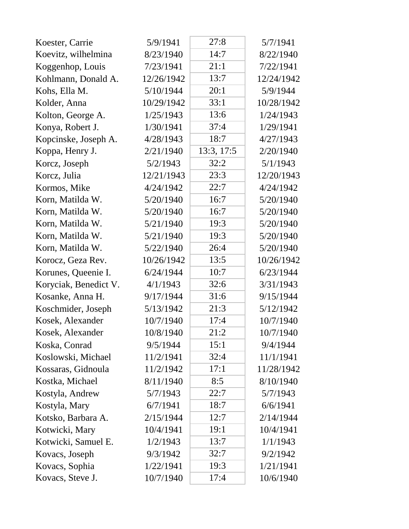| Koester, Carrie       | 5/9/1941   | 27:8       | 5/7/1941   |
|-----------------------|------------|------------|------------|
| Koevitz, wilhelmina   | 8/23/1940  | 14:7       | 8/22/1940  |
| Koggenhop, Louis      | 7/23/1941  | 21:1       | 7/22/1941  |
| Kohlmann, Donald A.   | 12/26/1942 | 13:7       | 12/24/1942 |
| Kohs, Ella M.         | 5/10/1944  | 20:1       | 5/9/1944   |
| Kolder, Anna          | 10/29/1942 | 33:1       | 10/28/1942 |
| Kolton, George A.     | 1/25/1943  | 13:6       | 1/24/1943  |
| Konya, Robert J.      | 1/30/1941  | 37:4       | 1/29/1941  |
| Kopcinske, Joseph A.  | 4/28/1943  | 18:7       | 4/27/1943  |
| Koppa, Henry J.       | 2/21/1940  | 13:3, 17:5 | 2/20/1940  |
| Korcz, Joseph         | 5/2/1943   | 32:2       | 5/1/1943   |
| Korcz, Julia          | 12/21/1943 | 23:3       | 12/20/1943 |
| Kormos, Mike          | 4/24/1942  | 22:7       | 4/24/1942  |
| Korn, Matilda W.      | 5/20/1940  | 16:7       | 5/20/1940  |
| Korn, Matilda W.      | 5/20/1940  | 16:7       | 5/20/1940  |
| Korn, Matilda W.      | 5/21/1940  | 19:3       | 5/20/1940  |
| Korn, Matilda W.      | 5/21/1940  | 19:3       | 5/20/1940  |
| Korn, Matilda W.      | 5/22/1940  | 26:4       | 5/20/1940  |
| Korocz, Geza Rev.     | 10/26/1942 | 13:5       | 10/26/1942 |
| Korunes, Queenie I.   | 6/24/1944  | 10:7       | 6/23/1944  |
| Koryciak, Benedict V. | 4/1/1943   | 32:6       | 3/31/1943  |
| Kosanke, Anna H.      | 9/17/1944  | 31:6       | 9/15/1944  |
| Koschmider, Joseph    | 5/13/1942  | 21:3       | 5/12/1942  |
| Kosek, Alexander      | 10/7/1940  | 17:4       | 10/7/1940  |
| Kosek, Alexander      | 10/8/1940  | 21:2       | 10/7/1940  |
| Koska, Conrad         | 9/5/1944   | 15:1       | 9/4/1944   |
| Koslowski, Michael    | 11/2/1941  | 32:4       | 11/1/1941  |
| Kossaras, Gidnoula    | 11/2/1942  | 17:1       | 11/28/1942 |
| Kostka, Michael       | 8/11/1940  | 8:5        | 8/10/1940  |
| Kostyla, Andrew       | 5/7/1943   | 22:7       | 5/7/1943   |
| Kostyla, Mary         | 6/7/1941   | 18:7       | 6/6/1941   |
| Kotsko, Barbara A.    | 2/15/1944  | 12:7       | 2/14/1944  |
| Kotwicki, Mary        | 10/4/1941  | 19:1       | 10/4/1941  |
| Kotwicki, Samuel E.   | 1/2/1943   | 13:7       | 1/1/1943   |
| Kovacs, Joseph        | 9/3/1942   | 32:7       | 9/2/1942   |
| Kovacs, Sophia        | 1/22/1941  | 19:3       | 1/21/1941  |
| Kovacs, Steve J.      | 10/7/1940  | 17:4       | 10/6/1940  |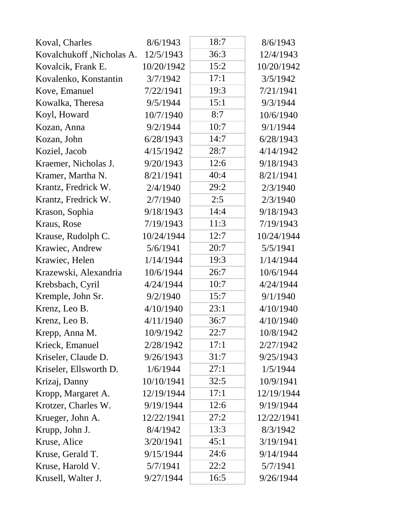| Koval, Charles            | 8/6/1943   | 18:7 | 8/6/1943   |
|---------------------------|------------|------|------------|
| Kovalchukoff, Nicholas A. | 12/5/1943  | 36:3 | 12/4/1943  |
| Kovalcik, Frank E.        | 10/20/1942 | 15:2 | 10/20/1942 |
| Kovalenko, Konstantin     | 3/7/1942   | 17:1 | 3/5/1942   |
| Kove, Emanuel             | 7/22/1941  | 19:3 | 7/21/1941  |
| Kowalka, Theresa          | 9/5/1944   | 15:1 | 9/3/1944   |
| Koyl, Howard              | 10/7/1940  | 8:7  | 10/6/1940  |
| Kozan, Anna               | 9/2/1944   | 10:7 | 9/1/1944   |
| Kozan, John               | 6/28/1943  | 14:7 | 6/28/1943  |
| Koziel, Jacob             | 4/15/1942  | 28:7 | 4/14/1942  |
| Kraemer, Nicholas J.      | 9/20/1943  | 12:6 | 9/18/1943  |
| Kramer, Martha N.         | 8/21/1941  | 40:4 | 8/21/1941  |
| Krantz, Fredrick W.       | 2/4/1940   | 29:2 | 2/3/1940   |
| Krantz, Fredrick W.       | 2/7/1940   | 2:5  | 2/3/1940   |
| Krason, Sophia            | 9/18/1943  | 14:4 | 9/18/1943  |
| Kraus, Rose               | 7/19/1943  | 11:3 | 7/19/1943  |
| Krause, Rudolph C.        | 10/24/1944 | 12:7 | 10/24/1944 |
| Krawiec, Andrew           | 5/6/1941   | 20:7 | 5/5/1941   |
| Krawiec, Helen            | 1/14/1944  | 19:3 | 1/14/1944  |
| Krazewski, Alexandria     | 10/6/1944  | 26:7 | 10/6/1944  |
| Krebsbach, Cyril          | 4/24/1944  | 10:7 | 4/24/1944  |
| Kremple, John Sr.         | 9/2/1940   | 15:7 | 9/1/1940   |
| Krenz, Leo B.             | 4/10/1940  | 23:1 | 4/10/1940  |
| Krenz, Leo B.             | 4/11/1940  | 36:7 | 4/10/1940  |
| Krepp, Anna M.            | 10/9/1942  | 22:7 | 10/8/1942  |
| Krieck, Emanuel           | 2/28/1942  | 17:1 | 2/27/1942  |
| Kriseler, Claude D.       | 9/26/1943  | 31:7 | 9/25/1943  |
| Kriseler, Ellsworth D.    | 1/6/1944   | 27:1 | 1/5/1944   |
| Krizaj, Danny             | 10/10/1941 | 32:5 | 10/9/1941  |
| Kropp, Margaret A.        | 12/19/1944 | 17:1 | 12/19/1944 |
| Krotzer, Charles W.       | 9/19/1944  | 12:6 | 9/19/1944  |
| Krueger, John A.          | 12/22/1941 | 27:2 | 12/22/1941 |
| Krupp, John J.            | 8/4/1942   | 13:3 | 8/3/1942   |
| Kruse, Alice              | 3/20/1941  | 45:1 | 3/19/1941  |
| Kruse, Gerald T.          | 9/15/1944  | 24:6 | 9/14/1944  |
| Kruse, Harold V.          | 5/7/1941   | 22:2 | 5/7/1941   |
| Krusell, Walter J.        | 9/27/1944  | 16:5 | 9/26/1944  |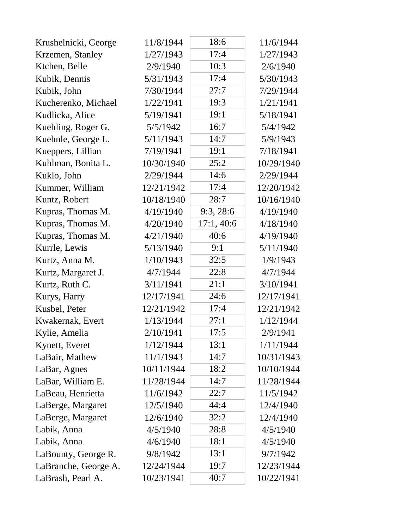| Krushelnicki, George | 11/8/1944  | 18:6      | 11/6/1944  |
|----------------------|------------|-----------|------------|
| Krzemen, Stanley     | 1/27/1943  | 17:4      | 1/27/1943  |
| Ktchen, Belle        | 2/9/1940   | 10:3      | 2/6/1940   |
| Kubik, Dennis        | 5/31/1943  | 17:4      | 5/30/1943  |
| Kubik, John          | 7/30/1944  | 27:7      | 7/29/1944  |
| Kucherenko, Michael  | 1/22/1941  | 19:3      | 1/21/1941  |
| Kudlicka, Alice      | 5/19/1941  | 19:1      | 5/18/1941  |
| Kuehling, Roger G.   | 5/5/1942   | 16:7      | 5/4/1942   |
| Kuehnle, George L.   | 5/11/1943  | 14:7      | 5/9/1943   |
| Kueppers, Lillian    | 7/19/1941  | 19:1      | 7/18/1941  |
| Kuhlman, Bonita L.   | 10/30/1940 | 25:2      | 10/29/1940 |
| Kuklo, John          | 2/29/1944  | 14:6      | 2/29/1944  |
| Kummer, William      | 12/21/1942 | 17:4      | 12/20/1942 |
| Kuntz, Robert        | 10/18/1940 | 28:7      | 10/16/1940 |
| Kupras, Thomas M.    | 4/19/1940  | 9:3,28:6  | 4/19/1940  |
| Kupras, Thomas M.    | 4/20/1940  | 17:1,40:6 | 4/18/1940  |
| Kupras, Thomas M.    | 4/21/1940  | 40:6      | 4/19/1940  |
| Kurrle, Lewis        | 5/13/1940  | 9:1       | 5/11/1940  |
| Kurtz, Anna M.       | 1/10/1943  | 32:5      | 1/9/1943   |
| Kurtz, Margaret J.   | 4/7/1944   | 22:8      | 4/7/1944   |
| Kurtz, Ruth C.       | 3/11/1941  | 21:1      | 3/10/1941  |
| Kurys, Harry         | 12/17/1941 | 24:6      | 12/17/1941 |
| Kusbel, Peter        | 12/21/1942 | 17:4      | 12/21/1942 |
| Kwakernak, Evert     | 1/13/1944  | 27:1      | 1/12/1944  |
| Kylie, Amelia        | 2/10/1941  | 17:5      | 2/9/1941   |
| Kynett, Everet       | 1/12/1944  | 13:1      | 1/11/1944  |
| LaBair, Mathew       | 11/1/1943  | 14:7      | 10/31/1943 |
| LaBar, Agnes         | 10/11/1944 | 18:2      | 10/10/1944 |
| LaBar, William E.    | 11/28/1944 | 14:7      | 11/28/1944 |
| LaBeau, Henrietta    | 11/6/1942  | 22:7      | 11/5/1942  |
| LaBerge, Margaret    | 12/5/1940  | 44:4      | 12/4/1940  |
| LaBerge, Margaret    | 12/6/1940  | 32:2      | 12/4/1940  |
| Labik, Anna          | 4/5/1940   | 28:8      | 4/5/1940   |
| Labik, Anna          | 4/6/1940   | 18:1      | 4/5/1940   |
| LaBounty, George R.  | 9/8/1942   | 13:1      | 9/7/1942   |
| LaBranche, George A. | 12/24/1944 | 19:7      | 12/23/1944 |
| LaBrash, Pearl A.    | 10/23/1941 | 40:7      | 10/22/1941 |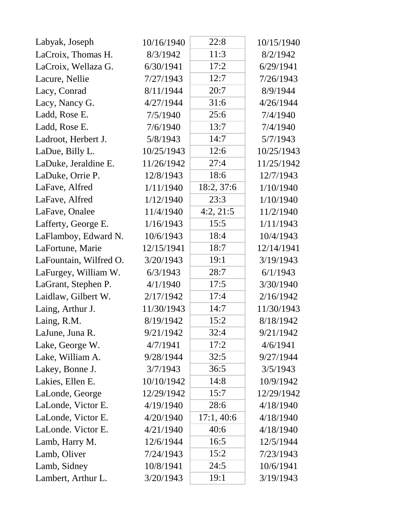| Labyak, Joseph         | 10/16/1940 | 22:8       | 10/15/1940 |
|------------------------|------------|------------|------------|
| LaCroix, Thomas H.     | 8/3/1942   | 11:3       | 8/2/1942   |
| LaCroix, Wellaza G.    | 6/30/1941  | 17:2       | 6/29/1941  |
| Lacure, Nellie         | 7/27/1943  | 12:7       | 7/26/1943  |
| Lacy, Conrad           | 8/11/1944  | 20:7       | 8/9/1944   |
| Lacy, Nancy G.         | 4/27/1944  | 31:6       | 4/26/1944  |
| Ladd, Rose E.          | 7/5/1940   | 25:6       | 7/4/1940   |
| Ladd, Rose E.          | 7/6/1940   | 13:7       | 7/4/1940   |
| Ladroot, Herbert J.    | 5/8/1943   | 14:7       | 5/7/1943   |
| LaDue, Billy L.        | 10/25/1943 | 12:6       | 10/25/1943 |
| LaDuke, Jeraldine E.   | 11/26/1942 | 27:4       | 11/25/1942 |
| LaDuke, Orrie P.       | 12/8/1943  | 18:6       | 12/7/1943  |
| LaFave, Alfred         | 1/11/1940  | 18:2, 37:6 | 1/10/1940  |
| LaFave, Alfred         | 1/12/1940  | 23:3       | 1/10/1940  |
| LaFave, Onalee         | 11/4/1940  | 4:2, 21:5  | 11/2/1940  |
| Lafferty, George E.    | 1/16/1943  | 15:5       | 1/11/1943  |
| LaFlamboy, Edward N.   | 10/6/1943  | 18:4       | 10/4/1943  |
| LaFortune, Marie       | 12/15/1941 | 18:7       | 12/14/1941 |
| LaFountain, Wilfred O. | 3/20/1943  | 19:1       | 3/19/1943  |
| LaFurgey, William W.   | 6/3/1943   | 28:7       | 6/1/1943   |
| LaGrant, Stephen P.    | 4/1/1940   | 17:5       | 3/30/1940  |
| Laidlaw, Gilbert W.    | 2/17/1942  | 17:4       | 2/16/1942  |
| Laing, Arthur J.       | 11/30/1943 | 14:7       | 11/30/1943 |
| Laing, R.M.            | 8/19/1942  | 15:2       | 8/18/1942  |
| LaJune, Juna R.        | 9/21/1942  | 32:4       | 9/21/1942  |
| Lake, George W.        | 4/7/1941   | 17:2       | 4/6/1941   |
| Lake, William A.       | 9/28/1944  | 32:5       | 9/27/1944  |
| Lakey, Bonne J.        | 3/7/1943   | 36:5       | 3/5/1943   |
| Lakies, Ellen E.       | 10/10/1942 | 14:8       | 10/9/1942  |
| LaLonde, George        | 12/29/1942 | 15:7       | 12/29/1942 |
| LaLonde, Victor E.     | 4/19/1940  | 28:6       | 4/18/1940  |
| LaLonde, Victor E.     | 4/20/1940  | 17:1,40:6  | 4/18/1940  |
| LaLonde. Victor E.     | 4/21/1940  | 40:6       | 4/18/1940  |
| Lamb, Harry M.         | 12/6/1944  | 16:5       | 12/5/1944  |
| Lamb, Oliver           | 7/24/1943  | 15:2       | 7/23/1943  |
| Lamb, Sidney           | 10/8/1941  | 24:5       | 10/6/1941  |
| Lambert, Arthur L.     | 3/20/1943  | 19:1       | 3/19/1943  |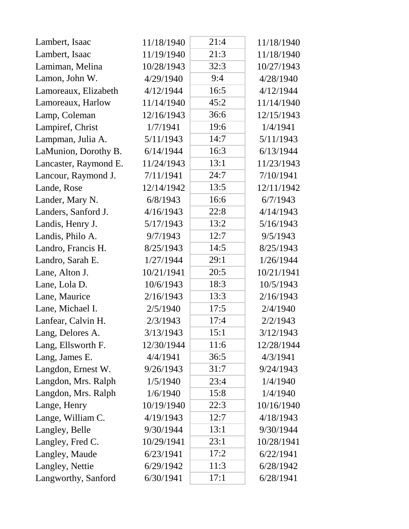| Lambert, Isaac        | 11/18/1940 | 21:4 | 11/18/1940 |
|-----------------------|------------|------|------------|
| Lambert, Isaac        | 11/19/1940 | 21:3 | 11/18/1940 |
| Lamiman, Melina       | 10/28/1943 | 32:3 | 10/27/1943 |
| Lamon, John W.        | 4/29/1940  | 9:4  | 4/28/1940  |
| Lamoreaux, Elizabeth  | 4/12/1944  | 16:5 | 4/12/1944  |
| Lamoreaux, Harlow     | 11/14/1940 | 45:2 | 11/14/1940 |
| Lamp, Coleman         | 12/16/1943 | 36:6 | 12/15/1943 |
| Lampiref, Christ      | 1/7/1941   | 19:6 | 1/4/1941   |
| Lampman, Julia A.     | 5/11/1943  | 14:7 | 5/11/1943  |
| LaMunion, Dorothy B.  | 6/14/1944  | 16:3 | 6/13/1944  |
| Lancaster, Raymond E. | 11/24/1943 | 13:1 | 11/23/1943 |
| Lancour, Raymond J.   | 7/11/1941  | 24:7 | 7/10/1941  |
| Lande, Rose           | 12/14/1942 | 13:5 | 12/11/1942 |
| Lander, Mary N.       | 6/8/1943   | 16:6 | 6/7/1943   |
| Landers, Sanford J.   | 4/16/1943  | 22:8 | 4/14/1943  |
| Landis, Henry J.      | 5/17/1943  | 13:2 | 5/16/1943  |
| Landis, Philo A.      | 9/7/1943   | 12:7 | 9/5/1943   |
| Landro, Francis H.    | 8/25/1943  | 14:5 | 8/25/1943  |
| Landro, Sarah E.      | 1/27/1944  | 29:1 | 1/26/1944  |
| Lane, Alton J.        | 10/21/1941 | 20:5 | 10/21/1941 |
| Lane, Lola D.         | 10/6/1943  | 18:3 | 10/5/1943  |
| Lane, Maurice         | 2/16/1943  | 13:3 | 2/16/1943  |
| Lane, Michael I.      | 2/5/1940   | 17:5 | 2/4/1940   |
| Lanfear, Calvin H.    | 2/3/1943   | 17:4 | 2/2/1943   |
| Lang, Delores A.      | 3/13/1943  | 15:1 | 3/12/1943  |
| Lang, Ellsworth F.    | 12/30/1944 | 11:6 | 12/28/1944 |
| Lang, James E.        | 4/4/1941   | 36:5 | 4/3/1941   |
| Langdon, Ernest W.    | 9/26/1943  | 31:7 | 9/24/1943  |
| Langdon, Mrs. Ralph   | 1/5/1940   | 23:4 | 1/4/1940   |
| Langdon, Mrs. Ralph   | 1/6/1940   | 15:8 | 1/4/1940   |
| Lange, Henry          | 10/19/1940 | 22:3 | 10/16/1940 |
| Lange, William C.     | 4/19/1943  | 12:7 | 4/18/1943  |
| Langley, Belle        | 9/30/1944  | 13:1 | 9/30/1944  |
| Langley, Fred C.      | 10/29/1941 | 23:1 | 10/28/1941 |
| Langley, Maude        | 6/23/1941  | 17:2 | 6/22/1941  |
| Langley, Nettie       | 6/29/1942  | 11:3 | 6/28/1942  |
| Langworthy, Sanford   | 6/30/1941  | 17:1 | 6/28/1941  |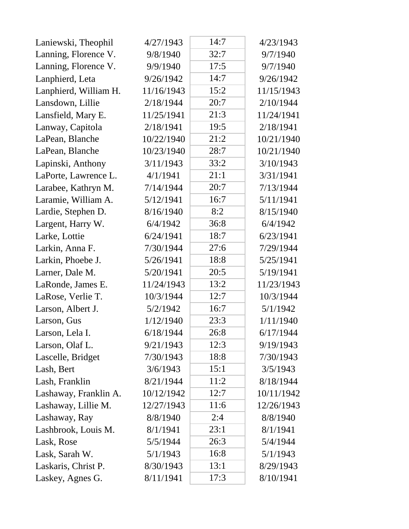| Laniewski, Theophil   | 4/27/1943  | 14:7 | 4/23/1943  |
|-----------------------|------------|------|------------|
| Lanning, Florence V.  | 9/8/1940   | 32:7 | 9/7/1940   |
| Lanning, Florence V.  | 9/9/1940   | 17:5 | 9/7/1940   |
| Lanphierd, Leta       | 9/26/1942  | 14:7 | 9/26/1942  |
| Lanphierd, William H. | 11/16/1943 | 15:2 | 11/15/1943 |
| Lansdown, Lillie      | 2/18/1944  | 20:7 | 2/10/1944  |
| Lansfield, Mary E.    | 11/25/1941 | 21:3 | 11/24/1941 |
| Lanway, Capitola      | 2/18/1941  | 19:5 | 2/18/1941  |
| LaPean, Blanche       | 10/22/1940 | 21:2 | 10/21/1940 |
| LaPean, Blanche       | 10/23/1940 | 28:7 | 10/21/1940 |
| Lapinski, Anthony     | 3/11/1943  | 33:2 | 3/10/1943  |
| LaPorte, Lawrence L.  | 4/1/1941   | 21:1 | 3/31/1941  |
| Larabee, Kathryn M.   | 7/14/1944  | 20:7 | 7/13/1944  |
| Laramie, William A.   | 5/12/1941  | 16:7 | 5/11/1941  |
| Lardie, Stephen D.    | 8/16/1940  | 8:2  | 8/15/1940  |
| Largent, Harry W.     | 6/4/1942   | 36:8 | 6/4/1942   |
| Larke, Lottie         | 6/24/1941  | 18:7 | 6/23/1941  |
| Larkin, Anna F.       | 7/30/1944  | 27:6 | 7/29/1944  |
| Larkin, Phoebe J.     | 5/26/1941  | 18:8 | 5/25/1941  |
| Larner, Dale M.       | 5/20/1941  | 20:5 | 5/19/1941  |
| LaRonde, James E.     | 11/24/1943 | 13:2 | 11/23/1943 |
| LaRose, Verlie T.     | 10/3/1944  | 12:7 | 10/3/1944  |
| Larson, Albert J.     | 5/2/1942   | 16:7 | 5/1/1942   |
| Larson, Gus           | 1/12/1940  | 23:3 | 1/11/1940  |
| Larson, Lela I.       | 6/18/1944  | 26:8 | 6/17/1944  |
| Larson, Olaf L.       | 9/21/1943  | 12:3 | 9/19/1943  |
| Lascelle, Bridget     | 7/30/1943  | 18:8 | 7/30/1943  |
| Lash, Bert            | 3/6/1943   | 15:1 | 3/5/1943   |
| Lash, Franklin        | 8/21/1944  | 11:2 | 8/18/1944  |
| Lashaway, Franklin A. | 10/12/1942 | 12:7 | 10/11/1942 |
| Lashaway, Lillie M.   | 12/27/1943 | 11:6 | 12/26/1943 |
| Lashaway, Ray         | 8/8/1940   | 2:4  | 8/8/1940   |
| Lashbrook, Louis M.   | 8/1/1941   | 23:1 | 8/1/1941   |
| Lask, Rose            | 5/5/1944   | 26:3 | 5/4/1944   |
| Lask, Sarah W.        | 5/1/1943   | 16:8 | 5/1/1943   |
| Laskaris, Christ P.   | 8/30/1943  | 13:1 | 8/29/1943  |
| Laskey, Agnes G.      | 8/11/1941  | 17:3 | 8/10/1941  |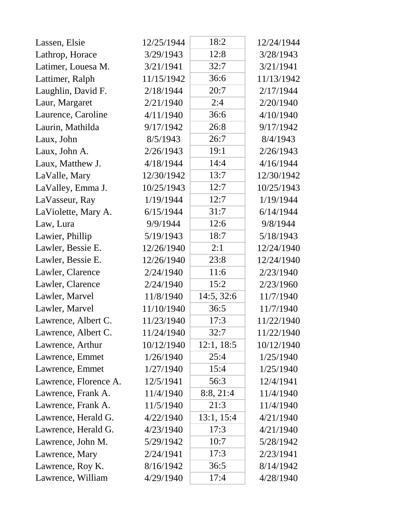| Lassen, Elsie         | 12/25/1944 | 18:2       | 12/24/1944 |
|-----------------------|------------|------------|------------|
| Lathrop, Horace       | 3/29/1943  | 12:8       | 3/28/1943  |
| Latimer, Louesa M.    | 3/21/1941  | 32:7       | 3/21/1941  |
| Lattimer, Ralph       | 11/15/1942 | 36:6       | 11/13/1942 |
| Laughlin, David F.    | 2/18/1944  | 20:7       | 2/17/1944  |
| Laur, Margaret        | 2/21/1940  | 2:4        | 2/20/1940  |
| Laurence, Caroline    | 4/11/1940  | 36:6       | 4/10/1940  |
| Laurin, Mathilda      | 9/17/1942  | 26:8       | 9/17/1942  |
| Laux, John            | 8/5/1943   | 26:7       | 8/4/1943   |
| Laux, John A.         | 2/26/1943  | 19:1       | 2/26/1943  |
| Laux, Matthew J.      | 4/18/1944  | 14:4       | 4/16/1944  |
| LaValle, Mary         | 12/30/1942 | 13:7       | 12/30/1942 |
| LaValley, Emma J.     | 10/25/1943 | 12:7       | 10/25/1943 |
| LaVasseur, Ray        | 1/19/1944  | 12:7       | 1/19/1944  |
| LaViolette, Mary A.   | 6/15/1944  | 31:7       | 6/14/1944  |
| Law, Lura             | 9/9/1944   | 12:6       | 9/8/1944   |
| Lawier, Phillip       | 5/19/1943  | 18:7       | 5/18/1943  |
| Lawler, Bessie E.     | 12/26/1940 | 2:1        | 12/24/1940 |
| Lawler, Bessie E.     | 12/26/1940 | 23:8       | 12/24/1940 |
| Lawler, Clarence      | 2/24/1940  | 11:6       | 2/23/1940  |
| Lawler, Clarence      | 2/24/1940  | 15:2       | 2/23/1960  |
| Lawler, Marvel        | 11/8/1940  | 14:5, 32:6 | 11/7/1940  |
| Lawler, Marvel        | 11/10/1940 | 36:5       | 11/7/1940  |
| Lawrence, Albert C.   | 11/23/1940 | 17:3       | 11/22/1940 |
| Lawrence, Albert C.   | 11/24/1940 | 32:7       | 11/22/1940 |
| Lawrence, Arthur      | 10/12/1940 | 12:1, 18:5 | 10/12/1940 |
| Lawrence, Emmet       | 1/26/1940  | 25:4       | 1/25/1940  |
| Lawrence, Emmet       | 1/27/1940  | 15:4       | 1/25/1940  |
| Lawrence, Florence A. | 12/5/1941  | 56:3       | 12/4/1941  |
| Lawrence, Frank A.    | 11/4/1940  | 8:8, 21:4  | 11/4/1940  |
| Lawrence, Frank A.    | 11/5/1940  | 21:3       | 11/4/1940  |
| Lawrence, Herald G.   | 4/22/1940  | 13:1, 15:4 | 4/21/1940  |
| Lawrence, Herald G.   | 4/23/1940  | 17:3       | 4/21/1940  |
| Lawrence, John M.     | 5/29/1942  | 10:7       | 5/28/1942  |
| Lawrence, Mary        | 2/24/1941  | 17:3       | 2/23/1941  |
| Lawrence, Roy K.      | 8/16/1942  | 36:5       | 8/14/1942  |
| Lawrence, William     | 4/29/1940  | 17:4       | 4/28/1940  |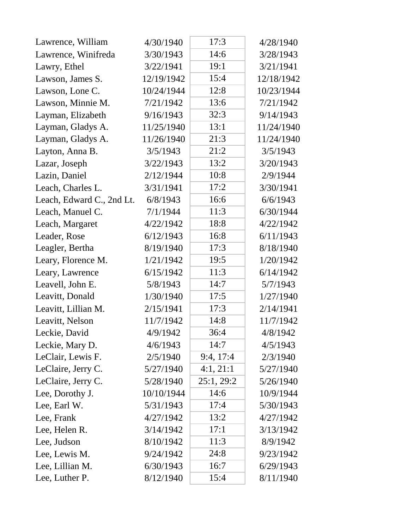| Lawrence, William         | 4/30/1940  | 17:3       | 4/28/1940  |
|---------------------------|------------|------------|------------|
| Lawrence, Winifreda       | 3/30/1943  | 14:6       | 3/28/1943  |
| Lawry, Ethel              | 3/22/1941  | 19:1       | 3/21/1941  |
| Lawson, James S.          | 12/19/1942 | 15:4       | 12/18/1942 |
| Lawson, Lone C.           | 10/24/1944 | 12:8       | 10/23/1944 |
| Lawson, Minnie M.         | 7/21/1942  | 13:6       | 7/21/1942  |
| Layman, Elizabeth         | 9/16/1943  | 32:3       | 9/14/1943  |
| Layman, Gladys A.         | 11/25/1940 | 13:1       | 11/24/1940 |
| Layman, Gladys A.         | 11/26/1940 | 21:3       | 11/24/1940 |
| Layton, Anna B.           | 3/5/1943   | 21:2       | 3/5/1943   |
| Lazar, Joseph             | 3/22/1943  | 13:2       | 3/20/1943  |
| Lazin, Daniel             | 2/12/1944  | 10:8       | 2/9/1944   |
| Leach, Charles L.         | 3/31/1941  | 17:2       | 3/30/1941  |
| Leach, Edward C., 2nd Lt. | 6/8/1943   | 16:6       | 6/6/1943   |
| Leach, Manuel C.          | 7/1/1944   | 11:3       | 6/30/1944  |
| Leach, Margaret           | 4/22/1942  | 18:8       | 4/22/1942  |
| Leader, Rose              | 6/12/1943  | 16:8       | 6/11/1943  |
| Leagler, Bertha           | 8/19/1940  | 17:3       | 8/18/1940  |
| Leary, Florence M.        | 1/21/1942  | 19:5       | 1/20/1942  |
| Leary, Lawrence           | 6/15/1942  | 11:3       | 6/14/1942  |
| Leavell, John E.          | 5/8/1943   | 14:7       | 5/7/1943   |
| Leavitt, Donald           | 1/30/1940  | 17:5       | 1/27/1940  |
| Leavitt, Lillian M.       | 2/15/1941  | 17:3       | 2/14/1941  |
| Leavitt, Nelson           | 11/7/1942  | 14:8       | 11/7/1942  |
| Leckie, David             | 4/9/1942   | 36:4       | 4/8/1942   |
| Leckie, Mary D.           | 4/6/1943   | 14:7       | 4/5/1943   |
| LeClair, Lewis F.         | 2/5/1940   | 9:4, 17:4  | 2/3/1940   |
| LeClaire, Jerry C.        | 5/27/1940  | 4:1, 21:1  | 5/27/1940  |
| LeClaire, Jerry C.        | 5/28/1940  | 25:1, 29:2 | 5/26/1940  |
| Lee, Dorothy J.           | 10/10/1944 | 14:6       | 10/9/1944  |
| Lee, Earl W.              | 5/31/1943  | 17:4       | 5/30/1943  |
| Lee, Frank                | 4/27/1942  | 13:2       | 4/27/1942  |
| Lee, Helen R.             | 3/14/1942  | 17:1       | 3/13/1942  |
| Lee, Judson               | 8/10/1942  | 11:3       | 8/9/1942   |
| Lee, Lewis M.             | 9/24/1942  | 24:8       | 9/23/1942  |
| Lee, Lillian M.           | 6/30/1943  | 16:7       | 6/29/1943  |
| Lee, Luther P.            | 8/12/1940  | 15:4       | 8/11/1940  |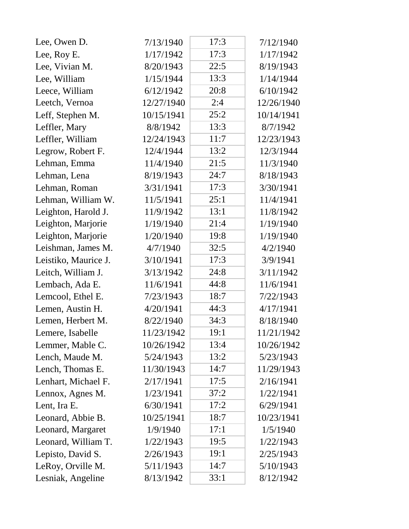| Lee, Owen D.         | 7/13/1940  | 17:3 | 7/12/1940  |
|----------------------|------------|------|------------|
| Lee, Roy E.          | 1/17/1942  | 17:3 | 1/17/1942  |
| Lee, Vivian M.       | 8/20/1943  | 22:5 | 8/19/1943  |
| Lee, William         | 1/15/1944  | 13:3 | 1/14/1944  |
| Leece, William       | 6/12/1942  | 20:8 | 6/10/1942  |
| Leetch, Vernoa       | 12/27/1940 | 2:4  | 12/26/1940 |
| Leff, Stephen M.     | 10/15/1941 | 25:2 | 10/14/1941 |
| Leffler, Mary        | 8/8/1942   | 13:3 | 8/7/1942   |
| Leffler, William     | 12/24/1943 | 11:7 | 12/23/1943 |
| Legrow, Robert F.    | 12/4/1944  | 13:2 | 12/3/1944  |
| Lehman, Emma         | 11/4/1940  | 21:5 | 11/3/1940  |
| Lehman, Lena         | 8/19/1943  | 24:7 | 8/18/1943  |
| Lehman, Roman        | 3/31/1941  | 17:3 | 3/30/1941  |
| Lehman, William W.   | 11/5/1941  | 25:1 | 11/4/1941  |
| Leighton, Harold J.  | 11/9/1942  | 13:1 | 11/8/1942  |
| Leighton, Marjorie   | 1/19/1940  | 21:4 | 1/19/1940  |
| Leighton, Marjorie   | 1/20/1940  | 19:8 | 1/19/1940  |
| Leishman, James M.   | 4/7/1940   | 32:5 | 4/2/1940   |
| Leistiko, Maurice J. | 3/10/1941  | 17:3 | 3/9/1941   |
| Leitch, William J.   | 3/13/1942  | 24:8 | 3/11/1942  |
| Lembach, Ada E.      | 11/6/1941  | 44:8 | 11/6/1941  |
| Lemcool, Ethel E.    | 7/23/1943  | 18:7 | 7/22/1943  |
| Lemen, Austin H.     | 4/20/1941  | 44:3 | 4/17/1941  |
| Lemen, Herbert M.    | 8/22/1940  | 34:3 | 8/18/1940  |
| Lemere, Isabelle     | 11/23/1942 | 19:1 | 11/21/1942 |
| Lemmer, Mable C.     | 10/26/1942 | 13:4 | 10/26/1942 |
| Lench, Maude M.      | 5/24/1943  | 13:2 | 5/23/1943  |
| Lench, Thomas E.     | 11/30/1943 | 14:7 | 11/29/1943 |
| Lenhart, Michael F.  | 2/17/1941  | 17:5 | 2/16/1941  |
| Lennox, Agnes M.     | 1/23/1941  | 37:2 | 1/22/1941  |
| Lent, Ira E.         | 6/30/1941  | 17:2 | 6/29/1941  |
| Leonard, Abbie B.    | 10/25/1941 | 18:7 | 10/23/1941 |
| Leonard, Margaret    | 1/9/1940   | 17:1 | 1/5/1940   |
| Leonard, William T.  | 1/22/1943  | 19:5 | 1/22/1943  |
| Lepisto, David S.    | 2/26/1943  | 19:1 | 2/25/1943  |
| LeRoy, Orville M.    | 5/11/1943  | 14:7 | 5/10/1943  |
| Lesniak, Angeline    | 8/13/1942  | 33:1 | 8/12/1942  |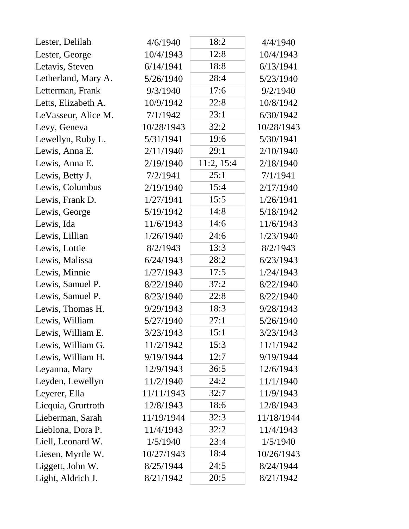| Lester, Delilah     | 4/6/1940   | 18:2       | 4/4/1940   |
|---------------------|------------|------------|------------|
| Lester, George      | 10/4/1943  | 12:8       | 10/4/1943  |
| Letavis, Steven     | 6/14/1941  | 18:8       | 6/13/1941  |
| Letherland, Mary A. | 5/26/1940  | 28:4       | 5/23/1940  |
| Letterman, Frank    | 9/3/1940   | 17:6       | 9/2/1940   |
| Letts, Elizabeth A. | 10/9/1942  | 22:8       | 10/8/1942  |
| LeVasseur, Alice M. | 7/1/1942   | 23:1       | 6/30/1942  |
| Levy, Geneva        | 10/28/1943 | 32:2       | 10/28/1943 |
| Lewellyn, Ruby L.   | 5/31/1941  | 19:6       | 5/30/1941  |
| Lewis, Anna E.      | 2/11/1940  | 29:1       | 2/10/1940  |
| Lewis, Anna E.      | 2/19/1940  | 11:2, 15:4 | 2/18/1940  |
| Lewis, Betty J.     | 7/2/1941   | 25:1       | 7/1/1941   |
| Lewis, Columbus     | 2/19/1940  | 15:4       | 2/17/1940  |
| Lewis, Frank D.     | 1/27/1941  | 15:5       | 1/26/1941  |
| Lewis, George       | 5/19/1942  | 14:8       | 5/18/1942  |
| Lewis, Ida          | 11/6/1943  | 14:6       | 11/6/1943  |
| Lewis, Lillian      | 1/26/1940  | 24:6       | 1/23/1940  |
| Lewis, Lottie       | 8/2/1943   | 13:3       | 8/2/1943   |
| Lewis, Malissa      | 6/24/1943  | 28:2       | 6/23/1943  |
| Lewis, Minnie       | 1/27/1943  | 17:5       | 1/24/1943  |
| Lewis, Samuel P.    | 8/22/1940  | 37:2       | 8/22/1940  |
| Lewis, Samuel P.    | 8/23/1940  | 22:8       | 8/22/1940  |
| Lewis, Thomas H.    | 9/29/1943  | 18:3       | 9/28/1943  |
| Lewis, William      | 5/27/1940  | 27:1       | 5/26/1940  |
| Lewis, William E.   | 3/23/1943  | 15:1       | 3/23/1943  |
| Lewis, William G.   | 11/2/1942  | 15:3       | 11/1/1942  |
| Lewis, William H.   | 9/19/1944  | 12:7       | 9/19/1944  |
| Leyanna, Mary       | 12/9/1943  | 36:5       | 12/6/1943  |
| Leyden, Lewellyn    | 11/2/1940  | 24:2       | 11/1/1940  |
| Leyerer, Ella       | 11/11/1943 | 32:7       | 11/9/1943  |
| Licquia, Grurtroth  | 12/8/1943  | 18:6       | 12/8/1943  |
| Lieberman, Sarah    | 11/19/1944 | 32:3       | 11/18/1944 |
| Lieblona, Dora P.   | 11/4/1943  | 32:2       | 11/4/1943  |
| Liell, Leonard W.   | 1/5/1940   | 23:4       | 1/5/1940   |
| Liesen, Myrtle W.   | 10/27/1943 | 18:4       | 10/26/1943 |
| Liggett, John W.    | 8/25/1944  | 24:5       | 8/24/1944  |
| Light, Aldrich J.   | 8/21/1942  | 20:5       | 8/21/1942  |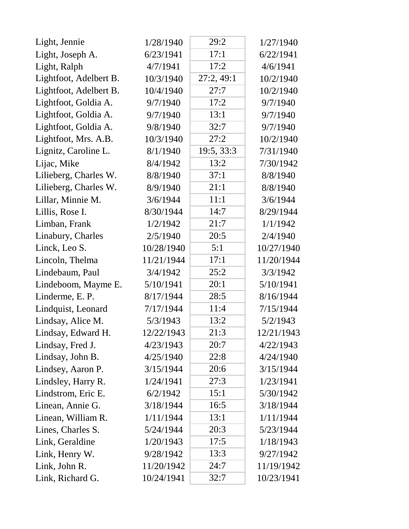| Light, Jennie          | 1/28/1940  | 29:2       | 1/27/1940  |
|------------------------|------------|------------|------------|
| Light, Joseph A.       | 6/23/1941  | 17:1       | 6/22/1941  |
| Light, Ralph           | 4/7/1941   | 17:2       | 4/6/1941   |
| Lightfoot, Adelbert B. | 10/3/1940  | 27:2,49:1  | 10/2/1940  |
| Lightfoot, Adelbert B. | 10/4/1940  | 27:7       | 10/2/1940  |
| Lightfoot, Goldia A.   | 9/7/1940   | 17:2       | 9/7/1940   |
| Lightfoot, Goldia A.   | 9/7/1940   | 13:1       | 9/7/1940   |
| Lightfoot, Goldia A.   | 9/8/1940   | 32:7       | 9/7/1940   |
| Lightfoot, Mrs. A.B.   | 10/3/1940  | 27:2       | 10/2/1940  |
| Lignitz, Caroline L.   | 8/1/1940   | 19:5, 33:3 | 7/31/1940  |
| Lijac, Mike            | 8/4/1942   | 13:2       | 7/30/1942  |
| Lilieberg, Charles W.  | 8/8/1940   | 37:1       | 8/8/1940   |
| Lilieberg, Charles W.  | 8/9/1940   | 21:1       | 8/8/1940   |
| Lillar, Minnie M.      | 3/6/1944   | 11:1       | 3/6/1944   |
| Lillis, Rose I.        | 8/30/1944  | 14:7       | 8/29/1944  |
| Limban, Frank          | 1/2/1942   | 21:7       | 1/1/1942   |
| Linabury, Charles      | 2/5/1940   | 20:5       | 2/4/1940   |
| Linck, Leo S.          | 10/28/1940 | 5:1        | 10/27/1940 |
| Lincoln, Thelma        | 11/21/1944 | 17:1       | 11/20/1944 |
| Lindebaum, Paul        | 3/4/1942   | 25:2       | 3/3/1942   |
| Lindeboom, Mayme E.    | 5/10/1941  | 20:1       | 5/10/1941  |
| Linderme, E. P.        | 8/17/1944  | 28:5       | 8/16/1944  |
| Lindquist, Leonard     | 7/17/1944  | 11:4       | 7/15/1944  |
| Lindsay, Alice M.      | 5/3/1943   | 13:2       | 5/2/1943   |
| Lindsay, Edward H.     | 12/22/1943 | 21:3       | 12/21/1943 |
| Lindsay, Fred J.       | 4/23/1943  | 20:7       | 4/22/1943  |
| Lindsay, John B.       | 4/25/1940  | 22:8       | 4/24/1940  |
| Lindsey, Aaron P.      | 3/15/1944  | 20:6       | 3/15/1944  |
| Lindsley, Harry R.     | 1/24/1941  | 27:3       | 1/23/1941  |
| Lindstrom, Eric E.     | 6/2/1942   | 15:1       | 5/30/1942  |
| Linean, Annie G.       | 3/18/1944  | 16:5       | 3/18/1944  |
| Linean, William R.     | 1/11/1944  | 13:1       | 1/11/1944  |
| Lines, Charles S.      | 5/24/1944  | 20:3       | 5/23/1944  |
| Link, Geraldine        | 1/20/1943  | 17:5       | 1/18/1943  |
| Link, Henry W.         | 9/28/1942  | 13:3       | 9/27/1942  |
| Link, John R.          | 11/20/1942 | 24:7       | 11/19/1942 |
| Link, Richard G.       | 10/24/1941 | 32:7       | 10/23/1941 |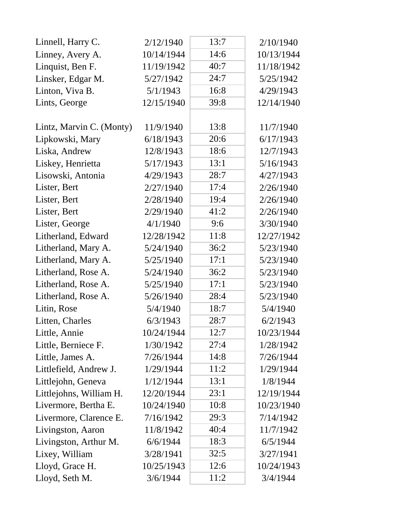| Linnell, Harry C.        | 2/12/1940  | 13:7 | 2/10/1940  |  |
|--------------------------|------------|------|------------|--|
| Linney, Avery A.         | 10/14/1944 | 14:6 | 10/13/1944 |  |
| Linquist, Ben F.         | 11/19/1942 | 40:7 | 11/18/1942 |  |
| Linsker, Edgar M.        | 5/27/1942  | 24:7 | 5/25/1942  |  |
| Linton, Viva B.          | 5/1/1943   | 16:8 | 4/29/1943  |  |
| Lints, George            | 12/15/1940 | 39:8 | 12/14/1940 |  |
|                          |            |      |            |  |
| Lintz, Marvin C. (Monty) | 11/9/1940  | 13:8 | 11/7/1940  |  |
| Lipkowski, Mary          | 6/18/1943  | 20:6 | 6/17/1943  |  |
| Liska, Andrew            | 12/8/1943  | 18:6 | 12/7/1943  |  |
| Liskey, Henrietta        | 5/17/1943  | 13:1 | 5/16/1943  |  |
| Lisowski, Antonia        | 4/29/1943  | 28:7 | 4/27/1943  |  |
| Lister, Bert             | 2/27/1940  | 17:4 | 2/26/1940  |  |
| Lister, Bert             | 2/28/1940  | 19:4 | 2/26/1940  |  |
| Lister, Bert             | 2/29/1940  | 41:2 | 2/26/1940  |  |
| Lister, George           | 4/1/1940   | 9:6  | 3/30/1940  |  |
| Litherland, Edward       | 12/28/1942 | 11:8 | 12/27/1942 |  |
| Litherland, Mary A.      | 5/24/1940  | 36:2 | 5/23/1940  |  |
| Litherland, Mary A.      | 5/25/1940  | 17:1 | 5/23/1940  |  |
| Litherland, Rose A.      | 5/24/1940  | 36:2 | 5/23/1940  |  |
| Litherland, Rose A.      | 5/25/1940  | 17:1 | 5/23/1940  |  |
| Litherland, Rose A.      | 5/26/1940  | 28:4 | 5/23/1940  |  |
| Litin, Rose              | 5/4/1940   | 18:7 | 5/4/1940   |  |
| Litten, Charles          | 6/3/1943   | 28:7 | 6/2/1943   |  |
| Little, Annie            | 10/24/1944 | 12:7 | 10/23/1944 |  |
| Little, Berniece F.      | 1/30/1942  | 27:4 | 1/28/1942  |  |
| Little, James A.         | 7/26/1944  | 14:8 | 7/26/1944  |  |
| Littlefield, Andrew J.   | 1/29/1944  | 11:2 | 1/29/1944  |  |
| Littlejohn, Geneva       | 1/12/1944  | 13:1 | 1/8/1944   |  |
| Littlejohns, William H.  | 12/20/1944 | 23:1 | 12/19/1944 |  |
| Livermore, Bertha E.     | 10/24/1940 | 10:8 | 10/23/1940 |  |
| Livermore, Clarence E.   | 7/16/1942  | 29:3 | 7/14/1942  |  |
| Livingston, Aaron        | 11/8/1942  | 40:4 | 11/7/1942  |  |
| Livingston, Arthur M.    | 6/6/1944   | 18:3 | 6/5/1944   |  |
| Lixey, William           | 3/28/1941  | 32:5 | 3/27/1941  |  |
| Lloyd, Grace H.          | 10/25/1943 | 12:6 | 10/24/1943 |  |
| Lloyd, Seth M.           | 3/6/1944   | 11:2 | 3/4/1944   |  |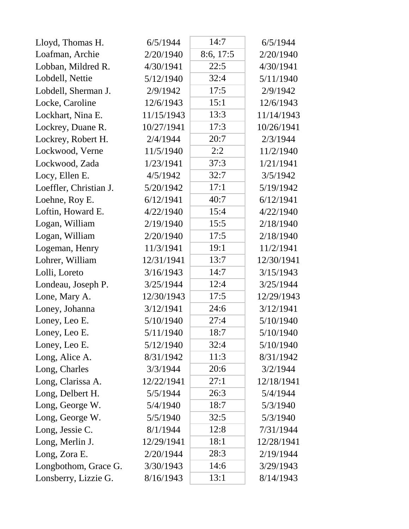| Lloyd, Thomas H.       | 6/5/1944   | 14:7      | 6/5/1944   |
|------------------------|------------|-----------|------------|
| Loafman, Archie        | 2/20/1940  | 8:6, 17:5 | 2/20/1940  |
| Lobban, Mildred R.     | 4/30/1941  | 22:5      | 4/30/1941  |
| Lobdell, Nettie        | 5/12/1940  | 32:4      | 5/11/1940  |
| Lobdell, Sherman J.    | 2/9/1942   | 17:5      | 2/9/1942   |
| Locke, Caroline        | 12/6/1943  | 15:1      | 12/6/1943  |
| Lockhart, Nina E.      | 11/15/1943 | 13:3      | 11/14/1943 |
| Lockrey, Duane R.      | 10/27/1941 | 17:3      | 10/26/1941 |
| Lockrey, Robert H.     | 2/4/1944   | 20:7      | 2/3/1944   |
| Lockwood, Verne        | 11/5/1940  | 2:2       | 11/2/1940  |
| Lockwood, Zada         | 1/23/1941  | 37:3      | 1/21/1941  |
| Locy, Ellen E.         | 4/5/1942   | 32:7      | 3/5/1942   |
| Loeffler, Christian J. | 5/20/1942  | 17:1      | 5/19/1942  |
| Loehne, Roy E.         | 6/12/1941  | 40:7      | 6/12/1941  |
| Loftin, Howard E.      | 4/22/1940  | 15:4      | 4/22/1940  |
| Logan, William         | 2/19/1940  | 15:5      | 2/18/1940  |
| Logan, William         | 2/20/1940  | 17:5      | 2/18/1940  |
| Logeman, Henry         | 11/3/1941  | 19:1      | 11/2/1941  |
| Lohrer, William        | 12/31/1941 | 13:7      | 12/30/1941 |
| Lolli, Loreto          | 3/16/1943  | 14:7      | 3/15/1943  |
| Londeau, Joseph P.     | 3/25/1944  | 12:4      | 3/25/1944  |
| Lone, Mary A.          | 12/30/1943 | 17:5      | 12/29/1943 |
| Loney, Johanna         | 3/12/1941  | 24:6      | 3/12/1941  |
| Loney, Leo E.          | 5/10/1940  | 27:4      | 5/10/1940  |
| Loney, Leo E.          | 5/11/1940  | 18:7      | 5/10/1940  |
| Loney, Leo E.          | 5/12/1940  | 32:4      | 5/10/1940  |
| Long, Alice A.         | 8/31/1942  | 11:3      | 8/31/1942  |
| Long, Charles          | 3/3/1944   | 20:6      | 3/2/1944   |
| Long, Clarissa A.      | 12/22/1941 | 27:1      | 12/18/1941 |
| Long, Delbert H.       | 5/5/1944   | 26:3      | 5/4/1944   |
| Long, George W.        | 5/4/1940   | 18:7      | 5/3/1940   |
| Long, George W.        | 5/5/1940   | 32:5      | 5/3/1940   |
| Long, Jessie C.        | 8/1/1944   | 12:8      | 7/31/1944  |
| Long, Merlin J.        | 12/29/1941 | 18:1      | 12/28/1941 |
| Long, Zora E.          | 2/20/1944  | 28:3      | 2/19/1944  |
| Longbothom, Grace G.   | 3/30/1943  | 14:6      | 3/29/1943  |
| Lonsberry, Lizzie G.   | 8/16/1943  | 13:1      | 8/14/1943  |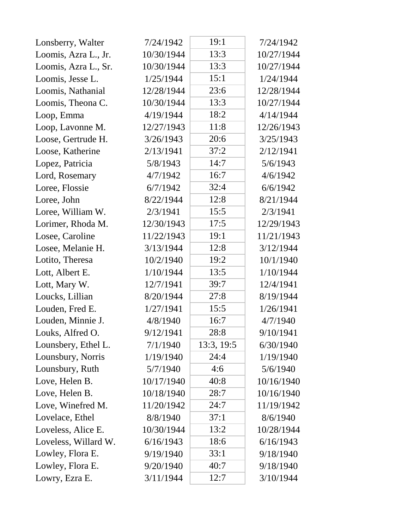| Lonsberry, Walter    | 7/24/1942  | 19:1       | 7/24/1942  |
|----------------------|------------|------------|------------|
| Loomis, Azra L., Jr. | 10/30/1944 | 13:3       | 10/27/1944 |
| Loomis, Azra L., Sr. | 10/30/1944 | 13:3       | 10/27/1944 |
| Loomis, Jesse L.     | 1/25/1944  | 15:1       | 1/24/1944  |
| Loomis, Nathanial    | 12/28/1944 | 23:6       | 12/28/1944 |
| Loomis, Theona C.    | 10/30/1944 | 13:3       | 10/27/1944 |
| Loop, Emma           | 4/19/1944  | 18:2       | 4/14/1944  |
| Loop, Lavonne M.     | 12/27/1943 | 11:8       | 12/26/1943 |
| Loose, Gertrude H.   | 3/26/1943  | 20:6       | 3/25/1943  |
| Loose, Katherine     | 2/13/1941  | 37:2       | 2/12/1941  |
| Lopez, Patricia      | 5/8/1943   | 14:7       | 5/6/1943   |
| Lord, Rosemary       | 4/7/1942   | 16:7       | 4/6/1942   |
| Loree, Flossie       | 6/7/1942   | 32:4       | 6/6/1942   |
| Loree, John          | 8/22/1944  | 12:8       | 8/21/1944  |
| Loree, William W.    | 2/3/1941   | 15:5       | 2/3/1941   |
| Lorimer, Rhoda M.    | 12/30/1943 | 17:5       | 12/29/1943 |
| Losee, Caroline      | 11/22/1943 | 19:1       | 11/21/1943 |
| Losee, Melanie H.    | 3/13/1944  | 12:8       | 3/12/1944  |
| Lotito, Theresa      | 10/2/1940  | 19:2       | 10/1/1940  |
| Lott, Albert E.      | 1/10/1944  | 13:5       | 1/10/1944  |
| Lott, Mary W.        | 12/7/1941  | 39:7       | 12/4/1941  |
| Loucks, Lillian      | 8/20/1944  | 27:8       | 8/19/1944  |
| Louden, Fred E.      | 1/27/1941  | 15:5       | 1/26/1941  |
| Louden, Minnie J.    | 4/8/1940   | 16:7       | 4/7/1940   |
| Louks, Alfred O.     | 9/12/1941  | 28:8       | 9/10/1941  |
| Lounsbery, Ethel L.  | 7/1/1940   | 13:3, 19:5 | 6/30/1940  |
| Lounsbury, Norris    | 1/19/1940  | 24:4       | 1/19/1940  |
| Lounsbury, Ruth      | 5/7/1940   | 4:6        | 5/6/1940   |
| Love, Helen B.       | 10/17/1940 | 40:8       | 10/16/1940 |
| Love, Helen B.       | 10/18/1940 | 28:7       | 10/16/1940 |
| Love, Winefred M.    | 11/20/1942 | 24:7       | 11/19/1942 |
| Lovelace, Ethel      | 8/8/1940   | 37:1       | 8/6/1940   |
| Loveless, Alice E.   | 10/30/1944 | 13:2       | 10/28/1944 |
| Loveless, Willard W. | 6/16/1943  | 18:6       | 6/16/1943  |
| Lowley, Flora E.     | 9/19/1940  | 33:1       | 9/18/1940  |
| Lowley, Flora E.     | 9/20/1940  | 40:7       | 9/18/1940  |
| Lowry, Ezra E.       | 3/11/1944  | 12:7       | 3/10/1944  |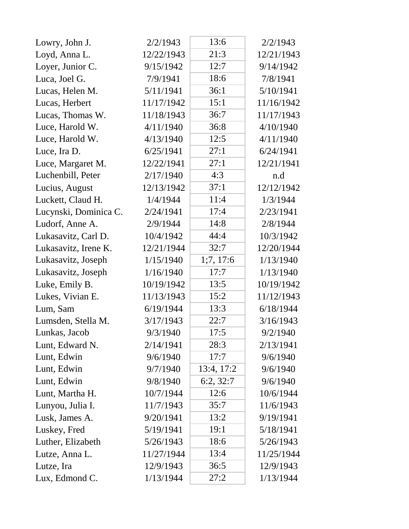| Lowry, John J.        | 2/2/1943   | 13:6       | 2/2/1943   |
|-----------------------|------------|------------|------------|
| Loyd, Anna L.         | 12/22/1943 | 21:3       | 12/21/1943 |
| Loyer, Junior C.      | 9/15/1942  | 12:7       | 9/14/1942  |
| Luca, Joel G.         | 7/9/1941   | 18:6       | 7/8/1941   |
| Lucas, Helen M.       | 5/11/1941  | 36:1       | 5/10/1941  |
| Lucas, Herbert        | 11/17/1942 | 15:1       | 11/16/1942 |
| Lucas, Thomas W.      | 11/18/1943 | 36:7       | 11/17/1943 |
| Luce, Harold W.       | 4/11/1940  | 36:8       | 4/10/1940  |
| Luce, Harold W.       | 4/13/1940  | 12:5       | 4/11/1940  |
| Luce, Ira D.          | 6/25/1941  | 27:1       | 6/24/1941  |
| Luce, Margaret M.     | 12/22/1941 | 27:1       | 12/21/1941 |
| Luchenbill, Peter     | 2/17/1940  | 4:3        | n.d        |
| Lucius, August        | 12/13/1942 | 37:1       | 12/12/1942 |
| Luckett, Claud H.     | 1/4/1944   | 11:4       | 1/3/1944   |
| Lucynski, Dominica C. | 2/24/1941  | 17:4       | 2/23/1941  |
| Ludorf, Anne A.       | 2/9/1944   | 14:8       | 2/8/1944   |
| Lukasavitz, Carl D.   | 10/4/1942  | 44:4       | 10/3/1942  |
| Lukasavitz, Irene K.  | 12/21/1944 | 32:7       | 12/20/1944 |
| Lukasavitz, Joseph    | 1/15/1940  | 1;7, 17:6  | 1/13/1940  |
| Lukasavitz, Joseph    | 1/16/1940  | 17:7       | 1/13/1940  |
| Luke, Emily B.        | 10/19/1942 | 13:5       | 10/19/1942 |
| Lukes, Vivian E.      | 11/13/1943 | 15:2       | 11/12/1943 |
| Lum, Sam              | 6/19/1944  | 13:3       | 6/18/1944  |
| Lumsden, Stella M.    | 3/17/1943  | 22:7       | 3/16/1943  |
| Lunkas, Jacob         | 9/3/1940   | 17:5       | 9/2/1940   |
| Lunt, Edward N.       | 2/14/1941  | 28:3       | 2/13/1941  |
| Lunt, Edwin           | 9/6/1940   | 17:7       | 9/6/1940   |
| Lunt, Edwin           | 9/7/1940   | 13:4, 17:2 | 9/6/1940   |
| Lunt, Edwin           | 9/8/1940   | 6:2, 32:7  | 9/6/1940   |
| Lunt, Martha H.       | 10/7/1944  | 12:6       | 10/6/1944  |
| Lunyou, Julia I.      | 11/7/1943  | 35:7       | 11/6/1943  |
| Lusk, James A.        | 9/20/1941  | 13:2       | 9/19/1941  |
| Luskey, Fred          | 5/19/1941  | 19:1       | 5/18/1941  |
| Luther, Elizabeth     | 5/26/1943  | 18:6       | 5/26/1943  |
| Lutze, Anna L.        | 11/27/1944 | 13:4       | 11/25/1944 |
| Lutze, Ira            | 12/9/1943  | 36:5       | 12/9/1943  |
| Lux, Edmond C.        | 1/13/1944  | 27:2       | 1/13/1944  |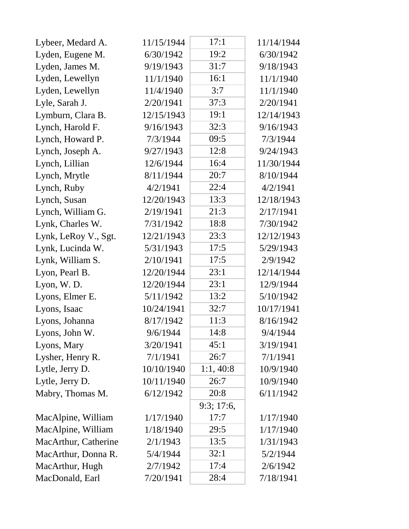| Lybeer, Medard A.    | 11/15/1944 | 17:1      | 11/14/1944 |
|----------------------|------------|-----------|------------|
| Lyden, Eugene M.     | 6/30/1942  | 19:2      | 6/30/1942  |
| Lyden, James M.      | 9/19/1943  | 31:7      | 9/18/1943  |
| Lyden, Lewellyn      | 11/1/1940  | 16:1      | 11/1/1940  |
| Lyden, Lewellyn      | 11/4/1940  | 3:7       | 11/1/1940  |
| Lyle, Sarah J.       | 2/20/1941  | 37:3      | 2/20/1941  |
| Lymburn, Clara B.    | 12/15/1943 | 19:1      | 12/14/1943 |
| Lynch, Harold F.     | 9/16/1943  | 32:3      | 9/16/1943  |
| Lynch, Howard P.     | 7/3/1944   | 09:5      | 7/3/1944   |
| Lynch, Joseph A.     | 9/27/1943  | 12:8      | 9/24/1943  |
| Lynch, Lillian       | 12/6/1944  | 16:4      | 11/30/1944 |
| Lynch, Mrytle        | 8/11/1944  | 20:7      | 8/10/1944  |
| Lynch, Ruby          | 4/2/1941   | 22:4      | 4/2/1941   |
| Lynch, Susan         | 12/20/1943 | 13:3      | 12/18/1943 |
| Lynch, William G.    | 2/19/1941  | 21:3      | 2/17/1941  |
| Lynk, Charles W.     | 7/31/1942  | 18:8      | 7/30/1942  |
| Lynk, LeRoy V., Sgt. | 12/21/1943 | 23:3      | 12/12/1943 |
| Lynk, Lucinda W.     | 5/31/1943  | 17:5      | 5/29/1943  |
| Lynk, William S.     | 2/10/1941  | 17:5      | 2/9/1942   |
| Lyon, Pearl B.       | 12/20/1944 | 23:1      | 12/14/1944 |
| Lyon, W.D.           | 12/20/1944 | 23:1      | 12/9/1944  |
| Lyons, Elmer E.      | 5/11/1942  | 13:2      | 5/10/1942  |
| Lyons, Isaac         | 10/24/1941 | 32:7      | 10/17/1941 |
| Lyons, Johanna       | 8/17/1942  | 11:3      | 8/16/1942  |
| Lyons, John W.       | 9/6/1944   | 14:8      | 9/4/1944   |
| Lyons, Mary          | 3/20/1941  | 45:1      | 3/19/1941  |
| Lysher, Henry R.     | 7/1/1941   | 26:7      | 7/1/1941   |
| Lytle, Jerry D.      | 10/10/1940 | 1:1,40:8  | 10/9/1940  |
| Lytle, Jerry D.      | 10/11/1940 | 26:7      | 10/9/1940  |
| Mabry, Thomas M.     | 6/12/1942  | 20:8      | 6/11/1942  |
|                      |            | 9:3;17:6, |            |
| MacAlpine, William   | 1/17/1940  | 17:7      | 1/17/1940  |
| MacAlpine, William   | 1/18/1940  | 29:5      | 1/17/1940  |
| MacArthur, Catherine | 2/1/1943   | 13:5      | 1/31/1943  |
| MacArthur, Donna R.  | 5/4/1944   | 32:1      | 5/2/1944   |
| MacArthur, Hugh      | 2/7/1942   | 17:4      | 2/6/1942   |
| MacDonald, Earl      | 7/20/1941  | 28:4      | 7/18/1941  |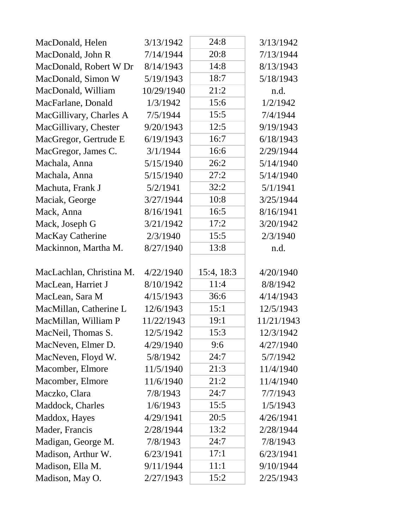| MacDonald, Helen         | 3/13/1942  | 24:8       | 3/13/1942  |
|--------------------------|------------|------------|------------|
| MacDonald, John R        | 7/14/1944  | 20:8       | 7/13/1944  |
| MacDonald, Robert W Dr   | 8/14/1943  | 14:8       | 8/13/1943  |
| MacDonald, Simon W       | 5/19/1943  | 18:7       | 5/18/1943  |
| MacDonald, William       | 10/29/1940 | 21:2       | n.d.       |
| MacFarlane, Donald       | 1/3/1942   | 15:6       | 1/2/1942   |
| MacGillivary, Charles A  | 7/5/1944   | 15:5       | 7/4/1944   |
| MacGillivary, Chester    | 9/20/1943  | 12:5       | 9/19/1943  |
| MacGregor, Gertrude E    | 6/19/1943  | 16:7       | 6/18/1943  |
| MacGregor, James C.      | 3/1/1944   | 16:6       | 2/29/1944  |
| Machala, Anna            | 5/15/1940  | 26:2       | 5/14/1940  |
| Machala, Anna            | 5/15/1940  | 27:2       | 5/14/1940  |
| Machuta, Frank J         | 5/2/1941   | 32:2       | 5/1/1941   |
| Maciak, George           | 3/27/1944  | 10:8       | 3/25/1944  |
| Mack, Anna               | 8/16/1941  | 16:5       | 8/16/1941  |
| Mack, Joseph G           | 3/21/1942  | 17:2       | 3/20/1942  |
| MacKay Catherine         | 2/3/1940   | 15:5       | 2/3/1940   |
| Mackinnon, Martha M.     | 8/27/1940  | 13:8       | n.d.       |
| MacLachlan, Christina M. | 4/22/1940  | 15:4, 18:3 | 4/20/1940  |
| MacLean, Harriet J       | 8/10/1942  | 11:4       | 8/8/1942   |
| MacLean, Sara M          | 4/15/1943  | 36:6       | 4/14/1943  |
| MacMillan, Catherine L   | 12/6/1943  | 15:1       | 12/5/1943  |
| MacMillan, William P     | 11/22/1943 | 19:1       | 11/21/1943 |
| MacNeil, Thomas S.       | 12/5/1942  | 15:3       | 12/3/1942  |
| MacNeven, Elmer D.       | 4/29/1940  | 9:6        | 4/27/1940  |
| MacNeven, Floyd W.       | 5/8/1942   | 24:7       | 5/7/1942   |
| Macomber, Elmore         | 11/5/1940  | 21:3       | 11/4/1940  |
| Macomber, Elmore         | 11/6/1940  | 21:2       | 11/4/1940  |
| Maczko, Clara            | 7/8/1943   | 24:7       | 7/7/1943   |
| Maddock, Charles         | 1/6/1943   | 15:5       | 1/5/1943   |
| Maddox, Hayes            | 4/29/1941  | 20:5       | 4/26/1941  |
| Mader, Francis           | 2/28/1944  | 13:2       | 2/28/1944  |
| Madigan, George M.       | 7/8/1943   | 24:7       | 7/8/1943   |
| Madison, Arthur W.       | 6/23/1941  | 17:1       | 6/23/1941  |
| Madison, Ella M.         |            |            |            |
|                          | 9/11/1944  | 11:1       | 9/10/1944  |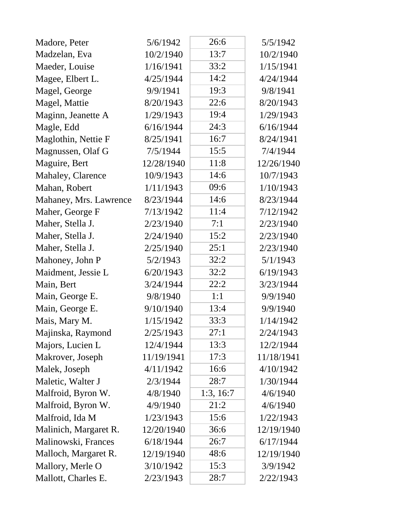| Madore, Peter          | 5/6/1942   | 26:6      | 5/5/1942   |
|------------------------|------------|-----------|------------|
| Madzelan, Eva          | 10/2/1940  | 13:7      | 10/2/1940  |
| Maeder, Louise         | 1/16/1941  | 33:2      | 1/15/1941  |
| Magee, Elbert L.       | 4/25/1944  | 14:2      | 4/24/1944  |
| Magel, George          | 9/9/1941   | 19:3      | 9/8/1941   |
| Magel, Mattie          | 8/20/1943  | 22:6      | 8/20/1943  |
| Maginn, Jeanette A     | 1/29/1943  | 19:4      | 1/29/1943  |
| Magle, Edd             | 6/16/1944  | 24:3      | 6/16/1944  |
| Maglothin, Nettie F    | 8/25/1941  | 16:7      | 8/24/1941  |
| Magnussen, Olaf G      | 7/5/1944   | 15:5      | 7/4/1944   |
| Maguire, Bert          | 12/28/1940 | 11:8      | 12/26/1940 |
| Mahaley, Clarence      | 10/9/1943  | 14:6      | 10/7/1943  |
| Mahan, Robert          | 1/11/1943  | 09:6      | 1/10/1943  |
| Mahaney, Mrs. Lawrence | 8/23/1944  | 14:6      | 8/23/1944  |
| Maher, George F        | 7/13/1942  | 11:4      | 7/12/1942  |
| Maher, Stella J.       | 2/23/1940  | 7:1       | 2/23/1940  |
| Maher, Stella J.       | 2/24/1940  | 15:2      | 2/23/1940  |
| Maher, Stella J.       | 2/25/1940  | 25:1      | 2/23/1940  |
| Mahoney, John P        | 5/2/1943   | 32:2      | 5/1/1943   |
| Maidment, Jessie L     | 6/20/1943  | 32:2      | 6/19/1943  |
| Main, Bert             | 3/24/1944  | 22:2      | 3/23/1944  |
| Main, George E.        | 9/8/1940   | 1:1       | 9/9/1940   |
| Main, George E.        | 9/10/1940  | 13:4      | 9/9/1940   |
| Mais, Mary M.          | 1/15/1942  | 33:3      | 1/14/1942  |
| Majinska, Raymond      | 2/25/1943  | 27:1      | 2/24/1943  |
| Majors, Lucien L       | 12/4/1944  | 13:3      | 12/2/1944  |
| Makrover, Joseph       | 11/19/1941 | 17:3      | 11/18/1941 |
| Malek, Joseph          | 4/11/1942  | 16:6      | 4/10/1942  |
| Maletic, Walter J      | 2/3/1944   | 28:7      | 1/30/1944  |
| Malfroid, Byron W.     | 4/8/1940   | 1:3, 16:7 | 4/6/1940   |
| Malfroid, Byron W.     | 4/9/1940   | 21:2      | 4/6/1940   |
| Malfroid, Ida M        | 1/23/1943  | 15:6      | 1/22/1943  |
| Malinich, Margaret R.  | 12/20/1940 | 36:6      | 12/19/1940 |
| Malinowski, Frances    | 6/18/1944  | 26:7      | 6/17/1944  |
| Malloch, Margaret R.   | 12/19/1940 | 48:6      | 12/19/1940 |
| Mallory, Merle O       | 3/10/1942  | 15:3      | 3/9/1942   |
| Mallott, Charles E.    | 2/23/1943  | 28:7      | 2/22/1943  |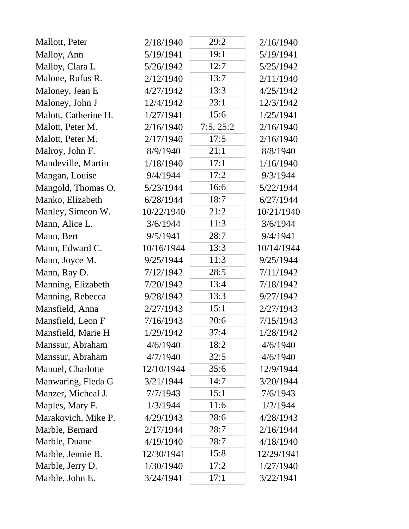| Mallott, Peter       | 2/18/1940  | 29:2      | 2/16/1940  |
|----------------------|------------|-----------|------------|
| Malloy, Ann          | 5/19/1941  | 19:1      | 5/19/1941  |
| Malloy, Clara L      | 5/26/1942  | 12:7      | 5/25/1942  |
| Malone, Rufus R.     | 2/12/1940  | 13:7      | 2/11/1940  |
| Maloney, Jean E      | 4/27/1942  | 13:3      | 4/25/1942  |
| Maloney, John J      | 12/4/1942  | 23:1      | 12/3/1942  |
| Malott, Catherine H. | 1/27/1941  | 15:6      | 1/25/1941  |
| Malott, Peter M.     | 2/16/1940  | 7:5, 25:2 | 2/16/1940  |
| Malott, Peter M.     | 2/17/1940  | 17:5      | 2/16/1940  |
| Malroy, John F.      | 8/9/1940   | 21:1      | 8/8/1940   |
| Mandeville, Martin   | 1/18/1940  | 17:1      | 1/16/1940  |
| Mangan, Louise       | 9/4/1944   | 17:2      | 9/3/1944   |
| Mangold, Thomas O.   | 5/23/1944  | 16:6      | 5/22/1944  |
| Manko, Elizabeth     | 6/28/1944  | 18:7      | 6/27/1944  |
| Manley, Simeon W.    | 10/22/1940 | 21:2      | 10/21/1940 |
| Mann, Alice L.       | 3/6/1944   | 11:3      | 3/6/1944   |
| Mann, Bert           | 9/5/1941   | 28:7      | 9/4/1941   |
| Mann, Edward C.      | 10/16/1944 | 13:3      | 10/14/1944 |
| Mann, Joyce M.       | 9/25/1944  | 11:3      | 9/25/1944  |
| Mann, Ray D.         | 7/12/1942  | 28:5      | 7/11/1942  |
| Manning, Elizabeth   | 7/20/1942  | 13:4      | 7/18/1942  |
| Manning, Rebecca     | 9/28/1942  | 13:3      | 9/27/1942  |
| Mansfield, Anna      | 2/27/1943  | 15:1      | 2/27/1943  |
| Mansfield, Leon F    | 7/16/1943  | 20:6      | 7/15/1943  |
| Mansfield, Marie H   | 1/29/1942  | 37:4      | 1/28/1942  |
| Manssur, Abraham     | 4/6/1940   | 18:2      | 4/6/1940   |
| Manssur, Abraham     | 4/7/1940   | 32:5      | 4/6/1940   |
| Manuel, Charlotte    | 12/10/1944 | 35:6      | 12/9/1944  |
| Manwaring, Fleda G   | 3/21/1944  | 14:7      | 3/20/1944  |
| Manzer, Micheal J.   | 7/7/1943   | 15:1      | 7/6/1943   |
| Maples, Mary F.      | 1/3/1944   | 11:6      | 1/2/1944   |
| Marakovich, Mike P.  | 4/29/1943  | 28:6      | 4/28/1943  |
| Marble, Bernard      | 2/17/1944  | 28:7      | 2/16/1944  |
| Marble, Duane        | 4/19/1940  | 28:7      | 4/18/1940  |
| Marble, Jennie B.    | 12/30/1941 | 15:8      | 12/29/1941 |
| Marble, Jerry D.     | 1/30/1940  | 17:2      | 1/27/1940  |
| Marble, John E.      | 3/24/1941  | 17:1      | 3/22/1941  |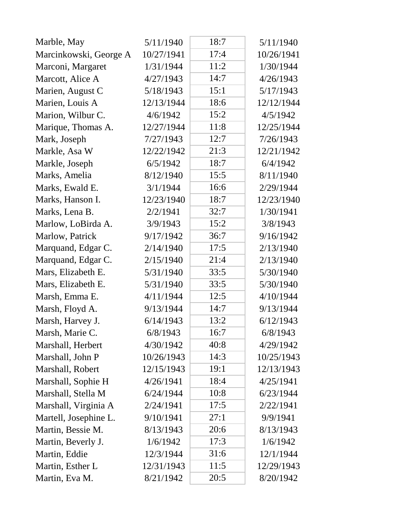| Marble, May            | 5/11/1940  | 18:7 | 5/11/1940  |
|------------------------|------------|------|------------|
| Marcinkowski, George A | 10/27/1941 | 17:4 | 10/26/1941 |
| Marconi, Margaret      | 1/31/1944  | 11:2 | 1/30/1944  |
| Marcott, Alice A       | 4/27/1943  | 14:7 | 4/26/1943  |
| Marien, August C       | 5/18/1943  | 15:1 | 5/17/1943  |
| Marien, Louis A        | 12/13/1944 | 18:6 | 12/12/1944 |
| Marion, Wilbur C.      | 4/6/1942   | 15:2 | 4/5/1942   |
| Marique, Thomas A.     | 12/27/1944 | 11:8 | 12/25/1944 |
| Mark, Joseph           | 7/27/1943  | 12:7 | 7/26/1943  |
| Markle, Asa W          | 12/22/1942 | 21:3 | 12/21/1942 |
| Markle, Joseph         | 6/5/1942   | 18:7 | 6/4/1942   |
| Marks, Amelia          | 8/12/1940  | 15:5 | 8/11/1940  |
| Marks, Ewald E.        | 3/1/1944   | 16:6 | 2/29/1944  |
| Marks, Hanson I.       | 12/23/1940 | 18:7 | 12/23/1940 |
| Marks, Lena B.         | 2/2/1941   | 32:7 | 1/30/1941  |
| Marlow, LoBirda A.     | 3/9/1943   | 15:2 | 3/8/1943   |
| Marlow, Patrick        | 9/17/1942  | 36:7 | 9/16/1942  |
| Marquand, Edgar C.     | 2/14/1940  | 17:5 | 2/13/1940  |
| Marquand, Edgar C.     | 2/15/1940  | 21:4 | 2/13/1940  |
| Mars, Elizabeth E.     | 5/31/1940  | 33:5 | 5/30/1940  |
| Mars, Elizabeth E.     | 5/31/1940  | 33:5 | 5/30/1940  |
| Marsh, Emma E.         | 4/11/1944  | 12:5 | 4/10/1944  |
| Marsh, Floyd A.        | 9/13/1944  | 14:7 | 9/13/1944  |
| Marsh, Harvey J.       | 6/14/1943  | 13:2 | 6/12/1943  |
| Marsh, Marie C.        | 6/8/1943   | 16:7 | 6/8/1943   |
| Marshall, Herbert      | 4/30/1942  | 40:8 | 4/29/1942  |
| Marshall, John P       | 10/26/1943 | 14:3 | 10/25/1943 |
| Marshall, Robert       | 12/15/1943 | 19:1 | 12/13/1943 |
| Marshall, Sophie H     | 4/26/1941  | 18:4 | 4/25/1941  |
| Marshall, Stella M     | 6/24/1944  | 10:8 | 6/23/1944  |
| Marshall, Virginia A   | 2/24/1941  | 17:5 | 2/22/1941  |
| Martell, Josephine L.  | 9/10/1941  | 27:1 | 9/9/1941   |
| Martin, Bessie M.      | 8/13/1943  | 20:6 | 8/13/1943  |
| Martin, Beverly J.     | 1/6/1942   | 17:3 | 1/6/1942   |
| Martin, Eddie          | 12/3/1944  | 31:6 | 12/1/1944  |
| Martin, Esther L       | 12/31/1943 | 11:5 | 12/29/1943 |
| Martin, Eva M.         | 8/21/1942  | 20:5 | 8/20/1942  |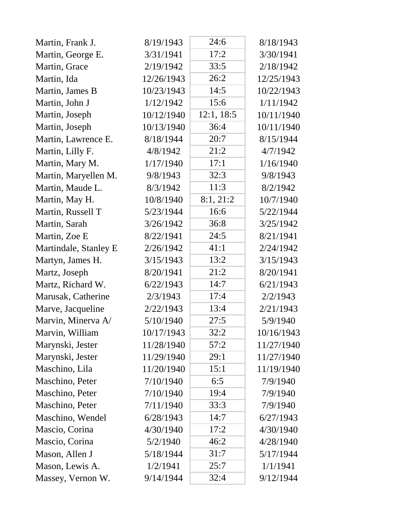| Martin, Frank J.      | 8/19/1943  | 24:6       | 8/18/1943  |
|-----------------------|------------|------------|------------|
| Martin, George E.     | 3/31/1941  | 17:2       | 3/30/1941  |
| Martin, Grace         | 2/19/1942  | 33:5       | 2/18/1942  |
| Martin, Ida           | 12/26/1943 | 26:2       | 12/25/1943 |
| Martin, James B       | 10/23/1943 | 14:5       | 10/22/1943 |
| Martin, John J        | 1/12/1942  | 15:6       | 1/11/1942  |
| Martin, Joseph        | 10/12/1940 | 12:1, 18:5 | 10/11/1940 |
| Martin, Joseph        | 10/13/1940 | 36:4       | 10/11/1940 |
| Martin, Lawrence E.   | 8/18/1944  | 20:7       | 8/15/1944  |
| Martin, Lilly F.      | 4/8/1942   | 21:2       | 4/7/1942   |
| Martin, Mary M.       | 1/17/1940  | 17:1       | 1/16/1940  |
| Martin, Maryellen M.  | 9/8/1943   | 32:3       | 9/8/1943   |
| Martin, Maude L.      | 8/3/1942   | 11:3       | 8/2/1942   |
| Martin, May H.        | 10/8/1940  | 8:1, 21:2  | 10/7/1940  |
| Martin, Russell T     | 5/23/1944  | 16:6       | 5/22/1944  |
| Martin, Sarah         | 3/26/1942  | 36:8       | 3/25/1942  |
| Martin, Zoe E         | 8/22/1941  | 24:5       | 8/21/1941  |
| Martindale, Stanley E | 2/26/1942  | 41:1       | 2/24/1942  |
| Martyn, James H.      | 3/15/1943  | 13:2       | 3/15/1943  |
| Martz, Joseph         | 8/20/1941  | 21:2       | 8/20/1941  |
| Martz, Richard W.     | 6/22/1943  | 14:7       | 6/21/1943  |
| Marusak, Catherine    | 2/3/1943   | 17:4       | 2/2/1943   |
| Marve, Jacqueline     | 2/22/1943  | 13:4       | 2/21/1943  |
| Marvin, Minerva A/    | 5/10/1940  | 27:5       | 5/9/1940   |
| Marvin, William       | 10/17/1943 | 32:2       | 10/16/1943 |
| Marynski, Jester      | 11/28/1940 | 57:2       | 11/27/1940 |
| Marynski, Jester      | 11/29/1940 | 29:1       | 11/27/1940 |
| Maschino, Lila        | 11/20/1940 | 15:1       | 11/19/1940 |
| Maschino, Peter       | 7/10/1940  | 6:5        | 7/9/1940   |
| Maschino, Peter       | 7/10/1940  | 19:4       | 7/9/1940   |
| Maschino, Peter       | 7/11/1940  | 33:3       | 7/9/1940   |
| Maschino, Wendel      | 6/28/1943  | 14:7       | 6/27/1943  |
| Mascio, Corina        | 4/30/1940  | 17:2       | 4/30/1940  |
| Mascio, Corina        | 5/2/1940   | 46:2       | 4/28/1940  |
| Mason, Allen J        | 5/18/1944  | 31:7       | 5/17/1944  |
| Mason, Lewis A.       | 1/2/1941   | 25:7       | 1/1/1941   |
| Massey, Vernon W.     | 9/14/1944  | 32:4       | 9/12/1944  |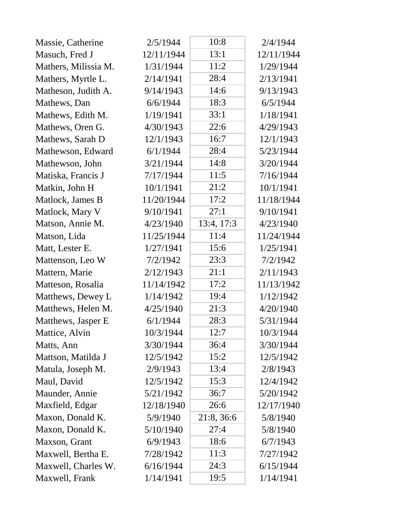| Massie, Catherine    | 2/5/1944   | 10:8       | 2/4/1944   |
|----------------------|------------|------------|------------|
| Masuch, Fred J       | 12/11/1944 | 13:1       | 12/11/1944 |
| Mathers, Milissia M. | 1/31/1944  | 11:2       | 1/29/1944  |
| Mathers, Myrtle L.   | 2/14/1941  | 28:4       | 2/13/1941  |
| Matheson, Judith A.  | 9/14/1943  | 14:6       | 9/13/1943  |
| Mathews, Dan         | 6/6/1944   | 18:3       | 6/5/1944   |
| Mathews, Edith M.    | 1/19/1941  | 33:1       | 1/18/1941  |
| Mathews, Oren G.     | 4/30/1943  | 22:6       | 4/29/1943  |
| Mathews, Sarah D     | 12/1/1943  | 16:7       | 12/1/1943  |
| Mathewson, Edward    | 6/1/1944   | 28:4       | 5/23/1944  |
| Mathewson, John      | 3/21/1944  | 14:8       | 3/20/1944  |
| Matiska, Francis J   | 7/17/1944  | 11:5       | 7/16/1944  |
| Matkin, John H       | 10/1/1941  | 21:2       | 10/1/1941  |
| Matlock, James B     | 11/20/1944 | 17:2       | 11/18/1944 |
| Matlock, Mary V      | 9/10/1941  | 27:1       | 9/10/1941  |
| Matson, Annie M.     | 4/23/1940  | 13:4, 17:3 | 4/23/1940  |
| Matson, Lida         | 11/25/1944 | 11:4       | 11/24/1944 |
| Matt, Lester E.      | 1/27/1941  | 15:6       | 1/25/1941  |
| Mattenson, Leo W     | 7/2/1942   | 23:3       | 7/2/1942   |
| Mattern, Marie       | 2/12/1943  | 21:1       | 2/11/1943  |
| Matteson, Rosalia    | 11/14/1942 | 17:2       | 11/13/1942 |
| Matthews, Dewey L    | 1/14/1942  | 19:4       | 1/12/1942  |
| Matthews, Helen M.   | 4/25/1940  | 21:3       | 4/20/1940  |
| Matthews, Jasper E   | 6/1/1944   | 28:3       | 5/31/1944  |
| Mattice, Alvin       | 10/3/1944  | 12:7       | 10/3/1944  |
| Matts, Ann           | 3/30/1944  | 36:4       | 3/30/1944  |
| Mattson, Matilda J   | 12/5/1942  | 15:2       | 12/5/1942  |
| Matula, Joseph M.    | 2/9/1943   | 13:4       | 2/8/1943   |
| Maul, David          | 12/5/1942  | 15:3       | 12/4/1942  |
| Maunder, Annie       | 5/21/1942  | 36:7       | 5/20/1942  |
| Maxfield, Edgar      | 12/18/1940 | 26:6       | 12/17/1940 |
| Maxon, Donald K.     | 5/9/1940   | 21:8, 36:6 | 5/8/1940   |
| Maxon, Donald K.     | 5/10/1940  | 27:4       | 5/8/1940   |
| Maxson, Grant        | 6/9/1943   | 18:6       | 6/7/1943   |
| Maxwell, Bertha E.   | 7/28/1942  | 11:3       | 7/27/1942  |
| Maxwell, Charles W.  | 6/16/1944  | 24:3       | 6/15/1944  |
| Maxwell, Frank       | 1/14/1941  | 19:5       | 1/14/1941  |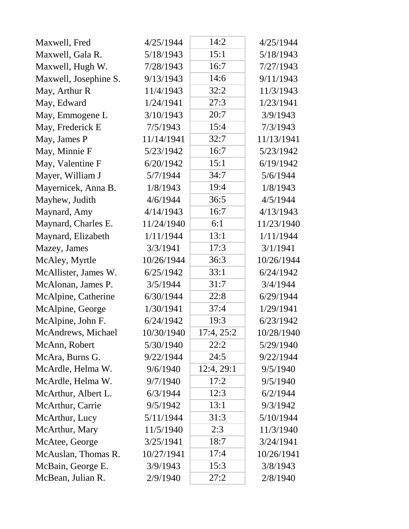| Maxwell, Fred         | 4/25/1944  | 14:2       | 4/25/1944  |
|-----------------------|------------|------------|------------|
| Maxwell, Gala R.      | 5/18/1943  | 15:1       | 5/18/1943  |
| Maxwell, Hugh W.      | 7/28/1943  | 16:7       | 7/27/1943  |
| Maxwell, Josephine S. | 9/13/1943  | 14:6       | 9/11/1943  |
| May, Arthur R         | 11/4/1943  | 32:2       | 11/3/1943  |
| May, Edward           | 1/24/1941  | 27:3       | 1/23/1941  |
| May, Emmogene L       | 3/10/1943  | 20:7       | 3/9/1943   |
| May, Frederick E      | 7/5/1943   | 15:4       | 7/3/1943   |
| May, James P          | 11/14/1941 | 32:7       | 11/13/1941 |
| May, Minnie F         | 5/23/1942  | 16:7       | 5/23/1942  |
| May, Valentine F      | 6/20/1942  | 15:1       | 6/19/1942  |
| Mayer, William J      | 5/7/1944   | 34:7       | 5/6/1944   |
| Mayernicek, Anna B.   | 1/8/1943   | 19:4       | 1/8/1943   |
| Mayhew, Judith        | 4/6/1944   | 36:5       | 4/5/1944   |
| Maynard, Amy          | 4/14/1943  | 16:7       | 4/13/1943  |
| Maynard, Charles E.   | 11/24/1940 | 6:1        | 11/23/1940 |
| Maynard, Elizabeth    | 1/11/1944  | 13:1       | 1/11/1944  |
| Mazey, James          | 3/3/1941   | 17:3       | 3/1/1941   |
| McAley, Myrtle        | 10/26/1944 | 36:3       | 10/26/1944 |
| McAllister, James W.  | 6/25/1942  | 33:1       | 6/24/1942  |
| McAlonan, James P.    | 3/5/1944   | 31:7       | 3/4/1944   |
| McAlpine, Catherine   | 6/30/1944  | 22:8       | 6/29/1944  |
| McAlpine, George      | 1/30/1941  | 37:4       | 1/29/1941  |
| McAlpine, John F.     | 6/24/1942  | 19:3       | 6/23/1942  |
| McAndrews, Michael    | 10/30/1940 | 17:4, 25:2 | 10/28/1940 |
| McAnn, Robert         | 5/30/1940  | 22:2       | 5/29/1940  |
| McAra, Burns G.       | 9/22/1944  | 24:5       | 9/22/1944  |
| McArdle, Helma W.     | 9/6/1940   | 12:4, 29:1 | 9/5/1940   |
| McArdle, Helma W.     | 9/7/1940   | 17:2       | 9/5/1940   |
| McArthur, Albert L.   | 6/3/1944   | 12:3       | 6/2/1944   |
| McArthur, Carrie      | 9/5/1942   | 13:1       | 9/3/1942   |
| McArthur, Lucy        | 5/11/1944  | 31:3       | 5/10/1944  |
| McArthur, Mary        | 11/5/1940  | 2:3        | 11/3/1940  |
| McAtee, George        | 3/25/1941  | 18:7       | 3/24/1941  |
| McAuslan, Thomas R.   | 10/27/1941 | 17:4       | 10/26/1941 |
| McBain, George E.     | 3/9/1943   | 15:3       | 3/8/1943   |
| McBean, Julian R.     | 2/9/1940   | 27:2       | 2/8/1940   |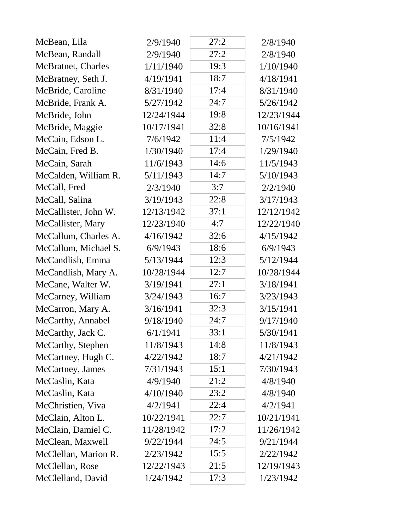| McBean, Lila         | 2/9/1940   | 27:2 | 2/8/1940   |
|----------------------|------------|------|------------|
| McBean, Randall      | 2/9/1940   | 27:2 | 2/8/1940   |
| McBratnet, Charles   | 1/11/1940  | 19:3 | 1/10/1940  |
| McBratney, Seth J.   | 4/19/1941  | 18:7 | 4/18/1941  |
| McBride, Caroline    | 8/31/1940  | 17:4 | 8/31/1940  |
| McBride, Frank A.    | 5/27/1942  | 24:7 | 5/26/1942  |
| McBride, John        | 12/24/1944 | 19:8 | 12/23/1944 |
| McBride, Maggie      | 10/17/1941 | 32:8 | 10/16/1941 |
| McCain, Edson L.     | 7/6/1942   | 11:4 | 7/5/1942   |
| McCain, Fred B.      | 1/30/1940  | 17:4 | 1/29/1940  |
| McCain, Sarah        | 11/6/1943  | 14:6 | 11/5/1943  |
| McCalden, William R. | 5/11/1943  | 14:7 | 5/10/1943  |
| McCall, Fred         | 2/3/1940   | 3:7  | 2/2/1940   |
| McCall, Salina       | 3/19/1943  | 22:8 | 3/17/1943  |
| McCallister, John W. | 12/13/1942 | 37:1 | 12/12/1942 |
| McCallister, Mary    | 12/23/1940 | 4:7  | 12/22/1940 |
| McCallum, Charles A. | 4/16/1942  | 32:6 | 4/15/1942  |
| McCallum, Michael S. | 6/9/1943   | 18:6 | 6/9/1943   |
| McCandlish, Emma     | 5/13/1944  | 12:3 | 5/12/1944  |
| McCandlish, Mary A.  | 10/28/1944 | 12:7 | 10/28/1944 |
| McCane, Walter W.    | 3/19/1941  | 27:1 | 3/18/1941  |
| McCarney, William    | 3/24/1943  | 16:7 | 3/23/1943  |
| McCarron, Mary A.    | 3/16/1941  | 32:3 | 3/15/1941  |
| McCarthy, Annabel    | 9/18/1940  | 24:7 | 9/17/1940  |
| McCarthy, Jack C.    | 6/1/1941   | 33:1 | 5/30/1941  |
| McCarthy, Stephen    | 11/8/1943  | 14:8 | 11/8/1943  |
| McCartney, Hugh C.   | 4/22/1942  | 18:7 | 4/21/1942  |
| McCartney, James     | 7/31/1943  | 15:1 | 7/30/1943  |
| McCaslin, Kata       | 4/9/1940   | 21:2 | 4/8/1940   |
| McCaslin, Kata       | 4/10/1940  | 23:2 | 4/8/1940   |
| McChristien, Viva    | 4/2/1941   | 22:4 | 4/2/1941   |
| McClain, Alton L.    | 10/22/1941 | 22:7 | 10/21/1941 |
| McClain, Damiel C.   | 11/28/1942 | 17:2 | 11/26/1942 |
| McClean, Maxwell     | 9/22/1944  | 24:5 | 9/21/1944  |
| McClellan, Marion R. | 2/23/1942  | 15:5 | 2/22/1942  |
| McClellan, Rose      | 12/22/1943 | 21:5 | 12/19/1943 |
| McClelland, David    | 1/24/1942  | 17:3 | 1/23/1942  |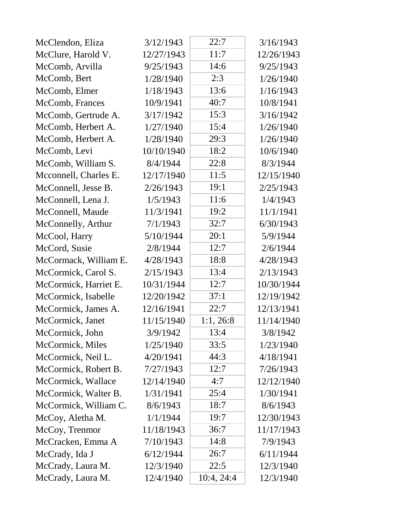| McClendon, Eliza      | 3/12/1943  | 22:7       | 3/16/1943  |
|-----------------------|------------|------------|------------|
| McClure, Harold V.    | 12/27/1943 | 11:7       | 12/26/1943 |
| McComb, Arvilla       | 9/25/1943  | 14:6       | 9/25/1943  |
| McComb, Bert          | 1/28/1940  | 2:3        | 1/26/1940  |
| McComb, Elmer         | 1/18/1943  | 13:6       | 1/16/1943  |
| McComb, Frances       | 10/9/1941  | 40:7       | 10/8/1941  |
| McComb, Gertrude A.   | 3/17/1942  | 15:3       | 3/16/1942  |
| McComb, Herbert A.    | 1/27/1940  | 15:4       | 1/26/1940  |
| McComb, Herbert A.    | 1/28/1940  | 29:3       | 1/26/1940  |
| McComb, Levi          | 10/10/1940 | 18:2       | 10/6/1940  |
| McComb, William S.    | 8/4/1944   | 22:8       | 8/3/1944   |
| Mcconnell, Charles E. | 12/17/1940 | 11:5       | 12/15/1940 |
| McConnell, Jesse B.   | 2/26/1943  | 19:1       | 2/25/1943  |
| McConnell, Lena J.    | 1/5/1943   | 11:6       | 1/4/1943   |
| McConnell, Maude      | 11/3/1941  | 19:2       | 11/1/1941  |
| McConnelly, Arthur    | 7/1/1943   | 32:7       | 6/30/1943  |
| McCool, Harry         | 5/10/1944  | 20:1       | 5/9/1944   |
| McCord, Susie         | 2/8/1944   | 12:7       | 2/6/1944   |
| McCormack, William E. | 4/28/1943  | 18:8       | 4/28/1943  |
| McCormick, Carol S.   | 2/15/1943  | 13:4       | 2/13/1943  |
| McCormick, Harriet E. | 10/31/1944 | 12:7       | 10/30/1944 |
| McCormick, Isabelle   | 12/20/1942 | 37:1       | 12/19/1942 |
| McCormick, James A.   | 12/16/1941 | 22:7       | 12/13/1941 |
| McCormick, Janet      | 11/15/1940 | 1:1, 26:8  | 11/14/1940 |
| McCormick, John       | 3/9/1942   | 13:4       | 3/8/1942   |
| McCormick, Miles      | 1/25/1940  | 33:5       | 1/23/1940  |
| McCormick, Neil L.    | 4/20/1941  | 44:3       | 4/18/1941  |
| McCormick, Robert B.  | 7/27/1943  | 12:7       | 7/26/1943  |
| McCormick, Wallace    | 12/14/1940 | 4:7        | 12/12/1940 |
| McCormick, Walter B.  | 1/31/1941  | 25:4       | 1/30/1941  |
| McCormick, William C. | 8/6/1943   | 18:7       | 8/6/1943   |
| McCoy, Aletha M.      | 1/1/1944   | 19:7       | 12/30/1943 |
| McCoy, Trenmor        | 11/18/1943 | 36:7       | 11/17/1943 |
| McCracken, Emma A     | 7/10/1943  | 14:8       | 7/9/1943   |
| McCrady, Ida J        | 6/12/1944  | 26:7       | 6/11/1944  |
| McCrady, Laura M.     | 12/3/1940  | 22:5       | 12/3/1940  |
| McCrady, Laura M.     | 12/4/1940  | 10:4, 24:4 | 12/3/1940  |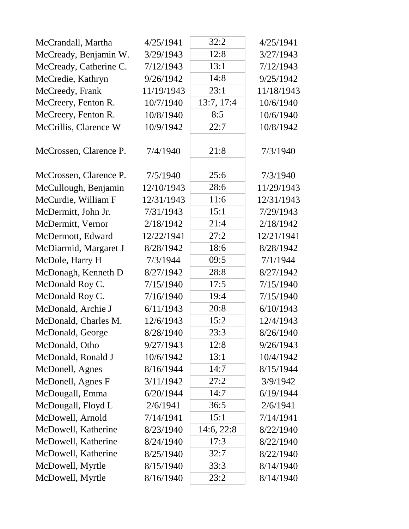| McCrandall, Martha     | 4/25/1941  | 32:2       | 4/25/1941  |
|------------------------|------------|------------|------------|
| McCready, Benjamin W.  | 3/29/1943  | 12:8       | 3/27/1943  |
| McCready, Catherine C. | 7/12/1943  | 13:1       | 7/12/1943  |
| McCredie, Kathryn      | 9/26/1942  | 14:8       | 9/25/1942  |
| McCreedy, Frank        | 11/19/1943 | 23:1       | 11/18/1943 |
| McCreery, Fenton R.    | 10/7/1940  | 13:7, 17:4 | 10/6/1940  |
| McCreery, Fenton R.    | 10/8/1940  | 8:5        | 10/6/1940  |
| McCrillis, Clarence W  | 10/9/1942  | 22:7       | 10/8/1942  |
| McCrossen, Clarence P. | 7/4/1940   | 21:8       | 7/3/1940   |
| McCrossen, Clarence P. | 7/5/1940   | 25:6       | 7/3/1940   |
| McCullough, Benjamin   | 12/10/1943 | 28:6       | 11/29/1943 |
| McCurdie, William F    | 12/31/1943 | 11:6       | 12/31/1943 |
| McDermitt, John Jr.    | 7/31/1943  | 15:1       | 7/29/1943  |
| McDermitt, Vernor      | 2/18/1942  | 21:4       | 2/18/1942  |
| McDermott, Edward      | 12/22/1941 | 27:2       | 12/21/1941 |
| McDiarmid, Margaret J  | 8/28/1942  | 18:6       | 8/28/1942  |
| McDole, Harry H        | 7/3/1944   | 09:5       | 7/1/1944   |
| McDonagh, Kenneth D    | 8/27/1942  | 28:8       | 8/27/1942  |
| McDonald Roy C.        | 7/15/1940  | 17:5       | 7/15/1940  |
| McDonald Roy C.        | 7/16/1940  | 19:4       | 7/15/1940  |
| McDonald, Archie J     | 6/11/1943  | 20:8       | 6/10/1943  |
| McDonald, Charles M.   | 12/6/1943  | 15:2       | 12/4/1943  |
| McDonald, George       | 8/28/1940  | 23:3       | 8/26/1940  |
| McDonald, Otho         | 9/27/1943  | 12:8       | 9/26/1943  |
| McDonald, Ronald J     | 10/6/1942  | 13:1       | 10/4/1942  |
| McDonell, Agnes        | 8/16/1944  | 14:7       | 8/15/1944  |
| McDonell, Agnes F      | 3/11/1942  | 27:2       | 3/9/1942   |
| McDougall, Emma        | 6/20/1944  | 14:7       | 6/19/1944  |
| McDougall, Floyd L     | 2/6/1941   | 36:5       | 2/6/1941   |
| McDowell, Arnold       | 7/14/1941  | 15:1       | 7/14/1941  |
| McDowell, Katherine    | 8/23/1940  | 14:6, 22:8 | 8/22/1940  |
| McDowell, Katherine    | 8/24/1940  | 17:3       | 8/22/1940  |
| McDowell, Katherine    | 8/25/1940  | 32:7       | 8/22/1940  |
| McDowell, Myrtle       | 8/15/1940  | 33:3       | 8/14/1940  |
| McDowell, Myrtle       | 8/16/1940  | 23:2       | 8/14/1940  |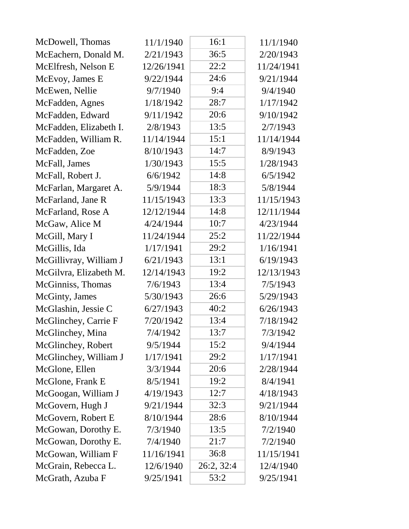| McDowell, Thomas       | 11/1/1940  | 16:1       | 11/1/1940  |
|------------------------|------------|------------|------------|
| McEachern, Donald M.   | 2/21/1943  | 36:5       | 2/20/1943  |
| McElfresh, Nelson E    | 12/26/1941 | 22:2       | 11/24/1941 |
| McEvoy, James E        | 9/22/1944  | 24:6       | 9/21/1944  |
| McEwen, Nellie         | 9/7/1940   | 9:4        | 9/4/1940   |
| McFadden, Agnes        | 1/18/1942  | 28:7       | 1/17/1942  |
| McFadden, Edward       | 9/11/1942  | 20:6       | 9/10/1942  |
| McFadden, Elizabeth I. | 2/8/1943   | 13:5       | 2/7/1943   |
| McFadden, William R.   | 11/14/1944 | 15:1       | 11/14/1944 |
| McFadden, Zoe          | 8/10/1943  | 14:7       | 8/9/1943   |
| McFall, James          | 1/30/1943  | 15:5       | 1/28/1943  |
| McFall, Robert J.      | 6/6/1942   | 14:8       | 6/5/1942   |
| McFarlan, Margaret A.  | 5/9/1944   | 18:3       | 5/8/1944   |
| McFarland, Jane R      | 11/15/1943 | 13:3       | 11/15/1943 |
| McFarland, Rose A      | 12/12/1944 | 14:8       | 12/11/1944 |
| McGaw, Alice M         | 4/24/1944  | 10:7       | 4/23/1944  |
| McGill, Mary I         | 11/24/1944 | 25:2       | 11/22/1944 |
| McGillis, Ida          | 1/17/1941  | 29:2       | 1/16/1941  |
| McGillivray, William J | 6/21/1943  | 13:1       | 6/19/1943  |
| McGilvra, Elizabeth M. | 12/14/1943 | 19:2       | 12/13/1943 |
| McGinniss, Thomas      | 7/6/1943   | 13:4       | 7/5/1943   |
| McGinty, James         | 5/30/1943  | 26:6       | 5/29/1943  |
| McGlashin, Jessie C    | 6/27/1943  | 40:2       | 6/26/1943  |
| McGlinchey, Carrie F   | 7/20/1942  | 13:4       | 7/18/1942  |
| McGlinchey, Mina       | 7/4/1942   | 13:7       | 7/3/1942   |
| McGlinchey, Robert     | 9/5/1944   | 15:2       | 9/4/1944   |
| McGlinchey, William J  | 1/17/1941  | 29:2       | 1/17/1941  |
| McGlone, Ellen         | 3/3/1944   | 20:6       | 2/28/1944  |
| McGlone, Frank E       | 8/5/1941   | 19:2       | 8/4/1941   |
| McGoogan, William J    | 4/19/1943  | 12:7       | 4/18/1943  |
| McGovern, Hugh J       | 9/21/1944  | 32:3       | 9/21/1944  |
| McGovern, Robert E     | 8/10/1944  | 28:6       | 8/10/1944  |
| McGowan, Dorothy E.    | 7/3/1940   | 13:5       | 7/2/1940   |
| McGowan, Dorothy E.    | 7/4/1940   | 21:7       | 7/2/1940   |
| McGowan, William F     | 11/16/1941 | 36:8       | 11/15/1941 |
| McGrain, Rebecca L.    | 12/6/1940  | 26:2, 32:4 | 12/4/1940  |
| McGrath, Azuba F       | 9/25/1941  | 53:2       | 9/25/1941  |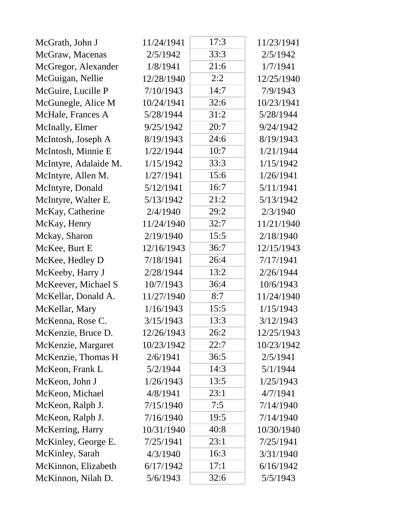| McGrath, John J       | 11/24/1941 | 17:3 | 11/23/1941 |
|-----------------------|------------|------|------------|
| McGraw, Macenas       | 2/5/1942   | 33:3 | 2/5/1942   |
| McGregor, Alexander   | 1/8/1941   | 21:6 | 1/7/1941   |
| McGuigan, Nellie      | 12/28/1940 | 2:2  | 12/25/1940 |
| McGuire, Lucille P    | 7/10/1943  | 14:7 | 7/9/1943   |
| McGunegle, Alice M    | 10/24/1941 | 32:6 | 10/23/1941 |
| McHale, Frances A     | 5/28/1944  | 31:2 | 5/28/1944  |
| McInally, Elmer       | 9/25/1942  | 20:7 | 9/24/1942  |
| McIntosh, Joseph A    | 8/19/1943  | 24:6 | 8/19/1943  |
| McIntosh, Minnie E    | 1/22/1944  | 10:7 | 1/21/1944  |
| McIntyre, Adalaide M. | 1/15/1942  | 33:3 | 1/15/1942  |
| McIntyre, Allen M.    | 1/27/1941  | 15:6 | 1/26/1941  |
| McIntyre, Donald      | 5/12/1941  | 16:7 | 5/11/1941  |
| McIntyre, Walter E.   | 5/13/1942  | 21:2 | 5/13/1942  |
| McKay, Catherine      | 2/4/1940   | 29:2 | 2/3/1940   |
| McKay, Henry          | 11/24/1940 | 32:7 | 11/21/1940 |
| Mckay, Sharon         | 2/19/1940  | 15:5 | 2/18/1940  |
| McKee, Burt E         | 12/16/1943 | 36:7 | 12/15/1943 |
| McKee, Hedley D       | 7/18/1941  | 26:4 | 7/17/1941  |
| McKeeby, Harry J      | 2/28/1944  | 13:2 | 2/26/1944  |
| McKeever, Michael S   | 10/7/1943  | 36:4 | 10/6/1943  |
| McKellar, Donald A.   | 11/27/1940 | 8:7  | 11/24/1940 |
| McKellar, Mary        | 1/16/1943  | 15:5 | 1/15/1943  |
| McKenna, Rose C.      | 3/15/1943  | 13:3 | 3/12/1943  |
| McKenzie, Bruce D.    | 12/26/1943 | 26:2 | 12/25/1943 |
| McKenzie, Margaret    | 10/23/1942 | 22:7 | 10/23/1942 |
| McKenzie, Thomas H    | 2/6/1941   | 36:5 | 2/5/1941   |
| McKeon, Frank L       | 5/2/1944   | 14:3 | 5/1/1944   |
| McKeon, John J        | 1/26/1943  | 13:5 | 1/25/1943  |
| McKeon, Michael       | 4/8/1941   | 23:1 | 4/7/1941   |
| McKeon, Ralph J.      | 7/15/1940  | 7:5  | 7/14/1940  |
| McKeon, Ralph J.      | 7/16/1940  | 19:5 | 7/14/1940  |
| McKerring, Harry      | 10/31/1940 | 40:8 | 10/30/1940 |
| McKinley, George E.   | 7/25/1941  | 23:1 | 7/25/1941  |
| McKinley, Sarah       | 4/3/1940   | 16:3 | 3/31/1940  |
| McKinnon, Elizabeth   | 6/17/1942  | 17:1 | 6/16/1942  |
| McKinnon, Nilah D.    | 5/6/1943   | 32:6 | 5/5/1943   |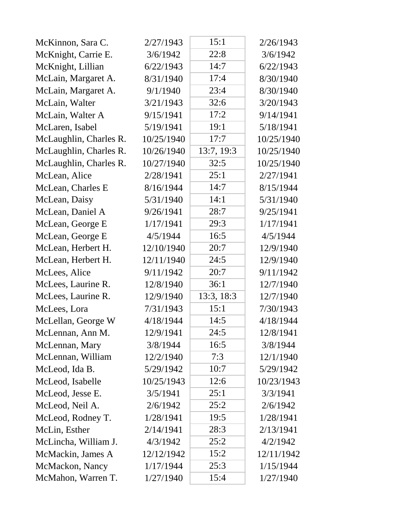| McKinnon, Sara C.      | 2/27/1943  | 15:1       | 2/26/1943  |
|------------------------|------------|------------|------------|
| McKnight, Carrie E.    | 3/6/1942   | 22:8       | 3/6/1942   |
| McKnight, Lillian      | 6/22/1943  | 14:7       | 6/22/1943  |
| McLain, Margaret A.    | 8/31/1940  | 17:4       | 8/30/1940  |
| McLain, Margaret A.    | 9/1/1940   | 23:4       | 8/30/1940  |
| McLain, Walter         | 3/21/1943  | 32:6       | 3/20/1943  |
| McLain, Walter A       | 9/15/1941  | 17:2       | 9/14/1941  |
| McLaren, Isabel        | 5/19/1941  | 19:1       | 5/18/1941  |
| McLaughlin, Charles R. | 10/25/1940 | 17:7       | 10/25/1940 |
| McLaughlin, Charles R. | 10/26/1940 | 13:7, 19:3 | 10/25/1940 |
| McLaughlin, Charles R. | 10/27/1940 | 32:5       | 10/25/1940 |
| McLean, Alice          | 2/28/1941  | 25:1       | 2/27/1941  |
| McLean, Charles E      | 8/16/1944  | 14:7       | 8/15/1944  |
| McLean, Daisy          | 5/31/1940  | 14:1       | 5/31/1940  |
| McLean, Daniel A       | 9/26/1941  | 28:7       | 9/25/1941  |
| McLean, George E       | 1/17/1941  | 29:3       | 1/17/1941  |
| McLean, George E       | 4/5/1944   | 16:5       | 4/5/1944   |
| McLean, Herbert H.     | 12/10/1940 | 20:7       | 12/9/1940  |
| McLean, Herbert H.     | 12/11/1940 | 24:5       | 12/9/1940  |
| McLees, Alice          | 9/11/1942  | 20:7       | 9/11/1942  |
| McLees, Laurine R.     | 12/8/1940  | 36:1       | 12/7/1940  |
| McLees, Laurine R.     | 12/9/1940  | 13:3, 18:3 | 12/7/1940  |
| McLees, Lora           | 7/31/1943  | 15:1       | 7/30/1943  |
| McLellan, George W     | 4/18/1944  | 14:5       | 4/18/1944  |
| McLennan, Ann M.       | 12/9/1941  | 24:5       | 12/8/1941  |
| McLennan, Mary         | 3/8/1944   | 16:5       | 3/8/1944   |
| McLennan, William      | 12/2/1940  | 7:3        | 12/1/1940  |
| McLeod, Ida B.         | 5/29/1942  | 10:7       | 5/29/1942  |
| McLeod, Isabelle       | 10/25/1943 | 12:6       | 10/23/1943 |
| McLeod, Jesse E.       | 3/5/1941   | 25:1       | 3/3/1941   |
| McLeod, Neil A.        | 2/6/1942   | 25:2       | 2/6/1942   |
| McLeod, Rodney T.      | 1/28/1941  | 19:5       | 1/28/1941  |
| McLin, Esther          | 2/14/1941  | 28:3       | 2/13/1941  |
| McLincha, William J.   | 4/3/1942   | 25:2       | 4/2/1942   |
| McMackin, James A      | 12/12/1942 | 15:2       | 12/11/1942 |
| McMackon, Nancy        | 1/17/1944  | 25:3       | 1/15/1944  |
| McMahon, Warren T.     | 1/27/1940  | 15:4       | 1/27/1940  |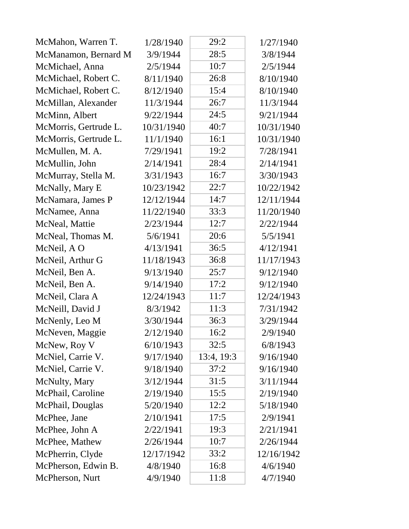| McMahon, Warren T.    | 1/28/1940  | 29:2       | 1/27/1940  |
|-----------------------|------------|------------|------------|
| McManamon, Bernard M  | 3/9/1944   | 28:5       | 3/8/1944   |
| McMichael, Anna       | 2/5/1944   | 10:7       | 2/5/1944   |
| McMichael, Robert C.  | 8/11/1940  | 26:8       | 8/10/1940  |
| McMichael, Robert C.  | 8/12/1940  | 15:4       | 8/10/1940  |
| McMillan, Alexander   | 11/3/1944  | 26:7       | 11/3/1944  |
| McMinn, Albert        | 9/22/1944  | 24:5       | 9/21/1944  |
| McMorris, Gertrude L. | 10/31/1940 | 40:7       | 10/31/1940 |
| McMorris, Gertrude L. | 11/1/1940  | 16:1       | 10/31/1940 |
| McMullen, M. A.       | 7/29/1941  | 19:2       | 7/28/1941  |
| McMullin, John        | 2/14/1941  | 28:4       | 2/14/1941  |
| McMurray, Stella M.   | 3/31/1943  | 16:7       | 3/30/1943  |
| McNally, Mary E       | 10/23/1942 | 22:7       | 10/22/1942 |
| McNamara, James P     | 12/12/1944 | 14:7       | 12/11/1944 |
| McNamee, Anna         | 11/22/1940 | 33:3       | 11/20/1940 |
| McNeal, Mattie        | 2/23/1944  | 12:7       | 2/22/1944  |
| McNeal, Thomas M.     | 5/6/1941   | 20:6       | 5/5/1941   |
| McNeil, A O           | 4/13/1941  | 36:5       | 4/12/1941  |
| McNeil, Arthur G      | 11/18/1943 | 36:8       | 11/17/1943 |
| McNeil, Ben A.        | 9/13/1940  | 25:7       | 9/12/1940  |
| McNeil, Ben A.        | 9/14/1940  | 17:2       | 9/12/1940  |
| McNeil, Clara A       | 12/24/1943 | 11:7       | 12/24/1943 |
| McNeill, David J      | 8/3/1942   | 11:3       | 7/31/1942  |
| McNenly, Leo M        | 3/30/1944  | 36:3       | 3/29/1944  |
| McNeven, Maggie       | 2/12/1940  | 16:2       | 2/9/1940   |
| McNew, Roy V          | 6/10/1943  | 32:5       | 6/8/1943   |
| McNiel, Carrie V.     | 9/17/1940  | 13:4, 19:3 | 9/16/1940  |
| McNiel, Carrie V.     | 9/18/1940  | 37:2       | 9/16/1940  |
| McNulty, Mary         | 3/12/1944  | 31:5       | 3/11/1944  |
| McPhail, Caroline     | 2/19/1940  | 15:5       | 2/19/1940  |
| McPhail, Douglas      | 5/20/1940  | 12:2       | 5/18/1940  |
| McPhee, Jane          | 2/10/1941  | 17:5       | 2/9/1941   |
| McPhee, John A        | 2/22/1941  | 19:3       | 2/21/1941  |
| McPhee, Mathew        | 2/26/1944  | 10:7       | 2/26/1944  |
| McPherrin, Clyde      | 12/17/1942 | 33:2       | 12/16/1942 |
| McPherson, Edwin B.   | 4/8/1940   | 16:8       | 4/6/1940   |
| McPherson, Nurt       | 4/9/1940   | 11:8       | 4/7/1940   |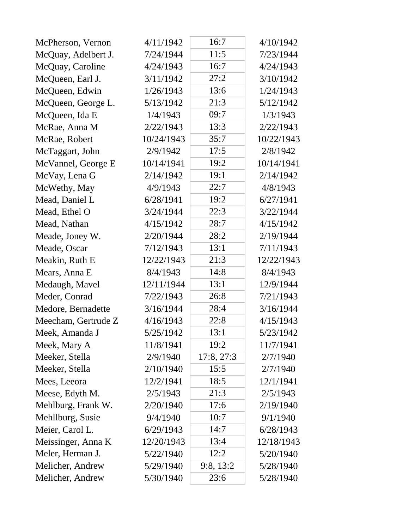| McPherson, Vernon   | 4/11/1942  | 16:7       | 4/10/1942  |
|---------------------|------------|------------|------------|
| McQuay, Adelbert J. | 7/24/1944  | 11:5       | 7/23/1944  |
| McQuay, Caroline    | 4/24/1943  | 16:7       | 4/24/1943  |
| McQueen, Earl J.    | 3/11/1942  | 27:2       | 3/10/1942  |
| McQueen, Edwin      | 1/26/1943  | 13:6       | 1/24/1943  |
| McQueen, George L.  | 5/13/1942  | 21:3       | 5/12/1942  |
| McQueen, Ida E      | 1/4/1943   | 09:7       | 1/3/1943   |
| McRae, Anna M       | 2/22/1943  | 13:3       | 2/22/1943  |
| McRae, Robert       | 10/24/1943 | 35:7       | 10/22/1943 |
| McTaggart, John     | 2/9/1942   | 17:5       | 2/8/1942   |
| McVannel, George E  | 10/14/1941 | 19:2       | 10/14/1941 |
| McVay, Lena G       | 2/14/1942  | 19:1       | 2/14/1942  |
| McWethy, May        | 4/9/1943   | 22:7       | 4/8/1943   |
| Mead, Daniel L      | 6/28/1941  | 19:2       | 6/27/1941  |
| Mead, Ethel O       | 3/24/1944  | 22:3       | 3/22/1944  |
| Mead, Nathan        | 4/15/1942  | 28:7       | 4/15/1942  |
| Meade, Joney W.     | 2/20/1944  | 28:2       | 2/19/1944  |
| Meade, Oscar        | 7/12/1943  | 13:1       | 7/11/1943  |
| Meakin, Ruth E      | 12/22/1943 | 21:3       | 12/22/1943 |
| Mears, Anna E       | 8/4/1943   | 14:8       | 8/4/1943   |
| Medaugh, Mavel      | 12/11/1944 | 13:1       | 12/9/1944  |
| Meder, Conrad       | 7/22/1943  | 26:8       | 7/21/1943  |
| Medore, Bernadette  | 3/16/1944  | 28:4       | 3/16/1944  |
| Meecham, Gertrude Z | 4/16/1943  | 22:8       | 4/15/1943  |
| Meek, Amanda J      | 5/25/1942  | 13:1       | 5/23/1942  |
| Meek, Mary A        | 11/8/1941  | 19:2       | 11/7/1941  |
| Meeker, Stella      | 2/9/1940   | 17:8, 27:3 | 2/7/1940   |
| Meeker, Stella      | 2/10/1940  | 15:5       | 2/7/1940   |
| Mees, Leeora        | 12/2/1941  | 18:5       | 12/1/1941  |
| Meese, Edyth M.     | 2/5/1943   | 21:3       | 2/5/1943   |
| Mehlburg, Frank W.  | 2/20/1940  | 17:6       | 2/19/1940  |
| Mehllburg, Susie    | 9/4/1940   | 10:7       | 9/1/1940   |
| Meier, Carol L.     | 6/29/1943  | 14:7       | 6/28/1943  |
| Meissinger, Anna K  | 12/20/1943 | 13:4       | 12/18/1943 |
| Meler, Herman J.    | 5/22/1940  | 12:2       | 5/20/1940  |
| Melicher, Andrew    | 5/29/1940  | 9:8, 13:2  | 5/28/1940  |
| Melicher, Andrew    | 5/30/1940  | 23:6       | 5/28/1940  |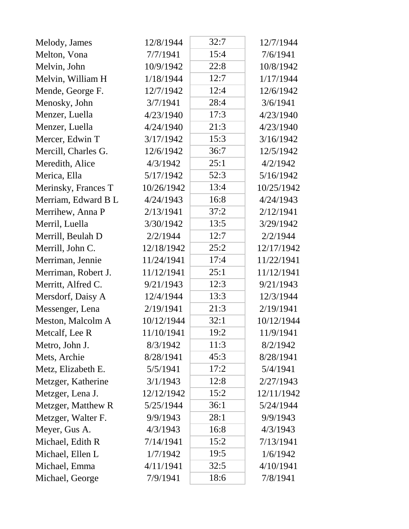| Melody, James       | 12/8/1944  | 32:7 | 12/7/1944  |
|---------------------|------------|------|------------|
| Melton, Vona        | 7/7/1941   | 15:4 | 7/6/1941   |
| Melvin, John        | 10/9/1942  | 22:8 | 10/8/1942  |
| Melvin, William H   | 1/18/1944  | 12:7 | 1/17/1944  |
| Mende, George F.    | 12/7/1942  | 12:4 | 12/6/1942  |
| Menosky, John       | 3/7/1941   | 28:4 | 3/6/1941   |
| Menzer, Luella      | 4/23/1940  | 17:3 | 4/23/1940  |
| Menzer, Luella      | 4/24/1940  | 21:3 | 4/23/1940  |
| Mercer, Edwin T     | 3/17/1942  | 15:3 | 3/16/1942  |
| Mercill, Charles G. | 12/6/1942  | 36:7 | 12/5/1942  |
| Meredith, Alice     | 4/3/1942   | 25:1 | 4/2/1942   |
| Merica, Ella        | 5/17/1942  | 52:3 | 5/16/1942  |
| Merinsky, Frances T | 10/26/1942 | 13:4 | 10/25/1942 |
| Merriam, Edward B L | 4/24/1943  | 16:8 | 4/24/1943  |
| Merrihew, Anna P    | 2/13/1941  | 37:2 | 2/12/1941  |
| Merril, Luella      | 3/30/1942  | 13:5 | 3/29/1942  |
| Merrill, Beulah D   | 2/2/1944   | 12:7 | 2/2/1944   |
| Merrill, John C.    | 12/18/1942 | 25:2 | 12/17/1942 |
| Merriman, Jennie    | 11/24/1941 | 17:4 | 11/22/1941 |
| Merriman, Robert J. | 11/12/1941 | 25:1 | 11/12/1941 |
| Merritt, Alfred C.  | 9/21/1943  | 12:3 | 9/21/1943  |
| Mersdorf, Daisy A   | 12/4/1944  | 13:3 | 12/3/1944  |
| Messenger, Lena     | 2/19/1941  | 21:3 | 2/19/1941  |
| Meston, Malcolm A   | 10/12/1944 | 32:1 | 10/12/1944 |
| Metcalf, Lee R      | 11/10/1941 | 19:2 | 11/9/1941  |
| Metro, John J.      | 8/3/1942   | 11:3 | 8/2/1942   |
| Mets, Archie        | 8/28/1941  | 45:3 | 8/28/1941  |
| Metz, Elizabeth E.  | 5/5/1941   | 17:2 | 5/4/1941   |
| Metzger, Katherine  | 3/1/1943   | 12:8 | 2/27/1943  |
| Metzger, Lena J.    | 12/12/1942 | 15:2 | 12/11/1942 |
| Metzger, Matthew R  | 5/25/1944  | 36:1 | 5/24/1944  |
| Metzger, Walter F.  | 9/9/1943   | 28:1 | 9/9/1943   |
| Meyer, Gus A.       | 4/3/1943   | 16:8 | 4/3/1943   |
| Michael, Edith R    | 7/14/1941  | 15:2 | 7/13/1941  |
| Michael, Ellen L    | 1/7/1942   | 19:5 | 1/6/1942   |
| Michael, Emma       | 4/11/1941  | 32:5 | 4/10/1941  |
| Michael, George     | 7/9/1941   | 18:6 | 7/8/1941   |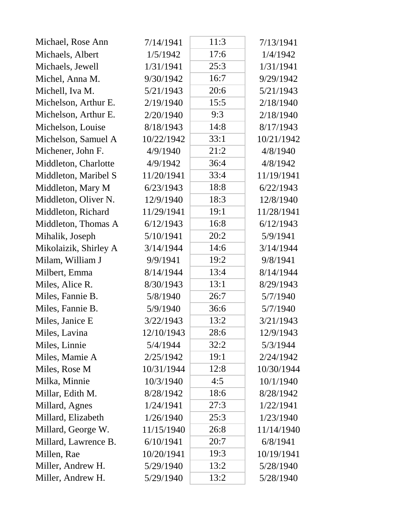| Michael, Rose Ann     | 7/14/1941  | 11:3 | 7/13/1941  |
|-----------------------|------------|------|------------|
| Michaels, Albert      | 1/5/1942   | 17:6 | 1/4/1942   |
| Michaels, Jewell      | 1/31/1941  | 25:3 | 1/31/1941  |
| Michel, Anna M.       | 9/30/1942  | 16:7 | 9/29/1942  |
| Michell, Iva M.       | 5/21/1943  | 20:6 | 5/21/1943  |
| Michelson, Arthur E.  | 2/19/1940  | 15:5 | 2/18/1940  |
| Michelson, Arthur E.  | 2/20/1940  | 9:3  | 2/18/1940  |
| Michelson, Louise     | 8/18/1943  | 14:8 | 8/17/1943  |
| Michelson, Samuel A   | 10/22/1942 | 33:1 | 10/21/1942 |
| Michener, John F.     | 4/9/1940   | 21:2 | 4/8/1940   |
| Middleton, Charlotte  | 4/9/1942   | 36:4 | 4/8/1942   |
| Middleton, Maribel S  | 11/20/1941 | 33:4 | 11/19/1941 |
| Middleton, Mary M     | 6/23/1943  | 18:8 | 6/22/1943  |
| Middleton, Oliver N.  | 12/9/1940  | 18:3 | 12/8/1940  |
| Middleton, Richard    | 11/29/1941 | 19:1 | 11/28/1941 |
| Middleton, Thomas A   | 6/12/1943  | 16:8 | 6/12/1943  |
| Mihalik, Joseph       | 5/10/1941  | 20:2 | 5/9/1941   |
| Mikolaizik, Shirley A | 3/14/1944  | 14:6 | 3/14/1944  |
| Milam, William J      | 9/9/1941   | 19:2 | 9/8/1941   |
| Milbert, Emma         | 8/14/1944  | 13:4 | 8/14/1944  |
| Miles, Alice R.       | 8/30/1943  | 13:1 | 8/29/1943  |
| Miles, Fannie B.      | 5/8/1940   | 26:7 | 5/7/1940   |
| Miles, Fannie B.      | 5/9/1940   | 36:6 | 5/7/1940   |
| Miles, Janice E       | 3/22/1943  | 13:2 | 3/21/1943  |
| Miles, Lavina         | 12/10/1943 | 28:6 | 12/9/1943  |
| Miles, Linnie         | 5/4/1944   | 32:2 | 5/3/1944   |
| Miles, Mamie A        | 2/25/1942  | 19:1 | 2/24/1942  |
| Miles, Rose M         | 10/31/1944 | 12:8 | 10/30/1944 |
| Milka, Minnie         | 10/3/1940  | 4:5  | 10/1/1940  |
| Millar, Edith M.      | 8/28/1942  | 18:6 | 8/28/1942  |
| Millard, Agnes        | 1/24/1941  | 27:3 | 1/22/1941  |
| Millard, Elizabeth    | 1/26/1940  | 25:3 | 1/23/1940  |
| Millard, George W.    | 11/15/1940 | 26:8 | 11/14/1940 |
| Millard, Lawrence B.  | 6/10/1941  | 20:7 | 6/8/1941   |
| Millen, Rae           | 10/20/1941 | 19:3 | 10/19/1941 |
| Miller, Andrew H.     | 5/29/1940  | 13:2 | 5/28/1940  |
| Miller, Andrew H.     | 5/29/1940  | 13:2 | 5/28/1940  |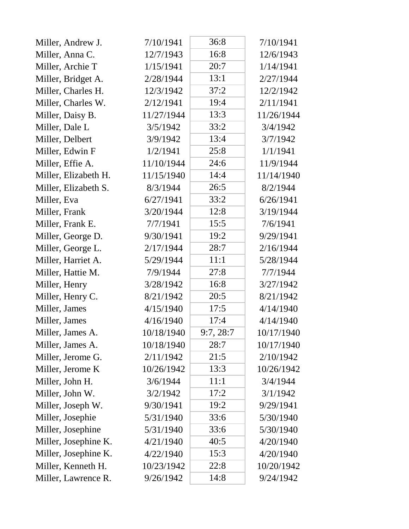| Miller, Andrew J.    | 7/10/1941  | 36:8      | 7/10/1941  |
|----------------------|------------|-----------|------------|
| Miller, Anna C.      | 12/7/1943  | 16:8      | 12/6/1943  |
| Miller, Archie T     | 1/15/1941  | 20:7      | 1/14/1941  |
| Miller, Bridget A.   | 2/28/1944  | 13:1      | 2/27/1944  |
| Miller, Charles H.   | 12/3/1942  | 37:2      | 12/2/1942  |
| Miller, Charles W.   | 2/12/1941  | 19:4      | 2/11/1941  |
| Miller, Daisy B.     | 11/27/1944 | 13:3      | 11/26/1944 |
| Miller, Dale L       | 3/5/1942   | 33:2      | 3/4/1942   |
| Miller, Delbert      | 3/9/1942   | 13:4      | 3/7/1942   |
| Miller, Edwin F      | 1/2/1941   | 25:8      | 1/1/1941   |
| Miller, Effie A.     | 11/10/1944 | 24:6      | 11/9/1944  |
| Miller, Elizabeth H. | 11/15/1940 | 14:4      | 11/14/1940 |
| Miller, Elizabeth S. | 8/3/1944   | 26:5      | 8/2/1944   |
| Miller, Eva          | 6/27/1941  | 33:2      | 6/26/1941  |
| Miller, Frank        | 3/20/1944  | 12:8      | 3/19/1944  |
| Miller, Frank E.     | 7/7/1941   | 15:5      | 7/6/1941   |
| Miller, George D.    | 9/30/1941  | 19:2      | 9/29/1941  |
| Miller, George L.    | 2/17/1944  | 28:7      | 2/16/1944  |
| Miller, Harriet A.   | 5/29/1944  | 11:1      | 5/28/1944  |
| Miller, Hattie M.    | 7/9/1944   | 27:8      | 7/7/1944   |
| Miller, Henry        | 3/28/1942  | 16:8      | 3/27/1942  |
| Miller, Henry C.     | 8/21/1942  | 20:5      | 8/21/1942  |
| Miller, James        | 4/15/1940  | 17:5      | 4/14/1940  |
| Miller, James        | 4/16/1940  | 17:4      | 4/14/1940  |
| Miller, James A.     | 10/18/1940 | 9:7, 28:7 | 10/17/1940 |
| Miller, James A.     | 10/18/1940 | 28:7      | 10/17/1940 |
| Miller, Jerome G.    | 2/11/1942  | 21:5      | 2/10/1942  |
| Miller, Jerome K     | 10/26/1942 | 13:3      | 10/26/1942 |
| Miller, John H.      | 3/6/1944   | 11:1      | 3/4/1944   |
| Miller, John W.      | 3/2/1942   | 17:2      | 3/1/1942   |
| Miller, Joseph W.    | 9/30/1941  | 19:2      | 9/29/1941  |
| Miller, Josephie     | 5/31/1940  | 33:6      | 5/30/1940  |
| Miller, Josephine    | 5/31/1940  | 33:6      | 5/30/1940  |
| Miller, Josephine K. | 4/21/1940  | 40:5      | 4/20/1940  |
| Miller, Josephine K. | 4/22/1940  | 15:3      | 4/20/1940  |
| Miller, Kenneth H.   | 10/23/1942 | 22:8      | 10/20/1942 |
| Miller, Lawrence R.  | 9/26/1942  | 14:8      | 9/24/1942  |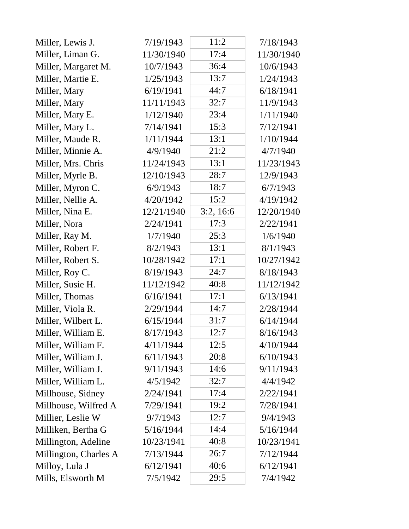| Miller, Lewis J.      | 7/19/1943  | 11:2      | 7/18/1943  |
|-----------------------|------------|-----------|------------|
| Miller, Liman G.      | 11/30/1940 | 17:4      | 11/30/1940 |
| Miller, Margaret M.   | 10/7/1943  | 36:4      | 10/6/1943  |
| Miller, Martie E.     | 1/25/1943  | 13:7      | 1/24/1943  |
| Miller, Mary          | 6/19/1941  | 44:7      | 6/18/1941  |
| Miller, Mary          | 11/11/1943 | 32:7      | 11/9/1943  |
| Miller, Mary E.       | 1/12/1940  | 23:4      | 1/11/1940  |
| Miller, Mary L.       | 7/14/1941  | 15:3      | 7/12/1941  |
| Miller, Maude R.      | 1/11/1944  | 13:1      | 1/10/1944  |
| Miller, Minnie A.     | 4/9/1940   | 21:2      | 4/7/1940   |
| Miller, Mrs. Chris    | 11/24/1943 | 13:1      | 11/23/1943 |
| Miller, Myrle B.      | 12/10/1943 | 28:7      | 12/9/1943  |
| Miller, Myron C.      | 6/9/1943   | 18:7      | 6/7/1943   |
| Miller, Nellie A.     | 4/20/1942  | 15:2      | 4/19/1942  |
| Miller, Nina E.       | 12/21/1940 | 3:2, 16:6 | 12/20/1940 |
| Miller, Nora          | 2/24/1941  | 17:3      | 2/22/1941  |
| Miller, Ray M.        | 1/7/1940   | 25:3      | 1/6/1940   |
| Miller, Robert F.     | 8/2/1943   | 13:1      | 8/1/1943   |
| Miller, Robert S.     | 10/28/1942 | 17:1      | 10/27/1942 |
| Miller, Roy C.        | 8/19/1943  | 24:7      | 8/18/1943  |
| Miller, Susie H.      | 11/12/1942 | 40:8      | 11/12/1942 |
| Miller, Thomas        | 6/16/1941  | 17:1      | 6/13/1941  |
| Miller, Viola R.      | 2/29/1944  | 14:7      | 2/28/1944  |
| Miller, Wilbert L.    | 6/15/1944  | 31:7      | 6/14/1944  |
| Miller, William E.    | 8/17/1943  | 12:7      | 8/16/1943  |
| Miller, William F.    | 4/11/1944  | 12:5      | 4/10/1944  |
| Miller, William J.    | 6/11/1943  | 20:8      | 6/10/1943  |
| Miller, William J.    | 9/11/1943  | 14:6      | 9/11/1943  |
| Miller, William L.    | 4/5/1942   | 32:7      | 4/4/1942   |
| Millhouse, Sidney     | 2/24/1941  | 17:4      | 2/22/1941  |
| Millhouse, Wilfred A  | 7/29/1941  | 19:2      | 7/28/1941  |
| Millier, Leslie W     | 9/7/1943   | 12:7      | 9/4/1943   |
| Milliken, Bertha G    | 5/16/1944  | 14:4      | 5/16/1944  |
| Millington, Adeline   | 10/23/1941 | 40:8      | 10/23/1941 |
| Millington, Charles A | 7/13/1944  | 26:7      | 7/12/1944  |
| Milloy, Lula J        | 6/12/1941  | 40:6      | 6/12/1941  |
| Mills, Elsworth M     | 7/5/1942   | 29:5      | 7/4/1942   |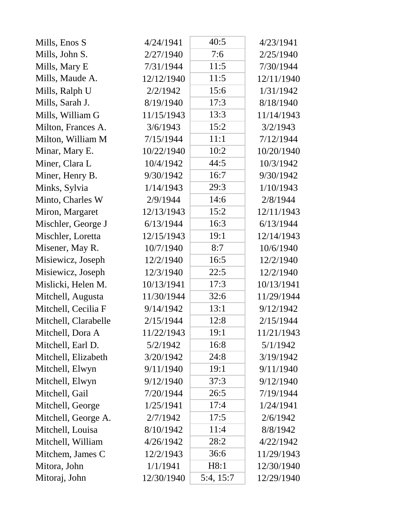| Mills, Enos S        | 4/24/1941  | 40:5      | 4/23/1941  |
|----------------------|------------|-----------|------------|
| Mills, John S.       | 2/27/1940  | 7:6       | 2/25/1940  |
| Mills, Mary E        | 7/31/1944  | 11:5      | 7/30/1944  |
| Mills, Maude A.      | 12/12/1940 | 11:5      | 12/11/1940 |
| Mills, Ralph U       | 2/2/1942   | 15:6      | 1/31/1942  |
| Mills, Sarah J.      | 8/19/1940  | 17:3      | 8/18/1940  |
| Mills, William G     | 11/15/1943 | 13:3      | 11/14/1943 |
| Milton, Frances A.   | 3/6/1943   | 15:2      | 3/2/1943   |
| Milton, William M    | 7/15/1944  | 11:1      | 7/12/1944  |
| Minar, Mary E.       | 10/22/1940 | 10:2      | 10/20/1940 |
| Miner, Clara L       | 10/4/1942  | 44:5      | 10/3/1942  |
| Miner, Henry B.      | 9/30/1942  | 16:7      | 9/30/1942  |
| Minks, Sylvia        | 1/14/1943  | 29:3      | 1/10/1943  |
| Minto, Charles W     | 2/9/1944   | 14:6      | 2/8/1944   |
| Miron, Margaret      | 12/13/1943 | 15:2      | 12/11/1943 |
| Mischler, George J   | 6/13/1944  | 16:3      | 6/13/1944  |
| Mischler, Loretta    | 12/15/1943 | 19:1      | 12/14/1943 |
| Misener, May R.      | 10/7/1940  | 8:7       | 10/6/1940  |
| Misiewicz, Joseph    | 12/2/1940  | 16:5      | 12/2/1940  |
| Misiewicz, Joseph    | 12/3/1940  | 22:5      | 12/2/1940  |
| Mislicki, Helen M.   | 10/13/1941 | 17:3      | 10/13/1941 |
| Mitchell, Augusta    | 11/30/1944 | 32:6      | 11/29/1944 |
| Mitchell, Cecilia F  | 9/14/1942  | 13:1      | 9/12/1942  |
| Mitchell, Clarabelle | 2/15/1944  | 12:8      | 2/15/1944  |
| Mitchell, Dora A     | 11/22/1943 | 19:1      | 11/21/1943 |
| Mitchell, Earl D.    | 5/2/1942   | 16:8      | 5/1/1942   |
| Mitchell, Elizabeth  | 3/20/1942  | 24:8      | 3/19/1942  |
| Mitchell, Elwyn      | 9/11/1940  | 19:1      | 9/11/1940  |
| Mitchell, Elwyn      | 9/12/1940  | 37:3      | 9/12/1940  |
| Mitchell, Gail       | 7/20/1944  | 26:5      | 7/19/1944  |
| Mitchell, George     | 1/25/1941  | 17:4      | 1/24/1941  |
| Mitchell, George A.  | 2/7/1942   | 17:5      | 2/6/1942   |
| Mitchell, Louisa     | 8/10/1942  | 11:4      | 8/8/1942   |
| Mitchell, William    | 4/26/1942  | 28:2      | 4/22/1942  |
| Mitchem, James C     | 12/2/1943  | 36:6      | 11/29/1943 |
| Mitora, John         | 1/1/1941   | H8:1      | 12/30/1940 |
| Mitoraj, John        | 12/30/1940 | 5:4, 15:7 | 12/29/1940 |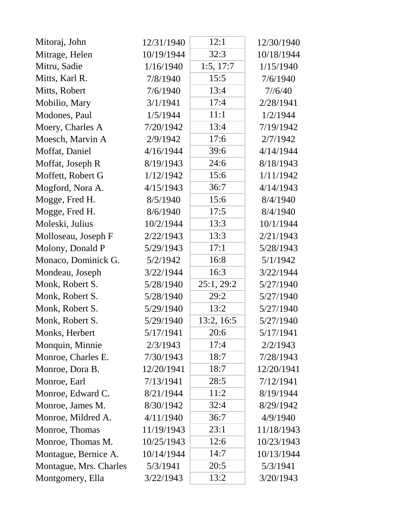| Mitoraj, John          | 12/31/1940 | 12:1       | 12/30/1940 |
|------------------------|------------|------------|------------|
| Mitrage, Helen         | 10/19/1944 | 32:3       | 10/18/1944 |
| Mitru, Sadie           | 1/16/1940  | 1:5, 17:7  | 1/15/1940  |
| Mitts, Karl R.         | 7/8/1940   | 15:5       | 7/6/1940   |
| Mitts, Robert          | 7/6/1940   | 13:4       | 7/6/40     |
| Mobilio, Mary          | 3/1/1941   | 17:4       | 2/28/1941  |
| Modones, Paul          | 1/5/1944   | 11:1       | 1/2/1944   |
| Moery, Charles A       | 7/20/1942  | 13:4       | 7/19/1942  |
| Moesch, Marvin A       | 2/9/1942   | 17:6       | 2/7/1942   |
| Moffat, Daniel         | 4/16/1944  | 39:6       | 4/14/1944  |
| Moffat, Joseph R       | 8/19/1943  | 24:6       | 8/18/1943  |
| Moffett, Robert G      | 1/12/1942  | 15:6       | 1/11/1942  |
| Mogford, Nora A.       | 4/15/1943  | 36:7       | 4/14/1943  |
| Mogge, Fred H.         | 8/5/1940   | 15:6       | 8/4/1940   |
| Mogge, Fred H.         | 8/6/1940   | 17:5       | 8/4/1940   |
| Moleski, Julius        | 10/2/1944  | 13:3       | 10/1/1944  |
| Molloseau, Joseph F    | 2/22/1943  | 13:3       | 2/21/1943  |
| Molony, Donald P       | 5/29/1943  | 17:1       | 5/28/1943  |
| Monaco, Dominick G.    | 5/2/1942   | 16:8       | 5/1/1942   |
| Mondeau, Joseph        | 3/22/1944  | 16:3       | 3/22/1944  |
| Monk, Robert S.        | 5/28/1940  | 25:1, 29:2 | 5/27/1940  |
| Monk, Robert S.        | 5/28/1940  | 29:2       | 5/27/1940  |
| Monk, Robert S.        | 5/29/1940  | 13:2       | 5/27/1940  |
| Monk, Robert S.        | 5/29/1940  | 13:2, 16:5 | 5/27/1940  |
| Monks, Herbert         | 5/17/1941  | 20:6       | 5/17/1941  |
| Monquin, Minnie        | 2/3/1943   | 17:4       | 2/2/1943   |
| Monroe, Charles E.     | 7/30/1943  | 18:7       | 7/28/1943  |
| Monroe, Dora B.        | 12/20/1941 | 18:7       | 12/20/1941 |
| Monroe, Earl           | 7/13/1941  | 28:5       | 7/12/1941  |
| Monroe, Edward C.      | 8/21/1944  | 11:2       | 8/19/1944  |
| Monroe, James M.       | 8/30/1942  | 32:4       | 8/29/1942  |
| Monroe, Mildred A.     | 4/11/1940  | 36:7       | 4/9/1940   |
| Monroe, Thomas         | 11/19/1943 | 23:1       | 11/18/1943 |
| Monroe, Thomas M.      | 10/25/1943 | 12:6       | 10/23/1943 |
| Montague, Bernice A.   | 10/14/1944 | 14:7       | 10/13/1944 |
| Montague, Mrs. Charles | 5/3/1941   | 20:5       | 5/3/1941   |
| Montgomery, Ella       | 3/22/1943  | 13:2       | 3/20/1943  |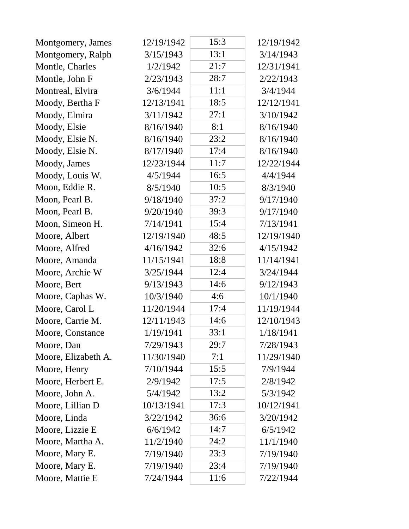| Montgomery, James   | 12/19/1942 | 15:3 | 12/19/1942 |
|---------------------|------------|------|------------|
| Montgomery, Ralph   | 3/15/1943  | 13:1 | 3/14/1943  |
| Montle, Charles     | 1/2/1942   | 21:7 | 12/31/1941 |
| Montle, John F      | 2/23/1943  | 28:7 | 2/22/1943  |
| Montreal, Elvira    | 3/6/1944   | 11:1 | 3/4/1944   |
| Moody, Bertha F     | 12/13/1941 | 18:5 | 12/12/1941 |
| Moody, Elmira       | 3/11/1942  | 27:1 | 3/10/1942  |
| Moody, Elsie        | 8/16/1940  | 8:1  | 8/16/1940  |
| Moody, Elsie N.     | 8/16/1940  | 23:2 | 8/16/1940  |
| Moody, Elsie N.     | 8/17/1940  | 17:4 | 8/16/1940  |
| Moody, James        | 12/23/1944 | 11:7 | 12/22/1944 |
| Moody, Louis W.     | 4/5/1944   | 16:5 | 4/4/1944   |
| Moon, Eddie R.      | 8/5/1940   | 10:5 | 8/3/1940   |
| Moon, Pearl B.      | 9/18/1940  | 37:2 | 9/17/1940  |
| Moon, Pearl B.      | 9/20/1940  | 39:3 | 9/17/1940  |
| Moon, Simeon H.     | 7/14/1941  | 15:4 | 7/13/1941  |
| Moore, Albert       | 12/19/1940 | 48:5 | 12/19/1940 |
| Moore, Alfred       | 4/16/1942  | 32:6 | 4/15/1942  |
| Moore, Amanda       | 11/15/1941 | 18:8 | 11/14/1941 |
| Moore, Archie W     | 3/25/1944  | 12:4 | 3/24/1944  |
| Moore, Bert         | 9/13/1943  | 14:6 | 9/12/1943  |
| Moore, Caphas W.    | 10/3/1940  | 4:6  | 10/1/1940  |
| Moore, Carol L      | 11/20/1944 | 17:4 | 11/19/1944 |
| Moore, Carrie M.    | 12/11/1943 | 14:6 | 12/10/1943 |
| Moore, Constance    | 1/19/1941  | 33:1 | 1/18/1941  |
| Moore, Dan          | 7/29/1943  | 29:7 | 7/28/1943  |
| Moore, Elizabeth A. | 11/30/1940 | 7:1  | 11/29/1940 |
| Moore, Henry        | 7/10/1944  | 15:5 | 7/9/1944   |
| Moore, Herbert E.   | 2/9/1942   | 17:5 | 2/8/1942   |
| Moore, John A.      | 5/4/1942   | 13:2 | 5/3/1942   |
| Moore, Lillian D    | 10/13/1941 | 17:3 | 10/12/1941 |
| Moore, Linda        | 3/22/1942  | 36:6 | 3/20/1942  |
| Moore, Lizzie E     | 6/6/1942   | 14:7 | 6/5/1942   |
| Moore, Martha A.    | 11/2/1940  | 24:2 | 11/1/1940  |
| Moore, Mary E.      | 7/19/1940  | 23:3 | 7/19/1940  |
| Moore, Mary E.      | 7/19/1940  | 23:4 | 7/19/1940  |
| Moore, Mattie E     | 7/24/1944  | 11:6 | 7/22/1944  |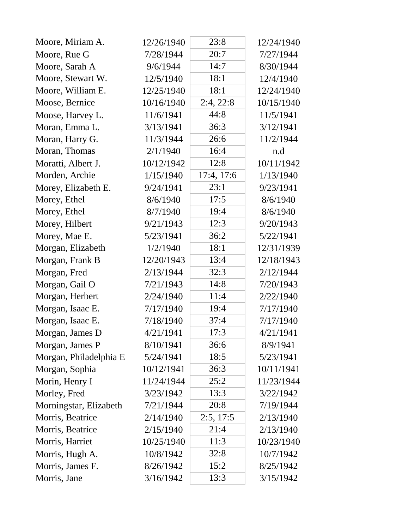| Moore, Miriam A.       | 12/26/1940 | 23:8       | 12/24/1940 |
|------------------------|------------|------------|------------|
| Moore, Rue G           | 7/28/1944  | 20:7       | 7/27/1944  |
| Moore, Sarah A         | 9/6/1944   | 14:7       | 8/30/1944  |
| Moore, Stewart W.      | 12/5/1940  | 18:1       | 12/4/1940  |
| Moore, William E.      | 12/25/1940 | 18:1       | 12/24/1940 |
| Moose, Bernice         | 10/16/1940 | 2:4, 22:8  | 10/15/1940 |
| Moose, Harvey L.       | 11/6/1941  | 44:8       | 11/5/1941  |
| Moran, Emma L.         | 3/13/1941  | 36:3       | 3/12/1941  |
| Moran, Harry G.        | 11/3/1944  | 26:6       | 11/2/1944  |
| Moran, Thomas          | 2/1/1940   | 16:4       | n.d        |
| Moratti, Albert J.     | 10/12/1942 | 12:8       | 10/11/1942 |
| Morden, Archie         | 1/15/1940  | 17:4, 17:6 | 1/13/1940  |
| Morey, Elizabeth E.    | 9/24/1941  | 23:1       | 9/23/1941  |
| Morey, Ethel           | 8/6/1940   | 17:5       | 8/6/1940   |
| Morey, Ethel           | 8/7/1940   | 19:4       | 8/6/1940   |
| Morey, Hilbert         | 9/21/1943  | 12:3       | 9/20/1943  |
| Morey, Mae E.          | 5/23/1941  | 36:2       | 5/22/1941  |
| Morgan, Elizabeth      | 1/2/1940   | 18:1       | 12/31/1939 |
| Morgan, Frank B        | 12/20/1943 | 13:4       | 12/18/1943 |
| Morgan, Fred           | 2/13/1944  | 32:3       | 2/12/1944  |
| Morgan, Gail O         | 7/21/1943  | 14:8       | 7/20/1943  |
| Morgan, Herbert        | 2/24/1940  | 11:4       | 2/22/1940  |
| Morgan, Isaac E.       | 7/17/1940  | 19:4       | 7/17/1940  |
| Morgan, Isaac E.       | 7/18/1940  | 37:4       | 7/17/1940  |
| Morgan, James D        | 4/21/1941  | 17:3       | 4/21/1941  |
| Morgan, James P        | 8/10/1941  | 36:6       | 8/9/1941   |
| Morgan, Philadelphia E | 5/24/1941  | 18:5       | 5/23/1941  |
| Morgan, Sophia         | 10/12/1941 | 36:3       | 10/11/1941 |
| Morin, Henry I         | 11/24/1944 | 25:2       | 11/23/1944 |
| Morley, Fred           | 3/23/1942  | 13:3       | 3/22/1942  |
| Morningstar, Elizabeth | 7/21/1944  | 20:8       | 7/19/1944  |
| Morris, Beatrice       | 2/14/1940  | 2:5, 17:5  | 2/13/1940  |
| Morris, Beatrice       | 2/15/1940  | 21:4       | 2/13/1940  |
| Morris, Harriet        | 10/25/1940 | 11:3       | 10/23/1940 |
| Morris, Hugh A.        | 10/8/1942  | 32:8       | 10/7/1942  |
| Morris, James F.       | 8/26/1942  | 15:2       | 8/25/1942  |
| Morris, Jane           | 3/16/1942  | 13:3       | 3/15/1942  |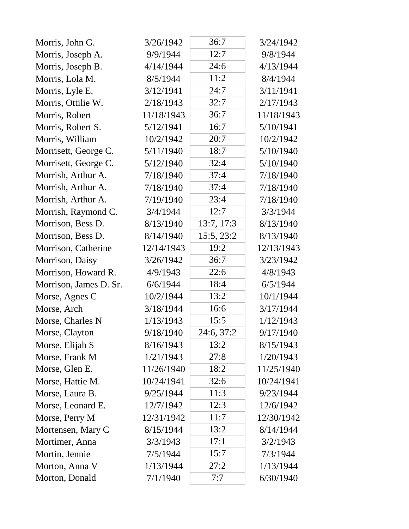| Morris, John G.        | 3/26/1942  | 36:7       | 3/24/1942  |
|------------------------|------------|------------|------------|
| Morris, Joseph A.      | 9/9/1944   | 12:7       | 9/8/1944   |
| Morris, Joseph B.      | 4/14/1944  | 24:6       | 4/13/1944  |
| Morris, Lola M.        | 8/5/1944   | 11:2       | 8/4/1944   |
| Morris, Lyle E.        | 3/12/1941  | 24:7       | 3/11/1941  |
| Morris, Ottilie W.     | 2/18/1943  | 32:7       | 2/17/1943  |
| Morris, Robert         | 11/18/1943 | 36:7       | 11/18/1943 |
| Morris, Robert S.      | 5/12/1941  | 16:7       | 5/10/1941  |
| Morris, William        | 10/2/1942  | 20:7       | 10/2/1942  |
| Morrisett, George C.   | 5/11/1940  | 18:7       | 5/10/1940  |
| Morrisett, George C.   | 5/12/1940  | 32:4       | 5/10/1940  |
| Morrish, Arthur A.     | 7/18/1940  | 37:4       | 7/18/1940  |
| Morrish, Arthur A.     | 7/18/1940  | 37:4       | 7/18/1940  |
| Morrish, Arthur A.     | 7/19/1940  | 23:4       | 7/18/1940  |
| Morrish, Raymond C.    | 3/4/1944   | 12:7       | 3/3/1944   |
| Morrison, Bess D.      | 8/13/1940  | 13:7, 17:3 | 8/13/1940  |
| Morrison, Bess D.      | 8/14/1940  | 15:5, 23:2 | 8/13/1940  |
| Morrison, Catherine    | 12/14/1943 | 19:2       | 12/13/1943 |
| Morrison, Daisy        | 3/26/1942  | 36:7       | 3/23/1942  |
| Morrison, Howard R.    | 4/9/1943   | 22:6       | 4/8/1943   |
| Morrison, James D. Sr. | 6/6/1944   | 18:4       | 6/5/1944   |
| Morse, Agnes C         | 10/2/1944  | 13:2       | 10/1/1944  |
| Morse, Arch            | 3/18/1944  | 16:6       | 3/17/1944  |
| Morse, Charles N       | 1/13/1943  | 15:5       | 1/12/1943  |
| Morse, Clayton         | 9/18/1940  | 24:6, 37:2 | 9/17/1940  |
| Morse, Elijah S        | 8/16/1943  | 13:2       | 8/15/1943  |
| Morse, Frank M         | 1/21/1943  | 27:8       | 1/20/1943  |
| Morse, Glen E.         | 11/26/1940 | 18:2       | 11/25/1940 |
| Morse, Hattie M.       | 10/24/1941 | 32:6       | 10/24/1941 |
| Morse, Laura B.        | 9/25/1944  | 11:3       | 9/23/1944  |
| Morse, Leonard E.      | 12/7/1942  | 12:3       | 12/6/1942  |
| Morse, Perry M         | 12/31/1942 | 11:7       | 12/30/1942 |
| Mortensen, Mary C      | 8/15/1944  | 13:2       | 8/14/1944  |
| Mortimer, Anna         | 3/3/1943   | 17:1       | 3/2/1943   |
| Mortin, Jennie         | 7/5/1944   | 15:7       | 7/3/1944   |
| Morton, Anna V         | 1/13/1944  | 27:2       | 1/13/1944  |
| Morton, Donald         | 7/1/1940   | 7:7        | 6/30/1940  |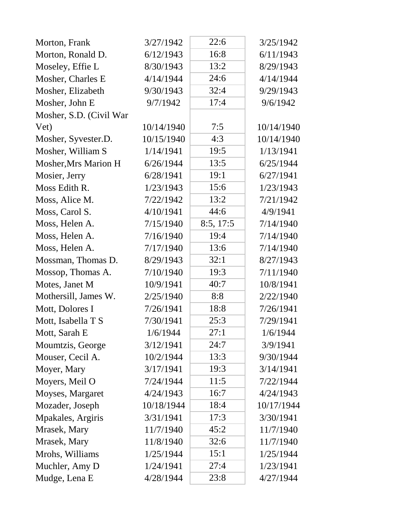| Morton, Frank           | 3/27/1942  | 22:6      | 3/25/1942  |
|-------------------------|------------|-----------|------------|
| Morton, Ronald D.       | 6/12/1943  | 16:8      | 6/11/1943  |
| Moseley, Effie L        | 8/30/1943  | 13:2      | 8/29/1943  |
| Mosher, Charles E       | 4/14/1944  | 24:6      | 4/14/1944  |
| Mosher, Elizabeth       | 9/30/1943  | 32:4      | 9/29/1943  |
| Mosher, John E          | 9/7/1942   | 17:4      | 9/6/1942   |
| Mosher, S.D. (Civil War |            |           |            |
| Vet)                    | 10/14/1940 | 7:5       | 10/14/1940 |
| Mosher, Syvester.D.     | 10/15/1940 | 4:3       | 10/14/1940 |
| Mosher, William S       | 1/14/1941  | 19:5      | 1/13/1941  |
| Mosher, Mrs Marion H    | 6/26/1944  | 13:5      | 6/25/1944  |
| Mosier, Jerry           | 6/28/1941  | 19:1      | 6/27/1941  |
| Moss Edith R.           | 1/23/1943  | 15:6      | 1/23/1943  |
| Moss, Alice M.          | 7/22/1942  | 13:2      | 7/21/1942  |
| Moss, Carol S.          | 4/10/1941  | 44:6      | 4/9/1941   |
| Moss, Helen A.          | 7/15/1940  | 8:5, 17:5 | 7/14/1940  |
| Moss, Helen A.          | 7/16/1940  | 19:4      | 7/14/1940  |
| Moss, Helen A.          | 7/17/1940  | 13:6      | 7/14/1940  |
| Mossman, Thomas D.      | 8/29/1943  | 32:1      | 8/27/1943  |
| Mossop, Thomas A.       | 7/10/1940  | 19:3      | 7/11/1940  |
| Motes, Janet M          | 10/9/1941  | 40:7      | 10/8/1941  |
| Mothersill, James W.    | 2/25/1940  | 8:8       | 2/22/1940  |
| Mott, Dolores I         | 7/26/1941  | 18:8      | 7/26/1941  |
| Mott, Isabella T S      | 7/30/1941  | 25:3      | 7/29/1941  |
| Mott, Sarah E           | 1/6/1944   | 27:1      | 1/6/1944   |
| Moumtzis, George        | 3/12/1941  | 24:7      | 3/9/1941   |
| Mouser, Cecil A.        | 10/2/1944  | 13:3      | 9/30/1944  |
| Moyer, Mary             | 3/17/1941  | 19:3      | 3/14/1941  |
| Moyers, Meil O          | 7/24/1944  | 11:5      | 7/22/1944  |
| Moyses, Margaret        | 4/24/1943  | 16:7      | 4/24/1943  |
| Mozader, Joseph         | 10/18/1944 | 18:4      | 10/17/1944 |
| Mpakales, Argiris       | 3/31/1941  | 17:3      | 3/30/1941  |
| Mrasek, Mary            | 11/7/1940  | 45:2      | 11/7/1940  |
| Mrasek, Mary            | 11/8/1940  | 32:6      | 11/7/1940  |
| Mrohs, Williams         | 1/25/1944  | 15:1      | 1/25/1944  |
| Muchler, Amy D          | 1/24/1941  | 27:4      | 1/23/1941  |
| Mudge, Lena E           | 4/28/1944  | 23:8      | 4/27/1944  |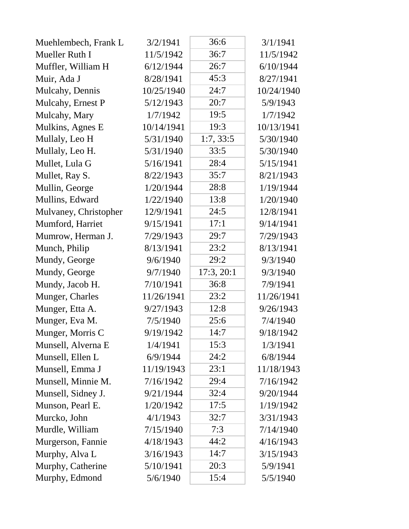| Muehlembech, Frank L  | 3/2/1941   | 36:6       | 3/1/1941   |
|-----------------------|------------|------------|------------|
| Mueller Ruth I        | 11/5/1942  | 36:7       | 11/5/1942  |
| Muffler, William H    | 6/12/1944  | 26:7       | 6/10/1944  |
| Muir, Ada J           | 8/28/1941  | 45:3       | 8/27/1941  |
| Mulcahy, Dennis       | 10/25/1940 | 24:7       | 10/24/1940 |
| Mulcahy, Ernest P     | 5/12/1943  | 20:7       | 5/9/1943   |
| Mulcahy, Mary         | 1/7/1942   | 19:5       | 1/7/1942   |
| Mulkins, Agnes E      | 10/14/1941 | 19:3       | 10/13/1941 |
| Mullaly, Leo H        | 5/31/1940  | 1:7, 33:5  | 5/30/1940  |
| Mullaly, Leo H.       | 5/31/1940  | 33:5       | 5/30/1940  |
| Mullet, Lula G        | 5/16/1941  | 28:4       | 5/15/1941  |
| Mullet, Ray S.        | 8/22/1943  | 35:7       | 8/21/1943  |
| Mullin, George        | 1/20/1944  | 28:8       | 1/19/1944  |
| Mullins, Edward       | 1/22/1940  | 13:8       | 1/20/1940  |
| Mulvaney, Christopher | 12/9/1941  | 24:5       | 12/8/1941  |
| Mumford, Harriet      | 9/15/1941  | 17:1       | 9/14/1941  |
| Mumrow, Herman J.     | 7/29/1943  | 29:7       | 7/29/1943  |
| Munch, Philip         | 8/13/1941  | 23:2       | 8/13/1941  |
| Mundy, George         | 9/6/1940   | 29:2       | 9/3/1940   |
| Mundy, George         | 9/7/1940   | 17:3, 20:1 | 9/3/1940   |
| Mundy, Jacob H.       | 7/10/1941  | 36:8       | 7/9/1941   |
| Munger, Charles       | 11/26/1941 | 23:2       | 11/26/1941 |
| Munger, Etta A.       | 9/27/1943  | 12:8       | 9/26/1943  |
| Munger, Eva M.        | 7/5/1940   | 25:6       | 7/4/1940   |
| Munger, Morris C      | 9/19/1942  | 14:7       | 9/18/1942  |
| Munsell, Alverna E    | 1/4/1941   | 15:3       | 1/3/1941   |
| Munsell, Ellen L      | 6/9/1944   | 24:2       | 6/8/1944   |
| Munsell, Emma J       | 11/19/1943 | 23:1       | 11/18/1943 |
| Munsell, Minnie M.    | 7/16/1942  | 29:4       | 7/16/1942  |
| Munsell, Sidney J.    | 9/21/1944  | 32:4       | 9/20/1944  |
| Munson, Pearl E.      | 1/20/1942  | 17:5       | 1/19/1942  |
| Murcko, John          | 4/1/1943   | 32:7       | 3/31/1943  |
| Murdle, William       | 7/15/1940  | 7:3        | 7/14/1940  |
| Murgerson, Fannie     | 4/18/1943  | 44:2       | 4/16/1943  |
| Murphy, Alva L        | 3/16/1943  | 14:7       | 3/15/1943  |
| Murphy, Catherine     | 5/10/1941  | 20:3       | 5/9/1941   |
| Murphy, Edmond        | 5/6/1940   | 15:4       | 5/5/1940   |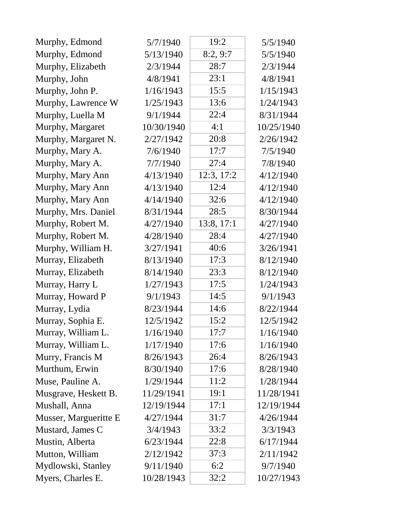| Murphy, Edmond        | 5/7/1940   | 19:2       | 5/5/1940   |
|-----------------------|------------|------------|------------|
| Murphy, Edmond        | 5/13/1940  | 8:2,9:7    | 5/5/1940   |
| Murphy, Elizabeth     | 2/3/1944   | 28:7       | 2/3/1944   |
| Murphy, John          | 4/8/1941   | 23:1       | 4/8/1941   |
| Murphy, John P.       | 1/16/1943  | 15:5       | 1/15/1943  |
| Murphy, Lawrence W    | 1/25/1943  | 13:6       | 1/24/1943  |
| Murphy, Luella M      | 9/1/1944   | 22:4       | 8/31/1944  |
| Murphy, Margaret      | 10/30/1940 | 4:1        | 10/25/1940 |
| Murphy, Margaret N.   | 2/27/1942  | 20:8       | 2/26/1942  |
| Murphy, Mary A.       | 7/6/1940   | 17:7       | 7/5/1940   |
| Murphy, Mary A.       | 7/7/1940   | 27:4       | 7/8/1940   |
| Murphy, Mary Ann      | 4/13/1940  | 12:3, 17:2 | 4/12/1940  |
| Murphy, Mary Ann      | 4/13/1940  | 12:4       | 4/12/1940  |
| Murphy, Mary Ann      | 4/14/1940  | 32:6       | 4/12/1940  |
| Murphy, Mrs. Daniel   | 8/31/1944  | 28:5       | 8/30/1944  |
| Murphy, Robert M.     | 4/27/1940  | 13:8, 17:1 | 4/27/1940  |
| Murphy, Robert M.     | 4/28/1940  | 28:4       | 4/27/1940  |
| Murphy, William H.    | 3/27/1941  | 40:6       | 3/26/1941  |
| Murray, Elizabeth     | 8/13/1940  | 17:3       | 8/12/1940  |
| Murray, Elizabeth     | 8/14/1940  | 23:3       | 8/12/1940  |
| Murray, Harry L       | 1/27/1943  | 17:5       | 1/24/1943  |
| Murray, Howard P      | 9/1/1943   | 14:5       | 9/1/1943   |
| Murray, Lydia         | 8/23/1944  | 14:6       | 8/22/1944  |
| Murray, Sophia E.     | 12/5/1942  | 15:2       | 12/5/1942  |
| Murray, William L.    | 1/16/1940  | 17:7       | 1/16/1940  |
| Murray, William L.    | 1/17/1940  | 17:6       | 1/16/1940  |
| Murry, Francis M      | 8/26/1943  | 26:4       | 8/26/1943  |
| Murthum, Erwin        | 8/30/1940  | 17:6       | 8/28/1940  |
| Muse, Pauline A.      | 1/29/1944  | 11:2       | 1/28/1944  |
| Musgrave, Heskett B.  | 11/29/1941 | 19:1       | 11/28/1941 |
| Mushall, Anna         | 12/19/1944 | 17:1       | 12/19/1944 |
| Musser, Margueritte E | 4/27/1944  | 31:7       | 4/26/1944  |
| Mustard, James C      | 3/4/1943   | 33:2       | 3/3/1943   |
| Mustin, Alberta       | 6/23/1944  | 22:8       | 6/17/1944  |
| Mutton, William       | 2/12/1942  | 37:3       | 2/11/1942  |
| Mydlowski, Stanley    | 9/11/1940  | 6:2        | 9/7/1940   |
| Myers, Charles E.     | 10/28/1943 | 32:2       | 10/27/1943 |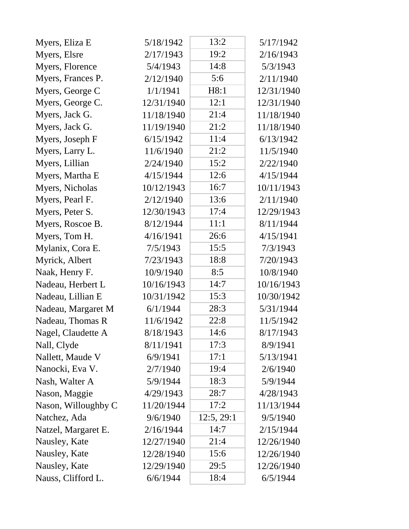| Myers, Eliza E      | 5/18/1942  | 13:2       | 5/17/1942  |
|---------------------|------------|------------|------------|
| Myers, Elsre        | 2/17/1943  | 19:2       | 2/16/1943  |
| Myers, Florence     | 5/4/1943   | 14:8       | 5/3/1943   |
| Myers, Frances P.   | 2/12/1940  | 5:6        | 2/11/1940  |
| Myers, George C     | 1/1/1941   | H8:1       | 12/31/1940 |
| Myers, George C.    | 12/31/1940 | 12:1       | 12/31/1940 |
| Myers, Jack G.      | 11/18/1940 | 21:4       | 11/18/1940 |
| Myers, Jack G.      | 11/19/1940 | 21:2       | 11/18/1940 |
| Myers, Joseph F     | 6/15/1942  | 11:4       | 6/13/1942  |
| Myers, Larry L.     | 11/6/1940  | 21:2       | 11/5/1940  |
| Myers, Lillian      | 2/24/1940  | 15:2       | 2/22/1940  |
| Myers, Martha E     | 4/15/1944  | 12:6       | 4/15/1944  |
| Myers, Nicholas     | 10/12/1943 | 16:7       | 10/11/1943 |
| Myers, Pearl F.     | 2/12/1940  | 13:6       | 2/11/1940  |
| Myers, Peter S.     | 12/30/1943 | 17:4       | 12/29/1943 |
| Myers, Roscoe B.    | 8/12/1944  | 11:1       | 8/11/1944  |
| Myers, Tom H.       | 4/16/1941  | 26:6       | 4/15/1941  |
| Mylanix, Cora E.    | 7/5/1943   | 15:5       | 7/3/1943   |
| Myrick, Albert      | 7/23/1943  | 18:8       | 7/20/1943  |
| Naak, Henry F.      | 10/9/1940  | 8:5        | 10/8/1940  |
| Nadeau, Herbert L   | 10/16/1943 | 14:7       | 10/16/1943 |
| Nadeau, Lillian E   | 10/31/1942 | 15:3       | 10/30/1942 |
| Nadeau, Margaret M  | 6/1/1944   | 28:3       | 5/31/1944  |
| Nadeau, Thomas R    | 11/6/1942  | 22:8       | 11/5/1942  |
| Nagel, Claudette A  | 8/18/1943  | 14:6       | 8/17/1943  |
| Nall, Clyde         | 8/11/1941  | 17:3       | 8/9/1941   |
| Nallett, Maude V    | 6/9/1941   | 17:1       | 5/13/1941  |
| Nanocki, Eva V.     | 2/7/1940   | 19:4       | 2/6/1940   |
| Nash, Walter A      | 5/9/1944   | 18:3       | 5/9/1944   |
| Nason, Maggie       | 4/29/1943  | 28:7       | 4/28/1943  |
| Nason, Willoughby C | 11/20/1944 | 17:2       | 11/13/1944 |
| Natchez, Ada        | 9/6/1940   | 12:5, 29:1 | 9/5/1940   |
| Natzel, Margaret E. | 2/16/1944  | 14:7       | 2/15/1944  |
| Nausley, Kate       | 12/27/1940 | 21:4       | 12/26/1940 |
| Nausley, Kate       | 12/28/1940 | 15:6       | 12/26/1940 |
| Nausley, Kate       | 12/29/1940 | 29:5       | 12/26/1940 |
| Nauss, Clifford L.  | 6/6/1944   | 18:4       | 6/5/1944   |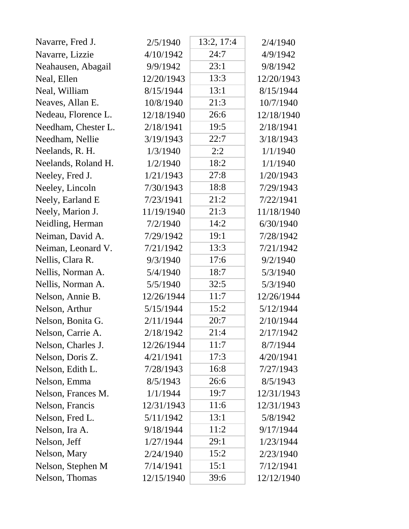| Navarre, Fred J.    | 2/5/1940   | 13:2, 17:4 | 2/4/1940   |
|---------------------|------------|------------|------------|
| Navarre, Lizzie     | 4/10/1942  | 24:7       | 4/9/1942   |
| Neahausen, Abagail  | 9/9/1942   | 23:1       | 9/8/1942   |
| Neal, Ellen         | 12/20/1943 | 13:3       | 12/20/1943 |
| Neal, William       | 8/15/1944  | 13:1       | 8/15/1944  |
| Neaves, Allan E.    | 10/8/1940  | 21:3       | 10/7/1940  |
| Nedeau, Florence L. | 12/18/1940 | 26:6       | 12/18/1940 |
| Needham, Chester L. | 2/18/1941  | 19:5       | 2/18/1941  |
| Needham, Nellie     | 3/19/1943  | 22:7       | 3/18/1943  |
| Neelands, R. H.     | 1/3/1940   | 2:2        | 1/1/1940   |
| Neelands, Roland H. | 1/2/1940   | 18:2       | 1/1/1940   |
| Neeley, Fred J.     | 1/21/1943  | 27:8       | 1/20/1943  |
| Neeley, Lincoln     | 7/30/1943  | 18:8       | 7/29/1943  |
| Neely, Earland E    | 7/23/1941  | 21:2       | 7/22/1941  |
| Neely, Marion J.    | 11/19/1940 | 21:3       | 11/18/1940 |
| Neidling, Herman    | 7/2/1940   | 14:2       | 6/30/1940  |
| Neiman, David A.    | 7/29/1942  | 19:1       | 7/28/1942  |
| Neiman, Leonard V.  | 7/21/1942  | 13:3       | 7/21/1942  |
| Nellis, Clara R.    | 9/3/1940   | 17:6       | 9/2/1940   |
| Nellis, Norman A.   | 5/4/1940   | 18:7       | 5/3/1940   |
| Nellis, Norman A.   | 5/5/1940   | 32:5       | 5/3/1940   |
| Nelson, Annie B.    | 12/26/1944 | 11:7       | 12/26/1944 |
| Nelson, Arthur      | 5/15/1944  | 15:2       | 5/12/1944  |
| Nelson, Bonita G.   | 2/11/1944  | 20:7       | 2/10/1944  |
| Nelson, Carrie A.   | 2/18/1942  | 21:4       | 2/17/1942  |
| Nelson, Charles J.  | 12/26/1944 | 11:7       | 8/7/1944   |
| Nelson, Doris Z.    | 4/21/1941  | 17:3       | 4/20/1941  |
| Nelson, Edith L.    | 7/28/1943  | 16:8       | 7/27/1943  |
| Nelson, Emma        | 8/5/1943   | 26:6       | 8/5/1943   |
| Nelson, Frances M.  | 1/1/1944   | 19:7       | 12/31/1943 |
| Nelson, Francis     | 12/31/1943 | 11:6       | 12/31/1943 |
| Nelson, Fred L.     | 5/11/1942  | 13:1       | 5/8/1942   |
| Nelson, Ira A.      | 9/18/1944  | 11:2       | 9/17/1944  |
| Nelson, Jeff        | 1/27/1944  | 29:1       | 1/23/1944  |
| Nelson, Mary        | 2/24/1940  | 15:2       | 2/23/1940  |
| Nelson, Stephen M   | 7/14/1941  | 15:1       | 7/12/1941  |
| Nelson, Thomas      | 12/15/1940 | 39:6       | 12/12/1940 |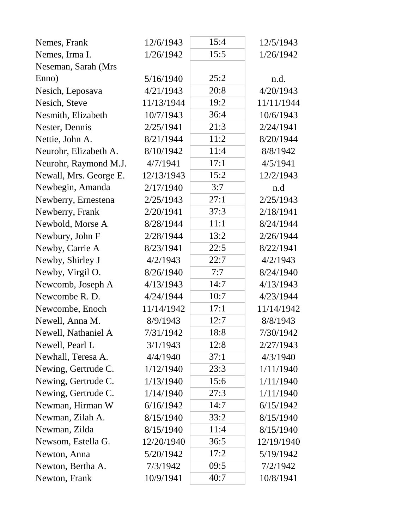| Nemes, Frank           | 12/6/1943  | 15:4 | 12/5/1943  |
|------------------------|------------|------|------------|
| Nemes, Irma I.         | 1/26/1942  | 15:5 | 1/26/1942  |
| Neseman, Sarah (Mrs.   |            |      |            |
| Enno)                  | 5/16/1940  | 25:2 | n.d.       |
| Nesich, Leposava       | 4/21/1943  | 20:8 | 4/20/1943  |
| Nesich, Steve          | 11/13/1944 | 19:2 | 11/11/1944 |
| Nesmith, Elizabeth     | 10/7/1943  | 36:4 | 10/6/1943  |
| Nester, Dennis         | 2/25/1941  | 21:3 | 2/24/1941  |
| Nettie, John A.        | 8/21/1944  | 11:2 | 8/20/1944  |
| Neurohr, Elizabeth A.  | 8/10/1942  | 11:4 | 8/8/1942   |
| Neurohr, Raymond M.J.  | 4/7/1941   | 17:1 | 4/5/1941   |
| Newall, Mrs. George E. | 12/13/1943 | 15:2 | 12/2/1943  |
| Newbegin, Amanda       | 2/17/1940  | 3:7  | n.d        |
| Newberry, Ernestena    | 2/25/1943  | 27:1 | 2/25/1943  |
| Newberry, Frank        | 2/20/1941  | 37:3 | 2/18/1941  |
| Newbold, Morse A       | 8/28/1944  | 11:1 | 8/24/1944  |
| Newbury, John F        | 2/28/1944  | 13:2 | 2/26/1944  |
| Newby, Carrie A        | 8/23/1941  | 22:5 | 8/22/1941  |
| Newby, Shirley J       | 4/2/1943   | 22:7 | 4/2/1943   |
| Newby, Virgil O.       | 8/26/1940  | 7:7  | 8/24/1940  |
| Newcomb, Joseph A      | 4/13/1943  | 14:7 | 4/13/1943  |
| Newcombe R. D.         | 4/24/1944  | 10:7 | 4/23/1944  |
| Newcombe, Enoch        | 11/14/1942 | 17:1 | 11/14/1942 |
| Newell, Anna M.        | 8/9/1943   | 12:7 | 8/8/1943   |
| Newell, Nathaniel A    | 7/31/1942  | 18:8 | 7/30/1942  |
| Newell, Pearl L        | 3/1/1943   | 12:8 | 2/27/1943  |
| Newhall, Teresa A.     | 4/4/1940   | 37:1 | 4/3/1940   |
| Newing, Gertrude C.    | 1/12/1940  | 23:3 | 1/11/1940  |
| Newing, Gertrude C.    | 1/13/1940  | 15:6 | 1/11/1940  |
| Newing, Gertrude C.    | 1/14/1940  | 27:3 | 1/11/1940  |
| Newman, Hirman W       | 6/16/1942  | 14:7 | 6/15/1942  |
| Newman, Zilah A.       | 8/15/1940  | 33:2 | 8/15/1940  |
| Newman, Zilda          | 8/15/1940  | 11:4 | 8/15/1940  |
| Newsom, Estella G.     | 12/20/1940 | 36:5 | 12/19/1940 |
| Newton, Anna           | 5/20/1942  | 17:2 | 5/19/1942  |
| Newton, Bertha A.      | 7/3/1942   | 09:5 | 7/2/1942   |
| Newton, Frank          | 10/9/1941  | 40:7 | 10/8/1941  |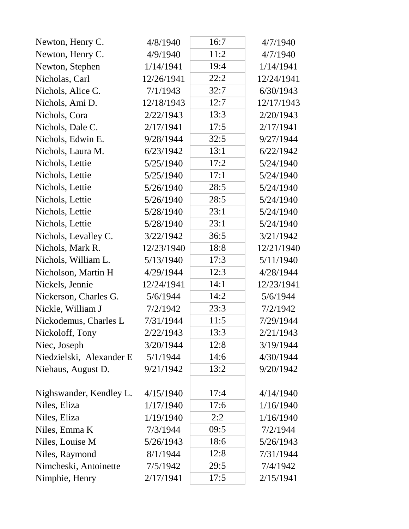| Newton, Henry C.         | 4/8/1940   | 16:7 | 4/7/1940   |
|--------------------------|------------|------|------------|
| Newton, Henry C.         | 4/9/1940   | 11:2 | 4/7/1940   |
| Newton, Stephen          | 1/14/1941  | 19:4 | 1/14/1941  |
| Nicholas, Carl           | 12/26/1941 | 22:2 | 12/24/1941 |
| Nichols, Alice C.        | 7/1/1943   | 32:7 | 6/30/1943  |
| Nichols, Ami D.          | 12/18/1943 | 12:7 | 12/17/1943 |
| Nichols, Cora            | 2/22/1943  | 13:3 | 2/20/1943  |
| Nichols, Dale C.         | 2/17/1941  | 17:5 | 2/17/1941  |
| Nichols, Edwin E.        | 9/28/1944  | 32:5 | 9/27/1944  |
| Nichols, Laura M.        | 6/23/1942  | 13:1 | 6/22/1942  |
| Nichols, Lettie          | 5/25/1940  | 17:2 | 5/24/1940  |
| Nichols, Lettie          | 5/25/1940  | 17:1 | 5/24/1940  |
| Nichols, Lettie          | 5/26/1940  | 28:5 | 5/24/1940  |
| Nichols, Lettie          | 5/26/1940  | 28:5 | 5/24/1940  |
| Nichols, Lettie          | 5/28/1940  | 23:1 | 5/24/1940  |
| Nichols, Lettie          | 5/28/1940  | 23:1 | 5/24/1940  |
| Nichols, Levalley C.     | 3/22/1942  | 36:5 | 3/21/1942  |
| Nichols, Mark R.         | 12/23/1940 | 18:8 | 12/21/1940 |
| Nichols, William L.      | 5/13/1940  | 17:3 | 5/11/1940  |
| Nicholson, Martin H      | 4/29/1944  | 12:3 | 4/28/1944  |
| Nickels, Jennie          | 12/24/1941 | 14:1 | 12/23/1941 |
| Nickerson, Charles G.    | 5/6/1944   | 14:2 | 5/6/1944   |
| Nickle, William J        | 7/2/1942   | 23:3 | 7/2/1942   |
| Nickodemus, Charles L    | 7/31/1944  | 11:5 | 7/29/1944  |
| Nickoloff, Tony          | 2/22/1943  | 13:3 | 2/21/1943  |
| Niec, Joseph             | 3/20/1944  | 12:8 | 3/19/1944  |
| Niedzielski, Alexander E | 5/1/1944   | 14:6 | 4/30/1944  |
| Niehaus, August D.       | 9/21/1942  | 13:2 | 9/20/1942  |
|                          |            |      |            |
| Nighswander, Kendley L.  | 4/15/1940  | 17:4 | 4/14/1940  |
| Niles, Eliza             | 1/17/1940  | 17:6 | 1/16/1940  |
| Niles, Eliza             | 1/19/1940  | 2:2  | 1/16/1940  |
| Niles, Emma K            | 7/3/1944   | 09:5 | 7/2/1944   |
| Niles, Louise M          | 5/26/1943  | 18:6 | 5/26/1943  |
| Niles, Raymond           | 8/1/1944   | 12:8 | 7/31/1944  |
| Nimcheski, Antoinette    | 7/5/1942   | 29:5 | 7/4/1942   |
| Nimphie, Henry           | 2/17/1941  | 17:5 | 2/15/1941  |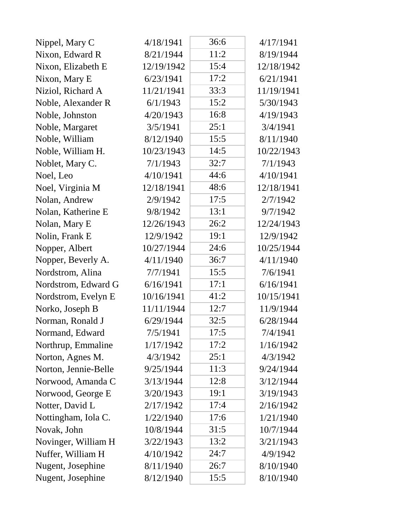| Nippel, Mary C       | 4/18/1941  | 36:6 | 4/17/1941  |
|----------------------|------------|------|------------|
| Nixon, Edward R      | 8/21/1944  | 11:2 | 8/19/1944  |
| Nixon, Elizabeth E   | 12/19/1942 | 15:4 | 12/18/1942 |
| Nixon, Mary E        | 6/23/1941  | 17:2 | 6/21/1941  |
| Niziol, Richard A    | 11/21/1941 | 33:3 | 11/19/1941 |
| Noble, Alexander R   | 6/1/1943   | 15:2 | 5/30/1943  |
| Noble, Johnston      | 4/20/1943  | 16:8 | 4/19/1943  |
| Noble, Margaret      | 3/5/1941   | 25:1 | 3/4/1941   |
| Noble, William       | 8/12/1940  | 15:5 | 8/11/1940  |
| Noble, William H.    | 10/23/1943 | 14:5 | 10/22/1943 |
| Noblet, Mary C.      | 7/1/1943   | 32:7 | 7/1/1943   |
| Noel, Leo            | 4/10/1941  | 44:6 | 4/10/1941  |
| Noel, Virginia M     | 12/18/1941 | 48:6 | 12/18/1941 |
| Nolan, Andrew        | 2/9/1942   | 17:5 | 2/7/1942   |
| Nolan, Katherine E   | 9/8/1942   | 13:1 | 9/7/1942   |
| Nolan, Mary E        | 12/26/1943 | 26:2 | 12/24/1943 |
| Nolin, Frank E       | 12/9/1942  | 19:1 | 12/9/1942  |
| Nopper, Albert       | 10/27/1944 | 24:6 | 10/25/1944 |
| Nopper, Beverly A.   | 4/11/1940  | 36:7 | 4/11/1940  |
| Nordstrom, Alina     | 7/7/1941   | 15:5 | 7/6/1941   |
| Nordstrom, Edward G  | 6/16/1941  | 17:1 | 6/16/1941  |
| Nordstrom, Evelyn E  | 10/16/1941 | 41:2 | 10/15/1941 |
| Norko, Joseph B      | 11/11/1944 | 12:7 | 11/9/1944  |
| Norman, Ronald J     | 6/29/1944  | 32:5 | 6/28/1944  |
| Normand, Edward      | 7/5/1941   | 17:5 | 7/4/1941   |
| Northrup, Emmaline   | 1/17/1942  | 17:2 | 1/16/1942  |
| Norton, Agnes M.     | 4/3/1942   | 25:1 | 4/3/1942   |
| Norton, Jennie-Belle | 9/25/1944  | 11:3 | 9/24/1944  |
| Norwood, Amanda C    | 3/13/1944  | 12:8 | 3/12/1944  |
| Norwood, George E    | 3/20/1943  | 19:1 | 3/19/1943  |
| Notter, David L      | 2/17/1942  | 17:4 | 2/16/1942  |
| Nottingham, Iola C.  | 1/22/1940  | 17:6 | 1/21/1940  |
| Novak, John          | 10/8/1944  | 31:5 | 10/7/1944  |
| Novinger, William H  | 3/22/1943  | 13:2 | 3/21/1943  |
| Nuffer, William H    | 4/10/1942  | 24:7 | 4/9/1942   |
| Nugent, Josephine    | 8/11/1940  | 26:7 | 8/10/1940  |
| Nugent, Josephine    | 8/12/1940  | 15:5 | 8/10/1940  |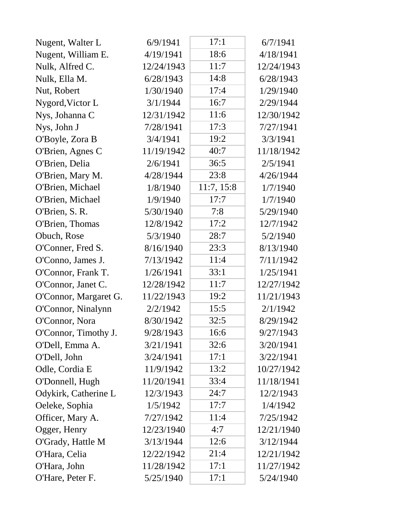| Nugent, Walter L      | 6/9/1941   | 17:1       | 6/7/1941   |
|-----------------------|------------|------------|------------|
| Nugent, William E.    | 4/19/1941  | 18:6       | 4/18/1941  |
| Nulk, Alfred C.       | 12/24/1943 | 11:7       | 12/24/1943 |
| Nulk, Ella M.         | 6/28/1943  | 14:8       | 6/28/1943  |
| Nut, Robert           | 1/30/1940  | 17:4       | 1/29/1940  |
| Nygord, Victor L      | 3/1/1944   | 16:7       | 2/29/1944  |
| Nys, Johanna C        | 12/31/1942 | 11:6       | 12/30/1942 |
| Nys, John J           | 7/28/1941  | 17:3       | 7/27/1941  |
| O'Boyle, Zora B       | 3/4/1941   | 19:2       | 3/3/1941   |
| O'Brien, Agnes C      | 11/19/1942 | 40:7       | 11/18/1942 |
| O'Brien, Delia        | 2/6/1941   | 36:5       | 2/5/1941   |
| O'Brien, Mary M.      | 4/28/1944  | 23:8       | 4/26/1944  |
| O'Brien, Michael      | 1/8/1940   | 11:7, 15:8 | 1/7/1940   |
| O'Brien, Michael      | 1/9/1940   | 17:7       | 1/7/1940   |
| O'Brien, S. R.        | 5/30/1940  | 7:8        | 5/29/1940  |
| O'Brien, Thomas       | 12/8/1942  | 17:2       | 12/7/1942  |
| Obuch, Rose           | 5/3/1940   | 28:7       | 5/2/1940   |
| O'Conner, Fred S.     | 8/16/1940  | 23:3       | 8/13/1940  |
| O'Conno, James J.     | 7/13/1942  | 11:4       | 7/11/1942  |
| O'Connor, Frank T.    | 1/26/1941  | 33:1       | 1/25/1941  |
| O'Connor, Janet C.    | 12/28/1942 | 11:7       | 12/27/1942 |
| O'Connor, Margaret G. | 11/22/1943 | 19:2       | 11/21/1943 |
| O'Connor, Ninalynn    | 2/2/1942   | 15:5       | 2/1/1942   |
| O'Connor, Nora        | 8/30/1942  | 32:5       | 8/29/1942  |
| O'Connor, Timothy J.  | 9/28/1943  | 16:6       | 9/27/1943  |
| O'Dell, Emma A.       | 3/21/1941  | 32:6       | 3/20/1941  |
| O'Dell, John          | 3/24/1941  | 17:1       | 3/22/1941  |
| Odle, Cordia E        | 11/9/1942  | 13:2       | 10/27/1942 |
| O'Donnell, Hugh       | 11/20/1941 | 33:4       | 11/18/1941 |
| Odykirk, Catherine L  | 12/3/1943  | 24:7       | 12/2/1943  |
| Oeleke, Sophia        | 1/5/1942   | 17:7       | 1/4/1942   |
| Officer, Mary A.      | 7/27/1942  | 11:4       | 7/25/1942  |
| Ogger, Henry          | 12/23/1940 | 4:7        | 12/21/1940 |
| O'Grady, Hattle M     | 3/13/1944  | 12:6       | 3/12/1944  |
| O'Hara, Celia         | 12/22/1942 | 21:4       | 12/21/1942 |
| O'Hara, John          | 11/28/1942 | 17:1       | 11/27/1942 |
| O'Hare, Peter F.      | 5/25/1940  | 17:1       | 5/24/1940  |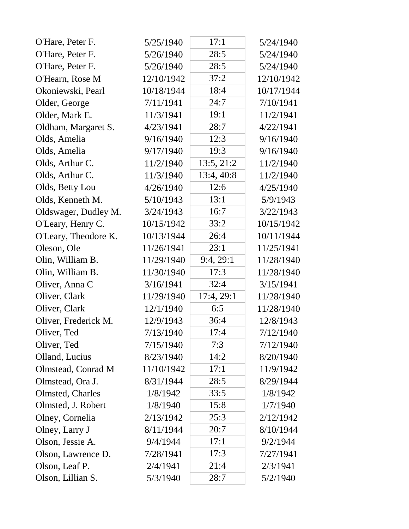| O'Hare, Peter F.     | 5/25/1940  | 17:1       | 5/24/1940  |
|----------------------|------------|------------|------------|
| O'Hare, Peter F.     | 5/26/1940  | 28:5       | 5/24/1940  |
| O'Hare, Peter F.     | 5/26/1940  | 28:5       | 5/24/1940  |
| O'Hearn, Rose M      | 12/10/1942 | 37:2       | 12/10/1942 |
| Okoniewski, Pearl    | 10/18/1944 | 18:4       | 10/17/1944 |
| Older, George        | 7/11/1941  | 24:7       | 7/10/1941  |
| Older, Mark E.       | 11/3/1941  | 19:1       | 11/2/1941  |
| Oldham, Margaret S.  | 4/23/1941  | 28:7       | 4/22/1941  |
| Olds, Amelia         | 9/16/1940  | 12:3       | 9/16/1940  |
| Olds, Amelia         | 9/17/1940  | 19:3       | 9/16/1940  |
| Olds, Arthur C.      | 11/2/1940  | 13:5, 21:2 | 11/2/1940  |
| Olds, Arthur C.      | 11/3/1940  | 13:4, 40:8 | 11/2/1940  |
| Olds, Betty Lou      | 4/26/1940  | 12:6       | 4/25/1940  |
| Olds, Kenneth M.     | 5/10/1943  | 13:1       | 5/9/1943   |
| Oldswager, Dudley M. | 3/24/1943  | 16:7       | 3/22/1943  |
| O'Leary, Henry C.    | 10/15/1942 | 33:2       | 10/15/1942 |
| O'Leary, Theodore K. | 10/13/1944 | 26:4       | 10/11/1944 |
| Oleson, Ole          | 11/26/1941 | 23:1       | 11/25/1941 |
| Olin, William B.     | 11/29/1940 | 9:4,29:1   | 11/28/1940 |
| Olin, William B.     | 11/30/1940 | 17:3       | 11/28/1940 |
| Oliver, Anna C       | 3/16/1941  | 32:4       | 3/15/1941  |
| Oliver, Clark        | 11/29/1940 | 17:4, 29:1 | 11/28/1940 |
| Oliver, Clark        | 12/1/1940  | 6:5        | 11/28/1940 |
| Oliver, Frederick M. | 12/9/1943  | 36:4       | 12/8/1943  |
| Oliver, Ted          | 7/13/1940  | 17:4       | 7/12/1940  |
| Oliver, Ted          | 7/15/1940  | 7:3        | 7/12/1940  |
| Olland, Lucius       | 8/23/1940  | 14:2       | 8/20/1940  |
| Olmstead, Conrad M   | 11/10/1942 | 17:1       | 11/9/1942  |
| Olmstead, Ora J.     | 8/31/1944  | 28:5       | 8/29/1944  |
| Olmsted, Charles     | 1/8/1942   | 33:5       | 1/8/1942   |
| Olmsted, J. Robert   | 1/8/1940   | 15:8       | 1/7/1940   |
| Olney, Cornelia      | 2/13/1942  | 25:3       | 2/12/1942  |
| Olney, Larry J       | 8/11/1944  | 20:7       | 8/10/1944  |
| Olson, Jessie A.     | 9/4/1944   | 17:1       | 9/2/1944   |
| Olson, Lawrence D.   | 7/28/1941  | 17:3       | 7/27/1941  |
| Olson, Leaf P.       | 2/4/1941   | 21:4       | 2/3/1941   |
| Olson, Lillian S.    | 5/3/1940   | 28:7       | 5/2/1940   |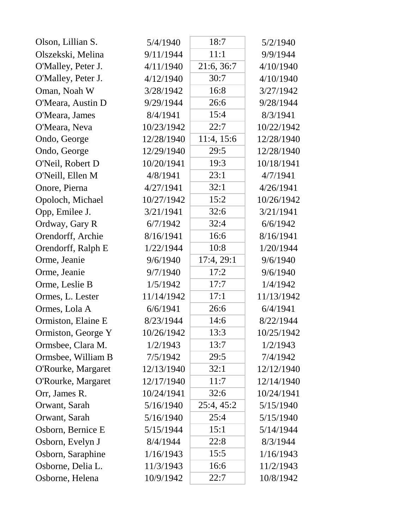| Olson, Lillian S.  | 5/4/1940   | 18:7       | 5/2/1940   |
|--------------------|------------|------------|------------|
| Olszekski, Melina  | 9/11/1944  | 11:1       | 9/9/1944   |
| O'Malley, Peter J. | 4/11/1940  | 21:6, 36:7 | 4/10/1940  |
| O'Malley, Peter J. | 4/12/1940  | 30:7       | 4/10/1940  |
| Oman, Noah W       | 3/28/1942  | 16:8       | 3/27/1942  |
| O'Meara, Austin D  | 9/29/1944  | 26:6       | 9/28/1944  |
| O'Meara, James     | 8/4/1941   | 15:4       | 8/3/1941   |
| O'Meara, Neva      | 10/23/1942 | 22:7       | 10/22/1942 |
| Ondo, George       | 12/28/1940 | 11:4, 15:6 | 12/28/1940 |
| Ondo, George       | 12/29/1940 | 29:5       | 12/28/1940 |
| O'Neil, Robert D   | 10/20/1941 | 19:3       | 10/18/1941 |
| O'Neill, Ellen M   | 4/8/1941   | 23:1       | 4/7/1941   |
| Onore, Pierna      | 4/27/1941  | 32:1       | 4/26/1941  |
| Opoloch, Michael   | 10/27/1942 | 15:2       | 10/26/1942 |
| Opp, Emilee J.     | 3/21/1941  | 32:6       | 3/21/1941  |
| Ordway, Gary R     | 6/7/1942   | 32:4       | 6/6/1942   |
| Orendorff, Archie  | 8/16/1941  | 16:6       | 8/16/1941  |
| Orendorff, Ralph E | 1/22/1944  | 10:8       | 1/20/1944  |
| Orme, Jeanie       | 9/6/1940   | 17:4, 29:1 | 9/6/1940   |
| Orme, Jeanie       | 9/7/1940   | 17:2       | 9/6/1940   |
| Orme, Leslie B     | 1/5/1942   | 17:7       | 1/4/1942   |
| Ormes, L. Lester   | 11/14/1942 | 17:1       | 11/13/1942 |
| Ormes, Lola A      | 6/6/1941   | 26:6       | 6/4/1941   |
| Ormiston, Elaine E | 8/23/1944  | 14:6       | 8/22/1944  |
| Ormiston, George Y | 10/26/1942 | 13:3       | 10/25/1942 |
| Ormsbee, Clara M.  | 1/2/1943   | 13:7       | 1/2/1943   |
| Ormsbee, William B | 7/5/1942   | 29:5       | 7/4/1942   |
| O'Rourke, Margaret | 12/13/1940 | 32:1       | 12/12/1940 |
| O'Rourke, Margaret | 12/17/1940 | 11:7       | 12/14/1940 |
| Orr, James R.      | 10/24/1941 | 32:6       | 10/24/1941 |
| Orwant, Sarah      | 5/16/1940  | 25:4, 45:2 | 5/15/1940  |
| Orwant, Sarah      | 5/16/1940  | 25:4       | 5/15/1940  |
| Osborn, Bernice E  | 5/15/1944  | 15:1       | 5/14/1944  |
| Osborn, Evelyn J   | 8/4/1944   | 22:8       | 8/3/1944   |
| Osborn, Saraphine  | 1/16/1943  | 15:5       | 1/16/1943  |
| Osborne, Delia L.  | 11/3/1943  | 16:6       | 11/2/1943  |
| Osborne, Helena    | 10/9/1942  | 22:7       | 10/8/1942  |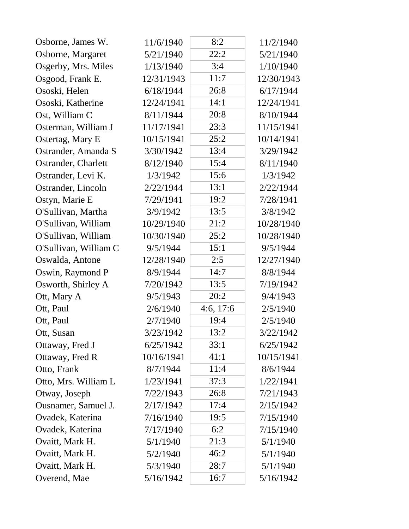| Osborne, James W.     | 11/6/1940  | 8:2       | 11/2/1940  |
|-----------------------|------------|-----------|------------|
| Osborne, Margaret     | 5/21/1940  | 22:2      | 5/21/1940  |
| Osgerby, Mrs. Miles   | 1/13/1940  | 3:4       | 1/10/1940  |
| Osgood, Frank E.      | 12/31/1943 | 11:7      | 12/30/1943 |
| Ososki, Helen         | 6/18/1944  | 26:8      | 6/17/1944  |
| Ososki, Katherine     | 12/24/1941 | 14:1      | 12/24/1941 |
| Ost, William C        | 8/11/1944  | 20:8      | 8/10/1944  |
| Osterman, William J   | 11/17/1941 | 23:3      | 11/15/1941 |
| Ostertag, Mary E      | 10/15/1941 | 25:2      | 10/14/1941 |
| Ostrander, Amanda S   | 3/30/1942  | 13:4      | 3/29/1942  |
| Ostrander, Charlett   | 8/12/1940  | 15:4      | 8/11/1940  |
| Ostrander, Levi K.    | 1/3/1942   | 15:6      | 1/3/1942   |
| Ostrander, Lincoln    | 2/22/1944  | 13:1      | 2/22/1944  |
| Ostyn, Marie E        | 7/29/1941  | 19:2      | 7/28/1941  |
| O'Sullivan, Martha    | 3/9/1942   | 13:5      | 3/8/1942   |
| O'Sullivan, William   | 10/29/1940 | 21:2      | 10/28/1940 |
| O'Sullivan, William   | 10/30/1940 | 25:2      | 10/28/1940 |
| O'Sullivan, William C | 9/5/1944   | 15:1      | 9/5/1944   |
| Oswalda, Antone       | 12/28/1940 | 2:5       | 12/27/1940 |
| Oswin, Raymond P      | 8/9/1944   | 14:7      | 8/8/1944   |
| Osworth, Shirley A    | 7/20/1942  | 13:5      | 7/19/1942  |
| Ott, Mary A           | 9/5/1943   | 20:2      | 9/4/1943   |
| Ott, Paul             | 2/6/1940   | 4:6, 17:6 | 2/5/1940   |
| Ott, Paul             | 2/7/1940   | 19:4      | 2/5/1940   |
| Ott, Susan            | 3/23/1942  | 13:2      | 3/22/1942  |
| Ottaway, Fred J       | 6/25/1942  | 33:1      | 6/25/1942  |
| Ottaway, Fred R       | 10/16/1941 | 41:1      | 10/15/1941 |
| Otto, Frank           | 8/7/1944   | 11:4      | 8/6/1944   |
| Otto, Mrs. William L  | 1/23/1941  | 37:3      | 1/22/1941  |
| Otway, Joseph         | 7/22/1943  | 26:8      | 7/21/1943  |
| Ousnamer, Samuel J.   | 2/17/1942  | 17:4      | 2/15/1942  |
| Ovadek, Katerina      | 7/16/1940  | 19:5      | 7/15/1940  |
| Ovadek, Katerina      | 7/17/1940  | 6:2       | 7/15/1940  |
| Ovaitt, Mark H.       | 5/1/1940   | 21:3      | 5/1/1940   |
| Ovaitt, Mark H.       | 5/2/1940   | 46:2      | 5/1/1940   |
| Ovaitt, Mark H.       | 5/3/1940   | 28:7      | 5/1/1940   |
| Overend, Mae          | 5/16/1942  | 16:7      | 5/16/1942  |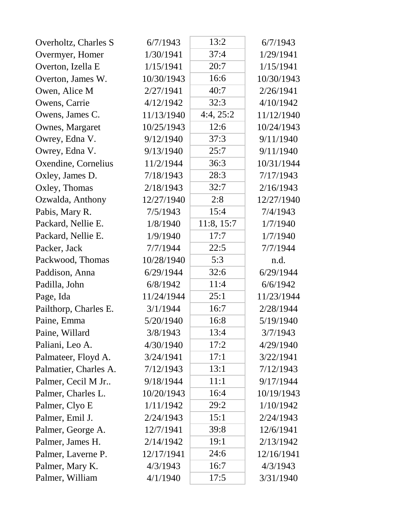| Overholtz, Charles S  | 6/7/1943   | 13:2       | 6/7/1943   |
|-----------------------|------------|------------|------------|
| Overmyer, Homer       | 1/30/1941  | 37:4       | 1/29/1941  |
| Overton, Izella E     | 1/15/1941  | 20:7       | 1/15/1941  |
| Overton, James W.     | 10/30/1943 | 16:6       | 10/30/1943 |
| Owen, Alice M         | 2/27/1941  | 40:7       | 2/26/1941  |
| Owens, Carrie         | 4/12/1942  | 32:3       | 4/10/1942  |
| Owens, James C.       | 11/13/1940 | 4:4, 25:2  | 11/12/1940 |
| Ownes, Margaret       | 10/25/1943 | 12:6       | 10/24/1943 |
| Owrey, Edna V.        | 9/12/1940  | 37:3       | 9/11/1940  |
| Owrey, Edna V.        | 9/13/1940  | 25:7       | 9/11/1940  |
| Oxendine, Cornelius   | 11/2/1944  | 36:3       | 10/31/1944 |
| Oxley, James D.       | 7/18/1943  | 28:3       | 7/17/1943  |
| Oxley, Thomas         | 2/18/1943  | 32:7       | 2/16/1943  |
| Ozwalda, Anthony      | 12/27/1940 | 2:8        | 12/27/1940 |
| Pabis, Mary R.        | 7/5/1943   | 15:4       | 7/4/1943   |
| Packard, Nellie E.    | 1/8/1940   | 11:8, 15:7 | 1/7/1940   |
| Packard, Nellie E.    | 1/9/1940   | 17:7       | 1/7/1940   |
| Packer, Jack          | 7/7/1944   | 22:5       | 7/7/1944   |
| Packwood, Thomas      | 10/28/1940 | 5:3        | n.d.       |
| Paddison, Anna        | 6/29/1944  | 32:6       | 6/29/1944  |
| Padilla, John         | 6/8/1942   | 11:4       | 6/6/1942   |
| Page, Ida             | 11/24/1944 | 25:1       | 11/23/1944 |
| Pailthorp, Charles E. | 3/1/1944   | 16:7       | 2/28/1944  |
| Paine, Emma           | 5/20/1940  | 16:8       | 5/19/1940  |
| Paine, Willard        | 3/8/1943   | 13:4       | 3/7/1943   |
| Paliani, Leo A.       | 4/30/1940  | 17:2       | 4/29/1940  |
| Palmateer, Floyd A.   | 3/24/1941  | 17:1       | 3/22/1941  |
| Palmatier, Charles A. | 7/12/1943  | 13:1       | 7/12/1943  |
| Palmer, Cecil M Jr    | 9/18/1944  | 11:1       | 9/17/1944  |
| Palmer, Charles L.    | 10/20/1943 | 16:4       | 10/19/1943 |
| Palmer, Clyo E        | 1/11/1942  | 29:2       | 1/10/1942  |
| Palmer, Emil J.       | 2/24/1943  | 15:1       | 2/24/1943  |
| Palmer, George A.     | 12/7/1941  | 39:8       | 12/6/1941  |
| Palmer, James H.      | 2/14/1942  | 19:1       | 2/13/1942  |
| Palmer, Laverne P.    | 12/17/1941 | 24:6       | 12/16/1941 |
| Palmer, Mary K.       | 4/3/1943   | 16:7       | 4/3/1943   |
| Palmer, William       | 4/1/1940   | 17:5       | 3/31/1940  |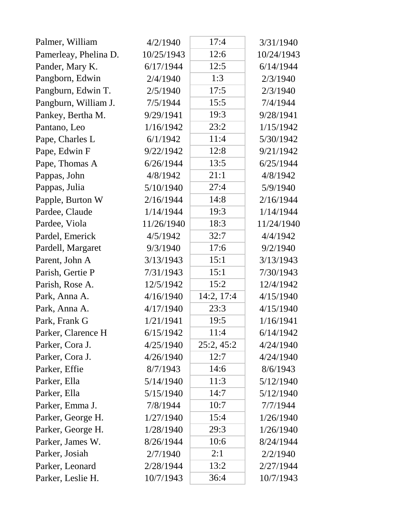| Palmer, William       | 4/2/1940   | 17:4       | 3/31/1940  |
|-----------------------|------------|------------|------------|
| Pamerleay, Phelina D. | 10/25/1943 | 12:6       | 10/24/1943 |
| Pander, Mary K.       | 6/17/1944  | 12:5       | 6/14/1944  |
| Pangborn, Edwin       | 2/4/1940   | 1:3        | 2/3/1940   |
| Pangburn, Edwin T.    | 2/5/1940   | 17:5       | 2/3/1940   |
| Pangburn, William J.  | 7/5/1944   | 15:5       | 7/4/1944   |
| Pankey, Bertha M.     | 9/29/1941  | 19:3       | 9/28/1941  |
| Pantano, Leo          | 1/16/1942  | 23:2       | 1/15/1942  |
| Pape, Charles L       | 6/1/1942   | 11:4       | 5/30/1942  |
| Pape, Edwin F         | 9/22/1942  | 12:8       | 9/21/1942  |
| Pape, Thomas A        | 6/26/1944  | 13:5       | 6/25/1944  |
| Pappas, John          | 4/8/1942   | 21:1       | 4/8/1942   |
| Pappas, Julia         | 5/10/1940  | 27:4       | 5/9/1940   |
| Papple, Burton W      | 2/16/1944  | 14:8       | 2/16/1944  |
| Pardee, Claude        | 1/14/1944  | 19:3       | 1/14/1944  |
| Pardee, Viola         | 11/26/1940 | 18:3       | 11/24/1940 |
| Pardel, Emerick       | 4/5/1942   | 32:7       | 4/4/1942   |
| Pardell, Margaret     | 9/3/1940   | 17:6       | 9/2/1940   |
| Parent, John A        | 3/13/1943  | 15:1       | 3/13/1943  |
| Parish, Gertie P      | 7/31/1943  | 15:1       | 7/30/1943  |
| Parish, Rose A.       | 12/5/1942  | 15:2       | 12/4/1942  |
| Park, Anna A.         | 4/16/1940  | 14:2, 17:4 | 4/15/1940  |
| Park, Anna A.         | 4/17/1940  | 23:3       | 4/15/1940  |
| Park, Frank G         | 1/21/1941  | 19:5       | 1/16/1941  |
| Parker, Clarence H    | 6/15/1942  | 11:4       | 6/14/1942  |
| Parker, Cora J.       | 4/25/1940  | 25:2, 45:2 | 4/24/1940  |
| Parker, Cora J.       | 4/26/1940  | 12:7       | 4/24/1940  |
| Parker, Effie         | 8/7/1943   | 14:6       | 8/6/1943   |
| Parker, Ella          | 5/14/1940  | 11:3       | 5/12/1940  |
| Parker, Ella          | 5/15/1940  | 14:7       | 5/12/1940  |
| Parker, Emma J.       | 7/8/1944   | 10:7       | 7/7/1944   |
| Parker, George H.     | 1/27/1940  | 15:4       | 1/26/1940  |
| Parker, George H.     | 1/28/1940  | 29:3       | 1/26/1940  |
| Parker, James W.      | 8/26/1944  | 10:6       | 8/24/1944  |
| Parker, Josiah        | 2/7/1940   | 2:1        | 2/2/1940   |
| Parker, Leonard       | 2/28/1944  | 13:2       | 2/27/1944  |
| Parker, Leslie H.     | 10/7/1943  | 36:4       | 10/7/1943  |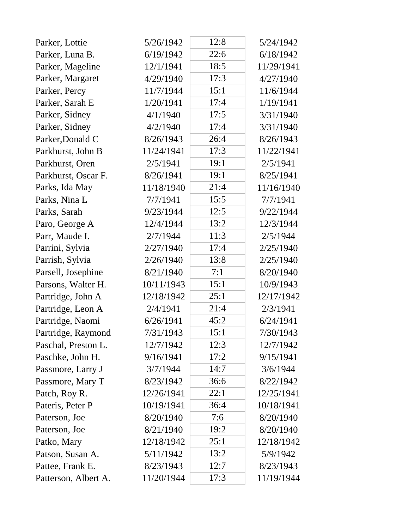| Parker, Lottie       | 5/26/1942  | 12:8 | 5/24/1942  |
|----------------------|------------|------|------------|
| Parker, Luna B.      | 6/19/1942  | 22:6 | 6/18/1942  |
| Parker, Mageline     | 12/1/1941  | 18:5 | 11/29/1941 |
| Parker, Margaret     | 4/29/1940  | 17:3 | 4/27/1940  |
| Parker, Percy        | 11/7/1944  | 15:1 | 11/6/1944  |
| Parker, Sarah E      | 1/20/1941  | 17:4 | 1/19/1941  |
| Parker, Sidney       | 4/1/1940   | 17:5 | 3/31/1940  |
| Parker, Sidney       | 4/2/1940   | 17:4 | 3/31/1940  |
| Parker, Donald C     | 8/26/1943  | 26:4 | 8/26/1943  |
| Parkhurst, John B    | 11/24/1941 | 17:3 | 11/22/1941 |
| Parkhurst, Oren      | 2/5/1941   | 19:1 | 2/5/1941   |
| Parkhurst, Oscar F.  | 8/26/1941  | 19:1 | 8/25/1941  |
| Parks, Ida May       | 11/18/1940 | 21:4 | 11/16/1940 |
| Parks, Nina L        | 7/7/1941   | 15:5 | 7/7/1941   |
| Parks, Sarah         | 9/23/1944  | 12:5 | 9/22/1944  |
| Paro, George A       | 12/4/1944  | 13:2 | 12/3/1944  |
| Parr, Maude I.       | 2/7/1944   | 11:3 | 2/5/1944   |
| Parrini, Sylvia      | 2/27/1940  | 17:4 | 2/25/1940  |
| Parrish, Sylvia      | 2/26/1940  | 13:8 | 2/25/1940  |
| Parsell, Josephine   | 8/21/1940  | 7:1  | 8/20/1940  |
| Parsons, Walter H.   | 10/11/1943 | 15:1 | 10/9/1943  |
| Partridge, John A    | 12/18/1942 | 25:1 | 12/17/1942 |
| Partridge, Leon A    | 2/4/1941   | 21:4 | 2/3/1941   |
| Partridge, Naomi     | 6/26/1941  | 45:2 | 6/24/1941  |
| Partridge, Raymond   | 7/31/1943  | 15:1 | 7/30/1943  |
| Paschal, Preston L.  | 12/7/1942  | 12:3 | 12/7/1942  |
| Paschke, John H.     | 9/16/1941  | 17:2 | 9/15/1941  |
| Passmore, Larry J    | 3/7/1944   | 14:7 | 3/6/1944   |
| Passmore, Mary T     | 8/23/1942  | 36:6 | 8/22/1942  |
| Patch, Roy R.        | 12/26/1941 | 22:1 | 12/25/1941 |
| Pateris, Peter P     | 10/19/1941 | 36:4 | 10/18/1941 |
| Paterson, Joe        | 8/20/1940  | 7:6  | 8/20/1940  |
| Paterson, Joe        | 8/21/1940  | 19:2 | 8/20/1940  |
| Patko, Mary          | 12/18/1942 | 25:1 | 12/18/1942 |
| Patson, Susan A.     | 5/11/1942  | 13:2 | 5/9/1942   |
| Pattee, Frank E.     | 8/23/1943  | 12:7 | 8/23/1943  |
| Patterson, Albert A. | 11/20/1944 | 17:3 | 11/19/1944 |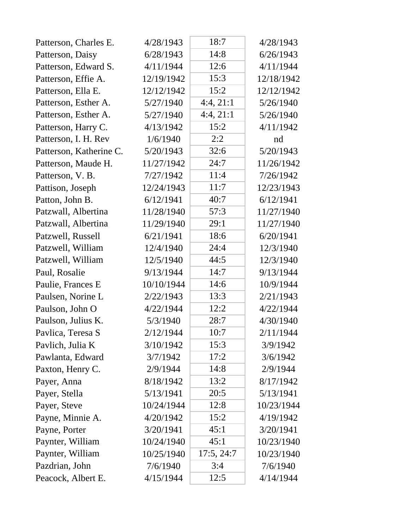| Patterson, Charles E.   | 4/28/1943  | 18:7       | 4/28/1943  |
|-------------------------|------------|------------|------------|
| Patterson, Daisy        | 6/28/1943  | 14:8       | 6/26/1943  |
| Patterson, Edward S.    | 4/11/1944  | 12:6       | 4/11/1944  |
| Patterson, Effie A.     | 12/19/1942 | 15:3       | 12/18/1942 |
| Patterson, Ella E.      | 12/12/1942 | 15:2       | 12/12/1942 |
| Patterson, Esther A.    | 5/27/1940  | 4:4,21:1   | 5/26/1940  |
| Patterson, Esther A.    | 5/27/1940  | 4:4,21:1   | 5/26/1940  |
| Patterson, Harry C.     | 4/13/1942  | 15:2       | 4/11/1942  |
| Patterson, I. H. Rev    | 1/6/1940   | 2:2        | nd         |
| Patterson, Katherine C. | 5/20/1943  | 32:6       | 5/20/1943  |
| Patterson, Maude H.     | 11/27/1942 | 24:7       | 11/26/1942 |
| Patterson, V. B.        | 7/27/1942  | 11:4       | 7/26/1942  |
| Pattison, Joseph        | 12/24/1943 | 11:7       | 12/23/1943 |
| Patton, John B.         | 6/12/1941  | 40:7       | 6/12/1941  |
| Patzwall, Albertina     | 11/28/1940 | 57:3       | 11/27/1940 |
| Patzwall, Albertina     | 11/29/1940 | 29:1       | 11/27/1940 |
| Patzwell, Russell       | 6/21/1941  | 18:6       | 6/20/1941  |
| Patzwell, William       | 12/4/1940  | 24:4       | 12/3/1940  |
| Patzwell, William       | 12/5/1940  | 44:5       | 12/3/1940  |
| Paul, Rosalie           | 9/13/1944  | 14:7       | 9/13/1944  |
| Paulie, Frances E       | 10/10/1944 | 14:6       | 10/9/1944  |
| Paulsen, Norine L       | 2/22/1943  | 13:3       | 2/21/1943  |
| Paulson, John O         | 4/22/1944  | 12:2       | 4/22/1944  |
| Paulson, Julius K.      | 5/3/1940   | 28:7       | 4/30/1940  |
| Pavlica, Teresa S       | 2/12/1944  | 10:7       | 2/11/1944  |
| Pavlich, Julia K        | 3/10/1942  | 15:3       | 3/9/1942   |
| Pawlanta, Edward        | 3/7/1942   | 17:2       | 3/6/1942   |
| Paxton, Henry C.        | 2/9/1944   | 14:8       | 2/9/1944   |
| Payer, Anna             | 8/18/1942  | 13:2       | 8/17/1942  |
| Payer, Stella           | 5/13/1941  | 20:5       | 5/13/1941  |
| Payer, Steve            | 10/24/1944 | 12:8       | 10/23/1944 |
| Payne, Minnie A.        | 4/20/1942  | 15:2       | 4/19/1942  |
| Payne, Porter           | 3/20/1941  | 45:1       | 3/20/1941  |
| Paynter, William        | 10/24/1940 | 45:1       | 10/23/1940 |
| Paynter, William        | 10/25/1940 | 17:5, 24:7 | 10/23/1940 |
| Pazdrian, John          | 7/6/1940   | 3:4        | 7/6/1940   |
| Peacock, Albert E.      | 4/15/1944  | 12:5       | 4/14/1944  |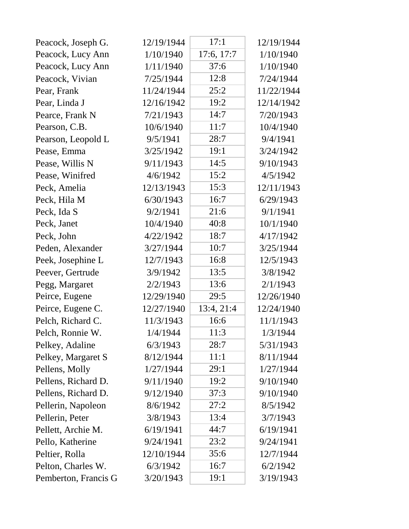| Peacock, Joseph G.   | 12/19/1944 | 17:1       | 12/19/1944 |
|----------------------|------------|------------|------------|
| Peacock, Lucy Ann    | 1/10/1940  | 17:6, 17:7 | 1/10/1940  |
| Peacock, Lucy Ann    | 1/11/1940  | 37:6       | 1/10/1940  |
| Peacock, Vivian      | 7/25/1944  | 12:8       | 7/24/1944  |
| Pear, Frank          | 11/24/1944 | 25:2       | 11/22/1944 |
| Pear, Linda J        | 12/16/1942 | 19:2       | 12/14/1942 |
| Pearce, Frank N      | 7/21/1943  | 14:7       | 7/20/1943  |
| Pearson, C.B.        | 10/6/1940  | 11:7       | 10/4/1940  |
| Pearson, Leopold L   | 9/5/1941   | 28:7       | 9/4/1941   |
| Pease, Emma          | 3/25/1942  | 19:1       | 3/24/1942  |
| Pease, Willis N      | 9/11/1943  | 14:5       | 9/10/1943  |
| Pease, Winifred      | 4/6/1942   | 15:2       | 4/5/1942   |
| Peck, Amelia         | 12/13/1943 | 15:3       | 12/11/1943 |
| Peck, Hila M         | 6/30/1943  | 16:7       | 6/29/1943  |
| Peck, Ida S          | 9/2/1941   | 21:6       | 9/1/1941   |
| Peck, Janet          | 10/4/1940  | 40:8       | 10/1/1940  |
| Peck, John           | 4/22/1942  | 18:7       | 4/17/1942  |
| Peden, Alexander     | 3/27/1944  | 10:7       | 3/25/1944  |
| Peek, Josephine L    | 12/7/1943  | 16:8       | 12/5/1943  |
| Peever, Gertrude     | 3/9/1942   | 13:5       | 3/8/1942   |
| Pegg, Margaret       | 2/2/1943   | 13:6       | 2/1/1943   |
| Peirce, Eugene       | 12/29/1940 | 29:5       | 12/26/1940 |
| Peirce, Eugene C.    | 12/27/1940 | 13:4, 21:4 | 12/24/1940 |
| Pelch, Richard C.    | 11/3/1943  | 16:6       | 11/1/1943  |
| Pelch, Ronnie W.     | 1/4/1944   | 11:3       | 1/3/1944   |
| Pelkey, Adaline      | 6/3/1943   | 28:7       | 5/31/1943  |
| Pelkey, Margaret S   | 8/12/1944  | 11:1       | 8/11/1944  |
| Pellens, Molly       | 1/27/1944  | 29:1       | 1/27/1944  |
| Pellens, Richard D.  | 9/11/1940  | 19:2       | 9/10/1940  |
| Pellens, Richard D.  | 9/12/1940  | 37:3       | 9/10/1940  |
| Pellerin, Napoleon   | 8/6/1942   | 27:2       | 8/5/1942   |
| Pellerin, Peter      | 3/8/1943   | 13:4       | 3/7/1943   |
| Pellett, Archie M.   | 6/19/1941  | 44:7       | 6/19/1941  |
| Pello, Katherine     | 9/24/1941  | 23:2       | 9/24/1941  |
| Peltier, Rolla       | 12/10/1944 | 35:6       | 12/7/1944  |
| Pelton, Charles W.   | 6/3/1942   | 16:7       | 6/2/1942   |
| Pemberton, Francis G | 3/20/1943  | 19:1       | 3/19/1943  |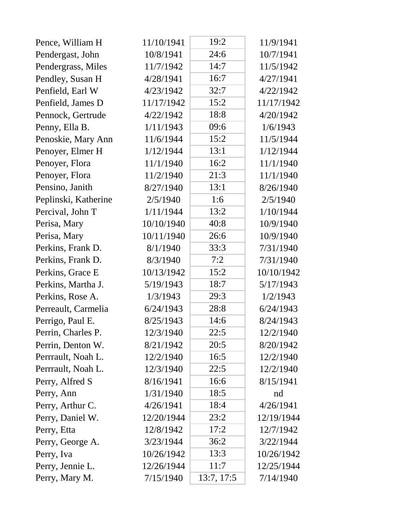| Pence, William H     | 11/10/1941 | 19:2       | 11/9/1941  |
|----------------------|------------|------------|------------|
| Pendergast, John     | 10/8/1941  | 24:6       | 10/7/1941  |
| Pendergrass, Miles   | 11/7/1942  | 14:7       | 11/5/1942  |
| Pendley, Susan H     | 4/28/1941  | 16:7       | 4/27/1941  |
| Penfield, Earl W     | 4/23/1942  | 32:7       | 4/22/1942  |
| Penfield, James D    | 11/17/1942 | 15:2       | 11/17/1942 |
| Pennock, Gertrude    | 4/22/1942  | 18:8       | 4/20/1942  |
| Penny, Ella B.       | 1/11/1943  | 09:6       | 1/6/1943   |
| Penoskie, Mary Ann   | 11/6/1944  | 15:2       | 11/5/1944  |
| Penoyer, Elmer H     | 1/12/1944  | 13:1       | 1/12/1944  |
| Penoyer, Flora       | 11/1/1940  | 16:2       | 11/1/1940  |
| Penoyer, Flora       | 11/2/1940  | 21:3       | 11/1/1940  |
| Pensino, Janith      | 8/27/1940  | 13:1       | 8/26/1940  |
| Peplinski, Katherine | 2/5/1940   | 1:6        | 2/5/1940   |
| Percival, John T     | 1/11/1944  | 13:2       | 1/10/1944  |
| Perisa, Mary         | 10/10/1940 | 40:8       | 10/9/1940  |
| Perisa, Mary         | 10/11/1940 | 26:6       | 10/9/1940  |
| Perkins, Frank D.    | 8/1/1940   | 33:3       | 7/31/1940  |
| Perkins, Frank D.    | 8/3/1940   | 7:2        | 7/31/1940  |
| Perkins, Grace E     | 10/13/1942 | 15:2       | 10/10/1942 |
| Perkins, Martha J.   | 5/19/1943  | 18:7       | 5/17/1943  |
| Perkins, Rose A.     | 1/3/1943   | 29:3       | 1/2/1943   |
| Perreault, Carmelia  | 6/24/1943  | 28:8       | 6/24/1943  |
| Perrigo, Paul E.     | 8/25/1943  | 14:6       | 8/24/1943  |
| Perrin, Charles P.   | 12/3/1940  | 22:5       | 12/2/1940  |
| Perrin, Denton W.    | 8/21/1942  | 20:5       | 8/20/1942  |
| Perrrault, Noah L.   | 12/2/1940  | 16:5       | 12/2/1940  |
| Perrrault, Noah L.   | 12/3/1940  | 22:5       | 12/2/1940  |
| Perry, Alfred S      | 8/16/1941  | 16:6       | 8/15/1941  |
| Perry, Ann           | 1/31/1940  | 18:5       | nd         |
| Perry, Arthur C.     | 4/26/1941  | 18:4       | 4/26/1941  |
| Perry, Daniel W.     | 12/20/1944 | 23:2       | 12/19/1944 |
| Perry, Etta          | 12/8/1942  | 17:2       | 12/7/1942  |
| Perry, George A.     | 3/23/1944  | 36:2       | 3/22/1944  |
| Perry, Iva           | 10/26/1942 | 13:3       | 10/26/1942 |
| Perry, Jennie L.     | 12/26/1944 | 11:7       | 12/25/1944 |
| Perry, Mary M.       | 7/15/1940  | 13:7, 17:5 | 7/14/1940  |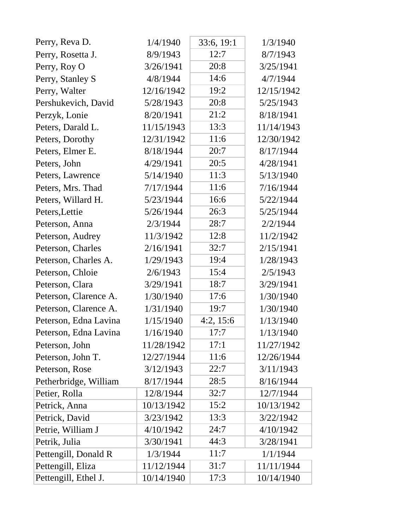| Perry, Reva D.        | 1/4/1940   | 33:6, 19:1 | 1/3/1940   |
|-----------------------|------------|------------|------------|
| Perry, Rosetta J.     | 8/9/1943   | 12:7       | 8/7/1943   |
| Perry, Roy O          | 3/26/1941  | 20:8       | 3/25/1941  |
| Perry, Stanley S      | 4/8/1944   | 14:6       | 4/7/1944   |
| Perry, Walter         | 12/16/1942 | 19:2       | 12/15/1942 |
| Pershukevich, David   | 5/28/1943  | 20:8       | 5/25/1943  |
| Perzyk, Lonie         | 8/20/1941  | 21:2       | 8/18/1941  |
| Peters, Darald L.     | 11/15/1943 | 13:3       | 11/14/1943 |
| Peters, Dorothy       | 12/31/1942 | 11:6       | 12/30/1942 |
| Peters, Elmer E.      | 8/18/1944  | 20:7       | 8/17/1944  |
| Peters, John          | 4/29/1941  | 20:5       | 4/28/1941  |
| Peters, Lawrence      | 5/14/1940  | 11:3       | 5/13/1940  |
| Peters, Mrs. Thad     | 7/17/1944  | 11:6       | 7/16/1944  |
| Peters, Willard H.    | 5/23/1944  | 16:6       | 5/22/1944  |
| Peters, Lettie        | 5/26/1944  | 26:3       | 5/25/1944  |
| Peterson, Anna        | 2/3/1944   | 28:7       | 2/2/1944   |
| Peterson, Audrey      | 11/3/1942  | 12:8       | 11/2/1942  |
| Peterson, Charles     | 2/16/1941  | 32:7       | 2/15/1941  |
| Peterson, Charles A.  | 1/29/1943  | 19:4       | 1/28/1943  |
| Peterson, Chloie      | 2/6/1943   | 15:4       | 2/5/1943   |
| Peterson, Clara       | 3/29/1941  | 18:7       | 3/29/1941  |
| Peterson, Clarence A. | 1/30/1940  | 17:6       | 1/30/1940  |
| Peterson, Clarence A. | 1/31/1940  | 19:7       | 1/30/1940  |
| Peterson, Edna Lavina | 1/15/1940  | 4:2, 15:6  | 1/13/1940  |
| Peterson, Edna Lavina | 1/16/1940  | 17:7       | 1/13/1940  |
| Peterson, John        | 11/28/1942 | 17:1       | 11/27/1942 |
| Peterson, John T.     | 12/27/1944 | 11:6       | 12/26/1944 |
| Peterson, Rose        | 3/12/1943  | 22:7       | 3/11/1943  |
| Petherbridge, William | 8/17/1944  | 28:5       | 8/16/1944  |
| Petier, Rolla         | 12/8/1944  | 32:7       | 12/7/1944  |
| Petrick, Anna         | 10/13/1942 | 15:2       | 10/13/1942 |
| Petrick, David        | 3/23/1942  | 13:3       | 3/22/1942  |
| Petrie, William J     | 4/10/1942  | 24:7       | 4/10/1942  |
| Petrik, Julia         | 3/30/1941  | 44:3       | 3/28/1941  |
| Pettengill, Donald R  | 1/3/1944   | 11:7       | 1/1/1944   |
| Pettengill, Eliza     | 11/12/1944 | 31:7       | 11/11/1944 |
| Pettengill, Ethel J.  | 10/14/1940 | 17:3       | 10/14/1940 |

Ϊ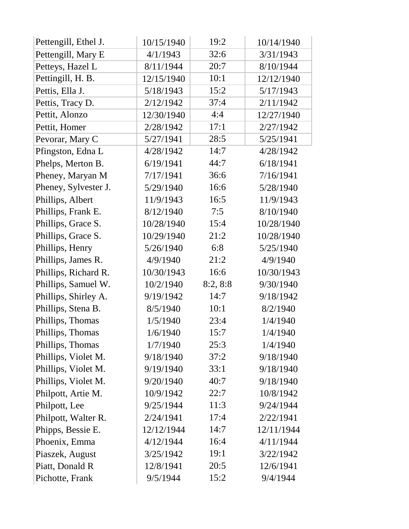| Pettengill, Ethel J. | 10/15/1940 | 19:2     | 10/14/1940 |
|----------------------|------------|----------|------------|
| Pettengill, Mary E   | 4/1/1943   | 32:6     | 3/31/1943  |
| Petteys, Hazel L     | 8/11/1944  | 20:7     | 8/10/1944  |
| Pettingill, H. B.    | 12/15/1940 | 10:1     | 12/12/1940 |
| Pettis, Ella J.      | 5/18/1943  | 15:2     | 5/17/1943  |
| Pettis, Tracy D.     | 2/12/1942  | 37:4     | 2/11/1942  |
| Pettit, Alonzo       | 12/30/1940 | 4:4      | 12/27/1940 |
| Pettit, Homer        | 2/28/1942  | 17:1     | 2/27/1942  |
| Pevorar, Mary C      | 5/27/1941  | 28:5     | 5/25/1941  |
| Pfingston, Edna L    | 4/28/1942  | 14:7     | 4/28/1942  |
| Phelps, Merton B.    | 6/19/1941  | 44:7     | 6/18/1941  |
| Pheney, Maryan M     | 7/17/1941  | 36:6     | 7/16/1941  |
| Pheney, Sylvester J. | 5/29/1940  | 16:6     | 5/28/1940  |
| Phillips, Albert     | 11/9/1943  | 16:5     | 11/9/1943  |
| Phillips, Frank E.   | 8/12/1940  | 7:5      | 8/10/1940  |
| Phillips, Grace S.   | 10/28/1940 | 15:4     | 10/28/1940 |
| Phillips, Grace S.   | 10/29/1940 | 21:2     | 10/28/1940 |
| Phillips, Henry      | 5/26/1940  | 6:8      | 5/25/1940  |
| Phillips, James R.   | 4/9/1940   | 21:2     | 4/9/1940   |
| Phillips, Richard R. | 10/30/1943 | 16:6     | 10/30/1943 |
| Phillips, Samuel W.  | 10/2/1940  | 8:2, 8:8 | 9/30/1940  |
| Phillips, Shirley A. | 9/19/1942  | 14:7     | 9/18/1942  |
| Phillips, Stena B.   | 8/5/1940   | 10:1     | 8/2/1940   |
| Phillips, Thomas     | 1/5/1940   | 23:4     | 1/4/1940   |
| Phillips, Thomas     | 1/6/1940   | 15:7     | 1/4/1940   |
| Phillips, Thomas     | 1/7/1940   | 25:3     | 1/4/1940   |
| Phillips, Violet M.  | 9/18/1940  | 37:2     | 9/18/1940  |
| Phillips, Violet M.  | 9/19/1940  | 33:1     | 9/18/1940  |
| Phillips, Violet M.  | 9/20/1940  | 40:7     | 9/18/1940  |
| Philpott, Artie M.   | 10/9/1942  | 22:7     | 10/8/1942  |
| Philpott, Lee        | 9/25/1944  | 11:3     | 9/24/1944  |
| Philpott, Walter R.  | 2/24/1941  | 17:4     | 2/22/1941  |
| Phipps, Bessie E.    | 12/12/1944 | 14:7     | 12/11/1944 |
| Phoenix, Emma        | 4/12/1944  | 16:4     | 4/11/1944  |
| Piaszek, August      | 3/25/1942  | 19:1     | 3/22/1942  |
| Piatt, Donald R      | 12/8/1941  | 20:5     | 12/6/1941  |
| Pichotte, Frank      | 9/5/1944   | 15:2     | 9/4/1944   |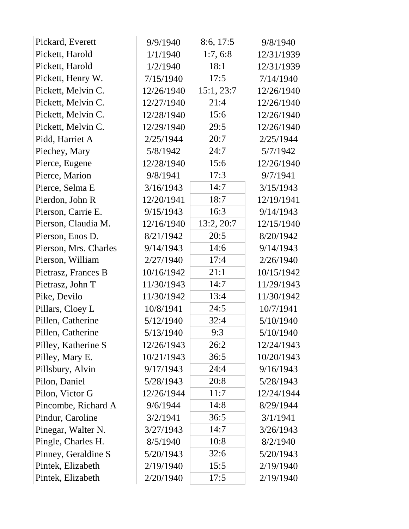| Pickard, Everett      | 9/9/1940   | 8:6, 17:5  | 9/8/1940   |
|-----------------------|------------|------------|------------|
| Pickett, Harold       | 1/1/1940   | 1:7, 6:8   | 12/31/1939 |
| Pickett, Harold       | 1/2/1940   | 18:1       | 12/31/1939 |
| Pickett, Henry W.     | 7/15/1940  | 17:5       | 7/14/1940  |
| Pickett, Melvin C.    | 12/26/1940 | 15:1, 23:7 | 12/26/1940 |
| Pickett, Melvin C.    | 12/27/1940 | 21:4       | 12/26/1940 |
| Pickett, Melvin C.    | 12/28/1940 | 15:6       | 12/26/1940 |
| Pickett, Melvin C.    | 12/29/1940 | 29:5       | 12/26/1940 |
| Pidd, Harriet A       | 2/25/1944  | 20:7       | 2/25/1944  |
| Piechey, Mary         | 5/8/1942   | 24:7       | 5/7/1942   |
| Pierce, Eugene        | 12/28/1940 | 15:6       | 12/26/1940 |
| Pierce, Marion        | 9/8/1941   | 17:3       | 9/7/1941   |
| Pierce, Selma E       | 3/16/1943  | 14:7       | 3/15/1943  |
| Pierdon, John R       | 12/20/1941 | 18:7       | 12/19/1941 |
| Pierson, Carrie E.    | 9/15/1943  | 16:3       | 9/14/1943  |
| Pierson, Claudia M.   | 12/16/1940 | 13:2, 20:7 | 12/15/1940 |
| Pierson, Enos D.      | 8/21/1942  | 20:5       | 8/20/1942  |
| Pierson, Mrs. Charles | 9/14/1943  | 14:6       | 9/14/1943  |
| Pierson, William      | 2/27/1940  | 17:4       | 2/26/1940  |
| Pietrasz, Frances B   | 10/16/1942 | 21:1       | 10/15/1942 |
| Pietrasz, John T      | 11/30/1943 | 14:7       | 11/29/1943 |
| Pike, Devilo          | 11/30/1942 | 13:4       | 11/30/1942 |
| Pillars, Cloey L      | 10/8/1941  | 24:5       | 10/7/1941  |
| Pillen, Catherine     | 5/12/1940  | 32:4       | 5/10/1940  |
| Pillen, Catherine     | 5/13/1940  | 9:3        | 5/10/1940  |
| Pilley, Katherine S   | 12/26/1943 | 26:2       | 12/24/1943 |
| Pilley, Mary E.       | 10/21/1943 | 36:5       | 10/20/1943 |
| Pillsbury, Alvin      | 9/17/1943  | 24:4       | 9/16/1943  |
| Pilon, Daniel         | 5/28/1943  | 20:8       | 5/28/1943  |
| Pilon, Victor G       | 12/26/1944 | 11:7       | 12/24/1944 |
| Pincombe, Richard A   | 9/6/1944   | 14:8       | 8/29/1944  |
| Pindur, Caroline      | 3/2/1941   | 36:5       | 3/1/1941   |
| Pinegar, Walter N.    | 3/27/1943  | 14:7       | 3/26/1943  |
| Pingle, Charles H.    | 8/5/1940   | 10:8       | 8/2/1940   |
| Pinney, Geraldine S   | 5/20/1943  | 32:6       | 5/20/1943  |
| Pintek, Elizabeth     | 2/19/1940  | 15:5       | 2/19/1940  |
| Pintek, Elizabeth     | 2/20/1940  | 17:5       | 2/19/1940  |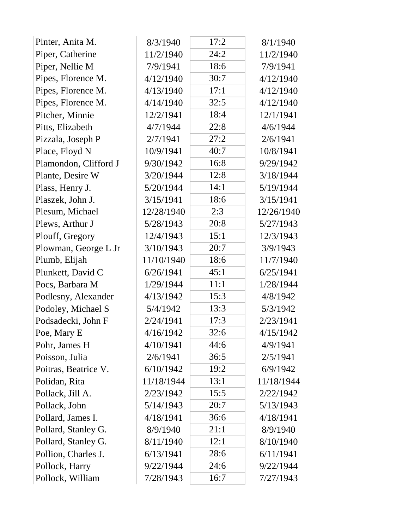| Pinter, Anita M.      | 8/3/1940   | 17:2 | 8/1/1940   |  |
|-----------------------|------------|------|------------|--|
| Piper, Catherine      | 11/2/1940  | 24:2 | 11/2/1940  |  |
| Piper, Nellie M       | 7/9/1941   | 18:6 | 7/9/1941   |  |
| Pipes, Florence M.    | 4/12/1940  | 30:7 | 4/12/1940  |  |
| Pipes, Florence M.    | 4/13/1940  | 17:1 | 4/12/1940  |  |
| Pipes, Florence M.    | 4/14/1940  | 32:5 | 4/12/1940  |  |
| Pitcher, Minnie       | 12/2/1941  | 18:4 | 12/1/1941  |  |
| Pitts, Elizabeth      | 4/7/1944   | 22:8 | 4/6/1944   |  |
| Pizzala, Joseph P     | 2/7/1941   | 27:2 | 2/6/1941   |  |
| Place, Floyd N        | 10/9/1941  | 40:7 | 10/8/1941  |  |
| Plamondon, Clifford J | 9/30/1942  | 16:8 | 9/29/1942  |  |
| Plante, Desire W      | 3/20/1944  | 12:8 | 3/18/1944  |  |
| Plass, Henry J.       | 5/20/1944  | 14:1 | 5/19/1944  |  |
| Plaszek, John J.      | 3/15/1941  | 18:6 | 3/15/1941  |  |
| Plesum, Michael       | 12/28/1940 | 2:3  | 12/26/1940 |  |
| Plews, Arthur J       | 5/28/1943  | 20:8 | 5/27/1943  |  |
| Plouff, Gregory       | 12/4/1943  | 15:1 | 12/3/1943  |  |
| Plowman, George L Jr  | 3/10/1943  | 20:7 | 3/9/1943   |  |
| Plumb, Elijah         | 11/10/1940 | 18:6 | 11/7/1940  |  |
| Plunkett, David C     | 6/26/1941  | 45:1 | 6/25/1941  |  |
| Pocs, Barbara M       | 1/29/1944  | 11:1 | 1/28/1944  |  |
| Podlesny, Alexander   | 4/13/1942  | 15:3 | 4/8/1942   |  |
| Podoley, Michael S    | 5/4/1942   | 13:3 | 5/3/1942   |  |
| Podsadecki, John F    | 2/24/1941  | 17:3 | 2/23/1941  |  |
| Poe, Mary E           | 4/16/1942  | 32:6 | 4/15/1942  |  |
| Pohr, James H         | 4/10/1941  | 44:6 | 4/9/1941   |  |
| Poisson, Julia        | 2/6/1941   | 36:5 | 2/5/1941   |  |
| Poitras, Beatrice V.  | 6/10/1942  | 19:2 | 6/9/1942   |  |
| Polidan, Rita         | 11/18/1944 | 13:1 | 11/18/1944 |  |
| Pollack, Jill A.      | 2/23/1942  | 15:5 | 2/22/1942  |  |
| Pollack, John         | 5/14/1943  | 20:7 | 5/13/1943  |  |
| Pollard, James I.     | 4/18/1941  | 36:6 | 4/18/1941  |  |
| Pollard, Stanley G.   | 8/9/1940   | 21:1 | 8/9/1940   |  |
| Pollard, Stanley G.   | 8/11/1940  | 12:1 | 8/10/1940  |  |
| Pollion, Charles J.   | 6/13/1941  | 28:6 | 6/11/1941  |  |
| Pollock, Harry        | 9/22/1944  | 24:6 | 9/22/1944  |  |
| Pollock, William      | 7/28/1943  | 16:7 | 7/27/1943  |  |
|                       |            |      |            |  |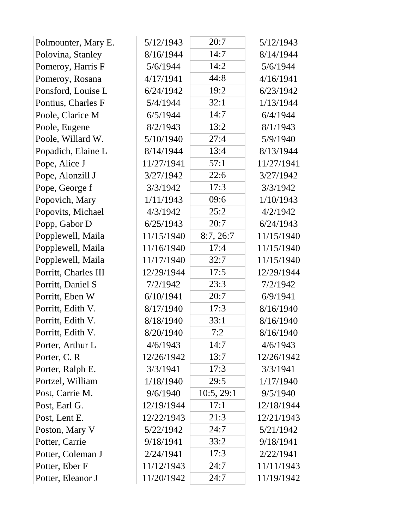| Polmounter, Mary E.  | 5/12/1943  | 20:7       | 5/12/1943  |
|----------------------|------------|------------|------------|
| Polovina, Stanley    | 8/16/1944  | 14:7       | 8/14/1944  |
| Pomeroy, Harris F    | 5/6/1944   | 14:2       | 5/6/1944   |
| Pomeroy, Rosana      | 4/17/1941  | 44:8       | 4/16/1941  |
| Ponsford, Louise L   | 6/24/1942  | 19:2       | 6/23/1942  |
| Pontius, Charles F   | 5/4/1944   | 32:1       | 1/13/1944  |
| Poole, Clarice M     | 6/5/1944   | 14:7       | 6/4/1944   |
| Poole, Eugene        | 8/2/1943   | 13:2       | 8/1/1943   |
| Poole, Willard W.    | 5/10/1940  | 27:4       | 5/9/1940   |
| Popadich, Elaine L   | 8/14/1944  | 13:4       | 8/13/1944  |
| Pope, Alice J        | 11/27/1941 | 57:1       | 11/27/1941 |
| Pope, Alonzill J     | 3/27/1942  | 22:6       | 3/27/1942  |
| Pope, George f       | 3/3/1942   | 17:3       | 3/3/1942   |
| Popovich, Mary       | 1/11/1943  | 09:6       | 1/10/1943  |
| Popovits, Michael    | 4/3/1942   | 25:2       | 4/2/1942   |
| Popp, Gabor D        | 6/25/1943  | 20:7       | 6/24/1943  |
| Popplewell, Maila    | 11/15/1940 | 8:7,26:7   | 11/15/1940 |
| Popplewell, Maila    | 11/16/1940 | 17:4       | 11/15/1940 |
| Popplewell, Maila    | 11/17/1940 | 32:7       | 11/15/1940 |
| Porritt, Charles III | 12/29/1944 | 17:5       | 12/29/1944 |
| Porritt, Daniel S    | 7/2/1942   | 23:3       | 7/2/1942   |
| Porritt, Eben W      | 6/10/1941  | 20:7       | 6/9/1941   |
| Porritt, Edith V.    | 8/17/1940  | 17:3       | 8/16/1940  |
| Porritt, Edith V.    | 8/18/1940  | 33:1       | 8/16/1940  |
| Porritt, Edith V.    | 8/20/1940  | 7:2        | 8/16/1940  |
| Porter, Arthur L     | 4/6/1943   | 14:7       | 4/6/1943   |
| Porter, C. R.        | 12/26/1942 | 13:7       | 12/26/1942 |
| Porter, Ralph E.     | 3/3/1941   | 17:3       | 3/3/1941   |
| Portzel, William     | 1/18/1940  | 29:5       | 1/17/1940  |
| Post, Carrie M.      | 9/6/1940   | 10:5, 29:1 | 9/5/1940   |
| Post, Earl G.        | 12/19/1944 | 17:1       | 12/18/1944 |
| Post, Lent E.        | 12/22/1943 | 21:3       | 12/21/1943 |
| Poston, Mary V       | 5/22/1942  | 24:7       | 5/21/1942  |
| Potter, Carrie       | 9/18/1941  | 33:2       | 9/18/1941  |
| Potter, Coleman J    | 2/24/1941  | 17:3       | 2/22/1941  |
| Potter, Eber F       | 11/12/1943 | 24:7       | 11/11/1943 |
| Potter, Eleanor J    | 11/20/1942 | 24:7       | 11/19/1942 |
|                      |            |            |            |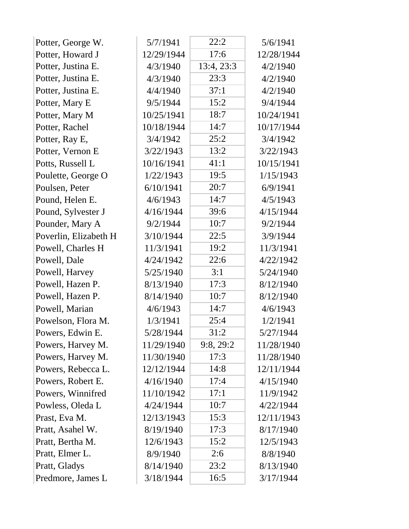| Potter, George W.     | 5/7/1941   | 22:2       | 5/6/1941   |
|-----------------------|------------|------------|------------|
| Potter, Howard J      | 12/29/1944 | 17:6       | 12/28/1944 |
| Potter, Justina E.    | 4/3/1940   | 13:4, 23:3 | 4/2/1940   |
| Potter, Justina E.    | 4/3/1940   | 23:3       | 4/2/1940   |
| Potter, Justina E.    | 4/4/1940   | 37:1       | 4/2/1940   |
| Potter, Mary E        | 9/5/1944   | 15:2       | 9/4/1944   |
| Potter, Mary M        | 10/25/1941 | 18:7       | 10/24/1941 |
| Potter, Rachel        | 10/18/1944 | 14:7       | 10/17/1944 |
| Potter, Ray E,        | 3/4/1942   | 25:2       | 3/4/1942   |
| Potter, Vernon E      | 3/22/1943  | 13:2       | 3/22/1943  |
| Potts, Russell L      | 10/16/1941 | 41:1       | 10/15/1941 |
| Poulette, George O    | 1/22/1943  | 19:5       | 1/15/1943  |
| Poulsen, Peter        | 6/10/1941  | 20:7       | 6/9/1941   |
| Pound, Helen E.       | 4/6/1943   | 14:7       | 4/5/1943   |
| Pound, Sylvester J    | 4/16/1944  | 39:6       | 4/15/1944  |
| Pounder, Mary A       | 9/2/1944   | 10:7       | 9/2/1944   |
| Poverlin, Elizabeth H | 3/10/1944  | 22:5       | 3/9/1944   |
| Powell, Charles H     | 11/3/1941  | 19:2       | 11/3/1941  |
| Powell, Dale          | 4/24/1942  | 22:6       | 4/22/1942  |
| Powell, Harvey        | 5/25/1940  | 3:1        | 5/24/1940  |
| Powell, Hazen P.      | 8/13/1940  | 17:3       | 8/12/1940  |
| Powell, Hazen P.      | 8/14/1940  | 10:7       | 8/12/1940  |
| Powell, Marian        | 4/6/1943   | 14:7       | 4/6/1943   |
| Powelson, Flora M.    | 1/3/1941   | 25:4       | 1/2/1941   |
| Powers, Edwin E.      | 5/28/1944  | 31:2       | 5/27/1944  |
| Powers, Harvey M.     | 11/29/1940 | 9:8,29:2   | 11/28/1940 |
| Powers, Harvey M.     | 11/30/1940 | 17:3       | 11/28/1940 |
| Powers, Rebecca L.    | 12/12/1944 | 14:8       | 12/11/1944 |
| Powers, Robert E.     | 4/16/1940  | 17:4       | 4/15/1940  |
| Powers, Winnifred     | 11/10/1942 | 17:1       | 11/9/1942  |
| Powless, Oleda L      | 4/24/1944  | 10:7       | 4/22/1944  |
| Prast, Eva M.         | 12/13/1943 | 15:3       | 12/11/1943 |
| Pratt, Asahel W.      | 8/19/1940  | 17:3       | 8/17/1940  |
| Pratt, Bertha M.      | 12/6/1943  | 15:2       | 12/5/1943  |
| Pratt, Elmer L.       | 8/9/1940   | 2:6        | 8/8/1940   |
| Pratt, Gladys         | 8/14/1940  | 23:2       | 8/13/1940  |
| Predmore, James L     | 3/18/1944  | 16:5       | 3/17/1944  |
|                       |            |            |            |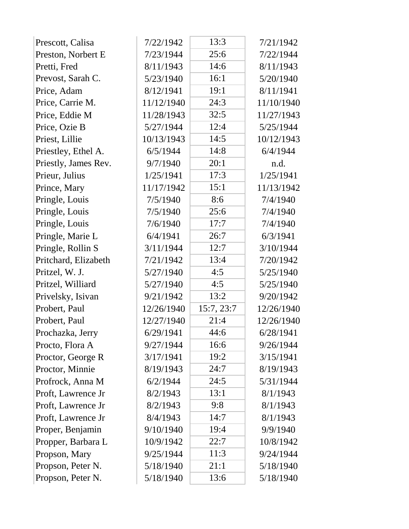| Prescott, Calisa     | 7/22/1942  | 13:3       | 7/21/1942  |
|----------------------|------------|------------|------------|
| Preston, Norbert E   | 7/23/1944  | 25:6       | 7/22/1944  |
| Pretti, Fred         | 8/11/1943  | 14:6       | 8/11/1943  |
| Prevost, Sarah C.    | 5/23/1940  | 16:1       | 5/20/1940  |
| Price, Adam          | 8/12/1941  | 19:1       | 8/11/1941  |
| Price, Carrie M.     | 11/12/1940 | 24:3       | 11/10/1940 |
| Price, Eddie M       | 11/28/1943 | 32:5       | 11/27/1943 |
| Price, Ozie B        | 5/27/1944  | 12:4       | 5/25/1944  |
| Priest, Lillie       | 10/13/1943 | 14:5       | 10/12/1943 |
| Priestley, Ethel A.  | 6/5/1944   | 14:8       | 6/4/1944   |
| Priestly, James Rev. | 9/7/1940   | 20:1       | n.d.       |
| Prieur, Julius       | 1/25/1941  | 17:3       | 1/25/1941  |
| Prince, Mary         | 11/17/1942 | 15:1       | 11/13/1942 |
| Pringle, Louis       | 7/5/1940   | 8:6        | 7/4/1940   |
| Pringle, Louis       | 7/5/1940   | 25:6       | 7/4/1940   |
| Pringle, Louis       | 7/6/1940   | 17:7       | 7/4/1940   |
| Pringle, Marie L     | 6/4/1941   | 26:7       | 6/3/1941   |
| Pringle, Rollin S    | 3/11/1944  | 12:7       | 3/10/1944  |
| Pritchard, Elizabeth | 7/21/1942  | 13:4       | 7/20/1942  |
| Pritzel, W. J.       | 5/27/1940  | 4:5        | 5/25/1940  |
| Pritzel, Williard    | 5/27/1940  | 4:5        | 5/25/1940  |
| Privelsky, Isivan    | 9/21/1942  | 13:2       | 9/20/1942  |
| Probert, Paul        | 12/26/1940 | 15:7, 23:7 | 12/26/1940 |
| Probert, Paul        | 12/27/1940 | 21:4       | 12/26/1940 |
| Prochazka, Jerry     | 6/29/1941  | 44:6       | 6/28/1941  |
| Procto, Flora A      | 9/27/1944  | 16:6       | 9/26/1944  |
| Proctor, George R    | 3/17/1941  | 19:2       | 3/15/1941  |
| Proctor, Minnie      | 8/19/1943  | 24:7       | 8/19/1943  |
| Profrock, Anna M     | 6/2/1944   | 24:5       | 5/31/1944  |
| Proft, Lawrence Jr   | 8/2/1943   | 13:1       | 8/1/1943   |
| Proft, Lawrence Jr   | 8/2/1943   | 9:8        | 8/1/1943   |
| Proft, Lawrence Jr   | 8/4/1943   | 14:7       | 8/1/1943   |
| Proper, Benjamin     | 9/10/1940  | 19:4       | 9/9/1940   |
| Propper, Barbara L   | 10/9/1942  | 22:7       | 10/8/1942  |
| Propson, Mary        | 9/25/1944  | 11:3       | 9/24/1944  |
| Propson, Peter N.    | 5/18/1940  | 21:1       | 5/18/1940  |
| Propson, Peter N.    | 5/18/1940  | 13:6       | 5/18/1940  |
|                      |            |            |            |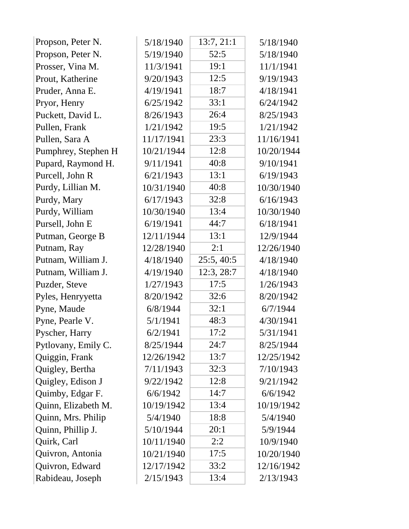| 52:5<br>Propson, Peter N.<br>5/19/1940<br>5/18/1940<br>Prosser, Vina M.<br>11/3/1941<br>19:1<br>11/1/1941<br>12:5<br>Prout, Katherine<br>9/20/1943<br>9/19/1943<br>18:7<br>4/19/1941<br>Pruder, Anna E.<br>4/18/1941<br>Pryor, Henry<br>6/25/1942<br>33:1<br>6/24/1942<br>26:4<br>Puckett, David L.<br>8/26/1943<br>8/25/1943<br>19:5<br>1/21/1942<br>1/21/1942<br>Pullen, Frank<br>Pullen, Sara A<br>11/17/1941<br>23:3<br>11/16/1941<br>12:8<br>Pumphrey, Stephen H<br>10/21/1944<br>10/20/1944<br>40:8<br>Pupard, Raymond H.<br>9/11/1941<br>9/10/1941<br>Purcell, John R<br>13:1<br>6/21/1943<br>6/19/1943<br>Purdy, Lillian M.<br>40:8<br>10/31/1940<br>10/30/1940<br>32:8<br>Purdy, Mary<br>6/17/1943<br>6/16/1943<br>Purdy, William<br>10/30/1940<br>13:4<br>10/30/1940<br>Pursell, John E<br>6/19/1941<br>44:7<br>6/18/1941<br>13:1<br>Putman, George B<br>12/11/1944<br>12/9/1944<br>Putnam, Ray<br>12/28/1940<br>2:1<br>12/26/1940<br>25:5, 40:5<br>Putnam, William J.<br>4/18/1940<br>4/18/1940<br>12:3, 28:7<br>Putnam, William J.<br>4/19/1940<br>4/18/1940<br>17:5<br>Puzder, Steve<br>1/27/1943<br>1/26/1943<br>32:6<br>8/20/1942<br>8/20/1942<br>Pyles, Henryyetta<br>32:1<br>Pyne, Maude<br>6/8/1944<br>6/7/1944<br>Pyne, Pearle V.<br>48:3<br>5/1/1941<br>4/30/1941<br>17:2<br>Pyscher, Harry<br>6/2/1941<br>5/31/1941<br>24:7<br>Pytlovany, Emily C.<br>8/25/1944<br>8/25/1944<br>Quiggin, Frank<br>12/26/1942<br>13:7<br>12/25/1942<br>32:3<br>Quigley, Bertha<br>7/11/1943<br>7/10/1943<br>Quigley, Edison J<br>12:8<br>9/22/1942<br>9/21/1942<br>Quimby, Edgar F.<br>14:7<br>6/6/1942<br>6/6/1942<br>Quinn, Elizabeth M.<br>10/19/1942<br>13:4<br>10/19/1942<br>Quinn, Mrs. Philip<br>18:8<br>5/4/1940<br>5/4/1940<br>Quinn, Phillip J.<br>5/10/1944<br>20:1<br>5/9/1944<br>Quirk, Carl<br>2:2<br>10/11/1940<br>10/9/1940<br>Quivron, Antonia<br>17:5<br>10/21/1940<br>10/20/1940<br>Quivron, Edward<br>12/17/1942<br>33:2<br>12/16/1942<br>Rabideau, Joseph<br>2/15/1943<br>13:4<br>2/13/1943 | Propson, Peter N. | 5/18/1940 | 13:7, 21:1 | 5/18/1940 |
|----------------------------------------------------------------------------------------------------------------------------------------------------------------------------------------------------------------------------------------------------------------------------------------------------------------------------------------------------------------------------------------------------------------------------------------------------------------------------------------------------------------------------------------------------------------------------------------------------------------------------------------------------------------------------------------------------------------------------------------------------------------------------------------------------------------------------------------------------------------------------------------------------------------------------------------------------------------------------------------------------------------------------------------------------------------------------------------------------------------------------------------------------------------------------------------------------------------------------------------------------------------------------------------------------------------------------------------------------------------------------------------------------------------------------------------------------------------------------------------------------------------------------------------------------------------------------------------------------------------------------------------------------------------------------------------------------------------------------------------------------------------------------------------------------------------------------------------------------------------------------------------------------------------------------------------------------------------------------------------------------------------------|-------------------|-----------|------------|-----------|
|                                                                                                                                                                                                                                                                                                                                                                                                                                                                                                                                                                                                                                                                                                                                                                                                                                                                                                                                                                                                                                                                                                                                                                                                                                                                                                                                                                                                                                                                                                                                                                                                                                                                                                                                                                                                                                                                                                                                                                                                                      |                   |           |            |           |
|                                                                                                                                                                                                                                                                                                                                                                                                                                                                                                                                                                                                                                                                                                                                                                                                                                                                                                                                                                                                                                                                                                                                                                                                                                                                                                                                                                                                                                                                                                                                                                                                                                                                                                                                                                                                                                                                                                                                                                                                                      |                   |           |            |           |
|                                                                                                                                                                                                                                                                                                                                                                                                                                                                                                                                                                                                                                                                                                                                                                                                                                                                                                                                                                                                                                                                                                                                                                                                                                                                                                                                                                                                                                                                                                                                                                                                                                                                                                                                                                                                                                                                                                                                                                                                                      |                   |           |            |           |
|                                                                                                                                                                                                                                                                                                                                                                                                                                                                                                                                                                                                                                                                                                                                                                                                                                                                                                                                                                                                                                                                                                                                                                                                                                                                                                                                                                                                                                                                                                                                                                                                                                                                                                                                                                                                                                                                                                                                                                                                                      |                   |           |            |           |
|                                                                                                                                                                                                                                                                                                                                                                                                                                                                                                                                                                                                                                                                                                                                                                                                                                                                                                                                                                                                                                                                                                                                                                                                                                                                                                                                                                                                                                                                                                                                                                                                                                                                                                                                                                                                                                                                                                                                                                                                                      |                   |           |            |           |
|                                                                                                                                                                                                                                                                                                                                                                                                                                                                                                                                                                                                                                                                                                                                                                                                                                                                                                                                                                                                                                                                                                                                                                                                                                                                                                                                                                                                                                                                                                                                                                                                                                                                                                                                                                                                                                                                                                                                                                                                                      |                   |           |            |           |
|                                                                                                                                                                                                                                                                                                                                                                                                                                                                                                                                                                                                                                                                                                                                                                                                                                                                                                                                                                                                                                                                                                                                                                                                                                                                                                                                                                                                                                                                                                                                                                                                                                                                                                                                                                                                                                                                                                                                                                                                                      |                   |           |            |           |
|                                                                                                                                                                                                                                                                                                                                                                                                                                                                                                                                                                                                                                                                                                                                                                                                                                                                                                                                                                                                                                                                                                                                                                                                                                                                                                                                                                                                                                                                                                                                                                                                                                                                                                                                                                                                                                                                                                                                                                                                                      |                   |           |            |           |
|                                                                                                                                                                                                                                                                                                                                                                                                                                                                                                                                                                                                                                                                                                                                                                                                                                                                                                                                                                                                                                                                                                                                                                                                                                                                                                                                                                                                                                                                                                                                                                                                                                                                                                                                                                                                                                                                                                                                                                                                                      |                   |           |            |           |
|                                                                                                                                                                                                                                                                                                                                                                                                                                                                                                                                                                                                                                                                                                                                                                                                                                                                                                                                                                                                                                                                                                                                                                                                                                                                                                                                                                                                                                                                                                                                                                                                                                                                                                                                                                                                                                                                                                                                                                                                                      |                   |           |            |           |
|                                                                                                                                                                                                                                                                                                                                                                                                                                                                                                                                                                                                                                                                                                                                                                                                                                                                                                                                                                                                                                                                                                                                                                                                                                                                                                                                                                                                                                                                                                                                                                                                                                                                                                                                                                                                                                                                                                                                                                                                                      |                   |           |            |           |
|                                                                                                                                                                                                                                                                                                                                                                                                                                                                                                                                                                                                                                                                                                                                                                                                                                                                                                                                                                                                                                                                                                                                                                                                                                                                                                                                                                                                                                                                                                                                                                                                                                                                                                                                                                                                                                                                                                                                                                                                                      |                   |           |            |           |
|                                                                                                                                                                                                                                                                                                                                                                                                                                                                                                                                                                                                                                                                                                                                                                                                                                                                                                                                                                                                                                                                                                                                                                                                                                                                                                                                                                                                                                                                                                                                                                                                                                                                                                                                                                                                                                                                                                                                                                                                                      |                   |           |            |           |
|                                                                                                                                                                                                                                                                                                                                                                                                                                                                                                                                                                                                                                                                                                                                                                                                                                                                                                                                                                                                                                                                                                                                                                                                                                                                                                                                                                                                                                                                                                                                                                                                                                                                                                                                                                                                                                                                                                                                                                                                                      |                   |           |            |           |
|                                                                                                                                                                                                                                                                                                                                                                                                                                                                                                                                                                                                                                                                                                                                                                                                                                                                                                                                                                                                                                                                                                                                                                                                                                                                                                                                                                                                                                                                                                                                                                                                                                                                                                                                                                                                                                                                                                                                                                                                                      |                   |           |            |           |
|                                                                                                                                                                                                                                                                                                                                                                                                                                                                                                                                                                                                                                                                                                                                                                                                                                                                                                                                                                                                                                                                                                                                                                                                                                                                                                                                                                                                                                                                                                                                                                                                                                                                                                                                                                                                                                                                                                                                                                                                                      |                   |           |            |           |
|                                                                                                                                                                                                                                                                                                                                                                                                                                                                                                                                                                                                                                                                                                                                                                                                                                                                                                                                                                                                                                                                                                                                                                                                                                                                                                                                                                                                                                                                                                                                                                                                                                                                                                                                                                                                                                                                                                                                                                                                                      |                   |           |            |           |
|                                                                                                                                                                                                                                                                                                                                                                                                                                                                                                                                                                                                                                                                                                                                                                                                                                                                                                                                                                                                                                                                                                                                                                                                                                                                                                                                                                                                                                                                                                                                                                                                                                                                                                                                                                                                                                                                                                                                                                                                                      |                   |           |            |           |
|                                                                                                                                                                                                                                                                                                                                                                                                                                                                                                                                                                                                                                                                                                                                                                                                                                                                                                                                                                                                                                                                                                                                                                                                                                                                                                                                                                                                                                                                                                                                                                                                                                                                                                                                                                                                                                                                                                                                                                                                                      |                   |           |            |           |
|                                                                                                                                                                                                                                                                                                                                                                                                                                                                                                                                                                                                                                                                                                                                                                                                                                                                                                                                                                                                                                                                                                                                                                                                                                                                                                                                                                                                                                                                                                                                                                                                                                                                                                                                                                                                                                                                                                                                                                                                                      |                   |           |            |           |
|                                                                                                                                                                                                                                                                                                                                                                                                                                                                                                                                                                                                                                                                                                                                                                                                                                                                                                                                                                                                                                                                                                                                                                                                                                                                                                                                                                                                                                                                                                                                                                                                                                                                                                                                                                                                                                                                                                                                                                                                                      |                   |           |            |           |
|                                                                                                                                                                                                                                                                                                                                                                                                                                                                                                                                                                                                                                                                                                                                                                                                                                                                                                                                                                                                                                                                                                                                                                                                                                                                                                                                                                                                                                                                                                                                                                                                                                                                                                                                                                                                                                                                                                                                                                                                                      |                   |           |            |           |
|                                                                                                                                                                                                                                                                                                                                                                                                                                                                                                                                                                                                                                                                                                                                                                                                                                                                                                                                                                                                                                                                                                                                                                                                                                                                                                                                                                                                                                                                                                                                                                                                                                                                                                                                                                                                                                                                                                                                                                                                                      |                   |           |            |           |
|                                                                                                                                                                                                                                                                                                                                                                                                                                                                                                                                                                                                                                                                                                                                                                                                                                                                                                                                                                                                                                                                                                                                                                                                                                                                                                                                                                                                                                                                                                                                                                                                                                                                                                                                                                                                                                                                                                                                                                                                                      |                   |           |            |           |
|                                                                                                                                                                                                                                                                                                                                                                                                                                                                                                                                                                                                                                                                                                                                                                                                                                                                                                                                                                                                                                                                                                                                                                                                                                                                                                                                                                                                                                                                                                                                                                                                                                                                                                                                                                                                                                                                                                                                                                                                                      |                   |           |            |           |
|                                                                                                                                                                                                                                                                                                                                                                                                                                                                                                                                                                                                                                                                                                                                                                                                                                                                                                                                                                                                                                                                                                                                                                                                                                                                                                                                                                                                                                                                                                                                                                                                                                                                                                                                                                                                                                                                                                                                                                                                                      |                   |           |            |           |
|                                                                                                                                                                                                                                                                                                                                                                                                                                                                                                                                                                                                                                                                                                                                                                                                                                                                                                                                                                                                                                                                                                                                                                                                                                                                                                                                                                                                                                                                                                                                                                                                                                                                                                                                                                                                                                                                                                                                                                                                                      |                   |           |            |           |
|                                                                                                                                                                                                                                                                                                                                                                                                                                                                                                                                                                                                                                                                                                                                                                                                                                                                                                                                                                                                                                                                                                                                                                                                                                                                                                                                                                                                                                                                                                                                                                                                                                                                                                                                                                                                                                                                                                                                                                                                                      |                   |           |            |           |
|                                                                                                                                                                                                                                                                                                                                                                                                                                                                                                                                                                                                                                                                                                                                                                                                                                                                                                                                                                                                                                                                                                                                                                                                                                                                                                                                                                                                                                                                                                                                                                                                                                                                                                                                                                                                                                                                                                                                                                                                                      |                   |           |            |           |
|                                                                                                                                                                                                                                                                                                                                                                                                                                                                                                                                                                                                                                                                                                                                                                                                                                                                                                                                                                                                                                                                                                                                                                                                                                                                                                                                                                                                                                                                                                                                                                                                                                                                                                                                                                                                                                                                                                                                                                                                                      |                   |           |            |           |
|                                                                                                                                                                                                                                                                                                                                                                                                                                                                                                                                                                                                                                                                                                                                                                                                                                                                                                                                                                                                                                                                                                                                                                                                                                                                                                                                                                                                                                                                                                                                                                                                                                                                                                                                                                                                                                                                                                                                                                                                                      |                   |           |            |           |
|                                                                                                                                                                                                                                                                                                                                                                                                                                                                                                                                                                                                                                                                                                                                                                                                                                                                                                                                                                                                                                                                                                                                                                                                                                                                                                                                                                                                                                                                                                                                                                                                                                                                                                                                                                                                                                                                                                                                                                                                                      |                   |           |            |           |
|                                                                                                                                                                                                                                                                                                                                                                                                                                                                                                                                                                                                                                                                                                                                                                                                                                                                                                                                                                                                                                                                                                                                                                                                                                                                                                                                                                                                                                                                                                                                                                                                                                                                                                                                                                                                                                                                                                                                                                                                                      |                   |           |            |           |
|                                                                                                                                                                                                                                                                                                                                                                                                                                                                                                                                                                                                                                                                                                                                                                                                                                                                                                                                                                                                                                                                                                                                                                                                                                                                                                                                                                                                                                                                                                                                                                                                                                                                                                                                                                                                                                                                                                                                                                                                                      |                   |           |            |           |
|                                                                                                                                                                                                                                                                                                                                                                                                                                                                                                                                                                                                                                                                                                                                                                                                                                                                                                                                                                                                                                                                                                                                                                                                                                                                                                                                                                                                                                                                                                                                                                                                                                                                                                                                                                                                                                                                                                                                                                                                                      |                   |           |            |           |
|                                                                                                                                                                                                                                                                                                                                                                                                                                                                                                                                                                                                                                                                                                                                                                                                                                                                                                                                                                                                                                                                                                                                                                                                                                                                                                                                                                                                                                                                                                                                                                                                                                                                                                                                                                                                                                                                                                                                                                                                                      |                   |           |            |           |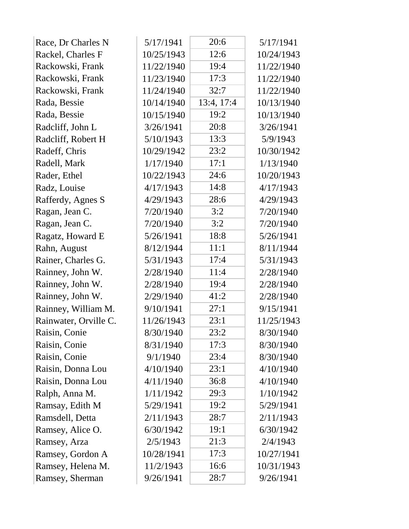| Race, Dr Charles N    | 5/17/1941  | 20:6       | 5/17/1941  |
|-----------------------|------------|------------|------------|
| Rackel, Charles F     | 10/25/1943 | 12:6       | 10/24/1943 |
| Rackowski, Frank      | 11/22/1940 | 19:4       | 11/22/1940 |
| Rackowski, Frank      | 11/23/1940 | 17:3       | 11/22/1940 |
| Rackowski, Frank      | 11/24/1940 | 32:7       | 11/22/1940 |
| Rada, Bessie          | 10/14/1940 | 13:4, 17:4 | 10/13/1940 |
| Rada, Bessie          | 10/15/1940 | 19:2       | 10/13/1940 |
| Radcliff, John L      | 3/26/1941  | 20:8       | 3/26/1941  |
| Radcliff, Robert H    | 5/10/1943  | 13:3       | 5/9/1943   |
| Radeff, Chris         | 10/29/1942 | 23:2       | 10/30/1942 |
| Radell, Mark          | 1/17/1940  | 17:1       | 1/13/1940  |
| Rader, Ethel          | 10/22/1943 | 24:6       | 10/20/1943 |
| Radz, Louise          | 4/17/1943  | 14:8       | 4/17/1943  |
| Rafferdy, Agnes S     | 4/29/1943  | 28:6       | 4/29/1943  |
| Ragan, Jean C.        | 7/20/1940  | 3:2        | 7/20/1940  |
| Ragan, Jean C.        | 7/20/1940  | 3:2        | 7/20/1940  |
| Ragatz, Howard E      | 5/26/1941  | 18:8       | 5/26/1941  |
| Rahn, August          | 8/12/1944  | 11:1       | 8/11/1944  |
| Rainer, Charles G.    | 5/31/1943  | 17:4       | 5/31/1943  |
| Rainney, John W.      | 2/28/1940  | 11:4       | 2/28/1940  |
| Rainney, John W.      | 2/28/1940  | 19:4       | 2/28/1940  |
| Rainney, John W.      | 2/29/1940  | 41:2       | 2/28/1940  |
| Rainney, William M.   | 9/10/1941  | 27:1       | 9/15/1941  |
| Rainwater, Orville C. | 11/26/1943 | 23:1       | 11/25/1943 |
| Raisin, Conie         | 8/30/1940  | 23:2       | 8/30/1940  |
| Raisin, Conie         | 8/31/1940  | 17:3       | 8/30/1940  |
| Raisin, Conie         | 9/1/1940   | 23:4       | 8/30/1940  |
| Raisin, Donna Lou     | 4/10/1940  | 23:1       | 4/10/1940  |
| Raisin, Donna Lou     | 4/11/1940  | 36:8       | 4/10/1940  |
| Ralph, Anna M.        | 1/11/1942  | 29:3       | 1/10/1942  |
| Ramsay, Edith M       | 5/29/1941  | 19:2       | 5/29/1941  |
| Ramsdell, Detta       | 2/11/1943  | 28:7       | 2/11/1943  |
| Ramsey, Alice O.      | 6/30/1942  | 19:1       | 6/30/1942  |
| Ramsey, Arza          | 2/5/1943   | 21:3       | 2/4/1943   |
| Ramsey, Gordon A      | 10/28/1941 | 17:3       | 10/27/1941 |
| Ramsey, Helena M.     | 11/2/1943  | 16:6       | 10/31/1943 |
| Ramsey, Sherman       | 9/26/1941  | 28:7       | 9/26/1941  |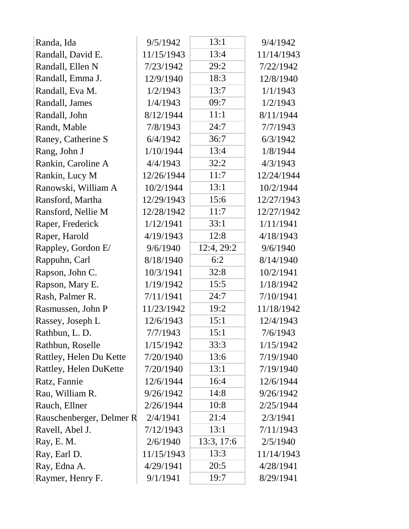| Randa, Ida               | 9/5/1942   | 13:1       | 9/4/1942   |
|--------------------------|------------|------------|------------|
| Randall, David E.        | 11/15/1943 | 13:4       | 11/14/1943 |
| Randall, Ellen N         | 7/23/1942  | 29:2       | 7/22/1942  |
| Randall, Emma J.         | 12/9/1940  | 18:3       | 12/8/1940  |
| Randall, Eva M.          | 1/2/1943   | 13:7       | 1/1/1943   |
| Randall, James           | 1/4/1943   | 09:7       | 1/2/1943   |
| Randall, John            | 8/12/1944  | 11:1       | 8/11/1944  |
| Randt, Mable             | 7/8/1943   | 24:7       | 7/7/1943   |
| Raney, Catherine S       | 6/4/1942   | 36:7       | 6/3/1942   |
| Rang, John J             | 1/10/1944  | 13:4       | 1/8/1944   |
| Rankin, Caroline A       | 4/4/1943   | 32:2       | 4/3/1943   |
| Rankin, Lucy M           | 12/26/1944 | 11:7       | 12/24/1944 |
| Ranowski, William A      | 10/2/1944  | 13:1       | 10/2/1944  |
| Ransford, Martha         | 12/29/1943 | 15:6       | 12/27/1943 |
| Ransford, Nellie M       | 12/28/1942 | 11:7       | 12/27/1942 |
| Raper, Frederick         | 1/12/1941  | 33:1       | 1/11/1941  |
| Raper, Harold            | 4/19/1943  | 12:8       | 4/18/1943  |
| Rappley, Gordon E/       | 9/6/1940   | 12:4, 29:2 | 9/6/1940   |
| Rappuhn, Carl            | 8/18/1940  | 6:2        | 8/14/1940  |
| Rapson, John C.          | 10/3/1941  | 32:8       | 10/2/1941  |
| Rapson, Mary E.          | 1/19/1942  | 15:5       | 1/18/1942  |
| Rash, Palmer R.          | 7/11/1941  | 24:7       | 7/10/1941  |
| Rasmussen, John P        | 11/23/1942 | 19:2       | 11/18/1942 |
| Rassey, Joseph L         | 12/6/1943  | 15:1       | 12/4/1943  |
| Rathbun, L. D.           | 7/7/1943   | 15:1       | 7/6/1943   |
| Rathbun, Roselle         | 1/15/1942  | 33:3       | 1/15/1942  |
| Rattley, Helen Du Kette  | 7/20/1940  | 13:6       | 7/19/1940  |
| Rattley, Helen DuKette   | 7/20/1940  | 13:1       | 7/19/1940  |
| Ratz, Fannie             | 12/6/1944  | 16:4       | 12/6/1944  |
| Rau, William R.          | 9/26/1942  | 14:8       | 9/26/1942  |
| Rauch, Ellner            | 2/26/1944  | 10:8       | 2/25/1944  |
| Rauschenberger, Delmer R | 2/4/1941   | 21:4       | 2/3/1941   |
| Ravell, Abel J.          | 7/12/1943  | 13:1       | 7/11/1943  |
| Ray, E. M.               | 2/6/1940   | 13:3, 17:6 | 2/5/1940   |
| Ray, Earl D.             | 11/15/1943 | 13:3       | 11/14/1943 |
| Ray, Edna A.             | 4/29/1941  | 20:5       | 4/28/1941  |
| Raymer, Henry F.         | 9/1/1941   | 19:7       | 8/29/1941  |
|                          |            |            |            |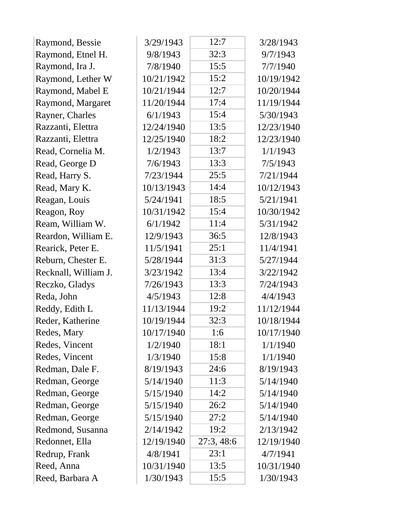| Raymond, Bessie      | 3/29/1943  | 12:7       | 3/28/1943  |
|----------------------|------------|------------|------------|
| Raymond, Etnel H.    | 9/8/1943   | 32:3       | 9/7/1943   |
| Raymond, Ira J.      | 7/8/1940   | 15:5       | 7/7/1940   |
| Raymond, Lether W    | 10/21/1942 | 15:2       | 10/19/1942 |
| Raymond, Mabel E     | 10/21/1944 | 12:7       | 10/20/1944 |
| Raymond, Margaret    | 11/20/1944 | 17:4       | 11/19/1944 |
| Rayner, Charles      | 6/1/1943   | 15:4       | 5/30/1943  |
| Razzanti, Elettra    | 12/24/1940 | 13:5       | 12/23/1940 |
| Razzanti, Elettra    | 12/25/1940 | 18:2       | 12/23/1940 |
| Read, Cornelia M.    | 1/2/1943   | 13:7       | 1/1/1943   |
| Read, George D       | 7/6/1943   | 13:3       | 7/5/1943   |
| Read, Harry S.       | 7/23/1944  | 25:5       | 7/21/1944  |
| Read, Mary K.        | 10/13/1943 | 14:4       | 10/12/1943 |
| Reagan, Louis        | 5/24/1941  | 18:5       | 5/21/1941  |
| Reagon, Roy          | 10/31/1942 | 15:4       | 10/30/1942 |
| Ream, William W.     | 6/1/1942   | 11:4       | 5/31/1942  |
| Reardon, William E.  | 12/9/1943  | 36:5       | 12/8/1943  |
| Rearick, Peter E.    | 11/5/1941  | 25:1       | 11/4/1941  |
| Reburn, Chester E.   | 5/28/1944  | 31:3       | 5/27/1944  |
| Recknall, William J. | 3/23/1942  | 13:4       | 3/22/1942  |
| Reczko, Gladys       | 7/26/1943  | 13:3       | 7/24/1943  |
| Reda, John           | 4/5/1943   | 12:8       | 4/4/1943   |
| Reddy, Edith L       | 11/13/1944 | 19:2       | 11/12/1944 |
| Reder, Katherine     | 10/19/1944 | 32:3       | 10/18/1944 |
| Redes, Mary          | 10/17/1940 | 1:6        | 10/17/1940 |
| Redes, Vincent       | 1/2/1940   | 18:1       | 1/1/1940   |
| Redes, Vincent       | 1/3/1940   | 15:8       | 1/1/1940   |
| Redman, Dale F.      | 8/19/1943  | 24:6       | 8/19/1943  |
| Redman, George       | 5/14/1940  | 11:3       | 5/14/1940  |
| Redman, George       | 5/15/1940  | 14:2       | 5/14/1940  |
| Redman, George       | 5/15/1940  | 26:2       | 5/14/1940  |
| Redman, George       | 5/15/1940  | 27:2       | 5/14/1940  |
| Redmond, Susanna     | 2/14/1942  | 19:2       | 2/13/1942  |
| Redonnet, Ella       | 12/19/1940 | 27:3, 48:6 | 12/19/1940 |
| Redrup, Frank        | 4/8/1941   | 23:1       | 4/7/1941   |
| Reed, Anna           | 10/31/1940 | 13:5       | 10/31/1940 |
| Reed, Barbara A      | 1/30/1943  | 15:5       | 1/30/1943  |
|                      |            |            |            |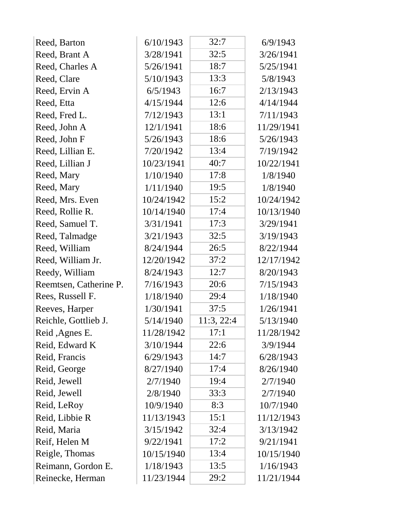| Reed, Barton           | 6/10/1943  | 32:7       | 6/9/1943   |
|------------------------|------------|------------|------------|
| Reed, Brant A          | 3/28/1941  | 32:5       | 3/26/1941  |
| Reed, Charles A        | 5/26/1941  | 18:7       | 5/25/1941  |
| Reed, Clare            | 5/10/1943  | 13:3       | 5/8/1943   |
| Reed, Ervin A          | 6/5/1943   | 16:7       | 2/13/1943  |
| Reed, Etta             | 4/15/1944  | 12:6       | 4/14/1944  |
| Reed, Fred L.          | 7/12/1943  | 13:1       | 7/11/1943  |
| Reed, John A           | 12/1/1941  | 18:6       | 11/29/1941 |
| Reed, John F           | 5/26/1943  | 18:6       | 5/26/1943  |
| Reed, Lillian E.       | 7/20/1942  | 13:4       | 7/19/1942  |
| Reed, Lillian J        | 10/23/1941 | 40:7       | 10/22/1941 |
| Reed, Mary             | 1/10/1940  | 17:8       | 1/8/1940   |
| Reed, Mary             | 1/11/1940  | 19:5       | 1/8/1940   |
| Reed, Mrs. Even        | 10/24/1942 | 15:2       | 10/24/1942 |
| Reed, Rollie R.        | 10/14/1940 | 17:4       | 10/13/1940 |
| Reed, Samuel T.        | 3/31/1941  | 17:3       | 3/29/1941  |
| Reed, Talmadge         | 3/21/1943  | 32:5       | 3/19/1943  |
| Reed, William          | 8/24/1944  | 26:5       | 8/22/1944  |
| Reed, William Jr.      | 12/20/1942 | 37:2       | 12/17/1942 |
| Reedy, William         | 8/24/1943  | 12:7       | 8/20/1943  |
| Reemtsen, Catherine P. | 7/16/1943  | 20:6       | 7/15/1943  |
| Rees, Russell F.       | 1/18/1940  | 29:4       | 1/18/1940  |
| Reeves, Harper         | 1/30/1941  | 37:5       | 1/26/1941  |
| Reichle, Gottlieb J.   | 5/14/1940  | 11:3, 22:4 | 5/13/1940  |
| Reid, Agnes E.         | 11/28/1942 | 17:1       | 11/28/1942 |
| Reid, Edward K         | 3/10/1944  | 22:6       | 3/9/1944   |
| Reid, Francis          | 6/29/1943  | 14:7       | 6/28/1943  |
| Reid, George           | 8/27/1940  | 17:4       | 8/26/1940  |
| Reid, Jewell           | 2/7/1940   | 19:4       | 2/7/1940   |
| Reid, Jewell           | 2/8/1940   | 33:3       | 2/7/1940   |
| Reid, LeRoy            | 10/9/1940  | 8:3        | 10/7/1940  |
| Reid, Libbie R         | 11/13/1943 | 15:1       | 11/12/1943 |
| Reid, Maria            | 3/15/1942  | 32:4       | 3/13/1942  |
| Reif, Helen M          | 9/22/1941  | 17:2       | 9/21/1941  |
| Reigle, Thomas         | 10/15/1940 | 13:4       | 10/15/1940 |
| Reimann, Gordon E.     | 1/18/1943  | 13:5       | 1/16/1943  |
| Reinecke, Herman       | 11/23/1944 | 29:2       | 11/21/1944 |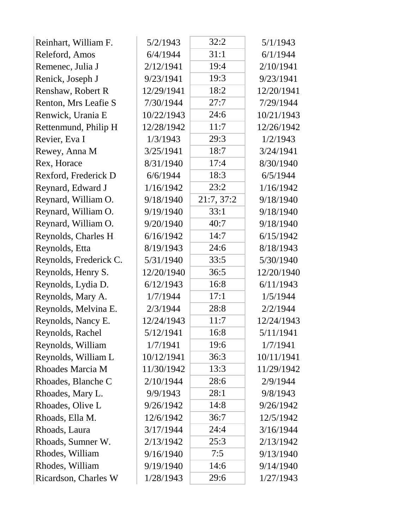| Reinhart, William F.   | 5/2/1943   | 32:2       | 5/1/1943   |
|------------------------|------------|------------|------------|
| Releford, Amos         | 6/4/1944   | 31:1       | 6/1/1944   |
| Remenec, Julia J       | 2/12/1941  | 19:4       | 2/10/1941  |
| Renick, Joseph J       | 9/23/1941  | 19:3       | 9/23/1941  |
| Renshaw, Robert R      | 12/29/1941 | 18:2       | 12/20/1941 |
| Renton, Mrs Leafie S   | 7/30/1944  | 27:7       | 7/29/1944  |
| Renwick, Urania E      | 10/22/1943 | 24:6       | 10/21/1943 |
| Rettenmund, Philip H   | 12/28/1942 | 11:7       | 12/26/1942 |
| Revier, Eva I          | 1/3/1943   | 29:3       | 1/2/1943   |
| Rewey, Anna M          | 3/25/1941  | 18:7       | 3/24/1941  |
| Rex, Horace            | 8/31/1940  | 17:4       | 8/30/1940  |
| Rexford, Frederick D   | 6/6/1944   | 18:3       | 6/5/1944   |
| Reynard, Edward J      | 1/16/1942  | 23:2       | 1/16/1942  |
| Reynard, William O.    | 9/18/1940  | 21:7, 37:2 | 9/18/1940  |
| Reynard, William O.    | 9/19/1940  | 33:1       | 9/18/1940  |
| Reynard, William O.    | 9/20/1940  | 40:7       | 9/18/1940  |
| Reynolds, Charles H    | 6/16/1942  | 14:7       | 6/15/1942  |
| Reynolds, Etta         | 8/19/1943  | 24:6       | 8/18/1943  |
| Reynolds, Frederick C. | 5/31/1940  | 33:5       | 5/30/1940  |
| Reynolds, Henry S.     | 12/20/1940 | 36:5       | 12/20/1940 |
| Reynolds, Lydia D.     | 6/12/1943  | 16:8       | 6/11/1943  |
| Reynolds, Mary A.      | 1/7/1944   | 17:1       | 1/5/1944   |
| Reynolds, Melvina E.   | 2/3/1944   | 28:8       | 2/2/1944   |
| Reynolds, Nancy E.     | 12/24/1943 | 11:7       | 12/24/1943 |
| Reynolds, Rachel       | 5/12/1941  | 16:8       | 5/11/1941  |
| Reynolds, William      | 1/7/1941   | 19:6       | 1/7/1941   |
| Reynolds, William L    | 10/12/1941 | 36:3       | 10/11/1941 |
| Rhoades Marcia M       | 11/30/1942 | 13:3       | 11/29/1942 |
| Rhoades, Blanche C     | 2/10/1944  | 28:6       | 2/9/1944   |
| Rhoades, Mary L.       | 9/9/1943   | 28:1       | 9/8/1943   |
| Rhoades, Olive L       | 9/26/1942  | 14:8       | 9/26/1942  |
| Rhoads, Ella M.        | 12/6/1942  | 36:7       | 12/5/1942  |
| Rhoads, Laura          | 3/17/1944  | 24:4       | 3/16/1944  |
| Rhoads, Sumner W.      | 2/13/1942  | 25:3       | 2/13/1942  |
| Rhodes, William        | 9/16/1940  | 7:5        | 9/13/1940  |
| Rhodes, William        | 9/19/1940  | 14:6       | 9/14/1940  |
| Ricardson, Charles W   | 1/28/1943  | 29:6       | 1/27/1943  |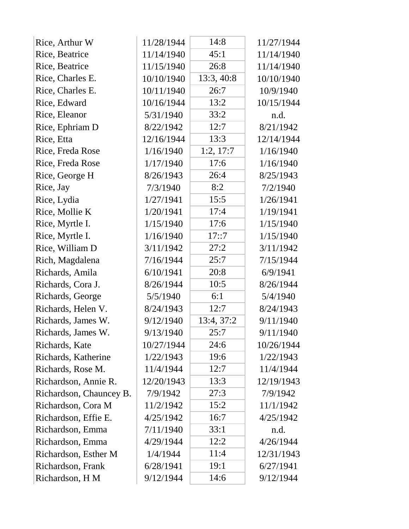| Rice, Arthur W          | 11/28/1944 | 14:8       | 11/27/1944 |
|-------------------------|------------|------------|------------|
| Rice, Beatrice          | 11/14/1940 | 45:1       | 11/14/1940 |
| Rice, Beatrice          | 11/15/1940 | 26:8       | 11/14/1940 |
| Rice, Charles E.        | 10/10/1940 | 13:3, 40:8 | 10/10/1940 |
| Rice, Charles E.        | 10/11/1940 | 26:7       | 10/9/1940  |
| Rice, Edward            | 10/16/1944 | 13:2       | 10/15/1944 |
| Rice, Eleanor           | 5/31/1940  | 33:2       | n.d.       |
| Rice, Ephriam D         | 8/22/1942  | 12:7       | 8/21/1942  |
| Rice, Etta              | 12/16/1944 | 13:3       | 12/14/1944 |
| Rice, Freda Rose        | 1/16/1940  | 1:2, 17:7  | 1/16/1940  |
| Rice, Freda Rose        | 1/17/1940  | 17:6       | 1/16/1940  |
| Rice, George H          | 8/26/1943  | 26:4       | 8/25/1943  |
| Rice, Jay               | 7/3/1940   | 8:2        | 7/2/1940   |
| Rice, Lydia             | 1/27/1941  | 15:5       | 1/26/1941  |
| Rice, Mollie K          | 1/20/1941  | 17:4       | 1/19/1941  |
| Rice, Myrtle I.         | 1/15/1940  | 17:6       | 1/15/1940  |
| Rice, Myrtle I.         | 1/16/1940  | 17::7      | 1/15/1940  |
| Rice, William D         | 3/11/1942  | 27:2       | 3/11/1942  |
| Rich, Magdalena         | 7/16/1944  | 25:7       | 7/15/1944  |
| Richards, Amila         | 6/10/1941  | 20:8       | 6/9/1941   |
| Richards, Cora J.       | 8/26/1944  | 10:5       | 8/26/1944  |
| Richards, George        | 5/5/1940   | 6:1        | 5/4/1940   |
| Richards, Helen V.      | 8/24/1943  | 12:7       | 8/24/1943  |
| Richards, James W.      | 9/12/1940  | 13:4, 37:2 | 9/11/1940  |
| Richards, James W.      | 9/13/1940  | 25:7       | 9/11/1940  |
| Richards, Kate          | 10/27/1944 | 24:6       | 10/26/1944 |
| Richards, Katherine     | 1/22/1943  | 19:6       | 1/22/1943  |
| Richards, Rose M.       | 11/4/1944  | 12:7       | 11/4/1944  |
| Richardson, Annie R.    | 12/20/1943 | 13:3       | 12/19/1943 |
| Richardson, Chauncey B. | 7/9/1942   | 27:3       | 7/9/1942   |
| Richardson, Cora M      | 11/2/1942  | 15:2       | 11/1/1942  |
| Richardson, Effie E.    | 4/25/1942  | 16:7       | 4/25/1942  |
| Richardson, Emma        | 7/11/1940  | 33:1       | n.d.       |
| Richardson, Emma        | 4/29/1944  | 12:2       | 4/26/1944  |
| Richardson, Esther M    | 1/4/1944   | 11:4       | 12/31/1943 |
| Richardson, Frank       | 6/28/1941  | 19:1       | 6/27/1941  |
| Richardson, H M         | 9/12/1944  | 14:6       | 9/12/1944  |
|                         |            |            |            |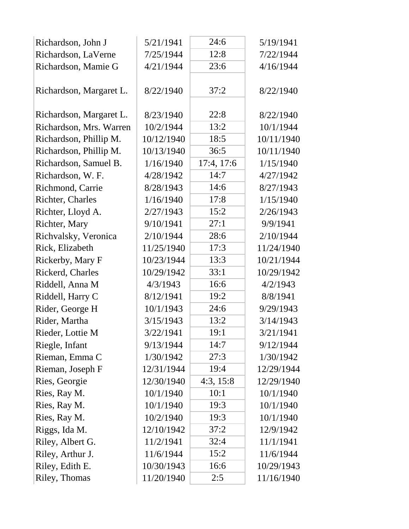| Richardson, John J      | 5/21/1941  | 24:6       | 5/19/1941  |
|-------------------------|------------|------------|------------|
| Richardson, LaVerne     | 7/25/1944  | 12:8       | 7/22/1944  |
| Richardson, Mamie G     | 4/21/1944  | 23:6       | 4/16/1944  |
| Richardson, Margaret L. | 8/22/1940  | 37:2       | 8/22/1940  |
| Richardson, Margaret L. | 8/23/1940  | 22:8       | 8/22/1940  |
| Richardson, Mrs. Warren | 10/2/1944  | 13:2       | 10/1/1944  |
| Richardson, Phillip M.  | 10/12/1940 | 18:5       | 10/11/1940 |
| Richardson, Phillip M.  | 10/13/1940 | 36:5       | 10/11/1940 |
| Richardson, Samuel B.   | 1/16/1940  | 17:4, 17:6 | 1/15/1940  |
| Richardson, W. F.       | 4/28/1942  | 14:7       | 4/27/1942  |
| Richmond, Carrie        | 8/28/1943  | 14:6       | 8/27/1943  |
| Richter, Charles        | 1/16/1940  | 17:8       | 1/15/1940  |
| Richter, Lloyd A.       | 2/27/1943  | 15:2       | 2/26/1943  |
| Richter, Mary           | 9/10/1941  | 27:1       | 9/9/1941   |
| Richvalsky, Veronica    | 2/10/1944  | 28:6       | 2/10/1944  |
| Rick, Elizabeth         | 11/25/1940 | 17:3       | 11/24/1940 |
| Rickerby, Mary F        | 10/23/1944 | 13:3       | 10/21/1944 |
| Rickerd, Charles        | 10/29/1942 | 33:1       | 10/29/1942 |
| Riddell, Anna M         | 4/3/1943   | 16:6       | 4/2/1943   |
| Riddell, Harry C        | 8/12/1941  | 19:2       | 8/8/1941   |
| Rider, George H         | 10/1/1943  | 24:6       | 9/29/1943  |
| Rider, Martha           | 3/15/1943  | 13:2       | 3/14/1943  |
| Rieder, Lottie M        | 3/22/1941  | 19:1       | 3/21/1941  |
| Riegle, Infant          | 9/13/1944  | 14:7       | 9/12/1944  |
| Rieman, Emma C          | 1/30/1942  | 27:3       | 1/30/1942  |
| Rieman, Joseph F        | 12/31/1944 | 19:4       | 12/29/1944 |
| Ries, Georgie           | 12/30/1940 | 4:3, 15:8  | 12/29/1940 |
| Ries, Ray M.            | 10/1/1940  | 10:1       | 10/1/1940  |
| Ries, Ray M.            | 10/1/1940  | 19:3       | 10/1/1940  |
| Ries, Ray M.            | 10/2/1940  | 19:3       | 10/1/1940  |
| Riggs, Ida M.           | 12/10/1942 | 37:2       | 12/9/1942  |
| Riley, Albert G.        | 11/2/1941  | 32:4       | 11/1/1941  |
| Riley, Arthur J.        | 11/6/1944  | 15:2       | 11/6/1944  |
| Riley, Edith E.         | 10/30/1943 | 16:6       | 10/29/1943 |
| Riley, Thomas           | 11/20/1940 | 2:5        | 11/16/1940 |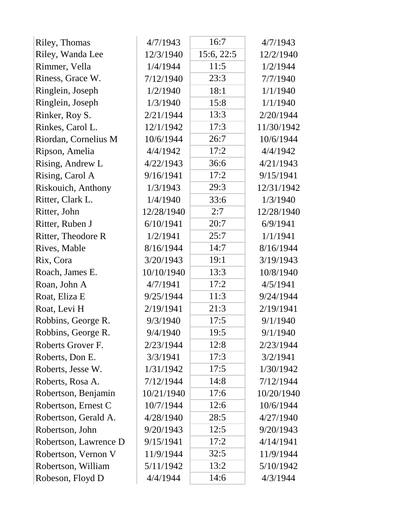| Riley, Thomas         | 4/7/1943   | 16:7       | 4/7/1943   |
|-----------------------|------------|------------|------------|
| Riley, Wanda Lee      | 12/3/1940  | 15:6, 22:5 | 12/2/1940  |
| Rimmer, Vella         | 1/4/1944   | 11:5       | 1/2/1944   |
| Riness, Grace W.      | 7/12/1940  | 23:3       | 7/7/1940   |
| Ringlein, Joseph      | 1/2/1940   | 18:1       | 1/1/1940   |
| Ringlein, Joseph      | 1/3/1940   | 15:8       | 1/1/1940   |
| Rinker, Roy S.        | 2/21/1944  | 13:3       | 2/20/1944  |
| Rinkes, Carol L.      | 12/1/1942  | 17:3       | 11/30/1942 |
| Riordan, Cornelius M  | 10/6/1944  | 26:7       | 10/6/1944  |
| Ripson, Amelia        | 4/4/1942   | 17:2       | 4/4/1942   |
| Rising, Andrew L      | 4/22/1943  | 36:6       | 4/21/1943  |
| Rising, Carol A       | 9/16/1941  | 17:2       | 9/15/1941  |
| Riskouich, Anthony    | 1/3/1943   | 29:3       | 12/31/1942 |
| Ritter, Clark L.      | 1/4/1940   | 33:6       | 1/3/1940   |
| Ritter, John          | 12/28/1940 | 2:7        | 12/28/1940 |
| Ritter, Ruben J       | 6/10/1941  | 20:7       | 6/9/1941   |
| Ritter, Theodore R    | 1/2/1941   | 25:7       | 1/1/1941   |
| Rives, Mable          | 8/16/1944  | 14:7       | 8/16/1944  |
| Rix, Cora             | 3/20/1943  | 19:1       | 3/19/1943  |
| Roach, James E.       | 10/10/1940 | 13:3       | 10/8/1940  |
| Roan, John A          | 4/7/1941   | 17:2       | 4/5/1941   |
| Roat, Eliza E         | 9/25/1944  | 11:3       | 9/24/1944  |
| Roat, Levi H          | 2/19/1941  | 21:3       | 2/19/1941  |
| Robbins, George R.    | 9/3/1940   | 17:5       | 9/1/1940   |
| Robbins, George R.    | 9/4/1940   | 19:5       | 9/1/1940   |
| Roberts Grover F.     | 2/23/1944  | 12:8       | 2/23/1944  |
| Roberts, Don E.       | 3/3/1941   | 17:3       | 3/2/1941   |
| Roberts, Jesse W.     | 1/31/1942  | 17:5       | 1/30/1942  |
| Roberts, Rosa A.      | 7/12/1944  | 14:8       | 7/12/1944  |
| Robertson, Benjamin   | 10/21/1940 | 17:6       | 10/20/1940 |
| Robertson, Ernest C   | 10/7/1944  | 12:6       | 10/6/1944  |
| Robertson, Gerald A.  | 4/28/1940  | 28:5       | 4/27/1940  |
| Robertson, John       | 9/20/1943  | 12:5       | 9/20/1943  |
| Robertson, Lawrence D | 9/15/1941  | 17:2       | 4/14/1941  |
| Robertson, Vernon V   | 11/9/1944  | 32:5       | 11/9/1944  |
| Robertson, William    | 5/11/1942  | 13:2       | 5/10/1942  |
| Robeson, Floyd D      | 4/4/1944   | 14:6       | 4/3/1944   |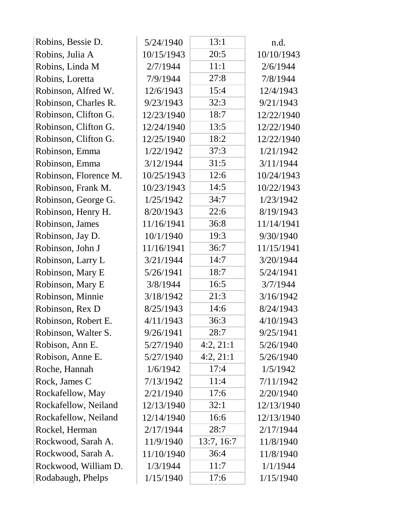| Robins, Bessie D.     | 5/24/1940  | 13:1       | n.d.       |
|-----------------------|------------|------------|------------|
| Robins, Julia A       | 10/15/1943 | 20:5       | 10/10/1943 |
| Robins, Linda M       | 2/7/1944   | 11:1       | 2/6/1944   |
| Robins, Loretta       | 7/9/1944   | 27:8       | 7/8/1944   |
| Robinson, Alfred W.   | 12/6/1943  | 15:4       | 12/4/1943  |
| Robinson, Charles R.  | 9/23/1943  | 32:3       | 9/21/1943  |
| Robinson, Clifton G.  | 12/23/1940 | 18:7       | 12/22/1940 |
| Robinson, Clifton G.  | 12/24/1940 | 13:5       | 12/22/1940 |
| Robinson, Clifton G.  | 12/25/1940 | 18:2       | 12/22/1940 |
| Robinson, Emma        | 1/22/1942  | 37:3       | 1/21/1942  |
| Robinson, Emma        | 3/12/1944  | 31:5       | 3/11/1944  |
| Robinson, Florence M. | 10/25/1943 | 12:6       | 10/24/1943 |
| Robinson, Frank M.    | 10/23/1943 | 14:5       | 10/22/1943 |
| Robinson, George G.   | 1/25/1942  | 34:7       | 1/23/1942  |
| Robinson, Henry H.    | 8/20/1943  | 22:6       | 8/19/1943  |
| Robinson, James       | 11/16/1941 | 36:8       | 11/14/1941 |
| Robinson, Jay D.      | 10/1/1940  | 19:3       | 9/30/1940  |
| Robinson, John J      | 11/16/1941 | 36:7       | 11/15/1941 |
| Robinson, Larry L     | 3/21/1944  | 14:7       | 3/20/1944  |
| Robinson, Mary E      | 5/26/1941  | 18:7       | 5/24/1941  |
| Robinson, Mary E      | 3/8/1944   | 16:5       | 3/7/1944   |
| Robinson, Minnie      | 3/18/1942  | 21:3       | 3/16/1942  |
| Robinson, Rex D       | 8/25/1943  | 14:6       | 8/24/1943  |
| Robinson, Robert E.   | 4/11/1943  | 36:3       | 4/10/1943  |
| Robinson, Walter S.   | 9/26/1941  | 28:7       | 9/25/1941  |
| Robison, Ann E.       | 5/27/1940  | 4:2, 21:1  | 5/26/1940  |
| Robison, Anne E.      | 5/27/1940  | 4:2,21:1   | 5/26/1940  |
| Roche, Hannah         | 1/6/1942   | 17:4       | 1/5/1942   |
| Rock, James C         | 7/13/1942  | 11:4       | 7/11/1942  |
| Rockafellow, May      | 2/21/1940  | 17:6       | 2/20/1940  |
| Rockafellow, Neiland  | 12/13/1940 | 32:1       | 12/13/1940 |
| Rockafellow, Neiland  | 12/14/1940 | 16:6       | 12/13/1940 |
| Rockel, Herman        | 2/17/1944  | 28:7       | 2/17/1944  |
| Rockwood, Sarah A.    | 11/9/1940  | 13:7, 16:7 | 11/8/1940  |
| Rockwood, Sarah A.    | 11/10/1940 | 36:4       | 11/8/1940  |
| Rockwood, William D.  | 1/3/1944   | 11:7       | 1/1/1944   |
| Rodabaugh, Phelps     | 1/15/1940  | 17:6       | 1/15/1940  |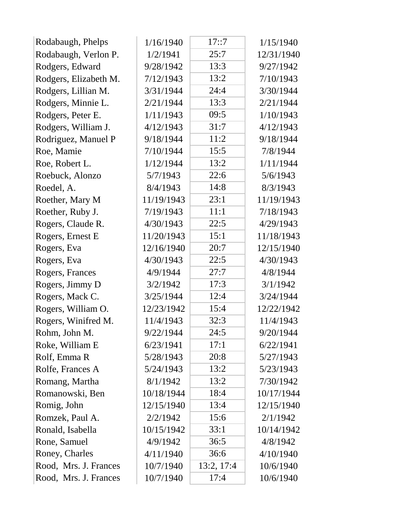| Rodabaugh, Phelps     | 1/16/1940  | 17::7      | 1/15/1940  |
|-----------------------|------------|------------|------------|
| Rodabaugh, Verlon P.  | 1/2/1941   | 25:7       | 12/31/1940 |
| Rodgers, Edward       | 9/28/1942  | 13:3       | 9/27/1942  |
| Rodgers, Elizabeth M. | 7/12/1943  | 13:2       | 7/10/1943  |
| Rodgers, Lillian M.   | 3/31/1944  | 24:4       | 3/30/1944  |
| Rodgers, Minnie L.    | 2/21/1944  | 13:3       | 2/21/1944  |
| Rodgers, Peter E.     | 1/11/1943  | 09:5       | 1/10/1943  |
| Rodgers, William J.   | 4/12/1943  | 31:7       | 4/12/1943  |
| Rodriguez, Manuel P   | 9/18/1944  | 11:2       | 9/18/1944  |
| Roe, Mamie            | 7/10/1944  | 15:5       | 7/8/1944   |
| Roe, Robert L.        | 1/12/1944  | 13:2       | 1/11/1944  |
| Roebuck, Alonzo       | 5/7/1943   | 22:6       | 5/6/1943   |
| Roedel, A.            | 8/4/1943   | 14:8       | 8/3/1943   |
| Roether, Mary M       | 11/19/1943 | 23:1       | 11/19/1943 |
| Roether, Ruby J.      | 7/19/1943  | 11:1       | 7/18/1943  |
| Rogers, Claude R.     | 4/30/1943  | 22:5       | 4/29/1943  |
| Rogers, Ernest E      | 11/20/1943 | 15:1       | 11/18/1943 |
| Rogers, Eva           | 12/16/1940 | 20:7       | 12/15/1940 |
| Rogers, Eva           | 4/30/1943  | 22:5       | 4/30/1943  |
| Rogers, Frances       | 4/9/1944   | 27:7       | 4/8/1944   |
| Rogers, Jimmy D       | 3/2/1942   | 17:3       | 3/1/1942   |
| Rogers, Mack C.       | 3/25/1944  | 12:4       | 3/24/1944  |
| Rogers, William O.    | 12/23/1942 | 15:4       | 12/22/1942 |
| Rogers, Winifred M.   | 11/4/1943  | 32:3       | 11/4/1943  |
| Rohm, John M.         | 9/22/1944  | 24:5       | 9/20/1944  |
| Roke, William E       | 6/23/1941  | 17:1       | 6/22/1941  |
| Rolf, Emma R          | 5/28/1943  | 20:8       | 5/27/1943  |
| Rolfe, Frances A      | 5/24/1943  | 13:2       | 5/23/1943  |
| Romang, Martha        | 8/1/1942   | 13:2       | 7/30/1942  |
| Romanowski, Ben       | 10/18/1944 | 18:4       | 10/17/1944 |
| Romig, John           | 12/15/1940 | 13:4       | 12/15/1940 |
| Romzek, Paul A.       | 2/2/1942   | 15:6       | 2/1/1942   |
| Ronald, Isabella      | 10/15/1942 | 33:1       | 10/14/1942 |
| Rone, Samuel          | 4/9/1942   | 36:5       | 4/8/1942   |
| Roney, Charles        | 4/11/1940  | 36:6       | 4/10/1940  |
| Rood, Mrs. J. Frances | 10/7/1940  | 13:2, 17:4 | 10/6/1940  |
| Rood, Mrs. J. Frances | 10/7/1940  | 17:4       | 10/6/1940  |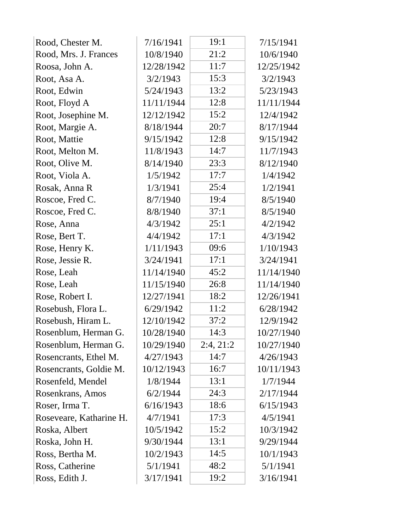| Rood, Chester M.        | 7/16/1941  | 19:1      | 7/15/1941  |
|-------------------------|------------|-----------|------------|
| Rood, Mrs. J. Frances   | 10/8/1940  | 21:2      | 10/6/1940  |
| Roosa, John A.          | 12/28/1942 | 11:7      | 12/25/1942 |
| Root, Asa A.            | 3/2/1943   | 15:3      | 3/2/1943   |
| Root, Edwin             | 5/24/1943  | 13:2      | 5/23/1943  |
| Root, Floyd A           | 11/11/1944 | 12:8      | 11/11/1944 |
| Root, Josephine M.      | 12/12/1942 | 15:2      | 12/4/1942  |
| Root, Margie A.         | 8/18/1944  | 20:7      | 8/17/1944  |
| Root, Mattie            | 9/15/1942  | 12:8      | 9/15/1942  |
| Root, Melton M.         | 11/8/1943  | 14:7      | 11/7/1943  |
| Root, Olive M.          | 8/14/1940  | 23:3      | 8/12/1940  |
| Root, Viola A.          | 1/5/1942   | 17:7      | 1/4/1942   |
| Rosak, Anna R           | 1/3/1941   | 25:4      | 1/2/1941   |
| Roscoe, Fred C.         | 8/7/1940   | 19:4      | 8/5/1940   |
| Roscoe, Fred C.         | 8/8/1940   | 37:1      | 8/5/1940   |
| Rose, Anna              | 4/3/1942   | 25:1      | 4/2/1942   |
| Rose, Bert T.           | 4/4/1942   | 17:1      | 4/3/1942   |
| Rose, Henry K.          | 1/11/1943  | 09:6      | 1/10/1943  |
| Rose, Jessie R.         | 3/24/1941  | 17:1      | 3/24/1941  |
| Rose, Leah              | 11/14/1940 | 45:2      | 11/14/1940 |
| Rose, Leah              | 11/15/1940 | 26:8      | 11/14/1940 |
| Rose, Robert I.         | 12/27/1941 | 18:2      | 12/26/1941 |
| Rosebush, Flora L.      | 6/29/1942  | 11:2      | 6/28/1942  |
| Rosebush, Hiram L.      | 12/10/1942 | 37:2      | 12/9/1942  |
| Rosenblum, Herman G.    | 10/28/1940 | 14:3      | 10/27/1940 |
| Rosenblum, Herman G.    | 10/29/1940 | 2:4, 21:2 | 10/27/1940 |
| Rosencrants, Ethel M.   | 4/27/1943  | 14:7      | 4/26/1943  |
| Rosencrants, Goldie M.  | 10/12/1943 | 16:7      | 10/11/1943 |
| Rosenfeld, Mendel       | 1/8/1944   | 13:1      | 1/7/1944   |
| Rosenkrans, Amos        | 6/2/1944   | 24:3      | 2/17/1944  |
| Roser, Irma T.          | 6/16/1943  | 18:6      | 6/15/1943  |
| Roseveare, Katharine H. | 4/7/1941   | 17:3      | 4/5/1941   |
| Roska, Albert           | 10/5/1942  | 15:2      | 10/3/1942  |
| Roska, John H.          | 9/30/1944  | 13:1      | 9/29/1944  |
| Ross, Bertha M.         | 10/2/1943  | 14:5      | 10/1/1943  |
| Ross, Catherine         | 5/1/1941   | 48:2      | 5/1/1941   |
| Ross, Edith J.          | 3/17/1941  | 19:2      | 3/16/1941  |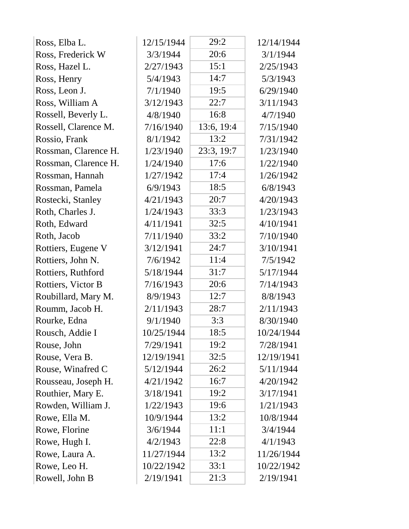| 20:6<br>3/3/1944<br>3/1/1944<br>Ross, Frederick W<br>Ross, Hazel L.<br>2/27/1943<br>15:1<br>2/25/1943<br>14:7<br>5/4/1943<br>5/3/1943<br>Ross, Henry<br>Ross, Leon J.<br>19:5<br>7/1/1940<br>6/29/1940<br>22:7<br>Ross, William A<br>3/11/1943<br>3/12/1943<br>16:8<br>Rossell, Beverly L.<br>4/8/1940<br>4/7/1940<br>13:6, 19:4<br>Rossell, Clarence M.<br>7/16/1940<br>7/15/1940<br>13:2<br>Rossio, Frank<br>8/1/1942<br>7/31/1942<br>23:3, 19:7<br>Rossman, Clarence H.<br>1/23/1940<br>1/23/1940<br>Rossman, Clarence H.<br>17:6<br>1/22/1940<br>1/24/1940<br>17:4<br>1/26/1942<br>Rossman, Hannah<br>1/27/1942<br>18:5<br>Rossman, Pamela<br>6/9/1943<br>6/8/1943<br>20:7<br>4/20/1943<br>Rostecki, Stanley<br>4/21/1943<br>33:3<br>1/23/1943<br>Roth, Charles J.<br>1/24/1943<br>32:5<br>4/11/1941<br>4/10/1941<br>Roth, Edward<br>Roth, Jacob<br>33:2<br>7/11/1940<br>7/10/1940<br>24:7<br>Rottiers, Eugene V<br>3/12/1941<br>3/10/1941<br>11:4<br>Rottiers, John N.<br>7/6/1942<br>7/5/1942<br>31:7<br>5/17/1944<br>Rottiers, Ruthford<br>5/18/1944<br>7/16/1943<br>20:6<br>Rottiers, Victor B<br>7/14/1943<br>8/9/1943<br>12:7<br>8/8/1943<br>Roubillard, Mary M.<br>28:7<br>Roumm, Jacob H.<br>2/11/1943<br>2/11/1943<br>Rourke, Edna<br>9/1/1940<br>3:3<br>8/30/1940<br>18:5<br>10/25/1944<br>10/24/1944<br>Rousch, Addie I<br>19:2<br>7/29/1941<br>7/28/1941<br>Rouse, John<br>Rouse, Vera B.<br>12/19/1941<br>32:5<br>12/19/1941<br>Rouse, Winafred C<br>5/12/1944<br>26:2<br>5/11/1944<br>16:7<br>Rousseau, Joseph H.<br>4/21/1942<br>4/20/1942<br>Routhier, Mary E.<br>19:2<br>3/18/1941<br>3/17/1941<br>19:6<br>Rowden, William J.<br>1/22/1943<br>1/21/1943<br>13:2<br>Rowe, Ella M.<br>10/9/1944<br>10/8/1944<br>Rowe, Florine<br>3/6/1944<br>11:1<br>3/4/1944<br>22:8<br>4/2/1943<br>Rowe, Hugh I.<br>4/1/1943<br>13:2<br>Rowe, Laura A.<br>11/27/1944<br>11/26/1944<br>10/22/1942<br>33:1<br>10/22/1942<br>Rowe, Leo H.<br>Rowell, John B<br>2/19/1941<br>21:3<br>2/19/1941 | Ross, Elba L. | 12/15/1944 | 29:2 | 12/14/1944 |
|-------------------------------------------------------------------------------------------------------------------------------------------------------------------------------------------------------------------------------------------------------------------------------------------------------------------------------------------------------------------------------------------------------------------------------------------------------------------------------------------------------------------------------------------------------------------------------------------------------------------------------------------------------------------------------------------------------------------------------------------------------------------------------------------------------------------------------------------------------------------------------------------------------------------------------------------------------------------------------------------------------------------------------------------------------------------------------------------------------------------------------------------------------------------------------------------------------------------------------------------------------------------------------------------------------------------------------------------------------------------------------------------------------------------------------------------------------------------------------------------------------------------------------------------------------------------------------------------------------------------------------------------------------------------------------------------------------------------------------------------------------------------------------------------------------------------------------------------------------------------------------------------------------------------------------------------------------------------------------------------------|---------------|------------|------|------------|
|                                                                                                                                                                                                                                                                                                                                                                                                                                                                                                                                                                                                                                                                                                                                                                                                                                                                                                                                                                                                                                                                                                                                                                                                                                                                                                                                                                                                                                                                                                                                                                                                                                                                                                                                                                                                                                                                                                                                                                                                 |               |            |      |            |
|                                                                                                                                                                                                                                                                                                                                                                                                                                                                                                                                                                                                                                                                                                                                                                                                                                                                                                                                                                                                                                                                                                                                                                                                                                                                                                                                                                                                                                                                                                                                                                                                                                                                                                                                                                                                                                                                                                                                                                                                 |               |            |      |            |
|                                                                                                                                                                                                                                                                                                                                                                                                                                                                                                                                                                                                                                                                                                                                                                                                                                                                                                                                                                                                                                                                                                                                                                                                                                                                                                                                                                                                                                                                                                                                                                                                                                                                                                                                                                                                                                                                                                                                                                                                 |               |            |      |            |
|                                                                                                                                                                                                                                                                                                                                                                                                                                                                                                                                                                                                                                                                                                                                                                                                                                                                                                                                                                                                                                                                                                                                                                                                                                                                                                                                                                                                                                                                                                                                                                                                                                                                                                                                                                                                                                                                                                                                                                                                 |               |            |      |            |
|                                                                                                                                                                                                                                                                                                                                                                                                                                                                                                                                                                                                                                                                                                                                                                                                                                                                                                                                                                                                                                                                                                                                                                                                                                                                                                                                                                                                                                                                                                                                                                                                                                                                                                                                                                                                                                                                                                                                                                                                 |               |            |      |            |
|                                                                                                                                                                                                                                                                                                                                                                                                                                                                                                                                                                                                                                                                                                                                                                                                                                                                                                                                                                                                                                                                                                                                                                                                                                                                                                                                                                                                                                                                                                                                                                                                                                                                                                                                                                                                                                                                                                                                                                                                 |               |            |      |            |
|                                                                                                                                                                                                                                                                                                                                                                                                                                                                                                                                                                                                                                                                                                                                                                                                                                                                                                                                                                                                                                                                                                                                                                                                                                                                                                                                                                                                                                                                                                                                                                                                                                                                                                                                                                                                                                                                                                                                                                                                 |               |            |      |            |
|                                                                                                                                                                                                                                                                                                                                                                                                                                                                                                                                                                                                                                                                                                                                                                                                                                                                                                                                                                                                                                                                                                                                                                                                                                                                                                                                                                                                                                                                                                                                                                                                                                                                                                                                                                                                                                                                                                                                                                                                 |               |            |      |            |
|                                                                                                                                                                                                                                                                                                                                                                                                                                                                                                                                                                                                                                                                                                                                                                                                                                                                                                                                                                                                                                                                                                                                                                                                                                                                                                                                                                                                                                                                                                                                                                                                                                                                                                                                                                                                                                                                                                                                                                                                 |               |            |      |            |
|                                                                                                                                                                                                                                                                                                                                                                                                                                                                                                                                                                                                                                                                                                                                                                                                                                                                                                                                                                                                                                                                                                                                                                                                                                                                                                                                                                                                                                                                                                                                                                                                                                                                                                                                                                                                                                                                                                                                                                                                 |               |            |      |            |
|                                                                                                                                                                                                                                                                                                                                                                                                                                                                                                                                                                                                                                                                                                                                                                                                                                                                                                                                                                                                                                                                                                                                                                                                                                                                                                                                                                                                                                                                                                                                                                                                                                                                                                                                                                                                                                                                                                                                                                                                 |               |            |      |            |
|                                                                                                                                                                                                                                                                                                                                                                                                                                                                                                                                                                                                                                                                                                                                                                                                                                                                                                                                                                                                                                                                                                                                                                                                                                                                                                                                                                                                                                                                                                                                                                                                                                                                                                                                                                                                                                                                                                                                                                                                 |               |            |      |            |
|                                                                                                                                                                                                                                                                                                                                                                                                                                                                                                                                                                                                                                                                                                                                                                                                                                                                                                                                                                                                                                                                                                                                                                                                                                                                                                                                                                                                                                                                                                                                                                                                                                                                                                                                                                                                                                                                                                                                                                                                 |               |            |      |            |
|                                                                                                                                                                                                                                                                                                                                                                                                                                                                                                                                                                                                                                                                                                                                                                                                                                                                                                                                                                                                                                                                                                                                                                                                                                                                                                                                                                                                                                                                                                                                                                                                                                                                                                                                                                                                                                                                                                                                                                                                 |               |            |      |            |
|                                                                                                                                                                                                                                                                                                                                                                                                                                                                                                                                                                                                                                                                                                                                                                                                                                                                                                                                                                                                                                                                                                                                                                                                                                                                                                                                                                                                                                                                                                                                                                                                                                                                                                                                                                                                                                                                                                                                                                                                 |               |            |      |            |
|                                                                                                                                                                                                                                                                                                                                                                                                                                                                                                                                                                                                                                                                                                                                                                                                                                                                                                                                                                                                                                                                                                                                                                                                                                                                                                                                                                                                                                                                                                                                                                                                                                                                                                                                                                                                                                                                                                                                                                                                 |               |            |      |            |
|                                                                                                                                                                                                                                                                                                                                                                                                                                                                                                                                                                                                                                                                                                                                                                                                                                                                                                                                                                                                                                                                                                                                                                                                                                                                                                                                                                                                                                                                                                                                                                                                                                                                                                                                                                                                                                                                                                                                                                                                 |               |            |      |            |
|                                                                                                                                                                                                                                                                                                                                                                                                                                                                                                                                                                                                                                                                                                                                                                                                                                                                                                                                                                                                                                                                                                                                                                                                                                                                                                                                                                                                                                                                                                                                                                                                                                                                                                                                                                                                                                                                                                                                                                                                 |               |            |      |            |
|                                                                                                                                                                                                                                                                                                                                                                                                                                                                                                                                                                                                                                                                                                                                                                                                                                                                                                                                                                                                                                                                                                                                                                                                                                                                                                                                                                                                                                                                                                                                                                                                                                                                                                                                                                                                                                                                                                                                                                                                 |               |            |      |            |
|                                                                                                                                                                                                                                                                                                                                                                                                                                                                                                                                                                                                                                                                                                                                                                                                                                                                                                                                                                                                                                                                                                                                                                                                                                                                                                                                                                                                                                                                                                                                                                                                                                                                                                                                                                                                                                                                                                                                                                                                 |               |            |      |            |
|                                                                                                                                                                                                                                                                                                                                                                                                                                                                                                                                                                                                                                                                                                                                                                                                                                                                                                                                                                                                                                                                                                                                                                                                                                                                                                                                                                                                                                                                                                                                                                                                                                                                                                                                                                                                                                                                                                                                                                                                 |               |            |      |            |
|                                                                                                                                                                                                                                                                                                                                                                                                                                                                                                                                                                                                                                                                                                                                                                                                                                                                                                                                                                                                                                                                                                                                                                                                                                                                                                                                                                                                                                                                                                                                                                                                                                                                                                                                                                                                                                                                                                                                                                                                 |               |            |      |            |
|                                                                                                                                                                                                                                                                                                                                                                                                                                                                                                                                                                                                                                                                                                                                                                                                                                                                                                                                                                                                                                                                                                                                                                                                                                                                                                                                                                                                                                                                                                                                                                                                                                                                                                                                                                                                                                                                                                                                                                                                 |               |            |      |            |
|                                                                                                                                                                                                                                                                                                                                                                                                                                                                                                                                                                                                                                                                                                                                                                                                                                                                                                                                                                                                                                                                                                                                                                                                                                                                                                                                                                                                                                                                                                                                                                                                                                                                                                                                                                                                                                                                                                                                                                                                 |               |            |      |            |
|                                                                                                                                                                                                                                                                                                                                                                                                                                                                                                                                                                                                                                                                                                                                                                                                                                                                                                                                                                                                                                                                                                                                                                                                                                                                                                                                                                                                                                                                                                                                                                                                                                                                                                                                                                                                                                                                                                                                                                                                 |               |            |      |            |
|                                                                                                                                                                                                                                                                                                                                                                                                                                                                                                                                                                                                                                                                                                                                                                                                                                                                                                                                                                                                                                                                                                                                                                                                                                                                                                                                                                                                                                                                                                                                                                                                                                                                                                                                                                                                                                                                                                                                                                                                 |               |            |      |            |
|                                                                                                                                                                                                                                                                                                                                                                                                                                                                                                                                                                                                                                                                                                                                                                                                                                                                                                                                                                                                                                                                                                                                                                                                                                                                                                                                                                                                                                                                                                                                                                                                                                                                                                                                                                                                                                                                                                                                                                                                 |               |            |      |            |
|                                                                                                                                                                                                                                                                                                                                                                                                                                                                                                                                                                                                                                                                                                                                                                                                                                                                                                                                                                                                                                                                                                                                                                                                                                                                                                                                                                                                                                                                                                                                                                                                                                                                                                                                                                                                                                                                                                                                                                                                 |               |            |      |            |
|                                                                                                                                                                                                                                                                                                                                                                                                                                                                                                                                                                                                                                                                                                                                                                                                                                                                                                                                                                                                                                                                                                                                                                                                                                                                                                                                                                                                                                                                                                                                                                                                                                                                                                                                                                                                                                                                                                                                                                                                 |               |            |      |            |
|                                                                                                                                                                                                                                                                                                                                                                                                                                                                                                                                                                                                                                                                                                                                                                                                                                                                                                                                                                                                                                                                                                                                                                                                                                                                                                                                                                                                                                                                                                                                                                                                                                                                                                                                                                                                                                                                                                                                                                                                 |               |            |      |            |
|                                                                                                                                                                                                                                                                                                                                                                                                                                                                                                                                                                                                                                                                                                                                                                                                                                                                                                                                                                                                                                                                                                                                                                                                                                                                                                                                                                                                                                                                                                                                                                                                                                                                                                                                                                                                                                                                                                                                                                                                 |               |            |      |            |
|                                                                                                                                                                                                                                                                                                                                                                                                                                                                                                                                                                                                                                                                                                                                                                                                                                                                                                                                                                                                                                                                                                                                                                                                                                                                                                                                                                                                                                                                                                                                                                                                                                                                                                                                                                                                                                                                                                                                                                                                 |               |            |      |            |
|                                                                                                                                                                                                                                                                                                                                                                                                                                                                                                                                                                                                                                                                                                                                                                                                                                                                                                                                                                                                                                                                                                                                                                                                                                                                                                                                                                                                                                                                                                                                                                                                                                                                                                                                                                                                                                                                                                                                                                                                 |               |            |      |            |
|                                                                                                                                                                                                                                                                                                                                                                                                                                                                                                                                                                                                                                                                                                                                                                                                                                                                                                                                                                                                                                                                                                                                                                                                                                                                                                                                                                                                                                                                                                                                                                                                                                                                                                                                                                                                                                                                                                                                                                                                 |               |            |      |            |
|                                                                                                                                                                                                                                                                                                                                                                                                                                                                                                                                                                                                                                                                                                                                                                                                                                                                                                                                                                                                                                                                                                                                                                                                                                                                                                                                                                                                                                                                                                                                                                                                                                                                                                                                                                                                                                                                                                                                                                                                 |               |            |      |            |
|                                                                                                                                                                                                                                                                                                                                                                                                                                                                                                                                                                                                                                                                                                                                                                                                                                                                                                                                                                                                                                                                                                                                                                                                                                                                                                                                                                                                                                                                                                                                                                                                                                                                                                                                                                                                                                                                                                                                                                                                 |               |            |      |            |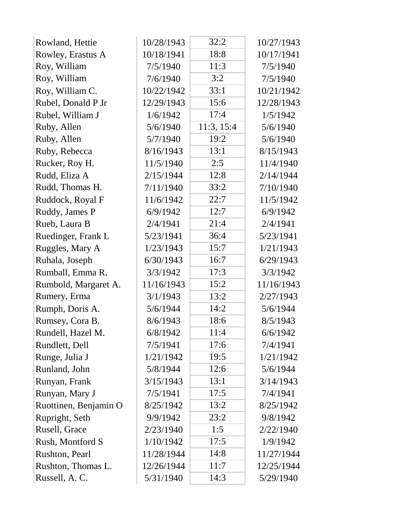| Rowland, Hettie       | 10/28/1943 | 32:2       | 10/27/1943 |
|-----------------------|------------|------------|------------|
| Rowley, Erastus A     | 10/18/1941 | 18:8       | 10/17/1941 |
| Roy, William          | 7/5/1940   | 11:3       | 7/5/1940   |
| Roy, William          | 7/6/1940   | 3:2        | 7/5/1940   |
| Roy, William C.       | 10/22/1942 | 33:1       | 10/21/1942 |
| Rubel, Donald P Jr    | 12/29/1943 | 15:6       | 12/28/1943 |
| Rubel, William J      | 1/6/1942   | 17:4       | 1/5/1942   |
| Ruby, Allen           | 5/6/1940   | 11:3, 15:4 | 5/6/1940   |
| Ruby, Allen           | 5/7/1940   | 19:2       | 5/6/1940   |
| Ruby, Rebecca         | 8/16/1943  | 13:1       | 8/15/1943  |
| Rucker, Roy H.        | 11/5/1940  | 2:5        | 11/4/1940  |
| Rudd, Eliza A         | 2/15/1944  | 12:8       | 2/14/1944  |
| Rudd, Thomas H.       | 7/11/1940  | 33:2       | 7/10/1940  |
| Ruddock, Royal F      | 11/6/1942  | 22:7       | 11/5/1942  |
| Ruddy, James P        | 6/9/1942   | 12:7       | 6/9/1942   |
| Rueb, Laura B         | 2/4/1941   | 21:4       | 2/4/1941   |
| Ruedinger, Frank L    | 5/23/1941  | 36:4       | 5/23/1941  |
| Ruggles, Mary A       | 1/23/1943  | 15:7       | 1/21/1943  |
| Ruhala, Joseph        | 6/30/1943  | 16:7       | 6/29/1943  |
| Rumball, Emma R.      | 3/3/1942   | 17:3       | 3/3/1942   |
| Rumbold, Margaret A.  | 11/16/1943 | 15:2       | 11/16/1943 |
| Rumery, Erma          | 3/1/1943   | 13:2       | 2/27/1943  |
| Rumph, Doris A.       | 5/6/1944   | 14:2       | 5/6/1944   |
| Rumsey, Cora B.       | 8/6/1943   | 18:6       | 8/5/1943   |
| Rundell, Hazel M.     | 6/8/1942   | 11:4       | 6/6/1942   |
| Rundlett, Dell        | 7/5/1941   | 17:6       | 7/4/1941   |
| Runge, Julia J        | 1/21/1942  | 19:5       | 1/21/1942  |
| Runland, John         | 5/8/1944   | 12:6       | 5/6/1944   |
| Runyan, Frank         | 3/15/1943  | 13:1       | 3/14/1943  |
| Runyan, Mary J        | 7/5/1941   | 17:5       | 7/4/1941   |
| Ruottinen, Benjamin O | 8/25/1942  | 13:2       | 8/25/1942  |
| Rupright, Seth        | 9/9/1942   | 23:2       | 9/8/1942   |
| Rusell, Grace         | 2/23/1940  | 1:5        | 2/22/1940  |
| Rush, Montford S      | 1/10/1942  | 17:5       | 1/9/1942   |
| Rushton, Pearl        | 11/28/1944 | 14:8       | 11/27/1944 |
| Rushton, Thomas L.    | 12/26/1944 | 11:7       | 12/25/1944 |
| Russell, A.C.         | 5/31/1940  | 14:3       | 5/29/1940  |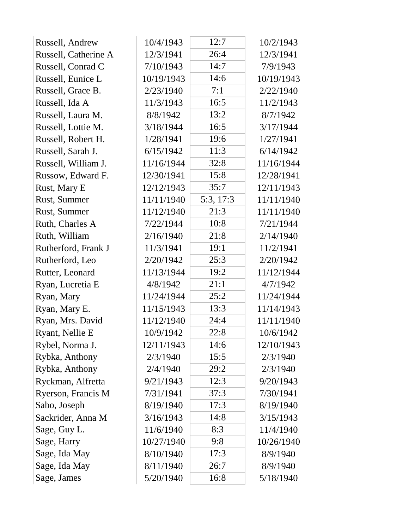| Russell, Andrew      | 10/4/1943  | 12:7      | 10/2/1943  |
|----------------------|------------|-----------|------------|
| Russell, Catherine A | 12/3/1941  | 26:4      | 12/3/1941  |
| Russell, Conrad C    | 7/10/1943  | 14:7      | 7/9/1943   |
| Russell, Eunice L    | 10/19/1943 | 14:6      | 10/19/1943 |
| Russell, Grace B.    | 2/23/1940  | 7:1       | 2/22/1940  |
| Russell, Ida A       | 11/3/1943  | 16:5      | 11/2/1943  |
| Russell, Laura M.    | 8/8/1942   | 13:2      | 8/7/1942   |
| Russell, Lottie M.   | 3/18/1944  | 16:5      | 3/17/1944  |
| Russell, Robert H.   | 1/28/1941  | 19:6      | 1/27/1941  |
| Russell, Sarah J.    | 6/15/1942  | 11:3      | 6/14/1942  |
| Russell, William J.  | 11/16/1944 | 32:8      | 11/16/1944 |
| Russow, Edward F.    | 12/30/1941 | 15:8      | 12/28/1941 |
| Rust, Mary E         | 12/12/1943 | 35:7      | 12/11/1943 |
| Rust, Summer         | 11/11/1940 | 5:3, 17:3 | 11/11/1940 |
| Rust, Summer         | 11/12/1940 | 21:3      | 11/11/1940 |
| Ruth, Charles A      | 7/22/1944  | 10:8      | 7/21/1944  |
| Ruth, William        | 2/16/1940  | 21:8      | 2/14/1940  |
| Rutherford, Frank J  | 11/3/1941  | 19:1      | 11/2/1941  |
| Rutherford, Leo      | 2/20/1942  | 25:3      | 2/20/1942  |
| Rutter, Leonard      | 11/13/1944 | 19:2      | 11/12/1944 |
| Ryan, Lucretia E     | 4/8/1942   | 21:1      | 4/7/1942   |
| Ryan, Mary           | 11/24/1944 | 25:2      | 11/24/1944 |
| Ryan, Mary E.        | 11/15/1943 | 13:3      | 11/14/1943 |
| Ryan, Mrs. David     | 11/12/1940 | 24:4      | 11/11/1940 |
| Ryant, Nellie E      | 10/9/1942  | 22:8      | 10/6/1942  |
| Rybel, Norma J.      | 12/11/1943 | 14:6      | 12/10/1943 |
| Rybka, Anthony       | 2/3/1940   | 15:5      | 2/3/1940   |
| Rybka, Anthony       | 2/4/1940   | 29:2      | 2/3/1940   |
| Ryckman, Alfretta    | 9/21/1943  | 12:3      | 9/20/1943  |
| Ryerson, Francis M   | 7/31/1941  | 37:3      | 7/30/1941  |
| Sabo, Joseph         | 8/19/1940  | 17:3      | 8/19/1940  |
| Sackrider, Anna M    | 3/16/1943  | 14:8      | 3/15/1943  |
| Sage, Guy L.         | 11/6/1940  | 8:3       | 11/4/1940  |
| Sage, Harry          | 10/27/1940 | 9:8       | 10/26/1940 |
| Sage, Ida May        | 8/10/1940  | 17:3      | 8/9/1940   |
| Sage, Ida May        | 8/11/1940  | 26:7      | 8/9/1940   |
| Sage, James          | 5/20/1940  | 16:8      | 5/18/1940  |
|                      |            |           |            |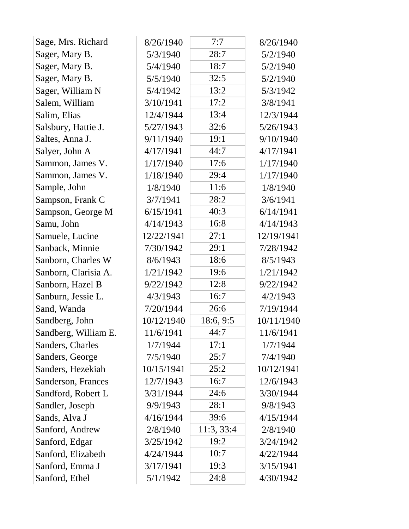| Sage, Mrs. Richard   | 8/26/1940  | 7:7        | 8/26/1940  |
|----------------------|------------|------------|------------|
| Sager, Mary B.       | 5/3/1940   | 28:7       | 5/2/1940   |
| Sager, Mary B.       | 5/4/1940   | 18:7       | 5/2/1940   |
| Sager, Mary B.       | 5/5/1940   | 32:5       | 5/2/1940   |
| Sager, William N     | 5/4/1942   | 13:2       | 5/3/1942   |
| Salem, William       | 3/10/1941  | 17:2       | 3/8/1941   |
| Salim, Elias         | 12/4/1944  | 13:4       | 12/3/1944  |
| Salsbury, Hattie J.  | 5/27/1943  | 32:6       | 5/26/1943  |
| Saltes, Anna J.      | 9/11/1940  | 19:1       | 9/10/1940  |
| Salyer, John A       | 4/17/1941  | 44:7       | 4/17/1941  |
| Sammon, James V.     | 1/17/1940  | 17:6       | 1/17/1940  |
| Sammon, James V.     | 1/18/1940  | 29:4       | 1/17/1940  |
| Sample, John         | 1/8/1940   | 11:6       | 1/8/1940   |
| Sampson, Frank C     | 3/7/1941   | 28:2       | 3/6/1941   |
| Sampson, George M    | 6/15/1941  | 40:3       | 6/14/1941  |
| Samu, John           | 4/14/1943  | 16:8       | 4/14/1943  |
| Samuele, Lucine      | 12/22/1941 | 27:1       | 12/19/1941 |
| Sanback, Minnie      | 7/30/1942  | 29:1       | 7/28/1942  |
| Sanborn, Charles W   | 8/6/1943   | 18:6       | 8/5/1943   |
| Sanborn, Clarisia A. | 1/21/1942  | 19:6       | 1/21/1942  |
| Sanborn, Hazel B     | 9/22/1942  | 12:8       | 9/22/1942  |
| Sanburn, Jessie L.   | 4/3/1943   | 16:7       | 4/2/1943   |
| Sand, Wanda          | 7/20/1944  | 26:6       | 7/19/1944  |
| Sandberg, John       | 10/12/1940 | 18:6, 9:5  | 10/11/1940 |
| Sandberg, William E. | 11/6/1941  | 44:7       | 11/6/1941  |
| Sanders, Charles     | 1/7/1944   | 17:1       | 1/7/1944   |
| Sanders, George      | 7/5/1940   | 25:7       | 7/4/1940   |
| Sanders, Hezekiah    | 10/15/1941 | 25:2       | 10/12/1941 |
| Sanderson, Frances   | 12/7/1943  | 16:7       | 12/6/1943  |
| Sandford, Robert L   | 3/31/1944  | 24:6       | 3/30/1944  |
| Sandler, Joseph      | 9/9/1943   | 28:1       | 9/8/1943   |
| Sands, Alva J        | 4/16/1944  | 39:6       | 4/15/1944  |
| Sanford, Andrew      | 2/8/1940   | 11:3, 33:4 | 2/8/1940   |
| Sanford, Edgar       | 3/25/1942  | 19:2       | 3/24/1942  |
| Sanford, Elizabeth   | 4/24/1944  | 10:7       | 4/22/1944  |
| Sanford, Emma J      | 3/17/1941  | 19:3       | 3/15/1941  |
| Sanford, Ethel       | 5/1/1942   | 24:8       | 4/30/1942  |
|                      |            |            |            |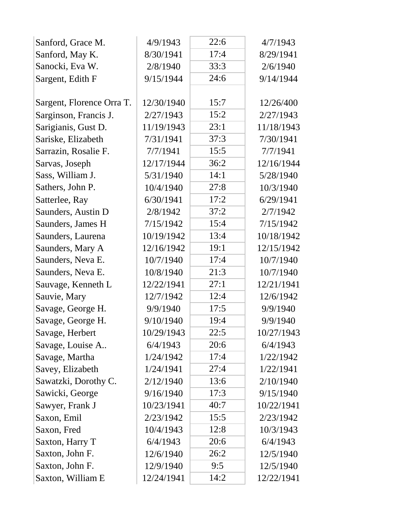| Sanford, Grace M.         | 4/9/1943   | 22:6 | 4/7/1943   |  |
|---------------------------|------------|------|------------|--|
| Sanford, May K.           | 8/30/1941  | 17:4 | 8/29/1941  |  |
| Sanocki, Eva W.           | 2/8/1940   | 33:3 | 2/6/1940   |  |
| Sargent, Edith F          | 9/15/1944  | 24:6 | 9/14/1944  |  |
|                           |            |      |            |  |
| Sargent, Florence Orra T. | 12/30/1940 | 15:7 | 12/26/400  |  |
| Sarginson, Francis J.     | 2/27/1943  | 15:2 | 2/27/1943  |  |
| Sarigianis, Gust D.       | 11/19/1943 | 23:1 | 11/18/1943 |  |
| Sariske, Elizabeth        | 7/31/1941  | 37:3 | 7/30/1941  |  |
| Sarrazin, Rosalie F.      | 7/7/1941   | 15:5 | 7/7/1941   |  |
| Sarvas, Joseph            | 12/17/1944 | 36:2 | 12/16/1944 |  |
| Sass, William J.          | 5/31/1940  | 14:1 | 5/28/1940  |  |
| Sathers, John P.          | 10/4/1940  | 27:8 | 10/3/1940  |  |
| Satterlee, Ray            | 6/30/1941  | 17:2 | 6/29/1941  |  |
| Saunders, Austin D        | 2/8/1942   | 37:2 | 2/7/1942   |  |
| Saunders, James H         | 7/15/1942  | 15:4 | 7/15/1942  |  |
| Saunders, Laurena         | 10/19/1942 | 13:4 | 10/18/1942 |  |
| Saunders, Mary A          | 12/16/1942 | 19:1 | 12/15/1942 |  |
| Saunders, Neva E.         | 10/7/1940  | 17:4 | 10/7/1940  |  |
| Saunders, Neva E.         | 10/8/1940  | 21:3 | 10/7/1940  |  |
| Sauvage, Kenneth L        | 12/22/1941 | 27:1 | 12/21/1941 |  |
| Sauvie, Mary              | 12/7/1942  | 12:4 | 12/6/1942  |  |
| Savage, George H.         | 9/9/1940   | 17:5 | 9/9/1940   |  |
| Savage, George H.         | 9/10/1940  | 19:4 | 9/9/1940   |  |
| Savage, Herbert           | 10/29/1943 | 22:5 | 10/27/1943 |  |
| Savage, Louise A          | 6/4/1943   | 20:6 | 6/4/1943   |  |
| Savage, Martha            | 1/24/1942  | 17:4 | 1/22/1942  |  |
| Savey, Elizabeth          | 1/24/1941  | 27:4 | 1/22/1941  |  |
| Sawatzki, Dorothy C.      | 2/12/1940  | 13:6 | 2/10/1940  |  |
| Sawicki, George           | 9/16/1940  | 17:3 | 9/15/1940  |  |
| Sawyer, Frank J           | 10/23/1941 | 40:7 | 10/22/1941 |  |
| Saxon, Emil               | 2/23/1942  | 15:5 | 2/23/1942  |  |
| Saxon, Fred               | 10/4/1943  | 12:8 | 10/3/1943  |  |
| Saxton, Harry T           | 6/4/1943   | 20:6 | 6/4/1943   |  |
| Saxton, John F.           | 12/6/1940  | 26:2 | 12/5/1940  |  |
| Saxton, John F.           | 12/9/1940  | 9:5  | 12/5/1940  |  |
| Saxton, William E         | 12/24/1941 | 14:2 | 12/22/1941 |  |
|                           |            |      |            |  |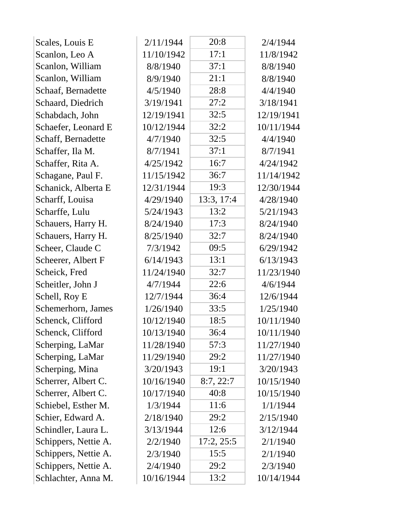| Scales, Louis E      | 2/11/1944  | 20:8       | 2/4/1944   |
|----------------------|------------|------------|------------|
| Scanlon, Leo A       | 11/10/1942 | 17:1       | 11/8/1942  |
| Scanlon, William     | 8/8/1940   | 37:1       | 8/8/1940   |
| Scanlon, William     | 8/9/1940   | 21:1       | 8/8/1940   |
| Schaaf, Bernadette   | 4/5/1940   | 28:8       | 4/4/1940   |
| Schaard, Diedrich    | 3/19/1941  | 27:2       | 3/18/1941  |
| Schabdach, John      | 12/19/1941 | 32:5       | 12/19/1941 |
| Schaefer, Leonard E  | 10/12/1944 | 32:2       | 10/11/1944 |
| Schaff, Bernadette   | 4/7/1940   | 32:5       | 4/4/1940   |
| Schaffer, Ila M.     | 8/7/1941   | 37:1       | 8/7/1941   |
| Schaffer, Rita A.    | 4/25/1942  | 16:7       | 4/24/1942  |
| Schagane, Paul F.    | 11/15/1942 | 36:7       | 11/14/1942 |
| Schanick, Alberta E  | 12/31/1944 | 19:3       | 12/30/1944 |
| Scharff, Louisa      | 4/29/1940  | 13:3, 17:4 | 4/28/1940  |
| Scharffe, Lulu       | 5/24/1943  | 13:2       | 5/21/1943  |
| Schauers, Harry H.   | 8/24/1940  | 17:3       | 8/24/1940  |
| Schauers, Harry H.   | 8/25/1940  | 32:7       | 8/24/1940  |
| Scheer, Claude C     | 7/3/1942   | 09:5       | 6/29/1942  |
| Scheerer, Albert F   | 6/14/1943  | 13:1       | 6/13/1943  |
| Scheick, Fred        | 11/24/1940 | 32:7       | 11/23/1940 |
| Scheitler, John J    | 4/7/1944   | 22:6       | 4/6/1944   |
| Schell, Roy E        | 12/7/1944  | 36:4       | 12/6/1944  |
| Schemerhorn, James   | 1/26/1940  | 33:5       | 1/25/1940  |
| Schenck, Clifford    | 10/12/1940 | 18:5       | 10/11/1940 |
| Schenck, Clifford    | 10/13/1940 | 36:4       | 10/11/1940 |
| Scherping, LaMar     | 11/28/1940 | 57:3       | 11/27/1940 |
| Scherping, LaMar     | 11/29/1940 | 29:2       | 11/27/1940 |
| Scherping, Mina      | 3/20/1943  | 19:1       | 3/20/1943  |
| Scherrer, Albert C.  | 10/16/1940 | 8:7,22:7   | 10/15/1940 |
| Scherrer, Albert C.  | 10/17/1940 | 40:8       | 10/15/1940 |
| Schiebel, Esther M.  | 1/3/1944   | 11:6       | 1/1/1944   |
| Schier, Edward A.    | 2/18/1940  | 29:2       | 2/15/1940  |
| Schindler, Laura L.  | 3/13/1944  | 12:6       | 3/12/1944  |
| Schippers, Nettie A. | 2/2/1940   | 17:2, 25:5 | 2/1/1940   |
| Schippers, Nettie A. | 2/3/1940   | 15:5       | 2/1/1940   |
| Schippers, Nettie A. | 2/4/1940   | 29:2       | 2/3/1940   |
| Schlachter, Anna M.  | 10/16/1944 | 13:2       | 10/14/1944 |
|                      |            |            |            |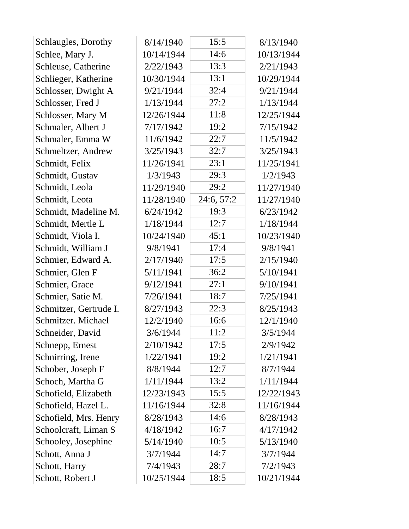| Schlaugles, Dorothy    | 8/14/1940  | 15:5       | 8/13/1940  |
|------------------------|------------|------------|------------|
| Schlee, Mary J.        | 10/14/1944 | 14:6       | 10/13/1944 |
| Schleuse, Catherine    | 2/22/1943  | 13:3       | 2/21/1943  |
| Schlieger, Katherine   | 10/30/1944 | 13:1       | 10/29/1944 |
| Schlosser, Dwight A    | 9/21/1944  | 32:4       | 9/21/1944  |
| Schlosser, Fred J      | 1/13/1944  | 27:2       | 1/13/1944  |
| Schlosser, Mary M      | 12/26/1944 | 11:8       | 12/25/1944 |
| Schmaler, Albert J     | 7/17/1942  | 19:2       | 7/15/1942  |
| Schmaler, Emma W       | 11/6/1942  | 22:7       | 11/5/1942  |
| Schmeltzer, Andrew     | 3/25/1943  | 32:7       | 3/25/1943  |
| Schmidt, Felix         | 11/26/1941 | 23:1       | 11/25/1941 |
| Schmidt, Gustav        | 1/3/1943   | 29:3       | 1/2/1943   |
| Schmidt, Leola         | 11/29/1940 | 29:2       | 11/27/1940 |
| Schmidt, Leota         | 11/28/1940 | 24:6, 57:2 | 11/27/1940 |
| Schmidt, Madeline M.   | 6/24/1942  | 19:3       | 6/23/1942  |
| Schmidt, Mertle L      | 1/18/1944  | 12:7       | 1/18/1944  |
| Schmidt, Viola I.      | 10/24/1940 | 45:1       | 10/23/1940 |
| Schmidt, William J     | 9/8/1941   | 17:4       | 9/8/1941   |
| Schmier, Edward A.     | 2/17/1940  | 17:5       | 2/15/1940  |
| Schmier, Glen F        | 5/11/1941  | 36:2       | 5/10/1941  |
| Schmier, Grace         | 9/12/1941  | 27:1       | 9/10/1941  |
| Schmier, Satie M.      | 7/26/1941  | 18:7       | 7/25/1941  |
| Schmitzer, Gertrude I. | 8/27/1943  | 22:3       | 8/25/1943  |
| Schmitzer. Michael     | 12/2/1940  | 16:6       | 12/1/1940  |
| Schneider, David       | 3/6/1944   | 11:2       | 3/5/1944   |
| Schnepp, Ernest        | 2/10/1942  | 17:5       | 2/9/1942   |
| Schnirring, Irene      | 1/22/1941  | 19:2       | 1/21/1941  |
| Schober, Joseph F      | 8/8/1944   | 12:7       | 8/7/1944   |
| Schoch, Martha G       | 1/11/1944  | 13:2       | 1/11/1944  |
| Schofield, Elizabeth   | 12/23/1943 | 15:5       | 12/22/1943 |
| Schofield, Hazel L.    | 11/16/1944 | 32:8       | 11/16/1944 |
| Schofield, Mrs. Henry  | 8/28/1943  | 14:6       | 8/28/1943  |
| Schoolcraft, Liman S   | 4/18/1942  | 16:7       | 4/17/1942  |
| Schooley, Josephine    | 5/14/1940  | 10:5       | 5/13/1940  |
| Schott, Anna J         | 3/7/1944   | 14:7       | 3/7/1944   |
| Schott, Harry          | 7/4/1943   | 28:7       | 7/2/1943   |
| Schott, Robert J       | 10/25/1944 | 18:5       | 10/21/1944 |
|                        |            |            |            |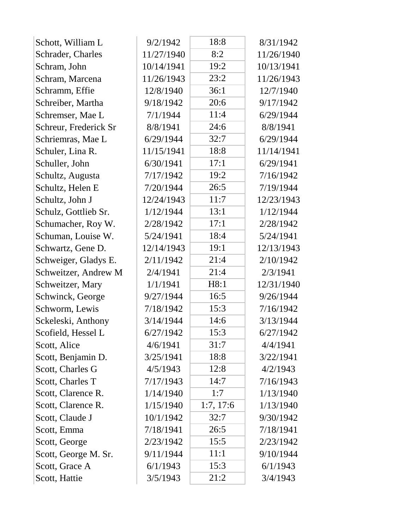| Schott, William L     | 9/2/1942   | 18:8      | 8/31/1942  |
|-----------------------|------------|-----------|------------|
| Schrader, Charles     | 11/27/1940 | 8:2       | 11/26/1940 |
| Schram, John          | 10/14/1941 | 19:2      | 10/13/1941 |
| Schram, Marcena       | 11/26/1943 | 23:2      | 11/26/1943 |
| Schramm, Effie        | 12/8/1940  | 36:1      | 12/7/1940  |
| Schreiber, Martha     | 9/18/1942  | 20:6      | 9/17/1942  |
| Schremser, Mae L      | 7/1/1944   | 11:4      | 6/29/1944  |
| Schreur, Frederick Sr | 8/8/1941   | 24:6      | 8/8/1941   |
| Schriemras, Mae L     | 6/29/1944  | 32:7      | 6/29/1944  |
| Schuler, Lina R.      | 11/15/1941 | 18:8      | 11/14/1941 |
| Schuller, John        | 6/30/1941  | 17:1      | 6/29/1941  |
| Schultz, Augusta      | 7/17/1942  | 19:2      | 7/16/1942  |
| Schultz, Helen E      | 7/20/1944  | 26:5      | 7/19/1944  |
| Schultz, John J       | 12/24/1943 | 11:7      | 12/23/1943 |
| Schulz, Gottlieb Sr.  | 1/12/1944  | 13:1      | 1/12/1944  |
| Schumacher, Roy W.    | 2/28/1942  | 17:1      | 2/28/1942  |
| Schuman, Louise W.    | 5/24/1941  | 18:4      | 5/24/1941  |
| Schwartz, Gene D.     | 12/14/1943 | 19:1      | 12/13/1943 |
| Schweiger, Gladys E.  | 2/11/1942  | 21:4      | 2/10/1942  |
| Schweitzer, Andrew M  | 2/4/1941   | 21:4      | 2/3/1941   |
| Schweitzer, Mary      | 1/1/1941   | H8:1      | 12/31/1940 |
| Schwinck, George      | 9/27/1944  | 16:5      | 9/26/1944  |
| Schworm, Lewis        | 7/18/1942  | 15:3      | 7/16/1942  |
| Sckeleski, Anthony    | 3/14/1944  | 14:6      | 3/13/1944  |
| Scofield, Hessel L    | 6/27/1942  | 15:3      | 6/27/1942  |
| Scott, Alice          | 4/6/1941   | 31:7      | 4/4/1941   |
| Scott, Benjamin D.    | 3/25/1941  | 18:8      | 3/22/1941  |
| Scott, Charles G      | 4/5/1943   | 12:8      | 4/2/1943   |
| Scott, Charles T      | 7/17/1943  | 14:7      | 7/16/1943  |
| Scott, Clarence R.    | 1/14/1940  | 1:7       | 1/13/1940  |
| Scott, Clarence R.    | 1/15/1940  | 1:7, 17:6 | 1/13/1940  |
| Scott, Claude J       | 10/1/1942  | 32:7      | 9/30/1942  |
| Scott, Emma           | 7/18/1941  | 26:5      | 7/18/1941  |
| Scott, George         | 2/23/1942  | 15:5      | 2/23/1942  |
| Scott, George M. Sr.  | 9/11/1944  | 11:1      | 9/10/1944  |
| Scott, Grace A        | 6/1/1943   | 15:3      | 6/1/1943   |
| Scott, Hattie         | 3/5/1943   | 21:2      | 3/4/1943   |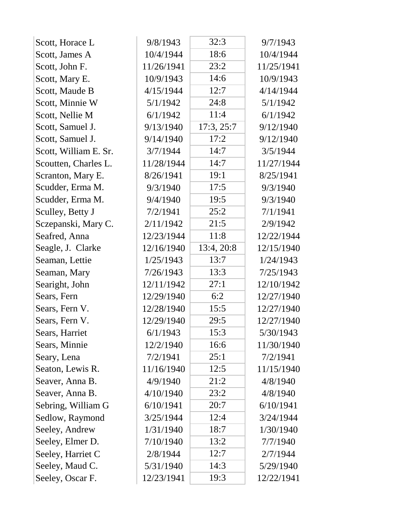| Scott, Horace L       | 9/8/1943   | 32:3       | 9/7/1943   |
|-----------------------|------------|------------|------------|
| Scott, James A        | 10/4/1944  | 18:6       | 10/4/1944  |
| Scott, John F.        | 11/26/1941 | 23:2       | 11/25/1941 |
| Scott, Mary E.        | 10/9/1943  | 14:6       | 10/9/1943  |
| Scott, Maude B        | 4/15/1944  | 12:7       | 4/14/1944  |
| Scott, Minnie W       | 5/1/1942   | 24:8       | 5/1/1942   |
| Scott, Nellie M       | 6/1/1942   | 11:4       | 6/1/1942   |
| Scott, Samuel J.      | 9/13/1940  | 17:3, 25:7 | 9/12/1940  |
| Scott, Samuel J.      | 9/14/1940  | 17:2       | 9/12/1940  |
| Scott, William E. Sr. | 3/7/1944   | 14:7       | 3/5/1944   |
| Scoutten, Charles L.  | 11/28/1944 | 14:7       | 11/27/1944 |
| Scranton, Mary E.     | 8/26/1941  | 19:1       | 8/25/1941  |
| Scudder, Erma M.      | 9/3/1940   | 17:5       | 9/3/1940   |
| Scudder, Erma M.      | 9/4/1940   | 19:5       | 9/3/1940   |
| Sculley, Betty J      | 7/2/1941   | 25:2       | 7/1/1941   |
| Sczepanski, Mary C.   | 2/11/1942  | 21:5       | 2/9/1942   |
| Seafred, Anna         | 12/23/1944 | 11:8       | 12/22/1944 |
| Seagle, J. Clarke     | 12/16/1940 | 13:4, 20:8 | 12/15/1940 |
| Seaman, Lettie        | 1/25/1943  | 13:7       | 1/24/1943  |
| Seaman, Mary          | 7/26/1943  | 13:3       | 7/25/1943  |
| Searight, John        | 12/11/1942 | 27:1       | 12/10/1942 |
| Sears, Fern           | 12/29/1940 | 6:2        | 12/27/1940 |
| Sears, Fern V.        | 12/28/1940 | 15:5       | 12/27/1940 |
| Sears, Fern V.        | 12/29/1940 | 29:5       | 12/27/1940 |
| Sears, Harriet        | 6/1/1943   | 15:3       | 5/30/1943  |
| Sears, Minnie         | 12/2/1940  | 16:6       | 11/30/1940 |
| Seary, Lena           | 7/2/1941   | 25:1       | 7/2/1941   |
| Seaton, Lewis R.      | 11/16/1940 | 12:5       | 11/15/1940 |
| Seaver, Anna B.       | 4/9/1940   | 21:2       | 4/8/1940   |
| Seaver, Anna B.       | 4/10/1940  | 23:2       | 4/8/1940   |
| Sebring, William G    | 6/10/1941  | 20:7       | 6/10/1941  |
| Sedlow, Raymond       | 3/25/1944  | 12:4       | 3/24/1944  |
| Seeley, Andrew        | 1/31/1940  | 18:7       | 1/30/1940  |
| Seeley, Elmer D.      | 7/10/1940  | 13:2       | 7/7/1940   |
| Seeley, Harriet C     | 2/8/1944   | 12:7       | 2/7/1944   |
| Seeley, Maud C.       | 5/31/1940  | 14:3       | 5/29/1940  |
| Seeley, Oscar F.      | 12/23/1941 | 19:3       | 12/22/1941 |
|                       |            |            |            |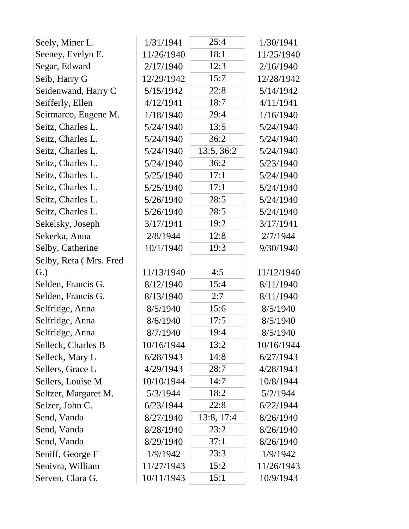| Seely, Miner L.        | 1/31/1941  | 25:4       | 1/30/1941  |  |
|------------------------|------------|------------|------------|--|
| Seeney, Evelyn E.      | 11/26/1940 | 18:1       | 11/25/1940 |  |
| Segar, Edward          | 2/17/1940  | 12:3       | 2/16/1940  |  |
| Seib, Harry G          | 12/29/1942 | 15:7       | 12/28/1942 |  |
| Seidenwand, Harry C    | 5/15/1942  | 22:8       | 5/14/1942  |  |
| Seifferly, Ellen       | 4/12/1941  | 18:7       | 4/11/1941  |  |
| Seirmarco, Eugene M.   | 1/18/1940  | 29:4       | 1/16/1940  |  |
| Seitz, Charles L.      | 5/24/1940  | 13:5       | 5/24/1940  |  |
| Seitz, Charles L.      | 5/24/1940  | 36:2       | 5/24/1940  |  |
| Seitz, Charles L.      | 5/24/1940  | 13:5, 36:2 | 5/24/1940  |  |
| Seitz, Charles L.      | 5/24/1940  | 36:2       | 5/23/1940  |  |
| Seitz, Charles L.      | 5/25/1940  | 17:1       | 5/24/1940  |  |
| Seitz, Charles L.      | 5/25/1940  | 17:1       | 5/24/1940  |  |
| Seitz, Charles L.      | 5/26/1940  | 28:5       | 5/24/1940  |  |
| Seitz, Charles L.      | 5/26/1940  | 28:5       | 5/24/1940  |  |
| Sekelsky, Joseph       | 3/17/1941  | 19:2       | 3/17/1941  |  |
| Sekerka, Anna          | 2/8/1944   | 12:8       | 2/7/1944   |  |
| Selby, Catherine       | 10/1/1940  | 19:3       | 9/30/1940  |  |
| Selby, Reta (Mrs. Fred |            |            |            |  |
| G.)                    | 11/13/1940 | 4:5        | 11/12/1940 |  |
| Selden, Francis G.     | 8/12/1940  | 15:4       | 8/11/1940  |  |
| Selden, Francis G.     | 8/13/1940  | 2:7        | 8/11/1940  |  |
| Selfridge, Anna        | 8/5/1940   | 15:6       | 8/5/1940   |  |
| Selfridge, Anna        | 8/6/1940   | 17:5       | 8/5/1940   |  |
| Selfridge, Anna        | 8/7/1940   | 19:4       | 8/5/1940   |  |
| Selleck, Charles B     | 10/16/1944 | 13:2       | 10/16/1944 |  |
| Selleck, Mary L        | 6/28/1943  | 14:8       | 6/27/1943  |  |
| Sellers, Grace L       | 4/29/1943  | 28:7       | 4/28/1943  |  |
| Sellers, Louise M      | 10/10/1944 | 14:7       | 10/8/1944  |  |
| Seltzer, Margaret M.   | 5/3/1944   | 18:2       | 5/2/1944   |  |
| Selzer, John C.        | 6/23/1944  | 22:8       | 6/22/1944  |  |
| Send, Vanda            | 8/27/1940  | 13:8, 17:4 | 8/26/1940  |  |
| Send, Vanda            | 8/28/1940  | 23:2       | 8/26/1940  |  |
| Send, Vanda            | 8/29/1940  | 37:1       | 8/26/1940  |  |
| Seniff, George F       | 1/9/1942   | 23:3       | 1/9/1942   |  |
| Senivra, William       | 11/27/1943 | 15:2       | 11/26/1943 |  |
| Serven, Clara G.       | 10/11/1943 | 15:1       | 10/9/1943  |  |
|                        |            |            |            |  |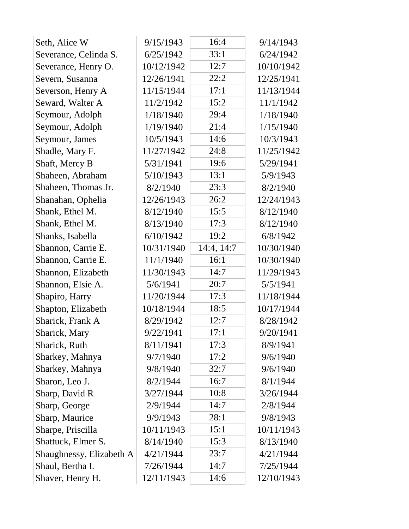| Seth, Alice W            | 9/15/1943  | 16:4       | 9/14/1943  |
|--------------------------|------------|------------|------------|
| Severance, Celinda S.    | 6/25/1942  | 33:1       | 6/24/1942  |
| Severance, Henry O.      | 10/12/1942 | 12:7       | 10/10/1942 |
| Severn, Susanna          | 12/26/1941 | 22:2       | 12/25/1941 |
| Severson, Henry A        | 11/15/1944 | 17:1       | 11/13/1944 |
| Seward, Walter A         | 11/2/1942  | 15:2       | 11/1/1942  |
| Seymour, Adolph          | 1/18/1940  | 29:4       | 1/18/1940  |
| Seymour, Adolph          | 1/19/1940  | 21:4       | 1/15/1940  |
| Seymour, James           | 10/5/1943  | 14:6       | 10/3/1943  |
| Shadle, Mary F.          | 11/27/1942 | 24:8       | 11/25/1942 |
| Shaft, Mercy B           | 5/31/1941  | 19:6       | 5/29/1941  |
| Shaheen, Abraham         | 5/10/1943  | 13:1       | 5/9/1943   |
| Shaheen, Thomas Jr.      | 8/2/1940   | 23:3       | 8/2/1940   |
| Shanahan, Ophelia        | 12/26/1943 | 26:2       | 12/24/1943 |
| Shank, Ethel M.          | 8/12/1940  | 15:5       | 8/12/1940  |
| Shank, Ethel M.          | 8/13/1940  | 17:3       | 8/12/1940  |
| Shanks, Isabella         | 6/10/1942  | 19:2       | 6/8/1942   |
| Shannon, Carrie E.       | 10/31/1940 | 14:4, 14:7 | 10/30/1940 |
| Shannon, Carrie E.       | 11/1/1940  | 16:1       | 10/30/1940 |
| Shannon, Elizabeth       | 11/30/1943 | 14:7       | 11/29/1943 |
| Shannon, Elsie A.        | 5/6/1941   | 20:7       | 5/5/1941   |
| Shapiro, Harry           | 11/20/1944 | 17:3       | 11/18/1944 |
| Shapton, Elizabeth       | 10/18/1944 | 18:5       | 10/17/1944 |
| Sharick, Frank A         | 8/29/1942  | 12:7       | 8/28/1942  |
| Sharick, Mary            | 9/22/1941  | 17:1       | 9/20/1941  |
| Sharick, Ruth            | 8/11/1941  | 17:3       | 8/9/1941   |
| Sharkey, Mahnya          | 9/7/1940   | 17:2       | 9/6/1940   |
| Sharkey, Mahnya          | 9/8/1940   | 32:7       | 9/6/1940   |
| Sharon, Leo J.           | 8/2/1944   | 16:7       | 8/1/1944   |
| Sharp, David R           | 3/27/1944  | 10:8       | 3/26/1944  |
| Sharp, George            | 2/9/1944   | 14:7       | 2/8/1944   |
| Sharp, Maurice           | 9/9/1943   | 28:1       | 9/8/1943   |
| Sharpe, Priscilla        | 10/11/1943 | 15:1       | 10/11/1943 |
| Shattuck, Elmer S.       | 8/14/1940  | 15:3       | 8/13/1940  |
| Shaughnessy, Elizabeth A | 4/21/1944  | 23:7       | 4/21/1944  |
| Shaul, Bertha L          | 7/26/1944  | 14:7       | 7/25/1944  |
| Shaver, Henry H.         | 12/11/1943 | 14:6       | 12/10/1943 |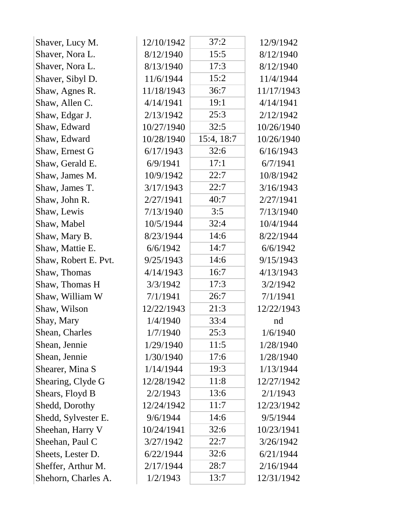| Shaver, Lucy M.      | 12/10/1942 | 37:2       | 12/9/1942  |
|----------------------|------------|------------|------------|
| Shaver, Nora L.      | 8/12/1940  | 15:5       | 8/12/1940  |
| Shaver, Nora L.      | 8/13/1940  | 17:3       | 8/12/1940  |
| Shaver, Sibyl D.     | 11/6/1944  | 15:2       | 11/4/1944  |
| Shaw, Agnes R.       | 11/18/1943 | 36:7       | 11/17/1943 |
| Shaw, Allen C.       | 4/14/1941  | 19:1       | 4/14/1941  |
| Shaw, Edgar J.       | 2/13/1942  | 25:3       | 2/12/1942  |
| Shaw, Edward         | 10/27/1940 | 32:5       | 10/26/1940 |
| Shaw, Edward         | 10/28/1940 | 15:4, 18:7 | 10/26/1940 |
| Shaw, Ernest G       | 6/17/1943  | 32:6       | 6/16/1943  |
| Shaw, Gerald E.      | 6/9/1941   | 17:1       | 6/7/1941   |
| Shaw, James M.       | 10/9/1942  | 22:7       | 10/8/1942  |
| Shaw, James T.       | 3/17/1943  | 22:7       | 3/16/1943  |
| Shaw, John R.        | 2/27/1941  | 40:7       | 2/27/1941  |
| Shaw, Lewis          | 7/13/1940  | 3:5        | 7/13/1940  |
| Shaw, Mabel          | 10/5/1944  | 32:4       | 10/4/1944  |
| Shaw, Mary B.        | 8/23/1944  | 14:6       | 8/22/1944  |
| Shaw, Mattie E.      | 6/6/1942   | 14:7       | 6/6/1942   |
| Shaw, Robert E. Pvt. | 9/25/1943  | 14:6       | 9/15/1943  |
| Shaw, Thomas         | 4/14/1943  | 16:7       | 4/13/1943  |
| Shaw, Thomas H       | 3/3/1942   | 17:3       | 3/2/1942   |
| Shaw, William W      | 7/1/1941   | 26:7       | 7/1/1941   |
| Shaw, Wilson         | 12/22/1943 | 21:3       | 12/22/1943 |
| Shay, Mary           | 1/4/1940   | 33:4       | nd         |
| Shean, Charles       | 1/7/1940   | 25:3       | 1/6/1940   |
| Shean, Jennie        | 1/29/1940  | 11:5       | 1/28/1940  |
| Shean, Jennie        | 1/30/1940  | 17:6       | 1/28/1940  |
| Shearer, Mina S      | 1/14/1944  | 19:3       | 1/13/1944  |
| Shearing, Clyde G    | 12/28/1942 | 11:8       | 12/27/1942 |
| Shears, Floyd B      | 2/2/1943   | 13:6       | 2/1/1943   |
| Shedd, Dorothy       | 12/24/1942 | 11:7       | 12/23/1942 |
| Shedd, Sylvester E.  | 9/6/1944   | 14:6       | 9/5/1944   |
| Sheehan, Harry V     | 10/24/1941 | 32:6       | 10/23/1941 |
| Sheehan, Paul C      | 3/27/1942  | 22:7       | 3/26/1942  |
| Sheets, Lester D.    | 6/22/1944  | 32:6       | 6/21/1944  |
| Sheffer, Arthur M.   | 2/17/1944  | 28:7       | 2/16/1944  |
| Shehorn, Charles A.  | 1/2/1943   | 13:7       | 12/31/1942 |
|                      |            |            |            |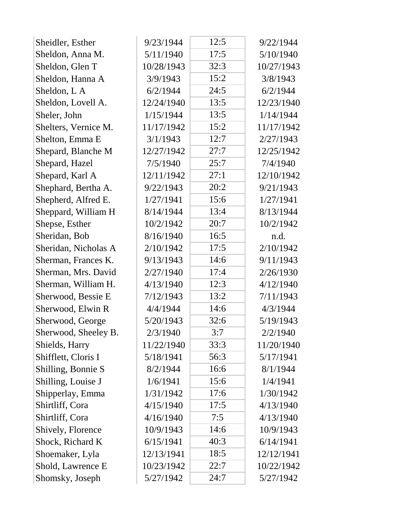| Sheidler, Esther     | 9/23/1944  | 12:5 | 9/22/1944  |
|----------------------|------------|------|------------|
| Sheldon, Anna M.     | 5/11/1940  | 17:5 | 5/10/1940  |
| Sheldon, Glen T      | 10/28/1943 | 32:3 | 10/27/1943 |
| Sheldon, Hanna A     | 3/9/1943   | 15:2 | 3/8/1943   |
| Sheldon, L A         | 6/2/1944   | 24:5 | 6/2/1944   |
| Sheldon, Lovell A.   | 12/24/1940 | 13:5 | 12/23/1940 |
| Sheler, John         | 1/15/1944  | 13:5 | 1/14/1944  |
| Shelters, Vernice M. | 11/17/1942 | 15:2 | 11/17/1942 |
| Shelton, Emma E      | 3/1/1943   | 12:7 | 2/27/1943  |
| Shepard, Blanche M   | 12/27/1942 | 27:7 | 12/25/1942 |
| Shepard, Hazel       | 7/5/1940   | 25:7 | 7/4/1940   |
| Shepard, Karl A      | 12/11/1942 | 27:1 | 12/10/1942 |
| Shephard, Bertha A.  | 9/22/1943  | 20:2 | 9/21/1943  |
| Shepherd, Alfred E.  | 1/27/1941  | 15:6 | 1/27/1941  |
| Sheppard, William H  | 8/14/1944  | 13:4 | 8/13/1944  |
| Shepse, Esther       | 10/2/1942  | 20:7 | 10/2/1942  |
| Sheridan, Bob        | 8/16/1940  | 16:5 | n.d.       |
| Sheridan, Nicholas A | 2/10/1942  | 17:5 | 2/10/1942  |
| Sherman, Frances K.  | 9/13/1943  | 14:6 | 9/11/1943  |
| Sherman, Mrs. David  | 2/27/1940  | 17:4 | 2/26/1930  |
| Sherman, William H.  | 4/13/1940  | 12:3 | 4/12/1940  |
| Sherwood, Bessie E   | 7/12/1943  | 13:2 | 7/11/1943  |
| Sherwood, Elwin R    | 4/4/1944   | 14:6 | 4/3/1944   |
| Sherwood, George     | 5/20/1943  | 32:6 | 5/19/1943  |
| Sherwood, Sheeley B. | 2/3/1940   | 3:7  | 2/2/1940   |
| Shields, Harry       | 11/22/1940 | 33:3 | 11/20/1940 |
| Shifflett, Cloris I  | 5/18/1941  | 56:3 | 5/17/1941  |
| Shilling, Bonnie S   | 8/2/1944   | 16:6 | 8/1/1944   |
| Shilling, Louise J   | 1/6/1941   | 15:6 | 1/4/1941   |
| Shipperlay, Emma     | 1/31/1942  | 17:6 | 1/30/1942  |
| Shirtliff, Cora      | 4/15/1940  | 17:5 | 4/13/1940  |
| Shirtliff, Cora      | 4/16/1940  | 7:5  | 4/13/1940  |
| Shively, Florence    | 10/9/1943  | 14:6 | 10/9/1943  |
| Shock, Richard K     | 6/15/1941  | 40:3 | 6/14/1941  |
| Shoemaker, Lyla      | 12/13/1941 | 18:5 | 12/12/1941 |
| Shold, Lawrence E    | 10/23/1942 | 22:7 | 10/22/1942 |
| Shomsky, Joseph      | 5/27/1942  | 24:7 | 5/27/1942  |
|                      |            |      |            |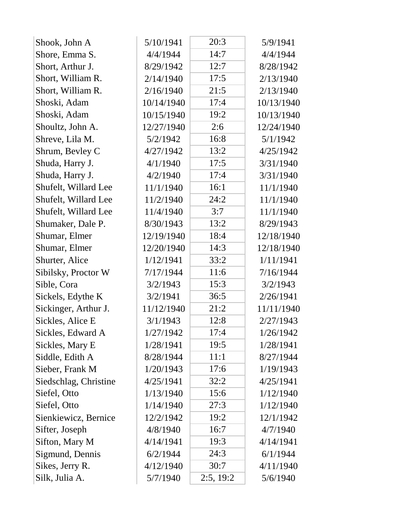| Shook, John A         | 5/10/1941  | 20:3      | 5/9/1941   |
|-----------------------|------------|-----------|------------|
| Shore, Emma S.        | 4/4/1944   | 14:7      | 4/4/1944   |
| Short, Arthur J.      | 8/29/1942  | 12:7      | 8/28/1942  |
| Short, William R.     | 2/14/1940  | 17:5      | 2/13/1940  |
| Short, William R.     | 2/16/1940  | 21:5      | 2/13/1940  |
| Shoski, Adam          | 10/14/1940 | 17:4      | 10/13/1940 |
| Shoski, Adam          | 10/15/1940 | 19:2      | 10/13/1940 |
| Shoultz, John A.      | 12/27/1940 | 2:6       | 12/24/1940 |
| Shreve, Lila M.       | 5/2/1942   | 16:8      | 5/1/1942   |
| Shrum, Bevley C       | 4/27/1942  | 13:2      | 4/25/1942  |
| Shuda, Harry J.       | 4/1/1940   | 17:5      | 3/31/1940  |
| Shuda, Harry J.       | 4/2/1940   | 17:4      | 3/31/1940  |
| Shufelt, Willard Lee  | 11/1/1940  | 16:1      | 11/1/1940  |
| Shufelt, Willard Lee  | 11/2/1940  | 24:2      | 11/1/1940  |
| Shufelt, Willard Lee  | 11/4/1940  | 3:7       | 11/1/1940  |
| Shumaker, Dale P.     | 8/30/1943  | 13:2      | 8/29/1943  |
| Shumar, Elmer         | 12/19/1940 | 18:4      | 12/18/1940 |
| Shumar, Elmer         | 12/20/1940 | 14:3      | 12/18/1940 |
| Shurter, Alice        | 1/12/1941  | 33:2      | 1/11/1941  |
| Sibilsky, Proctor W   | 7/17/1944  | 11:6      | 7/16/1944  |
| Sible, Cora           | 3/2/1943   | 15:3      | 3/2/1943   |
| Sickels, Edythe K     | 3/2/1941   | 36:5      | 2/26/1941  |
| Sickinger, Arthur J.  | 11/12/1940 | 21:2      | 11/11/1940 |
| Sickles, Alice E      | 3/1/1943   | 12:8      | 2/27/1943  |
| Sickles, Edward A     | 1/27/1942  | 17:4      | 1/26/1942  |
| Sickles, Mary E       | 1/28/1941  | 19:5      | 1/28/1941  |
| Siddle, Edith A       | 8/28/1944  | 11:1      | 8/27/1944  |
| Sieber, Frank M       | 1/20/1943  | 17:6      | 1/19/1943  |
| Siedschlag, Christine | 4/25/1941  | 32:2      | 4/25/1941  |
| Siefel, Otto          | 1/13/1940  | 15:6      | 1/12/1940  |
| Siefel, Otto          | 1/14/1940  | 27:3      | 1/12/1940  |
| Sienkiewicz, Bernice  | 12/2/1942  | 19:2      | 12/1/1942  |
| Sifter, Joseph        | 4/8/1940   | 16:7      | 4/7/1940   |
| Sifton, Mary M        | 4/14/1941  | 19:3      | 4/14/1941  |
| Sigmund, Dennis       | 6/2/1944   | 24:3      | 6/1/1944   |
| Sikes, Jerry R.       | 4/12/1940  | 30:7      | 4/11/1940  |
| Silk, Julia A.        | 5/7/1940   | 2:5, 19:2 | 5/6/1940   |
|                       |            |           |            |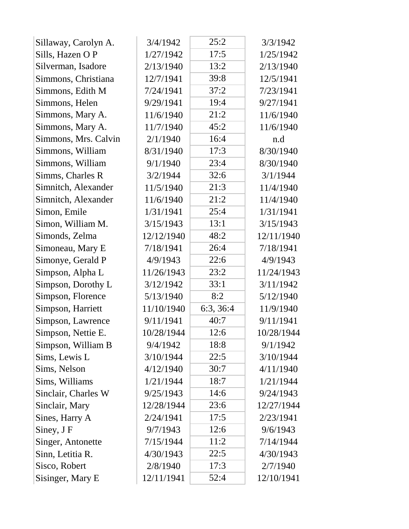| Sillaway, Carolyn A. | 3/4/1942   | 25:2      | 3/3/1942   |
|----------------------|------------|-----------|------------|
| Sills, Hazen O P     | 1/27/1942  | 17:5      | 1/25/1942  |
| Silverman, Isadore   | 2/13/1940  | 13:2      | 2/13/1940  |
| Simmons, Christiana  | 12/7/1941  | 39:8      | 12/5/1941  |
| Simmons, Edith M     | 7/24/1941  | 37:2      | 7/23/1941  |
| Simmons, Helen       | 9/29/1941  | 19:4      | 9/27/1941  |
| Simmons, Mary A.     | 11/6/1940  | 21:2      | 11/6/1940  |
| Simmons, Mary A.     | 11/7/1940  | 45:2      | 11/6/1940  |
| Simmons, Mrs. Calvin | 2/1/1940   | 16:4      | n.d        |
| Simmons, William     | 8/31/1940  | 17:3      | 8/30/1940  |
| Simmons, William     | 9/1/1940   | 23:4      | 8/30/1940  |
| Simms, Charles R     | 3/2/1944   | 32:6      | 3/1/1944   |
| Simnitch, Alexander  | 11/5/1940  | 21:3      | 11/4/1940  |
| Simnitch, Alexander  | 11/6/1940  | 21:2      | 11/4/1940  |
| Simon, Emile         | 1/31/1941  | 25:4      | 1/31/1941  |
| Simon, William M.    | 3/15/1943  | 13:1      | 3/15/1943  |
| Simonds, Zelma       | 12/12/1940 | 48:2      | 12/11/1940 |
| Simoneau, Mary E     | 7/18/1941  | 26:4      | 7/18/1941  |
| Simonye, Gerald P    | 4/9/1943   | 22:6      | 4/9/1943   |
| Simpson, Alpha L     | 11/26/1943 | 23:2      | 11/24/1943 |
| Simpson, Dorothy L   | 3/12/1942  | 33:1      | 3/11/1942  |
| Simpson, Florence    | 5/13/1940  | 8:2       | 5/12/1940  |
| Simpson, Harriett    | 11/10/1940 | 6:3, 36:4 | 11/9/1940  |
| Simpson, Lawrence    | 9/11/1941  | 40:7      | 9/11/1941  |
| Simpson, Nettie E.   | 10/28/1944 | 12:6      | 10/28/1944 |
| Simpson, William B   | 9/4/1942   | 18:8      | 9/1/1942   |
| Sims, Lewis L        | 3/10/1944  | 22:5      | 3/10/1944  |
| Sims, Nelson         | 4/12/1940  | 30:7      | 4/11/1940  |
| Sims, Williams       | 1/21/1944  | 18:7      | 1/21/1944  |
| Sinclair, Charles W  | 9/25/1943  | 14:6      | 9/24/1943  |
| Sinclair, Mary       | 12/28/1944 | 23:6      | 12/27/1944 |
| Sines, Harry A       | 2/24/1941  | 17:5      | 2/23/1941  |
| Siney, J F           | 9/7/1943   | 12:6      | 9/6/1943   |
| Singer, Antonette    | 7/15/1944  | 11:2      | 7/14/1944  |
| Sinn, Letitia R.     | 4/30/1943  | 22:5      | 4/30/1943  |
| Sisco, Robert        | 2/8/1940   | 17:3      | 2/7/1940   |
| Sisinger, Mary E     | 12/11/1941 | 52:4      | 12/10/1941 |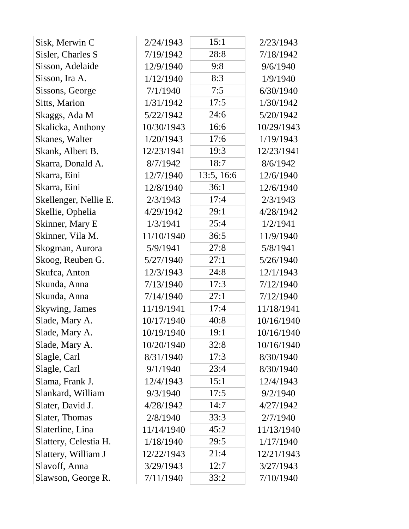| Sisk, Merwin C        | 2/24/1943  | 15:1       | 2/23/1943  |
|-----------------------|------------|------------|------------|
| Sisler, Charles S     | 7/19/1942  | 28:8       | 7/18/1942  |
| Sisson, Adelaide      | 12/9/1940  | 9:8        | 9/6/1940   |
| Sisson, Ira A.        | 1/12/1940  | 8:3        | 1/9/1940   |
| Sissons, George       | 7/1/1940   | 7:5        | 6/30/1940  |
| Sitts, Marion         | 1/31/1942  | 17:5       | 1/30/1942  |
| Skaggs, Ada M         | 5/22/1942  | 24:6       | 5/20/1942  |
| Skalicka, Anthony     | 10/30/1943 | 16:6       | 10/29/1943 |
| Skanes, Walter        | 1/20/1943  | 17:6       | 1/19/1943  |
| Skank, Albert B.      | 12/23/1941 | 19:3       | 12/23/1941 |
| Skarra, Donald A.     | 8/7/1942   | 18:7       | 8/6/1942   |
| Skarra, Eini          | 12/7/1940  | 13:5, 16:6 | 12/6/1940  |
| Skarra, Eini          | 12/8/1940  | 36:1       | 12/6/1940  |
| Skellenger, Nellie E. | 2/3/1943   | 17:4       | 2/3/1943   |
| Skellie, Ophelia      | 4/29/1942  | 29:1       | 4/28/1942  |
| Skinner, Mary E       | 1/3/1941   | 25:4       | 1/2/1941   |
| Skinner, Vila M.      | 11/10/1940 | 36:5       | 11/9/1940  |
| Skogman, Aurora       | 5/9/1941   | 27:8       | 5/8/1941   |
| Skoog, Reuben G.      | 5/27/1940  | 27:1       | 5/26/1940  |
| Skufca, Anton         | 12/3/1943  | 24:8       | 12/1/1943  |
| Skunda, Anna          | 7/13/1940  | 17:3       | 7/12/1940  |
| Skunda, Anna          | 7/14/1940  | 27:1       | 7/12/1940  |
| Skywing, James        | 11/19/1941 | 17:4       | 11/18/1941 |
| Slade, Mary A.        | 10/17/1940 | 40:8       | 10/16/1940 |
| Slade, Mary A.        | 10/19/1940 | 19:1       | 10/16/1940 |
| Slade, Mary A.        | 10/20/1940 | 32:8       | 10/16/1940 |
| Slagle, Carl          | 8/31/1940  | 17:3       | 8/30/1940  |
| Slagle, Carl          | 9/1/1940   | 23:4       | 8/30/1940  |
| Slama, Frank J.       | 12/4/1943  | 15:1       | 12/4/1943  |
| Slankard, William     | 9/3/1940   | 17:5       | 9/2/1940   |
| Slater, David J.      | 4/28/1942  | 14:7       | 4/27/1942  |
| Slater, Thomas        | 2/8/1940   | 33:3       | 2/7/1940   |
| Slaterline, Lina      | 11/14/1940 | 45:2       | 11/13/1940 |
| Slattery, Celestia H. | 1/18/1940  | 29:5       | 1/17/1940  |
| Slattery, William J   | 12/22/1943 | 21:4       | 12/21/1943 |
| Slavoff, Anna         | 3/29/1943  | 12:7       | 3/27/1943  |
| Slawson, George R.    | 7/11/1940  | 33:2       | 7/10/1940  |
|                       |            |            |            |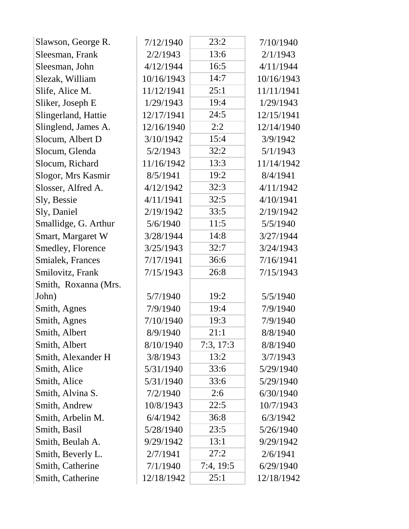| Slawson, George R.   | 7/12/1940  | 23:2      | 7/10/1940  |
|----------------------|------------|-----------|------------|
| Sleesman, Frank      | 2/2/1943   | 13:6      | 2/1/1943   |
| Sleesman, John       | 4/12/1944  | 16:5      | 4/11/1944  |
| Slezak, William      | 10/16/1943 | 14:7      | 10/16/1943 |
| Slife, Alice M.      | 11/12/1941 | 25:1      | 11/11/1941 |
| Sliker, Joseph E     | 1/29/1943  | 19:4      | 1/29/1943  |
| Slingerland, Hattie  | 12/17/1941 | 24:5      | 12/15/1941 |
| Slinglend, James A.  | 12/16/1940 | 2:2       | 12/14/1940 |
| Slocum, Albert D     | 3/10/1942  | 15:4      | 3/9/1942   |
| Slocum, Glenda       | 5/2/1943   | 32:2      | 5/1/1943   |
| Slocum, Richard      | 11/16/1942 | 13:3      | 11/14/1942 |
| Slogor, Mrs Kasmir   | 8/5/1941   | 19:2      | 8/4/1941   |
| Slosser, Alfred A.   | 4/12/1942  | 32:3      | 4/11/1942  |
| Sly, Bessie          | 4/11/1941  | 32:5      | 4/10/1941  |
| Sly, Daniel          | 2/19/1942  | 33:5      | 2/19/1942  |
| Smallidge, G. Arthur | 5/6/1940   | 11:5      | 5/5/1940   |
| Smart, Margaret W    | 3/28/1944  | 14:8      | 3/27/1944  |
| Smedley, Florence    | 3/25/1943  | 32:7      | 3/24/1943  |
| Smialek, Frances     | 7/17/1941  | 36:6      | 7/16/1941  |
| Smilovitz, Frank     | 7/15/1943  | 26:8      | 7/15/1943  |
| Smith, Roxanna (Mrs. |            |           |            |
| John)                | 5/7/1940   | 19:2      | 5/5/1940   |
| Smith, Agnes         | 7/9/1940   | 19:4      | 7/9/1940   |
| Smith, Agnes         | 7/10/1940  | 19:3      | 7/9/1940   |
| Smith, Albert        | 8/9/1940   | 21:1      | 8/8/1940   |
| Smith, Albert        | 8/10/1940  | 7:3, 17:3 | 8/8/1940   |
| Smith, Alexander H   | 3/8/1943   | 13:2      | 3/7/1943   |
| Smith, Alice         | 5/31/1940  | 33:6      | 5/29/1940  |
| Smith, Alice         | 5/31/1940  | 33:6      | 5/29/1940  |
| Smith, Alvina S.     | 7/2/1940   | 2:6       | 6/30/1940  |
| Smith, Andrew        | 10/8/1943  | 22:5      | 10/7/1943  |
| Smith, Arbelin M.    | 6/4/1942   | 36:8      | 6/3/1942   |
| Smith, Basil         | 5/28/1940  | 23:5      | 5/26/1940  |
| Smith, Beulah A.     | 9/29/1942  | 13:1      | 9/29/1942  |
| Smith, Beverly L.    | 2/7/1941   | 27:2      | 2/6/1941   |
| Smith, Catherine     | 7/1/1940   | 7:4, 19:5 | 6/29/1940  |
| Smith, Catherine     | 12/18/1942 | 25:1      | 12/18/1942 |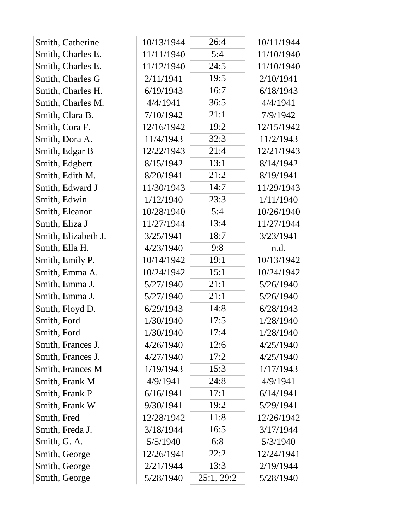| Smith, Catherine    | 10/13/1944 | 26:4       | 10/11/1944 |  |
|---------------------|------------|------------|------------|--|
| Smith, Charles E.   | 11/11/1940 | 5:4        | 11/10/1940 |  |
| Smith, Charles E.   | 11/12/1940 | 24:5       | 11/10/1940 |  |
| Smith, Charles G    | 2/11/1941  | 19:5       | 2/10/1941  |  |
| Smith, Charles H.   | 6/19/1943  | 16:7       | 6/18/1943  |  |
| Smith, Charles M.   | 4/4/1941   | 36:5       | 4/4/1941   |  |
| Smith, Clara B.     | 7/10/1942  | 21:1       | 7/9/1942   |  |
| Smith, Cora F.      | 12/16/1942 | 19:2       | 12/15/1942 |  |
| Smith, Dora A.      | 11/4/1943  | 32:3       | 11/2/1943  |  |
| Smith, Edgar B      | 12/22/1943 | 21:4       | 12/21/1943 |  |
| Smith, Edgbert      | 8/15/1942  | 13:1       | 8/14/1942  |  |
| Smith, Edith M.     | 8/20/1941  | 21:2       | 8/19/1941  |  |
| Smith, Edward J     | 11/30/1943 | 14:7       | 11/29/1943 |  |
| Smith, Edwin        | 1/12/1940  | 23:3       | 1/11/1940  |  |
| Smith, Eleanor      | 10/28/1940 | 5:4        | 10/26/1940 |  |
| Smith, Eliza J      | 11/27/1944 | 13:4       | 11/27/1944 |  |
| Smith, Elizabeth J. | 3/25/1941  | 18:7       | 3/23/1941  |  |
| Smith, Ella H.      | 4/23/1940  | 9:8        | n.d.       |  |
| Smith, Emily P.     | 10/14/1942 | 19:1       | 10/13/1942 |  |
| Smith, Emma A.      | 10/24/1942 | 15:1       | 10/24/1942 |  |
| Smith, Emma J.      | 5/27/1940  | 21:1       | 5/26/1940  |  |
| Smith, Emma J.      | 5/27/1940  | 21:1       | 5/26/1940  |  |
| Smith, Floyd D.     | 6/29/1943  | 14:8       | 6/28/1943  |  |
| Smith, Ford         | 1/30/1940  | 17:5       | 1/28/1940  |  |
| Smith, Ford         | 1/30/1940  | 17:4       | 1/28/1940  |  |
| Smith, Frances J.   | 4/26/1940  | 12:6       | 4/25/1940  |  |
| Smith, Frances J.   | 4/27/1940  | 17:2       | 4/25/1940  |  |
| Smith, Frances M    | 1/19/1943  | 15:3       | 1/17/1943  |  |
| Smith, Frank M      | 4/9/1941   | 24:8       | 4/9/1941   |  |
| Smith, Frank P      | 6/16/1941  | 17:1       | 6/14/1941  |  |
| Smith, Frank W      | 9/30/1941  | 19:2       | 5/29/1941  |  |
| Smith, Fred         | 12/28/1942 | 11:8       | 12/26/1942 |  |
| Smith, Freda J.     | 3/18/1944  | 16:5       | 3/17/1944  |  |
| Smith, G. A.        | 5/5/1940   | 6:8        | 5/3/1940   |  |
| Smith, George       | 12/26/1941 | 22:2       | 12/24/1941 |  |
| Smith, George       | 2/21/1944  | 13:3       | 2/19/1944  |  |
| Smith, George       | 5/28/1940  | 25:1, 29:2 | 5/28/1940  |  |
|                     |            |            |            |  |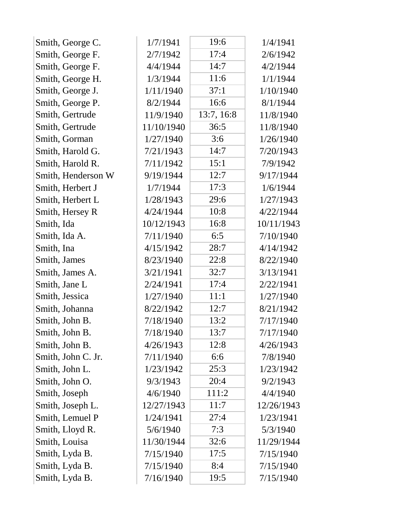| Smith, George C.   | 1/7/1941   | 19:6       | 1/4/1941   |
|--------------------|------------|------------|------------|
| Smith, George F.   | 2/7/1942   | 17:4       | 2/6/1942   |
| Smith, George F.   | 4/4/1944   | 14:7       | 4/2/1944   |
| Smith, George H.   | 1/3/1944   | 11:6       | 1/1/1944   |
| Smith, George J.   | 1/11/1940  | 37:1       | 1/10/1940  |
| Smith, George P.   | 8/2/1944   | 16:6       | 8/1/1944   |
| Smith, Gertrude    | 11/9/1940  | 13:7, 16:8 | 11/8/1940  |
| Smith, Gertrude    | 11/10/1940 | 36:5       | 11/8/1940  |
| Smith, Gorman      | 1/27/1940  | 3:6        | 1/26/1940  |
| Smith, Harold G.   | 7/21/1943  | 14:7       | 7/20/1943  |
| Smith, Harold R.   | 7/11/1942  | 15:1       | 7/9/1942   |
| Smith, Henderson W | 9/19/1944  | 12:7       | 9/17/1944  |
| Smith, Herbert J   | 1/7/1944   | 17:3       | 1/6/1944   |
| Smith, Herbert L   | 1/28/1943  | 29:6       | 1/27/1943  |
| Smith, Hersey R    | 4/24/1944  | 10:8       | 4/22/1944  |
| Smith, Ida         | 10/12/1943 | 16:8       | 10/11/1943 |
| Smith, Ida A.      | 7/11/1940  | 6:5        | 7/10/1940  |
| Smith, Ina         | 4/15/1942  | 28:7       | 4/14/1942  |
| Smith, James       | 8/23/1940  | 22:8       | 8/22/1940  |
| Smith, James A.    | 3/21/1941  | 32:7       | 3/13/1941  |
| Smith, Jane L      | 2/24/1941  | 17:4       | 2/22/1941  |
| Smith, Jessica     | 1/27/1940  | 11:1       | 1/27/1940  |
| Smith, Johanna     | 8/22/1942  | 12:7       | 8/21/1942  |
| Smith, John B.     | 7/18/1940  | 13:2       | 7/17/1940  |
| Smith, John B.     | 7/18/1940  | 13:7       | 7/17/1940  |
| Smith, John B.     | 4/26/1943  | 12:8       | 4/26/1943  |
| Smith, John C. Jr. | 7/11/1940  | 6:6        | 7/8/1940   |
| Smith, John L.     | 1/23/1942  | 25:3       | 1/23/1942  |
| Smith, John O.     | 9/3/1943   | 20:4       | 9/2/1943   |
| Smith, Joseph      | 4/6/1940   | 111:2      | 4/4/1940   |
| Smith, Joseph L.   | 12/27/1943 | 11:7       | 12/26/1943 |
| Smith, Lemuel P    | 1/24/1941  | 27:4       | 1/23/1941  |
| Smith, Lloyd R.    | 5/6/1940   | 7:3        | 5/3/1940   |
| Smith, Louisa      | 11/30/1944 | 32:6       | 11/29/1944 |
| Smith, Lyda B.     | 7/15/1940  | 17:5       | 7/15/1940  |
| Smith, Lyda B.     | 7/15/1940  | 8:4        | 7/15/1940  |
| Smith, Lyda B.     | 7/16/1940  | 19:5       | 7/15/1940  |
|                    |            |            |            |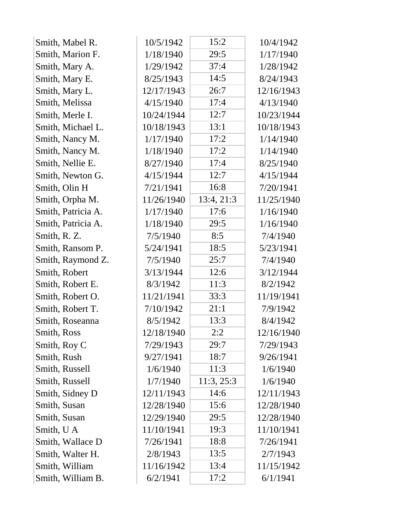| Smith, Mabel R.    | 10/5/1942  | 15:2       | 10/4/1942  |
|--------------------|------------|------------|------------|
| Smith, Marion F.   | 1/18/1940  | 29:5       | 1/17/1940  |
| Smith, Mary A.     | 1/29/1942  | 37:4       | 1/28/1942  |
| Smith, Mary E.     | 8/25/1943  | 14:5       | 8/24/1943  |
| Smith, Mary L.     | 12/17/1943 | 26:7       | 12/16/1943 |
| Smith, Melissa     | 4/15/1940  | 17:4       | 4/13/1940  |
| Smith, Merle I.    | 10/24/1944 | 12:7       | 10/23/1944 |
| Smith, Michael L.  | 10/18/1943 | 13:1       | 10/18/1943 |
| Smith, Nancy M.    | 1/17/1940  | 17:2       | 1/14/1940  |
| Smith, Nancy M.    | 1/18/1940  | 17:2       | 1/14/1940  |
| Smith, Nellie E.   | 8/27/1940  | 17:4       | 8/25/1940  |
| Smith, Newton G.   | 4/15/1944  | 12:7       | 4/15/1944  |
| Smith, Olin H      | 7/21/1941  | 16:8       | 7/20/1941  |
| Smith, Orpha M.    | 11/26/1940 | 13:4, 21:3 | 11/25/1940 |
| Smith, Patricia A. | 1/17/1940  | 17:6       | 1/16/1940  |
| Smith, Patricia A. | 1/18/1940  | 29:5       | 1/16/1940  |
| Smith, R. Z.       | 7/5/1940   | 8:5        | 7/4/1940   |
| Smith, Ransom P.   | 5/24/1941  | 18:5       | 5/23/1941  |
| Smith, Raymond Z.  | 7/5/1940   | 25:7       | 7/4/1940   |
| Smith, Robert      | 3/13/1944  | 12:6       | 3/12/1944  |
| Smith, Robert E.   | 8/3/1942   | 11:3       | 8/2/1942   |
| Smith, Robert O.   | 11/21/1941 | 33:3       | 11/19/1941 |
| Smith, Robert T.   | 7/10/1942  | 21:1       | 7/9/1942   |
| Smith, Roseanna    | 8/5/1942   | 13:3       | 8/4/1942   |
| Smith, Ross        | 12/18/1940 | 2:2        | 12/16/1940 |
| Smith, Roy C       | 7/29/1943  | 29:7       | 7/29/1943  |
| Smith, Rush        | 9/27/1941  | 18:7       | 9/26/1941  |
| Smith, Russell     | 1/6/1940   | 11:3       | 1/6/1940   |
| Smith, Russell     | 1/7/1940   | 11:3, 25:3 | 1/6/1940   |
| Smith, Sidney D    | 12/11/1943 | 14:6       | 12/11/1943 |
| Smith, Susan       | 12/28/1940 | 15:6       | 12/28/1940 |
| Smith, Susan       | 12/29/1940 | 29:5       | 12/28/1940 |
| Smith, U A         | 11/10/1941 | 19:3       | 11/10/1941 |
| Smith, Wallace D   | 7/26/1941  | 18:8       | 7/26/1941  |
| Smith, Walter H.   | 2/8/1943   | 13:5       | 2/7/1943   |
| Smith, William     | 11/16/1942 | 13:4       | 11/15/1942 |
| Smith, William B.  | 6/2/1941   | 17:2       | 6/1/1941   |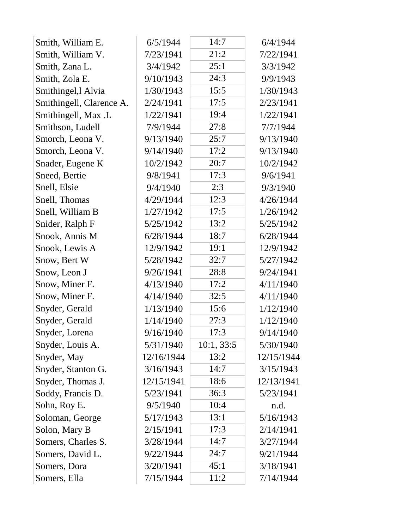| Smith, William E.        | 6/5/1944   | 14:7       | 6/4/1944   |  |
|--------------------------|------------|------------|------------|--|
| Smith, William V.        | 7/23/1941  | 21:2       | 7/22/1941  |  |
| Smith, Zana L.           | 3/4/1942   | 25:1       | 3/3/1942   |  |
| Smith, Zola E.           | 9/10/1943  | 24:3       | 9/9/1943   |  |
| Smithingel, lAlvia       | 1/30/1943  | 15:5       | 1/30/1943  |  |
| Smithingell, Clarence A. | 2/24/1941  | 17:5       | 2/23/1941  |  |
| Smithingell, Max .L      | 1/22/1941  | 19:4       | 1/22/1941  |  |
| Smithson, Ludell         | 7/9/1944   | 27:8       | 7/7/1944   |  |
| Smorch, Leona V.         | 9/13/1940  | 25:7       | 9/13/1940  |  |
| Smorch, Leona V.         | 9/14/1940  | 17:2       | 9/13/1940  |  |
| Snader, Eugene K         | 10/2/1942  | 20:7       | 10/2/1942  |  |
| Sneed, Bertie            | 9/8/1941   | 17:3       | 9/6/1941   |  |
| Snell, Elsie             | 9/4/1940   | 2:3        | 9/3/1940   |  |
| Snell, Thomas            | 4/29/1944  | 12:3       | 4/26/1944  |  |
| Snell, William B         | 1/27/1942  | 17:5       | 1/26/1942  |  |
| Snider, Ralph F          | 5/25/1942  | 13:2       | 5/25/1942  |  |
| Snook, Annis M           | 6/28/1944  | 18:7       | 6/28/1944  |  |
| Snook, Lewis A           | 12/9/1942  | 19:1       | 12/9/1942  |  |
| Snow, Bert W             | 5/28/1942  | 32:7       | 5/27/1942  |  |
| Snow, Leon J             | 9/26/1941  | 28:8       | 9/24/1941  |  |
| Snow, Miner F.           | 4/13/1940  | 17:2       | 4/11/1940  |  |
| Snow, Miner F.           | 4/14/1940  | 32:5       | 4/11/1940  |  |
| Snyder, Gerald           | 1/13/1940  | 15:6       | 1/12/1940  |  |
| Snyder, Gerald           | 1/14/1940  | 27:3       | 1/12/1940  |  |
| Snyder, Lorena           | 9/16/1940  | 17:3       | 9/14/1940  |  |
| Snyder, Louis A.         | 5/31/1940  | 10:1, 33:5 | 5/30/1940  |  |
| Snyder, May              | 12/16/1944 | 13:2       | 12/15/1944 |  |
| Snyder, Stanton G.       | 3/16/1943  | 14:7       | 3/15/1943  |  |
| Snyder, Thomas J.        | 12/15/1941 | 18:6       | 12/13/1941 |  |
| Soddy, Francis D.        | 5/23/1941  | 36:3       | 5/23/1941  |  |
| Sohn, Roy E.             | 9/5/1940   | 10:4       | n.d.       |  |
| Soloman, George          | 5/17/1943  | 13:1       | 5/16/1943  |  |
| Solon, Mary B            | 2/15/1941  | 17:3       | 2/14/1941  |  |
| Somers, Charles S.       | 3/28/1944  | 14:7       | 3/27/1944  |  |
| Somers, David L.         | 9/22/1944  | 24:7       | 9/21/1944  |  |
| Somers, Dora             | 3/20/1941  | 45:1       | 3/18/1941  |  |
| Somers, Ella             | 7/15/1944  | 11:2       | 7/14/1944  |  |
|                          |            |            |            |  |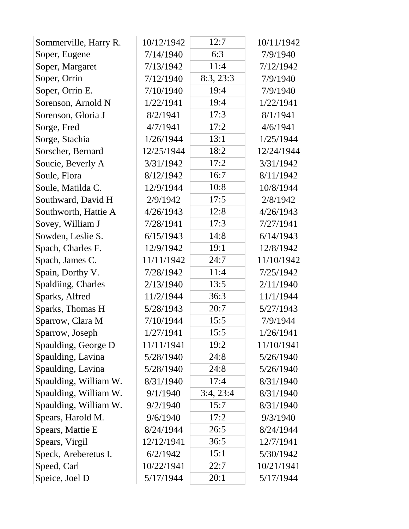| Sommerville, Harry R. | 10/12/1942 | 12:7      | 10/11/1942 |
|-----------------------|------------|-----------|------------|
| Soper, Eugene         | 7/14/1940  | 6:3       | 7/9/1940   |
| Soper, Margaret       | 7/13/1942  | 11:4      | 7/12/1942  |
| Soper, Orrin          | 7/12/1940  | 8:3, 23:3 | 7/9/1940   |
| Soper, Orrin E.       | 7/10/1940  | 19:4      | 7/9/1940   |
| Sorenson, Arnold N    | 1/22/1941  | 19:4      | 1/22/1941  |
| Sorenson, Gloria J    | 8/2/1941   | 17:3      | 8/1/1941   |
| Sorge, Fred           | 4/7/1941   | 17:2      | 4/6/1941   |
| Sorge, Stachia        | 1/26/1944  | 13:1      | 1/25/1944  |
| Sorscher, Bernard     | 12/25/1944 | 18:2      | 12/24/1944 |
| Soucie, Beverly A     | 3/31/1942  | 17:2      | 3/31/1942  |
| Soule, Flora          | 8/12/1942  | 16:7      | 8/11/1942  |
| Soule, Matilda C.     | 12/9/1944  | 10:8      | 10/8/1944  |
| Southward, David H    | 2/9/1942   | 17:5      | 2/8/1942   |
| Southworth, Hattie A  | 4/26/1943  | 12:8      | 4/26/1943  |
| Sovey, William J      | 7/28/1941  | 17:3      | 7/27/1941  |
| Sowden, Leslie S.     | 6/15/1943  | 14:8      | 6/14/1943  |
| Spach, Charles F.     | 12/9/1942  | 19:1      | 12/8/1942  |
| Spach, James C.       | 11/11/1942 | 24:7      | 11/10/1942 |
| Spain, Dorthy V.      | 7/28/1942  | 11:4      | 7/25/1942  |
| Spaldiing, Charles    | 2/13/1940  | 13:5      | 2/11/1940  |
| Sparks, Alfred        | 11/2/1944  | 36:3      | 11/1/1944  |
| Sparks, Thomas H      | 5/28/1943  | 20:7      | 5/27/1943  |
| Sparrow, Clara M      | 7/10/1944  | 15:5      | 7/9/1944   |
| Sparrow, Joseph       | 1/27/1941  | 15:5      | 1/26/1941  |
| Spaulding, George D   | 11/11/1941 | 19:2      | 11/10/1941 |
| Spaulding, Lavina     | 5/28/1940  | 24:8      | 5/26/1940  |
| Spaulding, Lavina     | 5/28/1940  | 24:8      | 5/26/1940  |
| Spaulding, William W. | 8/31/1940  | 17:4      | 8/31/1940  |
| Spaulding, William W. | 9/1/1940   | 3:4, 23:4 | 8/31/1940  |
| Spaulding, William W. | 9/2/1940   | 15:7      | 8/31/1940  |
| Spears, Harold M.     | 9/6/1940   | 17:2      | 9/3/1940   |
| Spears, Mattie E      | 8/24/1944  | 26:5      | 8/24/1944  |
| Spears, Virgil        | 12/12/1941 | 36:5      | 12/7/1941  |
| Speck, Areberetus I.  | 6/2/1942   | 15:1      | 5/30/1942  |
| Speed, Carl           | 10/22/1941 | 22:7      | 10/21/1941 |
| Speice, Joel D        | 5/17/1944  | 20:1      | 5/17/1944  |
|                       |            |           |            |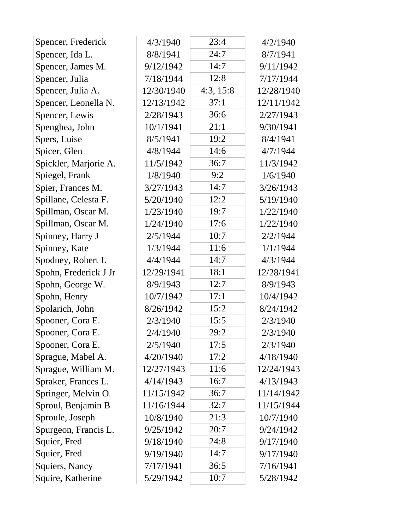| Spencer, Frederick    | 4/3/1940   | 23:4      | 4/2/1940   |
|-----------------------|------------|-----------|------------|
| Spencer, Ida L.       | 8/8/1941   | 24:7      | 8/7/1941   |
| Spencer, James M.     | 9/12/1942  | 14:7      | 9/11/1942  |
| Spencer, Julia        | 7/18/1944  | 12:8      | 7/17/1944  |
| Spencer, Julia A.     | 12/30/1940 | 4:3, 15:8 | 12/28/1940 |
| Spencer, Leonella N.  | 12/13/1942 | 37:1      | 12/11/1942 |
| Spencer, Lewis        | 2/28/1943  | 36:6      | 2/27/1943  |
| Spenghea, John        | 10/1/1941  | 21:1      | 9/30/1941  |
| Spers, Luise          | 8/5/1941   | 19:2      | 8/4/1941   |
| Spicer, Glen          | 4/8/1944   | 14:6      | 4/7/1944   |
| Spickler, Marjorie A. | 11/5/1942  | 36:7      | 11/3/1942  |
| Spiegel, Frank        | 1/8/1940   | 9:2       | 1/6/1940   |
| Spier, Frances M.     | 3/27/1943  | 14:7      | 3/26/1943  |
| Spillane, Celesta F.  | 5/20/1940  | 12:2      | 5/19/1940  |
| Spillman, Oscar M.    | 1/23/1940  | 19:7      | 1/22/1940  |
| Spillman, Oscar M.    | 1/24/1940  | 17:6      | 1/22/1940  |
| Spinney, Harry J      | 2/5/1944   | 10:7      | 2/2/1944   |
| Spinney, Kate         | 1/3/1944   | 11:6      | 1/1/1944   |
| Spodney, Robert L     | 4/4/1944   | 14:7      | 4/3/1944   |
| Spohn, Frederick J Jr | 12/29/1941 | 18:1      | 12/28/1941 |
| Spohn, George W.      | 8/9/1943   | 12:7      | 8/9/1943   |
| Spohn, Henry          | 10/7/1942  | 17:1      | 10/4/1942  |
| Spolarich, John       | 8/26/1942  | 15:2      | 8/24/1942  |
| Spooner, Cora E.      | 2/3/1940   | 15:5      | 2/3/1940   |
| Spooner, Cora E.      | 2/4/1940   | 29:2      | 2/3/1940   |
| Spooner, Cora E.      | 2/5/1940   | 17:5      | 2/3/1940   |
| Sprague, Mabel A.     | 4/20/1940  | 17:2      | 4/18/1940  |
| Sprague, William M.   | 12/27/1943 | 11:6      | 12/24/1943 |
| Spraker, Frances L.   | 4/14/1943  | 16:7      | 4/13/1943  |
| Springer, Melvin O.   | 11/15/1942 | 36:7      | 11/14/1942 |
| Sproul, Benjamin B    | 11/16/1944 | 32:7      | 11/15/1944 |
| Sproule, Joseph       | 10/8/1940  | 21:3      | 10/7/1940  |
| Spurgeon, Francis L.  | 9/25/1942  | 20:7      | 9/24/1942  |
| Squier, Fred          | 9/18/1940  | 24:8      | 9/17/1940  |
| Squier, Fred          | 9/19/1940  | 14:7      | 9/17/1940  |
| Squiers, Nancy        | 7/17/1941  | 36:5      | 7/16/1941  |
| Squire, Katherine     | 5/29/1942  | 10:7      | 5/28/1942  |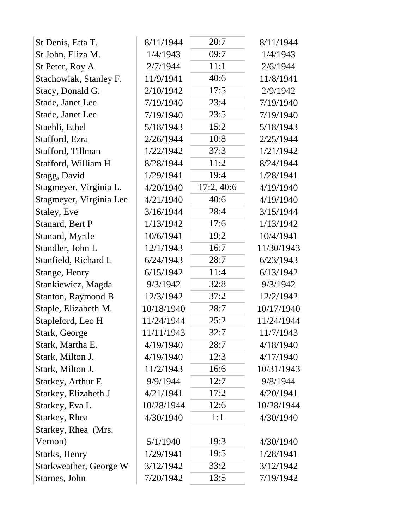| St Denis, Etta T.             | 8/11/1944  | 20:7      | 8/11/1944  |
|-------------------------------|------------|-----------|------------|
| St John, Eliza M.             | 1/4/1943   | 09:7      | 1/4/1943   |
| St Peter, Roy A               | 2/7/1944   | 11:1      | 2/6/1944   |
| Stachowiak, Stanley F.        | 11/9/1941  | 40:6      | 11/8/1941  |
| Stacy, Donald G.              | 2/10/1942  | 17:5      | 2/9/1942   |
| Stade, Janet Lee              | 7/19/1940  | 23:4      | 7/19/1940  |
| Stade, Janet Lee              | 7/19/1940  | 23:5      | 7/19/1940  |
| Staehli, Ethel                | 5/18/1943  | 15:2      | 5/18/1943  |
| Stafford, Ezra                | 2/26/1944  | 10:8      | 2/25/1944  |
| Stafford, Tillman             | 1/22/1942  | 37:3      | 1/21/1942  |
| Stafford, William H           | 8/28/1944  | 11:2      | 8/24/1944  |
| Stagg, David                  | 1/29/1941  | 19:4      | 1/28/1941  |
| Stagmeyer, Virginia L.        | 4/20/1940  | 17:2,40:6 | 4/19/1940  |
| Stagmeyer, Virginia Lee       | 4/21/1940  | 40:6      | 4/19/1940  |
| Staley, Eve                   | 3/16/1944  | 28:4      | 3/15/1944  |
| Stanard, Bert P               | 1/13/1942  | 17:6      | 1/13/1942  |
| Stanard, Myrtle               | 10/6/1941  | 19:2      | 10/4/1941  |
| Standler, John L              | 12/1/1943  | 16:7      | 11/30/1943 |
| Stanfield, Richard L          | 6/24/1943  | 28:7      | 6/23/1943  |
| Stange, Henry                 | 6/15/1942  | 11:4      | 6/13/1942  |
| Stankiewicz, Magda            | 9/3/1942   | 32:8      | 9/3/1942   |
| Stanton, Raymond B            | 12/3/1942  | 37:2      | 12/2/1942  |
| Staple, Elizabeth M.          | 10/18/1940 | 28:7      | 10/17/1940 |
| Stapleford, Leo H             | 11/24/1944 | 25:2      | 11/24/1944 |
| Stark, George                 | 11/11/1943 | 32:7      | 11/7/1943  |
| Stark, Martha E.              | 4/19/1940  | 28:7      | 4/18/1940  |
| Stark, Milton J.              | 4/19/1940  | 12:3      | 4/17/1940  |
| Stark, Milton J.              | 11/2/1943  | 16:6      | 10/31/1943 |
| Starkey, Arthur E             | 9/9/1944   | 12:7      | 9/8/1944   |
| Starkey, Elizabeth J          | 4/21/1941  | 17:2      | 4/20/1941  |
| Starkey, Eva L                | 10/28/1944 | 12:6      | 10/28/1944 |
| Starkey, Rhea                 | 4/30/1940  | 1:1       | 4/30/1940  |
| Starkey, Rhea (Mrs.           |            |           |            |
| Vernon)                       | 5/1/1940   | 19:3      | 4/30/1940  |
| <b>Starks</b> , Henry         | 1/29/1941  | 19:5      | 1/28/1941  |
| <b>Starkweather, George W</b> | 3/12/1942  | 33:2      | 3/12/1942  |
| Starnes, John                 | 7/20/1942  | 13:5      | 7/19/1942  |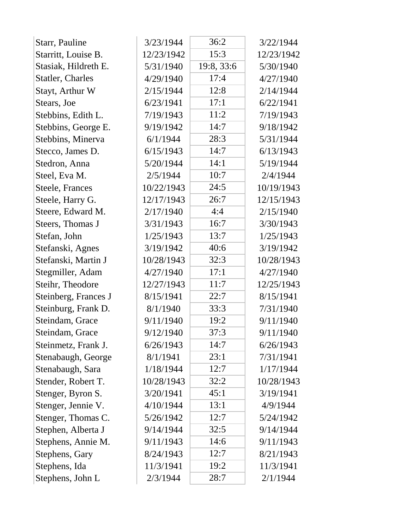| Starr, Pauline          | 3/23/1944  | 36:2       | 3/22/1944  |
|-------------------------|------------|------------|------------|
| Starritt, Louise B.     | 12/23/1942 | 15:3       | 12/23/1942 |
| Stasiak, Hildreth E.    | 5/31/1940  | 19:8, 33:6 | 5/30/1940  |
| <b>Statler, Charles</b> | 4/29/1940  | 17:4       | 4/27/1940  |
| Stayt, Arthur W         | 2/15/1944  | 12:8       | 2/14/1944  |
| Stears, Joe             | 6/23/1941  | 17:1       | 6/22/1941  |
| Stebbins, Edith L.      | 7/19/1943  | 11:2       | 7/19/1943  |
| Stebbins, George E.     | 9/19/1942  | 14:7       | 9/18/1942  |
| Stebbins, Minerva       | 6/1/1944   | 28:3       | 5/31/1944  |
| Stecco, James D.        | 6/15/1943  | 14:7       | 6/13/1943  |
| Stedron, Anna           | 5/20/1944  | 14:1       | 5/19/1944  |
| Steel, Eva M.           | 2/5/1944   | 10:7       | 2/4/1944   |
| Steele, Frances         | 10/22/1943 | 24:5       | 10/19/1943 |
| Steele, Harry G.        | 12/17/1943 | 26:7       | 12/15/1943 |
| Steere, Edward M.       | 2/17/1940  | 4:4        | 2/15/1940  |
| Steers, Thomas J        | 3/31/1943  | 16:7       | 3/30/1943  |
| Stefan, John            | 1/25/1943  | 13:7       | 1/25/1943  |
| Stefanski, Agnes        | 3/19/1942  | 40:6       | 3/19/1942  |
| Stefanski, Martin J     | 10/28/1943 | 32:3       | 10/28/1943 |
| Stegmiller, Adam        | 4/27/1940  | 17:1       | 4/27/1940  |
| Steihr, Theodore        | 12/27/1943 | 11:7       | 12/25/1943 |
| Steinberg, Frances J    | 8/15/1941  | 22:7       | 8/15/1941  |
| Steinburg, Frank D.     | 8/1/1940   | 33:3       | 7/31/1940  |
| Steindam, Grace         | 9/11/1940  | 19:2       | 9/11/1940  |
| Steindam, Grace         | 9/12/1940  | 37:3       | 9/11/1940  |
| Steinmetz, Frank J.     | 6/26/1943  | 14:7       | 6/26/1943  |
| Stenabaugh, George      | 8/1/1941   | 23:1       | 7/31/1941  |
| Stenabaugh, Sara        | 1/18/1944  | 12:7       | 1/17/1944  |
| Stender, Robert T.      | 10/28/1943 | 32:2       | 10/28/1943 |
| Stenger, Byron S.       | 3/20/1941  | 45:1       | 3/19/1941  |
| Stenger, Jennie V.      | 4/10/1944  | 13:1       | 4/9/1944   |
| Stenger, Thomas C.      | 5/26/1942  | 12:7       | 5/24/1942  |
| Stephen, Alberta J      | 9/14/1944  | 32:5       | 9/14/1944  |
| Stephens, Annie M.      | 9/11/1943  | 14:6       | 9/11/1943  |
| Stephens, Gary          | 8/24/1943  | 12:7       | 8/21/1943  |
| Stephens, Ida           | 11/3/1941  | 19:2       | 11/3/1941  |
| Stephens, John L        | 2/3/1944   | 28:7       | 2/1/1944   |
|                         |            |            |            |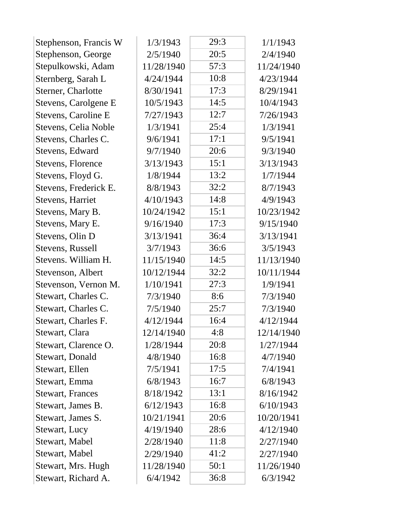| 20:5<br>Stephenson, George<br>2/5/1940<br>2/4/1940<br>Stepulkowski, Adam<br>57:3<br>11/28/1940<br>11/24/1940<br>10:8<br>Sternberg, Sarah L<br>4/24/1944<br>4/23/1944<br>17:3<br>Sterner, Charlotte<br>8/30/1941<br>8/29/1941<br>Stevens, Carolgene E<br>10/5/1943<br>14:5<br>10/4/1943<br>12:7<br>Stevens, Caroline E<br>7/27/1943<br>7/26/1943<br>25:4<br>Stevens, Celia Noble<br>1/3/1941<br>1/3/1941<br>9/6/1941<br>17:1<br>9/5/1941<br>Stevens, Charles C.<br>20:6<br>Stevens, Edward<br>9/7/1940<br>9/3/1940<br>15:1<br>Stevens, Florence<br>3/13/1943<br>3/13/1943<br>13:2<br>Stevens, Floyd G.<br>1/8/1944<br>1/7/1944<br>32:2<br>Stevens, Frederick E.<br>8/8/1943<br>8/7/1943<br>14:8<br>Stevens, Harriet<br>4/10/1943<br>4/9/1943<br>15:1<br>Stevens, Mary B.<br>10/24/1942<br>10/23/1942<br>17:3<br>Stevens, Mary E.<br>9/16/1940<br>9/15/1940<br>36:4<br>Stevens, Olin D<br>3/13/1941<br>3/13/1941<br>3/7/1943<br>36:6<br>Stevens, Russell<br>3/5/1943<br>Stevens. William H.<br>14:5<br>11/15/1940<br>11/13/1940<br>32:2<br>10/12/1944<br>10/11/1944<br>Stevenson, Albert<br>1/10/1941<br>27:3<br>Stevenson, Vernon M.<br>1/9/1941<br>8:6<br>Stewart, Charles C.<br>7/3/1940<br>7/3/1940<br>Stewart, Charles C.<br>25:7<br>7/5/1940<br>7/3/1940<br>Stewart, Charles F.<br>4/12/1944<br>16:4<br>4/12/1944<br>4:8<br>Stewart, Clara<br>12/14/1940<br>12/14/1940<br>20:8<br>Stewart, Clarence O.<br>1/28/1944<br>1/27/1944<br>Stewart, Donald<br>4/8/1940<br>16:8<br>4/7/1940<br>17:5<br>Stewart, Ellen<br>7/5/1941<br>7/4/1941<br>16:7<br>6/8/1943<br>6/8/1943 | Stephenson, Francis W | 1/3/1943 | 29:3 | 1/1/1943 |
|---------------------------------------------------------------------------------------------------------------------------------------------------------------------------------------------------------------------------------------------------------------------------------------------------------------------------------------------------------------------------------------------------------------------------------------------------------------------------------------------------------------------------------------------------------------------------------------------------------------------------------------------------------------------------------------------------------------------------------------------------------------------------------------------------------------------------------------------------------------------------------------------------------------------------------------------------------------------------------------------------------------------------------------------------------------------------------------------------------------------------------------------------------------------------------------------------------------------------------------------------------------------------------------------------------------------------------------------------------------------------------------------------------------------------------------------------------------------------------------------------------------------------------------------------------------------------|-----------------------|----------|------|----------|
|                                                                                                                                                                                                                                                                                                                                                                                                                                                                                                                                                                                                                                                                                                                                                                                                                                                                                                                                                                                                                                                                                                                                                                                                                                                                                                                                                                                                                                                                                                                                                                           |                       |          |      |          |
|                                                                                                                                                                                                                                                                                                                                                                                                                                                                                                                                                                                                                                                                                                                                                                                                                                                                                                                                                                                                                                                                                                                                                                                                                                                                                                                                                                                                                                                                                                                                                                           |                       |          |      |          |
|                                                                                                                                                                                                                                                                                                                                                                                                                                                                                                                                                                                                                                                                                                                                                                                                                                                                                                                                                                                                                                                                                                                                                                                                                                                                                                                                                                                                                                                                                                                                                                           |                       |          |      |          |
|                                                                                                                                                                                                                                                                                                                                                                                                                                                                                                                                                                                                                                                                                                                                                                                                                                                                                                                                                                                                                                                                                                                                                                                                                                                                                                                                                                                                                                                                                                                                                                           |                       |          |      |          |
|                                                                                                                                                                                                                                                                                                                                                                                                                                                                                                                                                                                                                                                                                                                                                                                                                                                                                                                                                                                                                                                                                                                                                                                                                                                                                                                                                                                                                                                                                                                                                                           |                       |          |      |          |
|                                                                                                                                                                                                                                                                                                                                                                                                                                                                                                                                                                                                                                                                                                                                                                                                                                                                                                                                                                                                                                                                                                                                                                                                                                                                                                                                                                                                                                                                                                                                                                           |                       |          |      |          |
|                                                                                                                                                                                                                                                                                                                                                                                                                                                                                                                                                                                                                                                                                                                                                                                                                                                                                                                                                                                                                                                                                                                                                                                                                                                                                                                                                                                                                                                                                                                                                                           |                       |          |      |          |
|                                                                                                                                                                                                                                                                                                                                                                                                                                                                                                                                                                                                                                                                                                                                                                                                                                                                                                                                                                                                                                                                                                                                                                                                                                                                                                                                                                                                                                                                                                                                                                           |                       |          |      |          |
|                                                                                                                                                                                                                                                                                                                                                                                                                                                                                                                                                                                                                                                                                                                                                                                                                                                                                                                                                                                                                                                                                                                                                                                                                                                                                                                                                                                                                                                                                                                                                                           |                       |          |      |          |
|                                                                                                                                                                                                                                                                                                                                                                                                                                                                                                                                                                                                                                                                                                                                                                                                                                                                                                                                                                                                                                                                                                                                                                                                                                                                                                                                                                                                                                                                                                                                                                           |                       |          |      |          |
|                                                                                                                                                                                                                                                                                                                                                                                                                                                                                                                                                                                                                                                                                                                                                                                                                                                                                                                                                                                                                                                                                                                                                                                                                                                                                                                                                                                                                                                                                                                                                                           |                       |          |      |          |
|                                                                                                                                                                                                                                                                                                                                                                                                                                                                                                                                                                                                                                                                                                                                                                                                                                                                                                                                                                                                                                                                                                                                                                                                                                                                                                                                                                                                                                                                                                                                                                           |                       |          |      |          |
|                                                                                                                                                                                                                                                                                                                                                                                                                                                                                                                                                                                                                                                                                                                                                                                                                                                                                                                                                                                                                                                                                                                                                                                                                                                                                                                                                                                                                                                                                                                                                                           |                       |          |      |          |
|                                                                                                                                                                                                                                                                                                                                                                                                                                                                                                                                                                                                                                                                                                                                                                                                                                                                                                                                                                                                                                                                                                                                                                                                                                                                                                                                                                                                                                                                                                                                                                           |                       |          |      |          |
|                                                                                                                                                                                                                                                                                                                                                                                                                                                                                                                                                                                                                                                                                                                                                                                                                                                                                                                                                                                                                                                                                                                                                                                                                                                                                                                                                                                                                                                                                                                                                                           |                       |          |      |          |
|                                                                                                                                                                                                                                                                                                                                                                                                                                                                                                                                                                                                                                                                                                                                                                                                                                                                                                                                                                                                                                                                                                                                                                                                                                                                                                                                                                                                                                                                                                                                                                           |                       |          |      |          |
|                                                                                                                                                                                                                                                                                                                                                                                                                                                                                                                                                                                                                                                                                                                                                                                                                                                                                                                                                                                                                                                                                                                                                                                                                                                                                                                                                                                                                                                                                                                                                                           |                       |          |      |          |
|                                                                                                                                                                                                                                                                                                                                                                                                                                                                                                                                                                                                                                                                                                                                                                                                                                                                                                                                                                                                                                                                                                                                                                                                                                                                                                                                                                                                                                                                                                                                                                           |                       |          |      |          |
|                                                                                                                                                                                                                                                                                                                                                                                                                                                                                                                                                                                                                                                                                                                                                                                                                                                                                                                                                                                                                                                                                                                                                                                                                                                                                                                                                                                                                                                                                                                                                                           |                       |          |      |          |
|                                                                                                                                                                                                                                                                                                                                                                                                                                                                                                                                                                                                                                                                                                                                                                                                                                                                                                                                                                                                                                                                                                                                                                                                                                                                                                                                                                                                                                                                                                                                                                           |                       |          |      |          |
|                                                                                                                                                                                                                                                                                                                                                                                                                                                                                                                                                                                                                                                                                                                                                                                                                                                                                                                                                                                                                                                                                                                                                                                                                                                                                                                                                                                                                                                                                                                                                                           |                       |          |      |          |
|                                                                                                                                                                                                                                                                                                                                                                                                                                                                                                                                                                                                                                                                                                                                                                                                                                                                                                                                                                                                                                                                                                                                                                                                                                                                                                                                                                                                                                                                                                                                                                           |                       |          |      |          |
|                                                                                                                                                                                                                                                                                                                                                                                                                                                                                                                                                                                                                                                                                                                                                                                                                                                                                                                                                                                                                                                                                                                                                                                                                                                                                                                                                                                                                                                                                                                                                                           |                       |          |      |          |
|                                                                                                                                                                                                                                                                                                                                                                                                                                                                                                                                                                                                                                                                                                                                                                                                                                                                                                                                                                                                                                                                                                                                                                                                                                                                                                                                                                                                                                                                                                                                                                           |                       |          |      |          |
|                                                                                                                                                                                                                                                                                                                                                                                                                                                                                                                                                                                                                                                                                                                                                                                                                                                                                                                                                                                                                                                                                                                                                                                                                                                                                                                                                                                                                                                                                                                                                                           |                       |          |      |          |
|                                                                                                                                                                                                                                                                                                                                                                                                                                                                                                                                                                                                                                                                                                                                                                                                                                                                                                                                                                                                                                                                                                                                                                                                                                                                                                                                                                                                                                                                                                                                                                           |                       |          |      |          |
|                                                                                                                                                                                                                                                                                                                                                                                                                                                                                                                                                                                                                                                                                                                                                                                                                                                                                                                                                                                                                                                                                                                                                                                                                                                                                                                                                                                                                                                                                                                                                                           |                       |          |      |          |
|                                                                                                                                                                                                                                                                                                                                                                                                                                                                                                                                                                                                                                                                                                                                                                                                                                                                                                                                                                                                                                                                                                                                                                                                                                                                                                                                                                                                                                                                                                                                                                           | Stewart, Emma         |          |      |          |
| 13:1<br>8/18/1942<br>8/16/1942<br><b>Stewart, Frances</b>                                                                                                                                                                                                                                                                                                                                                                                                                                                                                                                                                                                                                                                                                                                                                                                                                                                                                                                                                                                                                                                                                                                                                                                                                                                                                                                                                                                                                                                                                                                 |                       |          |      |          |
| 16:8<br>6/12/1943<br>6/10/1943<br>Stewart, James B.                                                                                                                                                                                                                                                                                                                                                                                                                                                                                                                                                                                                                                                                                                                                                                                                                                                                                                                                                                                                                                                                                                                                                                                                                                                                                                                                                                                                                                                                                                                       |                       |          |      |          |
| 20:6<br>10/21/1941<br>10/20/1941<br>Stewart, James S.                                                                                                                                                                                                                                                                                                                                                                                                                                                                                                                                                                                                                                                                                                                                                                                                                                                                                                                                                                                                                                                                                                                                                                                                                                                                                                                                                                                                                                                                                                                     |                       |          |      |          |
| 4/19/1940<br>28:6<br>4/12/1940<br>Stewart, Lucy                                                                                                                                                                                                                                                                                                                                                                                                                                                                                                                                                                                                                                                                                                                                                                                                                                                                                                                                                                                                                                                                                                                                                                                                                                                                                                                                                                                                                                                                                                                           |                       |          |      |          |
| Stewart, Mabel<br>2/28/1940<br>11:8<br>2/27/1940                                                                                                                                                                                                                                                                                                                                                                                                                                                                                                                                                                                                                                                                                                                                                                                                                                                                                                                                                                                                                                                                                                                                                                                                                                                                                                                                                                                                                                                                                                                          |                       |          |      |          |
| Stewart, Mabel<br>41:2<br>2/29/1940<br>2/27/1940                                                                                                                                                                                                                                                                                                                                                                                                                                                                                                                                                                                                                                                                                                                                                                                                                                                                                                                                                                                                                                                                                                                                                                                                                                                                                                                                                                                                                                                                                                                          |                       |          |      |          |
| Stewart, Mrs. Hugh<br>50:1<br>11/28/1940<br>11/26/1940                                                                                                                                                                                                                                                                                                                                                                                                                                                                                                                                                                                                                                                                                                                                                                                                                                                                                                                                                                                                                                                                                                                                                                                                                                                                                                                                                                                                                                                                                                                    |                       |          |      |          |
| 36:8<br>Stewart, Richard A.<br>6/4/1942<br>6/3/1942                                                                                                                                                                                                                                                                                                                                                                                                                                                                                                                                                                                                                                                                                                                                                                                                                                                                                                                                                                                                                                                                                                                                                                                                                                                                                                                                                                                                                                                                                                                       |                       |          |      |          |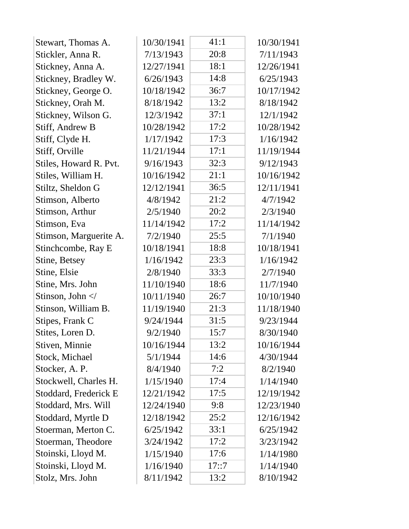| Stewart, Thomas A.                                                       | 10/30/1941 | 41:1  | 10/30/1941 |
|--------------------------------------------------------------------------|------------|-------|------------|
| Stickler, Anna R.                                                        | 7/13/1943  | 20:8  | 7/11/1943  |
| Stickney, Anna A.                                                        | 12/27/1941 | 18:1  | 12/26/1941 |
| Stickney, Bradley W.                                                     | 6/26/1943  | 14:8  | 6/25/1943  |
| Stickney, George O.                                                      | 10/18/1942 | 36:7  | 10/17/1942 |
| Stickney, Orah M.                                                        | 8/18/1942  | 13:2  | 8/18/1942  |
| Stickney, Wilson G.                                                      | 12/3/1942  | 37:1  | 12/1/1942  |
| Stiff, Andrew B                                                          | 10/28/1942 | 17:2  | 10/28/1942 |
| Stiff, Clyde H.                                                          | 1/17/1942  | 17:3  | 1/16/1942  |
| Stiff, Orville                                                           | 11/21/1944 | 17:1  | 11/19/1944 |
| Stiles, Howard R. Pvt.                                                   | 9/16/1943  | 32:3  | 9/12/1943  |
| Stiles, William H.                                                       | 10/16/1942 | 21:1  | 10/16/1942 |
| Stiltz, Sheldon G                                                        | 12/12/1941 | 36:5  | 12/11/1941 |
| Stimson, Alberto                                                         | 4/8/1942   | 21:2  | 4/7/1942   |
| Stimson, Arthur                                                          | 2/5/1940   | 20:2  | 2/3/1940   |
| Stimson, Eva                                                             | 11/14/1942 | 17:2  | 11/14/1942 |
| Stimson, Marguerite A.                                                   | 7/2/1940   | 25:5  | 7/1/1940   |
| Stinchcombe, Ray E                                                       | 10/18/1941 | 18:8  | 10/18/1941 |
| Stine, Betsey                                                            | 1/16/1942  | 23:3  | 1/16/1942  |
| Stine, Elsie                                                             | 2/8/1940   | 33:3  | 2/7/1940   |
| Stine, Mrs. John                                                         | 11/10/1940 | 18:6  | 11/7/1940  |
| Stinson, John </td <td>10/11/1940</td> <td>26:7</td> <td>10/10/1940</td> | 10/11/1940 | 26:7  | 10/10/1940 |
| Stinson, William B.                                                      | 11/19/1940 | 21:3  | 11/18/1940 |
| Stipes, Frank C                                                          | 9/24/1944  | 31:5  | 9/23/1944  |
| Stites, Loren D.                                                         | 9/2/1940   | 15:7  | 8/30/1940  |
| Stiven, Minnie                                                           | 10/16/1944 | 13:2  | 10/16/1944 |
| Stock, Michael                                                           | 5/1/1944   | 14:6  | 4/30/1944  |
| Stocker, A. P.                                                           | 8/4/1940   | 7:2   | 8/2/1940   |
| Stockwell, Charles H.                                                    | 1/15/1940  | 17:4  | 1/14/1940  |
| Stoddard, Frederick E                                                    | 12/21/1942 | 17:5  | 12/19/1942 |
| Stoddard, Mrs. Will                                                      | 12/24/1940 | 9:8   | 12/23/1940 |
| Stoddard, Myrtle D                                                       | 12/18/1942 | 25:2  | 12/16/1942 |
| Stoerman, Merton C.                                                      | 6/25/1942  | 33:1  | 6/25/1942  |
| Stoerman, Theodore                                                       | 3/24/1942  | 17:2  | 3/23/1942  |
| Stoinski, Lloyd M.                                                       | 1/15/1940  | 17:6  | 1/14/1980  |
| Stoinski, Lloyd M.                                                       | 1/16/1940  | 17::7 | 1/14/1940  |
| Stolz, Mrs. John                                                         | 8/11/1942  | 13:2  | 8/10/1942  |
|                                                                          |            |       |            |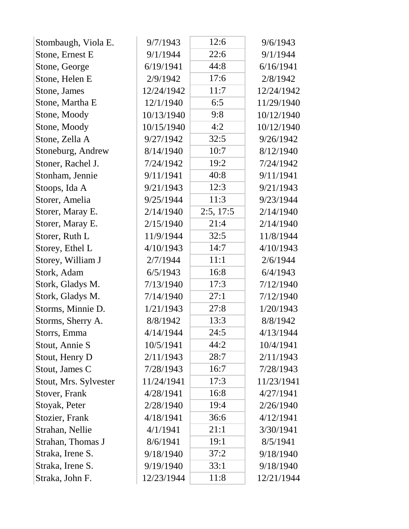| Stombaugh, Viola E.   | 9/7/1943   | 12:6      | 9/6/1943   |
|-----------------------|------------|-----------|------------|
| Stone, Ernest E       | 9/1/1944   | 22:6      | 9/1/1944   |
| Stone, George         | 6/19/1941  | 44:8      | 6/16/1941  |
| Stone, Helen E        | 2/9/1942   | 17:6      | 2/8/1942   |
| Stone, James          | 12/24/1942 | 11:7      | 12/24/1942 |
| Stone, Martha E       | 12/1/1940  | 6:5       | 11/29/1940 |
| Stone, Moody          | 10/13/1940 | 9:8       | 10/12/1940 |
| Stone, Moody          | 10/15/1940 | 4:2       | 10/12/1940 |
| Stone, Zella A        | 9/27/1942  | 32:5      | 9/26/1942  |
| Stoneburg, Andrew     | 8/14/1940  | 10:7      | 8/12/1940  |
| Stoner, Rachel J.     | 7/24/1942  | 19:2      | 7/24/1942  |
| Stonham, Jennie       | 9/11/1941  | 40:8      | 9/11/1941  |
| Stoops, Ida A         | 9/21/1943  | 12:3      | 9/21/1943  |
| Storer, Amelia        | 9/25/1944  | 11:3      | 9/23/1944  |
| Storer, Maray E.      | 2/14/1940  | 2:5, 17:5 | 2/14/1940  |
| Storer, Maray E.      | 2/15/1940  | 21:4      | 2/14/1940  |
| Storer, Ruth L        | 11/9/1944  | 32:5      | 11/8/1944  |
| Storey, Ethel L       | 4/10/1943  | 14:7      | 4/10/1943  |
| Storey, William J     | 2/7/1944   | 11:1      | 2/6/1944   |
| Stork, Adam           | 6/5/1943   | 16:8      | 6/4/1943   |
| Stork, Gladys M.      | 7/13/1940  | 17:3      | 7/12/1940  |
| Stork, Gladys M.      | 7/14/1940  | 27:1      | 7/12/1940  |
| Storms, Minnie D.     | 1/21/1943  | 27:8      | 1/20/1943  |
| Storms, Sherry A.     | 8/8/1942   | 13:3      | 8/8/1942   |
| Storrs, Emma          | 4/14/1944  | 24:5      | 4/13/1944  |
| Stout, Annie S        | 10/5/1941  | 44:2      | 10/4/1941  |
| Stout, Henry D        | 2/11/1943  | 28:7      | 2/11/1943  |
| Stout, James C        | 7/28/1943  | 16:7      | 7/28/1943  |
| Stout, Mrs. Sylvester | 11/24/1941 | 17:3      | 11/23/1941 |
| Stover, Frank         | 4/28/1941  | 16:8      | 4/27/1941  |
| Stoyak, Peter         | 2/28/1940  | 19:4      | 2/26/1940  |
| Stozier, Frank        | 4/18/1941  | 36:6      | 4/12/1941  |
| Strahan, Nellie       | 4/1/1941   | 21:1      | 3/30/1941  |
| Strahan, Thomas J     | 8/6/1941   | 19:1      | 8/5/1941   |
| Straka, Irene S.      | 9/18/1940  | 37:2      | 9/18/1940  |
| Straka, Irene S.      | 9/19/1940  | 33:1      | 9/18/1940  |
| Straka, John F.       | 12/23/1944 | 11:8      | 12/21/1944 |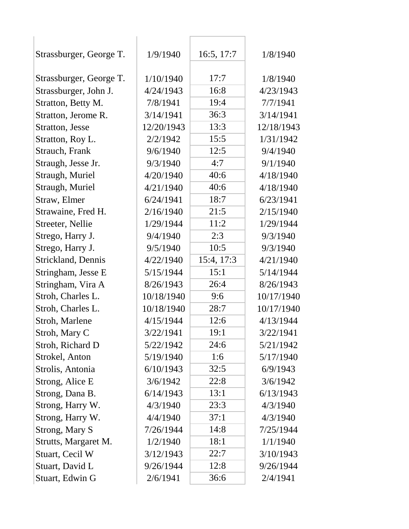| Strassburger, George T. | 1/9/1940   | 16:5, 17:7 | 1/8/1940   |
|-------------------------|------------|------------|------------|
| Strassburger, George T. | 1/10/1940  | 17:7       | 1/8/1940   |
| Strassburger, John J.   | 4/24/1943  | 16:8       | 4/23/1943  |
| Stratton, Betty M.      | 7/8/1941   | 19:4       | 7/7/1941   |
| Stratton, Jerome R.     | 3/14/1941  | 36:3       | 3/14/1941  |
| Stratton, Jesse         | 12/20/1943 | 13:3       | 12/18/1943 |
| Stratton, Roy L.        | 2/2/1942   | 15:5       | 1/31/1942  |
| Strauch, Frank          | 9/6/1940   | 12:5       | 9/4/1940   |
| Straugh, Jesse Jr.      | 9/3/1940   | 4:7        | 9/1/1940   |
| Straugh, Muriel         | 4/20/1940  | 40:6       | 4/18/1940  |
| Straugh, Muriel         | 4/21/1940  | 40:6       | 4/18/1940  |
| Straw, Elmer            | 6/24/1941  | 18:7       | 6/23/1941  |
| Strawaine, Fred H.      | 2/16/1940  | 21:5       | 2/15/1940  |
| Streeter, Nellie        | 1/29/1944  | 11:2       | 1/29/1944  |
| Strego, Harry J.        | 9/4/1940   | 2:3        | 9/3/1940   |
| Strego, Harry J.        | 9/5/1940   | 10:5       | 9/3/1940   |
| Strickland, Dennis      | 4/22/1940  | 15:4, 17:3 | 4/21/1940  |
| Stringham, Jesse E      | 5/15/1944  | 15:1       | 5/14/1944  |
| Stringham, Vira A       | 8/26/1943  | 26:4       | 8/26/1943  |
| Stroh, Charles L.       | 10/18/1940 | 9:6        | 10/17/1940 |
| Stroh, Charles L.       | 10/18/1940 | 28:7       | 10/17/1940 |
| Stroh, Marlene          | 4/15/1944  | 12:6       | 4/13/1944  |
| Stroh, Mary C           | 3/22/1941  | 19:1       | 3/22/1941  |
| Stroh, Richard D        | 5/22/1942  | 24:6       | 5/21/1942  |
| Strokel, Anton          | 5/19/1940  | 1:6        | 5/17/1940  |
| Strolis, Antonia        | 6/10/1943  | 32:5       | 6/9/1943   |
| Strong, Alice E         | 3/6/1942   | 22:8       | 3/6/1942   |
| Strong, Dana B.         | 6/14/1943  | 13:1       | 6/13/1943  |
| Strong, Harry W.        | 4/3/1940   | 23:3       | 4/3/1940   |
| Strong, Harry W.        | 4/4/1940   | 37:1       | 4/3/1940   |
| Strong, Mary S          | 7/26/1944  | 14:8       | 7/25/1944  |
| Strutts, Margaret M.    | 1/2/1940   | 18:1       | 1/1/1940   |
| Stuart, Cecil W         | 3/12/1943  | 22:7       | 3/10/1943  |
| Stuart, David L         | 9/26/1944  | 12:8       | 9/26/1944  |
| Stuart, Edwin G         | 2/6/1941   | 36:6       | 2/4/1941   |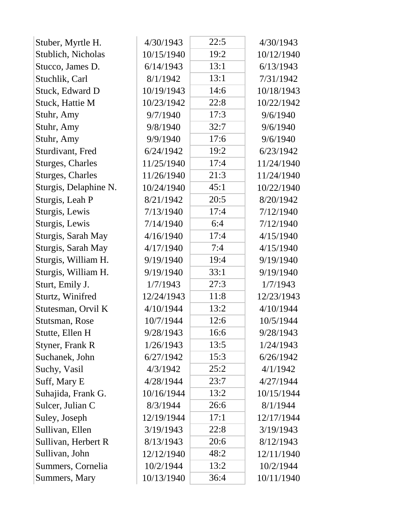| Stuber, Myrtle H.       | 4/30/1943  | 22:5 | 4/30/1943  |
|-------------------------|------------|------|------------|
| Stublich, Nicholas      | 10/15/1940 | 19:2 | 10/12/1940 |
| Stucco, James D.        | 6/14/1943  | 13:1 | 6/13/1943  |
| Stuchlik, Carl          | 8/1/1942   | 13:1 | 7/31/1942  |
| Stuck, Edward D         | 10/19/1943 | 14:6 | 10/18/1943 |
| Stuck, Hattie M         | 10/23/1942 | 22:8 | 10/22/1942 |
| Stuhr, Amy              | 9/7/1940   | 17:3 | 9/6/1940   |
| Stuhr, Amy              | 9/8/1940   | 32:7 | 9/6/1940   |
| Stuhr, Amy              | 9/9/1940   | 17:6 | 9/6/1940   |
| Sturdivant, Fred        | 6/24/1942  | 19:2 | 6/23/1942  |
| <b>Sturges, Charles</b> | 11/25/1940 | 17:4 | 11/24/1940 |
| <b>Sturges, Charles</b> | 11/26/1940 | 21:3 | 11/24/1940 |
| Sturgis, Delaphine N.   | 10/24/1940 | 45:1 | 10/22/1940 |
| Sturgis, Leah P         | 8/21/1942  | 20:5 | 8/20/1942  |
| Sturgis, Lewis          | 7/13/1940  | 17:4 | 7/12/1940  |
| Sturgis, Lewis          | 7/14/1940  | 6:4  | 7/12/1940  |
| Sturgis, Sarah May      | 4/16/1940  | 17:4 | 4/15/1940  |
| Sturgis, Sarah May      | 4/17/1940  | 7:4  | 4/15/1940  |
| Sturgis, William H.     | 9/19/1940  | 19:4 | 9/19/1940  |
| Sturgis, William H.     | 9/19/1940  | 33:1 | 9/19/1940  |
| Sturt, Emily J.         | 1/7/1943   | 27:3 | 1/7/1943   |
| Sturtz, Winifred        | 12/24/1943 | 11:8 | 12/23/1943 |
| Stutesman, Orvil K      | 4/10/1944  | 13:2 | 4/10/1944  |
| Stutsman, Rose          | 10/7/1944  | 12:6 | 10/5/1944  |
| Stutte, Ellen H         | 9/28/1943  | 16:6 | 9/28/1943  |
| Styner, Frank R         | 1/26/1943  | 13:5 | 1/24/1943  |
| Suchanek, John          | 6/27/1942  | 15:3 | 6/26/1942  |
| Suchy, Vasil            | 4/3/1942   | 25:2 | 4/1/1942   |
| Suff, Mary E            | 4/28/1944  | 23:7 | 4/27/1944  |
| Suhajida, Frank G.      | 10/16/1944 | 13:2 | 10/15/1944 |
| Sulcer, Julian C        | 8/3/1944   | 26:6 | 8/1/1944   |
| Suley, Joseph           | 12/19/1944 | 17:1 | 12/17/1944 |
| Sullivan, Ellen         | 3/19/1943  | 22:8 | 3/19/1943  |
| Sullivan, Herbert R     | 8/13/1943  | 20:6 | 8/12/1943  |
| Sullivan, John          | 12/12/1940 | 48:2 | 12/11/1940 |
| Summers, Cornelia       | 10/2/1944  | 13:2 | 10/2/1944  |
| Summers, Mary           | 10/13/1940 | 36:4 | 10/11/1940 |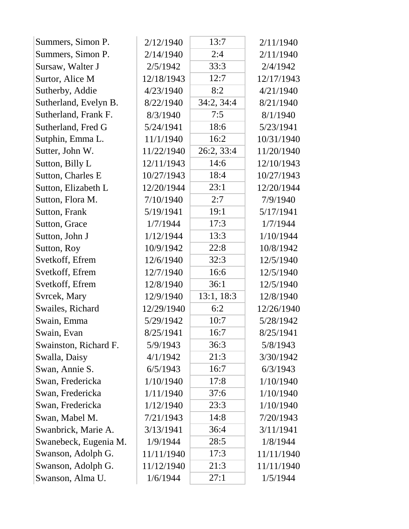| Summers, Simon P.     | 2/12/1940  | 13:7       | 2/11/1940  |
|-----------------------|------------|------------|------------|
| Summers, Simon P.     | 2/14/1940  | 2:4        | 2/11/1940  |
| Sursaw, Walter J      | 2/5/1942   | 33:3       | 2/4/1942   |
| Surtor, Alice M       | 12/18/1943 | 12:7       | 12/17/1943 |
| Sutherby, Addie       | 4/23/1940  | 8:2        | 4/21/1940  |
| Sutherland, Evelyn B. | 8/22/1940  | 34:2, 34:4 | 8/21/1940  |
| Sutherland, Frank F.  | 8/3/1940   | 7:5        | 8/1/1940   |
| Sutherland, Fred G    | 5/24/1941  | 18:6       | 5/23/1941  |
| Sutphin, Emma L.      | 11/1/1940  | 16:2       | 10/31/1940 |
| Sutter, John W.       | 11/22/1940 | 26:2, 33:4 | 11/20/1940 |
| Sutton, Billy L       | 12/11/1943 | 14:6       | 12/10/1943 |
| Sutton, Charles E     | 10/27/1943 | 18:4       | 10/27/1943 |
| Sutton, Elizabeth L   | 12/20/1944 | 23:1       | 12/20/1944 |
| Sutton, Flora M.      | 7/10/1940  | 2:7        | 7/9/1940   |
| Sutton, Frank         | 5/19/1941  | 19:1       | 5/17/1941  |
| Sutton, Grace         | 1/7/1944   | 17:3       | 1/7/1944   |
| Sutton, John J        | 1/12/1944  | 13:3       | 1/10/1944  |
| Sutton, Roy           | 10/9/1942  | 22:8       | 10/8/1942  |
| Svetkoff, Efrem       | 12/6/1940  | 32:3       | 12/5/1940  |
| Svetkoff, Efrem       | 12/7/1940  | 16:6       | 12/5/1940  |
| Svetkoff, Efrem       | 12/8/1940  | 36:1       | 12/5/1940  |
| Svrcek, Mary          | 12/9/1940  | 13:1, 18:3 | 12/8/1940  |
| Swailes, Richard      | 12/29/1940 | 6:2        | 12/26/1940 |
| Swain, Emma           | 5/29/1942  | 10:7       | 5/28/1942  |
| Swain, Evan           | 8/25/1941  | 16:7       | 8/25/1941  |
| Swainston, Richard F. | 5/9/1943   | 36:3       | 5/8/1943   |
| Swalla, Daisy         | 4/1/1942   | 21:3       | 3/30/1942  |
| Swan, Annie S.        | 6/5/1943   | 16:7       | 6/3/1943   |
| Swan, Fredericka      | 1/10/1940  | 17:8       | 1/10/1940  |
| Swan, Fredericka      | 1/11/1940  | 37:6       | 1/10/1940  |
| Swan, Fredericka      | 1/12/1940  | 23:3       | 1/10/1940  |
| Swan, Mabel M.        | 7/21/1943  | 14:8       | 7/20/1943  |
| Swanbrick, Marie A.   | 3/13/1941  | 36:4       | 3/11/1941  |
| Swanebeck, Eugenia M. | 1/9/1944   | 28:5       | 1/8/1944   |
| Swanson, Adolph G.    | 11/11/1940 | 17:3       | 11/11/1940 |
| Swanson, Adolph G.    | 11/12/1940 | 21:3       | 11/11/1940 |
| Swanson, Alma U.      | 1/6/1944   | 27:1       | 1/5/1944   |
|                       |            |            |            |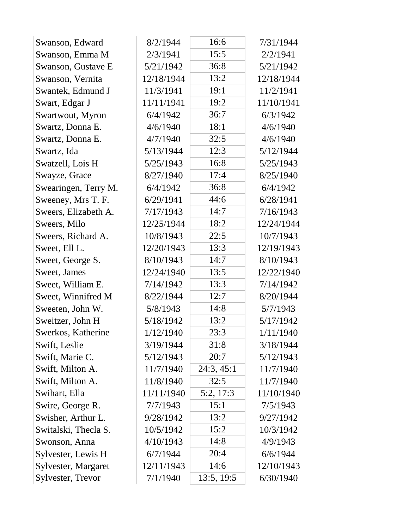| Swanson, Edward      | 8/2/1944   | 16:6       | 7/31/1944  |
|----------------------|------------|------------|------------|
| Swanson, Emma M      | 2/3/1941   | 15:5       | 2/2/1941   |
| Swanson, Gustave E   | 5/21/1942  | 36:8       | 5/21/1942  |
| Swanson, Vernita     | 12/18/1944 | 13:2       | 12/18/1944 |
| Swantek, Edmund J    | 11/3/1941  | 19:1       | 11/2/1941  |
| Swart, Edgar J       | 11/11/1941 | 19:2       | 11/10/1941 |
| Swartwout, Myron     | 6/4/1942   | 36:7       | 6/3/1942   |
| Swartz, Donna E.     | 4/6/1940   | 18:1       | 4/6/1940   |
| Swartz, Donna E.     | 4/7/1940   | 32:5       | 4/6/1940   |
| Swartz, Ida          | 5/13/1944  | 12:3       | 5/12/1944  |
| Swatzell, Lois H     | 5/25/1943  | 16:8       | 5/25/1943  |
| Swayze, Grace        | 8/27/1940  | 17:4       | 8/25/1940  |
| Swearingen, Terry M. | 6/4/1942   | 36:8       | 6/4/1942   |
| Sweeney, Mrs T. F.   | 6/29/1941  | 44:6       | 6/28/1941  |
| Sweers, Elizabeth A. | 7/17/1943  | 14:7       | 7/16/1943  |
| Sweers, Milo         | 12/25/1944 | 18:2       | 12/24/1944 |
| Sweers, Richard A.   | 10/8/1943  | 22:5       | 10/7/1943  |
| Sweet, Ell L.        | 12/20/1943 | 13:3       | 12/19/1943 |
| Sweet, George S.     | 8/10/1943  | 14:7       | 8/10/1943  |
| Sweet, James         | 12/24/1940 | 13:5       | 12/22/1940 |
| Sweet, William E.    | 7/14/1942  | 13:3       | 7/14/1942  |
| Sweet, Winnifred M   | 8/22/1944  | 12:7       | 8/20/1944  |
| Sweeten, John W.     | 5/8/1943   | 14:8       | 5/7/1943   |
| Sweitzer, John H     | 5/18/1942  | 13:2       | 5/17/1942  |
| Swerkos, Katherine   | 1/12/1940  | 23:3       | 1/11/1940  |
| Swift, Leslie        | 3/19/1944  | 31:8       | 3/18/1944  |
| Swift, Marie C.      | 5/12/1943  | 20:7       | 5/12/1943  |
| Swift, Milton A.     | 11/7/1940  | 24:3, 45:1 | 11/7/1940  |
| Swift, Milton A.     | 11/8/1940  | 32:5       | 11/7/1940  |
| Swihart, Ella        | 11/11/1940 | 5:2, 17:3  | 11/10/1940 |
| Swire, George R.     | 7/7/1943   | 15:1       | 7/5/1943   |
| Swisher, Arthur L.   | 9/28/1942  | 13:2       | 9/27/1942  |
| Switalski, Thecla S. | 10/5/1942  | 15:2       | 10/3/1942  |
| Swonson, Anna        | 4/10/1943  | 14:8       | 4/9/1943   |
| Sylvester, Lewis H   | 6/7/1944   | 20:4       | 6/6/1944   |
| Sylvester, Margaret  | 12/11/1943 | 14:6       | 12/10/1943 |
| Sylvester, Trevor    | 7/1/1940   | 13:5, 19:5 | 6/30/1940  |
|                      |            |            |            |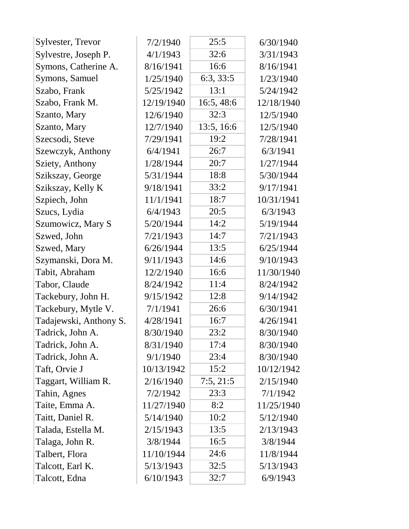| Sylvester, Trevor      | 7/2/1940   | 25:5       | 6/30/1940  |
|------------------------|------------|------------|------------|
| Sylvestre, Joseph P.   | 4/1/1943   | 32:6       | 3/31/1943  |
| Symons, Catherine A.   | 8/16/1941  | 16:6       | 8/16/1941  |
| Symons, Samuel         | 1/25/1940  | 6:3, 33:5  | 1/23/1940  |
| Szabo, Frank           | 5/25/1942  | 13:1       | 5/24/1942  |
| Szabo, Frank M.        | 12/19/1940 | 16:5,48:6  | 12/18/1940 |
| Szanto, Mary           | 12/6/1940  | 32:3       | 12/5/1940  |
| Szanto, Mary           | 12/7/1940  | 13:5, 16:6 | 12/5/1940  |
| Szecsodi, Steve        | 7/29/1941  | 19:2       | 7/28/1941  |
| Szewczyk, Anthony      | 6/4/1941   | 26:7       | 6/3/1941   |
| Sziety, Anthony        | 1/28/1944  | 20:7       | 1/27/1944  |
| Szikszay, George       | 5/31/1944  | 18:8       | 5/30/1944  |
| Szikszay, Kelly K      | 9/18/1941  | 33:2       | 9/17/1941  |
| Szpiech, John          | 11/1/1941  | 18:7       | 10/31/1941 |
| Szucs, Lydia           | 6/4/1943   | 20:5       | 6/3/1943   |
| Szumowicz, Mary S      | 5/20/1944  | 14:2       | 5/19/1944  |
| Szwed, John            | 7/21/1943  | 14:7       | 7/21/1943  |
| Szwed, Mary            | 6/26/1944  | 13:5       | 6/25/1944  |
| Szymanski, Dora M.     | 9/11/1943  | 14:6       | 9/10/1943  |
| Tabit, Abraham         | 12/2/1940  | 16:6       | 11/30/1940 |
| Tabor, Claude          | 8/24/1942  | 11:4       | 8/24/1942  |
| Tackebury, John H.     | 9/15/1942  | 12:8       | 9/14/1942  |
| Tackebury, Mytle V.    | 7/1/1941   | 26:6       | 6/30/1941  |
| Tadajewski, Anthony S. | 4/28/1941  | 16:7       | 4/26/1941  |
| Tadrick, John A.       | 8/30/1940  | 23:2       | 8/30/1940  |
| Tadrick, John A.       | 8/31/1940  | 17:4       | 8/30/1940  |
| Tadrick, John A.       | 9/1/1940   | 23:4       | 8/30/1940  |
| Taft, Orvie J          | 10/13/1942 | 15:2       | 10/12/1942 |
| Taggart, William R.    | 2/16/1940  | 7:5, 21:5  | 2/15/1940  |
| Tahin, Agnes           | 7/2/1942   | 23:3       | 7/1/1942   |
| Taite, Emma A.         | 11/27/1940 | 8:2        | 11/25/1940 |
| Taitt, Daniel R.       | 5/14/1940  | 10:2       | 5/12/1940  |
| Talada, Estella M.     | 2/15/1943  | 13:5       | 2/13/1943  |
| Talaga, John R.        | 3/8/1944   | 16:5       | 3/8/1944   |
| Talbert, Flora         | 11/10/1944 | 24:6       | 11/8/1944  |
| Talcott, Earl K.       | 5/13/1943  | 32:5       | 5/13/1943  |
| Talcott, Edna          | 6/10/1943  | 32:7       | 6/9/1943   |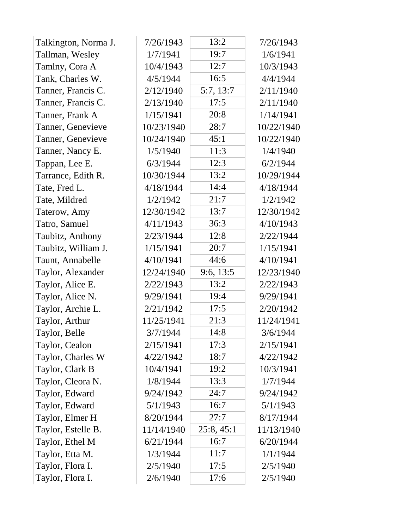| Talkington, Norma J. | 7/26/1943  | 13:2       | 7/26/1943  |
|----------------------|------------|------------|------------|
| Tallman, Wesley      | 1/7/1941   | 19:7       | 1/6/1941   |
| Tamlny, Cora A       | 10/4/1943  | 12:7       | 10/3/1943  |
| Tank, Charles W.     | 4/5/1944   | 16:5       | 4/4/1944   |
| Tanner, Francis C.   | 2/12/1940  | 5:7, 13:7  | 2/11/1940  |
| Tanner, Francis C.   | 2/13/1940  | 17:5       | 2/11/1940  |
| Tanner, Frank A      | 1/15/1941  | 20:8       | 1/14/1941  |
| Tanner, Genevieve    | 10/23/1940 | 28:7       | 10/22/1940 |
| Tanner, Genevieve    | 10/24/1940 | 45:1       | 10/22/1940 |
| Tanner, Nancy E.     | 1/5/1940   | 11:3       | 1/4/1940   |
| Tappan, Lee E.       | 6/3/1944   | 12:3       | 6/2/1944   |
| Tarrance, Edith R.   | 10/30/1944 | 13:2       | 10/29/1944 |
| Tate, Fred L.        | 4/18/1944  | 14:4       | 4/18/1944  |
| Tate, Mildred        | 1/2/1942   | 21:7       | 1/2/1942   |
| Taterow, Amy         | 12/30/1942 | 13:7       | 12/30/1942 |
| Tatro, Samuel        | 4/11/1943  | 36:3       | 4/10/1943  |
| Taubitz, Anthony     | 2/23/1944  | 12:8       | 2/22/1944  |
| Taubitz, William J.  | 1/15/1941  | 20:7       | 1/15/1941  |
| Taunt, Annabelle     | 4/10/1941  | 44:6       | 4/10/1941  |
| Taylor, Alexander    | 12/24/1940 | 9:6, 13:5  | 12/23/1940 |
| Taylor, Alice E.     | 2/22/1943  | 13:2       | 2/22/1943  |
| Taylor, Alice N.     | 9/29/1941  | 19:4       | 9/29/1941  |
| Taylor, Archie L.    | 2/21/1942  | 17:5       | 2/20/1942  |
| Taylor, Arthur       | 11/25/1941 | 21:3       | 11/24/1941 |
| Taylor, Belle        | 3/7/1944   | 14:8       | 3/6/1944   |
| Taylor, Cealon       | 2/15/1941  | 17:3       | 2/15/1941  |
| Taylor, Charles W    | 4/22/1942  | 18:7       | 4/22/1942  |
| Taylor, Clark B      | 10/4/1941  | 19:2       | 10/3/1941  |
| Taylor, Cleora N.    | 1/8/1944   | 13:3       | 1/7/1944   |
| Taylor, Edward       | 9/24/1942  | 24:7       | 9/24/1942  |
| Taylor, Edward       | 5/1/1943   | 16:7       | 5/1/1943   |
| Taylor, Elmer H      | 8/20/1944  | 27:7       | 8/17/1944  |
| Taylor, Estelle B.   | 11/14/1940 | 25:8, 45:1 | 11/13/1940 |
| Taylor, Ethel M      | 6/21/1944  | 16:7       | 6/20/1944  |
| Taylor, Etta M.      | 1/3/1944   | 11:7       | 1/1/1944   |
| Taylor, Flora I.     | 2/5/1940   | 17:5       | 2/5/1940   |
| Taylor, Flora I.     | 2/6/1940   | 17:6       | 2/5/1940   |
|                      |            |            |            |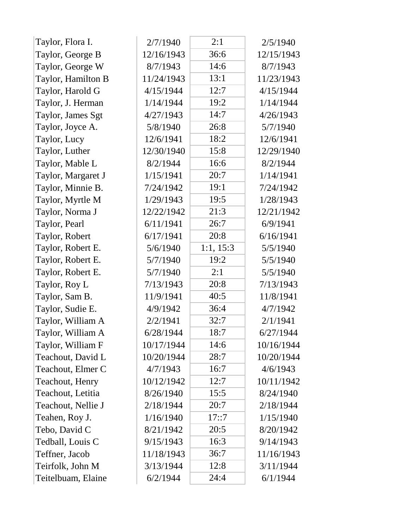| Taylor, Flora I.   | 2/7/1940   | 2:1       | 2/5/1940   |
|--------------------|------------|-----------|------------|
| Taylor, George B   | 12/16/1943 | 36:6      | 12/15/1943 |
| Taylor, George W   | 8/7/1943   | 14:6      | 8/7/1943   |
| Taylor, Hamilton B | 11/24/1943 | 13:1      | 11/23/1943 |
| Taylor, Harold G   | 4/15/1944  | 12:7      | 4/15/1944  |
| Taylor, J. Herman  | 1/14/1944  | 19:2      | 1/14/1944  |
| Taylor, James Sgt  | 4/27/1943  | 14:7      | 4/26/1943  |
| Taylor, Joyce A.   | 5/8/1940   | 26:8      | 5/7/1940   |
| Taylor, Lucy       | 12/6/1941  | 18:2      | 12/6/1941  |
| Taylor, Luther     | 12/30/1940 | 15:8      | 12/29/1940 |
| Taylor, Mable L    | 8/2/1944   | 16:6      | 8/2/1944   |
| Taylor, Margaret J | 1/15/1941  | 20:7      | 1/14/1941  |
| Taylor, Minnie B.  | 7/24/1942  | 19:1      | 7/24/1942  |
| Taylor, Myrtle M   | 1/29/1943  | 19:5      | 1/28/1943  |
| Taylor, Norma J    | 12/22/1942 | 21:3      | 12/21/1942 |
| Taylor, Pearl      | 6/11/1941  | 26:7      | 6/9/1941   |
| Taylor, Robert     | 6/17/1941  | 20:8      | 6/16/1941  |
| Taylor, Robert E.  | 5/6/1940   | 1:1, 15:3 | 5/5/1940   |
| Taylor, Robert E.  | 5/7/1940   | 19:2      | 5/5/1940   |
| Taylor, Robert E.  | 5/7/1940   | 2:1       | 5/5/1940   |
| Taylor, Roy L      | 7/13/1943  | 20:8      | 7/13/1943  |
| Taylor, Sam B.     | 11/9/1941  | 40:5      | 11/8/1941  |
| Taylor, Sudie E.   | 4/9/1942   | 36:4      | 4/7/1942   |
| Taylor, William A  | 2/2/1941   | 32:7      | 2/1/1941   |
| Taylor, William A  | 6/28/1944  | 18:7      | 6/27/1944  |
| Taylor, William F  | 10/17/1944 | 14:6      | 10/16/1944 |
| Teachout, David L  | 10/20/1944 | 28:7      | 10/20/1944 |
| Teachout, Elmer C  | 4/7/1943   | 16:7      | 4/6/1943   |
| Teachout, Henry    | 10/12/1942 | 12:7      | 10/11/1942 |
| Teachout, Letitia  | 8/26/1940  | 15:5      | 8/24/1940  |
| Teachout, Nellie J | 2/18/1944  | 20:7      | 2/18/1944  |
| Teahen, Roy J.     | 1/16/1940  | 17::7     | 1/15/1940  |
| Tebo, David C      | 8/21/1942  | 20:5      | 8/20/1942  |
| Tedball, Louis C   | 9/15/1943  | 16:3      | 9/14/1943  |
| Teffner, Jacob     | 11/18/1943 | 36:7      | 11/16/1943 |
| Teirfolk, John M   | 3/13/1944  | 12:8      | 3/11/1944  |
| Teitelbuam, Elaine | 6/2/1944   | 24:4      | 6/1/1944   |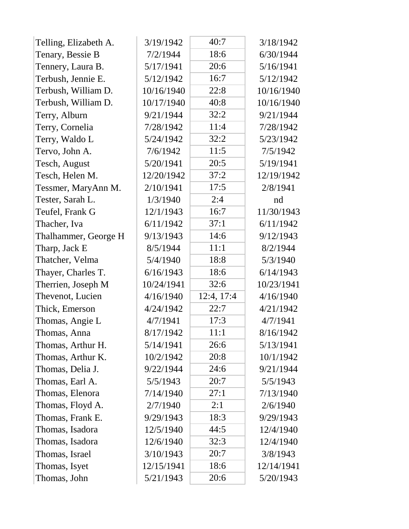| Telling, Elizabeth A. | 3/19/1942  | 40:7       | 3/18/1942  |
|-----------------------|------------|------------|------------|
| Tenary, Bessie B      | 7/2/1944   | 18:6       | 6/30/1944  |
| Tennery, Laura B.     | 5/17/1941  | 20:6       | 5/16/1941  |
| Terbush, Jennie E.    | 5/12/1942  | 16:7       | 5/12/1942  |
| Terbush, William D.   | 10/16/1940 | 22:8       | 10/16/1940 |
| Terbush, William D.   | 10/17/1940 | 40:8       | 10/16/1940 |
| Terry, Alburn         | 9/21/1944  | 32:2       | 9/21/1944  |
| Terry, Cornelia       | 7/28/1942  | 11:4       | 7/28/1942  |
| Terry, Waldo L        | 5/24/1942  | 32:2       | 5/23/1942  |
| Tervo, John A.        | 7/6/1942   | 11:5       | 7/5/1942   |
| Tesch, August         | 5/20/1941  | 20:5       | 5/19/1941  |
| Tesch, Helen M.       | 12/20/1942 | 37:2       | 12/19/1942 |
| Tessmer, MaryAnn M.   | 2/10/1941  | 17:5       | 2/8/1941   |
| Tester, Sarah L.      | 1/3/1940   | 2:4        | nd         |
| Teufel, Frank G       | 12/1/1943  | 16:7       | 11/30/1943 |
| Thacher, Iva          | 6/11/1942  | 37:1       | 6/11/1942  |
| Thalhammer, George H  | 9/13/1943  | 14:6       | 9/12/1943  |
| Tharp, Jack E         | 8/5/1944   | 11:1       | 8/2/1944   |
| Thatcher, Velma       | 5/4/1940   | 18:8       | 5/3/1940   |
| Thayer, Charles T.    | 6/16/1943  | 18:6       | 6/14/1943  |
| Therrien, Joseph M    | 10/24/1941 | 32:6       | 10/23/1941 |
| Thevenot, Lucien      | 4/16/1940  | 12:4, 17:4 | 4/16/1940  |
| Thick, Emerson        | 4/24/1942  | 22:7       | 4/21/1942  |
| Thomas, Angie L       | 4/7/1941   | 17:3       | 4/7/1941   |
| Thomas, Anna          | 8/17/1942  | 11:1       | 8/16/1942  |
| Thomas, Arthur H.     | 5/14/1941  | 26:6       | 5/13/1941  |
| Thomas, Arthur K.     | 10/2/1942  | 20:8       | 10/1/1942  |
| Thomas, Delia J.      | 9/22/1944  | 24:6       | 9/21/1944  |
| Thomas, Earl A.       | 5/5/1943   | 20:7       | 5/5/1943   |
| Thomas, Elenora       | 7/14/1940  | 27:1       | 7/13/1940  |
| Thomas, Floyd A.      | 2/7/1940   | 2:1        | 2/6/1940   |
| Thomas, Frank E.      | 9/29/1943  | 18:3       | 9/29/1943  |
| Thomas, Isadora       | 12/5/1940  | 44:5       | 12/4/1940  |
| Thomas, Isadora       | 12/6/1940  | 32:3       | 12/4/1940  |
| Thomas, Israel        | 3/10/1943  | 20:7       | 3/8/1943   |
| Thomas, Isyet         | 12/15/1941 | 18:6       | 12/14/1941 |
| Thomas, John          | 5/21/1943  | 20:6       | 5/20/1943  |
|                       |            |            |            |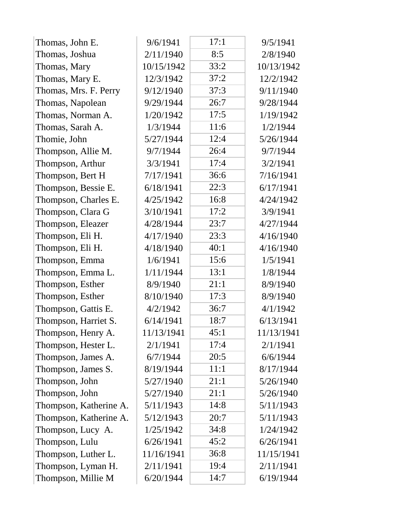| Thomas, John E.        | 9/6/1941   | 17:1 | 9/5/1941   |
|------------------------|------------|------|------------|
| Thomas, Joshua         | 2/11/1940  | 8:5  | 2/8/1940   |
| Thomas, Mary           | 10/15/1942 | 33:2 | 10/13/1942 |
| Thomas, Mary E.        | 12/3/1942  | 37:2 | 12/2/1942  |
| Thomas, Mrs. F. Perry  | 9/12/1940  | 37:3 | 9/11/1940  |
| Thomas, Napolean       | 9/29/1944  | 26:7 | 9/28/1944  |
| Thomas, Norman A.      | 1/20/1942  | 17:5 | 1/19/1942  |
| Thomas, Sarah A.       | 1/3/1944   | 11:6 | 1/2/1944   |
| Thomie, John           | 5/27/1944  | 12:4 | 5/26/1944  |
| Thompson, Allie M.     | 9/7/1944   | 26:4 | 9/7/1944   |
| Thompson, Arthur       | 3/3/1941   | 17:4 | 3/2/1941   |
| Thompson, Bert H       | 7/17/1941  | 36:6 | 7/16/1941  |
| Thompson, Bessie E.    | 6/18/1941  | 22:3 | 6/17/1941  |
| Thompson, Charles E.   | 4/25/1942  | 16:8 | 4/24/1942  |
| Thompson, Clara G      | 3/10/1941  | 17:2 | 3/9/1941   |
| Thompson, Eleazer      | 4/28/1944  | 23:7 | 4/27/1944  |
| Thompson, Eli H.       | 4/17/1940  | 23:3 | 4/16/1940  |
| Thompson, Eli H.       | 4/18/1940  | 40:1 | 4/16/1940  |
| Thompson, Emma         | 1/6/1941   | 15:6 | 1/5/1941   |
| Thompson, Emma L.      | 1/11/1944  | 13:1 | 1/8/1944   |
| Thompson, Esther       | 8/9/1940   | 21:1 | 8/9/1940   |
| Thompson, Esther       | 8/10/1940  | 17:3 | 8/9/1940   |
| Thompson, Gattis E.    | 4/2/1942   | 36:7 | 4/1/1942   |
| Thompson, Harriet S.   | 6/14/1941  | 18:7 | 6/13/1941  |
| Thompson, Henry A.     | 11/13/1941 | 45:1 | 11/13/1941 |
| Thompson, Hester L.    | 2/1/1941   | 17:4 | 2/1/1941   |
| Thompson, James A.     | 6/7/1944   | 20:5 | 6/6/1944   |
| Thompson, James S.     | 8/19/1944  | 11:1 | 8/17/1944  |
| Thompson, John         | 5/27/1940  | 21:1 | 5/26/1940  |
| Thompson, John         | 5/27/1940  | 21:1 | 5/26/1940  |
| Thompson, Katherine A. | 5/11/1943  | 14:8 | 5/11/1943  |
| Thompson, Katherine A. | 5/12/1943  | 20:7 | 5/11/1943  |
| Thompson, Lucy A.      | 1/25/1942  | 34:8 | 1/24/1942  |
| Thompson, Lulu         | 6/26/1941  | 45:2 | 6/26/1941  |
| Thompson, Luther L.    | 11/16/1941 | 36:8 | 11/15/1941 |
| Thompson, Lyman H.     | 2/11/1941  | 19:4 | 2/11/1941  |
| Thompson, Millie M     | 6/20/1944  | 14:7 | 6/19/1944  |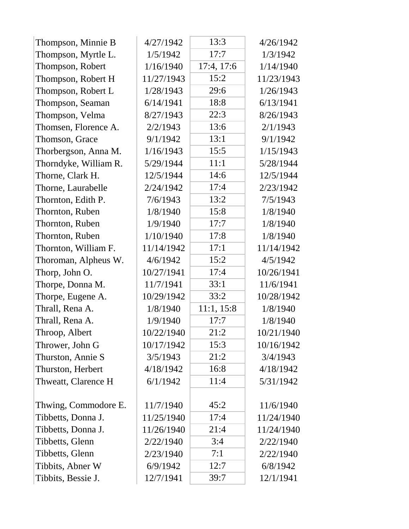| Thompson, Minnie B    | 4/27/1942  | 13:3       | 4/26/1942  |
|-----------------------|------------|------------|------------|
| Thompson, Myrtle L.   | 1/5/1942   | 17:7       | 1/3/1942   |
| Thompson, Robert      | 1/16/1940  | 17:4, 17:6 | 1/14/1940  |
| Thompson, Robert H    | 11/27/1943 | 15:2       | 11/23/1943 |
| Thompson, Robert L    | 1/28/1943  | 29:6       | 1/26/1943  |
| Thompson, Seaman      | 6/14/1941  | 18:8       | 6/13/1941  |
| Thompson, Velma       | 8/27/1943  | 22:3       | 8/26/1943  |
| Thomsen, Florence A.  | 2/2/1943   | 13:6       | 2/1/1943   |
| Thomson, Grace        | 9/1/1942   | 13:1       | 9/1/1942   |
| Thorbergson, Anna M.  | 1/16/1943  | 15:5       | 1/15/1943  |
| Thorndyke, William R. | 5/29/1944  | 11:1       | 5/28/1944  |
| Thorne, Clark H.      | 12/5/1944  | 14:6       | 12/5/1944  |
| Thorne, Laurabelle    | 2/24/1942  | 17:4       | 2/23/1942  |
| Thornton, Edith P.    | 7/6/1943   | 13:2       | 7/5/1943   |
| Thornton, Ruben       | 1/8/1940   | 15:8       | 1/8/1940   |
| Thornton, Ruben       | 1/9/1940   | 17:7       | 1/8/1940   |
| Thornton, Ruben       | 1/10/1940  | 17:8       | 1/8/1940   |
| Thornton, William F.  | 11/14/1942 | 17:1       | 11/14/1942 |
| Thoroman, Alpheus W.  | 4/6/1942   | 15:2       | 4/5/1942   |
| Thorp, John O.        | 10/27/1941 | 17:4       | 10/26/1941 |
| Thorpe, Donna M.      | 11/7/1941  | 33:1       | 11/6/1941  |
| Thorpe, Eugene A.     | 10/29/1942 | 33:2       | 10/28/1942 |
| Thrall, Rena A.       | 1/8/1940   | 11:1, 15:8 | 1/8/1940   |
| Thrall, Rena A.       | 1/9/1940   | 17:7       | 1/8/1940   |
| Throop, Albert        | 10/22/1940 | 21:2       | 10/21/1940 |
| Thrower, John G       | 10/17/1942 | 15:3       | 10/16/1942 |
| Thurston, Annie S     | 3/5/1943   | 21:2       | 3/4/1943   |
| Thurston, Herbert     | 4/18/1942  | 16:8       | 4/18/1942  |
| Thweatt, Clarence H   | 6/1/1942   | 11:4       | 5/31/1942  |
|                       |            |            |            |
| Thwing, Commodore E.  | 11/7/1940  | 45:2       | 11/6/1940  |
| Tibbetts, Donna J.    | 11/25/1940 | 17:4       | 11/24/1940 |
| Tibbetts, Donna J.    | 11/26/1940 | 21:4       | 11/24/1940 |
| Tibbetts, Glenn       | 2/22/1940  | 3:4        | 2/22/1940  |
| Tibbetts, Glenn       | 2/23/1940  | 7:1        | 2/22/1940  |
| Tibbits, Abner W      | 6/9/1942   | 12:7       | 6/8/1942   |
| Tibbits, Bessie J.    | 12/7/1941  | 39:7       | 12/1/1941  |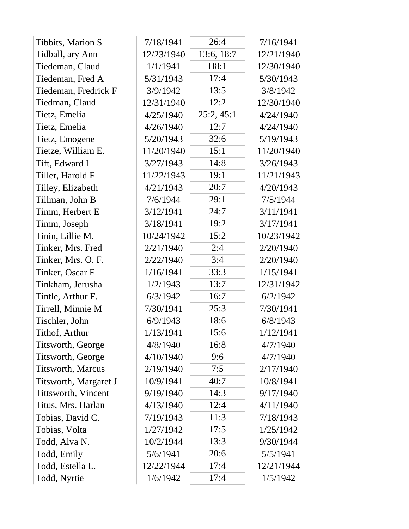| Tibbits, Marion S        | 7/18/1941  | 26:4       | 7/16/1941  |
|--------------------------|------------|------------|------------|
| Tidball, ary Ann         | 12/23/1940 | 13:6, 18:7 | 12/21/1940 |
| Tiedeman, Claud          | 1/1/1941   | H8:1       | 12/30/1940 |
| Tiedeman, Fred A         | 5/31/1943  | 17:4       | 5/30/1943  |
| Tiedeman, Fredrick F     | 3/9/1942   | 13:5       | 3/8/1942   |
| Tiedman, Claud           | 12/31/1940 | 12:2       | 12/30/1940 |
| Tietz, Emelia            | 4/25/1940  | 25:2,45:1  | 4/24/1940  |
| Tietz, Emelia            | 4/26/1940  | 12:7       | 4/24/1940  |
| Tietz, Emogene           | 5/20/1943  | 32:6       | 5/19/1943  |
| Tietze, William E.       | 11/20/1940 | 15:1       | 11/20/1940 |
| Tift, Edward I           | 3/27/1943  | 14:8       | 3/26/1943  |
| Tiller, Harold F         | 11/22/1943 | 19:1       | 11/21/1943 |
| Tilley, Elizabeth        | 4/21/1943  | 20:7       | 4/20/1943  |
| Tillman, John B          | 7/6/1944   | 29:1       | 7/5/1944   |
| Timm, Herbert E          | 3/12/1941  | 24:7       | 3/11/1941  |
| Timm, Joseph             | 3/18/1941  | 19:2       | 3/17/1941  |
| Tinin, Lillie M.         | 10/24/1942 | 15:2       | 10/23/1942 |
| Tinker, Mrs. Fred        | 2/21/1940  | 2:4        | 2/20/1940  |
| Tinker, Mrs. O. F.       | 2/22/1940  | 3:4        | 2/20/1940  |
| Tinker, Oscar F          | 1/16/1941  | 33:3       | 1/15/1941  |
| Tinkham, Jerusha         | 1/2/1943   | 13:7       | 12/31/1942 |
| Tintle, Arthur F.        | 6/3/1942   | 16:7       | 6/2/1942   |
| Tirrell, Minnie M        | 7/30/1941  | 25:3       | 7/30/1941  |
| Tischler, John           | 6/9/1943   | 18:6       | 6/8/1943   |
| Tithof, Arthur           | 1/13/1941  | 15:6       | 1/12/1941  |
| Titsworth, George        | 4/8/1940   | 16:8       | 4/7/1940   |
| Titsworth, George        | 4/10/1940  | 9:6        | 4/7/1940   |
| <b>Titsworth, Marcus</b> | 2/19/1940  | 7:5        | 2/17/1940  |
| Titsworth, Margaret J    | 10/9/1941  | 40:7       | 10/8/1941  |
| Tittsworth, Vincent      | 9/19/1940  | 14:3       | 9/17/1940  |
| Titus, Mrs. Harlan       | 4/13/1940  | 12:4       | 4/11/1940  |
| Tobias, David C.         | 7/19/1943  | 11:3       | 7/18/1943  |
| Tobias, Volta            | 1/27/1942  | 17:5       | 1/25/1942  |
| Todd, Alva N.            | 10/2/1944  | 13:3       | 9/30/1944  |
| Todd, Emily              | 5/6/1941   | 20:6       | 5/5/1941   |
| Todd, Estella L.         | 12/22/1944 | 17:4       | 12/21/1944 |
| Todd, Nyrtie             | 1/6/1942   | 17:4       | 1/5/1942   |
|                          |            |            |            |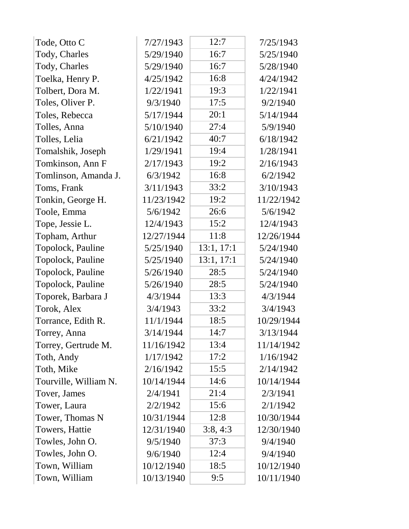| Tode, Otto C          | 7/27/1943  | 12:7       | 7/25/1943  |
|-----------------------|------------|------------|------------|
| Tody, Charles         | 5/29/1940  | 16:7       | 5/25/1940  |
| Tody, Charles         | 5/29/1940  | 16:7       | 5/28/1940  |
| Toelka, Henry P.      | 4/25/1942  | 16:8       | 4/24/1942  |
| Tolbert, Dora M.      | 1/22/1941  | 19:3       | 1/22/1941  |
| Toles, Oliver P.      | 9/3/1940   | 17:5       | 9/2/1940   |
| Toles, Rebecca        | 5/17/1944  | 20:1       | 5/14/1944  |
| Tolles, Anna          | 5/10/1940  | 27:4       | 5/9/1940   |
| Tolles, Lelia         | 6/21/1942  | 40:7       | 6/18/1942  |
| Tomalshik, Joseph     | 1/29/1941  | 19:4       | 1/28/1941  |
| Tomkinson, Ann F      | 2/17/1943  | 19:2       | 2/16/1943  |
| Tomlinson, Amanda J.  | 6/3/1942   | 16:8       | 6/2/1942   |
| Toms, Frank           | 3/11/1943  | 33:2       | 3/10/1943  |
| Tonkin, George H.     | 11/23/1942 | 19:2       | 11/22/1942 |
| Toole, Emma           | 5/6/1942   | 26:6       | 5/6/1942   |
| Tope, Jessie L.       | 12/4/1943  | 15:2       | 12/4/1943  |
| Topham, Arthur        | 12/27/1944 | 11:8       | 12/26/1944 |
| Topolock, Pauline     | 5/25/1940  | 13:1, 17:1 | 5/24/1940  |
| Topolock, Pauline     | 5/25/1940  | 13:1, 17:1 | 5/24/1940  |
| Topolock, Pauline     | 5/26/1940  | 28:5       | 5/24/1940  |
| Topolock, Pauline     | 5/26/1940  | 28:5       | 5/24/1940  |
| Toporek, Barbara J    | 4/3/1944   | 13:3       | 4/3/1944   |
| Torok, Alex           | 3/4/1943   | 33:2       | 3/4/1943   |
| Torrance, Edith R.    | 11/1/1944  | 18:5       | 10/29/1944 |
| Torrey, Anna          | 3/14/1944  | 14:7       | 3/13/1944  |
| Torrey, Gertrude M.   | 11/16/1942 | 13:4       | 11/14/1942 |
| Toth, Andy            | 1/17/1942  | 17:2       | 1/16/1942  |
| Toth, Mike            | 2/16/1942  | 15:5       | 2/14/1942  |
| Tourville, William N. | 10/14/1944 | 14:6       | 10/14/1944 |
| Tover, James          | 2/4/1941   | 21:4       | 2/3/1941   |
| Tower, Laura          | 2/2/1942   | 15:6       | 2/1/1942   |
| Tower, Thomas N       | 10/31/1944 | 12:8       | 10/30/1944 |
| Towers, Hattie        | 12/31/1940 | 3:8,4:3    | 12/30/1940 |
| Towles, John O.       | 9/5/1940   | 37:3       | 9/4/1940   |
| Towles, John O.       | 9/6/1940   | 12:4       | 9/4/1940   |
| Town, William         | 10/12/1940 | 18:5       | 10/12/1940 |
| Town, William         | 10/13/1940 | 9:5        | 10/11/1940 |
|                       |            |            |            |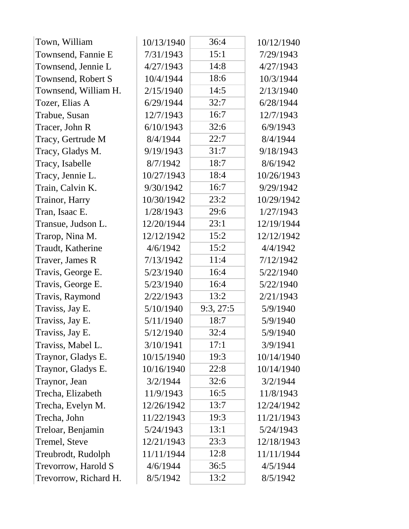| Town, William         | 10/13/1940 | 36:4     | 10/12/1940 |
|-----------------------|------------|----------|------------|
| Townsend, Fannie E    | 7/31/1943  | 15:1     | 7/29/1943  |
| Townsend, Jennie L    | 4/27/1943  | 14:8     | 4/27/1943  |
| Townsend, Robert S    | 10/4/1944  | 18:6     | 10/3/1944  |
| Townsend, William H.  | 2/15/1940  | 14:5     | 2/13/1940  |
| Tozer, Elias A        | 6/29/1944  | 32:7     | 6/28/1944  |
| Trabue, Susan         | 12/7/1943  | 16:7     | 12/7/1943  |
| Tracer, John R        | 6/10/1943  | 32:6     | 6/9/1943   |
| Tracy, Gertrude M     | 8/4/1944   | 22:7     | 8/4/1944   |
| Tracy, Gladys M.      | 9/19/1943  | 31:7     | 9/18/1943  |
| Tracy, Isabelle       | 8/7/1942   | 18:7     | 8/6/1942   |
| Tracy, Jennie L.      | 10/27/1943 | 18:4     | 10/26/1943 |
| Train, Calvin K.      | 9/30/1942  | 16:7     | 9/29/1942  |
| Trainor, Harry        | 10/30/1942 | 23:2     | 10/29/1942 |
| Tran, Isaac E.        | 1/28/1943  | 29:6     | 1/27/1943  |
| Transue, Judson L.    | 12/20/1944 | 23:1     | 12/19/1944 |
| Trarop, Nina M.       | 12/12/1942 | 15:2     | 12/12/1942 |
| Traudt, Katherine     | 4/6/1942   | 15:2     | 4/4/1942   |
| Traver, James R       | 7/13/1942  | 11:4     | 7/12/1942  |
| Travis, George E.     | 5/23/1940  | 16:4     | 5/22/1940  |
| Travis, George E.     | 5/23/1940  | 16:4     | 5/22/1940  |
| Travis, Raymond       | 2/22/1943  | 13:2     | 2/21/1943  |
| Traviss, Jay E.       | 5/10/1940  | 9:3,27:5 | 5/9/1940   |
| Traviss, Jay E.       | 5/11/1940  | 18:7     | 5/9/1940   |
| Traviss, Jay E.       | 5/12/1940  | 32:4     | 5/9/1940   |
| Traviss, Mabel L.     | 3/10/1941  | 17:1     | 3/9/1941   |
| Traynor, Gladys E.    | 10/15/1940 | 19:3     | 10/14/1940 |
| Traynor, Gladys E.    | 10/16/1940 | 22:8     | 10/14/1940 |
| Traynor, Jean         | 3/2/1944   | 32:6     | 3/2/1944   |
| Trecha, Elizabeth     | 11/9/1943  | 16:5     | 11/8/1943  |
| Trecha, Evelyn M.     | 12/26/1942 | 13:7     | 12/24/1942 |
| Trecha, John          | 11/22/1943 | 19:3     | 11/21/1943 |
| Treloar, Benjamin     | 5/24/1943  | 13:1     | 5/24/1943  |
| Tremel, Steve         | 12/21/1943 | 23:3     | 12/18/1943 |
| Treubrodt, Rudolph    | 11/11/1944 | 12:8     | 11/11/1944 |
| Trevorrow, Harold S   | 4/6/1944   | 36:5     | 4/5/1944   |
| Trevorrow, Richard H. | 8/5/1942   | 13:2     | 8/5/1942   |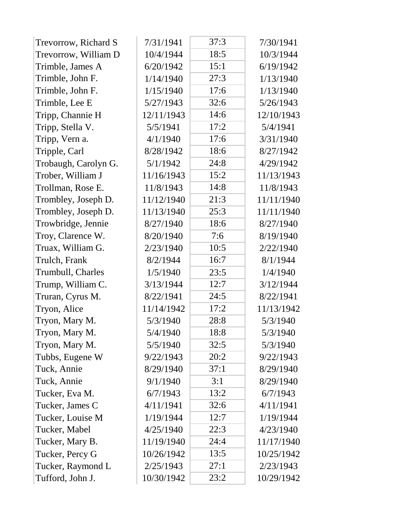| 18:5<br>Trevorrow, William D<br>10/4/1944<br>10/3/1944<br>Trimble, James A<br>15:1<br>6/20/1942<br>6/19/1942<br>Trimble, John F.<br>27:3<br>1/14/1940<br>1/13/1940<br>Trimble, John F.<br>17:6<br>1/15/1940<br>1/13/1940<br>Trimble, Lee E<br>5/27/1943<br>32:6<br>5/26/1943<br>14:6<br>Tripp, Channie H<br>12/11/1943<br>12/10/1943<br>17:2<br>5/5/1941<br>5/4/1941<br>Tripp, Stella V.<br>Tripp, Vern a.<br>17:6<br>4/1/1940<br>3/31/1940<br>Tripple, Carl<br>8/28/1942<br>18:6<br>8/27/1942<br>5/1/1942<br>24:8<br>Trobaugh, Carolyn G.<br>4/29/1942<br>11/16/1943<br>15:2<br>Trober, William J<br>11/13/1943<br>14:8<br>Trollman, Rose E.<br>11/8/1943<br>11/8/1943<br>Trombley, Joseph D.<br>21:3<br>11/12/1940<br>11/11/1940<br>Trombley, Joseph D.<br>25:3<br>11/13/1940<br>11/11/1940<br>18:6<br>Trowbridge, Jennie<br>8/27/1940<br>8/27/1940<br>Troy, Clarence W.<br>7:6<br>8/20/1940<br>8/19/1940<br>Truax, William G.<br>2/23/1940<br>10:5<br>2/22/1940<br>16:7<br>Trulch, Frank<br>8/2/1944<br>8/1/1944<br>Trumbull, Charles<br>1/5/1940<br>23:5<br>1/4/1940<br>Trump, William C.<br>12:7<br>3/13/1944<br>3/12/1944<br>24:5<br>Truran, Cyrus M.<br>8/22/1941<br>8/22/1941<br>17:2<br>Tryon, Alice<br>11/14/1942<br>11/13/1942<br>Tryon, Mary M.<br>5/3/1940<br>28:8<br>5/3/1940<br>Tryon, Mary M.<br>18:8<br>5/4/1940<br>5/3/1940<br>Tryon, Mary M.<br>32:5<br>5/5/1940<br>5/3/1940<br>Tubbs, Eugene W<br>9/22/1943<br>20:2<br>9/22/1943<br>Tuck, Annie<br>37:1<br>8/29/1940<br>8/29/1940<br>Tuck, Annie<br>9/1/1940<br>3:1<br>8/29/1940<br>Tucker, Eva M.<br>6/7/1943<br>13:2<br>6/7/1943<br>32:6<br>4/11/1941<br>4/11/1941<br>Tucker, James C<br>12:7<br>Tucker, Louise M<br>1/19/1944<br>1/19/1944<br>Tucker, Mabel<br>4/25/1940<br>22:3<br>4/23/1940<br>Tucker, Mary B.<br>11/19/1940<br>24:4<br>11/17/1940<br>13:5<br>Tucker, Percy G<br>10/26/1942<br>10/25/1942<br>Tucker, Raymond L<br>2/25/1943<br>27:1<br>2/23/1943<br>10/30/1942<br>23:2<br>10/29/1942 | Trevorrow, Richard S | 7/31/1941 | 37:3 | 7/30/1941 |
|-------------------------------------------------------------------------------------------------------------------------------------------------------------------------------------------------------------------------------------------------------------------------------------------------------------------------------------------------------------------------------------------------------------------------------------------------------------------------------------------------------------------------------------------------------------------------------------------------------------------------------------------------------------------------------------------------------------------------------------------------------------------------------------------------------------------------------------------------------------------------------------------------------------------------------------------------------------------------------------------------------------------------------------------------------------------------------------------------------------------------------------------------------------------------------------------------------------------------------------------------------------------------------------------------------------------------------------------------------------------------------------------------------------------------------------------------------------------------------------------------------------------------------------------------------------------------------------------------------------------------------------------------------------------------------------------------------------------------------------------------------------------------------------------------------------------------------------------------------------------------------------------------------------------------------------------------------------------------------|----------------------|-----------|------|-----------|
|                                                                                                                                                                                                                                                                                                                                                                                                                                                                                                                                                                                                                                                                                                                                                                                                                                                                                                                                                                                                                                                                                                                                                                                                                                                                                                                                                                                                                                                                                                                                                                                                                                                                                                                                                                                                                                                                                                                                                                               |                      |           |      |           |
|                                                                                                                                                                                                                                                                                                                                                                                                                                                                                                                                                                                                                                                                                                                                                                                                                                                                                                                                                                                                                                                                                                                                                                                                                                                                                                                                                                                                                                                                                                                                                                                                                                                                                                                                                                                                                                                                                                                                                                               |                      |           |      |           |
|                                                                                                                                                                                                                                                                                                                                                                                                                                                                                                                                                                                                                                                                                                                                                                                                                                                                                                                                                                                                                                                                                                                                                                                                                                                                                                                                                                                                                                                                                                                                                                                                                                                                                                                                                                                                                                                                                                                                                                               |                      |           |      |           |
|                                                                                                                                                                                                                                                                                                                                                                                                                                                                                                                                                                                                                                                                                                                                                                                                                                                                                                                                                                                                                                                                                                                                                                                                                                                                                                                                                                                                                                                                                                                                                                                                                                                                                                                                                                                                                                                                                                                                                                               |                      |           |      |           |
|                                                                                                                                                                                                                                                                                                                                                                                                                                                                                                                                                                                                                                                                                                                                                                                                                                                                                                                                                                                                                                                                                                                                                                                                                                                                                                                                                                                                                                                                                                                                                                                                                                                                                                                                                                                                                                                                                                                                                                               |                      |           |      |           |
|                                                                                                                                                                                                                                                                                                                                                                                                                                                                                                                                                                                                                                                                                                                                                                                                                                                                                                                                                                                                                                                                                                                                                                                                                                                                                                                                                                                                                                                                                                                                                                                                                                                                                                                                                                                                                                                                                                                                                                               |                      |           |      |           |
|                                                                                                                                                                                                                                                                                                                                                                                                                                                                                                                                                                                                                                                                                                                                                                                                                                                                                                                                                                                                                                                                                                                                                                                                                                                                                                                                                                                                                                                                                                                                                                                                                                                                                                                                                                                                                                                                                                                                                                               |                      |           |      |           |
|                                                                                                                                                                                                                                                                                                                                                                                                                                                                                                                                                                                                                                                                                                                                                                                                                                                                                                                                                                                                                                                                                                                                                                                                                                                                                                                                                                                                                                                                                                                                                                                                                                                                                                                                                                                                                                                                                                                                                                               |                      |           |      |           |
|                                                                                                                                                                                                                                                                                                                                                                                                                                                                                                                                                                                                                                                                                                                                                                                                                                                                                                                                                                                                                                                                                                                                                                                                                                                                                                                                                                                                                                                                                                                                                                                                                                                                                                                                                                                                                                                                                                                                                                               |                      |           |      |           |
|                                                                                                                                                                                                                                                                                                                                                                                                                                                                                                                                                                                                                                                                                                                                                                                                                                                                                                                                                                                                                                                                                                                                                                                                                                                                                                                                                                                                                                                                                                                                                                                                                                                                                                                                                                                                                                                                                                                                                                               |                      |           |      |           |
|                                                                                                                                                                                                                                                                                                                                                                                                                                                                                                                                                                                                                                                                                                                                                                                                                                                                                                                                                                                                                                                                                                                                                                                                                                                                                                                                                                                                                                                                                                                                                                                                                                                                                                                                                                                                                                                                                                                                                                               |                      |           |      |           |
|                                                                                                                                                                                                                                                                                                                                                                                                                                                                                                                                                                                                                                                                                                                                                                                                                                                                                                                                                                                                                                                                                                                                                                                                                                                                                                                                                                                                                                                                                                                                                                                                                                                                                                                                                                                                                                                                                                                                                                               |                      |           |      |           |
|                                                                                                                                                                                                                                                                                                                                                                                                                                                                                                                                                                                                                                                                                                                                                                                                                                                                                                                                                                                                                                                                                                                                                                                                                                                                                                                                                                                                                                                                                                                                                                                                                                                                                                                                                                                                                                                                                                                                                                               |                      |           |      |           |
|                                                                                                                                                                                                                                                                                                                                                                                                                                                                                                                                                                                                                                                                                                                                                                                                                                                                                                                                                                                                                                                                                                                                                                                                                                                                                                                                                                                                                                                                                                                                                                                                                                                                                                                                                                                                                                                                                                                                                                               |                      |           |      |           |
|                                                                                                                                                                                                                                                                                                                                                                                                                                                                                                                                                                                                                                                                                                                                                                                                                                                                                                                                                                                                                                                                                                                                                                                                                                                                                                                                                                                                                                                                                                                                                                                                                                                                                                                                                                                                                                                                                                                                                                               |                      |           |      |           |
|                                                                                                                                                                                                                                                                                                                                                                                                                                                                                                                                                                                                                                                                                                                                                                                                                                                                                                                                                                                                                                                                                                                                                                                                                                                                                                                                                                                                                                                                                                                                                                                                                                                                                                                                                                                                                                                                                                                                                                               |                      |           |      |           |
|                                                                                                                                                                                                                                                                                                                                                                                                                                                                                                                                                                                                                                                                                                                                                                                                                                                                                                                                                                                                                                                                                                                                                                                                                                                                                                                                                                                                                                                                                                                                                                                                                                                                                                                                                                                                                                                                                                                                                                               |                      |           |      |           |
|                                                                                                                                                                                                                                                                                                                                                                                                                                                                                                                                                                                                                                                                                                                                                                                                                                                                                                                                                                                                                                                                                                                                                                                                                                                                                                                                                                                                                                                                                                                                                                                                                                                                                                                                                                                                                                                                                                                                                                               |                      |           |      |           |
|                                                                                                                                                                                                                                                                                                                                                                                                                                                                                                                                                                                                                                                                                                                                                                                                                                                                                                                                                                                                                                                                                                                                                                                                                                                                                                                                                                                                                                                                                                                                                                                                                                                                                                                                                                                                                                                                                                                                                                               |                      |           |      |           |
|                                                                                                                                                                                                                                                                                                                                                                                                                                                                                                                                                                                                                                                                                                                                                                                                                                                                                                                                                                                                                                                                                                                                                                                                                                                                                                                                                                                                                                                                                                                                                                                                                                                                                                                                                                                                                                                                                                                                                                               |                      |           |      |           |
|                                                                                                                                                                                                                                                                                                                                                                                                                                                                                                                                                                                                                                                                                                                                                                                                                                                                                                                                                                                                                                                                                                                                                                                                                                                                                                                                                                                                                                                                                                                                                                                                                                                                                                                                                                                                                                                                                                                                                                               |                      |           |      |           |
|                                                                                                                                                                                                                                                                                                                                                                                                                                                                                                                                                                                                                                                                                                                                                                                                                                                                                                                                                                                                                                                                                                                                                                                                                                                                                                                                                                                                                                                                                                                                                                                                                                                                                                                                                                                                                                                                                                                                                                               |                      |           |      |           |
|                                                                                                                                                                                                                                                                                                                                                                                                                                                                                                                                                                                                                                                                                                                                                                                                                                                                                                                                                                                                                                                                                                                                                                                                                                                                                                                                                                                                                                                                                                                                                                                                                                                                                                                                                                                                                                                                                                                                                                               |                      |           |      |           |
|                                                                                                                                                                                                                                                                                                                                                                                                                                                                                                                                                                                                                                                                                                                                                                                                                                                                                                                                                                                                                                                                                                                                                                                                                                                                                                                                                                                                                                                                                                                                                                                                                                                                                                                                                                                                                                                                                                                                                                               |                      |           |      |           |
|                                                                                                                                                                                                                                                                                                                                                                                                                                                                                                                                                                                                                                                                                                                                                                                                                                                                                                                                                                                                                                                                                                                                                                                                                                                                                                                                                                                                                                                                                                                                                                                                                                                                                                                                                                                                                                                                                                                                                                               |                      |           |      |           |
|                                                                                                                                                                                                                                                                                                                                                                                                                                                                                                                                                                                                                                                                                                                                                                                                                                                                                                                                                                                                                                                                                                                                                                                                                                                                                                                                                                                                                                                                                                                                                                                                                                                                                                                                                                                                                                                                                                                                                                               |                      |           |      |           |
|                                                                                                                                                                                                                                                                                                                                                                                                                                                                                                                                                                                                                                                                                                                                                                                                                                                                                                                                                                                                                                                                                                                                                                                                                                                                                                                                                                                                                                                                                                                                                                                                                                                                                                                                                                                                                                                                                                                                                                               |                      |           |      |           |
|                                                                                                                                                                                                                                                                                                                                                                                                                                                                                                                                                                                                                                                                                                                                                                                                                                                                                                                                                                                                                                                                                                                                                                                                                                                                                                                                                                                                                                                                                                                                                                                                                                                                                                                                                                                                                                                                                                                                                                               |                      |           |      |           |
|                                                                                                                                                                                                                                                                                                                                                                                                                                                                                                                                                                                                                                                                                                                                                                                                                                                                                                                                                                                                                                                                                                                                                                                                                                                                                                                                                                                                                                                                                                                                                                                                                                                                                                                                                                                                                                                                                                                                                                               |                      |           |      |           |
|                                                                                                                                                                                                                                                                                                                                                                                                                                                                                                                                                                                                                                                                                                                                                                                                                                                                                                                                                                                                                                                                                                                                                                                                                                                                                                                                                                                                                                                                                                                                                                                                                                                                                                                                                                                                                                                                                                                                                                               |                      |           |      |           |
|                                                                                                                                                                                                                                                                                                                                                                                                                                                                                                                                                                                                                                                                                                                                                                                                                                                                                                                                                                                                                                                                                                                                                                                                                                                                                                                                                                                                                                                                                                                                                                                                                                                                                                                                                                                                                                                                                                                                                                               |                      |           |      |           |
|                                                                                                                                                                                                                                                                                                                                                                                                                                                                                                                                                                                                                                                                                                                                                                                                                                                                                                                                                                                                                                                                                                                                                                                                                                                                                                                                                                                                                                                                                                                                                                                                                                                                                                                                                                                                                                                                                                                                                                               |                      |           |      |           |
|                                                                                                                                                                                                                                                                                                                                                                                                                                                                                                                                                                                                                                                                                                                                                                                                                                                                                                                                                                                                                                                                                                                                                                                                                                                                                                                                                                                                                                                                                                                                                                                                                                                                                                                                                                                                                                                                                                                                                                               |                      |           |      |           |
|                                                                                                                                                                                                                                                                                                                                                                                                                                                                                                                                                                                                                                                                                                                                                                                                                                                                                                                                                                                                                                                                                                                                                                                                                                                                                                                                                                                                                                                                                                                                                                                                                                                                                                                                                                                                                                                                                                                                                                               |                      |           |      |           |
|                                                                                                                                                                                                                                                                                                                                                                                                                                                                                                                                                                                                                                                                                                                                                                                                                                                                                                                                                                                                                                                                                                                                                                                                                                                                                                                                                                                                                                                                                                                                                                                                                                                                                                                                                                                                                                                                                                                                                                               |                      |           |      |           |
|                                                                                                                                                                                                                                                                                                                                                                                                                                                                                                                                                                                                                                                                                                                                                                                                                                                                                                                                                                                                                                                                                                                                                                                                                                                                                                                                                                                                                                                                                                                                                                                                                                                                                                                                                                                                                                                                                                                                                                               | Tufford, John J.     |           |      |           |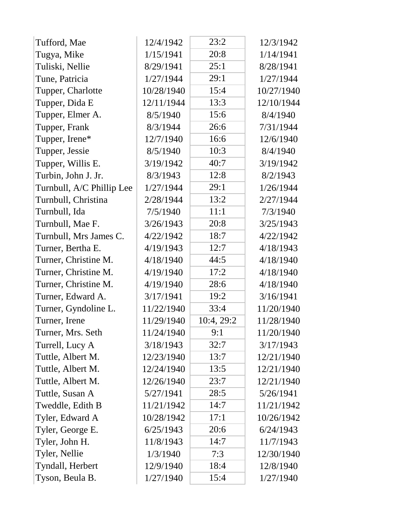| Tufford, Mae              | 12/4/1942  | 23:2       | 12/3/1942  |
|---------------------------|------------|------------|------------|
| Tugya, Mike               | 1/15/1941  | 20:8       | 1/14/1941  |
| Tuliski, Nellie           | 8/29/1941  | 25:1       | 8/28/1941  |
| Tune, Patricia            | 1/27/1944  | 29:1       | 1/27/1944  |
| Tupper, Charlotte         | 10/28/1940 | 15:4       | 10/27/1940 |
| Tupper, Dida E            | 12/11/1944 | 13:3       | 12/10/1944 |
| Tupper, Elmer A.          | 8/5/1940   | 15:6       | 8/4/1940   |
| Tupper, Frank             | 8/3/1944   | 26:6       | 7/31/1944  |
| Tupper, Irene*            | 12/7/1940  | 16:6       | 12/6/1940  |
| Tupper, Jessie            | 8/5/1940   | 10:3       | 8/4/1940   |
| Tupper, Willis E.         | 3/19/1942  | 40:7       | 3/19/1942  |
| Turbin, John J. Jr.       | 8/3/1943   | 12:8       | 8/2/1943   |
| Turnbull, A/C Phillip Lee | 1/27/1944  | 29:1       | 1/26/1944  |
| Turnbull, Christina       | 2/28/1944  | 13:2       | 2/27/1944  |
| Turnbull, Ida             | 7/5/1940   | 11:1       | 7/3/1940   |
| Turnbull, Mae F.          | 3/26/1943  | 20:8       | 3/25/1943  |
| Turnbull, Mrs James C.    | 4/22/1942  | 18:7       | 4/22/1942  |
| Turner, Bertha E.         | 4/19/1943  | 12:7       | 4/18/1943  |
| Turner, Christine M.      | 4/18/1940  | 44:5       | 4/18/1940  |
| Turner, Christine M.      | 4/19/1940  | 17:2       | 4/18/1940  |
| Turner, Christine M.      | 4/19/1940  | 28:6       | 4/18/1940  |
| Turner, Edward A.         | 3/17/1941  | 19:2       | 3/16/1941  |
| Turner, Gyndoline L.      | 11/22/1940 | 33:4       | 11/20/1940 |
| Turner, Irene             | 11/29/1940 | 10:4, 29:2 | 11/28/1940 |
| Turner, Mrs. Seth         | 11/24/1940 | 9:1        | 11/20/1940 |
| Turrell, Lucy A           | 3/18/1943  | 32:7       | 3/17/1943  |
| Tuttle, Albert M.         | 12/23/1940 | 13:7       | 12/21/1940 |
| Tuttle, Albert M.         | 12/24/1940 | 13:5       | 12/21/1940 |
| Tuttle, Albert M.         | 12/26/1940 | 23:7       | 12/21/1940 |
| Tuttle, Susan A           | 5/27/1941  | 28:5       | 5/26/1941  |
| Tweddle, Edith B          | 11/21/1942 | 14:7       | 11/21/1942 |
| Tyler, Edward A           | 10/28/1942 | 17:1       | 10/26/1942 |
| Tyler, George E.          | 6/25/1943  | 20:6       | 6/24/1943  |
| Tyler, John H.            | 11/8/1943  | 14:7       | 11/7/1943  |
| Tyler, Nellie             | 1/3/1940   | 7:3        | 12/30/1940 |
| Tyndall, Herbert          | 12/9/1940  | 18:4       | 12/8/1940  |
| Tyson, Beula B.           | 1/27/1940  | 15:4       | 1/27/1940  |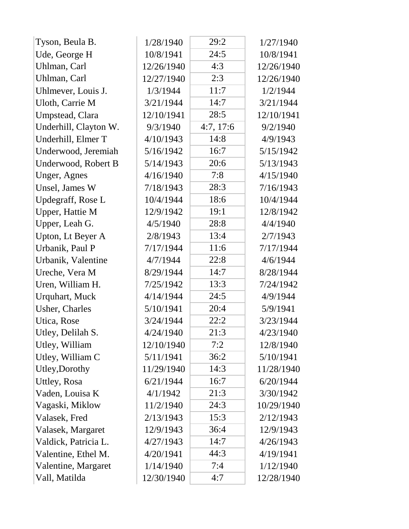| Tyson, Beula B.        | 1/28/1940  | 29:2      | 1/27/1940  |
|------------------------|------------|-----------|------------|
| Ude, George H          | 10/8/1941  | 24:5      | 10/8/1941  |
| Uhlman, Carl           | 12/26/1940 | 4:3       | 12/26/1940 |
| Uhlman, Carl           | 12/27/1940 | 2:3       | 12/26/1940 |
| Uhlmever, Louis J.     | 1/3/1944   | 11:7      | 1/2/1944   |
| Uloth, Carrie M        | 3/21/1944  | 14:7      | 3/21/1944  |
| Umpstead, Clara        | 12/10/1941 | 28:5      | 12/10/1941 |
| Underhill, Clayton W.  | 9/3/1940   | 4:7, 17:6 | 9/2/1940   |
| Underhill, Elmer T     | 4/10/1943  | 14:8      | 4/9/1943   |
| Underwood, Jeremiah    | 5/16/1942  | 16:7      | 5/15/1942  |
| Underwood, Robert B    | 5/14/1943  | 20:6      | 5/13/1943  |
| Unger, Agnes           | 4/16/1940  | 7:8       | 4/15/1940  |
| Unsel, James W         | 7/18/1943  | 28:3      | 7/16/1943  |
| Updegraff, Rose L      | 10/4/1944  | 18:6      | 10/4/1944  |
| Upper, Hattie M        | 12/9/1942  | 19:1      | 12/8/1942  |
| Upper, Leah G.         | 4/5/1940   | 28:8      | 4/4/1940   |
| Upton, Lt Beyer A      | 2/8/1943   | 13:4      | 2/7/1943   |
| Urbanik, Paul P        | 7/17/1944  | 11:6      | 7/17/1944  |
| Urbanik, Valentine     | 4/7/1944   | 22:8      | 4/6/1944   |
| Ureche, Vera M         | 8/29/1944  | 14:7      | 8/28/1944  |
| Uren, William H.       | 7/25/1942  | 13:3      | 7/24/1942  |
| <b>Urquhart</b> , Muck | 4/14/1944  | 24:5      | 4/9/1944   |
| <b>Usher, Charles</b>  | 5/10/1941  | 20:4      | 5/9/1941   |
| Utica, Rose            | 3/24/1944  | 22:2      | 3/23/1944  |
| Utley, Delilah S.      | 4/24/1940  | 21:3      | 4/23/1940  |
| Utley, William         | 12/10/1940 | 7:2       | 12/8/1940  |
| Utley, William C       | 5/11/1941  | 36:2      | 5/10/1941  |
| Utley, Dorothy         | 11/29/1940 | 14:3      | 11/28/1940 |
| Uttley, Rosa           | 6/21/1944  | 16:7      | 6/20/1944  |
| Vaden, Louisa K        | 4/1/1942   | 21:3      | 3/30/1942  |
| Vagaski, Miklow        | 11/2/1940  | 24:3      | 10/29/1940 |
| Valasek, Fred          | 2/13/1943  | 15:3      | 2/12/1943  |
| Valasek, Margaret      | 12/9/1943  | 36:4      | 12/9/1943  |
| Valdick, Patricia L.   | 4/27/1943  | 14:7      | 4/26/1943  |
| Valentine, Ethel M.    | 4/20/1941  | 44:3      | 4/19/1941  |
| Valentine, Margaret    | 1/14/1940  | 7:4       | 1/12/1940  |
| Vall, Matilda          | 12/30/1940 | 4:7       | 12/28/1940 |
|                        |            |           |            |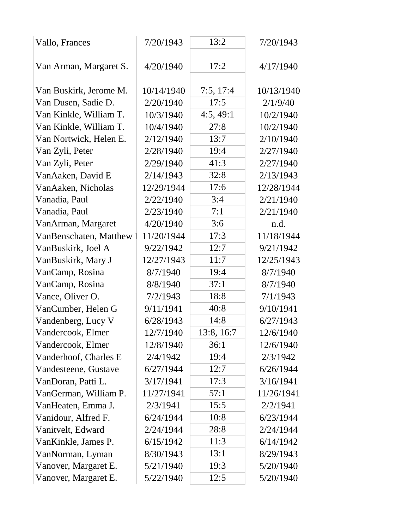| Vallo, Frances           | 7/20/1943  | 13:2       | 7/20/1943  |
|--------------------------|------------|------------|------------|
| Van Arman, Margaret S.   | 4/20/1940  | 17:2       | 4/17/1940  |
| Van Buskirk, Jerome M.   | 10/14/1940 | 7:5, 17:4  | 10/13/1940 |
| Van Dusen, Sadie D.      | 2/20/1940  | 17:5       | 2/1/9/40   |
| Van Kinkle, William T.   | 10/3/1940  | 4:5, 49:1  | 10/2/1940  |
| Van Kinkle, William T.   | 10/4/1940  | 27:8       | 10/2/1940  |
| Van Nortwick, Helen E.   | 2/12/1940  | 13:7       | 2/10/1940  |
| Van Zyli, Peter          | 2/28/1940  | 19:4       | 2/27/1940  |
| Van Zyli, Peter          | 2/29/1940  | 41:3       | 2/27/1940  |
| VanAaken, David E        | 2/14/1943  | 32:8       | 2/13/1943  |
| VanAaken, Nicholas       | 12/29/1944 | 17:6       | 12/28/1944 |
| Vanadia, Paul            | 2/22/1940  | 3:4        | 2/21/1940  |
| Vanadia, Paul            | 2/23/1940  | 7:1        | 2/21/1940  |
| VanArman, Margaret       | 4/20/1940  | 3:6        | n.d.       |
| VanBenschaten, Matthew 1 | 11/20/1944 | 17:3       | 11/18/1944 |
| VanBuskirk, Joel A       | 9/22/1942  | 12:7       | 9/21/1942  |
| VanBuskirk, Mary J       | 12/27/1943 | 11:7       | 12/25/1943 |
| VanCamp, Rosina          | 8/7/1940   | 19:4       | 8/7/1940   |
| VanCamp, Rosina          | 8/8/1940   | 37:1       | 8/7/1940   |
| Vance, Oliver O.         | 7/2/1943   | 18:8       | 7/1/1943   |
| VanCumber, Helen G       | 9/11/1941  | 40:8       | 9/10/1941  |
| Vandenberg, Lucy V       | 6/28/1943  | 14:8       | 6/27/1943  |
| Vandercook, Elmer        | 12/7/1940  | 13:8, 16:7 | 12/6/1940  |
| Vandercook, Elmer        | 12/8/1940  | 36:1       | 12/6/1940  |
| Vanderhoof, Charles E    | 2/4/1942   | 19:4       | 2/3/1942   |
| Vandesteene, Gustave     | 6/27/1944  | 12:7       | 6/26/1944  |
| VanDoran, Patti L.       | 3/17/1941  | 17:3       | 3/16/1941  |
| VanGerman, William P.    | 11/27/1941 | 57:1       | 11/26/1941 |
| VanHeaten, Emma J.       | 2/3/1941   | 15:5       | 2/2/1941   |
| Vanidour, Alfred F.      | 6/24/1944  | 10:8       | 6/23/1944  |
| Vanitvelt, Edward        | 2/24/1944  | 28:8       | 2/24/1944  |
| VanKinkle, James P.      | 6/15/1942  | 11:3       | 6/14/1942  |
| VanNorman, Lyman         | 8/30/1943  | 13:1       | 8/29/1943  |
| Vanover, Margaret E.     | 5/21/1940  | 19:3       | 5/20/1940  |
| Vanover, Margaret E.     | 5/22/1940  | 12:5       | 5/20/1940  |
|                          |            |            |            |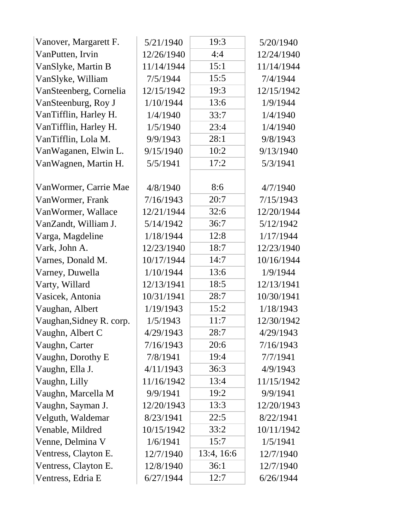| Vanover, Margarett F.    | 5/21/1940  | 19:3       | 5/20/1940  |
|--------------------------|------------|------------|------------|
| VanPutten, Irvin         | 12/26/1940 | 4:4        | 12/24/1940 |
| VanSlyke, Martin B       | 11/14/1944 | 15:1       | 11/14/1944 |
| VanSlyke, William        | 7/5/1944   | 15:5       | 7/4/1944   |
| VanSteenberg, Cornelia   | 12/15/1942 | 19:3       | 12/15/1942 |
| VanSteenburg, Roy J      | 1/10/1944  | 13:6       | 1/9/1944   |
| VanTifflin, Harley H.    | 1/4/1940   | 33:7       | 1/4/1940   |
| VanTifflin, Harley H.    | 1/5/1940   | 23:4       | 1/4/1940   |
| VanTifflin, Lola M.      | 9/9/1943   | 28:1       | 9/8/1943   |
| VanWaganen, Elwin L.     | 9/15/1940  | 10:2       | 9/13/1940  |
| VanWagnen, Martin H.     | 5/5/1941   | 17:2       | 5/3/1941   |
|                          |            |            |            |
| Van Wormer, Carrie Mae   | 4/8/1940   | 8:6        | 4/7/1940   |
| VanWormer, Frank         | 7/16/1943  | 20:7       | 7/15/1943  |
| VanWormer, Wallace       | 12/21/1944 | 32:6       | 12/20/1944 |
| VanZandt, William J.     | 5/14/1942  | 36:7       | 5/12/1942  |
| Varga, Magdeline         | 1/18/1944  | 12:8       | 1/17/1944  |
| Vark, John A.            | 12/23/1940 | 18:7       | 12/23/1940 |
| Varnes, Donald M.        | 10/17/1944 | 14:7       | 10/16/1944 |
| Varney, Duwella          | 1/10/1944  | 13:6       | 1/9/1944   |
| Varty, Willard           | 12/13/1941 | 18:5       | 12/13/1941 |
| Vasicek, Antonia         | 10/31/1941 | 28:7       | 10/30/1941 |
| Vaughan, Albert          | 1/19/1943  | 15:2       | 1/18/1943  |
| Vaughan, Sidney R. corp. | 1/5/1943   | 11:7       | 12/30/1942 |
| Vaughn, Albert C         | 4/29/1943  | 28:7       | 4/29/1943  |
| Vaughn, Carter           | 7/16/1943  | 20:6       | 7/16/1943  |
| Vaughn, Dorothy E        | 7/8/1941   | 19:4       | 7/7/1941   |
| Vaughn, Ella J.          | 4/11/1943  | 36:3       | 4/9/1943   |
| Vaughn, Lilly            | 11/16/1942 | 13:4       | 11/15/1942 |
| Vaughn, Marcella M       | 9/9/1941   | 19:2       | 9/9/1941   |
| Vaughn, Sayman J.        | 12/20/1943 | 13:3       | 12/20/1943 |
| Velguth, Waldemar        | 8/23/1941  | 22:5       | 8/22/1941  |
| Venable, Mildred         | 10/15/1942 | 33:2       | 10/11/1942 |
| Venne, Delmina V         | 1/6/1941   | 15:7       | 1/5/1941   |
| Ventress, Clayton E.     | 12/7/1940  | 13:4, 16:6 | 12/7/1940  |
| Ventress, Clayton E.     | 12/8/1940  | 36:1       | 12/7/1940  |
| Ventress, Edria E        | 6/27/1944  | 12:7       | 6/26/1944  |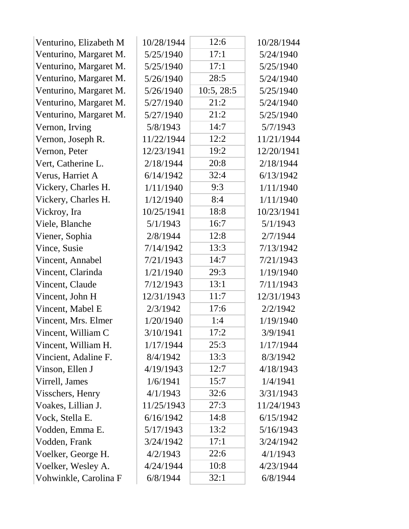| Venturino, Elizabeth M | 10/28/1944 | 12:6       | 10/28/1944 |
|------------------------|------------|------------|------------|
| Venturino, Margaret M. | 5/25/1940  | 17:1       | 5/24/1940  |
| Venturino, Margaret M. | 5/25/1940  | 17:1       | 5/25/1940  |
| Venturino, Margaret M. | 5/26/1940  | 28:5       | 5/24/1940  |
| Venturino, Margaret M. | 5/26/1940  | 10:5, 28:5 | 5/25/1940  |
| Venturino, Margaret M. | 5/27/1940  | 21:2       | 5/24/1940  |
| Venturino, Margaret M. | 5/27/1940  | 21:2       | 5/25/1940  |
| Vernon, Irving         | 5/8/1943   | 14:7       | 5/7/1943   |
| Vernon, Joseph R.      | 11/22/1944 | 12:2       | 11/21/1944 |
| Vernon, Peter          | 12/23/1941 | 19:2       | 12/20/1941 |
| Vert, Catherine L.     | 2/18/1944  | 20:8       | 2/18/1944  |
| Verus, Harriet A       | 6/14/1942  | 32:4       | 6/13/1942  |
| Vickery, Charles H.    | 1/11/1940  | 9:3        | 1/11/1940  |
| Vickery, Charles H.    | 1/12/1940  | 8:4        | 1/11/1940  |
| Vickroy, Ira           | 10/25/1941 | 18:8       | 10/23/1941 |
| Viele, Blanche         | 5/1/1943   | 16:7       | 5/1/1943   |
| Viener, Sophia         | 2/8/1944   | 12:8       | 2/7/1944   |
| Vince, Susie           | 7/14/1942  | 13:3       | 7/13/1942  |
| Vincent, Annabel       | 7/21/1943  | 14:7       | 7/21/1943  |
| Vincent, Clarinda      | 1/21/1940  | 29:3       | 1/19/1940  |
| Vincent, Claude        | 7/12/1943  | 13:1       | 7/11/1943  |
| Vincent, John H        | 12/31/1943 | 11:7       | 12/31/1943 |
| Vincent, Mabel E       | 2/3/1942   | 17:6       | 2/2/1942   |
| Vincent, Mrs. Elmer    | 1/20/1940  | 1:4        | 1/19/1940  |
| Vincent, William C     | 3/10/1941  | 17:2       | 3/9/1941   |
| Vincent, William H.    | 1/17/1944  | 25:3       | 1/17/1944  |
| Vincient, Adaline F.   | 8/4/1942   | 13:3       | 8/3/1942   |
| Vinson, Ellen J        | 4/19/1943  | 12:7       | 4/18/1943  |
| Virrell, James         | 1/6/1941   | 15:7       | 1/4/1941   |
| Visschers, Henry       | 4/1/1943   | 32:6       | 3/31/1943  |
| Voakes, Lillian J.     | 11/25/1943 | 27:3       | 11/24/1943 |
| Vock, Stella E.        | 6/16/1942  | 14:8       | 6/15/1942  |
| Vodden, Emma E.        | 5/17/1943  | 13:2       | 5/16/1943  |
| Vodden, Frank          | 3/24/1942  | 17:1       | 3/24/1942  |
| Voelker, George H.     | 4/2/1943   | 22:6       | 4/1/1943   |
| Voelker, Wesley A.     | 4/24/1944  | 10:8       | 4/23/1944  |
| Vohwinkle, Carolina F  | 6/8/1944   | 32:1       | 6/8/1944   |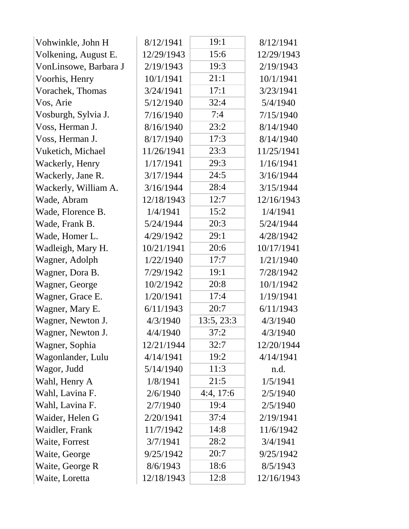| Vohwinkle, John H     | 8/12/1941  | 19:1       | 8/12/1941  |
|-----------------------|------------|------------|------------|
| Volkening, August E.  | 12/29/1943 | 15:6       | 12/29/1943 |
| VonLinsowe, Barbara J | 2/19/1943  | 19:3       | 2/19/1943  |
| Voorhis, Henry        | 10/1/1941  | 21:1       | 10/1/1941  |
| Vorachek, Thomas      | 3/24/1941  | 17:1       | 3/23/1941  |
| Vos, Arie             | 5/12/1940  | 32:4       | 5/4/1940   |
| Vosburgh, Sylvia J.   | 7/16/1940  | 7:4        | 7/15/1940  |
| Voss, Herman J.       | 8/16/1940  | 23:2       | 8/14/1940  |
| Voss, Herman J.       | 8/17/1940  | 17:3       | 8/14/1940  |
| Vuketich, Michael     | 11/26/1941 | 23:3       | 11/25/1941 |
| Wackerly, Henry       | 1/17/1941  | 29:3       | 1/16/1941  |
| Wackerly, Jane R.     | 3/17/1944  | 24:5       | 3/16/1944  |
| Wackerly, William A.  | 3/16/1944  | 28:4       | 3/15/1944  |
| Wade, Abram           | 12/18/1943 | 12:7       | 12/16/1943 |
| Wade, Florence B.     | 1/4/1941   | 15:2       | 1/4/1941   |
| Wade, Frank B.        | 5/24/1944  | 20:3       | 5/24/1944  |
| Wade, Homer L.        | 4/29/1942  | 29:1       | 4/28/1942  |
| Wadleigh, Mary H.     | 10/21/1941 | 20:6       | 10/17/1941 |
| Wagner, Adolph        | 1/22/1940  | 17:7       | 1/21/1940  |
| Wagner, Dora B.       | 7/29/1942  | 19:1       | 7/28/1942  |
| Wagner, George        | 10/2/1942  | 20:8       | 10/1/1942  |
| Wagner, Grace E.      | 1/20/1941  | 17:4       | 1/19/1941  |
| Wagner, Mary E.       | 6/11/1943  | 20:7       | 6/11/1943  |
| Wagner, Newton J.     | 4/3/1940   | 13:5, 23:3 | 4/3/1940   |
| Wagner, Newton J.     | 4/4/1940   | 37:2       | 4/3/1940   |
| Wagner, Sophia        | 12/21/1944 | 32:7       | 12/20/1944 |
| Wagonlander, Lulu     | 4/14/1941  | 19:2       | 4/14/1941  |
| Wagor, Judd           | 5/14/1940  | 11:3       | n.d.       |
| Wahl, Henry A         | 1/8/1941   | 21:5       | 1/5/1941   |
| Wahl, Lavina F.       | 2/6/1940   | 4:4, 17:6  | 2/5/1940   |
| Wahl, Lavina F.       | 2/7/1940   | 19:4       | 2/5/1940   |
| Waider, Helen G       | 2/20/1941  | 37:4       | 2/19/1941  |
| Waidler, Frank        | 11/7/1942  | 14:8       | 11/6/1942  |
| Waite, Forrest        | 3/7/1941   | 28:2       | 3/4/1941   |
| Waite, George         | 9/25/1942  | 20:7       | 9/25/1942  |
| Waite, George R       | 8/6/1943   | 18:6       | 8/5/1943   |
| Waite, Loretta        | 12/18/1943 | 12:8       | 12/16/1943 |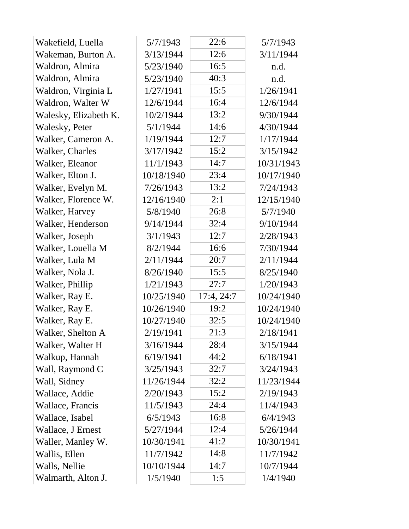| Wakefield, Luella     | 5/7/1943   | 22:6       | 5/7/1943   |  |
|-----------------------|------------|------------|------------|--|
| Wakeman, Burton A.    | 3/13/1944  | 12:6       | 3/11/1944  |  |
| Waldron, Almira       | 5/23/1940  | 16:5       | n.d.       |  |
| Waldron, Almira       | 5/23/1940  | 40:3       | n.d.       |  |
| Waldron, Virginia L   | 1/27/1941  | 15:5       | 1/26/1941  |  |
| Waldron, Walter W     | 12/6/1944  | 16:4       | 12/6/1944  |  |
| Walesky, Elizabeth K. | 10/2/1944  | 13:2       | 9/30/1944  |  |
| Walesky, Peter        | 5/1/1944   | 14:6       | 4/30/1944  |  |
| Walker, Cameron A.    | 1/19/1944  | 12:7       | 1/17/1944  |  |
| Walker, Charles       | 3/17/1942  | 15:2       | 3/15/1942  |  |
| Walker, Eleanor       | 11/1/1943  | 14:7       | 10/31/1943 |  |
| Walker, Elton J.      | 10/18/1940 | 23:4       | 10/17/1940 |  |
| Walker, Evelyn M.     | 7/26/1943  | 13:2       | 7/24/1943  |  |
| Walker, Florence W.   | 12/16/1940 | 2:1        | 12/15/1940 |  |
| Walker, Harvey        | 5/8/1940   | 26:8       | 5/7/1940   |  |
| Walker, Henderson     | 9/14/1944  | 32:4       | 9/10/1944  |  |
| Walker, Joseph        | 3/1/1943   | 12:7       | 2/28/1943  |  |
| Walker, Louella M     | 8/2/1944   | 16:6       | 7/30/1944  |  |
| Walker, Lula M        | 2/11/1944  | 20:7       | 2/11/1944  |  |
| Walker, Nola J.       | 8/26/1940  | 15:5       | 8/25/1940  |  |
| Walker, Phillip       | 1/21/1943  | 27:7       | 1/20/1943  |  |
| Walker, Ray E.        | 10/25/1940 | 17:4, 24:7 | 10/24/1940 |  |
| Walker, Ray E.        | 10/26/1940 | 19:2       | 10/24/1940 |  |
| Walker, Ray E.        | 10/27/1940 | 32:5       | 10/24/1940 |  |
| Walker, Shelton A     | 2/19/1941  | 21:3       | 2/18/1941  |  |
| Walker, Walter H      | 3/16/1944  | 28:4       | 3/15/1944  |  |
| Walkup, Hannah        | 6/19/1941  | 44:2       | 6/18/1941  |  |
| Wall, Raymond C       | 3/25/1943  | 32:7       | 3/24/1943  |  |
| Wall, Sidney          | 11/26/1944 | 32:2       | 11/23/1944 |  |
| Wallace, Addie        | 2/20/1943  | 15:2       | 2/19/1943  |  |
| Wallace, Francis      | 11/5/1943  | 24:4       | 11/4/1943  |  |
| Wallace, Isabel       | 6/5/1943   | 16:8       | 6/4/1943   |  |
| Wallace, J Ernest     | 5/27/1944  | 12:4       | 5/26/1944  |  |
| Waller, Manley W.     | 10/30/1941 | 41:2       | 10/30/1941 |  |
| Wallis, Ellen         | 11/7/1942  | 14:8       | 11/7/1942  |  |
| Walls, Nellie         | 10/10/1944 | 14:7       | 10/7/1944  |  |
| Walmarth, Alton J.    | 1/5/1940   | 1:5        | 1/4/1940   |  |
|                       |            |            |            |  |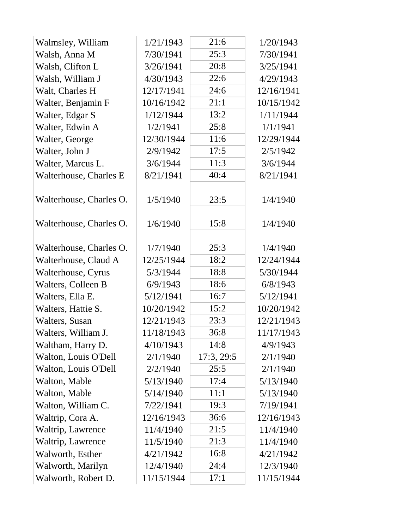| Walmsley, William       | 1/21/1943  | 21:6       | 1/20/1943  |
|-------------------------|------------|------------|------------|
| Walsh, Anna M           | 7/30/1941  | 25:3       | 7/30/1941  |
| Walsh, Clifton L        | 3/26/1941  | 20:8       | 3/25/1941  |
| Walsh, William J        | 4/30/1943  | 22:6       | 4/29/1943  |
| Walt, Charles H         | 12/17/1941 | 24:6       | 12/16/1941 |
| Walter, Benjamin F      | 10/16/1942 | 21:1       | 10/15/1942 |
| Walter, Edgar S         | 1/12/1944  | 13:2       | 1/11/1944  |
| Walter, Edwin A         | 1/2/1941   | 25:8       | 1/1/1941   |
| Walter, George          | 12/30/1944 | 11:6       | 12/29/1944 |
| Walter, John J          | 2/9/1942   | 17:5       | 2/5/1942   |
| Walter, Marcus L.       | 3/6/1944   | 11:3       | 3/6/1944   |
| Walterhouse, Charles E  | 8/21/1941  | 40:4       | 8/21/1941  |
| Walterhouse, Charles O. | 1/5/1940   | 23:5       | 1/4/1940   |
| Walterhouse, Charles O. | 1/6/1940   | 15:8       | 1/4/1940   |
| Walterhouse, Charles O. | 1/7/1940   | 25:3       | 1/4/1940   |
| Walterhouse, Claud A    | 12/25/1944 | 18:2       | 12/24/1944 |
| Walterhouse, Cyrus      | 5/3/1944   | 18:8       | 5/30/1944  |
| Walters, Colleen B      | 6/9/1943   | 18:6       | 6/8/1943   |
| Walters, Ella E.        | 5/12/1941  | 16:7       | 5/12/1941  |
| Walters, Hattie S.      | 10/20/1942 | 15:2       | 10/20/1942 |
| Walters, Susan          | 12/21/1943 | 23:3       | 12/21/1943 |
| Walters, William J.     | 11/18/1943 | 36:8       | 11/17/1943 |
| Waltham, Harry D.       | 4/10/1943  | 14:8       | 4/9/1943   |
| Walton, Louis O'Dell    | 2/1/1940   | 17:3, 29:5 | 2/1/1940   |
| Walton, Louis O'Dell    | 2/2/1940   | 25:5       | 2/1/1940   |
| Walton, Mable           | 5/13/1940  | 17:4       | 5/13/1940  |
| Walton, Mable           | 5/14/1940  | 11:1       | 5/13/1940  |
| Walton, William C.      | 7/22/1941  | 19:3       | 7/19/1941  |
| Waltrip, Cora A.        | 12/16/1943 | 36:6       | 12/16/1943 |
| Waltrip, Lawrence       | 11/4/1940  | 21:5       | 11/4/1940  |
| Waltrip, Lawrence       | 11/5/1940  | 21:3       | 11/4/1940  |
| Walworth, Esther        | 4/21/1942  | 16:8       | 4/21/1942  |
| Walworth, Marilyn       | 12/4/1940  | 24:4       | 12/3/1940  |
| Walworth, Robert D.     | 11/15/1944 | 17:1       | 11/15/1944 |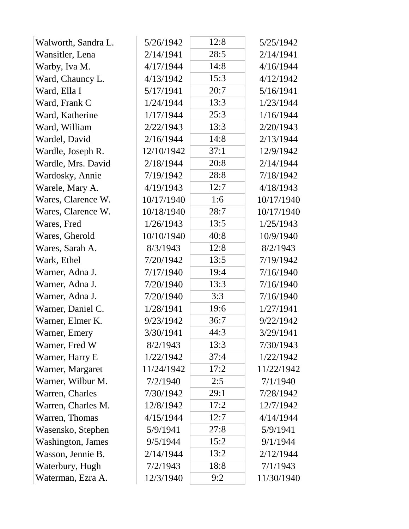| Walworth, Sandra L.       | 5/26/1942  | 12:8 | 5/25/1942  |  |
|---------------------------|------------|------|------------|--|
| Wansitler, Lena           | 2/14/1941  | 28:5 | 2/14/1941  |  |
| Warby, Iva M.             | 4/17/1944  | 14:8 | 4/16/1944  |  |
| Ward, Chauncy L.          | 4/13/1942  | 15:3 | 4/12/1942  |  |
| Ward, Ella I              | 5/17/1941  | 20:7 | 5/16/1941  |  |
| Ward, Frank C             | 1/24/1944  | 13:3 | 1/23/1944  |  |
| Ward, Katherine           | 1/17/1944  | 25:3 | 1/16/1944  |  |
| Ward, William             | 2/22/1943  | 13:3 | 2/20/1943  |  |
| Wardel, David             | 2/16/1944  | 14:8 | 2/13/1944  |  |
| Wardle, Joseph R.         | 12/10/1942 | 37:1 | 12/9/1942  |  |
| Wardle, Mrs. David        | 2/18/1944  | 20:8 | 2/14/1944  |  |
| Wardosky, Annie           | 7/19/1942  | 28:8 | 7/18/1942  |  |
| Warele, Mary A.           | 4/19/1943  | 12:7 | 4/18/1943  |  |
| Wares, Clarence W.        | 10/17/1940 | 1:6  | 10/17/1940 |  |
| Wares, Clarence W.        | 10/18/1940 | 28:7 | 10/17/1940 |  |
| Wares, Fred               | 1/26/1943  | 13:5 | 1/25/1943  |  |
| Wares, Gherold            | 10/10/1940 | 40:8 | 10/9/1940  |  |
| Wares, Sarah A.           | 8/3/1943   | 12:8 | 8/2/1943   |  |
| Wark, Ethel               | 7/20/1942  | 13:5 | 7/19/1942  |  |
| Warner, Adna J.           | 7/17/1940  | 19:4 | 7/16/1940  |  |
| Warner, Adna J.           | 7/20/1940  | 13:3 | 7/16/1940  |  |
| Warner, Adna J.           | 7/20/1940  | 3:3  | 7/16/1940  |  |
| Warner, Daniel C.         | 1/28/1941  | 19:6 | 1/27/1941  |  |
| Warner, Elmer K.          | 9/23/1942  | 36:7 | 9/22/1942  |  |
| Warner, Emery             | 3/30/1941  | 44:3 | 3/29/1941  |  |
| Warner, Fred W            | 8/2/1943   | 13:3 | 7/30/1943  |  |
| Warner, Harry E           | 1/22/1942  | 37:4 | 1/22/1942  |  |
| Warner, Margaret          | 11/24/1942 | 17:2 | 11/22/1942 |  |
| Warner, Wilbur M.         | 7/2/1940   | 2:5  | 7/1/1940   |  |
| Warren, Charles           | 7/30/1942  | 29:1 | 7/28/1942  |  |
| Warren, Charles M.        | 12/8/1942  | 17:2 | 12/7/1942  |  |
| Warren, Thomas            | 4/15/1944  | 12:7 | 4/14/1944  |  |
| Wasensko, Stephen         | 5/9/1941   | 27:8 | 5/9/1941   |  |
| <b>Washington</b> , James | 9/5/1944   | 15:2 | 9/1/1944   |  |
| Wasson, Jennie B.         | 2/14/1944  | 13:2 | 2/12/1944  |  |
| Waterbury, Hugh           | 7/2/1943   | 18:8 | 7/1/1943   |  |
| Waterman, Ezra A.         | 12/3/1940  | 9:2  | 11/30/1940 |  |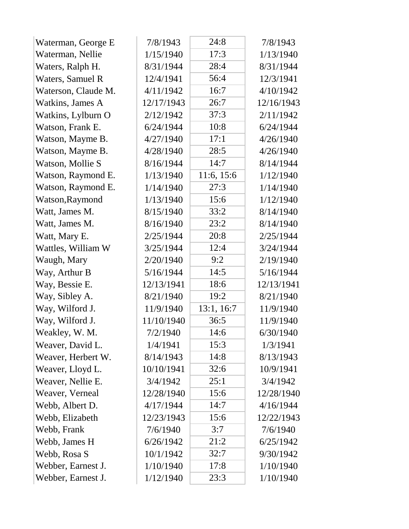| Waterman, George E  | 7/8/1943   | 24:8       | 7/8/1943   |
|---------------------|------------|------------|------------|
| Waterman, Nellie    | 1/15/1940  | 17:3       | 1/13/1940  |
| Waters, Ralph H.    | 8/31/1944  | 28:4       | 8/31/1944  |
| Waters, Samuel R    | 12/4/1941  | 56:4       | 12/3/1941  |
| Waterson, Claude M. | 4/11/1942  | 16:7       | 4/10/1942  |
| Watkins, James A    | 12/17/1943 | 26:7       | 12/16/1943 |
| Watkins, Lylburn O  | 2/12/1942  | 37:3       | 2/11/1942  |
| Watson, Frank E.    | 6/24/1944  | 10:8       | 6/24/1944  |
| Watson, Mayme B.    | 4/27/1940  | 17:1       | 4/26/1940  |
| Watson, Mayme B.    | 4/28/1940  | 28:5       | 4/26/1940  |
| Watson, Mollie S    | 8/16/1944  | 14:7       | 8/14/1944  |
| Watson, Raymond E.  | 1/13/1940  | 11:6, 15:6 | 1/12/1940  |
| Watson, Raymond E.  | 1/14/1940  | 27:3       | 1/14/1940  |
| Watson, Raymond     | 1/13/1940  | 15:6       | 1/12/1940  |
| Watt, James M.      | 8/15/1940  | 33:2       | 8/14/1940  |
| Watt, James M.      | 8/16/1940  | 23:2       | 8/14/1940  |
| Watt, Mary E.       | 2/25/1944  | 20:8       | 2/25/1944  |
| Wattles, William W  | 3/25/1944  | 12:4       | 3/24/1944  |
| Waugh, Mary         | 2/20/1940  | 9:2        | 2/19/1940  |
| Way, Arthur B       | 5/16/1944  | 14:5       | 5/16/1944  |
| Way, Bessie E.      | 12/13/1941 | 18:6       | 12/13/1941 |
| Way, Sibley A.      | 8/21/1940  | 19:2       | 8/21/1940  |
| Way, Wilford J.     | 11/9/1940  | 13:1, 16:7 | 11/9/1940  |
| Way, Wilford J.     | 11/10/1940 | 36:5       | 11/9/1940  |
| Weakley, W. M.      | 7/2/1940   | 14:6       | 6/30/1940  |
| Weaver, David L.    | 1/4/1941   | 15:3       | 1/3/1941   |
| Weaver, Herbert W.  | 8/14/1943  | 14:8       | 8/13/1943  |
| Weaver, Lloyd L.    | 10/10/1941 | 32:6       | 10/9/1941  |
| Weaver, Nellie E.   | 3/4/1942   | 25:1       | 3/4/1942   |
| Weaver, Verneal     | 12/28/1940 | 15:6       | 12/28/1940 |
| Webb, Albert D.     | 4/17/1944  | 14:7       | 4/16/1944  |
| Webb, Elizabeth     | 12/23/1943 | 15:6       | 12/22/1943 |
| Webb, Frank         | 7/6/1940   | 3:7        | 7/6/1940   |
| Webb, James H       | 6/26/1942  | 21:2       | 6/25/1942  |
| Webb, Rosa S        | 10/1/1942  | 32:7       | 9/30/1942  |
| Webber, Earnest J.  | 1/10/1940  | 17:8       | 1/10/1940  |
| Webber, Earnest J.  | 1/12/1940  | 23:3       | 1/10/1940  |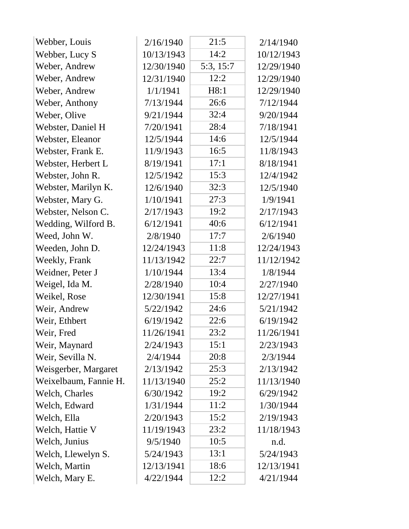| Webber, Louis         | 2/16/1940  | 21:5      | 2/14/1940  |
|-----------------------|------------|-----------|------------|
| Webber, Lucy S        | 10/13/1943 | 14:2      | 10/12/1943 |
| Weber, Andrew         | 12/30/1940 | 5:3, 15:7 | 12/29/1940 |
| Weber, Andrew         | 12/31/1940 | 12:2      | 12/29/1940 |
| Weber, Andrew         | 1/1/1941   | H8:1      | 12/29/1940 |
| Weber, Anthony        | 7/13/1944  | 26:6      | 7/12/1944  |
| Weber, Olive          | 9/21/1944  | 32:4      | 9/20/1944  |
| Webster, Daniel H     | 7/20/1941  | 28:4      | 7/18/1941  |
| Webster, Eleanor      | 12/5/1944  | 14:6      | 12/5/1944  |
| Webster, Frank E.     | 11/9/1943  | 16:5      | 11/8/1943  |
| Webster, Herbert L    | 8/19/1941  | 17:1      | 8/18/1941  |
| Webster, John R.      | 12/5/1942  | 15:3      | 12/4/1942  |
| Webster, Marilyn K.   | 12/6/1940  | 32:3      | 12/5/1940  |
| Webster, Mary G.      | 1/10/1941  | 27:3      | 1/9/1941   |
| Webster, Nelson C.    | 2/17/1943  | 19:2      | 2/17/1943  |
| Wedding, Wilford B.   | 6/12/1941  | 40:6      | 6/12/1941  |
| Weed, John W.         | 2/8/1940   | 17:7      | 2/6/1940   |
| Weeden, John D.       | 12/24/1943 | 11:8      | 12/24/1943 |
| Weekly, Frank         | 11/13/1942 | 22:7      | 11/12/1942 |
| Weidner, Peter J      | 1/10/1944  | 13:4      | 1/8/1944   |
| Weigel, Ida M.        | 2/28/1940  | 10:4      | 2/27/1940  |
| Weikel, Rose          | 12/30/1941 | 15:8      | 12/27/1941 |
| Weir, Andrew          | 5/22/1942  | 24:6      | 5/21/1942  |
| Weir, Ethbert         | 6/19/1942  | 22:6      | 6/19/1942  |
| Weir, Fred            | 11/26/1941 | 23:2      | 11/26/1941 |
| Weir, Maynard         | 2/24/1943  | 15:1      | 2/23/1943  |
| Weir, Sevilla N.      | 2/4/1944   | 20:8      | 2/3/1944   |
| Weisgerber, Margaret  | 2/13/1942  | 25:3      | 2/13/1942  |
| Weixelbaum, Fannie H. | 11/13/1940 | 25:2      | 11/13/1940 |
| Welch, Charles        | 6/30/1942  | 19:2      | 6/29/1942  |
| Welch, Edward         | 1/31/1944  | 11:2      | 1/30/1944  |
| Welch, Ella           | 2/20/1943  | 15:2      | 2/19/1943  |
| Welch, Hattie V       | 11/19/1943 | 23:2      | 11/18/1943 |
| Welch, Junius         | 9/5/1940   | 10:5      | n.d.       |
| Welch, Llewelyn S.    | 5/24/1943  | 13:1      | 5/24/1943  |
| Welch, Martin         | 12/13/1941 | 18:6      | 12/13/1941 |
| Welch, Mary E.        | 4/22/1944  | 12:2      | 4/21/1944  |
|                       |            |           |            |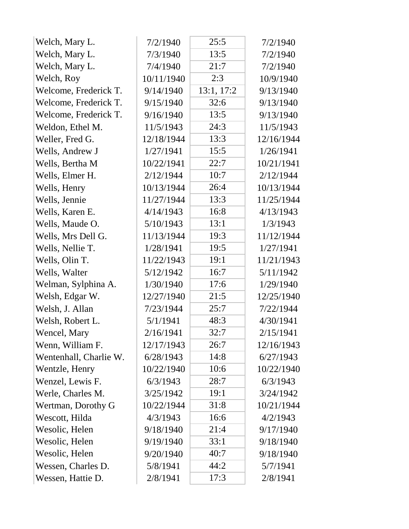| Welch, Mary L.         | 7/2/1940   | 25:5       | 7/2/1940   |
|------------------------|------------|------------|------------|
| Welch, Mary L.         | 7/3/1940   | 13:5       | 7/2/1940   |
| Welch, Mary L.         | 7/4/1940   | 21:7       | 7/2/1940   |
| Welch, Roy             | 10/11/1940 | 2:3        | 10/9/1940  |
| Welcome, Frederick T.  | 9/14/1940  | 13:1, 17:2 | 9/13/1940  |
| Welcome, Frederick T.  | 9/15/1940  | 32:6       | 9/13/1940  |
| Welcome, Frederick T.  | 9/16/1940  | 13:5       | 9/13/1940  |
| Weldon, Ethel M.       | 11/5/1943  | 24:3       | 11/5/1943  |
| Weller, Fred G.        | 12/18/1944 | 13:3       | 12/16/1944 |
| Wells, Andrew J        | 1/27/1941  | 15:5       | 1/26/1941  |
| Wells, Bertha M        | 10/22/1941 | 22:7       | 10/21/1941 |
| Wells, Elmer H.        | 2/12/1944  | 10:7       | 2/12/1944  |
| Wells, Henry           | 10/13/1944 | 26:4       | 10/13/1944 |
| Wells, Jennie          | 11/27/1944 | 13:3       | 11/25/1944 |
| Wells, Karen E.        | 4/14/1943  | 16:8       | 4/13/1943  |
| Wells, Maude O.        | 5/10/1943  | 13:1       | 1/3/1943   |
| Wells, Mrs Dell G.     | 11/13/1944 | 19:3       | 11/12/1944 |
| Wells, Nellie T.       | 1/28/1941  | 19:5       | 1/27/1941  |
| Wells, Olin T.         | 11/22/1943 | 19:1       | 11/21/1943 |
| Wells, Walter          | 5/12/1942  | 16:7       | 5/11/1942  |
| Welman, Sylphina A.    | 1/30/1940  | 17:6       | 1/29/1940  |
| Welsh, Edgar W.        | 12/27/1940 | 21:5       | 12/25/1940 |
| Welsh, J. Allan        | 7/23/1944  | 25:7       | 7/22/1944  |
| Welsh, Robert L.       | 5/1/1941   | 48:3       | 4/30/1941  |
| Wencel, Mary           | 2/16/1941  | 32:7       | 2/15/1941  |
| Wenn, William F.       | 12/17/1943 | 26:7       | 12/16/1943 |
| Wentenhall, Charlie W. | 6/28/1943  | 14:8       | 6/27/1943  |
| Wentzle, Henry         | 10/22/1940 | 10:6       | 10/22/1940 |
| Wenzel, Lewis F.       | 6/3/1943   | 28:7       | 6/3/1943   |
| Werle, Charles M.      | 3/25/1942  | 19:1       | 3/24/1942  |
| Wertman, Dorothy G     | 10/22/1944 | 31:8       | 10/21/1944 |
| Wescott, Hilda         | 4/3/1943   | 16:6       | 4/2/1943   |
| Wesolic, Helen         | 9/18/1940  | 21:4       | 9/17/1940  |
| Wesolic, Helen         | 9/19/1940  | 33:1       | 9/18/1940  |
| Wesolic, Helen         | 9/20/1940  | 40:7       | 9/18/1940  |
| Wessen, Charles D.     | 5/8/1941   | 44:2       | 5/7/1941   |
| Wessen, Hattie D.      | 2/8/1941   | 17:3       | 2/8/1941   |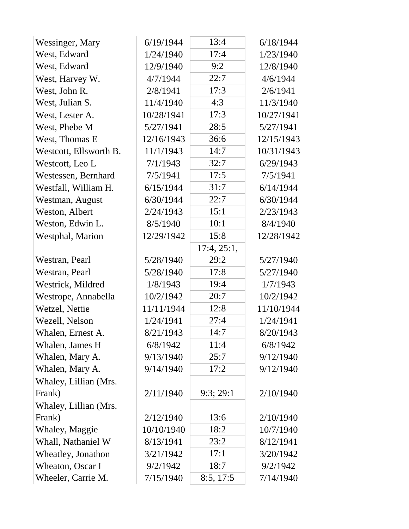| Wessinger, Mary        | 6/19/1944  | 13:4        | 6/18/1944  |
|------------------------|------------|-------------|------------|
| West, Edward           | 1/24/1940  | 17:4        | 1/23/1940  |
| West, Edward           | 12/9/1940  | 9:2         | 12/8/1940  |
| West, Harvey W.        | 4/7/1944   | 22:7        | 4/6/1944   |
| West, John R.          | 2/8/1941   | 17:3        | 2/6/1941   |
| West, Julian S.        | 11/4/1940  | 4:3         | 11/3/1940  |
| West, Lester A.        | 10/28/1941 | 17:3        | 10/27/1941 |
| West, Phebe M          | 5/27/1941  | 28:5        | 5/27/1941  |
| West, Thomas E         | 12/16/1943 | 36:6        | 12/15/1943 |
| Westcott, Ellsworth B. | 11/1/1943  | 14:7        | 10/31/1943 |
| Westcott, Leo L        | 7/1/1943   | 32:7        | 6/29/1943  |
| Westessen, Bernhard    | 7/5/1941   | 17:5        | 7/5/1941   |
| Westfall, William H.   | 6/15/1944  | 31:7        | 6/14/1944  |
| Westman, August        | 6/30/1944  | 22:7        | 6/30/1944  |
| Weston, Albert         | 2/24/1943  | 15:1        | 2/23/1943  |
| Weston, Edwin L.       | 8/5/1940   | 10:1        | 8/4/1940   |
| Westphal, Marion       | 12/29/1942 | 15:8        | 12/28/1942 |
|                        |            | 17:4, 25:1, |            |
| Westran, Pearl         | 5/28/1940  | 29:2        | 5/27/1940  |
| Westran, Pearl         | 5/28/1940  | 17:8        | 5/27/1940  |
| Westrick, Mildred      | 1/8/1943   | 19:4        | 1/7/1943   |
| Westrope, Annabella    | 10/2/1942  | 20:7        | 10/2/1942  |
| Wetzel, Nettie         | 11/11/1944 | 12:8        | 11/10/1944 |
| Wezell, Nelson         | 1/24/1941  | 27:4        | 1/24/1941  |
| Whalen, Ernest A.      | 8/21/1943  | 14:7        | 8/20/1943  |
| Whalen, James H        | 6/8/1942   | 11:4        | 6/8/1942   |
| Whalen, Mary A.        | 9/13/1940  | 25:7        | 9/12/1940  |
| Whalen, Mary A.        | 9/14/1940  | 17:2        | 9/12/1940  |
| Whaley, Lillian (Mrs.  |            |             |            |
| Frank)                 | 2/11/1940  | 9:3;29:1    | 2/10/1940  |
| Whaley, Lillian (Mrs.  |            |             |            |
| Frank)                 | 2/12/1940  | 13:6        | 2/10/1940  |
| Whaley, Maggie         | 10/10/1940 | 18:2        | 10/7/1940  |
| Whall, Nathaniel W     | 8/13/1941  | 23:2        | 8/12/1941  |
| Wheatley, Jonathon     | 3/21/1942  | 17:1        | 3/20/1942  |
| Wheaton, Oscar I       | 9/2/1942   | 18:7        | 9/2/1942   |
| Wheeler, Carrie M.     | 7/15/1940  | 8:5, 17:5   | 7/14/1940  |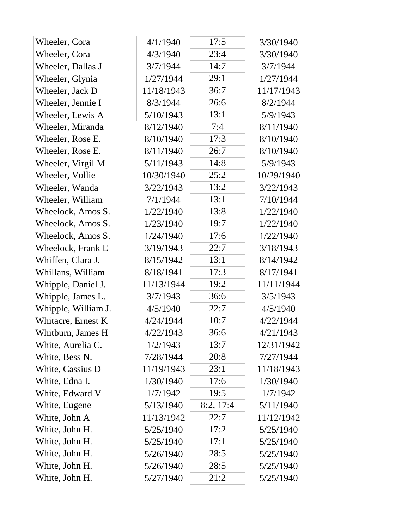| Wheeler, Cora       | 4/1/1940   | 17:5      | 3/30/1940  |
|---------------------|------------|-----------|------------|
| Wheeler, Cora       | 4/3/1940   | 23:4      | 3/30/1940  |
| Wheeler, Dallas J   | 3/7/1944   | 14:7      | 3/7/1944   |
| Wheeler, Glynia     | 1/27/1944  | 29:1      | 1/27/1944  |
| Wheeler, Jack D     | 11/18/1943 | 36:7      | 11/17/1943 |
| Wheeler, Jennie I   | 8/3/1944   | 26:6      | 8/2/1944   |
| Wheeler, Lewis A    | 5/10/1943  | 13:1      | 5/9/1943   |
| Wheeler, Miranda    | 8/12/1940  | 7:4       | 8/11/1940  |
| Wheeler, Rose E.    | 8/10/1940  | 17:3      | 8/10/1940  |
| Wheeler, Rose E.    | 8/11/1940  | 26:7      | 8/10/1940  |
| Wheeler, Virgil M   | 5/11/1943  | 14:8      | 5/9/1943   |
| Wheeler, Vollie     | 10/30/1940 | 25:2      | 10/29/1940 |
| Wheeler, Wanda      | 3/22/1943  | 13:2      | 3/22/1943  |
| Wheeler, William    | 7/1/1944   | 13:1      | 7/10/1944  |
| Wheelock, Amos S.   | 1/22/1940  | 13:8      | 1/22/1940  |
| Wheelock, Amos S.   | 1/23/1940  | 19:7      | 1/22/1940  |
| Wheelock, Amos S.   | 1/24/1940  | 17:6      | 1/22/1940  |
| Wheelock, Frank E   | 3/19/1943  | 22:7      | 3/18/1943  |
| Whiffen, Clara J.   | 8/15/1942  | 13:1      | 8/14/1942  |
| Whillans, William   | 8/18/1941  | 17:3      | 8/17/1941  |
| Whipple, Daniel J.  | 11/13/1944 | 19:2      | 11/11/1944 |
| Whipple, James L.   | 3/7/1943   | 36:6      | 3/5/1943   |
| Whipple, William J. | 4/5/1940   | 22:7      | 4/5/1940   |
| Whitacre, Ernest K  | 4/24/1944  | 10:7      | 4/22/1944  |
| Whitburn, James H   | 4/22/1943  | 36:6      | 4/21/1943  |
| White, Aurelia C.   | 1/2/1943   | 13:7      | 12/31/1942 |
| White, Bess N.      | 7/28/1944  | 20:8      | 7/27/1944  |
| White, Cassius D    | 11/19/1943 | 23:1      | 11/18/1943 |
| White, Edna I.      | 1/30/1940  | 17:6      | 1/30/1940  |
| White, Edward V     | 1/7/1942   | 19:5      | 1/7/1942   |
| White, Eugene       | 5/13/1940  | 8:2, 17:4 | 5/11/1940  |
| White, John A       | 11/13/1942 | 22:7      | 11/12/1942 |
| White, John H.      | 5/25/1940  | 17:2      | 5/25/1940  |
| White, John H.      | 5/25/1940  | 17:1      | 5/25/1940  |
| White, John H.      | 5/26/1940  | 28:5      | 5/25/1940  |
| White, John H.      | 5/26/1940  | 28:5      | 5/25/1940  |
| White, John H.      | 5/27/1940  | 21:2      | 5/25/1940  |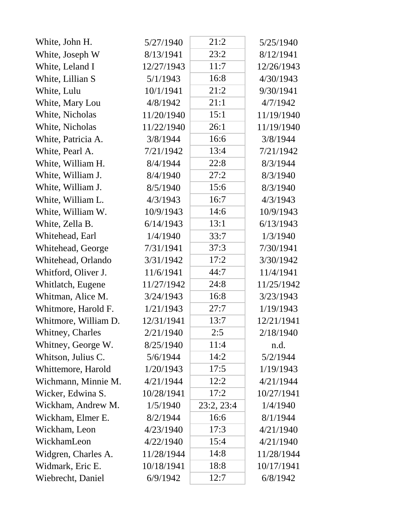| White, John H.       | 5/27/1940  | 21:2       | 5/25/1940  |
|----------------------|------------|------------|------------|
| White, Joseph W      | 8/13/1941  | 23:2       | 8/12/1941  |
| White, Leland I      | 12/27/1943 | 11:7       | 12/26/1943 |
| White, Lillian S     | 5/1/1943   | 16:8       | 4/30/1943  |
| White, Lulu          | 10/1/1941  | 21:2       | 9/30/1941  |
| White, Mary Lou      | 4/8/1942   | 21:1       | 4/7/1942   |
| White, Nicholas      | 11/20/1940 | 15:1       | 11/19/1940 |
| White, Nicholas      | 11/22/1940 | 26:1       | 11/19/1940 |
| White, Patricia A.   | 3/8/1944   | 16:6       | 3/8/1944   |
| White, Pearl A.      | 7/21/1942  | 13:4       | 7/21/1942  |
| White, William H.    | 8/4/1944   | 22:8       | 8/3/1944   |
| White, William J.    | 8/4/1940   | 27:2       | 8/3/1940   |
| White, William J.    | 8/5/1940   | 15:6       | 8/3/1940   |
| White, William L.    | 4/3/1943   | 16:7       | 4/3/1943   |
| White, William W.    | 10/9/1943  | 14:6       | 10/9/1943  |
| White, Zella B.      | 6/14/1943  | 13:1       | 6/13/1943  |
| Whitehead, Earl      | 1/4/1940   | 33:7       | 1/3/1940   |
| Whitehead, George    | 7/31/1941  | 37:3       | 7/30/1941  |
| Whitehead, Orlando   | 3/31/1942  | 17:2       | 3/30/1942  |
| Whitford, Oliver J.  | 11/6/1941  | 44:7       | 11/4/1941  |
| Whitlatch, Eugene    | 11/27/1942 | 24:8       | 11/25/1942 |
| Whitman, Alice M.    | 3/24/1943  | 16:8       | 3/23/1943  |
| Whitmore, Harold F.  | 1/21/1943  | 27:7       | 1/19/1943  |
| Whitmore, William D. | 12/31/1941 | 13:7       | 12/21/1941 |
| Whitney, Charles     | 2/21/1940  | 2:5        | 2/18/1940  |
| Whitney, George W.   | 8/25/1940  | 11:4       | n.d.       |
| Whitson, Julius C.   | 5/6/1944   | 14:2       | 5/2/1944   |
| Whittemore, Harold   | 1/20/1943  | 17:5       | 1/19/1943  |
| Wichmann, Minnie M.  | 4/21/1944  | 12:2       | 4/21/1944  |
| Wicker, Edwina S.    | 10/28/1941 | 17:2       | 10/27/1941 |
| Wickham, Andrew M.   | 1/5/1940   | 23:2, 23:4 | 1/4/1940   |
| Wickham, Elmer E.    | 8/2/1944   | 16:6       | 8/1/1944   |
| Wickham, Leon        | 4/23/1940  | 17:3       | 4/21/1940  |
| WickhamLeon          | 4/22/1940  | 15:4       | 4/21/1940  |
| Widgren, Charles A.  | 11/28/1944 | 14:8       | 11/28/1944 |
| Widmark, Eric E.     | 10/18/1941 | 18:8       | 10/17/1941 |
| Wiebrecht, Daniel    | 6/9/1942   | 12:7       | 6/8/1942   |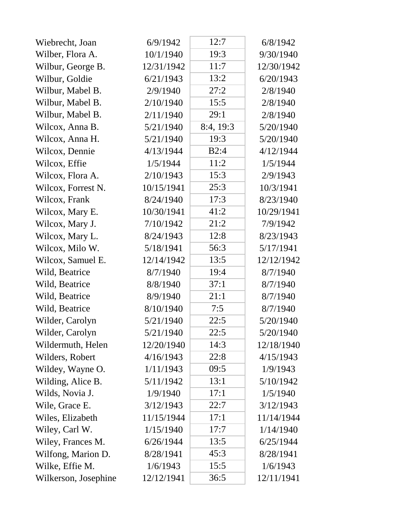| Wiebrecht, Joan      | 6/9/1942   | 12:7      | 6/8/1942   |
|----------------------|------------|-----------|------------|
| Wilber, Flora A.     | 10/1/1940  | 19:3      | 9/30/1940  |
| Wilbur, George B.    | 12/31/1942 | 11:7      | 12/30/1942 |
| Wilbur, Goldie       | 6/21/1943  | 13:2      | 6/20/1943  |
| Wilbur, Mabel B.     | 2/9/1940   | 27:2      | 2/8/1940   |
| Wilbur, Mabel B.     | 2/10/1940  | 15:5      | 2/8/1940   |
| Wilbur, Mabel B.     | 2/11/1940  | 29:1      | 2/8/1940   |
| Wilcox, Anna B.      | 5/21/1940  | 8:4, 19:3 | 5/20/1940  |
| Wilcox, Anna H.      | 5/21/1940  | 19:3      | 5/20/1940  |
| Wilcox, Dennie       | 4/13/1944  | B2:4      | 4/12/1944  |
| Wilcox, Effie        | 1/5/1944   | 11:2      | 1/5/1944   |
| Wilcox, Flora A.     | 2/10/1943  | 15:3      | 2/9/1943   |
| Wilcox, Forrest N.   | 10/15/1941 | 25:3      | 10/3/1941  |
| Wilcox, Frank        | 8/24/1940  | 17:3      | 8/23/1940  |
| Wilcox, Mary E.      | 10/30/1941 | 41:2      | 10/29/1941 |
| Wilcox, Mary J.      | 7/10/1942  | 21:2      | 7/9/1942   |
| Wilcox, Mary L.      | 8/24/1943  | 12:8      | 8/23/1943  |
| Wilcox, Milo W.      | 5/18/1941  | 56:3      | 5/17/1941  |
| Wilcox, Samuel E.    | 12/14/1942 | 13:5      | 12/12/1942 |
| Wild, Beatrice       | 8/7/1940   | 19:4      | 8/7/1940   |
| Wild, Beatrice       | 8/8/1940   | 37:1      | 8/7/1940   |
| Wild, Beatrice       | 8/9/1940   | 21:1      | 8/7/1940   |
| Wild, Beatrice       | 8/10/1940  | 7:5       | 8/7/1940   |
| Wilder, Carolyn      | 5/21/1940  | 22:5      | 5/20/1940  |
| Wilder, Carolyn      | 5/21/1940  | 22:5      | 5/20/1940  |
| Wildermuth, Helen    | 12/20/1940 | 14:3      | 12/18/1940 |
| Wilders, Robert      | 4/16/1943  | 22:8      | 4/15/1943  |
| Wildey, Wayne O.     | 1/11/1943  | 09:5      | 1/9/1943   |
| Wilding, Alice B.    | 5/11/1942  | 13:1      | 5/10/1942  |
| Wilds, Novia J.      | 1/9/1940   | 17:1      | 1/5/1940   |
| Wile, Grace E.       | 3/12/1943  | 22:7      | 3/12/1943  |
| Wiles, Elizabeth     | 11/15/1944 | 17:1      | 11/14/1944 |
| Wiley, Carl W.       | 1/15/1940  | 17:7      | 1/14/1940  |
| Wiley, Frances M.    | 6/26/1944  | 13:5      | 6/25/1944  |
| Wilfong, Marion D.   | 8/28/1941  | 45:3      | 8/28/1941  |
| Wilke, Effie M.      | 1/6/1943   | 15:5      | 1/6/1943   |
| Wilkerson, Josephine | 12/12/1941 | 36:5      | 12/11/1941 |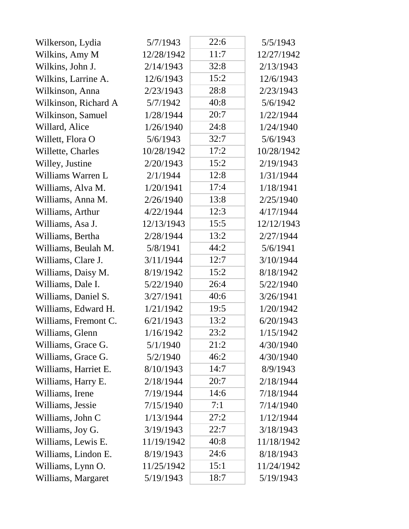| Wilkerson, Lydia     | 5/7/1943   | 22:6 | 5/5/1943   |
|----------------------|------------|------|------------|
| Wilkins, Amy M       | 12/28/1942 | 11:7 | 12/27/1942 |
| Wilkins, John J.     | 2/14/1943  | 32:8 | 2/13/1943  |
| Wilkins, Larrine A.  | 12/6/1943  | 15:2 | 12/6/1943  |
| Wilkinson, Anna      | 2/23/1943  | 28:8 | 2/23/1943  |
| Wilkinson, Richard A | 5/7/1942   | 40:8 | 5/6/1942   |
| Wilkinson, Samuel    | 1/28/1944  | 20:7 | 1/22/1944  |
| Willard, Alice       | 1/26/1940  | 24:8 | 1/24/1940  |
| Willett, Flora O     | 5/6/1943   | 32:7 | 5/6/1943   |
| Willette, Charles    | 10/28/1942 | 17:2 | 10/28/1942 |
| Willey, Justine      | 2/20/1943  | 15:2 | 2/19/1943  |
| Williams Warren L    | 2/1/1944   | 12:8 | 1/31/1944  |
| Williams, Alva M.    | 1/20/1941  | 17:4 | 1/18/1941  |
| Williams, Anna M.    | 2/26/1940  | 13:8 | 2/25/1940  |
| Williams, Arthur     | 4/22/1944  | 12:3 | 4/17/1944  |
| Williams, Asa J.     | 12/13/1943 | 15:5 | 12/12/1943 |
| Williams, Bertha     | 2/28/1944  | 13:2 | 2/27/1944  |
| Williams, Beulah M.  | 5/8/1941   | 44:2 | 5/6/1941   |
| Williams, Clare J.   | 3/11/1944  | 12:7 | 3/10/1944  |
| Williams, Daisy M.   | 8/19/1942  | 15:2 | 8/18/1942  |
| Williams, Dale I.    | 5/22/1940  | 26:4 | 5/22/1940  |
| Williams, Daniel S.  | 3/27/1941  | 40:6 | 3/26/1941  |
| Williams, Edward H.  | 1/21/1942  | 19:5 | 1/20/1942  |
| Williams, Fremont C. | 6/21/1943  | 13:2 | 6/20/1943  |
| Williams, Glenn      | 1/16/1942  | 23:2 | 1/15/1942  |
| Williams, Grace G.   | 5/1/1940   | 21:2 | 4/30/1940  |
| Williams, Grace G.   | 5/2/1940   | 46:2 | 4/30/1940  |
| Williams, Harriet E. | 8/10/1943  | 14:7 | 8/9/1943   |
| Williams, Harry E.   | 2/18/1944  | 20:7 | 2/18/1944  |
| Williams, Irene      | 7/19/1944  | 14:6 | 7/18/1944  |
| Williams, Jessie     | 7/15/1940  | 7:1  | 7/14/1940  |
| Williams, John C     | 1/13/1944  | 27:2 | 1/12/1944  |
| Williams, Joy G.     | 3/19/1943  | 22:7 | 3/18/1943  |
| Williams, Lewis E.   | 11/19/1942 | 40:8 | 11/18/1942 |
| Williams, Lindon E.  | 8/19/1943  | 24:6 | 8/18/1943  |
| Williams, Lynn O.    | 11/25/1942 | 15:1 | 11/24/1942 |
| Williams, Margaret   | 5/19/1943  | 18:7 | 5/19/1943  |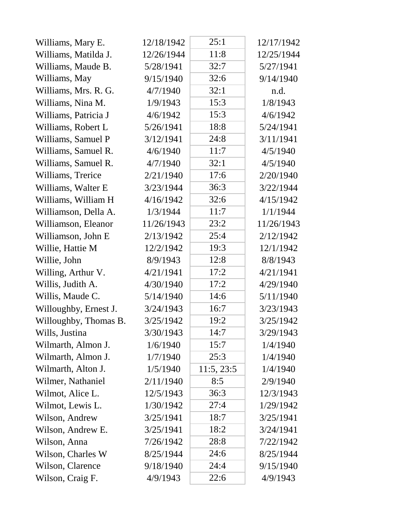| Williams, Mary E.     | 12/18/1942 | 25:1       | 12/17/1942 |
|-----------------------|------------|------------|------------|
| Williams, Matilda J.  | 12/26/1944 | 11:8       | 12/25/1944 |
| Williams, Maude B.    | 5/28/1941  | 32:7       | 5/27/1941  |
| Williams, May         | 9/15/1940  | 32:6       | 9/14/1940  |
| Williams, Mrs. R. G.  | 4/7/1940   | 32:1       | n.d.       |
| Williams, Nina M.     | 1/9/1943   | 15:3       | 1/8/1943   |
| Williams, Patricia J  | 4/6/1942   | 15:3       | 4/6/1942   |
| Williams, Robert L    | 5/26/1941  | 18:8       | 5/24/1941  |
| Williams, Samuel P    | 3/12/1941  | 24:8       | 3/11/1941  |
| Williams, Samuel R.   | 4/6/1940   | 11:7       | 4/5/1940   |
| Williams, Samuel R.   | 4/7/1940   | 32:1       | 4/5/1940   |
| Williams, Trerice     | 2/21/1940  | 17:6       | 2/20/1940  |
| Williams, Walter E    | 3/23/1944  | 36:3       | 3/22/1944  |
| Williams, William H   | 4/16/1942  | 32:6       | 4/15/1942  |
| Williamson, Della A.  | 1/3/1944   | 11:7       | 1/1/1944   |
| Williamson, Eleanor   | 11/26/1943 | 23:2       | 11/26/1943 |
| Williamson, John E    | 2/13/1942  | 25:4       | 2/12/1942  |
| Willie, Hattie M      | 12/2/1942  | 19:3       | 12/1/1942  |
| Willie, John          | 8/9/1943   | 12:8       | 8/8/1943   |
| Willing, Arthur V.    | 4/21/1941  | 17:2       | 4/21/1941  |
| Willis, Judith A.     | 4/30/1940  | 17:2       | 4/29/1940  |
| Willis, Maude C.      | 5/14/1940  | 14:6       | 5/11/1940  |
| Willoughby, Ernest J. | 3/24/1943  | 16:7       | 3/23/1943  |
| Willoughby, Thomas B. | 3/25/1942  | 19:2       | 3/25/1942  |
| Wills, Justina        | 3/30/1943  | 14:7       | 3/29/1943  |
| Wilmarth, Almon J.    | 1/6/1940   | 15:7       | 1/4/1940   |
| Wilmarth, Almon J.    | 1/7/1940   | 25:3       | 1/4/1940   |
| Wilmarth, Alton J.    | 1/5/1940   | 11:5, 23:5 | 1/4/1940   |
| Wilmer, Nathaniel     | 2/11/1940  | 8:5        | 2/9/1940   |
| Wilmot, Alice L.      | 12/5/1943  | 36:3       | 12/3/1943  |
| Wilmot, Lewis L.      | 1/30/1942  | 27:4       | 1/29/1942  |
| Wilson, Andrew        | 3/25/1941  | 18:7       | 3/25/1941  |
| Wilson, Andrew E.     | 3/25/1941  | 18:2       | 3/24/1941  |
| Wilson, Anna          | 7/26/1942  | 28:8       | 7/22/1942  |
| Wilson, Charles W     | 8/25/1944  | 24:6       | 8/25/1944  |
| Wilson, Clarence      | 9/18/1940  | 24:4       | 9/15/1940  |
| Wilson, Craig F.      | 4/9/1943   | 22:6       | 4/9/1943   |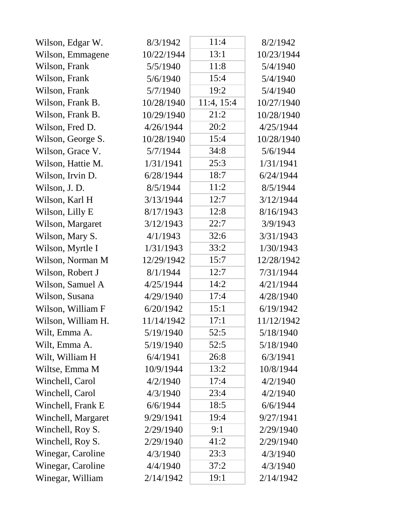| Wilson, Edgar W.   | 8/3/1942   | 11:4       | 8/2/1942   |
|--------------------|------------|------------|------------|
| Wilson, Emmagene   | 10/22/1944 | 13:1       | 10/23/1944 |
| Wilson, Frank      | 5/5/1940   | 11:8       | 5/4/1940   |
| Wilson, Frank      | 5/6/1940   | 15:4       | 5/4/1940   |
| Wilson, Frank      | 5/7/1940   | 19:2       | 5/4/1940   |
| Wilson, Frank B.   | 10/28/1940 | 11:4, 15:4 | 10/27/1940 |
| Wilson, Frank B.   | 10/29/1940 | 21:2       | 10/28/1940 |
| Wilson, Fred D.    | 4/26/1944  | 20:2       | 4/25/1944  |
| Wilson, George S.  | 10/28/1940 | 15:4       | 10/28/1940 |
| Wilson, Grace V.   | 5/7/1944   | 34:8       | 5/6/1944   |
| Wilson, Hattie M.  | 1/31/1941  | 25:3       | 1/31/1941  |
| Wilson, Irvin D.   | 6/28/1944  | 18:7       | 6/24/1944  |
| Wilson, J. D.      | 8/5/1944   | 11:2       | 8/5/1944   |
| Wilson, Karl H     | 3/13/1944  | 12:7       | 3/12/1944  |
| Wilson, Lilly E    | 8/17/1943  | 12:8       | 8/16/1943  |
| Wilson, Margaret   | 3/12/1943  | 22:7       | 3/9/1943   |
| Wilson, Mary S.    | 4/1/1943   | 32:6       | 3/31/1943  |
| Wilson, Myrtle I   | 1/31/1943  | 33:2       | 1/30/1943  |
| Wilson, Norman M   | 12/29/1942 | 15:7       | 12/28/1942 |
| Wilson, Robert J   | 8/1/1944   | 12:7       | 7/31/1944  |
| Wilson, Samuel A   | 4/25/1944  | 14:2       | 4/21/1944  |
| Wilson, Susana     | 4/29/1940  | 17:4       | 4/28/1940  |
| Wilson, William F  | 6/20/1942  | 15:1       | 6/19/1942  |
| Wilson, William H. | 11/14/1942 | 17:1       | 11/12/1942 |
| Wilt, Emma A.      | 5/19/1940  | 52:5       | 5/18/1940  |
| Wilt, Emma A.      | 5/19/1940  | 52:5       | 5/18/1940  |
| Wilt, William H    | 6/4/1941   | 26:8       | 6/3/1941   |
| Wiltse, Emma M     | 10/9/1944  | 13:2       | 10/8/1944  |
| Winchell, Carol    | 4/2/1940   | 17:4       | 4/2/1940   |
| Winchell, Carol    | 4/3/1940   | 23:4       | 4/2/1940   |
| Winchell, Frank E  | 6/6/1944   | 18:5       | 6/6/1944   |
| Winchell, Margaret | 9/29/1941  | 19:4       | 9/27/1941  |
| Winchell, Roy S.   | 2/29/1940  | 9:1        | 2/29/1940  |
| Winchell, Roy S.   | 2/29/1940  | 41:2       | 2/29/1940  |
| Winegar, Caroline  | 4/3/1940   | 23:3       | 4/3/1940   |
| Winegar, Caroline  | 4/4/1940   | 37:2       | 4/3/1940   |
| Winegar, William   | 2/14/1942  | 19:1       | 2/14/1942  |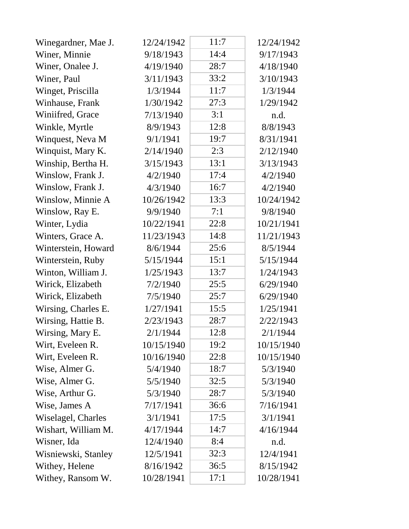| Winegardner, Mae J. | 12/24/1942 | 11:7 | 12/24/1942 |
|---------------------|------------|------|------------|
| Winer, Minnie       | 9/18/1943  | 14:4 | 9/17/1943  |
| Winer, Onalee J.    | 4/19/1940  | 28:7 | 4/18/1940  |
| Winer, Paul         | 3/11/1943  | 33:2 | 3/10/1943  |
| Winget, Priscilla   | 1/3/1944   | 11:7 | 1/3/1944   |
| Winhause, Frank     | 1/30/1942  | 27:3 | 1/29/1942  |
| Winiifred, Grace    | 7/13/1940  | 3:1  | n.d.       |
| Winkle, Myrtle      | 8/9/1943   | 12:8 | 8/8/1943   |
| Winquest, Neva M    | 9/1/1941   | 19:7 | 8/31/1941  |
| Winquist, Mary K.   | 2/14/1940  | 2:3  | 2/12/1940  |
| Winship, Bertha H.  | 3/15/1943  | 13:1 | 3/13/1943  |
| Winslow, Frank J.   | 4/2/1940   | 17:4 | 4/2/1940   |
| Winslow, Frank J.   | 4/3/1940   | 16:7 | 4/2/1940   |
| Winslow, Minnie A   | 10/26/1942 | 13:3 | 10/24/1942 |
| Winslow, Ray E.     | 9/9/1940   | 7:1  | 9/8/1940   |
| Winter, Lydia       | 10/22/1941 | 22:8 | 10/21/1941 |
| Winters, Grace A.   | 11/23/1943 | 14:8 | 11/21/1943 |
| Winterstein, Howard | 8/6/1944   | 25:6 | 8/5/1944   |
| Winterstein, Ruby   | 5/15/1944  | 15:1 | 5/15/1944  |
| Winton, William J.  | 1/25/1943  | 13:7 | 1/24/1943  |
| Wirick, Elizabeth   | 7/2/1940   | 25:5 | 6/29/1940  |
| Wirick, Elizabeth   | 7/5/1940   | 25:7 | 6/29/1940  |
| Wirsing, Charles E. | 1/27/1941  | 15:5 | 1/25/1941  |
| Wirsing, Hattie B.  | 2/23/1943  | 28:7 | 2/22/1943  |
| Wirsing, Mary E.    | 2/1/1944   | 12:8 | 2/1/1944   |
| Wirt, Eveleen R.    | 10/15/1940 | 19:2 | 10/15/1940 |
| Wirt, Eveleen R.    | 10/16/1940 | 22:8 | 10/15/1940 |
| Wise, Almer G.      | 5/4/1940   | 18:7 | 5/3/1940   |
| Wise, Almer G.      | 5/5/1940   | 32:5 | 5/3/1940   |
| Wise, Arthur G.     | 5/3/1940   | 28:7 | 5/3/1940   |
| Wise, James A       | 7/17/1941  | 36:6 | 7/16/1941  |
| Wiselagel, Charles  | 3/1/1941   | 17:5 | 3/1/1941   |
| Wishart, William M. | 4/17/1944  | 14:7 | 4/16/1944  |
| Wisner, Ida         | 12/4/1940  | 8:4  | n.d.       |
| Wisniewski, Stanley | 12/5/1941  | 32:3 | 12/4/1941  |
| Withey, Helene      | 8/16/1942  | 36:5 | 8/15/1942  |
| Withey, Ransom W.   | 10/28/1941 | 17:1 | 10/28/1941 |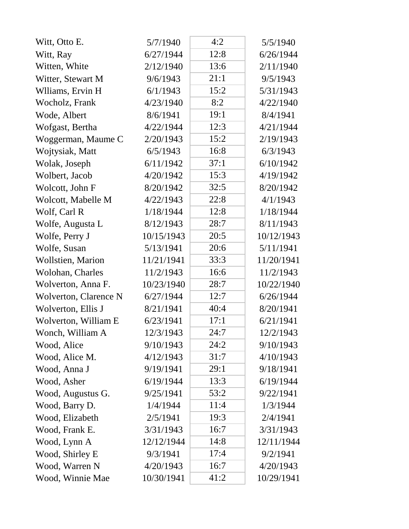| Witt, Otto E.            | 5/7/1940   | 4:2  | 5/5/1940   |
|--------------------------|------------|------|------------|
| Witt, Ray                | 6/27/1944  | 12:8 | 6/26/1944  |
| Witten, White            | 2/12/1940  | 13:6 | 2/11/1940  |
| Witter, Stewart M        | 9/6/1943   | 21:1 | 9/5/1943   |
| Wlliams, Ervin H         | 6/1/1943   | 15:2 | 5/31/1943  |
| Wocholz, Frank           | 4/23/1940  | 8:2  | 4/22/1940  |
| Wode, Albert             | 8/6/1941   | 19:1 | 8/4/1941   |
| Wofgast, Bertha          | 4/22/1944  | 12:3 | 4/21/1944  |
| Woggerman, Maume C       | 2/20/1943  | 15:2 | 2/19/1943  |
| Wojtysiak, Matt          | 6/5/1943   | 16:8 | 6/3/1943   |
| Wolak, Joseph            | 6/11/1942  | 37:1 | 6/10/1942  |
| Wolbert, Jacob           | 4/20/1942  | 15:3 | 4/19/1942  |
| Wolcott, John F          | 8/20/1942  | 32:5 | 8/20/1942  |
| Wolcott, Mabelle M       | 4/22/1943  | 22:8 | 4/1/1943   |
| Wolf, Carl R             | 1/18/1944  | 12:8 | 1/18/1944  |
| Wolfe, Augusta L         | 8/12/1943  | 28:7 | 8/11/1943  |
| Wolfe, Perry J           | 10/15/1943 | 20:5 | 10/12/1943 |
| Wolfe, Susan             | 5/13/1941  | 20:6 | 5/11/1941  |
| <b>Wollstien, Marion</b> | 11/21/1941 | 33:3 | 11/20/1941 |
| Wolohan, Charles         | 11/2/1943  | 16:6 | 11/2/1943  |
| Wolverton, Anna F.       | 10/23/1940 | 28:7 | 10/22/1940 |
| Wolverton, Clarence N    | 6/27/1944  | 12:7 | 6/26/1944  |
| Wolverton, Ellis J       | 8/21/1941  | 40:4 | 8/20/1941  |
| Wolverton, William E     | 6/23/1941  | 17:1 | 6/21/1941  |
| Wonch, William A         | 12/3/1943  | 24:7 | 12/2/1943  |
| Wood, Alice              | 9/10/1943  | 24:2 | 9/10/1943  |
| Wood, Alice M.           | 4/12/1943  | 31:7 | 4/10/1943  |
| Wood, Anna J             | 9/19/1941  | 29:1 | 9/18/1941  |
| Wood, Asher              | 6/19/1944  | 13:3 | 6/19/1944  |
| Wood, Augustus G.        | 9/25/1941  | 53:2 | 9/22/1941  |
| Wood, Barry D.           | 1/4/1944   | 11:4 | 1/3/1944   |
| Wood, Elizabeth          | 2/5/1941   | 19:3 | 2/4/1941   |
| Wood, Frank E.           | 3/31/1943  | 16:7 | 3/31/1943  |
| Wood, Lynn A             | 12/12/1944 | 14:8 | 12/11/1944 |
| Wood, Shirley E          | 9/3/1941   | 17:4 | 9/2/1941   |
| Wood, Warren N           | 4/20/1943  | 16:7 | 4/20/1943  |
| Wood, Winnie Mae         | 10/30/1941 | 41:2 | 10/29/1941 |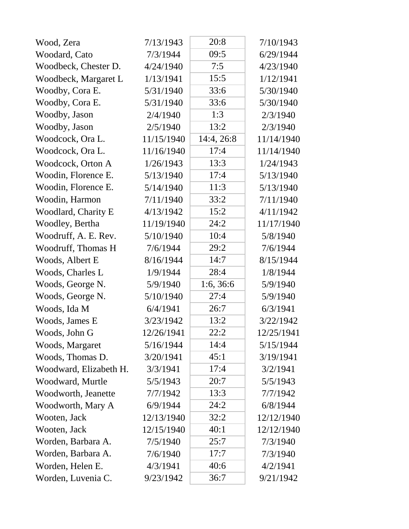| Wood, Zera             | 7/13/1943  | 20:8       | 7/10/1943  |
|------------------------|------------|------------|------------|
| Woodard, Cato          | 7/3/1944   | 09:5       | 6/29/1944  |
| Woodbeck, Chester D.   | 4/24/1940  | 7:5        | 4/23/1940  |
| Woodbeck, Margaret L   | 1/13/1941  | 15:5       | 1/12/1941  |
| Woodby, Cora E.        | 5/31/1940  | 33:6       | 5/30/1940  |
| Woodby, Cora E.        | 5/31/1940  | 33:6       | 5/30/1940  |
| Woodby, Jason          | 2/4/1940   | 1:3        | 2/3/1940   |
| Woodby, Jason          | 2/5/1940   | 13:2       | 2/3/1940   |
| Woodcock, Ora L.       | 11/15/1940 | 14:4, 26:8 | 11/14/1940 |
| Woodcock, Ora L.       | 11/16/1940 | 17:4       | 11/14/1940 |
| Woodcock, Orton A      | 1/26/1943  | 13:3       | 1/24/1943  |
| Woodin, Florence E.    | 5/13/1940  | 17:4       | 5/13/1940  |
| Woodin, Florence E.    | 5/14/1940  | 11:3       | 5/13/1940  |
| Woodin, Harmon         | 7/11/1940  | 33:2       | 7/11/1940  |
| Woodlard, Charity E    | 4/13/1942  | 15:2       | 4/11/1942  |
| Woodley, Bertha        | 11/19/1940 | 24:2       | 11/17/1940 |
| Woodruff, A. E. Rev.   | 5/10/1940  | 10:4       | 5/8/1940   |
| Woodruff, Thomas H     | 7/6/1944   | 29:2       | 7/6/1944   |
| Woods, Albert E        | 8/16/1944  | 14:7       | 8/15/1944  |
| Woods, Charles L       | 1/9/1944   | 28:4       | 1/8/1944   |
| Woods, George N.       | 5/9/1940   | 1:6, 36:6  | 5/9/1940   |
| Woods, George N.       | 5/10/1940  | 27:4       | 5/9/1940   |
| Woods, Ida M           | 6/4/1941   | 26:7       | 6/3/1941   |
| Woods, James E         | 3/23/1942  | 13:2       | 3/22/1942  |
| Woods, John G          | 12/26/1941 | 22:2       | 12/25/1941 |
| Woods, Margaret        | 5/16/1944  | 14:4       | 5/15/1944  |
| Woods, Thomas D.       | 3/20/1941  | 45:1       | 3/19/1941  |
| Woodward, Elizabeth H. | 3/3/1941   | 17:4       | 3/2/1941   |
| Woodward, Murtle       | 5/5/1943   | 20:7       | 5/5/1943   |
| Woodworth, Jeanette    | 7/7/1942   | 13:3       | 7/7/1942   |
| Woodworth, Mary A      | 6/9/1944   | 24:2       | 6/8/1944   |
| Wooten, Jack           | 12/13/1940 | 32:2       | 12/12/1940 |
| Wooten, Jack           | 12/15/1940 | 40:1       | 12/12/1940 |
| Worden, Barbara A.     | 7/5/1940   | 25:7       | 7/3/1940   |
| Worden, Barbara A.     | 7/6/1940   | 17:7       | 7/3/1940   |
| Worden, Helen E.       | 4/3/1941   | 40:6       | 4/2/1941   |
| Worden, Luvenia C.     | 9/23/1942  | 36:7       | 9/21/1942  |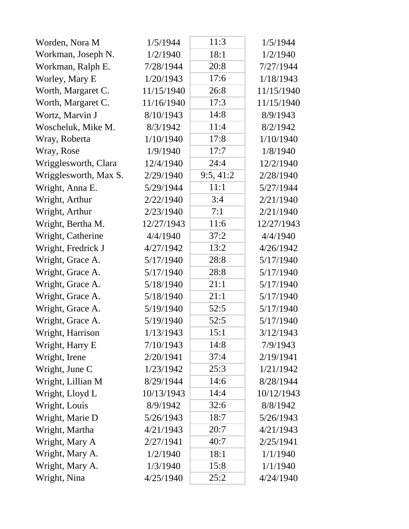| Worden, Nora M        | 1/5/1944   | 11:3     | 1/5/1944   |
|-----------------------|------------|----------|------------|
| Workman, Joseph N.    | 1/2/1940   | 18:1     | 1/2/1940   |
| Workman, Ralph E.     | 7/28/1944  | 20:8     | 7/27/1944  |
| Worley, Mary E        | 1/20/1943  | 17:6     | 1/18/1943  |
| Worth, Margaret C.    | 11/15/1940 | 26:8     | 11/15/1940 |
| Worth, Margaret C.    | 11/16/1940 | 17:3     | 11/15/1940 |
| Wortz, Marvin J       | 8/10/1943  | 14:8     | 8/9/1943   |
| Woscheluk, Mike M.    | 8/3/1942   | 11:4     | 8/2/1942   |
| Wray, Roberta         | 1/10/1940  | 17:8     | 1/10/1940  |
| Wray, Rose            | 1/9/1940   | 17:7     | 1/8/1940   |
| Wrigglesworth, Clara  | 12/4/1940  | 24:4     | 12/2/1940  |
| Wrigglesworth, Max S. | 2/29/1940  | 9:5,41:2 | 2/28/1940  |
| Wright, Anna E.       | 5/29/1944  | 11:1     | 5/27/1944  |
| Wright, Arthur        | 2/22/1940  | 3:4      | 2/21/1940  |
| Wright, Arthur        | 2/23/1940  | 7:1      | 2/21/1940  |
| Wright, Bertha M.     | 12/27/1943 | 11:6     | 12/27/1943 |
| Wright, Catherine     | 4/4/1940   | 37:2     | 4/4/1940   |
| Wright, Fredrick J    | 4/27/1942  | 13:2     | 4/26/1942  |
| Wright, Grace A.      | 5/17/1940  | 28:8     | 5/17/1940  |
| Wright, Grace A.      | 5/17/1940  | 28:8     | 5/17/1940  |
| Wright, Grace A.      | 5/18/1940  | 21:1     | 5/17/1940  |
| Wright, Grace A.      | 5/18/1940  | 21:1     | 5/17/1940  |
| Wright, Grace A.      | 5/19/1940  | 52:5     | 5/17/1940  |
| Wright, Grace A.      | 5/19/1940  | 52:5     | 5/17/1940  |
| Wright, Harrison      | 1/13/1943  | 15:1     | 3/12/1943  |
| Wright, Harry E       | 7/10/1943  | 14:8     | 7/9/1943   |
| Wright, Irene         | 2/20/1941  | 37:4     | 2/19/1941  |
| Wright, June C        | 1/23/1942  | 25:3     | 1/21/1942  |
| Wright, Lillian M     | 8/29/1944  | 14:6     | 8/28/1944  |
| Wright, Lloyd L       | 10/13/1943 | 14:4     | 10/12/1943 |
| Wright, Louis         | 8/9/1942   | 32:6     | 8/8/1942   |
| Wright, Marie D       | 5/26/1943  | 18:7     | 5/26/1943  |
| Wright, Martha        | 4/21/1943  | 20:7     | 4/21/1943  |
| Wright, Mary A        | 2/27/1941  | 40:7     | 2/25/1941  |
| Wright, Mary A.       | 1/2/1940   | 18:1     | 1/1/1940   |
| Wright, Mary A.       | 1/3/1940   | 15:8     | 1/1/1940   |
| Wright, Nina          | 4/25/1940  | 25:2     | 4/24/1940  |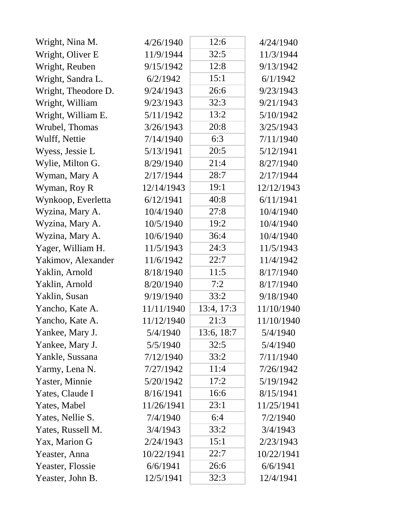| Wright, Nina M.     | 4/26/1940  | 12:6       | 4/24/1940  |
|---------------------|------------|------------|------------|
| Wright, Oliver E    | 11/9/1944  | 32:5       | 11/3/1944  |
| Wright, Reuben      | 9/15/1942  | 12:8       | 9/13/1942  |
| Wright, Sandra L.   | 6/2/1942   | 15:1       | 6/1/1942   |
| Wright, Theodore D. | 9/24/1943  | 26:6       | 9/23/1943  |
| Wright, William     | 9/23/1943  | 32:3       | 9/21/1943  |
| Wright, William E.  | 5/11/1942  | 13:2       | 5/10/1942  |
| Wrubel, Thomas      | 3/26/1943  | 20:8       | 3/25/1943  |
| Wulff, Nettie       | 7/14/1940  | 6:3        | 7/11/1940  |
| Wyess, Jessie L     | 5/13/1941  | 20:5       | 5/12/1941  |
| Wylie, Milton G.    | 8/29/1940  | 21:4       | 8/27/1940  |
| Wyman, Mary A       | 2/17/1944  | 28:7       | 2/17/1944  |
| Wyman, Roy R        | 12/14/1943 | 19:1       | 12/12/1943 |
| Wynkoop, Everletta  | 6/12/1941  | 40:8       | 6/11/1941  |
| Wyzina, Mary A.     | 10/4/1940  | 27:8       | 10/4/1940  |
| Wyzina, Mary A.     | 10/5/1940  | 19:2       | 10/4/1940  |
| Wyzina, Mary A.     | 10/6/1940  | 36:4       | 10/4/1940  |
| Yager, William H.   | 11/5/1943  | 24:3       | 11/5/1943  |
| Yakimov, Alexander  | 11/6/1942  | 22:7       | 11/4/1942  |
| Yaklin, Arnold      | 8/18/1940  | 11:5       | 8/17/1940  |
| Yaklin, Arnold      | 8/20/1940  | 7:2        | 8/17/1940  |
| Yaklin, Susan       | 9/19/1940  | 33:2       | 9/18/1940  |
| Yancho, Kate A.     | 11/11/1940 | 13:4, 17:3 | 11/10/1940 |
| Yancho, Kate A.     | 11/12/1940 | 21:3       | 11/10/1940 |
| Yankee, Mary J.     | 5/4/1940   | 13:6, 18:7 | 5/4/1940   |
| Yankee, Mary J.     | 5/5/1940   | 32:5       | 5/4/1940   |
| Yankle, Sussana     | 7/12/1940  | 33:2       | 7/11/1940  |
| Yarmy, Lena N.      | 7/27/1942  | 11:4       | 7/26/1942  |
| Yaster, Minnie      | 5/20/1942  | 17:2       | 5/19/1942  |
| Yates, Claude I     | 8/16/1941  | 16:6       | 8/15/1941  |
| Yates, Mabel        | 11/26/1941 | 23:1       | 11/25/1941 |
| Yates, Nellie S.    | 7/4/1940   | 6:4        | 7/2/1940   |
| Yates, Russell M.   | 3/4/1943   | 33:2       | 3/4/1943   |
| Yax, Marion G       | 2/24/1943  | 15:1       | 2/23/1943  |
| Yeaster, Anna       | 10/22/1941 | 22:7       | 10/22/1941 |
| Yeaster, Flossie    | 6/6/1941   | 26:6       | 6/6/1941   |
| Yeaster, John B.    | 12/5/1941  | 32:3       | 12/4/1941  |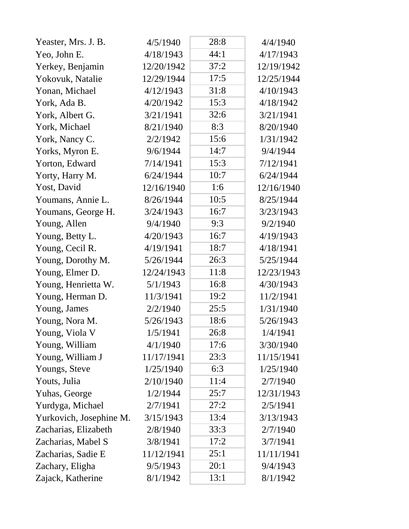| Yeaster, Mrs. J. B.     | 4/5/1940   | 28:8 | 4/4/1940   |
|-------------------------|------------|------|------------|
| Yeo, John E.            | 4/18/1943  | 44:1 | 4/17/1943  |
| Yerkey, Benjamin        | 12/20/1942 | 37:2 | 12/19/1942 |
| Yokovuk, Natalie        | 12/29/1944 | 17:5 | 12/25/1944 |
| Yonan, Michael          | 4/12/1943  | 31:8 | 4/10/1943  |
| York, Ada B.            | 4/20/1942  | 15:3 | 4/18/1942  |
| York, Albert G.         | 3/21/1941  | 32:6 | 3/21/1941  |
| York, Michael           | 8/21/1940  | 8:3  | 8/20/1940  |
| York, Nancy C.          | 2/2/1942   | 15:6 | 1/31/1942  |
| Yorks, Myron E.         | 9/6/1944   | 14:7 | 9/4/1944   |
| Yorton, Edward          | 7/14/1941  | 15:3 | 7/12/1941  |
| Yorty, Harry M.         | 6/24/1944  | 10:7 | 6/24/1944  |
| Yost, David             | 12/16/1940 | 1:6  | 12/16/1940 |
| Youmans, Annie L.       | 8/26/1944  | 10:5 | 8/25/1944  |
| Youmans, George H.      | 3/24/1943  | 16:7 | 3/23/1943  |
| Young, Allen            | 9/4/1940   | 9:3  | 9/2/1940   |
| Young, Betty L.         | 4/20/1943  | 16:7 | 4/19/1943  |
| Young, Cecil R.         | 4/19/1941  | 18:7 | 4/18/1941  |
| Young, Dorothy M.       | 5/26/1944  | 26:3 | 5/25/1944  |
| Young, Elmer D.         | 12/24/1943 | 11:8 | 12/23/1943 |
| Young, Henrietta W.     | 5/1/1943   | 16:8 | 4/30/1943  |
| Young, Herman D.        | 11/3/1941  | 19:2 | 11/2/1941  |
| Young, James            | 2/2/1940   | 25:5 | 1/31/1940  |
| Young, Nora M.          | 5/26/1943  | 18:6 | 5/26/1943  |
| Young, Viola V          | 1/5/1941   | 26:8 | 1/4/1941   |
| Young, William          | 4/1/1940   | 17:6 | 3/30/1940  |
| Young, William J        | 11/17/1941 | 23:3 | 11/15/1941 |
| Youngs, Steve           | 1/25/1940  | 6:3  | 1/25/1940  |
| Youts, Julia            | 2/10/1940  | 11:4 | 2/7/1940   |
| Yuhas, George           | 1/2/1944   | 25:7 | 12/31/1943 |
| Yurdyga, Michael        | 2/7/1941   | 27:2 | 2/5/1941   |
| Yurkovich, Josephine M. | 3/15/1943  | 13:4 | 3/13/1943  |
| Zacharias, Elizabeth    | 2/8/1940   | 33:3 | 2/7/1940   |
| Zacharias, Mabel S      | 3/8/1941   | 17:2 | 3/7/1941   |
| Zacharias, Sadie E      | 11/12/1941 | 25:1 | 11/11/1941 |
| Zachary, Eligha         | 9/5/1943   | 20:1 | 9/4/1943   |
| Zajack, Katherine       | 8/1/1942   | 13:1 | 8/1/1942   |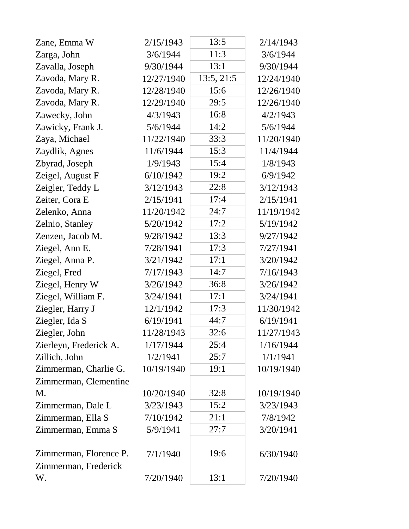| Zane, Emma W           | 2/15/1943  | 13:5       | 2/14/1943  |
|------------------------|------------|------------|------------|
| Zarga, John            | 3/6/1944   | 11:3       | 3/6/1944   |
| Zavalla, Joseph        | 9/30/1944  | 13:1       | 9/30/1944  |
| Zavoda, Mary R.        | 12/27/1940 | 13:5, 21:5 | 12/24/1940 |
| Zavoda, Mary R.        | 12/28/1940 | 15:6       | 12/26/1940 |
| Zavoda, Mary R.        | 12/29/1940 | 29:5       | 12/26/1940 |
| Zawecky, John          | 4/3/1943   | 16:8       | 4/2/1943   |
| Zawicky, Frank J.      | 5/6/1944   | 14:2       | 5/6/1944   |
| Zaya, Michael          | 11/22/1940 | 33:3       | 11/20/1940 |
| Zaydlik, Agnes         | 11/6/1944  | 15:3       | 11/4/1944  |
| Zbyrad, Joseph         | 1/9/1943   | 15:4       | 1/8/1943   |
| Zeigel, August F       | 6/10/1942  | 19:2       | 6/9/1942   |
| Zeigler, Teddy L       | 3/12/1943  | 22:8       | 3/12/1943  |
| Zeiter, Cora E         | 2/15/1941  | 17:4       | 2/15/1941  |
| Zelenko, Anna          | 11/20/1942 | 24:7       | 11/19/1942 |
| Zelnio, Stanley        | 5/20/1942  | 17:2       | 5/19/1942  |
| Zenzen, Jacob M.       | 9/28/1942  | 13:3       | 9/27/1942  |
| Ziegel, Ann E.         | 7/28/1941  | 17:3       | 7/27/1941  |
| Ziegel, Anna P.        | 3/21/1942  | 17:1       | 3/20/1942  |
| Ziegel, Fred           | 7/17/1943  | 14:7       | 7/16/1943  |
| Ziegel, Henry W        | 3/26/1942  | 36:8       | 3/26/1942  |
| Ziegel, William F.     | 3/24/1941  | 17:1       | 3/24/1941  |
| Ziegler, Harry J       | 12/1/1942  | 17:3       | 11/30/1942 |
| Ziegler, Ida S         | 6/19/1941  | 44:7       | 6/19/1941  |
| Ziegler, John          | 11/28/1943 | 32:6       | 11/27/1943 |
| Zierleyn, Frederick A. | 1/17/1944  | 25:4       | 1/16/1944  |
| Zillich, John          | 1/2/1941   | 25:7       | 1/1/1941   |
| Zimmerman, Charlie G.  | 10/19/1940 | 19:1       | 10/19/1940 |
| Zimmerman, Clementine  |            |            |            |
| M.                     | 10/20/1940 | 32:8       | 10/19/1940 |
| Zimmerman, Dale L      | 3/23/1943  | 15:2       | 3/23/1943  |
| Zimmerman, Ella S      | 7/10/1942  | 21:1       | 7/8/1942   |
| Zimmerman, Emma S      | 5/9/1941   | 27:7       | 3/20/1941  |
| Zimmerman, Florence P. | 7/1/1940   | 19:6       | 6/30/1940  |
| Zimmerman, Frederick   |            |            |            |
| W.                     | 7/20/1940  | 13:1       | 7/20/1940  |